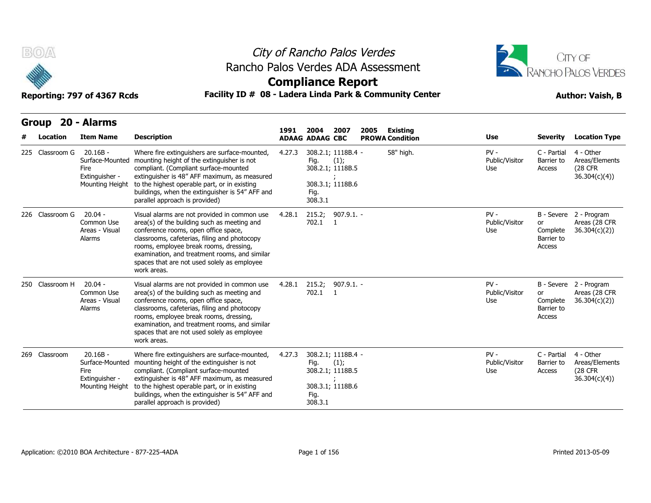



## **Compliance Report**

| B(0)<br>Reporting: 797 of 4367 Rcds | Rancho Palos Verdes ADA Assessment<br>Facility ID # 08 - Ladera Linda Park & Community Center | City of Rancho Palos Verdes<br><b>Compliance Report</b>                                                                                                                                                                                                                                                                                      |        |                                                                                       |                                |      |                                           | CITY OF<br><b>RANCHO PALOS VERDES</b><br><b>Author: Vaish, B</b> |                                        |                                                         |  |
|-------------------------------------|-----------------------------------------------------------------------------------------------|----------------------------------------------------------------------------------------------------------------------------------------------------------------------------------------------------------------------------------------------------------------------------------------------------------------------------------------------|--------|---------------------------------------------------------------------------------------|--------------------------------|------|-------------------------------------------|------------------------------------------------------------------|----------------------------------------|---------------------------------------------------------|--|
| Group 20 - Alarms<br>Location       | <b>Item Name</b>                                                                              | <b>Description</b>                                                                                                                                                                                                                                                                                                                           | 1991   | 2004<br><b>ADAAG ADAAG CBC</b>                                                        | 2007                           | 2005 | <b>Existing</b><br><b>PROWA Condition</b> | Use                                                              | <b>Severity</b>                        | <b>Location Type</b>                                    |  |
| 225 Classroom G                     | $20.16B -$<br>Surface-Mounted<br>Fire<br>Extinguisher -<br>Mounting Height                    | Where fire extinguishers are surface-mounted,<br>mounting height of the extinguisher is not<br>compliant. (Compliant surface-mounted<br>extinguisher is 48" AFF maximum, as measured<br>to the highest operable part, or in existing<br>buildings, when the extinguisher is 54" AFF and<br>parallel approach is provided)                    | 4.27.3 | 308.2.1; 1118B.4 -<br>Fig.<br>308.2.1; 1118B.5<br>308.3.1; 1118B.6<br>Fig.<br>308.3.1 | (1);                           |      | 58" high.                                 | $PV -$<br>Public/Visitor<br>Use                                  | C - Partial<br>Barrier to<br>Access    | 4 - Other<br>Areas/Elements<br>(28 CFR<br>36.304(c)(4)  |  |
| 226 Classroom G                     | $20.04 -$<br>Common Use<br>Areas - Visual<br>Alarms                                           | Visual alarms are not provided in common use<br>area(s) of the building such as meeting and<br>conference rooms, open office space,<br>classrooms, cafeterias, filing and photocopy<br>rooms, employee break rooms, dressing,<br>examination, and treatment rooms, and similar<br>spaces that are not used solely as employee<br>work areas. | 4.28.1 | 215.2; 907.9.1. -<br>702.1 1                                                          |                                |      |                                           | $PV -$<br>Public/Visitor<br>Use                                  | or<br>Complete<br>Barrier to<br>Access | B - Severe 2 - Program<br>Areas (28 CFR<br>36.304(c)(2) |  |
| 250 Classroom H                     | $20.04 -$<br>Common Use<br>Areas - Visual<br>Alarms                                           | Visual alarms are not provided in common use<br>area(s) of the building such as meeting and<br>conference rooms, open office space,<br>classrooms, cafeterias, filing and photocopy<br>rooms, employee break rooms, dressing,<br>examination, and treatment rooms, and similar<br>spaces that are not used solely as employee<br>work areas. | 4.28.1 | 215.2;<br>702.1                                                                       | $907.9.1. -$<br>$\blacksquare$ |      |                                           | $PV -$<br>Public/Visitor<br>Use                                  | or<br>Complete<br>Barrier to<br>Access | B - Severe 2 - Program<br>Areas (28 CFR<br>36.304(c)(2) |  |
| 269 Classroom                       | $20.16B -$<br>Surface-Mounted<br>Fire<br>Extinguisher -<br>Mounting Height                    | Where fire extinguishers are surface-mounted,<br>mounting height of the extinguisher is not<br>compliant. (Compliant surface-mounted<br>extinguisher is 48" AFF maximum, as measured<br>to the highest operable part, or in existing<br>buildings, when the extinguisher is 54" AFF and<br>parallel approach is provided)                    | 4.27.3 | 308.2.1; 1118B.4 -<br>Fig.<br>308.2.1; 1118B.5<br>308.3.1; 1118B.6<br>Fig.<br>308.3.1 | (1);                           |      |                                           | $PV -$<br>Public/Visitor<br>Use                                  | C - Partial<br>Barrier to<br>Access    | 4 - Other<br>Areas/Elements<br>(28 CFR<br>36.304(c)(4)  |  |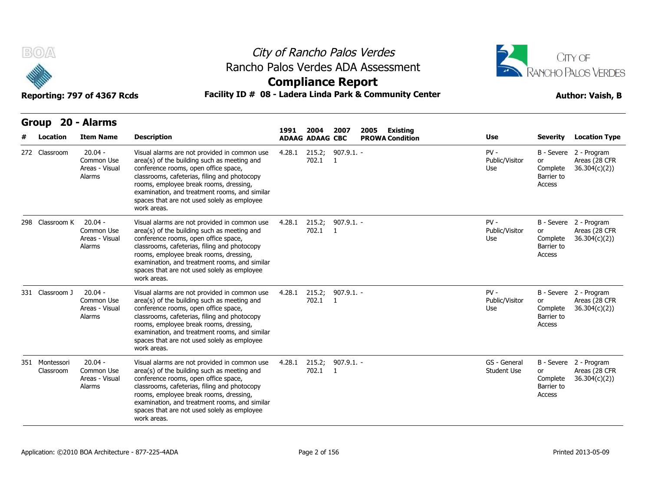



| B(0)  |                             | Reporting: 797 of 4367 Rcds                         |                                                                                                                                                                                                                                                                                                                                              | City of Rancho Palos Verdes<br>Rancho Palos Verdes ADA Assessment<br><b>Compliance Report</b><br>Facility ID # 08 - Ladera Linda Park & Community Center | CITY OF<br>RANCHO PALOS VERDES<br><b>Author: Vaish, B</b> |                    |                                            |                                    |                                               |                                                         |
|-------|-----------------------------|-----------------------------------------------------|----------------------------------------------------------------------------------------------------------------------------------------------------------------------------------------------------------------------------------------------------------------------------------------------------------------------------------------------|----------------------------------------------------------------------------------------------------------------------------------------------------------|-----------------------------------------------------------|--------------------|--------------------------------------------|------------------------------------|-----------------------------------------------|---------------------------------------------------------|
| Group | Location                    | 20 - Alarms<br><b>Item Name</b>                     | <b>Description</b>                                                                                                                                                                                                                                                                                                                           | 1991                                                                                                                                                     | 2004<br><b>ADAAG ADAAG CBC</b>                            | 2007               | 2005<br>Existing<br><b>PROWA Condition</b> | Use                                | Severity                                      | <b>Location Type</b>                                    |
|       | 272 Classroom               | $20.04 -$<br>Common Use<br>Areas - Visual<br>Alarms | Visual alarms are not provided in common use<br>area(s) of the building such as meeting and<br>conference rooms, open office space,<br>classrooms, cafeterias, filing and photocopy<br>rooms, employee break rooms, dressing,<br>examination, and treatment rooms, and similar<br>spaces that are not used solely as employee<br>work areas. | 4.28.1                                                                                                                                                   | 215.2;<br>702.1 1                                         | $907.9.1. -$       |                                            | $PV -$<br>Public/Visitor<br>Use    | or<br>Complete<br>Barrier to<br>Access        | B - Severe 2 - Program<br>Areas (28 CFR<br>36.304(c)(2) |
|       | 298 Classroom K             | $20.04 -$<br>Common Use<br>Areas - Visual<br>Alarms | Visual alarms are not provided in common use<br>area(s) of the building such as meeting and<br>conference rooms, open office space,<br>classrooms, cafeterias, filing and photocopy<br>rooms, employee break rooms, dressing,<br>examination, and treatment rooms, and similar<br>spaces that are not used solely as employee<br>work areas. | 4.28.1                                                                                                                                                   | 215.2;<br>702.1 1                                         | $907.9.1. -$       |                                            | $PV -$<br>Public/Visitor<br>Use    | or<br>Complete<br>Barrier to<br>Access        | B - Severe 2 - Program<br>Areas (28 CFR<br>36.304(c)(2) |
|       | 331 Classroom J             | $20.04 -$<br>Common Use<br>Areas - Visual<br>Alarms | Visual alarms are not provided in common use<br>area(s) of the building such as meeting and<br>conference rooms, open office space,<br>classrooms, cafeterias, filing and photocopy<br>rooms, employee break rooms, dressing,<br>examination, and treatment rooms, and similar<br>spaces that are not used solely as employee<br>work areas. | 4.28.1                                                                                                                                                   | 215.2;<br>702.1                                           | $907.9.1. -$<br>-1 |                                            | $PV -$<br>Public/Visitor<br>Use    | or<br>Complete<br>Barrier to<br>Access        | B - Severe 2 - Program<br>Areas (28 CFR<br>36.304(c)(2) |
|       | 351 Montessori<br>Classroom | $20.04 -$<br>Common Use<br>Areas - Visual<br>Alarms | Visual alarms are not provided in common use<br>area(s) of the building such as meeting and<br>conference rooms, open office space,<br>classrooms, cafeterias, filing and photocopy<br>rooms, employee break rooms, dressing,<br>examination, and treatment rooms, and similar<br>spaces that are not used solely as employee<br>work areas. | 4.28.1                                                                                                                                                   | 215.2;<br>702.1 1                                         | $907.9.1. -$       |                                            | GS - General<br><b>Student Use</b> | <b>or</b><br>Complete<br>Barrier to<br>Access | B - Severe 2 - Program<br>Areas (28 CFR<br>36.304(c)(2) |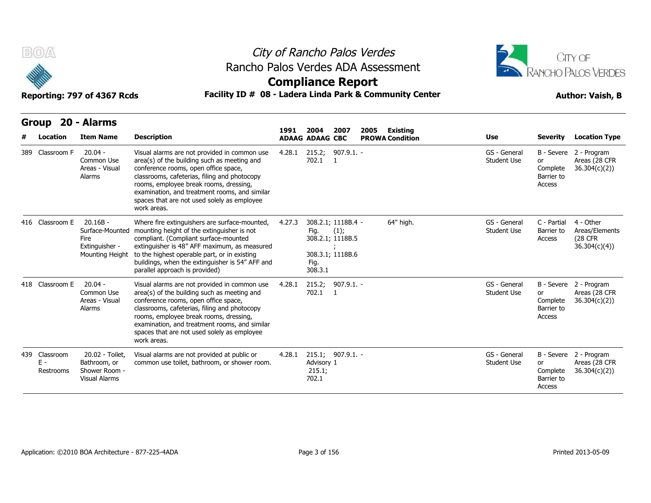



## **Compliance Report**

| B(0)<br>Reporting: 797 of 4367 Rcds | Rancho Palos Verdes ADA Assessment<br>Facility ID # 08 - Ladera Linda Park & Community Center |                                                                            |                                                                                                                                                                                                                                                                                                                                              | City of Rancho Palos Verdes<br><b>Compliance Report</b> |                                |                                                                    | CITY OF<br><b>RANCHO PALOS VERDES</b><br><b>Author: Vaish, B</b> |                                    |                                    |                                               |                                                                |
|-------------------------------------|-----------------------------------------------------------------------------------------------|----------------------------------------------------------------------------|----------------------------------------------------------------------------------------------------------------------------------------------------------------------------------------------------------------------------------------------------------------------------------------------------------------------------------------------|---------------------------------------------------------|--------------------------------|--------------------------------------------------------------------|------------------------------------------------------------------|------------------------------------|------------------------------------|-----------------------------------------------|----------------------------------------------------------------|
| <b>Group</b>                        | Location                                                                                      | 20 - Alarms<br><b>Item Name</b>                                            | <b>Description</b>                                                                                                                                                                                                                                                                                                                           | 1991                                                    | 2004<br><b>ADAAG ADAAG CBC</b> | 2007                                                               | 2005                                                             | Existing<br><b>PROWA Condition</b> | <b>Use</b>                         | <b>Severity</b>                               | <b>Location Type</b>                                           |
| 389 Classroom F                     |                                                                                               | $20.04 -$<br>Common Use<br>Areas - Visual<br>Alarms                        | Visual alarms are not provided in common use<br>area(s) of the building such as meeting and<br>conference rooms, open office space,<br>classrooms, cafeterias, filing and photocopy<br>rooms, employee break rooms, dressing,<br>examination, and treatment rooms, and similar<br>spaces that are not used solely as employee<br>work areas. | 4.28.1                                                  | 215.2;<br>702.1                | 907.9.1. -<br>$\blacksquare$                                       |                                                                  |                                    | GS - General<br><b>Student Use</b> | <b>or</b><br>Complete<br>Barrier to<br>Access | B - Severe 2 - Program<br>Areas (28 CFR<br>36.304(c)(2)        |
| 416 Classroom E                     |                                                                                               | $20.16B -$<br>Surface-Mounted<br>Fire<br>Extinguisher -<br>Mounting Height | Where fire extinguishers are surface-mounted,<br>mounting height of the extinguisher is not<br>compliant. (Compliant surface-mounted<br>extinguisher is 48" AFF maximum, as measured<br>to the highest operable part, or in existing<br>buildings, when the extinguisher is 54" AFF and<br>parallel approach is provided)                    | 4.27.3                                                  | Fig.<br>Fig.<br>308.3.1        | 308.2.1; 1118B.4 -<br>(1);<br>308.2.1; 1118B.5<br>308.3.1; 1118B.6 |                                                                  | 64" high.                          | GS - General<br><b>Student Use</b> | C - Partial<br>Barrier to<br>Access           | 4 - Other<br>Areas/Elements<br><b>(28 CFR)</b><br>36.304(c)(4) |
| 418 Classroom E                     |                                                                                               | $20.04 -$<br>Common Use<br>Areas - Visual<br>Alarms                        | Visual alarms are not provided in common use<br>area(s) of the building such as meeting and<br>conference rooms, open office space,<br>classrooms, cafeterias, filing and photocopy<br>rooms, employee break rooms, dressing,<br>examination, and treatment rooms, and similar<br>spaces that are not used solely as employee<br>work areas. | 4.28.1                                                  | 702.1                          | 215.2; 907.9.1. -<br>$\overline{1}$                                |                                                                  |                                    | GS - General<br><b>Student Use</b> | or<br>Complete<br>Barrier to<br>Access        | B - Severe 2 - Program<br>Areas (28 CFR<br>36.304(c)(2)        |
| 439 Classroom<br>Ε-                 | Restrooms                                                                                     | 20.02 - Toilet,<br>Bathroom, or<br>Shower Room -<br><b>Visual Alarms</b>   | Visual alarms are not provided at public or<br>common use toilet, bathroom, or shower room.                                                                                                                                                                                                                                                  | 4.28.1                                                  | Advisory 1<br>215.1;<br>702.1  | 215.1; 907.9.1. -                                                  |                                                                  |                                    | GS - General<br>Student Use        | or<br>Complete<br>Barrier to<br>Access        | B - Severe 2 - Program<br>Areas (28 CFR<br>36.304(c)(2)        |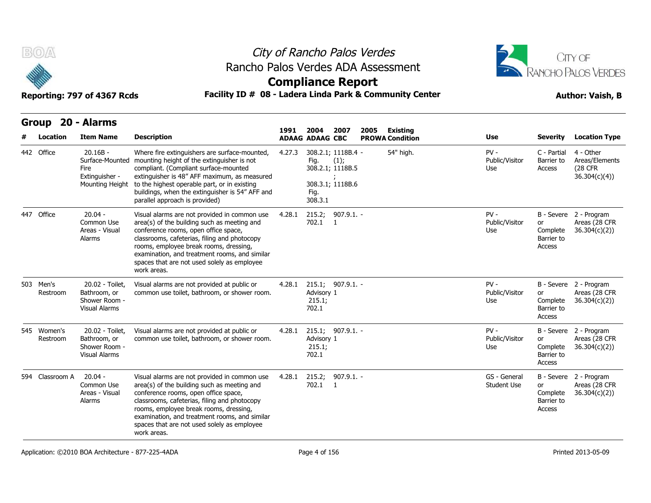



# **Compliance Report**

| B(0)                    | Reporting: 797 of 4367 Rcds                                                |                                                                                                                                                                                                                                                                                                                                              | City of Rancho Palos Verdes<br>Rancho Palos Verdes ADA Assessment<br><b>Compliance Report</b> | Facility ID # 08 - Ladera Linda Park & Community Center                                       |                                            | CITY OF<br>RANCHO PALOS VERDES<br><b>Author: Vaish, B</b> |                                               |                                                         |  |
|-------------------------|----------------------------------------------------------------------------|----------------------------------------------------------------------------------------------------------------------------------------------------------------------------------------------------------------------------------------------------------------------------------------------------------------------------------------------|-----------------------------------------------------------------------------------------------|-----------------------------------------------------------------------------------------------|--------------------------------------------|-----------------------------------------------------------|-----------------------------------------------|---------------------------------------------------------|--|
| Location                | Group 20 - Alarms<br><b>Item Name</b>                                      | <b>Description</b>                                                                                                                                                                                                                                                                                                                           | 1991                                                                                          | 2004<br>2007<br><b>ADAAG ADAAG CBC</b>                                                        | 2005<br>Existing<br><b>PROWA Condition</b> | Use                                                       | Severity                                      | <b>Location Type</b>                                    |  |
| 442 Office              | $20.16B -$<br>Surface-Mounted<br>Fire<br>Extinguisher -<br>Mounting Height | Where fire extinguishers are surface-mounted,<br>mounting height of the extinguisher is not<br>compliant. (Compliant surface-mounted<br>extinguisher is 48" AFF maximum, as measured<br>to the highest operable part, or in existing<br>buildings, when the extinguisher is 54" AFF and<br>parallel approach is provided)                    | 4.27.3                                                                                        | 308.2.1; 1118B.4 -<br>Fig.<br>(1);<br>308.2.1; 1118B.5<br>308.3.1; 1118B.6<br>Fig.<br>308.3.1 | 54" high.                                  | $PV -$<br>Public/Visitor<br>Use                           | C - Partial<br>Barrier to<br>Access           | 4 - Other<br>Areas/Elements<br>(28 CFR<br>36.304(c)(4)  |  |
| 447 Office              | $20.04 -$<br>Common Use<br>Areas - Visual<br>Alarms                        | Visual alarms are not provided in common use<br>area(s) of the building such as meeting and<br>conference rooms, open office space,<br>classrooms, cafeterias, filing and photocopy<br>rooms, employee break rooms, dressing,<br>examination, and treatment rooms, and similar<br>spaces that are not used solely as employee<br>work areas. | 4.28.1                                                                                        | 215.2; 907.9.1. -<br>702.1 1                                                                  |                                            | $PV -$<br>Public/Visitor<br>Use                           | or<br>Complete<br>Barrier to<br>Access        | B - Severe 2 - Program<br>Areas (28 CFR<br>36.304(c)(2) |  |
| 503 Men's<br>Restroom   | 20.02 - Toilet,<br>Bathroom, or<br>Shower Room -<br><b>Visual Alarms</b>   | Visual alarms are not provided at public or<br>common use toilet, bathroom, or shower room.                                                                                                                                                                                                                                                  | 4.28.1                                                                                        | 215.1; 907.9.1. -<br>Advisory 1<br>215.1;<br>702.1                                            |                                            | $PV -$<br>Public/Visitor<br>Use                           | or<br>Complete<br>Barrier to<br>Access        | B - Severe 2 - Program<br>Areas (28 CFR<br>36.304(c)(2) |  |
| 545 Women's<br>Restroom | 20.02 - Toilet,<br>Bathroom, or<br>Shower Room -<br><b>Visual Alarms</b>   | Visual alarms are not provided at public or<br>common use toilet, bathroom, or shower room.                                                                                                                                                                                                                                                  | 4.28.1                                                                                        | 215.1; 907.9.1. -<br>Advisory 1<br>215.1;<br>702.1                                            |                                            | $PV -$<br>Public/Visitor<br>Use                           | or<br>Complete<br>Barrier to<br>Access        | B - Severe 2 - Program<br>Areas (28 CFR<br>36.304(c)(2) |  |
| 594 Classroom A         | $20.04 -$<br>Common Use<br>Areas - Visual<br>Alarms                        | Visual alarms are not provided in common use<br>area(s) of the building such as meeting and<br>conference rooms, open office space,<br>classrooms, cafeterias, filing and photocopy<br>rooms, employee break rooms, dressing,<br>examination, and treatment rooms, and similar<br>spaces that are not used solely as employee<br>work areas. | 4.28.1                                                                                        | 907.9.1. -<br>215.2;<br>702.1 1                                                               |                                            | GS - General<br><b>Student Use</b>                        | <b>or</b><br>Complete<br>Barrier to<br>Access | B - Severe 2 - Program<br>Areas (28 CFR<br>36.304(c)(2) |  |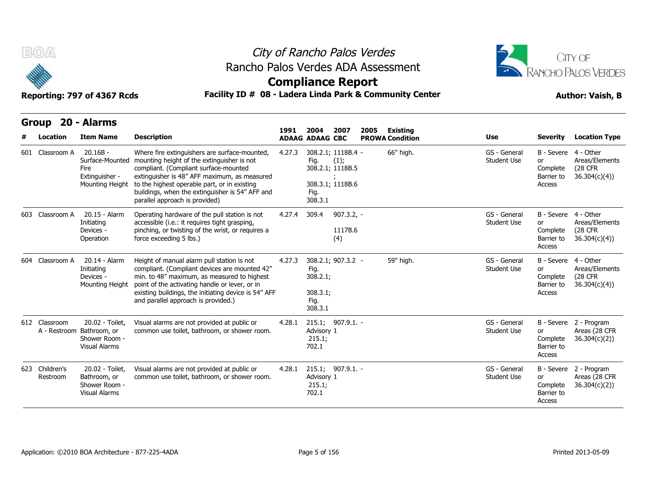



## **Compliance Report**

| B(0)                          | Reporting: 797 of 4367 Rcds                                                | Rancho Palos Verdes ADA Assessment<br>Facility ID # 08 - Ladera Linda Park & Community Center                                                                                                                                                                                                                             | City of Rancho Palos Verdes<br><b>Compliance Report</b> |                                                                       |                                              |      |                                           |                                    | CITY OF<br>RANCHO PALOS VERDES<br><b>Author: Vaish, B</b>             |                                                                |  |  |
|-------------------------------|----------------------------------------------------------------------------|---------------------------------------------------------------------------------------------------------------------------------------------------------------------------------------------------------------------------------------------------------------------------------------------------------------------------|---------------------------------------------------------|-----------------------------------------------------------------------|----------------------------------------------|------|-------------------------------------------|------------------------------------|-----------------------------------------------------------------------|----------------------------------------------------------------|--|--|
| <b>Group</b><br>Location      | 20 - Alarms<br><b>Item Name</b>                                            | <b>Description</b>                                                                                                                                                                                                                                                                                                        | 1991                                                    | 2004<br><b>ADAAG ADAAG CBC</b>                                        | 2007                                         | 2005 | <b>Existing</b><br><b>PROWA Condition</b> | Use                                | <b>Severity</b>                                                       | <b>Location Type</b>                                           |  |  |
| 601 Classroom A               | $20.16B -$<br>Surface-Mounted<br>Fire<br>Extinguisher -<br>Mounting Height | Where fire extinguishers are surface-mounted,<br>mounting height of the extinguisher is not<br>compliant. (Compliant surface-mounted<br>extinguisher is 48" AFF maximum, as measured<br>to the highest operable part, or in existing<br>buildings, when the extinguisher is 54" AFF and<br>parallel approach is provided) | 4.27.3                                                  | 308.2.1; 1118B.4 -<br>Fig.<br>Fig.<br>308.3.1                         | (1);<br>308.2.1; 1118B.5<br>308.3.1; 1118B.6 |      | 66" high.                                 | GS - General<br><b>Student Use</b> | B - Severe 4 - Other<br><b>or</b><br>Complete<br>Barrier to<br>Access | Areas/Elements<br>(28 CFR)<br>36.304(c)(4)                     |  |  |
| 603 Classroom A               | 20.15 - Alarm<br>Initiating<br>Devices -<br>Operation                      | Operating hardware of the pull station is not<br>accessible (i.e.: it requires tight grasping,<br>pinching, or twisting of the wrist, or requires a<br>force exceeding 5 lbs.)                                                                                                                                            | 4.27.4                                                  | 309.4                                                                 | $907.3.2, -$<br>1117B.6<br>(4)               |      |                                           | GS - General<br><b>Student Use</b> | B - Severe 4 - Other<br>or<br>Complete<br>Barrier to<br>Access        | Areas/Elements<br>(28 CFR<br>36.304(c)(4)                      |  |  |
| 604 Classroom A               | 20.14 - Alarm<br>Initiating<br>Devices -<br>Mounting Height                | Height of manual alarm pull station is not<br>compliant. (Compliant devices are mounted 42"<br>min. to 48" maximum, as measured to highest<br>point of the activating handle or lever, or in<br>existing buildings, the initiating device is 54" AFF<br>and parallel approach is provided.)                               | 4.27.3                                                  | 308.2.1; 907.3.2 -<br>Fig.<br>308.2.1;<br>308.3.1;<br>Fig.<br>308.3.1 |                                              |      | 59" high.                                 | GS - General<br><b>Student Use</b> | B - Severe<br>or<br>Complete<br>Barrier to<br>Access                  | 4 - Other<br>Areas/Elements<br><b>(28 CFR)</b><br>36.304(c)(4) |  |  |
| 612 Classroom<br>A - Restroom | 20.02 - Toilet,<br>Bathroom, or<br>Shower Room -<br><b>Visual Alarms</b>   | Visual alarms are not provided at public or<br>common use toilet, bathroom, or shower room.                                                                                                                                                                                                                               | 4.28.1                                                  | 215.1; 907.9.1. -<br>Advisory 1<br>215.1;<br>702.1                    |                                              |      |                                           | GS - General<br><b>Student Use</b> | <b>or</b><br>Complete<br>Barrier to<br>Access                         | B - Severe 2 - Program<br>Areas (28 CFR<br>36.304(c)(2)        |  |  |
| 623 Children's<br>Restroom    | 20.02 - Toilet,<br>Bathroom, or<br>Shower Room -<br><b>Visual Alarms</b>   | Visual alarms are not provided at public or<br>common use toilet, bathroom, or shower room.                                                                                                                                                                                                                               | 4.28.1                                                  | 215.1; 907.9.1. -<br>Advisory 1<br>215.1;<br>702.1                    |                                              |      |                                           | GS - General<br><b>Student Use</b> | or<br>Complete<br>Barrier to<br>Access                                | B - Severe 2 - Program<br>Areas (28 CFR<br>36.304(c)(2)        |  |  |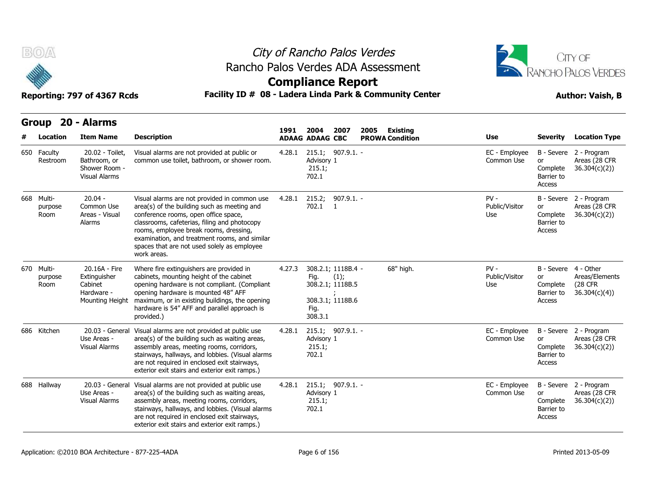



## **Compliance Report**

| B(0)                          | Reporting: 797 of 4367 Rcds                                               | City of Rancho Palos Verdes<br>Rancho Palos Verdes ADA Assessment<br><b>Compliance Report</b><br>Facility ID # 08 - Ladera Linda Park & Community Center                                                                                                                                                                                     |        | CITY OF<br>RANCHO PALOS VERDES<br><b>Author: Vaish, B</b> |                                                                    |      |                                           |                                 |                                                                |                                                         |
|-------------------------------|---------------------------------------------------------------------------|----------------------------------------------------------------------------------------------------------------------------------------------------------------------------------------------------------------------------------------------------------------------------------------------------------------------------------------------|--------|-----------------------------------------------------------|--------------------------------------------------------------------|------|-------------------------------------------|---------------------------------|----------------------------------------------------------------|---------------------------------------------------------|
| Group<br>Location             | 20 - Alarms<br><b>Item Name</b>                                           | <b>Description</b>                                                                                                                                                                                                                                                                                                                           | 1991   | 2004<br><b>ADAAG ADAAG CBC</b>                            | 2007                                                               | 2005 | <b>Existing</b><br><b>PROWA Condition</b> | <b>Use</b>                      | <b>Severity</b>                                                | <b>Location Type</b>                                    |
| 650 Faculty<br>Restroom       | 20.02 - Toilet,<br>Bathroom, or<br>Shower Room -<br><b>Visual Alarms</b>  | Visual alarms are not provided at public or<br>common use toilet, bathroom, or shower room.                                                                                                                                                                                                                                                  | 4.28.1 | Advisory 1<br>215.1;<br>702.1                             | 215.1; 907.9.1. -                                                  |      |                                           | EC - Employee<br>Common Use     | B - Severe<br>or<br>Complete<br>Barrier to<br>Access           | 2 - Program<br>Areas (28 CFR<br>36.304(c)(2)            |
| 668 Multi-<br>purpose<br>Room | $20.04 -$<br>Common Use<br>Areas - Visual<br>Alarms                       | Visual alarms are not provided in common use<br>area(s) of the building such as meeting and<br>conference rooms, open office space,<br>classrooms, cafeterias, filing and photocopy<br>rooms, employee break rooms, dressing,<br>examination, and treatment rooms, and similar<br>spaces that are not used solely as employee<br>work areas. | 4.28.1 | 215.2;<br>702.1                                           | $907.9.1. -$<br>$\overline{1}$                                     |      |                                           | $PV -$<br>Public/Visitor<br>Use | or<br>Complete<br>Barrier to<br>Access                         | B - Severe 2 - Program<br>Areas (28 CFR<br>36.304(c)(2) |
| 670 Multi-<br>purpose<br>Room | 20.16A - Fire<br>Extinguisher<br>Cabinet<br>Hardware -<br>Mounting Height | Where fire extinguishers are provided in<br>cabinets, mounting height of the cabinet<br>opening hardware is not compliant. (Compliant<br>opening hardware is mounted 48" AFF<br>maximum, or in existing buildings, the opening<br>hardware is 54" AFF and parallel approach is<br>provided.)                                                 | 4.27.3 | Fig.<br>Fig.<br>308.3.1                                   | 308.2.1; 1118B.4 -<br>(1);<br>308.2.1; 1118B.5<br>308.3.1; 1118B.6 |      | 68" high.                                 | $PV -$<br>Public/Visitor<br>Use | B - Severe 4 - Other<br>or<br>Complete<br>Barrier to<br>Access | Areas/Elements<br>(28 CFR<br>36.304(c)(4)               |
| 686 Kitchen                   | 20.03 - General<br>Use Areas -<br><b>Visual Alarms</b>                    | Visual alarms are not provided at public use<br>area(s) of the building such as waiting areas,<br>assembly areas, meeting rooms, corridors,<br>stairways, hallways, and lobbies. (Visual alarms<br>are not required in enclosed exit stairways,<br>exterior exit stairs and exterior exit ramps.)                                            | 4.28.1 | Advisory 1<br>215.1;<br>702.1                             | 215.1; 907.9.1. -                                                  |      |                                           | EC - Employee<br>Common Use     | or<br>Complete<br>Barrier to<br>Access                         | B - Severe 2 - Program<br>Areas (28 CFR<br>36.304(c)(2) |
| 688 Hallway                   | 20.03 - General<br>Use Areas -<br><b>Visual Alarms</b>                    | Visual alarms are not provided at public use<br>area(s) of the building such as waiting areas,<br>assembly areas, meeting rooms, corridors,<br>stairways, hallways, and lobbies. (Visual alarms<br>are not required in enclosed exit stairways,<br>exterior exit stairs and exterior exit ramps.)                                            | 4.28.1 | Advisory 1<br>215.1;<br>702.1                             | 215.1; 907.9.1. -                                                  |      |                                           | EC - Employee<br>Common Use     | or<br>Complete<br>Barrier to<br>Access                         | B - Severe 2 - Program<br>Areas (28 CFR<br>36.304(c)(2) |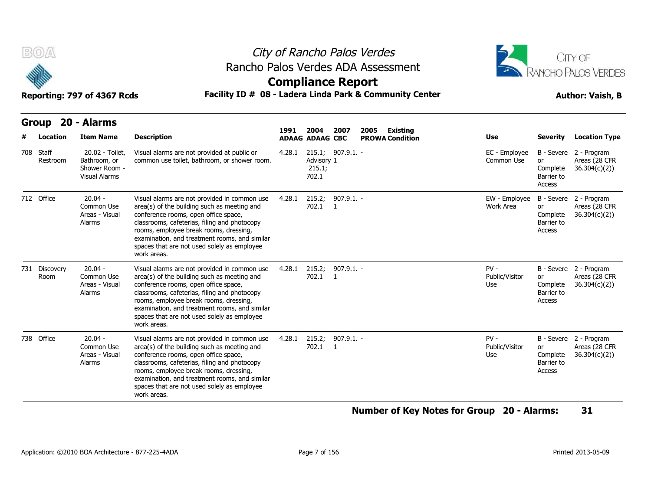



## **Compliance Report**

### Reporting: 797 of 4367 Rcds **Facility ID # 08 - Ladera Linda Park & Community Center Author: Vaish, B**

| <b>BOA</b> |                       | City of Rancho Palos Verdes<br>Rancho Palos Verdes ADA Assessment<br><b>Compliance Report</b><br>Facility ID # 08 - Ladera Linda Park & Community Center<br>Reporting: 797 of 4367 Rcds |                                                                                                                                                                                                                                                                                                                                              |        |                                |                              |                                                   |  | CITY OF<br><b>RANCHO PALOS VERDES</b><br><b>Author: Vaish, B</b> |                                                      |                                                         |  |
|------------|-----------------------|-----------------------------------------------------------------------------------------------------------------------------------------------------------------------------------------|----------------------------------------------------------------------------------------------------------------------------------------------------------------------------------------------------------------------------------------------------------------------------------------------------------------------------------------------|--------|--------------------------------|------------------------------|---------------------------------------------------|--|------------------------------------------------------------------|------------------------------------------------------|---------------------------------------------------------|--|
|            | Location              | Group 20 - Alarms<br><b>Item Name</b>                                                                                                                                                   | <b>Description</b>                                                                                                                                                                                                                                                                                                                           | 1991   | 2004<br><b>ADAAG ADAAG CBC</b> | 2007                         | 2005<br><b>Existing</b><br><b>PROWA Condition</b> |  | Use                                                              | <b>Severity</b>                                      | <b>Location Type</b>                                    |  |
| 708 Staff  | Restroom              | 20.02 - Toilet,<br>Bathroom, or<br>Shower Room -<br><b>Visual Alarms</b>                                                                                                                | Visual alarms are not provided at public or<br>common use toilet, bathroom, or shower room.                                                                                                                                                                                                                                                  | 4.28.1 | Advisory 1<br>215.1;<br>702.1  | 215.1; 907.9.1. -            |                                                   |  | EC - Employee<br>Common Use                                      | B - Severe<br>or<br>Complete<br>Barrier to<br>Access | 2 - Program<br>Areas (28 CFR<br>36.304(c)(2)            |  |
| 712 Office |                       | $20.04 -$<br>Common Use<br>Areas - Visual<br>Alarms                                                                                                                                     | Visual alarms are not provided in common use<br>area(s) of the building such as meeting and<br>conference rooms, open office space,<br>classrooms, cafeterias, filing and photocopy<br>rooms, employee break rooms, dressing,<br>examination, and treatment rooms, and similar<br>spaces that are not used solely as employee<br>work areas. | 4.28.1 | 215.2;<br>702.1                | 907.9.1. -<br>$\overline{1}$ |                                                   |  | EW - Employee<br>Work Area                                       | B - Severe<br>or<br>Complete<br>Barrier to<br>Access | 2 - Program<br>Areas (28 CFR<br>36.304(c)(2)            |  |
|            | 731 Discovery<br>Room | $20.04 -$<br>Common Use<br>Areas - Visual<br>Alarms                                                                                                                                     | Visual alarms are not provided in common use<br>area(s) of the building such as meeting and<br>conference rooms, open office space,<br>classrooms, cafeterias, filing and photocopy<br>rooms, employee break rooms, dressing,<br>examination, and treatment rooms, and similar<br>spaces that are not used solely as employee<br>work areas. | 4.28.1 | 702.1 1                        | 215.2; 907.9.1. -            |                                                   |  | $PV -$<br>Public/Visitor<br>Use                                  | or<br>Complete<br>Barrier to<br>Access               | B - Severe 2 - Program<br>Areas (28 CFR<br>36.304(c)(2) |  |
| 738 Office |                       | $20.04 -$<br>Common Use<br>Areas - Visual<br>Alarms                                                                                                                                     | Visual alarms are not provided in common use<br>area(s) of the building such as meeting and<br>conference rooms, open office space,<br>classrooms, cafeterias, filing and photocopy<br>rooms, employee break rooms, dressing,<br>examination, and treatment rooms, and similar<br>spaces that are not used solely as employee<br>work areas. | 4.28.1 | 215.2;<br>702.1 1              | $907.9.1. -$                 |                                                   |  | $PV -$<br>Public/Visitor<br>Use                                  | or<br>Complete<br>Barrier to<br>Access               | B - Severe 2 - Program<br>Areas (28 CFR<br>36.304(c)(2) |  |

### **Number of Key Notes for Group 20 - Alarms: 31**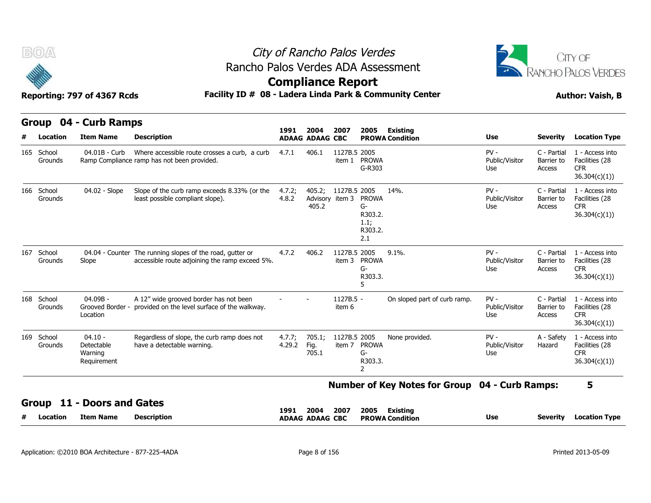

# City of Rancho Palos Verdes Rancho Palos Verdes ADA Assessment



## **Compliance Report**

|     | <b>BOA</b><br>City of Rancho Palos Verdes                                                                                 |                                                   |                                                                                                             |                  |                                |                                 |                                                  | CITY OF                                        |                                 |                                     |                                                                  |  |
|-----|---------------------------------------------------------------------------------------------------------------------------|---------------------------------------------------|-------------------------------------------------------------------------------------------------------------|------------------|--------------------------------|---------------------------------|--------------------------------------------------|------------------------------------------------|---------------------------------|-------------------------------------|------------------------------------------------------------------|--|
|     | Rancho Palos Verdes ADA Assessment<br><b>Compliance Report</b><br>Facility ID # 08 - Ladera Linda Park & Community Center |                                                   |                                                                                                             |                  |                                |                                 |                                                  |                                                | RANCHO PALOS VERDES             |                                     |                                                                  |  |
|     |                                                                                                                           | Reporting: 797 of 4367 Rcds                       |                                                                                                             |                  |                                |                                 |                                                  |                                                |                                 |                                     | <b>Author: Vaish, B</b>                                          |  |
|     | <b>Group</b>                                                                                                              | 04 - Curb Ramps                                   |                                                                                                             | 1991             |                                |                                 |                                                  |                                                |                                 |                                     |                                                                  |  |
|     | Location                                                                                                                  | <b>Item Name</b>                                  | <b>Description</b>                                                                                          |                  | 2004<br><b>ADAAG ADAAG CBC</b> | 2007                            | 2005                                             | Existing<br><b>PROWA Condition</b>             | Use                             | <b>Severity</b>                     | <b>Location Type</b>                                             |  |
|     | 165 School<br>Grounds                                                                                                     | 04.01B - Curb                                     | Where accessible route crosses a curb, a curb<br>Ramp Compliance ramp has not been provided.                | 4.7.1            | 406.1                          | 1127B.5 2005<br>item 1          | <b>PROWA</b><br>G-R303                           |                                                | $PV -$<br>Public/Visitor<br>Use | C - Partial<br>Barrier to<br>Access | 1 - Access into<br>Facilities (28<br><b>CFR</b><br>36.304(c)(1)) |  |
|     | 166 School<br>Grounds                                                                                                     | 04.02 - Slope                                     | Slope of the curb ramp exceeds 8.33% (or the<br>least possible compliant slope).                            | 4.7.2;<br>4.8.2  | 405.2;<br>405.2                | 1127B.5 2005<br>Advisory item 3 | PROWA<br>G-<br>R303.2.<br>1.1;<br>R303.2.<br>2.1 | 14%.                                           | $PV -$<br>Public/Visitor<br>Use | C - Partial<br>Barrier to<br>Access | 1 - Access into<br>Facilities (28<br><b>CFR</b><br>36.304(c)(1)) |  |
| 167 | School<br>Grounds                                                                                                         | Slope                                             | 04.04 - Counter The running slopes of the road, gutter or<br>accessible route adjoining the ramp exceed 5%. | 4.7.2            | 406.2                          | 1127B.5 2005<br>item 3          | <b>PROWA</b><br>G-<br>R303.3.<br>5               | 9.1%                                           | $PV -$<br>Public/Visitor<br>Use | C - Partial<br>Barrier to<br>Access | 1 - Access into<br>Facilities (28<br><b>CFR</b><br>36.304(c)(1)  |  |
|     | 168 School<br>Grounds                                                                                                     | 04.09B -<br>Grooved Border -<br>Location          | A 12" wide grooved border has not been<br>provided on the level surface of the walkway.                     |                  |                                | 1127B.5 -<br>item 6             |                                                  | On sloped part of curb ramp.                   | $PV -$<br>Public/Visitor<br>Use | C - Partial<br>Barrier to<br>Access | 1 - Access into<br>Facilities (28<br><b>CFR</b><br>36.304(c)(1)) |  |
|     | 169 School<br>Grounds                                                                                                     | $04.10 -$<br>Detectable<br>Warning<br>Requirement | Regardless of slope, the curb ramp does not<br>have a detectable warning.                                   | 4.7.7;<br>4.29.2 | 705.1;<br>Fig.<br>705.1        | 1127B.5 2005<br>item 7          | <b>PROWA</b><br>G-<br>R303.3.<br>$\overline{2}$  | None provided.                                 | $PV -$<br>Public/Visitor<br>Use | A - Safety<br>Hazard                | 1 - Access into<br>Facilities (28<br><b>CFR</b><br>36.304(c)(1)) |  |
|     |                                                                                                                           |                                                   |                                                                                                             |                  |                                |                                 |                                                  | Number of Key Notes for Group 04 - Curb Ramps: |                                 |                                     | 5                                                                |  |
|     | 11<br>Group                                                                                                               | - Doors and Gates                                 |                                                                                                             | 1991             | 2004                           | 2007                            | 2005                                             | Existing                                       |                                 |                                     |                                                                  |  |
|     | Location                                                                                                                  | Item Name                                         | <b>Description</b>                                                                                          |                  | <b>ADAAG ADAAG CBC</b>         |                                 |                                                  | <b>PROWA Condition</b>                         | Use                             | <b>Severity</b>                     | <b>Location Type</b>                                             |  |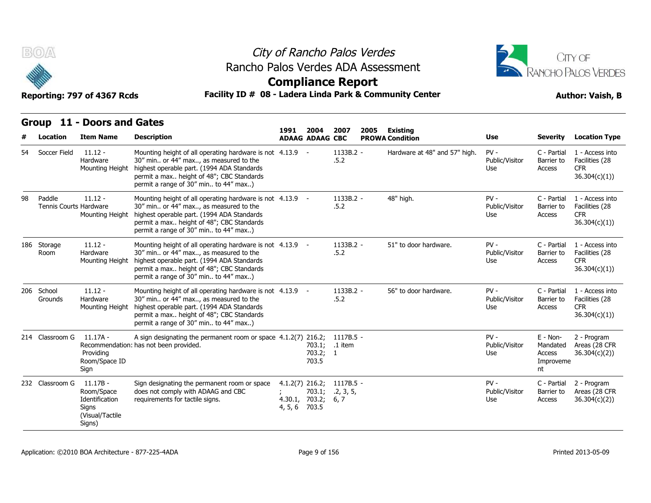



## **Compliance Report**

### Reporting: 797 of 4367 Rcds **Facility ID # 08 - Ladera Linda Park & Community Center Author: Vaish, B**

**1991** 

|    | <b>Location</b>                  | <b>Item Name</b>                                                                 | <b>Description</b>                                                                                                                                                                                                                      | 1991                                           | 2004<br><b>ADAAG ADAAG CBC</b>      | 2007<br>2005                     | Existing<br><b>PROWA Condition</b> | <b>Use</b>                      | <b>Severity</b>                                     | <b>Location Type</b>                                             |
|----|----------------------------------|----------------------------------------------------------------------------------|-----------------------------------------------------------------------------------------------------------------------------------------------------------------------------------------------------------------------------------------|------------------------------------------------|-------------------------------------|----------------------------------|------------------------------------|---------------------------------|-----------------------------------------------------|------------------------------------------------------------------|
| 54 | Soccer Field                     | $11.12 -$<br>Hardware<br>Mounting Height                                         | Mounting height of all operating hardware is not 4.13.9 -<br>30" min or 44" max, as measured to the<br>highest operable part. (1994 ADA Standards<br>permit a max height of 48"; CBC Standards<br>permit a range of 30" min to 44" max) |                                                |                                     | 1133B.2 -<br>.5.2                | Hardware at 48" and 57" high.      | $PV -$<br>Public/Visitor<br>Use | C - Partial<br>Barrier to<br>Access                 | 1 - Access into<br>Facilities (28<br><b>CFR</b><br>36.304(c)(1)) |
| 98 | Paddle<br>Tennis Courts Hardware | $11.12 -$<br>Mounting Height                                                     | Mounting height of all operating hardware is not 4.13.9<br>30" min or 44" max, as measured to the<br>highest operable part. (1994 ADA Standards<br>permit a max height of 48"; CBC Standards<br>permit a range of 30" min to 44" max)   |                                                | $\sim$ $-$                          | 1133B.2 -<br>.5.2                | 48" high.                          | $PV -$<br>Public/Visitor<br>Use | C - Partial<br>Barrier to<br>Access                 | 1 - Access into<br>Facilities (28<br><b>CFR</b><br>36.304(c)(1)  |
|    | 186 Storage<br>Room              | $11.12 -$<br>Hardware<br>Mounting Height                                         | Mounting height of all operating hardware is not 4.13.9 -<br>30" min or 44" max, as measured to the<br>highest operable part. (1994 ADA Standards<br>permit a max height of 48"; CBC Standards<br>permit a range of 30" min to 44" max) |                                                |                                     | 1133B.2 -<br>.5.2                | 51" to door hardware.              | $PV -$<br>Public/Visitor<br>Use | C - Partial<br>Barrier to<br>Access                 | 1 - Access into<br>Facilities (28<br><b>CFR</b><br>36.304(c)(1)) |
|    | 206 School<br>Grounds            | $11.12 -$<br>Hardware<br>Mounting Height                                         | Mounting height of all operating hardware is not 4.13.9 -<br>30" min or 44" max, as measured to the<br>highest operable part. (1994 ADA Standards<br>permit a max height of 48"; CBC Standards<br>permit a range of 30" min to 44" max) |                                                |                                     | 1133B.2 -<br>.5.2                | 56" to door hardware.              | $PV -$<br>Public/Visitor<br>Use | C - Partial<br>Barrier to<br>Access                 | 1 - Access into<br>Facilities (28<br><b>CFR</b><br>36.304(c)(1)  |
|    | 214 Classroom G                  | $11.17A -$<br>Providing<br>Room/Space ID<br>Sign                                 | A sign designating the permanent room or space 4.1.2(7) 216.2;<br>Recommendation: has not been provided.                                                                                                                                |                                                | 703.1; .1 item<br>703.2; 1<br>703.5 | $1117B.5 -$                      |                                    | $PV -$<br>Public/Visitor<br>Use | $E - Non-$<br>Mandated<br>Access<br>Improveme<br>nt | 2 - Program<br>Areas (28 CFR<br>36.304(c)(2)                     |
|    | 232 Classroom G                  | $11.17B -$<br>Room/Space<br>Identification<br>Signs<br>(Visual/Tactile<br>Signs) | Sign designating the permanent room or space<br>does not comply with ADAAG and CBC<br>requirements for tactile signs.                                                                                                                   | $4.1.2(7)$ 216.2;<br>4.30.1, 703.2;<br>4, 5, 6 | 703.1;<br>703.5                     | $1117B.5 -$<br>.2, 3, 5,<br>6, 7 |                                    | $PV -$<br>Public/Visitor<br>Use | C - Partial<br>Barrier to<br>Access                 | 2 - Program<br>Areas (28 CFR<br>36.304(c)(2))                    |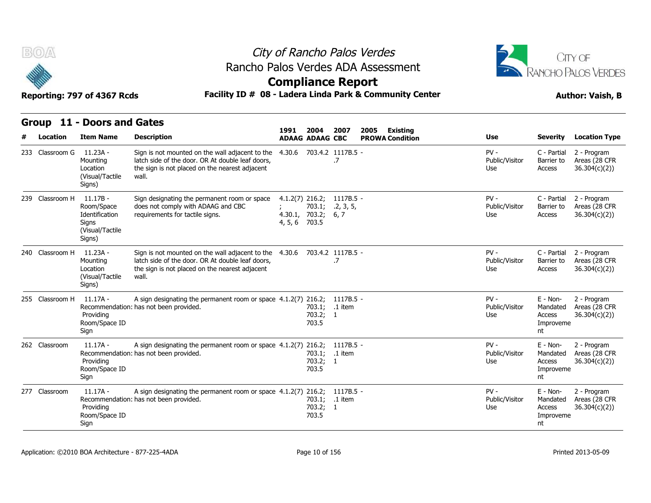



| B(0)            | City of Rancho Palos Verdes<br>Rancho Palos Verdes ADA Assessment<br><b>Compliance Report</b> |                                                                                                                                                                       |                                                                |                                |                                                   | CITY OF<br>RANCHO PALOS VERDES  |                                                     |                                               |
|-----------------|-----------------------------------------------------------------------------------------------|-----------------------------------------------------------------------------------------------------------------------------------------------------------------------|----------------------------------------------------------------|--------------------------------|---------------------------------------------------|---------------------------------|-----------------------------------------------------|-----------------------------------------------|
|                 | Reporting: 797 of 4367 Rcds                                                                   | Facility ID # 08 - Ladera Linda Park & Community Center                                                                                                               | <b>Author: Vaish, B</b>                                        |                                |                                                   |                                 |                                                     |                                               |
|                 | Group 11 - Doors and Gates                                                                    |                                                                                                                                                                       |                                                                |                                |                                                   |                                 |                                                     |                                               |
| Location        | <b>Item Name</b>                                                                              | <b>Description</b>                                                                                                                                                    | 1991<br>2004<br><b>ADAAG ADAAG CBC</b>                         | 2007                           | <b>Existing</b><br>2005<br><b>PROWA Condition</b> | <b>Use</b>                      | Severity                                            | <b>Location Type</b>                          |
| 233 Classroom G | 11.23A -<br>Mounting<br>Location<br>(Visual/Tactile<br>Signs)                                 | Sign is not mounted on the wall adjacent to the<br>latch side of the door. OR At double leaf doors,<br>the sign is not placed on the nearest adjacent<br>wall.        | 4.30.6                                                         | 703.4.2 1117B.5 -<br>.7        |                                                   | $PV -$<br>Public/Visitor<br>Use | C - Partial<br>Barrier to<br>Access                 | 2 - Program<br>Areas (28 CFR<br>36.304(c)(2)) |
| 239 Classroom H | $11.17B -$<br>Room/Space<br>Identification<br>Signs<br>(Visual/Tactile<br>Signs)              | Sign designating the permanent room or space<br>does not comply with ADAAG and CBC<br>requirements for tactile signs.                                                 | $4.1.2(7)$ 216.2;<br>703.1;<br>4.30.1, 703.2;<br>4, 5, 6 703.5 | 1117B.5 -<br>.2, 3, 5,<br>6, 7 |                                                   | $PV -$<br>Public/Visitor<br>Use | C - Partial<br>Barrier to<br>Access                 | 2 - Program<br>Areas (28 CFR<br>36.304(c)(2)) |
| 240 Classroom H | 11.23A -<br>Mounting<br>Location<br>(Visual/Tactile<br>Signs)                                 | Sign is not mounted on the wall adjacent to the 4.30.6<br>latch side of the door. OR At double leaf doors,<br>the sign is not placed on the nearest adjacent<br>wall. |                                                                | 703.4.2 1117B.5 -<br>.7        |                                                   | $PV -$<br>Public/Visitor<br>Use | C - Partial<br>Barrier to<br>Access                 | 2 - Program<br>Areas (28 CFR<br>36.304(c)(2)) |
| 255 Classroom H | 11.17A -<br>Providing<br>Room/Space ID<br>Sign                                                | A sign designating the permanent room or space 4.1.2(7) 216.2;<br>Recommendation: has not been provided.                                                              | 703.2; 1<br>703.5                                              | 1117B.5 -<br>703.1; .1 item    |                                                   | $PV -$<br>Public/Visitor<br>Use | $E - Non-$<br>Mandated<br>Access<br>Improveme<br>nt | 2 - Program<br>Areas (28 CFR<br>36.304(c)(2)  |
| 262 Classroom   | $11.17A -$<br>Providing<br>Room/Space ID<br>Sign                                              | A sign designating the permanent room or space $4.1.2(7)$ 216.2;<br>Recommendation: has not been provided.                                                            | 703.2; 1<br>703.5                                              | $1117B.5 -$<br>703.1; .1 item  |                                                   | $PV -$<br>Public/Visitor<br>Use | $E - Non-$<br>Mandated<br>Access<br>Improveme<br>nt | 2 - Program<br>Areas (28 CFR<br>36.304(c)(2)) |
| 277 Classroom   | $11.17A -$<br>Providing<br>Room/Space ID<br>Sign                                              | A sign designating the permanent room or space 4.1.2(7) 216.2;<br>Recommendation: has not been provided.                                                              | 703.1;<br>703.2; 1<br>703.5                                    | $1117B.5 -$<br>.1 item         |                                                   | $PV -$<br>Public/Visitor<br>Use | $E - Non-$<br>Mandated<br>Access<br>Improveme<br>nt | 2 - Program<br>Areas (28 CFR<br>36.304(c)(2)  |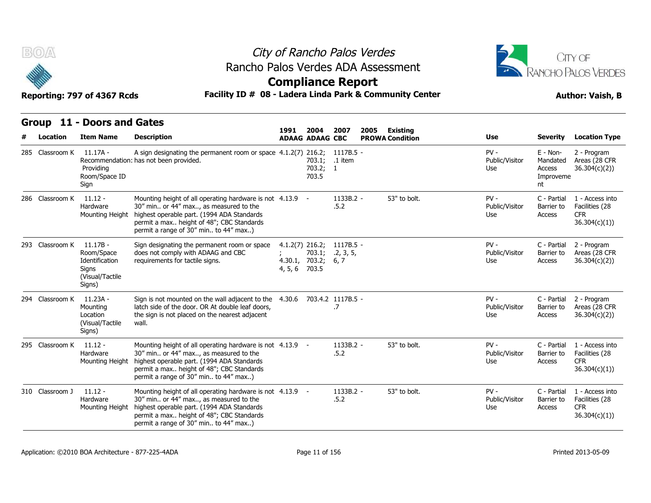



### Reporting: 797 of 4367 Rcds **Facility ID # 08 - Ladera Linda Park & Community Center Author: Vaish, B**

| B(0)/4          | Reporting: 797 of 4367 Rcds                                                      | Rancho Palos Verdes ADA Assessment<br>Facility ID # 08 - Ladera Linda Park & Community Center                                                                                                                                           | City of Rancho Palos Verdes<br><b>Compliance Report</b> | <b>CITY OF</b><br><b>RANCHO PALOS VERDES</b><br><b>Author: Vaish, B</b> |                                |                        |                                 |                                                     |                                                                  |
|-----------------|----------------------------------------------------------------------------------|-----------------------------------------------------------------------------------------------------------------------------------------------------------------------------------------------------------------------------------------|---------------------------------------------------------|-------------------------------------------------------------------------|--------------------------------|------------------------|---------------------------------|-----------------------------------------------------|------------------------------------------------------------------|
|                 | Group 11 - Doors and Gates                                                       |                                                                                                                                                                                                                                         | 1991                                                    | 2004                                                                    | 2007<br>2005                   | <b>Existing</b>        |                                 |                                                     |                                                                  |
| Location        | <b>Item Name</b>                                                                 | <b>Description</b>                                                                                                                                                                                                                      |                                                         | <b>ADAAG ADAAG CBC</b>                                                  |                                | <b>PROWA Condition</b> | Use                             | <b>Severity</b>                                     | <b>Location Type</b>                                             |
| 285 Classroom K | 11.17A -<br>Providing<br>Room/Space ID<br>Sign                                   | A sign designating the permanent room or space $4.1.2(7)$ 216.2; 1117B.5 -<br>Recommendation: has not been provided.                                                                                                                    |                                                         | 703.1;<br>703.2; 1<br>703.5                                             | .1 item                        |                        | $PV -$<br>Public/Visitor<br>Use | $E - Non-$<br>Mandated<br>Access<br>Improveme<br>nt | 2 - Program<br>Areas (28 CFR<br>36.304(c)(2)                     |
| 286 Classroom K | $11.12 -$<br>Hardware<br>Mounting Height                                         | Mounting height of all operating hardware is not 4.13.9 -<br>30" min or 44" max, as measured to the<br>highest operable part. (1994 ADA Standards<br>permit a max height of 48"; CBC Standards<br>permit a range of 30" min to 44" max) |                                                         |                                                                         | 1133B.2 -<br>.5.2              | 53" to bolt.           | $PV -$<br>Public/Visitor<br>Use | C - Partial<br>Barrier to<br>Access                 | 1 - Access into<br>Facilities (28<br><b>CFR</b><br>36.304(c)(1)) |
| 293 Classroom K | $11.17B -$<br>Room/Space<br>Identification<br>Signs<br>(Visual/Tactile<br>Signs) | Sign designating the permanent room or space<br>does not comply with ADAAG and CBC<br>requirements for tactile signs.                                                                                                                   | $4.1.2(7)$ 216.2;<br>4, 5, 6 703.5                      | 703.1;<br>4.30.1, 703.2;                                                | 1117B.5 -<br>.2, 3, 5,<br>6, 7 |                        | $PV -$<br>Public/Visitor<br>Use | C - Partial<br>Barrier to<br>Access                 | 2 - Program<br>Areas (28 CFR<br>36.304(c)(2)                     |
| 294 Classroom K | 11.23A -<br>Mounting<br>Location<br>(Visual/Tactile<br>Signs)                    | Sign is not mounted on the wall adjacent to the<br>latch side of the door. OR At double leaf doors,<br>the sign is not placed on the nearest adjacent<br>wall.                                                                          |                                                         |                                                                         | 4.30.6 703.4.2 1117B.5 -<br>.7 |                        | $PV -$<br>Public/Visitor<br>Use | C - Partial<br>Barrier to<br>Access                 | 2 - Program<br>Areas (28 CFR<br>36.304(c)(2))                    |
| 295 Classroom K | $11.12 -$<br>Hardware<br>Mounting Height                                         | Mounting height of all operating hardware is not 4.13.9 -<br>30" min or 44" max, as measured to the<br>highest operable part. (1994 ADA Standards<br>permit a max height of 48"; CBC Standards<br>permit a range of 30" min to 44" max) |                                                         |                                                                         | 1133B.2 -<br>.5.2              | 53" to bolt.           | $PV -$<br>Public/Visitor<br>Use | C - Partial<br>Barrier to<br>Access                 | 1 - Access into<br>Facilities (28<br><b>CFR</b><br>36.304(c)(1)) |
| 310 Classroom J | $11.12 -$<br>Hardware<br>Mounting Height                                         | Mounting height of all operating hardware is not 4.13.9 -<br>30" min or 44" max, as measured to the<br>highest operable part. (1994 ADA Standards<br>permit a max height of 48"; CBC Standards<br>permit a range of 30" min to 44" max) |                                                         |                                                                         | 1133B.2 -<br>.5.2              | 53" to bolt.           | $PV -$<br>Public/Visitor<br>Use | C - Partial<br>Barrier to<br>Access                 | 1 - Access into<br>Facilities (28<br><b>CFR</b><br>36.304(c)(1)  |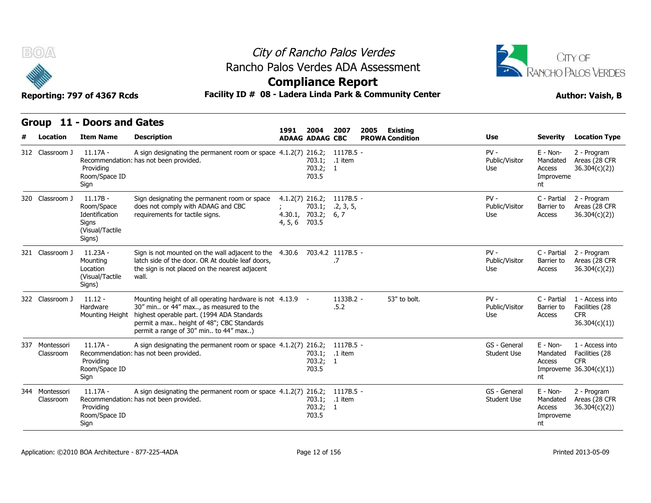



### **Compliance Report**

|  | Group 11 - Doors and Gates |  |
|--|----------------------------|--|
|--|----------------------------|--|

| B(0)<br>Reporting: 797 of 4367 Rcds |                                                                                  | City of Rancho Palos Verdes<br>Rancho Palos Verdes ADA Assessment<br><b>Compliance Report</b><br>Facility ID # 08 - Ladera Linda Park & Community Center                                                                                | CITY OF<br>RANCHO PALOS VERDES<br><b>Author: Vaish, B</b> |                                     |                                |      |                                           |                                    |                                                     |                                                                             |  |
|-------------------------------------|----------------------------------------------------------------------------------|-----------------------------------------------------------------------------------------------------------------------------------------------------------------------------------------------------------------------------------------|-----------------------------------------------------------|-------------------------------------|--------------------------------|------|-------------------------------------------|------------------------------------|-----------------------------------------------------|-----------------------------------------------------------------------------|--|
|                                     | Group 11 - Doors and Gates                                                       |                                                                                                                                                                                                                                         |                                                           |                                     |                                |      |                                           |                                    |                                                     |                                                                             |  |
| Location                            | <b>Item Name</b>                                                                 | <b>Description</b>                                                                                                                                                                                                                      | 1991                                                      | 2004<br><b>ADAAG ADAAG CBC</b>      | 2007                           | 2005 | <b>Existing</b><br><b>PROWA Condition</b> | Use                                | <b>Severity</b>                                     | <b>Location Type</b>                                                        |  |
| 312 Classroom J                     | $11.17A -$<br>Providing<br>Room/Space ID<br>Sign                                 | A sign designating the permanent room or space $4.1.2(7)$ 216.2; 1117B.5 -<br>Recommendation: has not been provided.                                                                                                                    |                                                           | 703.1;<br>703.2; 1<br>703.5         | .1 item                        |      |                                           | $PV -$<br>Public/Visitor<br>Use    | $E - Non-$<br>Mandated<br>Access<br>Improveme<br>nt | 2 - Program<br>Areas (28 CFR<br>36.304(c)(2)                                |  |
| 320 Classroom J                     | $11.17B -$<br>Room/Space<br>Identification<br>Signs<br>(Visual/Tactile<br>Signs) | Sign designating the permanent room or space<br>does not comply with ADAAG and CBC<br>requirements for tactile signs.                                                                                                                   | $4.1.2(7)$ 216.2;<br>4.30.1, 703.2;<br>4, 5, 6 703.5      | 703.1;                              | 1117B.5 -<br>.2, 3, 5,<br>6, 7 |      |                                           | $PV -$<br>Public/Visitor<br>Use    | C - Partial<br>Barrier to<br>Access                 | 2 - Program<br>Areas (28 CFR<br>36.304(c)(2)                                |  |
| 321 Classroom J                     | 11.23A -<br>Mounting<br>Location<br>(Visual/Tactile<br>Signs)                    | Sign is not mounted on the wall adjacent to the<br>latch side of the door. OR At double leaf doors,<br>the sign is not placed on the nearest adjacent<br>wall.                                                                          |                                                           |                                     | 4.30.6 703.4.2 1117B.5 -<br>.7 |      |                                           | $PV -$<br>Public/Visitor<br>Use    | C - Partial<br>Barrier to<br>Access                 | 2 - Program<br>Areas (28 CFR<br>36.304(c)(2))                               |  |
| 322 Classroom J                     | $11.12 -$<br>Hardware<br>Mounting Height                                         | Mounting height of all operating hardware is not 4.13.9 -<br>30" min or 44" max, as measured to the<br>highest operable part. (1994 ADA Standards<br>permit a max height of 48"; CBC Standards<br>permit a range of 30" min to 44" max) |                                                           |                                     | 1133B.2 -<br>.5.2              |      | 53" to bolt.                              | $PV -$<br>Public/Visitor<br>Use    | C - Partial<br>Barrier to<br>Access                 | 1 - Access into<br>Facilities (28<br><b>CFR</b><br>36.304(c)(1)             |  |
| 337 Montessori<br>Classroom         | 11.17A -<br>Providing<br>Room/Space ID<br>Sign                                   | A sign designating the permanent room or space 4.1.2(7) 216.2;<br>Recommendation: has not been provided.                                                                                                                                |                                                           | 703.1; .1 item<br>703.2; 1<br>703.5 | 1117B.5 -                      |      |                                           | GS - General<br><b>Student Use</b> | $E - Non-$<br>Mandated<br>Access<br>nt              | 1 - Access into<br>Facilities (28<br><b>CFR</b><br>Improveme $36.304(c)(1)$ |  |
| 344 Montessori<br>Classroom         | $11.17A -$<br>Providing<br>Room/Space ID<br>Sign                                 | A sign designating the permanent room or space 4.1.2(7) 216.2;<br>Recommendation: has not been provided.                                                                                                                                |                                                           | 703.1; .1 item<br>703.2; 1<br>703.5 | 1117B.5 -                      |      |                                           | GS - General<br><b>Student Use</b> | $E - Non-$<br>Mandated<br>Access<br>Improveme<br>nt | 2 - Program<br>Areas (28 CFR<br>36.304(c)(2)                                |  |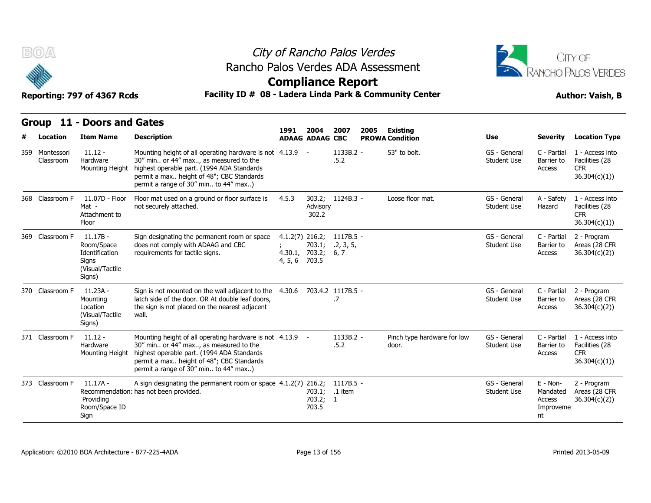

# City of Rancho Palos Verdes Rancho Palos Verdes ADA Assessment



## **Compliance Report**

| Facility ID # 08 - Ladera Linda Park & Community Center<br>Reporting: 797 of 4367 Rcds<br><b>Author: Vaish, B</b> |                                                                                  |                                                                                                                                                                                                                                         |         |                                                        |                                |      |                                      |                                    |                                                   |                                                                  |
|-------------------------------------------------------------------------------------------------------------------|----------------------------------------------------------------------------------|-----------------------------------------------------------------------------------------------------------------------------------------------------------------------------------------------------------------------------------------|---------|--------------------------------------------------------|--------------------------------|------|--------------------------------------|------------------------------------|---------------------------------------------------|------------------------------------------------------------------|
|                                                                                                                   | Group 11 - Doors and Gates                                                       |                                                                                                                                                                                                                                         |         |                                                        |                                |      |                                      |                                    |                                                   |                                                                  |
| Location                                                                                                          | <b>Item Name</b>                                                                 | <b>Description</b>                                                                                                                                                                                                                      | 1991    | 2004<br><b>ADAAG ADAAG CBC</b>                         | 2007                           | 2005 | Existing<br><b>PROWA Condition</b>   | <b>Use</b>                         | Severity                                          | <b>Location Type</b>                                             |
| 359 Montessori<br>Classroom                                                                                       | $11.12 -$<br>Hardware<br>Mounting Height                                         | Mounting height of all operating hardware is not 4.13.9 -<br>30" min or 44" max, as measured to the<br>highest operable part. (1994 ADA Standards<br>permit a max height of 48"; CBC Standards<br>permit a range of 30" min to 44" max) |         |                                                        | 1133B.2 -<br>.5.2              |      | 53" to bolt.                         | GS - General<br><b>Student Use</b> | C - Partial<br>Barrier to<br>Access               | 1 - Access into<br>Facilities (28<br><b>CFR</b><br>36.304(c)(1)) |
| 368 Classroom F                                                                                                   | 11.07D - Floor<br>Mat -<br>Attachment to<br>Floor                                | Floor mat used on a ground or floor surface is<br>not securely attached.                                                                                                                                                                | 4.5.3   | Advisory<br>302.2                                      | 303.2; 1124B.3 -               |      | Loose floor mat.                     | GS - General<br><b>Student Use</b> | A - Safety<br>Hazard                              | 1 - Access into<br>Facilities (28<br><b>CFR</b><br>36.304(c)(1)) |
| 369 Classroom F                                                                                                   | $11.17B -$<br>Room/Space<br>Identification<br>Signs<br>(Visual/Tactile<br>Signs) | Sign designating the permanent room or space<br>does not comply with ADAAG and CBC<br>requirements for tactile signs.                                                                                                                   | 4, 5, 6 | $4.1.2(7)$ 216.2;<br>703.1;<br>4.30.1, 703.2;<br>703.5 | 1117B.5 -<br>.2, 3, 5,<br>6, 7 |      |                                      | GS - General<br><b>Student Use</b> | C - Partial<br>Barrier to<br>Access               | 2 - Program<br>Areas (28 CFR<br>36.304(c)(2)                     |
| 370 Classroom F                                                                                                   | 11.23A -<br>Mounting<br>Location<br>(Visual/Tactile<br>Signs)                    | Sign is not mounted on the wall adjacent to the<br>latch side of the door. OR At double leaf doors,<br>the sign is not placed on the nearest adjacent<br>wall.                                                                          | 4.30.6  | 703.4.2 1117B.5 -                                      | .7                             |      |                                      | GS - General<br><b>Student Use</b> | C - Partial<br>Barrier to<br>Access               | 2 - Program<br>Areas (28 CFR<br>36.304(c)(2))                    |
| 371 Classroom F                                                                                                   | $11.12 -$<br>Hardware<br>Mounting Height                                         | Mounting height of all operating hardware is not 4.13.9 -<br>30" min or 44" max, as measured to the<br>highest operable part. (1994 ADA Standards<br>permit a max height of 48"; CBC Standards<br>permit a range of 30" min to 44" max) |         |                                                        | 1133B.2 -<br>.5.2              |      | Pinch type hardware for low<br>door. | GS - General<br><b>Student Use</b> | C - Partial<br>Barrier to<br>Access               | 1 - Access into<br>Facilities (28<br><b>CFR</b><br>36.304(c)(1)) |
| 373 Classroom F                                                                                                   | $11.17A -$<br>Providing<br>Room/Space ID<br>Sign                                 | A sign designating the permanent room or space 4.1.2(7) 216.2;<br>Recommendation: has not been provided.                                                                                                                                |         | 703.2; 1<br>703.5                                      | 1117B.5 -<br>703.1; .1 item    |      |                                      | GS - General<br><b>Student Use</b> | E - Non-<br>Mandated<br>Access<br>Improveme<br>nt | 2 - Program<br>Areas (28 CFR<br>36.304(c)(2))                    |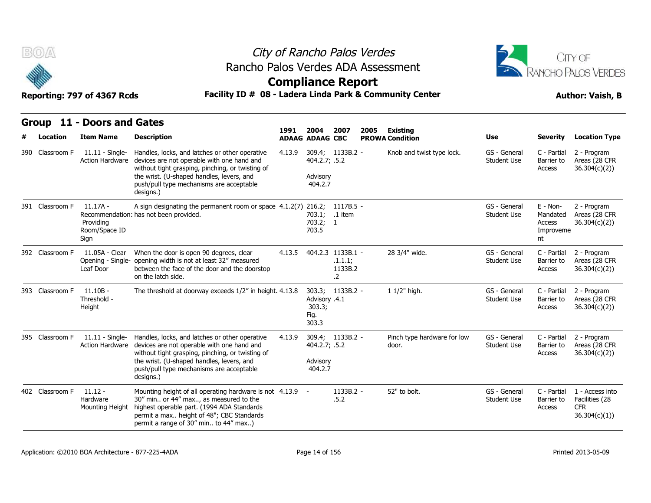



**Compliance Report**

Reporting: 797 of 4367 Rcds **Facility ID # 08 - Ladera Linda Park & Community Center Author: Vaish, B** 

#### **Group 11 - Doors and Gates Item Name Description 1991 ADAAG 2004 ADAAG CBC PROWA 2007 2005 Existing # Location Condition Use Severity Location Type** 11.11 - Single-Action Hardware devices are not operable with one hand and Handles, locks, and latches or other operative 4.13.9 without tight grasping, pinching, or twisting of the wrist. (U-shaped handles, levers, and push/pull type mechanisms are acceptable designs.) 309.4: 1133B.2 -404.2.7; .5.2 Advisory 404.2.7 1133B.2 - Knob and twist type lock. GS - General C - Partia Student Use Barrier to C - Partial 2 - Program Barrier to Areas (28 CFR Access 36.304(c)(2)) 390 Classroom F<br>390 Classroom F<br>390 Classroom F<br>44 Action Them Name<br>390 Classroom F<br>44 Action Hardware do 11.17A - Recommendation: has not been provided. Providing Room/Space ID Sign A sign designating the permanent room or space 4.1.2(7) 216.2; 1117B.5 -**1991 2004 2007 20<br>
ADAAG ADAAG CBC PI<br>
4.13.9 309.4; 1133B.2 -<br>
404.2.7; .5.2<br>
Advisory<br>
404.2.7<br>
4.1.2(7) 216.2; 1117B.5 -<br>
703.2; 1<br>
703.2; 1<br>
703.2; 1<br>
703.5** 703.1; .1 item 703.2; 703.5 1 GS - General Student Use Mandated E - Non-Mandated Areas (28 CFR Access 36.304(c)(2)) Improveme nt 2 - Program **Group 11 - Doors and C**<br>
# Location Item Name D<br>
390 Classroom F 11.11 - Single- H<br>
Action Hardware dev<br>
the production of the p<br>
391 Classroom F 11.17A - A<br>
Recommendation: ha<br>
Providing<br>
Room/Space ID 11.05A - Clear Opening - Single- opening width is not at least 32" measured Leaf Door When the door is open 90 degrees, clear  $4.13.5$  404.2.3 1133B.1 between the face of the door and the doorstop on the latch side. 4.13.9 309.4; 1133B.2 - Knob and twi<br>
404.2.7; .5.2<br>
Advisory<br>
404.2.7<br>
4.1.2(7) 216.2; 1117B.5 -<br>
703.1; .1 item<br>
703.2; 1<br>
703.5<br>
4.13.5 404.2.3 1133B.1 - 28 3/4" wide<br>
.1.1.1; 1133B.2 .1.1.1; 1133B.2 .2 28 3/4" wide. GS - General Student Use Barrier to C - Partial Barrier to Areas (28 CFR Access 36.304(c)(2)) 2 - Program 11.11 - Single-<br>
421 Classroom F<br>
421 Classroom F<br>
11.17A - A<br>
7391 Classroom F<br>
7391 Classroom F<br>
7392 Classroom F<br>
7392 Classroom F<br>
7392 Classroom F<br>
7392 Classroom F<br>
7392 Classroom F<br>
7392 Classroom F<br>
741.05A - Clear 393 Classroom F 11.10B - The threshold at doorway exceeds 1/2" in height. 4.13.8 Threshold - Height busing the mechanisms are acceptable<br>
designs.)<br>
A sign designating the permanent room or space 4.1.2(7) 216.2; 1117B.5 -<br>
has not been provided.  $703.1;$  .1 item<br>  $703.2;$  1<br>
703.2; 1<br>
703.5<br>
When the door is open 90 deg Advisory .4.1 303.3; Fig. 303.3 1133B.2 - 1 1/2" high. GS - General Student Use Barrier to C - Partial 2 - Program Barrier to Areas (28 CFR Access 36.304(c)(2)) dd<br>
391 Classroom F 11.17A - A<br>
Recommendation: h<br>
Providing<br>
Room/Space ID<br>
Sign<br>
392 Classroom F 11.05A - Clear W<br>
Opening - Single- of<br>
Leaf Door b<br>
01<br>
393 Classroom F 11.10B - Threshold -<br>
Threshold - Height 11.11 - Single- Handles, locks, and latches or other operative 4.13.9 Action Hardware devices are not operable with one hand and without tight grasping, pinching, or twisting of the wrist. (U-shaped handles, levers, and push/pull type mechanisms are acceptable designs.) 4.13.9 309.4; 404.2.7; Advisory 404.2.7 1133B.2 - Pinch type hardware for low .5.2 door. GS - General Student Use Barrier to C - Partial 2 - Program Barrier to Areas (28 CFR Access 36.304(c)(2)) Sign<br>
Sign<br>
392 Classroom F 11.05A - Clear W<br>
Opening - Single- of<br>
Leaf Door by<br>
00<br>
393 Classroom F 11.10B - Threshold -<br>
Height<br>
395 Classroom F 11.11 - Single- H<br>
Action Hardware do  $11.12 -$ Hardware Mounting Height highest operable part. (1994 ADA Standards Mounting height of all operating hardware is not 4.13.9 - 1133B.2 - 52" to bolt. 30" min.. or 44" max.., as measured to the permit a max.. height of 48"; CBC Standards permit a range of 30" min.. to 44" max..) .5.2 1133B.2 - 52" to bolt. GS - General C - Partial Student Use Barrier to C - Partial 1 - Access into Barrier to Facilities (28 Access CFR 36.304(c)(1)) 933 Classroom F 11.10B - Threshold -<br>
Height<br>
Height<br>
395 Classroom F 11.11 - Single- H<br>
Action Hardware down<br>
the p<br>
dd<br>
402 Classroom F 11.12 - M<br>
Hardware 31<br>
Mounting Height h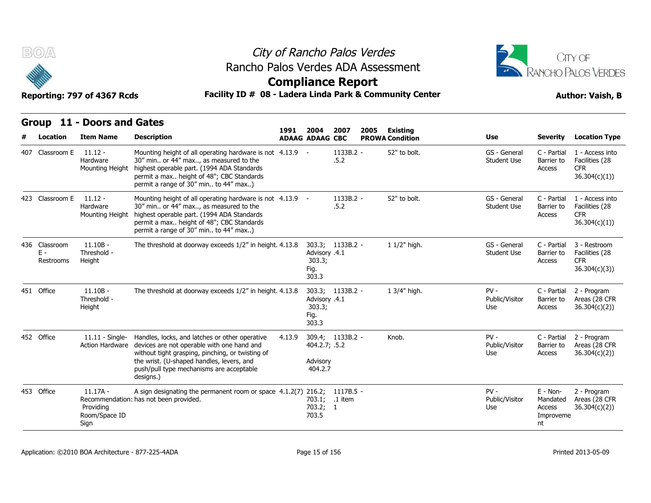



## **Compliance Report**

### Reporting: 797 of 4367 Rcds **Facility ID # 08 - Ladera Linda Park & Community Center Author: Vaish, B**

| Facility ID # 08 - Ladera Linda Park & Community Center<br>Reporting: 797 of 4367 Rcds |                                                  |                                                                                                                                                                                                                                                        |        |                                                              |                      |      |                        |                                    |                                                   | <b>Author: Vaish, B</b>                                          |  |
|----------------------------------------------------------------------------------------|--------------------------------------------------|--------------------------------------------------------------------------------------------------------------------------------------------------------------------------------------------------------------------------------------------------------|--------|--------------------------------------------------------------|----------------------|------|------------------------|------------------------------------|---------------------------------------------------|------------------------------------------------------------------|--|
|                                                                                        | Group 11 - Doors and Gates                       |                                                                                                                                                                                                                                                        | 1991   | 2004                                                         | 2007                 | 2005 | <b>Existing</b>        |                                    |                                                   |                                                                  |  |
| Location                                                                               | <b>Item Name</b>                                 | <b>Description</b>                                                                                                                                                                                                                                     |        | <b>ADAAG ADAAG CBC</b>                                       |                      |      | <b>PROWA Condition</b> | Use                                | <b>Severity</b>                                   | <b>Location Type</b>                                             |  |
| 407 Classroom E                                                                        | $11.12 -$<br>Hardware<br>Mounting Height         | Mounting height of all operating hardware is not 4.13.9 -<br>30" min or 44" max, as measured to the<br>highest operable part. (1994 ADA Standards<br>permit a max height of 48"; CBC Standards<br>permit a range of 30" min to 44" max)                |        |                                                              | 1133B.2 -<br>.5.2    |      | 52" to bolt.           | GS - General<br><b>Student Use</b> | C - Partial<br>Barrier to<br>Access               | 1 - Access into<br>Facilities (28<br><b>CFR</b><br>36.304(c)(1)) |  |
| 423 Classroom E                                                                        | $11.12 -$<br>Hardware<br>Mounting Height         | Mounting height of all operating hardware is not 4.13.9 -<br>30" min or 44" max, as measured to the<br>highest operable part. (1994 ADA Standards<br>permit a max height of 48"; CBC Standards<br>permit a range of 30" min to 44" max)                |        |                                                              | 1133B.2 -<br>.5.2    |      | 52" to bolt.           | GS - General<br><b>Student Use</b> | C - Partial<br>Barrier to<br>Access               | 1 - Access into<br>Facilities (28<br><b>CFR</b><br>36.304(c)(1)) |  |
| 436 Classroom<br>$E -$<br>Restrooms                                                    | $11.10B -$<br>Threshold -<br>Height              | The threshold at doorway exceeds 1/2" in height. 4.13.8                                                                                                                                                                                                |        | 303.3; 1133B.2 -<br>Advisory .4.1<br>303.3;<br>Fig.<br>303.3 |                      |      | 1 1/2" high.           | GS - General<br><b>Student Use</b> | C - Partial<br>Barrier to<br>Access               | 3 - Restroom<br>Facilities (28<br><b>CFR</b><br>36.304(c)(3)     |  |
| 451 Office                                                                             | $11.10B -$<br>Threshold -<br>Height              | The threshold at doorway exceeds 1/2" in height. 4.13.8                                                                                                                                                                                                |        | 303.3; 1133B.2 -<br>Advisory .4.1<br>303.3;<br>Fig.<br>303.3 |                      |      | 1 3/4" high.           | $PV -$<br>Public/Visitor<br>Use    | C - Partial<br>Barrier to<br>Access               | 2 - Program<br>Areas (28 CFR<br>36.304(c)(2))                    |  |
| 452 Office                                                                             | $11.11 -$ Single-<br>Action Hardware             | Handles, locks, and latches or other operative<br>devices are not operable with one hand and<br>without tight grasping, pinching, or twisting of<br>the wrist. (U-shaped handles, levers, and<br>push/pull type mechanisms are acceptable<br>designs.) | 4.13.9 | 309.4; 1133B.2 -<br>404.2.7; .5.2<br>Advisory<br>404.2.7     |                      |      | Knob.                  | $PV -$<br>Public/Visitor<br>Use    | C - Partial<br>Barrier to<br>Access               | 2 - Program<br>Areas (28 CFR<br>36.304(c)(2))                    |  |
| 453 Office                                                                             | $11.17A -$<br>Providing<br>Room/Space ID<br>Sign | A sign designating the permanent room or space 4.1.2(7) 216.2;<br>Recommendation: has not been provided.                                                                                                                                               |        | 703.1;<br>703.2; 1<br>703.5                                  | 1117B.5 -<br>.1 item |      |                        | $PV -$<br>Public/Visitor<br>Use    | E - Non-<br>Mandated<br>Access<br>Improveme<br>nt | 2 - Program<br>Areas (28 CFR<br>36.304(c)(2))                    |  |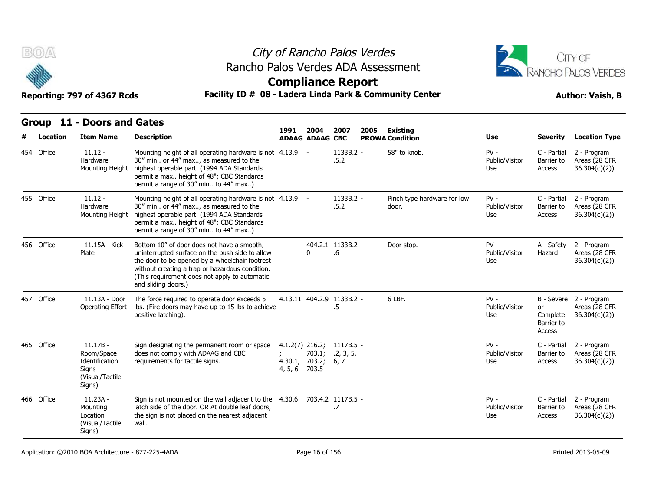



**Compliance Report**

### Reporting: 797 of 4367 Rcds **Facility ID # 08 - Ladera Linda Park & Community Center Author: Vaish, B**

|            | Reporting: 797 of 4367 Rcds                                                      | Facility ID # 08 - Ladera Linda Park & Community Center                                                                                                                                                                                                                    |               |                                                    | <b>Author: Vaish, B</b> |      |                                      |                                 |                                        |                                                         |
|------------|----------------------------------------------------------------------------------|----------------------------------------------------------------------------------------------------------------------------------------------------------------------------------------------------------------------------------------------------------------------------|---------------|----------------------------------------------------|-------------------------|------|--------------------------------------|---------------------------------|----------------------------------------|---------------------------------------------------------|
|            | Group 11 - Doors and Gates                                                       |                                                                                                                                                                                                                                                                            | 1991          | 2004                                               | 2007                    | 2005 | Existing                             |                                 |                                        |                                                         |
| Location   | <b>Item Name</b>                                                                 | <b>Description</b>                                                                                                                                                                                                                                                         |               | <b>ADAAG ADAAG CBC</b>                             |                         |      | <b>PROWA Condition</b>               | Use                             | <b>Severity</b>                        | <b>Location Type</b>                                    |
| 454 Office | $11.12 -$<br>Hardware<br>Mounting Height                                         | Mounting height of all operating hardware is not 4.13.9 -<br>30" min or 44" max, as measured to the<br>highest operable part. (1994 ADA Standards<br>permit a max height of 48"; CBC Standards<br>permit a range of 30" min to 44" max)                                    |               |                                                    | 1133B.2 -<br>.5.2       |      | 58" to knob.                         | $PV -$<br>Public/Visitor<br>Use | C - Partial<br>Barrier to<br>Access    | 2 - Program<br>Areas (28 CFR<br>36.304(c)(2)            |
| 455 Office | $11.12 -$<br>Hardware<br>Mounting Height                                         | Mounting height of all operating hardware is not 4.13.9 -<br>30" min or 44" max, as measured to the<br>highest operable part. (1994 ADA Standards<br>permit a max height of 48"; CBC Standards<br>permit a range of 30" min to 44" max)                                    |               |                                                    | 1133B.2 -<br>.5.2       |      | Pinch type hardware for low<br>door. | $PV -$<br>Public/Visitor<br>Use | C - Partial<br>Barrier to<br>Access    | 2 - Program<br>Areas (28 CFR<br>36.304(c)(2))           |
| 456 Office | 11.15A - Kick<br>Plate                                                           | Bottom 10" of door does not have a smooth,<br>uninterrupted surface on the push side to allow<br>the door to be opened by a wheelchair footrest<br>without creating a trap or hazardous condition.<br>(This requirement does not apply to automatic<br>and sliding doors.) |               | 0                                                  | 404.2.1 1133B.2 -<br>.6 |      | Door stop.                           | $PV -$<br>Public/Visitor<br>Use | A - Safety<br>Hazard                   | 2 - Program<br>Areas (28 CFR<br>36.304(c)(2)            |
| 457 Office | 11.13A - Door<br>Operating Effort                                                | The force required to operate door exceeds 5<br>lbs. (Fire doors may have up to 15 lbs to achieve<br>positive latching).                                                                                                                                                   |               | 4.13.11 404.2.9 1133B.2 -                          | .5                      |      | 6 LBF.                               | $PV -$<br>Public/Visitor<br>Use | or<br>Complete<br>Barrier to<br>Access | B - Severe 2 - Program<br>Areas (28 CFR<br>36.304(c)(2) |
| 465 Office | $11.17B -$<br>Room/Space<br>Identification<br>Signs<br>(Visual/Tactile<br>Signs) | Sign designating the permanent room or space<br>does not comply with ADAAG and CBC<br>requirements for tactile signs.                                                                                                                                                      | 4, 5, 6 703.5 | $4.1.2(7)$ 216.2;<br>703.1;<br>4.30.1, 703.2; 6, 7 | 1117B.5 -<br>.2, 3, 5,  |      |                                      | $PV -$<br>Public/Visitor<br>Use | C - Partial<br>Barrier to<br>Access    | 2 - Program<br>Areas (28 CFR<br>36.304(c)(2))           |
| 466 Office | $11.23A -$<br>Mounting<br>Location<br>(Visual/Tactile<br>Signs)                  | Sign is not mounted on the wall adjacent to the<br>latch side of the door. OR At double leaf doors,<br>the sign is not placed on the nearest adjacent<br>wall.                                                                                                             | 4.30.6        | 703.4.2 1117B.5 -                                  | .7                      |      |                                      | $PV -$<br>Public/Visitor<br>Use | C - Partial<br>Barrier to<br>Access    | 2 - Program<br>Areas (28 CFR<br>36.304(c)(2))           |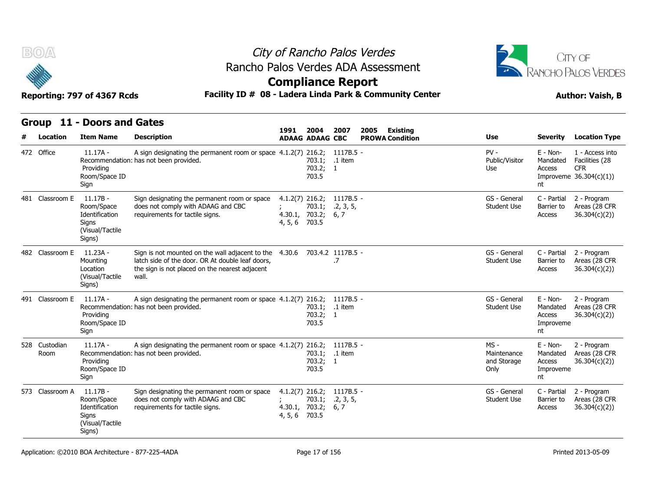



### **Compliance Report**

### **Facility ID # 08 - Ladera Linda Park & Community Center Author: Vaish, B**

| Reporting: 797 of 4367 Rcds |  |  |
|-----------------------------|--|--|
|-----------------------------|--|--|

| B(0)/A                |                                                                                  |                                                                                                                                                                                         | City of Rancho Palos Verdes<br>Rancho Palos Verdes ADA Assessment |                             |                                |                                                         |                                              |                                                     |                                                                             |  |  |
|-----------------------|----------------------------------------------------------------------------------|-----------------------------------------------------------------------------------------------------------------------------------------------------------------------------------------|-------------------------------------------------------------------|-----------------------------|--------------------------------|---------------------------------------------------------|----------------------------------------------|-----------------------------------------------------|-----------------------------------------------------------------------------|--|--|
|                       |                                                                                  |                                                                                                                                                                                         | <b>Compliance Report</b>                                          |                             |                                |                                                         | RANCHO PALOS VERDES                          |                                                     |                                                                             |  |  |
|                       | Reporting: 797 of 4367 Rcds                                                      |                                                                                                                                                                                         |                                                                   |                             |                                | Facility ID # 08 - Ladera Linda Park & Community Center | <b>Author: Vaish, B</b>                      |                                                     |                                                                             |  |  |
| Location              | Group 11 - Doors and Gates<br><b>Item Name</b>                                   | <b>Description</b>                                                                                                                                                                      | 1991<br><b>ADAAG ADAAG CBC</b>                                    | 2004                        | 2007                           | 2005<br><b>Existing</b><br><b>PROWA Condition</b>       | <b>Use</b>                                   | <b>Severity</b>                                     | <b>Location Type</b>                                                        |  |  |
| 472 Office            | $11.17A -$<br>Providing<br>Room/Space ID<br>Sign                                 | A sign designating the permanent room or space 4.1.2(7) 216.2; 1117B.5 -<br>Recommendation: has not been provided.                                                                      |                                                                   | 703.1;<br>703.2; 1<br>703.5 | .1 item                        |                                                         | $PV -$<br>Public/Visitor<br>Use              | $E - Non-$<br>Mandated<br>Access<br>nt              | 1 - Access into<br>Facilities (28<br><b>CFR</b><br>Improveme $36.304(c)(1)$ |  |  |
| 481 Classroom E       | 11.17B -<br>Room/Space<br>Identification<br>Signs<br>(Visual/Tactile<br>Signs)   | Sign designating the permanent room or space<br>does not comply with ADAAG and CBC<br>requirements for tactile signs.                                                                   | $4.1.2(7)$ 216.2;<br>4.30.1, 703.2;<br>4, 5, 6 703.5              | 703.1;                      | 1117B.5 -<br>.2, 3, 5,<br>6, 7 |                                                         | GS - General<br><b>Student Use</b>           | C - Partial<br>Barrier to<br>Access                 | 2 - Program<br>Areas (28 CFR<br>36.304(c)(2))                               |  |  |
| 482 Classroom E       | 11.23A -<br>Mounting<br>Location<br>(Visual/Tactile<br>Signs)                    | Sign is not mounted on the wall adjacent to the 4.30.6 703.4.2 1117B.5 -<br>latch side of the door. OR At double leaf doors,<br>the sign is not placed on the nearest adjacent<br>wall. |                                                                   |                             | .7                             |                                                         | GS - General<br><b>Student Use</b>           | C - Partial<br>Barrier to<br><b>Access</b>          | 2 - Program<br>Areas (28 CFR<br>36.304(c)(2)                                |  |  |
| 491 Classroom E       | 11.17A -<br>Providing<br>Room/Space ID<br>Sign                                   | A sign designating the permanent room or space $4.1.2(7)$ 216.2;<br>Recommendation: has not been provided.                                                                              |                                                                   | 703.1;<br>703.2;<br>703.5   | $1117B.5 -$<br>.1 item<br>-1   |                                                         | GS - General<br>Student Use                  | $E - Non-$<br>Mandated<br>Access<br>Improveme<br>nt | 2 - Program<br>Areas (28 CFR<br>36.304(c)(2)                                |  |  |
| 528 Custodian<br>Room | $11.17A -$<br>Providing<br>Room/Space ID<br>Sign                                 | A sign designating the permanent room or space 4.1.2(7) 216.2; 1117B.5 -<br>Recommendation: has not been provided.                                                                      |                                                                   | 703.1;<br>703.2; 1<br>703.5 | .1 item                        |                                                         | $MS -$<br>Maintenance<br>and Storage<br>Only | $E - Non-$<br>Mandated<br>Access<br>Improveme<br>nt | 2 - Program<br>Areas (28 CFR<br>36.304(c)(2)                                |  |  |
| 573 Classroom A       | $11.17B -$<br>Room/Space<br>Identification<br>Signs<br>(Visual/Tactile<br>Signs) | Sign designating the permanent room or space<br>does not comply with ADAAG and CBC<br>requirements for tactile signs.                                                                   | $4.1.2(7)$ 216.2;<br>4.30.1, 703.2;<br>4, 5, 6 703.5              | 703.1;                      | 1117B.5 -<br>.2, 3, 5,<br>6, 7 |                                                         | GS - General<br><b>Student Use</b>           | C - Partial<br>Barrier to<br>Access                 | 2 - Program<br>Areas (28 CFR<br>36.304(c)(2))                               |  |  |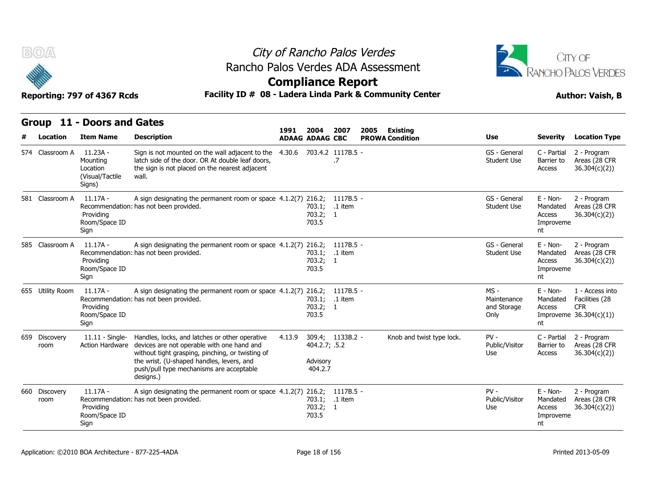



| B(0)                  |                                                                 | City of Rancho Palos Verdes<br>Rancho Palos Verdes ADA Assessment                                                                                                                                                                                                                      |        |                                      |                          |                                |                           |                                              |                                                     |                                                                             |  |  |  |
|-----------------------|-----------------------------------------------------------------|----------------------------------------------------------------------------------------------------------------------------------------------------------------------------------------------------------------------------------------------------------------------------------------|--------|--------------------------------------|--------------------------|--------------------------------|---------------------------|----------------------------------------------|-----------------------------------------------------|-----------------------------------------------------------------------------|--|--|--|
|                       |                                                                 |                                                                                                                                                                                                                                                                                        |        |                                      | <b>Compliance Report</b> |                                |                           |                                              |                                                     | RANCHO PALOS VERDES                                                         |  |  |  |
|                       | Reporting: 797 of 4367 Rcds                                     | Facility ID # 08 - Ladera Linda Park & Community Center                                                                                                                                                                                                                                |        |                                      |                          |                                |                           |                                              | <b>Author: Vaish, B</b>                             |                                                                             |  |  |  |
|                       | Group 11 - Doors and Gates                                      |                                                                                                                                                                                                                                                                                        |        |                                      |                          |                                |                           |                                              |                                                     |                                                                             |  |  |  |
| Location              | <b>Item Name</b>                                                | <b>Description</b>                                                                                                                                                                                                                                                                     | 1991   | 2004<br><b>ADAAG ADAAG CBC</b>       | 2007                     | 2005<br><b>PROWA Condition</b> | <b>Existing</b>           | <b>Use</b>                                   | <b>Severity</b>                                     | <b>Location Type</b>                                                        |  |  |  |
| 574 Classroom A       | $11.23A -$<br>Mounting<br>Location<br>(Visual/Tactile<br>Signs) | Sign is not mounted on the wall adjacent to the<br>latch side of the door. OR At double leaf doors,<br>the sign is not placed on the nearest adjacent<br>wall.                                                                                                                         | 4.30.6 |                                      | 703.4.2 1117B.5 -<br>.7  |                                |                           | GS - General<br><b>Student Use</b>           | C - Partial<br>Barrier to<br>Access                 | 2 - Program<br>Areas (28 CFR<br>36.304(c)(2)                                |  |  |  |
| 581 Classroom A       | 11.17A -<br>Providing<br>Room/Space ID<br>Sign                  | A sign designating the permanent room or space 4.1.2(7) 216.2; 1117B.5 -<br>Recommendation: has not been provided.                                                                                                                                                                     |        | 703.1; .1 item<br>703.2; 1<br>703.5  |                          |                                |                           | GS - General<br><b>Student Use</b>           | $E - Non-$<br>Mandated<br>Access<br>Improveme<br>nt | 2 - Program<br>Areas (28 CFR<br>36.304(c)(2)                                |  |  |  |
| 585 Classroom A       | 11.17A -<br>Providing<br>Room/Space ID<br>Sign                  | A sign designating the permanent room or space 4.1.2(7) 216.2; 1117B.5 -<br>Recommendation: has not been provided.                                                                                                                                                                     |        | 703.1; .1 item<br>703.2; 1<br>703.5  |                          |                                |                           | GS - General<br><b>Student Use</b>           | $E - Non-$<br>Mandated<br>Access<br>Improveme<br>nt | 2 - Program<br>Areas (28 CFR<br>36.304(c)(2)                                |  |  |  |
| 655 Utility Room      | 11.17A -<br>Providing<br>Room/Space ID<br>Sign                  | A sign designating the permanent room or space $4.1.2(7)$ 216.2;<br>Recommendation: has not been provided.                                                                                                                                                                             |        | 703.1; .1 item<br>703.2; 1<br>703.5  | 1117B.5 -                |                                |                           | $MS -$<br>Maintenance<br>and Storage<br>Only | $E - Non-$<br>Mandated<br>Access<br>nt              | 1 - Access into<br>Facilities (28<br><b>CFR</b><br>Improveme $36.304(c)(1)$ |  |  |  |
| 659 Discovery<br>room |                                                                 | 11.11 - Single- Handles, locks, and latches or other operative<br>Action Hardware devices are not operable with one hand and<br>without tight grasping, pinching, or twisting of<br>the wrist. (U-shaped handles, levers, and<br>push/pull type mechanisms are acceptable<br>designs.) | 4.13.9 | 404.2.7; .5.2<br>Advisory<br>404.2.7 | 309.4; 1133B.2 -         |                                | Knob and twist type lock. | $PV -$<br>Public/Visitor<br>Use              | C - Partial<br>Barrier to<br>Access                 | 2 - Program<br>Areas (28 CFR<br>36.304(c)(2)                                |  |  |  |
| 660 Discovery<br>room | $11.17A -$<br>Providing<br>Room/Space ID<br>Sign                | A sign designating the permanent room or space 4.1.2(7) 216.2; 1117B.5 -<br>Recommendation: has not been provided.                                                                                                                                                                     |        | 703.1;<br>703.2; 1<br>703.5          | .1 item                  |                                |                           | $PV -$<br>Public/Visitor<br>Use              | $E - Non-$<br>Mandated<br>Access<br>Improveme<br>nt | 2 - Program<br>Areas (28 CFR<br>36.304(c)(2)                                |  |  |  |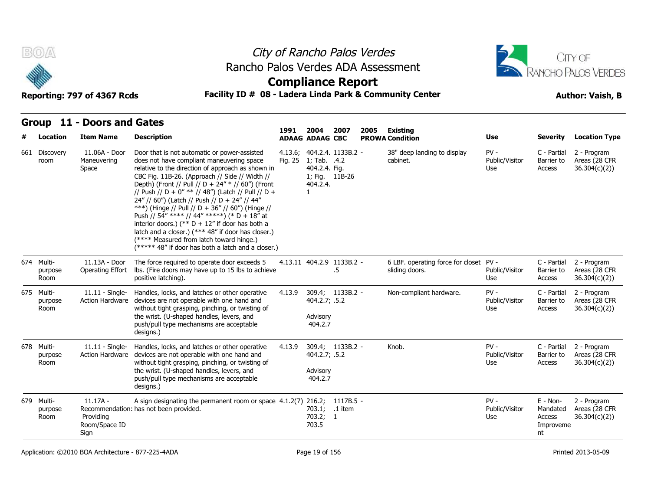



## **Compliance Report**

### Reporting: 797 of 4367 Rcds **Facility ID # 08 - Ladera Linda Park & Community Center Author: Vaish, B**

| # | <b>Location</b>               | <b>Item Name</b>                                 | <b>Description</b>                                                                                                                                                                                                                                                                                                                                                                                                                                                                                                                                                                                                                                                            | 1991    | 2004<br><b>ADAAG ADAAG CBC</b>                              | 2007                            | 2005 | Existing<br><b>PROWA Condition</b>                       | <b>Use</b>                      | <b>Severity</b>                                   | <b>Location Type</b>                          |
|---|-------------------------------|--------------------------------------------------|-------------------------------------------------------------------------------------------------------------------------------------------------------------------------------------------------------------------------------------------------------------------------------------------------------------------------------------------------------------------------------------------------------------------------------------------------------------------------------------------------------------------------------------------------------------------------------------------------------------------------------------------------------------------------------|---------|-------------------------------------------------------------|---------------------------------|------|----------------------------------------------------------|---------------------------------|---------------------------------------------------|-----------------------------------------------|
|   | 661 Discovery<br>room         | 11.06A - Door<br>Maneuvering<br>Space            | Door that is not automatic or power-assisted<br>does not have compliant maneuvering space<br>relative to the direction of approach as shown in<br>CBC Fig. 11B-26. (Approach // Side // Width //<br>Depth) (Front // Pull // D + 24" * // 60") (Front<br>// Push // D + 0" ** // 48") (Latch // Pull // D +<br>24" // 60") (Latch // Push // D + 24" // 44"<br>***) (Hinge // Pull // D + 36" // 60") (Hinge //<br>Push // 54" **** // 44" *****) (* D + 18" at<br>interior doors.) (** $D + 12$ " if door has both a<br>latch and a closer.) (*** 48" if door has closer.)<br>(**** Measured from latch toward hinge.)<br>(***** 48" if door has both a latch and a closer.) | Fig. 25 | 1; Tab. .4.2<br>404.2.4. Fig.<br>1; Fig. 11B-26<br>404.2.4. | 4.13.6; 404.2.4. 1133B.2 -      |      | 38" deep landing to display<br>cabinet.                  | $PV -$<br>Public/Visitor<br>Use | C - Partial<br>Barrier to<br>Access               | 2 - Program<br>Areas (28 CFR<br>36.304(c)(2)) |
|   | 674 Multi-<br>purpose<br>Room | 11.13A - Door<br>Operating Effort                | The force required to operate door exceeds 5<br>lbs. (Fire doors may have up to 15 lbs to achieve<br>positive latching).                                                                                                                                                                                                                                                                                                                                                                                                                                                                                                                                                      |         |                                                             | 4.13.11 404.2.9 1133B.2 -<br>.5 |      | 6 LBF. operating force for closet PV -<br>sliding doors. | Public/Visitor<br>Use           | C - Partial<br>Barrier to<br>Access               | 2 - Program<br>Areas (28 CFR<br>36.304(c)(2)) |
|   | 675 Multi-<br>purpose<br>Room | $11.11 -$ Single-<br><b>Action Hardware</b>      | Handles, locks, and latches or other operative<br>devices are not operable with one hand and<br>without tight grasping, pinching, or twisting of<br>the wrist. (U-shaped handles, levers, and<br>push/pull type mechanisms are acceptable<br>designs.)                                                                                                                                                                                                                                                                                                                                                                                                                        | 4.13.9  | 404.2.7; .5.2<br>Advisory<br>404.2.7                        | 309.4; 1133B.2 -                |      | Non-compliant hardware.                                  | $PV -$<br>Public/Visitor<br>Use | C - Partial<br>Barrier to<br>Access               | 2 - Program<br>Areas (28 CFR<br>36.304(c)(2)) |
|   | 678 Multi-<br>purpose<br>Room | $11.11 -$ Single-                                | Handles, locks, and latches or other operative<br>Action Hardware devices are not operable with one hand and<br>without tight grasping, pinching, or twisting of<br>the wrist. (U-shaped handles, levers, and<br>push/pull type mechanisms are acceptable<br>designs.)                                                                                                                                                                                                                                                                                                                                                                                                        | 4.13.9  | 404.2.7; .5.2<br>Advisory<br>404.2.7                        | 309.4; 1133B.2 -                |      | Knob.                                                    | $PV -$<br>Public/Visitor<br>Use | C - Partial<br>Barrier to<br>Access               | 2 - Program<br>Areas (28 CFR<br>36.304(c)(2)  |
|   | 679 Multi-<br>purpose<br>Room | $11.17A -$<br>Providing<br>Room/Space ID<br>Sign | A sign designating the permanent room or space 4.1.2(7) 216.2; 1117B.5 -<br>Recommendation: has not been provided.                                                                                                                                                                                                                                                                                                                                                                                                                                                                                                                                                            |         | 703.1; .1 item<br>703.2; 1<br>703.5                         |                                 |      |                                                          | $PV -$<br>Public/Visitor<br>Use | E - Non-<br>Mandated<br>Access<br>Improveme<br>nt | 2 - Program<br>Areas (28 CFR<br>36.304(c)(2)  |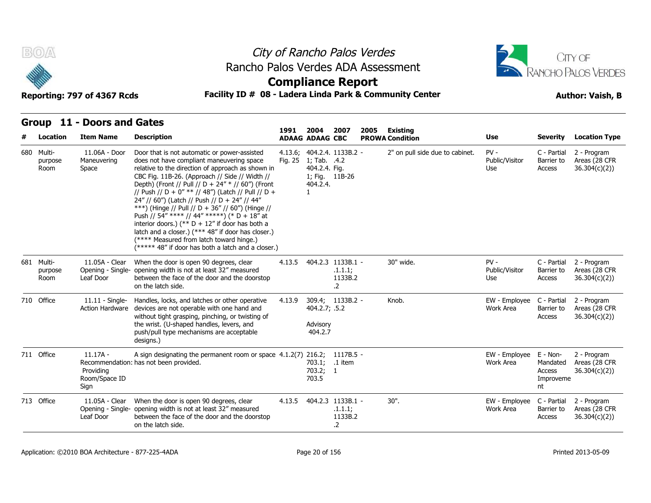



## **Compliance Report**

### Reporting: 797 of 4367 Rcds **Facility ID # 08 - Ladera Linda Park & Community Center Author: Vaish, B**

| # | Location                      | <b>Item Name</b>                                 | <b>Description</b>                                                                                                                                                                                                                                                                                                                                                                                                                                                                                                                                                                                                                                                            | 1991    | 2004<br><b>ADAAG ADAAG CBC</b>                              | 2007                                                  | 2005 | Existing<br><b>PROWA Condition</b> | <b>Use</b>                      | <b>Severity</b>                                   | <b>Location Type</b>                          |
|---|-------------------------------|--------------------------------------------------|-------------------------------------------------------------------------------------------------------------------------------------------------------------------------------------------------------------------------------------------------------------------------------------------------------------------------------------------------------------------------------------------------------------------------------------------------------------------------------------------------------------------------------------------------------------------------------------------------------------------------------------------------------------------------------|---------|-------------------------------------------------------------|-------------------------------------------------------|------|------------------------------------|---------------------------------|---------------------------------------------------|-----------------------------------------------|
|   | 680 Multi-<br>purpose<br>Room | 11.06A - Door<br>Maneuvering<br>Space            | Door that is not automatic or power-assisted<br>does not have compliant maneuvering space<br>relative to the direction of approach as shown in<br>CBC Fig. 11B-26. (Approach // Side // Width //<br>Depth) (Front // Pull // D + 24" * // 60") (Front<br>// Push // D + 0" ** // 48") (Latch // Pull // D +<br>24" // 60") (Latch // Push // D + 24" // 44"<br>***) (Hinge // Pull // D + 36" // 60") (Hinge //<br>Push // 54" **** // 44" *****) (* D + 18" at<br>interior doors.) (** $D + 12$ " if door has both a<br>latch and a closer.) (*** 48" if door has closer.)<br>(**** Measured from latch toward hinge.)<br>(***** 48" if door has both a latch and a closer.) | Fig. 25 | 1; Tab. .4.2<br>404.2.4. Fig.<br>1; Fig. 11B-26<br>404.2.4. | 4.13.6; 404.2.4. 1133B.2 -                            |      | 2" on pull side due to cabinet.    | $PV -$<br>Public/Visitor<br>Use | C - Partial<br>Barrier to<br>Access               | 2 - Program<br>Areas (28 CFR<br>36.304(c)(2)) |
|   | 681 Multi-<br>purpose<br>Room | 11.05A - Clear<br>Opening - Single-<br>Leaf Door | When the door is open 90 degrees, clear<br>opening width is not at least 32" measured<br>between the face of the door and the doorstop<br>on the latch side.                                                                                                                                                                                                                                                                                                                                                                                                                                                                                                                  | 4.13.5  |                                                             | 404.2.3 1133B.1 -<br>.1.1.1;<br>1133B.2<br>.2         |      | 30" wide.                          | $PV -$<br>Public/Visitor<br>Use | C - Partial<br>Barrier to<br>Access               | 2 - Program<br>Areas (28 CFR<br>36.304(c)(2)) |
|   | 710 Office                    | $11.11 -$ Single-                                | Handles, locks, and latches or other operative<br>Action Hardware devices are not operable with one hand and<br>without tight grasping, pinching, or twisting of<br>the wrist. (U-shaped handles, levers, and<br>push/pull type mechanisms are acceptable<br>designs.)                                                                                                                                                                                                                                                                                                                                                                                                        | 4.13.9  | 404.2.7; .5.2<br>Advisory<br>404.2.7                        | 309.4; 1133B.2 -                                      |      | Knob.                              | EW - Emplovee<br>Work Area      | C - Partial<br>Barrier to<br>Access               | 2 - Program<br>Areas (28 CFR<br>36.304(c)(2)) |
|   | 711 Office                    | $11.17A -$<br>Providing<br>Room/Space ID<br>Sign | A sign designating the permanent room or space 4.1.2(7) 216.2;<br>Recommendation: has not been provided.                                                                                                                                                                                                                                                                                                                                                                                                                                                                                                                                                                      |         | 703.1;<br>703.2; 1<br>703.5                                 | 1117B.5 -<br>.1 item                                  |      |                                    | EW - Employee<br>Work Area      | E - Non-<br>Mandated<br>Access<br>Improveme<br>nt | 2 - Program<br>Areas (28 CFR<br>36.304(c)(2)  |
|   | 713 Office                    | 11.05A - Clear<br>Leaf Door                      | When the door is open 90 degrees, clear<br>Opening - Single- opening width is not at least 32" measured<br>between the face of the door and the doorstop<br>on the latch side.                                                                                                                                                                                                                                                                                                                                                                                                                                                                                                | 4.13.5  |                                                             | 404.2.3 1133B.1 -<br>.1.1.1;<br>1133B.2<br>$\cdot$ .2 |      | $30"$ .                            | EW - Employee<br>Work Area      | C - Partial<br>Barrier to<br>Access               | 2 - Program<br>Areas (28 CFR<br>36.304(c)(2)  |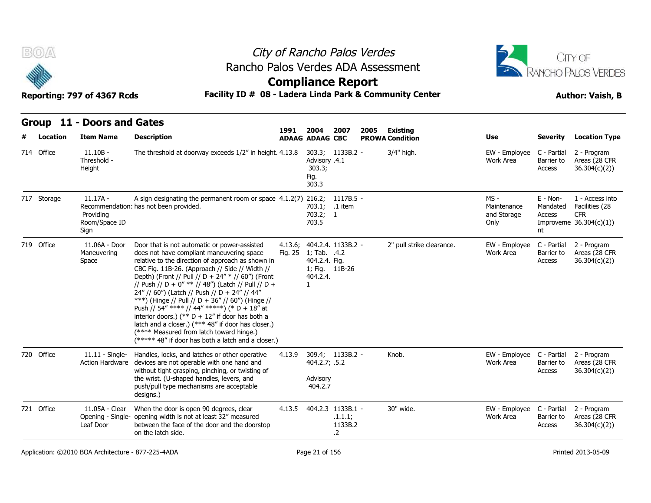



## **Compliance Report**

### Facility ID # 08 - Ladera Linda Park & Community Center<br> **Author: Vaish, B**

| Reporting: 797 of 4367 Rcds |  |  |  |
|-----------------------------|--|--|--|
|-----------------------------|--|--|--|

| $B(0)/\Delta$<br>Reporting: 797 of 4367 Rcds |                 |                                                  |                                                                                                                                                                                                                                                                                                                                                                                                                                                                                                                                                                                                                                                                               | City of Rancho Palos Verdes<br>Rancho Palos Verdes ADA Assessment<br><b>Compliance Report</b><br>Facility ID # 08 - Ladera Linda Park & Community Center |                                                           |                                                       |                                                   |                                            |                                      |                                                                             |  |  |
|----------------------------------------------|-----------------|--------------------------------------------------|-------------------------------------------------------------------------------------------------------------------------------------------------------------------------------------------------------------------------------------------------------------------------------------------------------------------------------------------------------------------------------------------------------------------------------------------------------------------------------------------------------------------------------------------------------------------------------------------------------------------------------------------------------------------------------|----------------------------------------------------------------------------------------------------------------------------------------------------------|-----------------------------------------------------------|-------------------------------------------------------|---------------------------------------------------|--------------------------------------------|--------------------------------------|-----------------------------------------------------------------------------|--|--|
|                                              | <b>Location</b> | Group 11 - Doors and Gates<br><b>Item Name</b>   | <b>Description</b>                                                                                                                                                                                                                                                                                                                                                                                                                                                                                                                                                                                                                                                            | 1991                                                                                                                                                     | 2004<br><b>ADAAG ADAAG CBC</b>                            | 2007                                                  | 2005<br><b>Existing</b><br><b>PROWA Condition</b> | <b>Use</b>                                 | <b>Severity</b>                      | <b>Location Type</b>                                                        |  |  |
|                                              | 714 Office      | $11.10B -$<br>Threshold -<br>Height              | The threshold at doorway exceeds 1/2" in height. 4.13.8                                                                                                                                                                                                                                                                                                                                                                                                                                                                                                                                                                                                                       |                                                                                                                                                          | Advisory .4.1<br>303.3;<br>Fig.<br>303.3                  | 303.3; 1133B.2 -                                      | 3/4" high.                                        | EW - Employee<br>Work Area                 | C - Partial<br>Barrier to<br>Access  | 2 - Program<br>Areas (28 CFR<br>36.304(c)(2))                               |  |  |
|                                              | 717 Storage     | $11.17A -$<br>Providing<br>Room/Space ID<br>Sign | A sign designating the permanent room or space $4.1.2(7)$ 216.2;<br>Recommendation: has not been provided.                                                                                                                                                                                                                                                                                                                                                                                                                                                                                                                                                                    |                                                                                                                                                          | 703.1;<br>703.2; 1<br>703.5                               | 1117B.5 -<br>.1 item                                  |                                                   | MS -<br>Maintenance<br>and Storage<br>Only | E - Non-<br>Mandated<br>Access<br>nt | 1 - Access into<br>Facilities (28<br><b>CFR</b><br>Improveme $36.304(c)(1)$ |  |  |
|                                              | 719 Office      | 11.06A - Door<br>Maneuvering<br>Space            | Door that is not automatic or power-assisted<br>does not have compliant maneuvering space<br>relative to the direction of approach as shown in<br>CBC Fig. 11B-26. (Approach // Side // Width //<br>Depth) (Front // Pull // D + 24" * // 60") (Front<br>// Push // D + 0" ** // 48") (Latch // Pull // D +<br>24" // 60") (Latch // Push // D + 24" // 44"<br>***) (Hinge // Pull // D + 36" // 60") (Hinge //<br>Push // 54" **** // 44" *****) (* D + 18" at<br>interior doors.) (** $D + 12$ " if door has both a<br>latch and a closer.) (*** 48" if door has closer.)<br>(**** Measured from latch toward hinge.)<br>(***** 48" if door has both a latch and a closer.) | Fig. 25                                                                                                                                                  | 1; Tab. .4.2<br>404.2.4. Fig.<br>404.2.4.<br>$\mathbf{1}$ | 4.13.6; 404.2.4. 1133B.2 -<br>1; Fig. 11B-26          | 2" pull strike clearance.                         | EW - Employee<br>Work Area                 | C - Partial<br>Barrier to<br>Access  | 2 - Program<br>Areas (28 CFR<br>36.304(c)(2)                                |  |  |
|                                              | 720 Office      | $11.11 -$ Single-<br>Action Hardware             | Handles, locks, and latches or other operative<br>devices are not operable with one hand and<br>without tight grasping, pinching, or twisting of<br>the wrist. (U-shaped handles, levers, and<br>push/pull type mechanisms are acceptable<br>designs.)                                                                                                                                                                                                                                                                                                                                                                                                                        | 4.13.9                                                                                                                                                   | 404.2.7; .5.2<br>Advisory<br>404.2.7                      | 309.4; 1133B.2 -                                      | Knob.                                             | EW - Employee<br>Work Area                 | C - Partial<br>Barrier to<br>Access  | 2 - Program<br>Areas (28 CFR<br>36.304(c)(2)                                |  |  |
|                                              | 721 Office      | 11.05A - Clear<br>Leaf Door                      | When the door is open 90 degrees, clear<br>Opening - Single- opening width is not at least 32" measured<br>between the face of the door and the doorstop<br>on the latch side.                                                                                                                                                                                                                                                                                                                                                                                                                                                                                                | 4.13.5                                                                                                                                                   |                                                           | 404.2.3 1133B.1 -<br>.1.1.1;<br>1133B.2<br>$\cdot$ .2 | 30" wide.                                         | EW - Employee<br>Work Area                 | C - Partial<br>Barrier to<br>Access  | 2 - Program<br>Areas (28 CFR<br>36.304(c)(2))                               |  |  |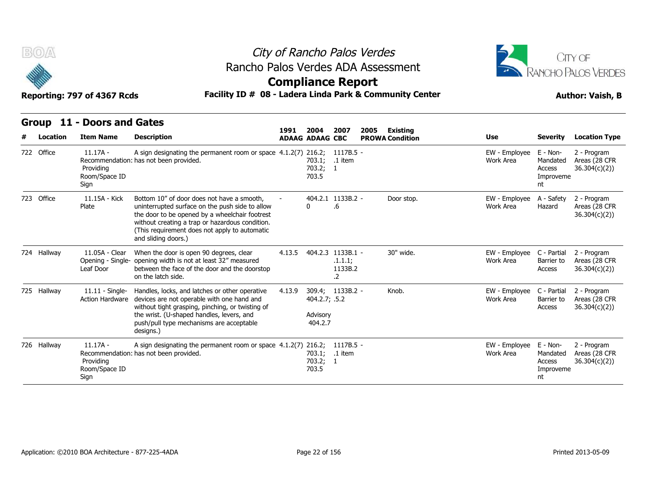



### Reporting: 797 of 4367 Rcds **Facility ID # 08 - Ladera Linda Park & Community Center Author: Vaish, B**

| B(0) |             |                                                  |                                                                                                                                                                                                                                                                            | City of Rancho Palos Verdes<br>Rancho Palos Verdes ADA Assessment<br><b>Compliance Report</b><br>Facility ID # 08 - Ladera Linda Park & Community Center |                                      |                                                           |                         |                                        |                                                   |                                               |  |  |  |
|------|-------------|--------------------------------------------------|----------------------------------------------------------------------------------------------------------------------------------------------------------------------------------------------------------------------------------------------------------------------------|----------------------------------------------------------------------------------------------------------------------------------------------------------|--------------------------------------|-----------------------------------------------------------|-------------------------|----------------------------------------|---------------------------------------------------|-----------------------------------------------|--|--|--|
|      |             | Reporting: 797 of 4367 Rcds                      |                                                                                                                                                                                                                                                                            |                                                                                                                                                          |                                      |                                                           |                         |                                        |                                                   |                                               |  |  |  |
|      |             | Group 11 - Doors and Gates                       |                                                                                                                                                                                                                                                                            | 1991                                                                                                                                                     | 2004                                 | 2007                                                      | 2005<br><b>Existing</b> |                                        |                                                   |                                               |  |  |  |
|      | Location    | <b>Item Name</b>                                 | <b>Description</b>                                                                                                                                                                                                                                                         |                                                                                                                                                          | <b>ADAAG ADAAG CBC</b>               |                                                           | <b>PROWA Condition</b>  | Use                                    | <b>Severity</b>                                   | <b>Location Type</b>                          |  |  |  |
|      | 722 Office  | $11.17A -$<br>Providing<br>Room/Space ID<br>Sign | A sign designating the permanent room or space 4.1.2(7) 216.2;<br>Recommendation: has not been provided.                                                                                                                                                                   |                                                                                                                                                          | 703.1;<br>703.2; 1<br>703.5          | 1117B.5 -<br>.1 item                                      |                         | EW - Employee<br>Work Area             | E - Non-<br>Mandated<br>Access<br>Improveme<br>nt | 2 - Program<br>Areas (28 CFR<br>36.304(c)(2)  |  |  |  |
|      | 723 Office  | 11.15A - Kick<br>Plate                           | Bottom 10" of door does not have a smooth,<br>uninterrupted surface on the push side to allow<br>the door to be opened by a wheelchair footrest<br>without creating a trap or hazardous condition.<br>(This requirement does not apply to automatic<br>and sliding doors.) |                                                                                                                                                          | U                                    | 404.2.1 1133B.2 -<br>.6                                   | Door stop.              | EW - Employee<br>Work Area             | A - Safety<br>Hazard                              | 2 - Program<br>Areas (28 CFR<br>36.304(c)(2)  |  |  |  |
|      | 724 Hallway | 11.05A - Clear<br>Opening - Single-<br>Leaf Door | When the door is open 90 degrees, clear<br>opening width is not at least 32" measured<br>between the face of the door and the doorstop<br>on the latch side.                                                                                                               | 4.13.5                                                                                                                                                   |                                      | 404.2.3 1133B.1 -<br>.1.1.1;<br>1133B.2<br>$\overline{2}$ | 30" wide.               | EW - Employee<br>Work Area             | C - Partial<br>Barrier to<br>Access               | 2 - Program<br>Areas (28 CFR<br>36.304(c)(2)) |  |  |  |
|      | 725 Hallway | $11.11 -$ Single-<br><b>Action Hardware</b>      | Handles, locks, and latches or other operative<br>devices are not operable with one hand and<br>without tight grasping, pinching, or twisting of<br>the wrist. (U-shaped handles, levers, and<br>push/pull type mechanisms are acceptable<br>designs.)                     | 4.13.9                                                                                                                                                   | 404.2.7; .5.2<br>Advisory<br>404.2.7 | 309.4; 1133B.2 -                                          | Knob.                   | EW - Employee C - Partial<br>Work Area | Barrier to<br>Access                              | 2 - Program<br>Areas (28 CFR<br>36.304(c)(2)  |  |  |  |
|      | 726 Hallway | $11.17A -$<br>Providing<br>Room/Space ID<br>Sign | A sign designating the permanent room or space 4.1.2(7) 216.2;<br>Recommendation: has not been provided.                                                                                                                                                                   |                                                                                                                                                          | 703.1;<br>703.2; 1<br>703.5          | 1117B.5 -<br>.1 item                                      |                         | EW - Employee<br>Work Area             | E - Non-<br>Mandated<br>Access<br>Improveme<br>nt | 2 - Program<br>Areas (28 CFR<br>36.304(c)(2)  |  |  |  |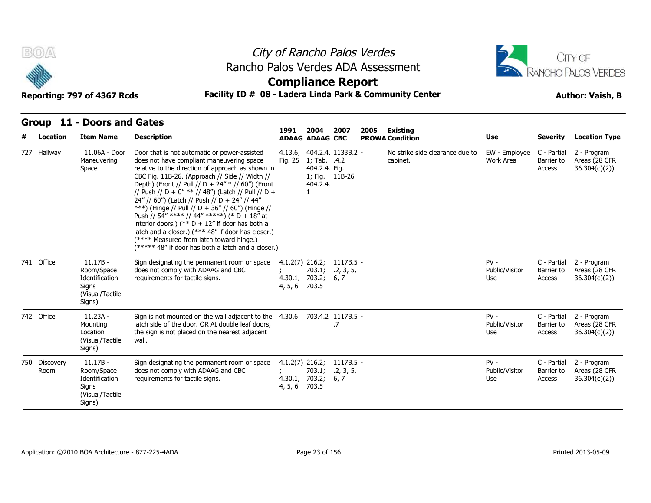



## **Compliance Report**

### Reporting: 797 of 4367 Rcds **Facility ID # 08 - Ladera Linda Park & Community Center Author: Vaish, B**

| # | Location              | <b>Item Name</b>                                                                 | <b>Description</b>                                                                                                                                                                                                                                                                                                                                                                                                                                                                                                                                                                                                                                                            | 1991                                           | 2004<br><b>ADAAG ADAAG CBC</b>            | 2007                                         | 2005 | Existing<br><b>PROWA Condition</b>          | Use                             | <b>Severity</b>                     | <b>Location Type</b>                          |
|---|-----------------------|----------------------------------------------------------------------------------|-------------------------------------------------------------------------------------------------------------------------------------------------------------------------------------------------------------------------------------------------------------------------------------------------------------------------------------------------------------------------------------------------------------------------------------------------------------------------------------------------------------------------------------------------------------------------------------------------------------------------------------------------------------------------------|------------------------------------------------|-------------------------------------------|----------------------------------------------|------|---------------------------------------------|---------------------------------|-------------------------------------|-----------------------------------------------|
|   | 727 Hallway           | 11.06A - Door<br>Maneuvering<br>Space                                            | Door that is not automatic or power-assisted<br>does not have compliant maneuvering space<br>relative to the direction of approach as shown in<br>CBC Fig. 11B-26. (Approach // Side // Width //<br>Depth) (Front // Pull // D + 24" * // 60") (Front<br>// Push // D + 0" ** // 48") (Latch // Pull // D +<br>24" // 60") (Latch // Push // D + 24" // 44"<br>***) (Hinge // Pull // D + 36" // 60") (Hinge //<br>Push // 54" **** // 44" *****) (* D + 18" at<br>interior doors.) (** $D + 12$ " if door has both a<br>latch and a closer.) (*** 48" if door has closer.)<br>(**** Measured from latch toward hinge.)<br>(***** 48" if door has both a latch and a closer.) | Fig. 25                                        | 1; Tab. .4.2<br>404.2.4. Fig.<br>404.2.4. | 4.13.6; 404.2.4. 1133B.2 -<br>1; Fig. 11B-26 |      | No strike side clearance due to<br>cabinet. | EW - Employee<br>Work Area      | C - Partial<br>Barrier to<br>Access | 2 - Program<br>Areas (28 CFR<br>36.304(c)(2)) |
|   | 741 Office            | $11.17B -$<br>Room/Space<br>Identification<br>Signs<br>(Visual/Tactile<br>Signs) | Sign designating the permanent room or space<br>does not comply with ADAAG and CBC<br>requirements for tactile signs.                                                                                                                                                                                                                                                                                                                                                                                                                                                                                                                                                         | $4.1.2(7)$ 216.2;<br>4, 5, 6                   | 4.30.1, 703.2; 6, 7<br>703.5              | 1117B.5 -<br>703.1; 2, 3, 5,                 |      |                                             | $PV -$<br>Public/Visitor<br>Use | C - Partial<br>Barrier to<br>Access | 2 - Program<br>Areas (28 CFR<br>36.304(c)(2)) |
|   | 742 Office            | $11.23A -$<br>Mounting<br>Location<br>(Visual/Tactile<br>Signs)                  | Sign is not mounted on the wall adjacent to the<br>latch side of the door. OR At double leaf doors,<br>the sign is not placed on the nearest adjacent<br>wall.                                                                                                                                                                                                                                                                                                                                                                                                                                                                                                                | 4.30.6                                         |                                           | 703.4.2 1117B.5 -<br>.7                      |      |                                             | $PV -$<br>Public/Visitor<br>Use | C - Partial<br>Barrier to<br>Access | 2 - Program<br>Areas (28 CFR<br>36.304(c)(2)  |
|   | 750 Discovery<br>Room | $11.17B -$<br>Room/Space<br>Identification<br>Signs<br>(Visual/Tactile<br>Signs) | Sign designating the permanent room or space<br>does not comply with ADAAG and CBC<br>requirements for tactile signs.                                                                                                                                                                                                                                                                                                                                                                                                                                                                                                                                                         | $4.1.2(7)$ 216.2;<br>4.30.1, 703.2;<br>4, 5, 6 | 703.1;<br>703.5                           | 1117B.5 -<br>.2, 3, 5,<br>6, 7               |      |                                             | $PV -$<br>Public/Visitor<br>Use | C - Partial<br>Barrier to<br>Access | 2 - Program<br>Areas (28 CFR<br>36.304(c)(2)  |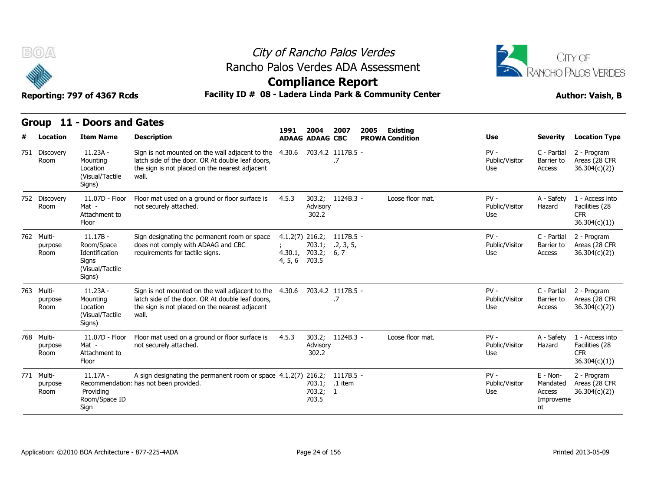

# City of Rancho Palos Verdes Rancho Palos Verdes ADA Assessment



| <b>BOA</b>                    |                                                                                  |                                                                                                                                                                | City of Rancho Palos Verdes<br>Rancho Palos Verdes ADA Assessment |                                |                                |                                                         |                                 |                                                     |                                                                  |  |  |  |
|-------------------------------|----------------------------------------------------------------------------------|----------------------------------------------------------------------------------------------------------------------------------------------------------------|-------------------------------------------------------------------|--------------------------------|--------------------------------|---------------------------------------------------------|---------------------------------|-----------------------------------------------------|------------------------------------------------------------------|--|--|--|
|                               |                                                                                  |                                                                                                                                                                |                                                                   |                                | <b>Compliance Report</b>       | Facility ID # 08 - Ladera Linda Park & Community Center |                                 |                                                     | RANCHO PALOS VERDES                                              |  |  |  |
|                               | Reporting: 797 of 4367 Rcds                                                      |                                                                                                                                                                |                                                                   |                                |                                |                                                         |                                 |                                                     | <b>Author: Vaish, B</b>                                          |  |  |  |
| <b>Group</b><br>Location      | 11 - Doors and Gates<br><b>Item Name</b>                                         | <b>Description</b>                                                                                                                                             | 1991                                                              | 2004<br><b>ADAAG ADAAG CBC</b> | 2007                           | 2005<br><b>Existing</b><br><b>PROWA Condition</b>       | Use                             | <b>Severity</b>                                     | <b>Location Type</b>                                             |  |  |  |
| 751 Discovery<br>Room         | 11.23A -<br>Mounting<br>Location<br>(Visual/Tactile)<br>Signs)                   | Sign is not mounted on the wall adjacent to the<br>latch side of the door. OR At double leaf doors,<br>the sign is not placed on the nearest adjacent<br>wall. | 4.30.6                                                            |                                | 703.4.2 1117B.5 -<br>.7        |                                                         | $PV -$<br>Public/Visitor<br>Use | C - Partial<br>Barrier to<br>Access                 | 2 - Program<br>Areas (28 CFR<br>36.304(c)(2)                     |  |  |  |
| 752 Discovery<br>Room         | 11.07D - Floor<br>Mat -<br>Attachment to<br>Floor                                | Floor mat used on a ground or floor surface is<br>not securely attached.                                                                                       | 4.5.3                                                             | Advisory<br>302.2              | 303.2; 1124B.3 -               | Loose floor mat.                                        | $PV -$<br>Public/Visitor<br>Use | A - Safety<br>Hazard                                | 1 - Access into<br>Facilities (28<br><b>CFR</b><br>36.304(c)(1)  |  |  |  |
| 762 Multi-<br>purpose<br>Room | $11.17B -$<br>Room/Space<br>Identification<br>Signs<br>(Visual/Tactile<br>Signs) | Sign designating the permanent room or space<br>does not comply with ADAAG and CBC<br>requirements for tactile signs.                                          | 4.1.2(7) 216.2;<br>4.30.1, 703.2;<br>4, 5, 6                      | 703.1;<br>703.5                | 1117B.5 -<br>.2, 3, 5,<br>6, 7 |                                                         | $PV -$<br>Public/Visitor<br>Use | C - Partial<br>Barrier to<br>Access                 | 2 - Program<br>Areas (28 CFR<br>36.304(c)(2)                     |  |  |  |
| 763 Multi-<br>purpose<br>Room | $11.23A -$<br>Mounting<br>Location<br>(Visual/Tactile<br>Signs)                  | Sign is not mounted on the wall adjacent to the<br>latch side of the door. OR At double leaf doors,<br>the sign is not placed on the nearest adjacent<br>wall. | 4.30.6                                                            |                                | 703.4.2 1117B.5 -<br>.7        |                                                         | $PV -$<br>Public/Visitor<br>Use | C - Partial<br>Barrier to<br>Access                 | 2 - Program<br>Areas (28 CFR<br>36.304(c)(2))                    |  |  |  |
| 768 Multi-<br>purpose<br>Room | 11.07D - Floor<br>Mat -<br>Attachment to<br>Floor                                | Floor mat used on a ground or floor surface is<br>not securely attached.                                                                                       | 4.5.3                                                             | Advisory<br>302.2              | 303.2; 1124B.3 -               | Loose floor mat.                                        | $PV -$<br>Public/Visitor<br>Use | A - Safety<br>Hazard                                | 1 - Access into<br>Facilities (28<br><b>CFR</b><br>36.304(c)(1)) |  |  |  |
| 771 Multi-<br>purpose<br>Room | $11.17A -$<br>Providing<br>Room/Space ID<br>Sign                                 | A sign designating the permanent room or space 4.1.2(7) 216.2;<br>Recommendation: has not been provided.                                                       |                                                                   | 703.2; 1<br>703.5              | $1117B.5 -$<br>703.1; .1 item  |                                                         | $PV -$<br>Public/Visitor<br>Use | $E - Non-$<br>Mandated<br>Access<br>Improveme<br>nt | 2 - Program<br>Areas (28 CFR<br>36.304(c)(2))                    |  |  |  |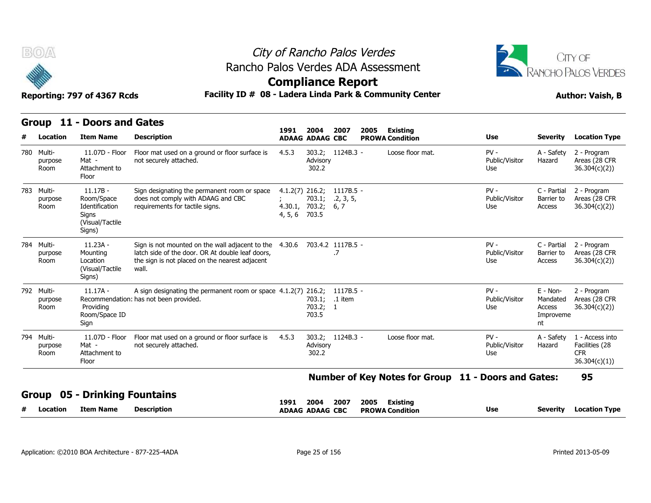



### Reporting: 797 of 4367 Rcds **Facility ID # 08 - Ladera Linda Park & Community Center Author: Vaish, B**

|              | B(0)                          | Reporting: 797 of 4367 Rcds                                                      | Rancho Palos Verdes ADA Assessment<br>Facility ID # 08 - Ladera Linda Park & Community Center                                                                                           | City of Rancho Palos Verdes<br><b>Compliance Report</b> |                                |                                      | CITY OF<br>RANCHO PALOS VERDES<br><b>Author: Vaish, B</b> |                                                                                                |                                 |                                                     |                                                                 |
|--------------|-------------------------------|----------------------------------------------------------------------------------|-----------------------------------------------------------------------------------------------------------------------------------------------------------------------------------------|---------------------------------------------------------|--------------------------------|--------------------------------------|-----------------------------------------------------------|------------------------------------------------------------------------------------------------|---------------------------------|-----------------------------------------------------|-----------------------------------------------------------------|
|              | <b>Group</b><br>Location      | 11 - Doors and Gates<br><b>Item Name</b>                                         | <b>Description</b>                                                                                                                                                                      | 1991                                                    | 2004<br><b>ADAAG ADAAG CBC</b> | 2007                                 | 2005                                                      | Existing<br><b>PROWA Condition</b>                                                             | Use                             | <b>Severity</b>                                     | <b>Location Type</b>                                            |
|              | 780 Multi-<br>purpose<br>Room | 11.07D - Floor<br>Mat -<br>Attachment to<br>Floor                                | Floor mat used on a ground or floor surface is<br>not securely attached.                                                                                                                | 4.5.3                                                   | 303.2;<br>Advisory<br>302.2    | 1124B.3 -                            |                                                           | Loose floor mat.                                                                               | $PV -$<br>Public/Visitor<br>Use | A - Safety<br>Hazard                                | 2 - Program<br>Areas (28 CFR<br>36.304(c)(2))                   |
|              | 783 Multi-<br>purpose<br>Room | $11.17B -$<br>Room/Space<br>Identification<br>Signs<br>(Visual/Tactile<br>Signs) | Sign designating the permanent room or space<br>does not comply with ADAAG and CBC<br>requirements for tactile signs.                                                                   | 4.1.2(7) 216.2;<br>4.30.1, 703.2;<br>4, 5, 6            | 703.5                          | 1117B.5 -<br>703.1; 2, 3, 5,<br>6, 7 |                                                           |                                                                                                | $PV -$<br>Public/Visitor<br>Use | C - Partial<br>Barrier to<br>Access                 | 2 - Program<br>Areas (28 CFR<br>36.304(c)(2)                    |
|              | 784 Multi-<br>purpose<br>Room | $11.23A -$<br>Mounting<br>Location<br>(Visual/Tactile<br>Signs)                  | Sign is not mounted on the wall adjacent to the 4.30.6 703.4.2 1117B.5 -<br>latch side of the door. OR At double leaf doors,<br>the sign is not placed on the nearest adjacent<br>wall. |                                                         |                                | .7                                   |                                                           |                                                                                                | $PV -$<br>Public/Visitor<br>Use | C - Partial<br>Barrier to<br>Access                 | 2 - Program<br>Areas (28 CFR<br>36.304(c)(2)                    |
|              | 792 Multi-<br>purpose<br>Room | 11.17A -<br>Providing<br>Room/Space ID<br>Sign                                   | A sign designating the permanent room or space 4.1.2(7) 216.2; 1117B.5 -<br>Recommendation: has not been provided.                                                                      |                                                         | 703.1;<br>703.2; 1<br>703.5    | .1 item                              |                                                           |                                                                                                | $PV -$<br>Public/Visitor<br>Use | $E - Non-$<br>Mandated<br>Access<br>Improveme<br>nt | 2 - Program<br>Areas (28 CFR<br>36.304(c)(2)                    |
|              | 794 Multi-<br>purpose<br>Room | 11.07D - Floor<br>Mat -<br>Attachment to<br>Floor                                | Floor mat used on a ground or floor surface is<br>not securely attached.                                                                                                                | 4.5.3                                                   | Advisory<br>302.2              | 303.2; 1124B.3 -                     |                                                           | Loose floor mat.                                                                               | $PV -$<br>Public/Visitor<br>Use | A - Safety<br>Hazard                                | 1 - Access into<br>Facilities (28<br><b>CFR</b><br>36.304(c)(1) |
| <b>Group</b> | Location                      | <b>Drinking Fountains</b><br>Item Name                                           | <b>Description</b>                                                                                                                                                                      | 1991                                                    | 2004<br><b>ADAAG ADAAG CBC</b> | 2007                                 |                                                           | Number of Key Notes for Group 11 - Doors and Gates:<br>2005 Existing<br><b>PROWA Condition</b> | Use                             | Severity                                            | 95<br><b>Location Type</b>                                      |

**ADAAG CBC PROWA**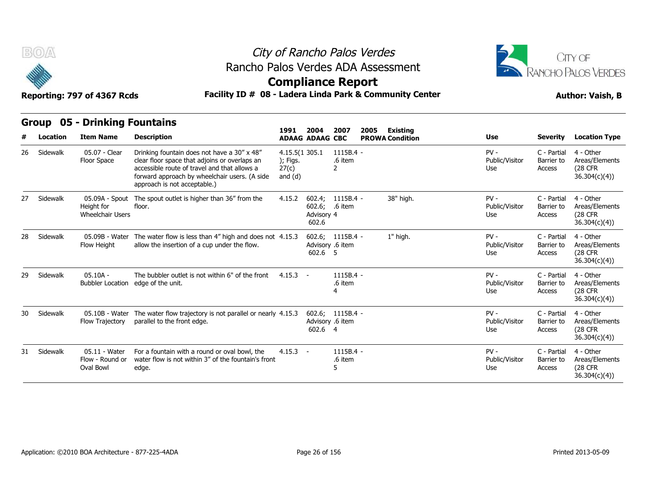



## **Compliance Report**

|    | <b>Group</b> | 05 - Drinking Fountains                              |                                                                                                                                                                                                                               |                                                  |                                |                                      |      |                                           |                                 |                                     |                                                                 |
|----|--------------|------------------------------------------------------|-------------------------------------------------------------------------------------------------------------------------------------------------------------------------------------------------------------------------------|--------------------------------------------------|--------------------------------|--------------------------------------|------|-------------------------------------------|---------------------------------|-------------------------------------|-----------------------------------------------------------------|
| #  | Location     | <b>Item Name</b>                                     | <b>Description</b>                                                                                                                                                                                                            | 1991                                             | 2004<br><b>ADAAG ADAAG CBC</b> | 2007                                 | 2005 | <b>Existing</b><br><b>PROWA Condition</b> | <b>Use</b>                      | <b>Severity</b>                     | <b>Location Type</b>                                            |
| 26 | Sidewalk     | 05.07 - Clear<br>Floor Space                         | Drinking fountain does not have a 30" x 48"<br>clear floor space that adjoins or overlaps an<br>accessible route of travel and that allows a<br>forward approach by wheelchair users. (A side<br>approach is not acceptable.) | 4.15.5(1 305.1<br>); Figs.<br>27(c)<br>and $(d)$ |                                | $1115B.4 -$<br>.6 item<br>2          |      |                                           | $PV -$<br>Public/Visitor<br>Use | C - Partial<br>Barrier to<br>Access | 4 - Other<br>Areas/Elements<br>(28 CFR<br>36.304(c)(4)          |
| 27 | Sidewalk     | 05.09A - Spout<br>Height for<br>Wheelchair Users     | The spout outlet is higher than 36" from the<br>floor.                                                                                                                                                                        | 4.15.2                                           | 602.6;<br>Advisory 4<br>602.6  | 602.4; 1115B.4 -<br>.6 item          |      | 38" high.                                 | $PV -$<br>Public/Visitor<br>Use | C - Partial<br>Barrier to<br>Access | 4 - Other<br>Areas/Elements<br><b>(28 CFR)</b><br>36.304(c)(4)  |
| 28 | Sidewalk     | 05.09B - Water<br>Flow Height                        | The water flow is less than 4" high and does not 4.15.3<br>allow the insertion of a cup under the flow.                                                                                                                       |                                                  | Advisory .6 item<br>602.6 5    | 602.6; 1115B.4 -                     |      | 1" high.                                  | $PV -$<br>Public/Visitor<br>Use | C - Partial<br>Barrier to<br>Access | 4 - Other<br>Areas/Elements<br><b>(28 CFR)</b><br>36.304(c)(4)) |
| 29 | Sidewalk     | $05.10A -$<br><b>Bubbler Location</b>                | The bubbler outlet is not within 6" of the front<br>edge of the unit.                                                                                                                                                         | $4.15.3 -$                                       |                                | $1115B.4 -$<br>.6 item               |      |                                           | $PV -$<br>Public/Visitor<br>Use | C - Partial<br>Barrier to<br>Access | 4 - Other<br>Areas/Elements<br>(28 CFR)<br>36.304(c)(4)         |
| 30 | Sidewalk     | 05.10B - Water<br>Flow Trajectory                    | The water flow trajectory is not parallel or nearly 4.15.3<br>parallel to the front edge.                                                                                                                                     |                                                  | 602.6 4                        | 602.6; 1115B.4 -<br>Advisory .6 item |      |                                           | $PV -$<br>Public/Visitor<br>Use | C - Partial<br>Barrier to<br>Access | 4 - Other<br>Areas/Elements<br>(28 CFR)<br>36.304(c)(4)         |
| 31 | Sidewalk     | 05.11 - Water<br>Flow - Round or<br><b>Oval Bowl</b> | For a fountain with a round or oval bowl, the<br>water flow is not within 3" of the fountain's front<br>edge.                                                                                                                 | $4.15.3 -$                                       |                                | $1115B.4 -$<br>.6 item               |      |                                           | $PV -$<br>Public/Visitor<br>Use | C - Partial<br>Barrier to<br>Access | 4 - Other<br>Areas/Elements<br>(28 CFR<br>36.304(c)(4)          |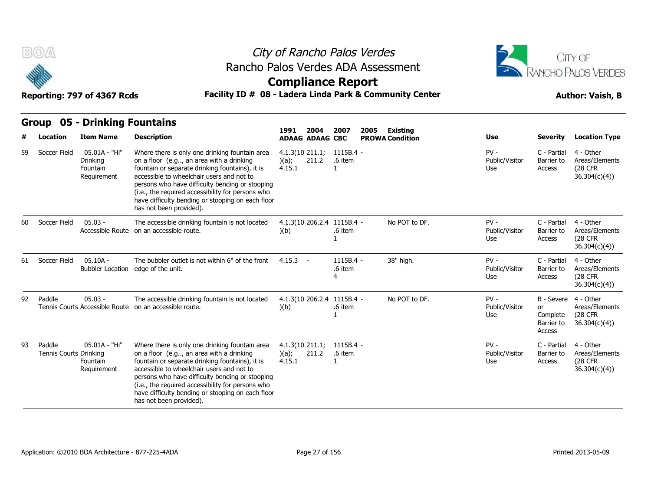



**Compliance Report**

Reporting: 797 of 4367 Rcds **Facility ID # 08 - Ladera Linda Park & Community Center Author: Vaish, B** 

### **Group 05 - Drinking Fountains**

|    | <b>Group</b>                     | 05 - Drinking Fountains                              |                                                                                                                                                                                                                                                                                                                                                                                    |                                       |       |                             | 2005<br>Existing<br><b>PROWA Condition</b> |               |                                 |                                                      |                                                                |
|----|----------------------------------|------------------------------------------------------|------------------------------------------------------------------------------------------------------------------------------------------------------------------------------------------------------------------------------------------------------------------------------------------------------------------------------------------------------------------------------------|---------------------------------------|-------|-----------------------------|--------------------------------------------|---------------|---------------------------------|------------------------------------------------------|----------------------------------------------------------------|
|    | Location                         | <b>Item Name</b>                                     | <b>Description</b>                                                                                                                                                                                                                                                                                                                                                                 | 1991<br><b>ADAAG ADAAG CBC</b>        | 2004  | 2007                        |                                            |               | Use                             | <b>Severity</b>                                      | <b>Location Type</b>                                           |
| 59 | Soccer Field                     | 05.01A - "Hi"<br>Drinking<br>Fountain<br>Requirement | Where there is only one drinking fountain area<br>on a floor (e.g, an area with a drinking<br>fountain or separate drinking fountains), it is<br>accessible to wheelchair users and not to<br>persons who have difficulty bending or stooping<br>(i.e., the required accessibility for persons who<br>have difficulty bending or stooping on each floor<br>has not been provided). | $4.1.3(10\ 211.1)$<br>)(a);<br>4.15.1 | 211.2 | 1115B.4 -<br>.6 item        |                                            |               | $PV -$<br>Public/Visitor<br>Use | C - Partial<br>Barrier to<br>Access                  | 4 - Other<br>Areas/Elements<br>(28 CFR<br>36.304(c)(4)         |
| 60 | Soccer Field                     | $05.03 -$<br>Accessible Route                        | The accessible drinking fountain is not located<br>on an accessible route.                                                                                                                                                                                                                                                                                                         | 4.1.3(10 206.2.4 1115B.4 -<br>)(b)    |       | .6 item                     |                                            | No POT to DF. | $PV -$<br>Public/Visitor<br>Use | C - Partial<br>Barrier to<br>Access                  | 4 - Other<br>Areas/Elements<br><b>(28 CFR)</b><br>36.304(c)(4) |
| 61 | Soccer Field                     | $05.10A -$<br><b>Bubbler Location</b>                | The bubbler outlet is not within 6" of the front<br>edge of the unit.                                                                                                                                                                                                                                                                                                              | 4.15.3<br>$\overline{\phantom{a}}$    |       | $1115B.4 -$<br>.6 item<br>4 |                                            | 38" high.     | $PV -$<br>Public/Visitor<br>Use | C - Partial<br>Barrier to<br>Access                  | 4 - Other<br>Areas/Elements<br><b>(28 CFR)</b><br>36.304(c)(4) |
| 92 | Paddle                           | $05.03 -$<br>Tennis Courts Accessible Route          | The accessible drinking fountain is not located<br>on an accessible route.                                                                                                                                                                                                                                                                                                         | 4.1.3(10 206.2.4 1115B.4 -<br>)(b)    |       | .6 item                     |                                            | No POT to DF. | $PV -$<br>Public/Visitor<br>Use | B - Severe<br>or<br>Complete<br>Barrier to<br>Access | 4 - Other<br>Areas/Elements<br><b>(28 CFR)</b><br>36.304(c)(4) |
| 93 | Paddle<br>Tennis Courts Drinking | 05.01A - "Hi"<br>Fountain<br>Requirement             | Where there is only one drinking fountain area<br>on a floor (e.g, an area with a drinking<br>fountain or separate drinking fountains), it is<br>accessible to wheelchair users and not to<br>persons who have difficulty bending or stooping<br>(i.e., the required accessibility for persons who<br>have difficulty bending or stooping on each floor<br>has not been provided). | 4.1.3(10 211.1)<br>)(a);<br>4.15.1    | 211.2 | $1115B.4 -$<br>.6 item      |                                            |               | $PV -$<br>Public/Visitor<br>Use | C - Partial<br>Barrier to<br>Access                  | 4 - Other<br>Areas/Elements<br><b>(28 CFR)</b><br>36.304(c)(4) |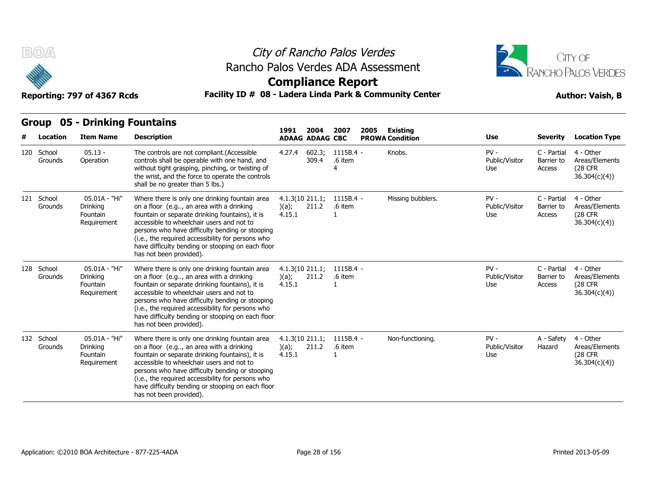



## **Compliance Report**

### Reporting: 797 of 4367 Rcds **Facility ID # 08 - Ladera Linda Park & Community Center Author: Vaish, B**

| Facility ID # 08 - Ladera Linda Park & Community Center<br>Reporting: 797 of 4367 Rcds                                                     |                       |                                                      |                                                                                                                                                                                                                                                                                                                                                                                    |                                       |                 |                        |  | <b>Author: Vaish, B</b> |                                 |                                     |                                                                |  |
|--------------------------------------------------------------------------------------------------------------------------------------------|-----------------------|------------------------------------------------------|------------------------------------------------------------------------------------------------------------------------------------------------------------------------------------------------------------------------------------------------------------------------------------------------------------------------------------------------------------------------------------|---------------------------------------|-----------------|------------------------|--|-------------------------|---------------------------------|-------------------------------------|----------------------------------------------------------------|--|
| <b>Group 05 - Drinking Fountains</b><br>2004<br>2007<br>2005<br>1991<br>Existing<br><b>Item Name</b><br>Location<br><b>ADAAG ADAAG CBC</b> |                       |                                                      |                                                                                                                                                                                                                                                                                                                                                                                    |                                       |                 |                        |  |                         |                                 |                                     |                                                                |  |
| #                                                                                                                                          |                       |                                                      | <b>Description</b>                                                                                                                                                                                                                                                                                                                                                                 |                                       |                 |                        |  | <b>PROWA Condition</b>  | Use                             | Severity                            | <b>Location Type</b>                                           |  |
|                                                                                                                                            | 120 School<br>Grounds | $05.13 -$<br>Operation                               | The controls are not compliant.(Accessible<br>controls shall be operable with one hand, and<br>without tight grasping, pinching, or twisting of<br>the wrist, and the force to operate the controls<br>shall be no greater than 5 lbs.)                                                                                                                                            | 4.27.4                                | 602.3;<br>309.4 | $1115B.4 -$<br>.6 item |  | Knobs.                  | $PV -$<br>Public/Visitor<br>Use | C - Partial<br>Barrier to<br>Access | 4 - Other<br>Areas/Elements<br><b>(28 CFR)</b><br>36.304(c)(4) |  |
|                                                                                                                                            | 121 School<br>Grounds | 05.01A - "Hi"<br>Drinking<br>Fountain<br>Requirement | Where there is only one drinking fountain area<br>on a floor (e.g, an area with a drinking<br>fountain or separate drinking fountains), it is<br>accessible to wheelchair users and not to<br>persons who have difficulty bending or stooping<br>(i.e., the required accessibility for persons who<br>have difficulty bending or stooping on each floor<br>has not been provided). | $4.1.3(10\ 211.1)$<br>(a);<br>4.15.1  | 211.2           | 1115B.4 -<br>.6 item   |  | Missing bubblers.       | $PV -$<br>Public/Visitor<br>Use | C - Partial<br>Barrier to<br>Access | 4 - Other<br>Areas/Elements<br><b>(28 CFR)</b><br>36.304(c)(4) |  |
|                                                                                                                                            | 128 School<br>Grounds | 05.01A - "Hi"<br>Drinking<br>Fountain<br>Requirement | Where there is only one drinking fountain area<br>on a floor (e.g, an area with a drinking<br>fountain or separate drinking fountains), it is<br>accessible to wheelchair users and not to<br>persons who have difficulty bending or stooping<br>(i.e., the required accessibility for persons who<br>have difficulty bending or stooping on each floor<br>has not been provided). | $4.1.3(10\ 211.1)$<br>(a);<br>4.15.1  | 211.2           | 1115B.4 -<br>.6 item   |  |                         | $PV -$<br>Public/Visitor<br>Use | C - Partial<br>Barrier to<br>Access | 4 - Other<br>Areas/Elements<br><b>(28 CFR)</b><br>36.304(c)(4) |  |
|                                                                                                                                            | 132 School<br>Grounds | 05.01A - "Hi"<br>Drinking<br>Fountain<br>Requirement | Where there is only one drinking fountain area<br>on a floor (e.g, an area with a drinking<br>fountain or separate drinking fountains), it is<br>accessible to wheelchair users and not to<br>persons who have difficulty bending or stooping<br>(i.e., the required accessibility for persons who<br>have difficulty bending or stooping on each floor<br>has not been provided). | $4.1.3(10\ 211.1)$<br>)(a);<br>4.15.1 | 211.2           | $1115B.4 -$<br>.6 item |  | Non-functioning.        | $PV -$<br>Public/Visitor<br>Use | A - Safety<br>Hazard                | 4 - Other<br>Areas/Elements<br>(28 CFR)<br>36.304(c)(4)        |  |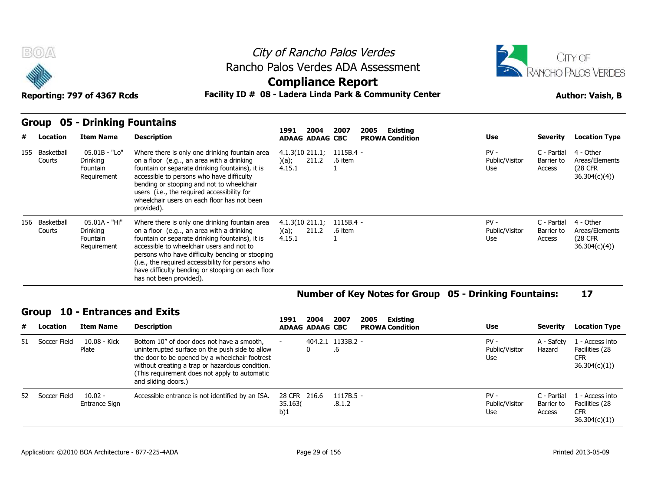



**Compliance Report**

Reporting: 797 of 4367 Rcds **Facility ID # 08 - Ladera Linda Park & Community Center Author: Vaish, B** 

### **Group 05 - Drinking Fountains**

|     | 05 - Drinking Fountains<br>Group<br>Existing<br>2007<br>2005<br>1991<br>2004 |                                                      |                                                                                                                                                                                                                                                                                                                                                                                    |                                                |                        |                        |                                 |                                     |                                                          |  |  |  |
|-----|------------------------------------------------------------------------------|------------------------------------------------------|------------------------------------------------------------------------------------------------------------------------------------------------------------------------------------------------------------------------------------------------------------------------------------------------------------------------------------------------------------------------------------|------------------------------------------------|------------------------|------------------------|---------------------------------|-------------------------------------|----------------------------------------------------------|--|--|--|
| #   | Location                                                                     | <b>Item Name</b>                                     | <b>Description</b>                                                                                                                                                                                                                                                                                                                                                                 | <b>ADAAG ADAAG CBC</b>                         |                        | <b>PROWA Condition</b> | Use                             | Severity                            | <b>Location Type</b>                                     |  |  |  |
| 155 | Basketball<br>Courts                                                         | 05.01B - "Lo"<br>Drinking<br>Fountain<br>Requirement | Where there is only one drinking fountain area<br>on a floor (e.g, an area with a drinking<br>fountain or separate drinking fountains), it is<br>accessible to persons who have difficulty<br>bending or stooping and not to wheelchair<br>users (i.e., the required accessibility for<br>wheelchair users on each floor has not been<br>provided).                                | $4.1.3(10\ 211.1)$<br>211.2<br>)(a);<br>4.15.1 | $1115B.4 -$<br>.6 item |                        | $PV -$<br>Public/Visitor<br>Use | C - Partial<br>Barrier to<br>Access | 4 - Other<br>Areas/Elements<br>(28 CFR)<br>36.304(c)(4)) |  |  |  |
|     | 156 Basketball<br>Courts                                                     | 05.01A - "Hi"<br>Drinking<br>Fountain<br>Requirement | Where there is only one drinking fountain area<br>on a floor (e.g, an area with a drinking<br>fountain or separate drinking fountains), it is<br>accessible to wheelchair users and not to<br>persons who have difficulty bending or stooping<br>(i.e., the required accessibility for persons who<br>have difficulty bending or stooping on each floor<br>has not been provided). | $4.1.3(10\ 211.1)$<br>211.2<br>)(a);<br>4.15.1 | 1115B.4 -<br>.6 item   |                        | $PV -$<br>Public/Visitor<br>Use | C - Partial<br>Barrier to<br>Access | 4 - Other<br>Areas/Elements<br>(28 CFR)<br>36.304(c)(4)) |  |  |  |

#### **Number of Key Notes for Group 05 - Drinking Fountains: 17**

| # | Location        | <b>Item Name</b>           | <b>Description</b>                                                                                                                                                                                                                                                         | 1991                           | 2004<br><b>ADAAG ADAAG CBC</b> | 2007                  | 2005 | Existing<br><b>PROWA Condition</b> | <b>Use</b>                      | <b>Severity</b>                     | <b>Location Type</b>                                            |
|---|-----------------|----------------------------|----------------------------------------------------------------------------------------------------------------------------------------------------------------------------------------------------------------------------------------------------------------------------|--------------------------------|--------------------------------|-----------------------|------|------------------------------------|---------------------------------|-------------------------------------|-----------------------------------------------------------------|
|   | 51 Soccer Field | 10.08 - Kick<br>Plate      | Bottom 10" of door does not have a smooth,<br>uninterrupted surface on the push side to allow<br>the door to be opened by a wheelchair footrest<br>without creating a trap or hazardous condition.<br>(This requirement does not apply to automatic<br>and sliding doors.) |                                | 404.2.1 1133B.2 -              | ۰ч                    |      |                                    | $PV -$<br>Public/Visitor<br>Use | A - Safety<br>Hazard                | 1 - Access into<br>Facilities (28<br><b>CFR</b><br>36.304(c)(1) |
|   | 52 Soccer Field | $10.02 -$<br>Entrance Sign | Accessible entrance is not identified by an ISA.                                                                                                                                                                                                                           | 28 CFR 216.6<br>35.163(<br>b)1 |                                | $1117B.5 -$<br>.8.1.2 |      |                                    | $PV -$<br>Public/Visitor<br>Use | C - Partial<br>Barrier to<br>Access | 1 - Access into<br>Facilities (28<br><b>CFR</b><br>36.304(c)(1) |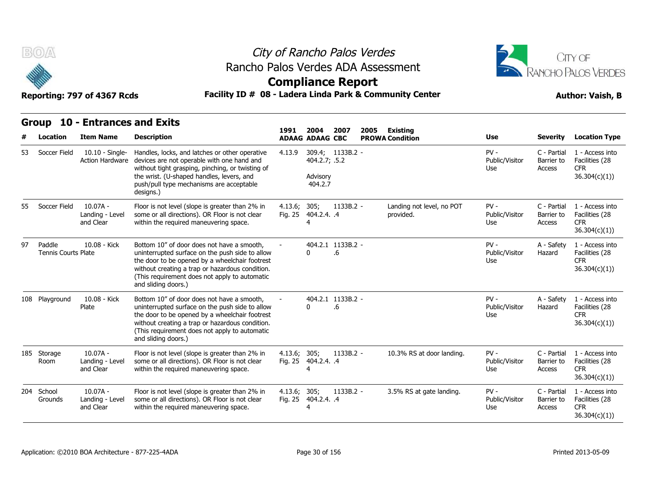



## **Compliance Report**

**2004** 

**2007** 

**2005** 

### Reporting: 797 of 4367 Rcds **Facility ID # 08 - Ladera Linda Park & Community Center Author: Vaish, B**

**1991** 

|     | <b>Location</b>                      | <b>Item Name</b>                           | <b>Description</b>                                                                                                                                                                                                                                                         | 1991                    | 2004<br><b>ADAAG ADAAG CBC</b>       | 2007                    | 2005 | Existing<br><b>PROWA Condition</b>     | <b>Use</b>                      | <b>Severity</b>                     | <b>Location Type</b>                                            |
|-----|--------------------------------------|--------------------------------------------|----------------------------------------------------------------------------------------------------------------------------------------------------------------------------------------------------------------------------------------------------------------------------|-------------------------|--------------------------------------|-------------------------|------|----------------------------------------|---------------------------------|-------------------------------------|-----------------------------------------------------------------|
| 53  | Soccer Field                         | 10.10 - Single-<br><b>Action Hardware</b>  | Handles, locks, and latches or other operative<br>devices are not operable with one hand and<br>without tight grasping, pinching, or twisting of<br>the wrist. (U-shaped handles, levers, and<br>push/pull type mechanisms are acceptable<br>designs.)                     | 4.13.9                  | 404.2.7; .5.2<br>Advisory<br>404.2.7 | 309.4; 1133B.2 -        |      |                                        | $PV -$<br>Public/Visitor<br>Use | C - Partial<br>Barrier to<br>Access | 1 - Access into<br>Facilities (28<br><b>CFR</b><br>36.304(c)(1) |
| 55. | Soccer Field                         | $10.07A -$<br>Landing - Level<br>and Clear | Floor is not level (slope is greater than 2% in<br>some or all directions). OR Floor is not clear<br>within the required maneuvering space.                                                                                                                                | 4.13.6; 305;            | Fig. 25 404.2.4. .4<br>4             | $1133B.2 -$             |      | Landing not level, no POT<br>provided. | $PV -$<br>Public/Visitor<br>Use | C - Partial<br>Barrier to<br>Access | 1 - Access into<br>Facilities (28<br><b>CFR</b><br>36.304(c)(1) |
| 97  | Paddle<br><b>Tennis Courts Plate</b> | 10.08 - Kick                               | Bottom 10" of door does not have a smooth,<br>uninterrupted surface on the push side to allow<br>the door to be opened by a wheelchair footrest<br>without creating a trap or hazardous condition.<br>(This requirement does not apply to automatic<br>and sliding doors.) |                         | 0                                    | 404.2.1 1133B.2 -<br>.6 |      |                                        | $PV -$<br>Public/Visitor<br>Use | A - Safety<br>Hazard                | 1 - Access into<br>Facilities (28<br><b>CFR</b><br>36.304(c)(1) |
|     | 108 Playground                       | 10.08 - Kick<br>Plate                      | Bottom 10" of door does not have a smooth,<br>uninterrupted surface on the push side to allow<br>the door to be opened by a wheelchair footrest<br>without creating a trap or hazardous condition.<br>(This requirement does not apply to automatic<br>and sliding doors.) |                         | 0                                    | 404.2.1 1133B.2 -<br>.6 |      |                                        | $PV -$<br>Public/Visitor<br>Use | A - Safety<br>Hazard                | 1 - Access into<br>Facilities (28<br><b>CFR</b><br>36.304(c)(1) |
|     | 185 Storage<br>Room                  | $10.07A -$<br>Landing - Level<br>and Clear | Floor is not level (slope is greater than 2% in<br>some or all directions). OR Floor is not clear<br>within the required maneuvering space.                                                                                                                                | 4.13.6; 305;<br>Fig. 25 | 404.2.4. .4<br>4                     | $1133B.2 -$             |      | 10.3% RS at door landing.              | $PV -$<br>Public/Visitor<br>Use | C - Partial<br>Barrier to<br>Access | 1 - Access into<br>Facilities (28<br><b>CFR</b><br>36.304(c)(1) |
|     | 204 School<br>Grounds                | $10.07A -$<br>Landing - Level<br>and Clear | Floor is not level (slope is greater than 2% in<br>some or all directions). OR Floor is not clear<br>within the required maneuvering space.                                                                                                                                | 4.13.6; 305;<br>Fig. 25 | 404.2.4. .4<br>4                     | 1133B.2 -               |      | 3.5% RS at gate landing.               | $PV -$<br>Public/Visitor<br>Use | C - Partial<br>Barrier to<br>Access | 1 - Access into<br>Facilities (28<br><b>CFR</b><br>36.304(c)(1) |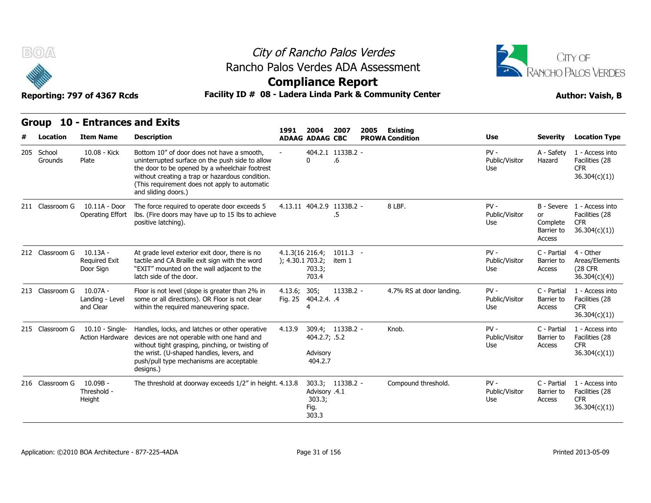



**Compliance Report**

### Reporting: 797 of 4367 Rcds **Facility ID # 08 - Ladera Linda Park & Community Center Author: Vaish, B**

| <b>Group</b>          | <b>10 - Entrances and Exits</b>             |                                                                                                                                                                                                                                                                            | 1991                                | 2004                                                     | 2007                    | 2005 |                                           |                                 |                                                      |                                                                 |
|-----------------------|---------------------------------------------|----------------------------------------------------------------------------------------------------------------------------------------------------------------------------------------------------------------------------------------------------------------------------|-------------------------------------|----------------------------------------------------------|-------------------------|------|-------------------------------------------|---------------------------------|------------------------------------------------------|-----------------------------------------------------------------|
| Location              | <b>Item Name</b>                            | <b>Description</b>                                                                                                                                                                                                                                                         |                                     | <b>ADAAG ADAAG CBC</b>                                   |                         |      | <b>Existing</b><br><b>PROWA Condition</b> | Use                             | <b>Severity</b>                                      | <b>Location Type</b>                                            |
| 205 School<br>Grounds | 10.08 - Kick<br>Plate                       | Bottom 10" of door does not have a smooth.<br>uninterrupted surface on the push side to allow<br>the door to be opened by a wheelchair footrest<br>without creating a trap or hazardous condition.<br>(This requirement does not apply to automatic<br>and sliding doors.) |                                     | 0                                                        | 404.2.1 1133B.2 -<br>.6 |      |                                           | $PV -$<br>Public/Visitor<br>Use | A - Safety<br>Hazard                                 | 1 - Access into<br>Facilities (28<br><b>CFR</b><br>36.304(c)(1) |
| 211 Classroom G       | 10.11A - Door<br>Operating Effort           | The force required to operate door exceeds 5<br>lbs. (Fire doors may have up to 15 lbs to achieve<br>positive latching).                                                                                                                                                   |                                     | 4.13.11 404.2.9 1133B.2 -                                | .5                      |      | 8 LBF.                                    | $PV -$<br>Public/Visitor<br>Use | B - Severe<br>or<br>Complete<br>Barrier to<br>Access | 1 - Access into<br>Facilities (28<br><b>CFR</b><br>36.304(c)(1) |
| 212 Classroom G       | $10.13A -$<br>Required Exit<br>Door Sign    | At grade level exterior exit door, there is no<br>tactile and CA Braille exit sign with the word<br>"EXIT" mounted on the wall adjacent to the<br>latch side of the door.                                                                                                  | 4.1.3(16 216.4;<br>); 4.30.1 703.2; | 703.3;<br>703.4                                          | $1011.3 -$<br>item 1    |      |                                           | $PV -$<br>Public/Visitor<br>Use | C - Partial<br>Barrier to<br>Access                  | 4 - Other<br>Areas/Elements<br>(28 CFR)<br>36.304(c)(4)         |
| 213 Classroom G       | $10.07A -$<br>Landing - Level<br>and Clear  | Floor is not level (slope is greater than 2% in<br>some or all directions). OR Floor is not clear<br>within the required maneuvering space.                                                                                                                                | 4.13.6;                             | 305;<br>Fig. 25 404.2.4. .4<br>4                         | 1133B.2 -               |      | 4.7% RS at door landing.                  | $PV -$<br>Public/Visitor<br>Use | C - Partial<br>Barrier to<br>Access                  | 1 - Access into<br>Facilities (28<br><b>CFR</b><br>36.304(c)(1) |
| 215 Classroom G       | $10.10 -$ Single-<br><b>Action Hardware</b> | Handles, locks, and latches or other operative<br>devices are not operable with one hand and<br>without tight grasping, pinching, or twisting of<br>the wrist. (U-shaped handles, levers, and<br>push/pull type mechanisms are acceptable<br>designs.)                     | 4.13.9                              | 309.4; 1133B.2 -<br>404.2.7; .5.2<br>Advisory<br>404.2.7 |                         |      | Knob.                                     | $PV -$<br>Public/Visitor<br>Use | C - Partial<br>Barrier to<br>Access                  | 1 - Access into<br>Facilities (28<br><b>CFR</b><br>36.304(c)(1) |
| 216 Classroom G       | $10.09B -$<br>Threshold -<br>Height         | The threshold at doorway exceeds 1/2" in height. 4.13.8                                                                                                                                                                                                                    |                                     | Advisory .4.1<br>303.3;<br>Fig.<br>303.3                 | 303.3; 1133B.2 -        |      | Compound threshold.                       | $PV -$<br>Public/Visitor<br>Use | C - Partial<br>Barrier to<br>Access                  | 1 - Access into<br>Facilities (28<br><b>CFR</b><br>36.304(c)(1) |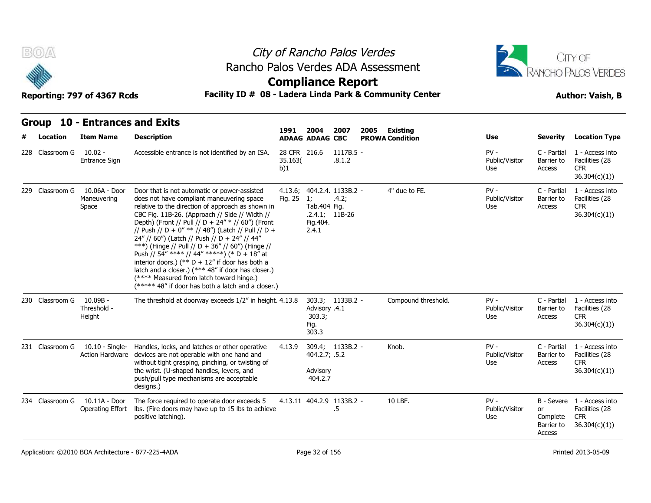



## **Compliance Report**

### Facility ID # 08 - Ladera Linda Park & Community Center<br> **Author: Vaish, B**

| Reporting: 797 of 4367 Rcds |  |  |  |
|-----------------------------|--|--|--|
|-----------------------------|--|--|--|

| B(0)            | Reporting: 797 of 4367 Rcds                        |                                                                                                                                                                                                                                                                                                                                                                                                                                                                                                                                                                                                                                                                               | City of Rancho Palos Verdes<br>Rancho Palos Verdes ADA Assessment<br><b>Compliance Report</b><br>Facility ID # 08 - Ladera Linda Park & Community Center |                                                       |                                                         |      |                                    |                                 |                                        | CITY OF<br><b>RANCHO PALOS VERDES</b><br><b>Author: Vaish, B</b>           |  |  |
|-----------------|----------------------------------------------------|-------------------------------------------------------------------------------------------------------------------------------------------------------------------------------------------------------------------------------------------------------------------------------------------------------------------------------------------------------------------------------------------------------------------------------------------------------------------------------------------------------------------------------------------------------------------------------------------------------------------------------------------------------------------------------|----------------------------------------------------------------------------------------------------------------------------------------------------------|-------------------------------------------------------|---------------------------------------------------------|------|------------------------------------|---------------------------------|----------------------------------------|----------------------------------------------------------------------------|--|--|
| Location        | Group 10 - Entrances and Exits<br><b>Item Name</b> | <b>Description</b>                                                                                                                                                                                                                                                                                                                                                                                                                                                                                                                                                                                                                                                            | 1991                                                                                                                                                     | 2004<br><b>ADAAG ADAAG CBC</b>                        | 2007                                                    | 2005 | Existing<br><b>PROWA Condition</b> | <b>Use</b>                      | <b>Severity</b>                        | <b>Location Type</b>                                                       |  |  |
| 228 Classroom G | $10.02 -$<br>Entrance Sign                         | Accessible entrance is not identified by an ISA.                                                                                                                                                                                                                                                                                                                                                                                                                                                                                                                                                                                                                              | 28 CFR 216.6<br>35.163(<br>b)1                                                                                                                           |                                                       | 1117B.5 -<br>.8.1.2                                     |      |                                    | $PV -$<br>Public/Visitor<br>Use | C - Partial<br>Barrier to<br>Access    | 1 - Access into<br>Facilities (28<br>CFR.<br>36.304(c)(1))                 |  |  |
| 229 Classroom G | 10.06A - Door<br>Maneuvering<br>Space              | Door that is not automatic or power-assisted<br>does not have compliant maneuvering space<br>relative to the direction of approach as shown in<br>CBC Fig. 11B-26. (Approach // Side // Width //<br>Depth) (Front // Pull // D + 24" * // 60") (Front<br>// Push // D + 0" ** // 48") (Latch // Pull // D +<br>24" // 60") (Latch // Push // D + 24" // 44"<br>***) (Hinge // Pull // D + 36" // 60") (Hinge //<br>Push // 54" **** // 44" *****) (* D + 18" at<br>interior doors.) (** $D + 12$ " if door has both a<br>latch and a closer.) (*** 48" if door has closer.)<br>(**** Measured from latch toward hinge.)<br>(***** 48" if door has both a latch and a closer.) | Fig. 25                                                                                                                                                  | $\overline{1}$<br>Tab. 404 Fig.<br>Fig. 404.<br>2.4.1 | 4.13.6; 404.2.4. 1133B.2 -<br>.4.2;<br>$.2.4.1; 11B-26$ |      | 4" due to FE.                      | $PV -$<br>Public/Visitor<br>Use | C - Partial<br>Barrier to<br>Access    | 1 - Access into<br>Facilities (28<br><b>CFR</b><br>36.304(c)(1))           |  |  |
| 230 Classroom G | 10.09B -<br>Threshold -<br>Height                  | The threshold at doorway exceeds 1/2" in height. 4.13.8                                                                                                                                                                                                                                                                                                                                                                                                                                                                                                                                                                                                                       |                                                                                                                                                          | 4.1. Advisory<br>303.3;<br>Fig.<br>303.3              | 303.3; 1133B.2 -                                        |      | Compound threshold.                | $PV -$<br>Public/Visitor<br>Use | C - Partial<br>Barrier to<br>Access    | 1 - Access into<br>Facilities (28<br><b>CFR</b><br>36.304(c)(1)            |  |  |
| 231 Classroom G | 10.10 - Single-<br>Action Hardware                 | Handles, locks, and latches or other operative<br>devices are not operable with one hand and<br>without tight grasping, pinching, or twisting of<br>the wrist. (U-shaped handles, levers, and<br>push/pull type mechanisms are acceptable<br>designs.)                                                                                                                                                                                                                                                                                                                                                                                                                        | 4.13.9                                                                                                                                                   | 404.2.7; .5.2<br>Advisory<br>404.2.7                  | 309.4; 1133B.2 -                                        |      | Knob.                              | $PV -$<br>Public/Visitor<br>Use | C - Partial<br>Barrier to<br>Access    | 1 - Access into<br>Facilities (28<br><b>CFR</b><br>36.304(c)(1))           |  |  |
| 234 Classroom G | 10.11A - Door<br>Operating Effort                  | The force required to operate door exceeds 5<br>Ibs. (Fire doors may have up to 15 lbs to achieve<br>positive latching).                                                                                                                                                                                                                                                                                                                                                                                                                                                                                                                                                      |                                                                                                                                                          |                                                       | 4.13.11 404.2.9 1133B.2 -<br>.5                         |      | 10 LBF.                            | $PV -$<br>Public/Visitor<br>Use | or<br>Complete<br>Barrier to<br>Access | B - Severe 1 - Access into<br>Facilities (28<br><b>CFR</b><br>36.304(c)(1) |  |  |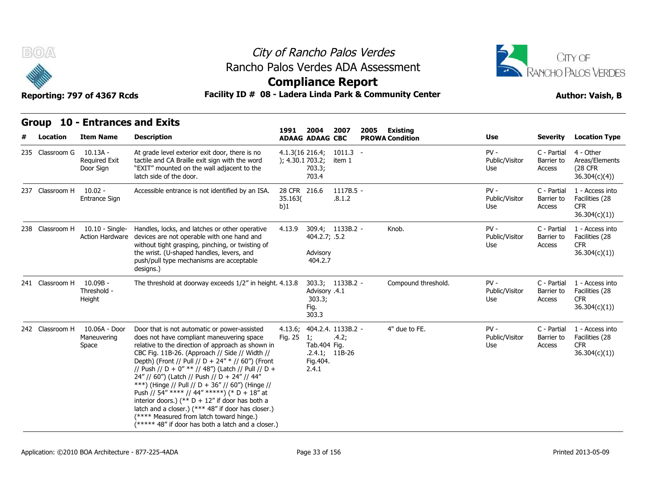



# **Compliance Report**

| Group 10 - Entrances and Exits |
|--------------------------------|

| B(0)<br>Reporting: 797 of 4367 Rcds |                 |                                               |                                                                                                                                                                                                                                                                                                                                                                                                                                                                                                                                                                                                                                                                               | City of Rancho Palos Verdes<br>Rancho Palos Verdes ADA Assessment<br><b>Compliance Report</b><br>Facility ID # 08 - Ladera Linda Park & Community Center |                                                                                    |                      |      |                                    |                                 |                                     |                                                                 |
|-------------------------------------|-----------------|-----------------------------------------------|-------------------------------------------------------------------------------------------------------------------------------------------------------------------------------------------------------------------------------------------------------------------------------------------------------------------------------------------------------------------------------------------------------------------------------------------------------------------------------------------------------------------------------------------------------------------------------------------------------------------------------------------------------------------------------|----------------------------------------------------------------------------------------------------------------------------------------------------------|------------------------------------------------------------------------------------|----------------------|------|------------------------------------|---------------------------------|-------------------------------------|-----------------------------------------------------------------|
|                                     | <b>Group</b>    | <b>10 - Entrances and Exits</b>               |                                                                                                                                                                                                                                                                                                                                                                                                                                                                                                                                                                                                                                                                               | 1991                                                                                                                                                     | 2004                                                                               |                      |      |                                    |                                 |                                     |                                                                 |
|                                     | <b>Location</b> | <b>Item Name</b>                              | <b>Description</b>                                                                                                                                                                                                                                                                                                                                                                                                                                                                                                                                                                                                                                                            |                                                                                                                                                          | <b>ADAAG ADAAG CBC</b>                                                             | 2007                 | 2005 | Existing<br><b>PROWA Condition</b> | Use                             | <b>Severity</b>                     | <b>Location Type</b>                                            |
|                                     | 235 Classroom G | 10.13A -<br><b>Required Exit</b><br>Door Sign | At grade level exterior exit door, there is no<br>tactile and CA Braille exit sign with the word<br>"EXIT" mounted on the wall adjacent to the<br>latch side of the door.                                                                                                                                                                                                                                                                                                                                                                                                                                                                                                     |                                                                                                                                                          | $4.1.3(16\ 216.4)$<br>); 4.30.1 703.2;<br>703.3;<br>703.4                          | $1011.3 -$<br>item 1 |      |                                    | $PV -$<br>Public/Visitor<br>Use | C - Partial<br>Barrier to<br>Access | 4 - Other<br>Areas/Elements<br>(28 CFR<br>36.304(c)(4)          |
|                                     | 237 Classroom H | $10.02 -$<br>Entrance Sign                    | Accessible entrance is not identified by an ISA.                                                                                                                                                                                                                                                                                                                                                                                                                                                                                                                                                                                                                              | 28 CFR 216.6<br>35.163(<br>b)1                                                                                                                           |                                                                                    | 1117B.5 -<br>.8.1.2  |      |                                    | $PV -$<br>Public/Visitor<br>Use | C - Partial<br>Barrier to<br>Access | 1 - Access into<br>Facilities (28<br>CFR.<br>36.304(c)(1)       |
|                                     | 238 Classroom H | 10.10 - Single-<br>Action Hardware            | Handles, locks, and latches or other operative<br>devices are not operable with one hand and<br>without tight grasping, pinching, or twisting of<br>the wrist. (U-shaped handles, levers, and<br>push/pull type mechanisms are acceptable<br>designs.)                                                                                                                                                                                                                                                                                                                                                                                                                        | 4.13.9                                                                                                                                                   | 404.2.7; .5.2<br>Advisory<br>404.2.7                                               | 309.4; 1133B.2 -     |      | Knob.                              | $PV -$<br>Public/Visitor<br>Use | C - Partial<br>Barrier to<br>Access | 1 - Access into<br>Facilities (28<br><b>CFR</b><br>36.304(c)(1) |
|                                     | 241 Classroom H | 10.09B -<br>Threshold -<br>Height             | The threshold at doorway exceeds 1/2" in height. 4.13.8                                                                                                                                                                                                                                                                                                                                                                                                                                                                                                                                                                                                                       |                                                                                                                                                          | Advisory .4.1<br>303.3;<br>Fig.<br>303.3                                           | 303.3; 1133B.2 -     |      | Compound threshold.                | $PV -$<br>Public/Visitor<br>Use | C - Partial<br>Barrier to<br>Access | 1 - Access into<br>Facilities (28<br><b>CFR</b><br>36.304(c)(1) |
|                                     | 242 Classroom H | 10.06A - Door<br>Maneuvering<br>Space         | Door that is not automatic or power-assisted<br>does not have compliant maneuvering space<br>relative to the direction of approach as shown in<br>CBC Fig. 11B-26. (Approach // Side // Width //<br>Depth) (Front // Pull // D + 24" * // 60") (Front<br>// Push // D + 0" ** // 48") (Latch // Pull // D +<br>24" // 60") (Latch // Push // D + 24" // 44"<br>***) (Hinge // Pull // D + 36" // 60") (Hinge //<br>Push // 54" **** // 44" *****) (* D + 18" at<br>interior doors.) (** $D + 12$ " if door has both a<br>latch and a closer.) (*** 48" if door has closer.)<br>(**** Measured from latch toward hinge.)<br>(***** 48" if door has both a latch and a closer.) | 4.13.6;<br>Fig. 25                                                                                                                                       | 404.2.4. 1133B.2 -<br>1;<br>Tab.404 Fig.<br>$.2.4.1; 11B-26$<br>Fig. 404.<br>2.4.1 | .4.2;                |      | 4" due to FE.                      | $PV -$<br>Public/Visitor<br>Use | C - Partial<br>Barrier to<br>Access | 1 - Access into<br>Facilities (28<br><b>CFR</b><br>36.304(c)(1) |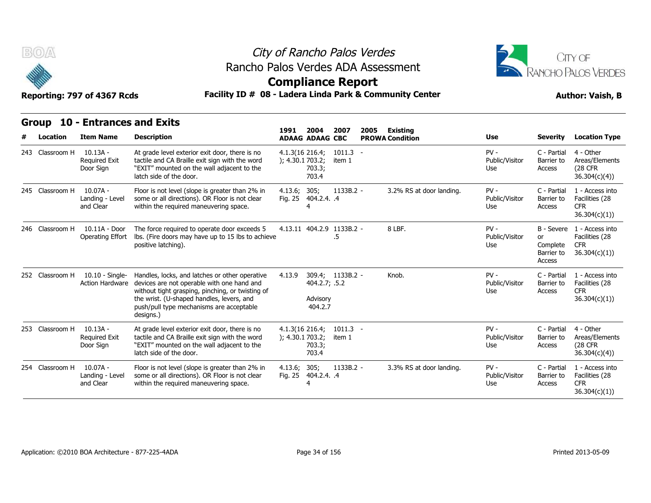



## **Compliance Report**

### Reporting: 797 of 4367 Rcds **Facility ID # 08 - Ladera Linda Park & Community Center Author: Vaish, B**

| B(0)<br>Reporting: 797 of 4367 Rcds |                 |                                                    |                                                                                                                                                                                                                                                        | City of Rancho Palos Verdes<br>Rancho Palos Verdes ADA Assessment<br><b>Compliance Report</b><br>Facility ID # 08 - Ladera Linda Park & Community Center |                                      |                      |      |                                    |                                 |                                               |                                                                            |  |
|-------------------------------------|-----------------|----------------------------------------------------|--------------------------------------------------------------------------------------------------------------------------------------------------------------------------------------------------------------------------------------------------------|----------------------------------------------------------------------------------------------------------------------------------------------------------|--------------------------------------|----------------------|------|------------------------------------|---------------------------------|-----------------------------------------------|----------------------------------------------------------------------------|--|
|                                     | Location        | Group 10 - Entrances and Exits<br><b>Item Name</b> | <b>Description</b>                                                                                                                                                                                                                                     | 1991                                                                                                                                                     | 2004<br><b>ADAAG ADAAG CBC</b>       | 2007                 | 2005 | Existing<br><b>PROWA Condition</b> | Use                             | <b>Severity</b>                               | <b>Location Type</b>                                                       |  |
|                                     | 243 Classroom H | $10.13A -$<br><b>Required Exit</b><br>Door Sign    | At grade level exterior exit door, there is no<br>tactile and CA Braille exit sign with the word<br>"EXIT" mounted on the wall adjacent to the<br>latch side of the door.                                                                              | $4.1.3(16\ 216.4)$<br>); 4.30.1 703.2;                                                                                                                   | 703.3;<br>703.4                      | 1011.3<br>item 1     |      |                                    | $PV -$<br>Public/Visitor<br>Use | C - Partial<br>Barrier to<br>Access           | 4 - Other<br>Areas/Elements<br>(28 CFR)<br>36.304(c)(4)                    |  |
|                                     | 245 Classroom H | 10.07A -<br>Landing - Level<br>and Clear           | Floor is not level (slope is greater than 2% in<br>some or all directions). OR Floor is not clear<br>within the required maneuvering space.                                                                                                            | 4.13.6; 305;                                                                                                                                             | Fig. 25 404.2.4. .4                  | 1133B.2 -            |      | 3.2% RS at door landing.           | $PV -$<br>Public/Visitor<br>Use | C - Partial<br>Barrier to<br>Access           | 1 - Access into<br>Facilities (28<br><b>CFR</b><br>36.304(c)(1))           |  |
|                                     | 246 Classroom H | 10.11A - Door<br>Operating Effort                  | The force required to operate door exceeds 5<br>Ibs. (Fire doors may have up to 15 lbs to achieve<br>positive latching).                                                                                                                               |                                                                                                                                                          | 4.13.11 404.2.9 1133B.2 -            | .5                   |      | 8 LBF.                             | $PV -$<br>Public/Visitor<br>Use | <b>or</b><br>Complete<br>Barrier to<br>Access | B - Severe 1 - Access into<br>Facilities (28<br><b>CFR</b><br>36.304(c)(1) |  |
|                                     | 252 Classroom H | 10.10 - Single-<br>Action Hardware                 | Handles, locks, and latches or other operative<br>devices are not operable with one hand and<br>without tight grasping, pinching, or twisting of<br>the wrist. (U-shaped handles, levers, and<br>push/pull type mechanisms are acceptable<br>designs.) | 4.13.9                                                                                                                                                   | 404.2.7; .5.2<br>Advisory<br>404.2.7 | 309.4; 1133B.2 -     |      | Knob.                              | $PV -$<br>Public/Visitor<br>Use | C - Partial<br>Barrier to<br>Access           | 1 - Access into<br>Facilities (28<br><b>CFR</b><br>36.304(c)(1)            |  |
|                                     | 253 Classroom H | $10.13A -$<br><b>Required Exit</b><br>Door Sign    | At grade level exterior exit door, there is no<br>tactile and CA Braille exit sign with the word<br>"EXIT" mounted on the wall adjacent to the<br>latch side of the door.                                                                              | $4.1.3(16\ 216.4)$<br>); 4.30.1703.2;                                                                                                                    | 703.3;<br>703.4                      | $1011.3 -$<br>item 1 |      |                                    | $PV -$<br>Public/Visitor<br>Use | C - Partial<br>Barrier to<br>Access           | 4 - Other<br>Areas/Elements<br>(28 CFR)<br>36.304(c)(4)                    |  |
|                                     | 254 Classroom H | 10.07A -<br>Landing - Level<br>and Clear           | Floor is not level (slope is greater than 2% in<br>some or all directions). OR Floor is not clear<br>within the required maneuvering space.                                                                                                            | 4.13.6; 305;                                                                                                                                             | Fig. 25 404.2.4. .4                  | 1133B.2 -            |      | 3.3% RS at door landing.           | $PV -$<br>Public/Visitor<br>Use | C - Partial<br>Barrier to<br>Access           | 1 - Access into<br>Facilities (28<br><b>CFR</b><br>36.304(c)(1))           |  |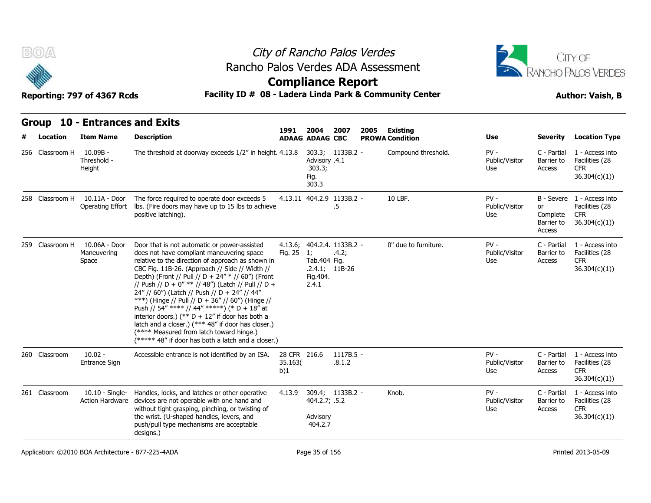



# **Compliance Report**

### Facility ID # 08 - Ladera Linda Park & Community Center<br> **Author: Vaish, B**

| Reporting: 797 of 4367 Rcds |  |  |
|-----------------------------|--|--|
|-----------------------------|--|--|

| B(0)            |                                                    | Rancho Palos Verdes ADA Assessment                                                                                                                                                                                                                                                                                                                                                                                                                                                                                                                                                                                                                                             |                                |                                          |                                                 | City of Rancho Palos Verdes |                        |                                 |                                        | CITY OF<br>RANCHO PALOS VERDES                                             |
|-----------------|----------------------------------------------------|--------------------------------------------------------------------------------------------------------------------------------------------------------------------------------------------------------------------------------------------------------------------------------------------------------------------------------------------------------------------------------------------------------------------------------------------------------------------------------------------------------------------------------------------------------------------------------------------------------------------------------------------------------------------------------|--------------------------------|------------------------------------------|-------------------------------------------------|-----------------------------|------------------------|---------------------------------|----------------------------------------|----------------------------------------------------------------------------|
|                 | Reporting: 797 of 4367 Rcds                        | Facility ID # 08 - Ladera Linda Park & Community Center                                                                                                                                                                                                                                                                                                                                                                                                                                                                                                                                                                                                                        |                                |                                          | <b>Compliance Report</b>                        |                             |                        |                                 |                                        | <b>Author: Vaish, B</b>                                                    |
|                 |                                                    |                                                                                                                                                                                                                                                                                                                                                                                                                                                                                                                                                                                                                                                                                |                                |                                          |                                                 |                             |                        |                                 |                                        |                                                                            |
|                 | Group 10 - Entrances and Exits                     |                                                                                                                                                                                                                                                                                                                                                                                                                                                                                                                                                                                                                                                                                | 1991                           | 2004                                     | 2007                                            | 2005                        | Existing               |                                 |                                        |                                                                            |
| Location        | <b>Item Name</b>                                   | <b>Description</b>                                                                                                                                                                                                                                                                                                                                                                                                                                                                                                                                                                                                                                                             |                                | <b>ADAAG ADAAG CBC</b>                   |                                                 |                             | <b>PROWA Condition</b> | Use                             | Severity                               | <b>Location Type</b>                                                       |
| 256 Classroom H | $10.09B -$<br>Threshold -<br>Height                | The threshold at doorway exceeds 1/2" in height. 4.13.8                                                                                                                                                                                                                                                                                                                                                                                                                                                                                                                                                                                                                        |                                | Advisory .4.1<br>303.3;<br>Fig.<br>303.3 | 303.3; 1133B.2 -                                |                             | Compound threshold.    | $PV -$<br>Public/Visitor<br>Use | C - Partial<br>Barrier to<br>Access    | 1 - Access into<br>Facilities (28<br><b>CFR</b><br>36.304(c)(1)            |
| 258 Classroom H | 10.11A - Door<br>Operating Effort                  | The force required to operate door exceeds 5<br>Ibs. (Fire doors may have up to 15 lbs to achieve<br>positive latching).                                                                                                                                                                                                                                                                                                                                                                                                                                                                                                                                                       |                                |                                          | 4.13.11 404.2.9 1133B.2 -<br>.5                 |                             | 10 LBF.                | $PV -$<br>Public/Visitor<br>Use | or<br>Complete<br>Barrier to<br>Access | B - Severe 1 - Access into<br>Facilities (28<br><b>CFR</b><br>36.304(c)(1) |
| 259 Classroom H | 10.06A - Door<br>Maneuvering<br>Space              | Door that is not automatic or power-assisted<br>does not have compliant maneuvering space<br>relative to the direction of approach as shown in<br>CBC Fig. 11B-26. (Approach // Side // Width //<br>Depth) (Front // Pull // D + 24" * // 60") (Front<br>// Push // D + 0" ** // 48") (Latch // Pull // D +<br>24" // 60") (Latch // Push // D + 24" // 44"<br>***) (Hinge // Pull // D + 36" // 60") (Hinge //<br>Push // 54" **** // 44" *****) (* D + 18" at<br>interior doors.) (** $D + 12$ " if door has both a<br>latch and a closer.) (*** 48" if door has closer.)<br>(**** Measured from latch toward hinge.)<br>$(****$ 48" if door has both a latch and a closer.) | 4.13.6;<br>Fig. 25             | 1;<br>Tab.404 Fig.<br>Fig. 404.<br>2.4.1 | 404.2.4. 1133B.2 -<br>.4.2;<br>$.2.4.1;$ 11B-26 |                             | 0" due to furniture.   | $PV -$<br>Public/Visitor<br>Use | C - Partial<br>Barrier to<br>Access    | 1 - Access into<br>Facilities (28<br><b>CFR</b><br>36.304(c)(1))           |
| 260 Classroom   | $10.02 -$<br>Entrance Sign                         | Accessible entrance is not identified by an ISA.                                                                                                                                                                                                                                                                                                                                                                                                                                                                                                                                                                                                                               | 28 CFR 216.6<br>35.163(<br>b)1 |                                          | $1117B.5 -$<br>.8.1.2                           |                             |                        | $PV -$<br>Public/Visitor<br>Use | C - Partial<br>Barrier to<br>Access    | 1 - Access into<br>Facilities (28<br><b>CFR</b><br>36.304(c)(1)            |
| 261 Classroom   | $10.10 -$ Single-<br><b>Action Hardware</b>        | Handles, locks, and latches or other operative<br>devices are not operable with one hand and<br>without tight grasping, pinching, or twisting of<br>the wrist. (U-shaped handles, levers, and<br>push/pull type mechanisms are acceptable<br>designs.)                                                                                                                                                                                                                                                                                                                                                                                                                         | 4.13.9                         | 404.2.7; .5.2<br>Advisory<br>404.2.7     | 309.4; 1133B.2 -                                |                             | Knob.                  | $PV -$<br>Public/Visitor<br>Use | C - Partial<br>Barrier to<br>Access    | 1 - Access into<br>Facilities (28<br><b>CFR</b><br>36.304(c)(1)            |
|                 | Application: ©2010 BOA Architecture - 877-225-4ADA |                                                                                                                                                                                                                                                                                                                                                                                                                                                                                                                                                                                                                                                                                |                                | Page 35 of 156                           |                                                 |                             |                        |                                 |                                        | Printed 2013-05-09                                                         |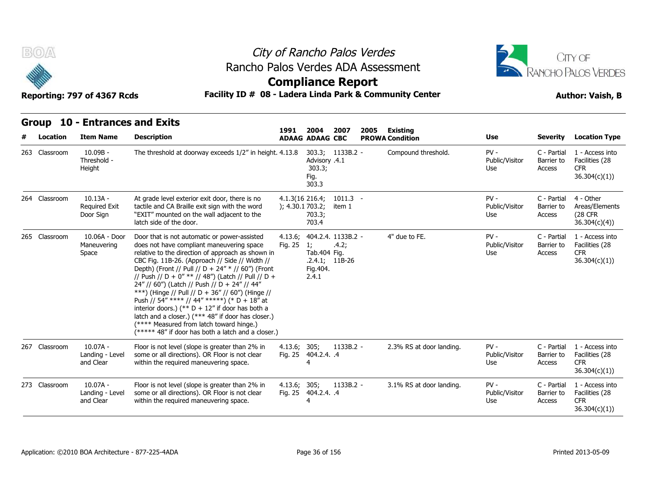



## **Compliance Report**

### Reporting: 797 of 4367 Rcds **Facility ID # 08 - Ladera Linda Park & Community Center Author: Vaish, B**

| <b>BOA</b><br>Reporting: 797 of 4367 Rcds |                          |                                                     |                                                                                                                                                                                                                                                                                                                                                                                                                                                                                                                                                                                                                                                                               | City of Rancho Palos Verdes<br>Rancho Palos Verdes ADA Assessment<br><b>Compliance Report</b><br>Facility ID # 08 - Ladera Linda Park & Community Center |                                                                |                           |      |                                           |                                 |                                     |                                                                 |  |
|-------------------------------------------|--------------------------|-----------------------------------------------------|-------------------------------------------------------------------------------------------------------------------------------------------------------------------------------------------------------------------------------------------------------------------------------------------------------------------------------------------------------------------------------------------------------------------------------------------------------------------------------------------------------------------------------------------------------------------------------------------------------------------------------------------------------------------------------|----------------------------------------------------------------------------------------------------------------------------------------------------------|----------------------------------------------------------------|---------------------------|------|-------------------------------------------|---------------------------------|-------------------------------------|-----------------------------------------------------------------|--|
|                                           | <b>Group</b><br>Location | <b>10 - Entrances and Exits</b><br><b>Item Name</b> | <b>Description</b>                                                                                                                                                                                                                                                                                                                                                                                                                                                                                                                                                                                                                                                            | 1991                                                                                                                                                     | 2004<br><b>ADAAG ADAAG CBC</b>                                 | 2007                      | 2005 | <b>Existing</b><br><b>PROWA Condition</b> | Use                             | <b>Severity</b>                     | <b>Location Type</b>                                            |  |
|                                           | 263 Classroom            | $10.09B -$<br>Threshold -<br>Height                 | The threshold at doorway exceeds 1/2" in height. 4.13.8                                                                                                                                                                                                                                                                                                                                                                                                                                                                                                                                                                                                                       |                                                                                                                                                          | Advisory .4.1<br>303.3;<br>Fig.<br>303.3                       | 303.3; 1133B.2 -          |      | Compound threshold.                       | $PV -$<br>Public/Visitor<br>Use | C - Partial<br>Barrier to<br>Access | 1 - Access into<br>Facilities (28<br><b>CFR</b><br>36.304(c)(1) |  |
|                                           | 264 Classroom            | $10.13A -$<br><b>Required Exit</b><br>Door Sign     | At grade level exterior exit door, there is no<br>tactile and CA Braille exit sign with the word<br>"EXIT" mounted on the wall adjacent to the<br>latch side of the door.                                                                                                                                                                                                                                                                                                                                                                                                                                                                                                     | $4.1.3(16\ 216.4)$<br>); 4.30.1703.2;                                                                                                                    | 703.3;<br>703.4                                                | $1011.3 -$<br>item 1      |      |                                           | $PV -$<br>Public/Visitor<br>Use | C - Partial<br>Barrier to<br>Access | 4 - Other<br>Areas/Elements<br>(28 CFR<br>36.304(c)(4))         |  |
|                                           | 265 Classroom            | 10.06A - Door<br>Maneuvering<br>Space               | Door that is not automatic or power-assisted<br>does not have compliant maneuvering space<br>relative to the direction of approach as shown in<br>CBC Fig. 11B-26. (Approach // Side // Width //<br>Depth) (Front // Pull // D + 24" * // 60") (Front<br>// Push // D + 0" ** // 48") (Latch // Pull // D +<br>24" // 60") (Latch // Push // D + 24" // 44"<br>***) (Hinge // Pull // D + 36" // 60") (Hinge //<br>Push // 54" **** // 44" *****) (* D + 18" at<br>interior doors.) (** $D + 12$ " if door has both a<br>latch and a closer.) (*** 48" if door has closer.)<br>(**** Measured from latch toward hinge.)<br>(***** 48" if door has both a latch and a closer.) | 4.13.6;<br>Fig. 25                                                                                                                                       | 404.2.4. 1133B.2 -<br>1;<br>Tab.404 Fig.<br>Fig. 404.<br>2.4.1 | .4.2;<br>$.2.4.1; 11B-26$ |      | 4" due to FE.                             | $PV -$<br>Public/Visitor<br>Use | C - Partial<br>Barrier to<br>Access | 1 - Access into<br>Facilities (28<br><b>CFR</b><br>36.304(c)(1) |  |
|                                           | 267 Classroom            | $10.07A -$<br>Landing - Level<br>and Clear          | Floor is not level (slope is greater than 2% in<br>some or all directions). OR Floor is not clear<br>within the required maneuvering space.                                                                                                                                                                                                                                                                                                                                                                                                                                                                                                                                   | 4.13.6;                                                                                                                                                  | 305;<br>Fig. 25 404.2.4. .4<br>$\overline{4}$                  | 1133B.2 -                 |      | 2.3% RS at door landing.                  | $PV -$<br>Public/Visitor<br>Use | C - Partial<br>Barrier to<br>Access | 1 - Access into<br>Facilities (28<br><b>CFR</b><br>36.304(c)(1) |  |
|                                           | 273 Classroom            | $10.07A -$<br>Landing - Level<br>and Clear          | Floor is not level (slope is greater than 2% in<br>some or all directions). OR Floor is not clear<br>within the required maneuvering space.                                                                                                                                                                                                                                                                                                                                                                                                                                                                                                                                   | 4.13.6; 305;                                                                                                                                             | Fig. 25 404.2.4. .4<br>4                                       | $1133B.2 -$               |      | 3.1% RS at door landing.                  | $PV -$<br>Public/Visitor<br>Use | C - Partial<br>Barrier to<br>Access | 1 - Access into<br>Facilities (28<br><b>CFR</b><br>36.304(c)(1) |  |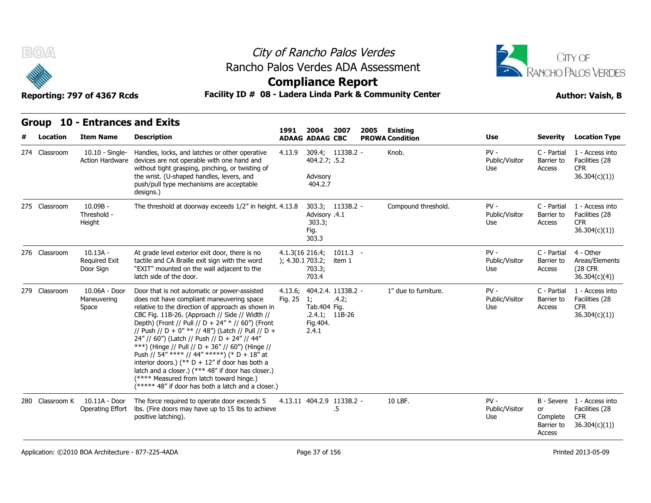



### Reporting: 797 of 4367 Rcds **Facility ID # 08 - Ladera Linda Park & Community Center Author: Vaish, B**

| <b>BO/A</b>                     | Reporting: 797 of 4367 Rcds                         | City of Rancho Palos Verdes<br>Rancho Palos Verdes ADA Assessment<br><b>Compliance Report</b><br>Facility ID # 08 - Ladera Linda Park & Community Center                                                                                                                                                                                                                                                                                                                                                                                                                                                                                                                      |                    |                                                          | CITY OF<br><b>RANCHO PALOS VERDES</b><br><b>Author: Vaish, B</b> |      |                                    |                                 |                                               |                                                                             |
|---------------------------------|-----------------------------------------------------|-------------------------------------------------------------------------------------------------------------------------------------------------------------------------------------------------------------------------------------------------------------------------------------------------------------------------------------------------------------------------------------------------------------------------------------------------------------------------------------------------------------------------------------------------------------------------------------------------------------------------------------------------------------------------------|--------------------|----------------------------------------------------------|------------------------------------------------------------------|------|------------------------------------|---------------------------------|-----------------------------------------------|-----------------------------------------------------------------------------|
| <b>Group</b><br><b>Location</b> | <b>10 - Entrances and Exits</b><br><b>Item Name</b> | <b>Description</b>                                                                                                                                                                                                                                                                                                                                                                                                                                                                                                                                                                                                                                                            | 1991               | 2004<br><b>ADAAG ADAAG CBC</b>                           | 2007                                                             | 2005 | Existing<br><b>PROWA Condition</b> | Use                             | <b>Severity</b>                               | <b>Location Type</b>                                                        |
| 274 Classroom                   | $10.10 -$ Single-<br><b>Action Hardware</b>         | Handles, locks, and latches or other operative<br>devices are not operable with one hand and<br>without tight grasping, pinching, or twisting of<br>the wrist. (U-shaped handles, levers, and<br>push/pull type mechanisms are acceptable<br>designs.)                                                                                                                                                                                                                                                                                                                                                                                                                        | 4.13.9             | 404.2.7; .5.2<br>Advisory<br>404.2.7                     | 309.4; 1133B.2 -                                                 |      | Knob.                              | $PV -$<br>Public/Visitor<br>Use | C - Partial<br>Barrier to<br>Access           | 1 - Access into<br>Facilities (28<br>CFR.<br>36.304(c)(1)                   |
| 275 Classroom                   | $10.09B -$<br>Threshold -<br>Height                 | The threshold at doorway exceeds 1/2" in height. 4.13.8                                                                                                                                                                                                                                                                                                                                                                                                                                                                                                                                                                                                                       |                    | Advisory .4.1<br>303.3;<br>Fig.<br>303.3                 | 303.3; 1133B.2 -                                                 |      | Compound threshold.                | $PV -$<br>Public/Visitor<br>Use | C - Partial<br>Barrier to<br>Access           | 1 - Access into<br>Facilities (28<br><b>CFR</b><br>36.304(c)(1)             |
| 276 Classroom                   | $10.13A -$<br><b>Required Exit</b><br>Door Sign     | At grade level exterior exit door, there is no<br>tactile and CA Braille exit sign with the word<br>"EXIT" mounted on the wall adjacent to the<br>latch side of the door.                                                                                                                                                                                                                                                                                                                                                                                                                                                                                                     |                    | $4.1.3(16\ 216.4)$<br>); 4.30.1703.2;<br>703.3;<br>703.4 | $1011.3 -$<br>item 1                                             |      |                                    | $PV -$<br>Public/Visitor<br>Use | C - Partial<br>Barrier to<br>Access           | 4 - Other<br>Areas/Elements<br>(28 CFR<br>36.304(c)(4)                      |
| 279 Classroom                   | 10.06A - Door<br>Maneuvering<br>Space               | Door that is not automatic or power-assisted<br>does not have compliant maneuvering space<br>relative to the direction of approach as shown in<br>CBC Fig. 11B-26. (Approach // Side // Width //<br>Depth) (Front // Pull // D + 24" * // 60") (Front<br>// Push // D + 0" ** // 48") (Latch // Pull // D +<br>24" // 60") (Latch // Push // D + 24" // 44"<br>***) (Hinge // Pull // D + 36" // 60") (Hinge //<br>Push // 54" **** // 44" *****) (* D + 18" at<br>interior doors.) (** $D + 12$ " if door has both a<br>latch and a closer.) (*** 48" if door has closer.)<br>(**** Measured from latch toward hinge.)<br>(***** 48" if door has both a latch and a closer.) | 4.13.6;<br>Fig. 25 | 1;<br>Tab. 404 Fig.<br>Fig. 404.<br>2.4.1                | 404.2.4. 1133B.2 -<br>.4.2;<br>$.2.4.1; 11B-26$                  |      | 1" due to furniture.               | $PV -$<br>Public/Visitor<br>Use | C - Partial<br>Barrier to<br>Access           | 1 - Access into<br>Facilities (28<br><b>CFR</b><br>36.304(c)(1)             |
| 280 Classroom K                 | 10.11A - Door<br>Operating Effort                   | The force required to operate door exceeds 5<br>lbs. (Fire doors may have up to 15 lbs to achieve<br>positive latching).                                                                                                                                                                                                                                                                                                                                                                                                                                                                                                                                                      |                    |                                                          | 4.13.11 404.2.9 1133B.2 -<br>.5                                  |      | 10 LBF.                            | $PV -$<br>Public/Visitor<br>Use | <b>or</b><br>Complete<br>Barrier to<br>Access | B - Severe 1 - Access into<br>Facilities (28<br><b>CFR</b><br>36.304(c)(1)) |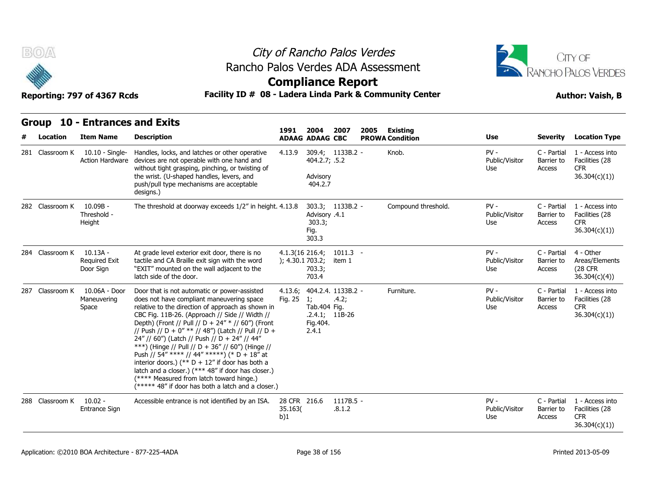



| B(0)            | Reporting: 797 of 4367 Rcds                   | City of Rancho Palos Verdes<br>Rancho Palos Verdes ADA Assessment<br><b>Compliance Report</b><br>Facility ID # 08 - Ladera Linda Park & Community Center                                                                                                                                                                                                                                                                                                                                                                                                                                                                                                                      |                                | CITY OF<br>RANCHO PALOS VERDES<br><b>Author: Vaish, B</b>   |                             |      |                        |                                 |                                     |                                                                  |
|-----------------|-----------------------------------------------|-------------------------------------------------------------------------------------------------------------------------------------------------------------------------------------------------------------------------------------------------------------------------------------------------------------------------------------------------------------------------------------------------------------------------------------------------------------------------------------------------------------------------------------------------------------------------------------------------------------------------------------------------------------------------------|--------------------------------|-------------------------------------------------------------|-----------------------------|------|------------------------|---------------------------------|-------------------------------------|------------------------------------------------------------------|
|                 | Group 10 - Entrances and Exits                |                                                                                                                                                                                                                                                                                                                                                                                                                                                                                                                                                                                                                                                                               | 1991                           | 2004                                                        | 2007                        | 2005 | Existing               |                                 |                                     |                                                                  |
| Location        | <b>Item Name</b>                              | <b>Description</b>                                                                                                                                                                                                                                                                                                                                                                                                                                                                                                                                                                                                                                                            |                                | <b>ADAAG ADAAG CBC</b>                                      |                             |      | <b>PROWA Condition</b> | Use                             | <b>Severity</b>                     | <b>Location Type</b>                                             |
| 281 Classroom K | $10.10 -$ Single-<br><b>Action Hardware</b>   | Handles, locks, and latches or other operative<br>devices are not operable with one hand and<br>without tight grasping, pinching, or twisting of<br>the wrist. (U-shaped handles, levers, and<br>push/pull type mechanisms are acceptable<br>designs.)                                                                                                                                                                                                                                                                                                                                                                                                                        | 4.13.9                         | 404.2.7; .5.2<br>Advisory<br>404.2.7                        | 309.4; 1133B.2 -            |      | Knob.                  | $PV -$<br>Public/Visitor<br>Use | C - Partial<br>Barrier to<br>Access | 1 - Access into<br>Facilities (28<br><b>CFR</b><br>36.304(c)(1)) |
| 282 Classroom K | $10.09B -$<br>Threshold -<br>Height           | The threshold at doorway exceeds 1/2" in height. 4.13.8                                                                                                                                                                                                                                                                                                                                                                                                                                                                                                                                                                                                                       |                                | Advisory .4.1<br>303.3;<br>Fig.<br>303.3                    | 303.3; 1133B.2 -            |      | Compound threshold.    | $PV -$<br>Public/Visitor<br>Use | C - Partial<br>Barrier to<br>Access | 1 - Access into<br>Facilities (28<br><b>CFR</b><br>36.304(c)(1)  |
| 284 Classroom K | 10.13A -<br><b>Required Exit</b><br>Door Sign | At grade level exterior exit door, there is no<br>tactile and CA Braille exit sign with the word<br>"EXIT" mounted on the wall adjacent to the<br>latch side of the door.                                                                                                                                                                                                                                                                                                                                                                                                                                                                                                     | ); 4.30.1703.2;                | 4.1.3(16.216.4)<br>703.3;<br>703.4                          | $1011.3 -$<br>item 1        |      |                        | $PV -$<br>Public/Visitor<br>Use | C - Partial<br>Barrier to<br>Access | 4 - Other<br>Areas/Elements<br>(28 CFR<br>36.304(c)(4)           |
| 287 Classroom K | 10.06A - Door<br>Maneuvering<br>Space         | Door that is not automatic or power-assisted<br>does not have compliant maneuvering space<br>relative to the direction of approach as shown in<br>CBC Fig. 11B-26. (Approach // Side // Width //<br>Depth) (Front // Pull // D + 24" * // 60") (Front<br>// Push // D + 0" ** // 48") (Latch // Pull // D +<br>24" // 60") (Latch // Push // D + 24" // 44"<br>***) (Hinge // Pull // D + 36" // 60") (Hinge //<br>Push // 54" **** // 44" *****) (* D + 18" at<br>interior doors.) (** $D + 12$ " if door has both a<br>latch and a closer.) (*** 48" if door has closer.)<br>(**** Measured from latch toward hinge.)<br>(***** 48" if door has both a latch and a closer.) | 4.13.6;<br>Fig. 25             | 1;<br>Tab.404 Fig.<br>$.2.4.1; 11B-26$<br>Fig.404.<br>2.4.1 | 404.2.4. 1133B.2 -<br>.4.2; |      | Furniture.             | $PV -$<br>Public/Visitor<br>Use | C - Partial<br>Barrier to<br>Access | 1 - Access into<br>Facilities (28<br><b>CFR</b><br>36.304(c)(1)  |
| 288 Classroom K | $10.02 -$<br>Entrance Sign                    | Accessible entrance is not identified by an ISA.                                                                                                                                                                                                                                                                                                                                                                                                                                                                                                                                                                                                                              | 28 CFR 216.6<br>35.163(<br>b)1 |                                                             | $1117B.5 -$<br>.8.1.2       |      |                        | $PV -$<br>Public/Visitor<br>Use | C - Partial<br>Barrier to<br>Access | 1 - Access into<br>Facilities (28<br><b>CFR</b><br>36.304(c)(1)  |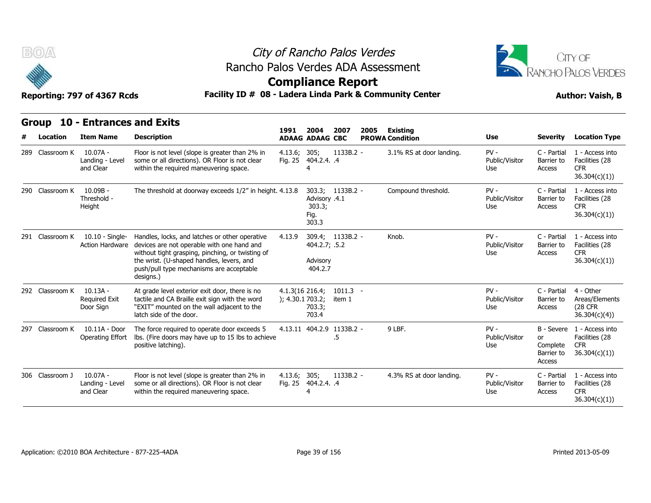

# City of Rancho Palos Verdes Rancho Palos Verdes ADA Assessment



### **Compliance Report**

| B(0)              | Reporting: 797 of 4367 Rcds                         | Rancho Palos Verdes ADA Assessment<br>Facility ID # 08 - Ladera Linda Park & Community Center                                                                                                                                                                          |                                        | City of Rancho Palos Verdes<br><b>Compliance Report</b> |                      |      |                                           |                                 | CITY OF<br><b>ANCHO PALOS VERDES</b><br><b>Author: Vaish, B</b> |                                                                            |  |
|-------------------|-----------------------------------------------------|------------------------------------------------------------------------------------------------------------------------------------------------------------------------------------------------------------------------------------------------------------------------|----------------------------------------|---------------------------------------------------------|----------------------|------|-------------------------------------------|---------------------------------|-----------------------------------------------------------------|----------------------------------------------------------------------------|--|
| Group<br>Location | <b>10 - Entrances and Exits</b><br><b>Item Name</b> | <b>Description</b>                                                                                                                                                                                                                                                     | 1991                                   | 2004<br><b>ADAAG ADAAG CBC</b>                          | 2007                 | 2005 | <b>Existing</b><br><b>PROWA Condition</b> | Use                             | <b>Severity</b>                                                 | <b>Location Type</b>                                                       |  |
| 289 Classroom K   | $10.07A -$<br>Landing - Level<br>and Clear          | Floor is not level (slope is greater than 2% in<br>some or all directions). OR Floor is not clear<br>within the required maneuvering space.                                                                                                                            | 4.13.6; 305;<br>Fig. 25                | 404.2.4. .4                                             | $1133B.2 -$          |      | 3.1% RS at door landing.                  | $PV -$<br>Public/Visitor<br>Use | C - Partial<br>Barrier to<br>Access                             | 1 - Access into<br>Facilities (28<br><b>CFR</b><br>36.304(c)(1)            |  |
| 290 Classroom K   | $10.09B -$<br>Threshold -<br>Height                 | The threshold at doorway exceeds 1/2" in height. 4.13.8                                                                                                                                                                                                                |                                        | Advisory .4.1<br>303.3;<br>Fig.<br>303.3                | 303.3; 1133B.2 -     |      | Compound threshold.                       | $PV -$<br>Public/Visitor<br>Use | C - Partial<br>Barrier to<br>Access                             | 1 - Access into<br>Facilities (28<br><b>CFR</b><br>36.304(c)(1))           |  |
| 291 Classroom K   | <b>Action Hardware</b>                              | 10.10 - Single- Handles, locks, and latches or other operative<br>devices are not operable with one hand and<br>without tight grasping, pinching, or twisting of<br>the wrist. (U-shaped handles, levers, and<br>push/pull type mechanisms are acceptable<br>designs.) | 4.13.9                                 | 404.2.7; .5.2<br>Advisory<br>404.2.7                    | 309.4; 1133B.2 -     |      | Knob.                                     | $PV -$<br>Public/Visitor<br>Use | C - Partial<br>Barrier to<br>Access                             | 1 - Access into<br>Facilities (28<br><b>CFR</b><br>36.304(c)(1)            |  |
| 292 Classroom K   | $10.13A -$<br><b>Required Exit</b><br>Door Sign     | At grade level exterior exit door, there is no<br>tactile and CA Braille exit sign with the word<br>"EXIT" mounted on the wall adjacent to the<br>latch side of the door.                                                                                              | $4.1.3(16\ 216.4)$<br>); 4.30.1 703.2; | 703.3;<br>703.4                                         | $1011.3 -$<br>item 1 |      |                                           | $PV -$<br>Public/Visitor<br>Use | C - Partial<br>Barrier to<br>Access                             | 4 - Other<br>Areas/Elements<br><b>(28 CFR)</b><br>36.304(c)(4)             |  |
| 297 Classroom K   | 10.11A - Door<br>Operating Effort                   | The force required to operate door exceeds 5<br>Ibs. (Fire doors may have up to 15 lbs to achieve<br>positive latching).                                                                                                                                               |                                        | 4.13.11 404.2.9 1133B.2 -                               | .5                   |      | 9 LBF.                                    | $PV -$<br>Public/Visitor<br>Use | or<br>Complete<br>Barrier to<br>Access                          | B - Severe 1 - Access into<br>Facilities (28<br><b>CFR</b><br>36.304(c)(1) |  |
| 306 Classroom J   | $10.07A -$<br>Landing - Level<br>and Clear          | Floor is not level (slope is greater than 2% in<br>some or all directions). OR Floor is not clear<br>within the required maneuvering space.                                                                                                                            | 4.13.6;                                | 305;<br>Fig. 25 404.2.4. .4<br>4                        | $1133B.2 -$          |      | 4.3% RS at door landing.                  | $PV -$<br>Public/Visitor<br>Use | C - Partial<br>Barrier to<br>Access                             | 1 - Access into<br>Facilities (28<br><b>CFR</b><br>36.304(c)(1)            |  |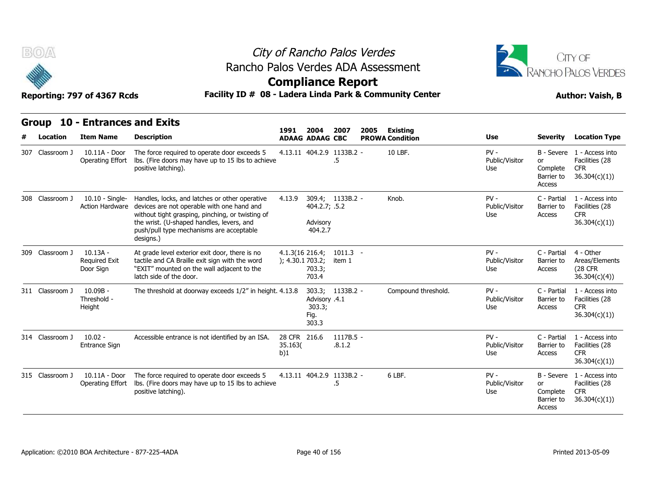

# City of Rancho Palos Verdes Rancho Palos Verdes ADA Assessment



### **Compliance Report**

| B(0)                     | Reporting: 797 of 4367 Rcds                         |                                                                                                                                                                                                                                                        | City of Rancho Palos Verdes<br>Rancho Palos Verdes ADA Assessment<br><b>Compliance Report</b><br>Facility ID # 08 - Ladera Linda Park & Community Center |                                                              |                       |      |                                           |                                 |                                               |                                                                            |  |  |
|--------------------------|-----------------------------------------------------|--------------------------------------------------------------------------------------------------------------------------------------------------------------------------------------------------------------------------------------------------------|----------------------------------------------------------------------------------------------------------------------------------------------------------|--------------------------------------------------------------|-----------------------|------|-------------------------------------------|---------------------------------|-----------------------------------------------|----------------------------------------------------------------------------|--|--|
| <b>Group</b><br>Location | <b>10 - Entrances and Exits</b><br><b>Item Name</b> | <b>Description</b>                                                                                                                                                                                                                                     | 1991                                                                                                                                                     | 2004<br><b>ADAAG ADAAG CBC</b>                               | 2007                  | 2005 | <b>Existing</b><br><b>PROWA Condition</b> | Use                             | <b>Severity</b>                               | <b>Location Type</b>                                                       |  |  |
| 307 Classroom J          | 10.11A - Door<br>Operating Effort                   | The force required to operate door exceeds 5<br>Ibs. (Fire doors may have up to 15 lbs to achieve<br>positive latching).                                                                                                                               |                                                                                                                                                          | 4.13.11 404.2.9 1133B.2 -                                    | .5                    |      | 10 LBF.                                   | $PV -$<br>Public/Visitor<br>Use | or<br>Complete<br>Barrier to<br>Access        | B - Severe 1 - Access into<br>Facilities (28<br><b>CFR</b><br>36.304(c)(1) |  |  |
| 308 Classroom J          | $10.10 -$ Single-<br><b>Action Hardware</b>         | Handles, locks, and latches or other operative<br>devices are not operable with one hand and<br>without tight grasping, pinching, or twisting of<br>the wrist. (U-shaped handles, levers, and<br>push/pull type mechanisms are acceptable<br>designs.) | 4.13.9                                                                                                                                                   | 309.4; 1133B.2 -<br>404.2.7; .5.2<br>Advisory<br>404.2.7     |                       |      | Knob.                                     | $PV -$<br>Public/Visitor<br>Use | C - Partial<br>Barrier to<br>Access           | 1 - Access into<br>Facilities (28<br><b>CFR</b><br>36.304(c)(1)            |  |  |
| 309 Classroom J          | $10.13A -$<br><b>Required Exit</b><br>Door Sign     | At grade level exterior exit door, there is no<br>tactile and CA Braille exit sign with the word<br>"EXIT" mounted on the wall adjacent to the<br>latch side of the door.                                                                              | $4.1.3(16\ 216.4)$<br>); 4.30.1703.2;                                                                                                                    | 703.3;<br>703.4                                              | $1011.3 -$<br>item 1  |      |                                           | $PV -$<br>Public/Visitor<br>Use | C - Partial<br>Barrier to<br>Access           | 4 - Other<br>Areas/Elements<br>(28 CFR<br>36.304(c)(4)                     |  |  |
| 311 Classroom J          | $10.09B -$<br>Threshold -<br>Height                 | The threshold at doorway exceeds 1/2" in height. 4.13.8                                                                                                                                                                                                |                                                                                                                                                          | 303.3; 1133B.2 -<br>Advisory .4.1<br>303.3;<br>Fig.<br>303.3 |                       |      | Compound threshold.                       | $PV -$<br>Public/Visitor<br>Use | C - Partial<br>Barrier to<br>Access           | 1 - Access into<br>Facilities (28<br>CFR.<br>36.304(c)(1))                 |  |  |
| 314 Classroom J          | $10.02 -$<br><b>Entrance Sign</b>                   | Accessible entrance is not identified by an ISA.                                                                                                                                                                                                       | 28 CFR 216.6<br>35.163(<br>b)1                                                                                                                           |                                                              | $1117B.5 -$<br>.8.1.2 |      |                                           | $PV -$<br>Public/Visitor<br>Use | C - Partial<br>Barrier to<br>Access           | 1 - Access into<br>Facilities (28<br><b>CFR</b><br>36.304(c)(1))           |  |  |
| 315 Classroom J          | 10.11A - Door<br>Operating Effort                   | The force required to operate door exceeds 5<br>Ibs. (Fire doors may have up to 15 lbs to achieve<br>positive latching).                                                                                                                               |                                                                                                                                                          | 4.13.11 404.2.9 1133B.2 -                                    | .5                    |      | 6 LBF.                                    | $PV -$<br>Public/Visitor<br>Use | <b>or</b><br>Complete<br>Barrier to<br>Access | B - Severe 1 - Access into<br>Facilities (28<br><b>CFR</b><br>36.304(c)(1) |  |  |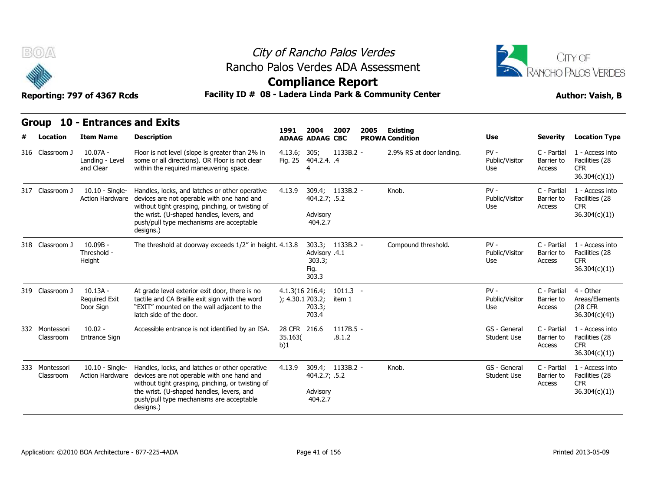



**Compliance Report**

### Reporting: 797 of 4367 Rcds **Facility ID # 08 - Ladera Linda Park & Community Center Author: Vaish, B**

|   | ÷                           | Reporting: 797 of 4367 Rcds                     | Facility ID # 08 - Ladera Linda Park & Community Center                                                                                                                                                                                                | somphanee Report                      |                                                          |                       |      |                          |                                    |                                     | <b>Author: Vaish, B</b>                                          |
|---|-----------------------------|-------------------------------------------------|--------------------------------------------------------------------------------------------------------------------------------------------------------------------------------------------------------------------------------------------------------|---------------------------------------|----------------------------------------------------------|-----------------------|------|--------------------------|------------------------------------|-------------------------------------|------------------------------------------------------------------|
|   | <b>Group</b>                | <b>10 - Entrances and Exits</b>                 |                                                                                                                                                                                                                                                        | 1991                                  | 2004                                                     | 2007                  | 2005 | Existing                 |                                    |                                     |                                                                  |
| # | Location                    | <b>Item Name</b>                                | <b>Description</b>                                                                                                                                                                                                                                     |                                       | <b>ADAAG ADAAG CBC</b>                                   |                       |      | <b>PROWA Condition</b>   | <b>Use</b>                         | <b>Severity</b>                     | <b>Location Type</b>                                             |
|   | 316 Classroom J             | $10.07A -$<br>Landing - Level<br>and Clear      | Floor is not level (slope is greater than 2% in<br>some or all directions). OR Floor is not clear<br>within the required maneuvering space.                                                                                                            | 4.13.6; 305;                          | Fig. 25 404.2.4. .4                                      | 1133B.2 -             |      | 2.9% RS at door landing. | $PV -$<br>Public/Visitor<br>Use    | C - Partial<br>Barrier to<br>Access | 1 - Access into<br>Facilities (28<br><b>CFR</b><br>36.304(c)(1)) |
|   | 317 Classroom J             | 10.10 - Single-<br>Action Hardware              | Handles, locks, and latches or other operative<br>devices are not operable with one hand and<br>without tight grasping, pinching, or twisting of<br>the wrist. (U-shaped handles, levers, and<br>push/pull type mechanisms are acceptable<br>designs.) | 4.13.9                                | 309.4; 1133B.2 -<br>404.2.7; .5.2<br>Advisory<br>404.2.7 |                       |      | Knob.                    | $PV -$<br>Public/Visitor<br>Use    | C - Partial<br>Barrier to<br>Access | 1 - Access into<br>Facilities (28<br><b>CFR</b><br>36.304(c)(1)) |
|   | 318 Classroom J             | $10.09B -$<br>Threshold -<br>Height             | The threshold at doorway exceeds 1/2" in height, 4.13.8                                                                                                                                                                                                |                                       | Advisory .4.1<br>303.3;<br>Fig.<br>303.3                 | 303.3; 1133B.2 -      |      | Compound threshold.      | $PV -$<br>Public/Visitor<br>Use    | C - Partial<br>Barrier to<br>Access | 1 - Access into<br>Facilities (28<br><b>CFR</b><br>36.304(c)(1)) |
|   | 319 Classroom J             | $10.13A -$<br><b>Required Exit</b><br>Door Sign | At grade level exterior exit door, there is no<br>tactile and CA Braille exit sign with the word<br>"EXIT" mounted on the wall adjacent to the<br>latch side of the door.                                                                              | $4.1.3(16\ 216.4)$<br>); 4.30.1703.2; | 703.3;<br>703.4                                          | $1011.3 -$<br>item 1  |      |                          | $PV -$<br>Public/Visitor<br>Use    | C - Partial<br>Barrier to<br>Access | 4 - Other<br>Areas/Elements<br><b>(28 CFR)</b><br>36.304(c)(4)   |
|   | 332 Montessori<br>Classroom | $10.02 -$<br>Entrance Sign                      | Accessible entrance is not identified by an ISA.                                                                                                                                                                                                       | 28 CFR 216.6<br>35.163(<br>b)1        |                                                          | $1117B.5 -$<br>.8.1.2 |      |                          | GS - General<br><b>Student Use</b> | C - Partial<br>Barrier to<br>Access | 1 - Access into<br>Facilities (28<br><b>CFR</b><br>36.304(c)(1)) |
|   | 333 Montessori<br>Classroom | $10.10 -$ Single-<br><b>Action Hardware</b>     | Handles, locks, and latches or other operative<br>devices are not operable with one hand and<br>without tight grasping, pinching, or twisting of<br>the wrist. (U-shaped handles, levers, and<br>push/pull type mechanisms are acceptable<br>designs.) | 4.13.9                                | 309.4; 1133B.2 -<br>404.2.7; .5.2<br>Advisory<br>404.2.7 |                       |      | Knob.                    | GS - General<br><b>Student Use</b> | C - Partial<br>Barrier to<br>Access | 1 - Access into<br>Facilities (28<br><b>CFR</b><br>36.304(c)(1)) |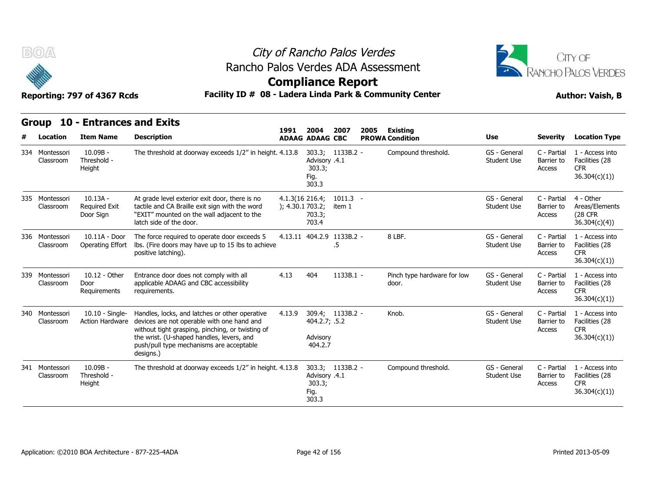



# **Compliance Report**

### Reporting: 797 of 4367 Rcds **Facility ID # 08 - Ladera Linda Park & Community Center Author: Vaish, B**

| B(0)                        | Reporting: 797 of 4367 Rcds                        | Rancho Palos Verdes ADA Assessment<br>Facility ID # 08 - Ladera Linda Park & Community Center                                                                                                                                                          |                                        | City of Rancho Palos Verdes<br><b>Compliance Report</b>      |                      |      | CITY OF<br>RANCHO PALOS VERDES<br><b>Author: Vaish, B</b> |                                    |                                     |                                                                  |
|-----------------------------|----------------------------------------------------|--------------------------------------------------------------------------------------------------------------------------------------------------------------------------------------------------------------------------------------------------------|----------------------------------------|--------------------------------------------------------------|----------------------|------|-----------------------------------------------------------|------------------------------------|-------------------------------------|------------------------------------------------------------------|
| Location                    | Group 10 - Entrances and Exits<br><b>Item Name</b> | <b>Description</b>                                                                                                                                                                                                                                     | 1991                                   | 2004<br><b>ADAAG ADAAG CBC</b>                               | 2007                 | 2005 | <b>Existing</b><br><b>PROWA Condition</b>                 | Use                                | <b>Severity</b>                     | <b>Location Type</b>                                             |
| 334 Montessori<br>Classroom | 10.09B -<br>Threshold -<br>Height                  | The threshold at doorway exceeds 1/2" in height. 4.13.8                                                                                                                                                                                                |                                        | 303.3; 1133B.2 -<br>Advisory .4.1<br>303.3;<br>Fig.<br>303.3 |                      |      | Compound threshold.                                       | GS - General<br>Student Use        | C - Partial<br>Barrier to<br>Access | 1 - Access into<br>Facilities (28<br>CFR.<br>36.304(c)(1)        |
| 335 Montessori<br>Classroom | $10.13A -$<br><b>Required Exit</b><br>Door Sign    | At grade level exterior exit door, there is no<br>tactile and CA Braille exit sign with the word<br>"EXIT" mounted on the wall adjacent to the<br>latch side of the door.                                                                              | $4.1.3(16\ 216.4)$<br>); 4.30.1 703.2; | 703.3;<br>703.4                                              | $1011.3 -$<br>item 1 |      |                                                           | GS - General<br>Student Use        | C - Partial<br>Barrier to<br>Access | 4 - Other<br>Areas/Elements<br>(28 CFR<br>36.304(c)(4)           |
| 336 Montessori<br>Classroom | 10.11A - Door<br>Operating Effort                  | The force required to operate door exceeds 5<br>lbs. (Fire doors may have up to 15 lbs to achieve<br>positive latching).                                                                                                                               |                                        | 4.13.11 404.2.9 1133B.2 -                                    | .5                   |      | 8 LBF.                                                    | GS - General<br>Student Use        | C - Partial<br>Barrier to<br>Access | 1 - Access into<br>Facilities (28<br><b>CFR</b><br>36.304(c)(1)) |
| 339 Montessori<br>Classroom | 10.12 - Other<br>Door<br>Requirements              | Entrance door does not comply with all<br>applicable ADAAG and CBC accessibility<br>requirements.                                                                                                                                                      | 4.13                                   | 404                                                          | 1133B.1 -            |      | Pinch type hardware for low<br>door.                      | GS - General<br><b>Student Use</b> | C - Partial<br>Barrier to<br>Access | 1 - Access into<br>Facilities (28<br><b>CFR</b><br>36.304(c)(1)) |
| 340 Montessori<br>Classroom | $10.10 -$ Single-<br><b>Action Hardware</b>        | Handles, locks, and latches or other operative<br>devices are not operable with one hand and<br>without tight grasping, pinching, or twisting of<br>the wrist. (U-shaped handles, levers, and<br>push/pull type mechanisms are acceptable<br>designs.) | 4.13.9                                 | 309.4; 1133B.2 -<br>404.2.7; .5.2<br>Advisory<br>404.2.7     |                      |      | Knob.                                                     | GS - General<br><b>Student Use</b> | C - Partial<br>Barrier to<br>Access | 1 - Access into<br>Facilities (28<br><b>CFR</b><br>36.304(c)(1)) |
| 341 Montessori<br>Classroom | $10.09B -$<br>Threshold -<br>Height                | The threshold at doorway exceeds 1/2" in height. 4.13.8                                                                                                                                                                                                |                                        | Advisory .4.1<br>303.3;<br>Fig.<br>303.3                     | 303.3; 1133B.2 -     |      | Compound threshold.                                       | GS - General<br><b>Student Use</b> | C - Partial<br>Barrier to<br>Access | 1 - Access into<br>Facilities (28<br><b>CFR</b><br>36.304(c)(1)  |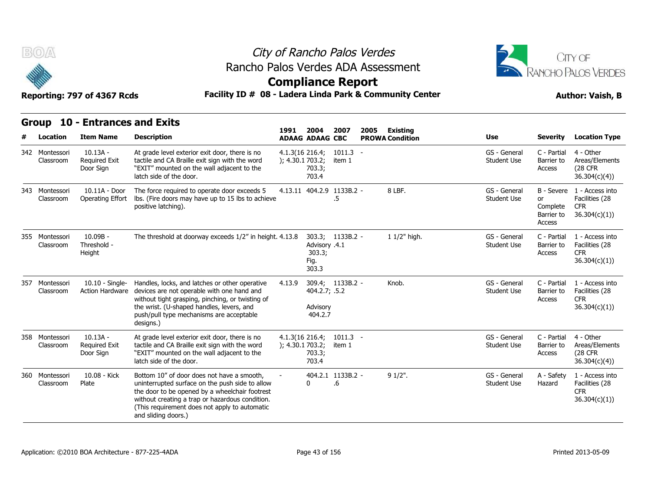



### **Compliance Report**

### Reporting: 797 of 4367 Rcds **Facility ID # 08 - Ladera Linda Park & Community Center Author: Vaish, B**

| B(0)                            | Reporting: 797 of 4367 Rcds                         | Rancho Palos Verdes ADA Assessment<br>Facility ID # 08 - Ladera Linda Park & Community Center                                                                                                                                                                              |                                        |                                          | City of Rancho Palos Verdes<br><b>Compliance Report</b> |      |                                           |                                    |                                               | CITY OF<br><b>RANCHO PALOS VERDES</b><br><b>Author: Vaish, B</b>           |  |
|---------------------------------|-----------------------------------------------------|----------------------------------------------------------------------------------------------------------------------------------------------------------------------------------------------------------------------------------------------------------------------------|----------------------------------------|------------------------------------------|---------------------------------------------------------|------|-------------------------------------------|------------------------------------|-----------------------------------------------|----------------------------------------------------------------------------|--|
| <b>Group</b><br><b>Location</b> | <b>10 - Entrances and Exits</b><br><b>Item Name</b> | <b>Description</b>                                                                                                                                                                                                                                                         | 1991                                   | 2004<br><b>ADAAG ADAAG CBC</b>           | 2007                                                    | 2005 | <b>Existing</b><br><b>PROWA Condition</b> | Use                                | <b>Severity</b>                               | <b>Location Type</b>                                                       |  |
| 342 Montessori<br>Classroom     | $10.13A -$<br>Required Exit<br>Door Sign            | At grade level exterior exit door, there is no<br>tactile and CA Braille exit sign with the word<br>"EXIT" mounted on the wall adjacent to the<br>latch side of the door.                                                                                                  | $4.1.3(16\ 216.4)$<br>); 4.30.1 703.2; | 703.3;<br>703.4                          | $1011.3 -$<br>item 1                                    |      |                                           | GS - General<br><b>Student Use</b> | C - Partial<br>Barrier to<br>Access           | 4 - Other<br>Areas/Elements<br>(28 CFR<br>36.304(c)(4))                    |  |
| 343 Montessori<br>Classroom     | 10.11A - Door<br>Operating Effort                   | The force required to operate door exceeds 5<br>Ibs. (Fire doors may have up to 15 lbs to achieve<br>positive latching).                                                                                                                                                   |                                        |                                          | 4.13.11 404.2.9 1133B.2 -<br>.5                         |      | 8 LBF.                                    | GS - General<br>Student Use        | <b>or</b><br>Complete<br>Barrier to<br>Access | B - Severe 1 - Access into<br>Facilities (28<br><b>CFR</b><br>36.304(c)(1) |  |
| 355 Montessori<br>Classroom     | $10.09B -$<br>Threshold -<br>Height                 | The threshold at doorway exceeds 1/2" in height. 4.13.8                                                                                                                                                                                                                    |                                        | Advisory .4.1<br>303.3;<br>Fig.<br>303.3 | 303.3; 1133B.2 -                                        |      | 1 1/2" high.                              | GS - General<br>Student Use        | C - Partial<br>Barrier to<br>Access           | 1 - Access into<br>Facilities (28<br><b>CFR</b><br>36.304(c)(1)            |  |
| 357 Montessori<br>Classroom     | $10.10 -$ Single-                                   | Handles, locks, and latches or other operative<br>Action Hardware devices are not operable with one hand and<br>without tight grasping, pinching, or twisting of<br>the wrist. (U-shaped handles, levers, and<br>push/pull type mechanisms are acceptable<br>designs.)     | 4.13.9                                 | 404.2.7; .5.2<br>Advisory<br>404.2.7     | 309.4; 1133B.2 -                                        |      | Knob.                                     | GS - General<br><b>Student Use</b> | C - Partial<br>Barrier to<br>Access           | 1 - Access into<br>Facilities (28<br><b>CFR</b><br>36.304(c)(1)            |  |
| 358 Montessori<br>Classroom     | $10.13A -$<br><b>Required Exit</b><br>Door Sign     | At grade level exterior exit door, there is no<br>tactile and CA Braille exit sign with the word<br>"EXIT" mounted on the wall adjacent to the<br>latch side of the door.                                                                                                  | 4.1.3(16.216.4)<br>); 4.30.1 703.2;    | 703.3;<br>703.4                          | $1011.3 -$<br>item 1                                    |      |                                           | GS - General<br>Student Use        | C - Partial<br>Barrier to<br><b>Access</b>    | 4 - Other<br>Areas/Elements<br><b>(28 CFR)</b><br>36.304(c)(4)             |  |
| 360 Montessori<br>Classroom     | 10.08 - Kick<br>Plate                               | Bottom 10" of door does not have a smooth,<br>uninterrupted surface on the push side to allow<br>the door to be opened by a wheelchair footrest<br>without creating a trap or hazardous condition.<br>(This requirement does not apply to automatic<br>and sliding doors.) |                                        | $\Omega$                                 | 404.2.1 1133B.2 -<br>.6                                 |      | $91/2$ ".                                 | GS - General<br>Student Use        | A - Safety<br>Hazard                          | 1 - Access into<br>Facilities (28<br><b>CFR</b><br>36.304(c)(1))           |  |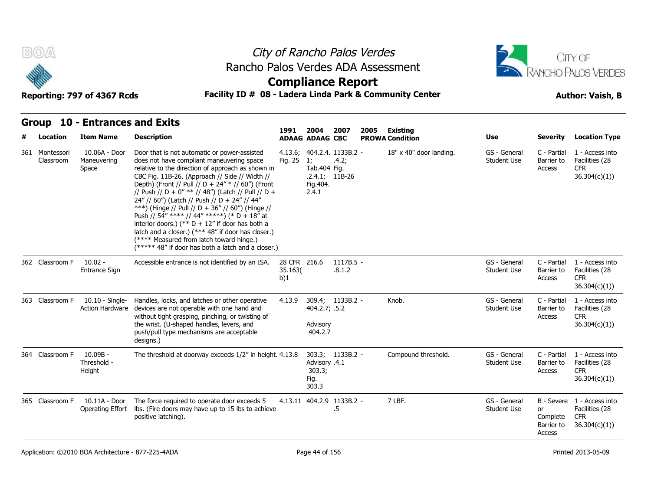



### **Compliance Report**

### Reporting: 797 of 4367 Rcds **Facility ID # 08 - Ladera Linda Park & Community Center Author: Vaish, B**

| # | Location                    | <b>Item Name</b>                         | <b>Description</b>                                                                                                                                                                                                                                                                                                                                                                                                                                                                                                                                                                                                                                                            | 1991                           | 2004<br><b>ADAAG ADAAG CBC</b>           | 2007<br>2005                                            | <b>Existing</b><br><b>PROWA Condition</b> | <b>Use</b>                         | <b>Severity</b>                               | <b>Location Type</b>                                                       |
|---|-----------------------------|------------------------------------------|-------------------------------------------------------------------------------------------------------------------------------------------------------------------------------------------------------------------------------------------------------------------------------------------------------------------------------------------------------------------------------------------------------------------------------------------------------------------------------------------------------------------------------------------------------------------------------------------------------------------------------------------------------------------------------|--------------------------------|------------------------------------------|---------------------------------------------------------|-------------------------------------------|------------------------------------|-----------------------------------------------|----------------------------------------------------------------------------|
|   | 361 Montessori<br>Classroom | 10.06A - Door<br>Maneuvering<br>Space    | Door that is not automatic or power-assisted<br>does not have compliant maneuvering space<br>relative to the direction of approach as shown in<br>CBC Fig. 11B-26. (Approach // Side // Width //<br>Depth) (Front // Pull // D + 24" * // 60") (Front<br>// Push // D + 0" ** // 48") (Latch // Pull // D +<br>24" // 60") (Latch // Push // D + 24" // 44"<br>***) (Hinge // Pull // D + 36" // 60") (Hinge //<br>Push // 54" **** // 44" *****) (* D + 18" at<br>interior doors.) (** $D + 12$ " if door has both a<br>latch and a closer.) (*** 48" if door has closer.)<br>(**** Measured from latch toward hinge.)<br>(***** 48" if door has both a latch and a closer.) | Fig. 25                        | 1;<br>Tab.404 Fig.<br>Fig. 404.<br>2.4.1 | 4.13.6; 404.2.4. 1133B.2 -<br>.4.2;<br>$.2.4.1;$ 11B-26 | 18" x 40" door landing.                   | GS - General<br><b>Student Use</b> | C - Partial<br>Barrier to<br>Access           | 1 - Access into<br>Facilities (28<br><b>CFR</b><br>36.304(c)(1))           |
|   | 362 Classroom F             | $10.02 -$<br>Entrance Sign               | Accessible entrance is not identified by an ISA.                                                                                                                                                                                                                                                                                                                                                                                                                                                                                                                                                                                                                              | 28 CFR 216.6<br>35.163(<br>b)1 |                                          | $1117B.5 -$<br>.8.1.2                                   |                                           | GS - General<br><b>Student Use</b> | C - Partial<br>Barrier to<br>Access           | 1 - Access into<br>Facilities (28<br><b>CFR</b><br>36.304(c)(1))           |
|   | 363 Classroom F             | $10.10 -$ Single-<br>Action Hardware     | Handles, locks, and latches or other operative<br>devices are not operable with one hand and<br>without tight grasping, pinching, or twisting of<br>the wrist. (U-shaped handles, levers, and<br>push/pull type mechanisms are acceptable<br>designs.)                                                                                                                                                                                                                                                                                                                                                                                                                        | 4.13.9                         | 404.2.7; .5.2<br>Advisory<br>404.2.7     | 309.4; 1133B.2 -                                        | Knob.                                     | GS - General<br>Student Use        | C - Partial<br>Barrier to<br>Access           | 1 - Access into<br>Facilities (28<br><b>CFR</b><br>36.304(c)(1)            |
|   | 364 Classroom F             | 10.09B -<br>Threshold -<br>Height        | The threshold at doorway exceeds 1/2" in height. 4.13.8                                                                                                                                                                                                                                                                                                                                                                                                                                                                                                                                                                                                                       |                                | Advisory .4.1<br>303.3;<br>Fig.<br>303.3 | 303.3; 1133B.2 -                                        | Compound threshold.                       | GS - General<br><b>Student Use</b> | C - Partial<br>Barrier to<br>Access           | 1 - Access into<br>Facilities (28<br><b>CFR</b><br>36.304(c)(1)            |
|   | 365 Classroom F             | 10.11A - Door<br><b>Operating Effort</b> | The force required to operate door exceeds 5<br>Ibs. (Fire doors may have up to 15 lbs to achieve<br>positive latching).                                                                                                                                                                                                                                                                                                                                                                                                                                                                                                                                                      |                                |                                          | 4.13.11 404.2.9 1133B.2 -<br>.5                         | 7 LBF.                                    | GS - General<br><b>Student Use</b> | <b>or</b><br>Complete<br>Barrier to<br>Access | B - Severe 1 - Access into<br>Facilities (28<br><b>CFR</b><br>36.304(c)(1) |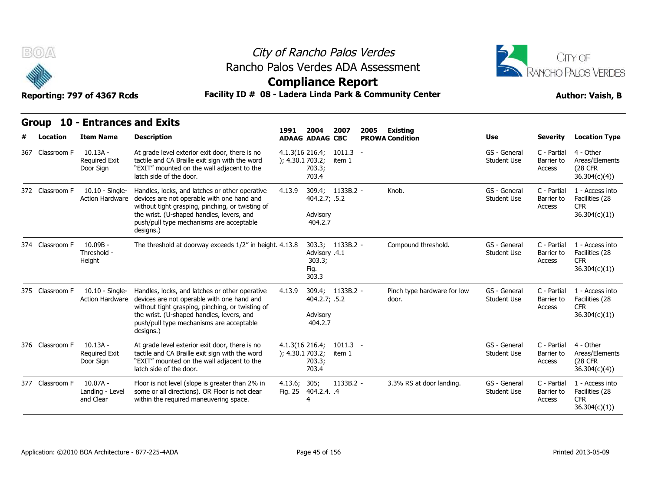



### **Compliance Report**

### Reporting: 797 of 4367 Rcds **Facility ID # 08 - Ladera Linda Park & Community Center Author: Vaish, B**

|              | ÷               | Reporting: 797 of 4367 Rcds                     | Facility ID # 08 - Ladera Linda Park & Community Center                                                                                                                                                                                                |                                        |                                          |                      |      |                                      |                                    |                                     | <b>Author: Vaish, B</b>                                          |
|--------------|-----------------|-------------------------------------------------|--------------------------------------------------------------------------------------------------------------------------------------------------------------------------------------------------------------------------------------------------------|----------------------------------------|------------------------------------------|----------------------|------|--------------------------------------|------------------------------------|-------------------------------------|------------------------------------------------------------------|
| <b>Group</b> |                 | <b>10 - Entrances and Exits</b>                 |                                                                                                                                                                                                                                                        |                                        |                                          |                      |      |                                      |                                    |                                     |                                                                  |
|              | Location        | <b>Item Name</b>                                | <b>Description</b>                                                                                                                                                                                                                                     | 1991                                   | 2004<br><b>ADAAG ADAAG CBC</b>           | 2007                 | 2005 | Existing<br><b>PROWA Condition</b>   | Use                                | Severity                            | <b>Location Type</b>                                             |
|              | 367 Classroom F | $10.13A -$<br>Required Exit<br>Door Sign        | At grade level exterior exit door, there is no<br>tactile and CA Braille exit sign with the word<br>"EXIT" mounted on the wall adjacent to the<br>latch side of the door.                                                                              | $4.1.3(16\ 216.4)$<br>); 4.30.1 703.2; | 703.3;<br>703.4                          | $1011.3 -$<br>item 1 |      |                                      | GS - General<br><b>Student Use</b> | C - Partial<br>Barrier to<br>Access | 4 - Other<br>Areas/Elements<br>(28 CFR<br>36.304(c)(4)           |
|              | 372 Classroom F | 10.10 - Single-<br>Action Hardware              | Handles, locks, and latches or other operative<br>devices are not operable with one hand and<br>without tight grasping, pinching, or twisting of<br>the wrist. (U-shaped handles, levers, and<br>push/pull type mechanisms are acceptable<br>designs.) | 4.13.9                                 | 404.2.7; .5.2<br>Advisory<br>404.2.7     | 309.4; 1133B.2 -     |      | Knob.                                | GS - General<br><b>Student Use</b> | C - Partial<br>Barrier to<br>Access | 1 - Access into<br>Facilities (28<br><b>CFR</b><br>36.304(c)(1)  |
|              | 374 Classroom F | $10.09B -$<br>Threshold -<br>Height             | The threshold at doorway exceeds 1/2" in height. 4.13.8                                                                                                                                                                                                |                                        | Advisory .4.1<br>303.3;<br>Fig.<br>303.3 | 303.3; 1133B.2 -     |      | Compound threshold.                  | GS - General<br><b>Student Use</b> | C - Partial<br>Barrier to<br>Access | 1 - Access into<br>Facilities (28<br><b>CFR</b><br>36.304(c)(1)) |
|              | 375 Classroom F | $10.10 -$ Single-<br><b>Action Hardware</b>     | Handles, locks, and latches or other operative<br>devices are not operable with one hand and<br>without tight grasping, pinching, or twisting of<br>the wrist. (U-shaped handles, levers, and<br>push/pull type mechanisms are acceptable<br>designs.) | 4.13.9                                 | 404.2.7; .5.2<br>Advisory<br>404.2.7     | 309.4; 1133B.2 -     |      | Pinch type hardware for low<br>door. | GS - General<br><b>Student Use</b> | C - Partial<br>Barrier to<br>Access | 1 - Access into<br>Facilities (28<br><b>CFR</b><br>36.304(c)(1)) |
|              | 376 Classroom F | $10.13A -$<br><b>Required Exit</b><br>Door Sign | At grade level exterior exit door, there is no<br>tactile and CA Braille exit sign with the word<br>"EXIT" mounted on the wall adjacent to the<br>latch side of the door.                                                                              | $4.1.3(16\ 216.4)$<br>); 4.30.1 703.2; | 703.3;<br>703.4                          | $1011.3 -$<br>item 1 |      |                                      | GS - General<br><b>Student Use</b> | C - Partial<br>Barrier to<br>Access | 4 - Other<br>Areas/Elements<br><b>(28 CFR)</b><br>36.304(c)(4)   |
|              | 377 Classroom F | $10.07A -$<br>Landing - Level<br>and Clear      | Floor is not level (slope is greater than 2% in<br>some or all directions). OR Floor is not clear<br>within the required maneuvering space.                                                                                                            | 4.13.6; 305;                           | Fig. 25 404.2.4. .4<br>4                 | $1133B.2 -$          |      | 3.3% RS at door landing.             | GS - General<br><b>Student Use</b> | C - Partial<br>Barrier to<br>Access | 1 - Access into<br>Facilities (28<br><b>CFR</b><br>36.304(c)(1)) |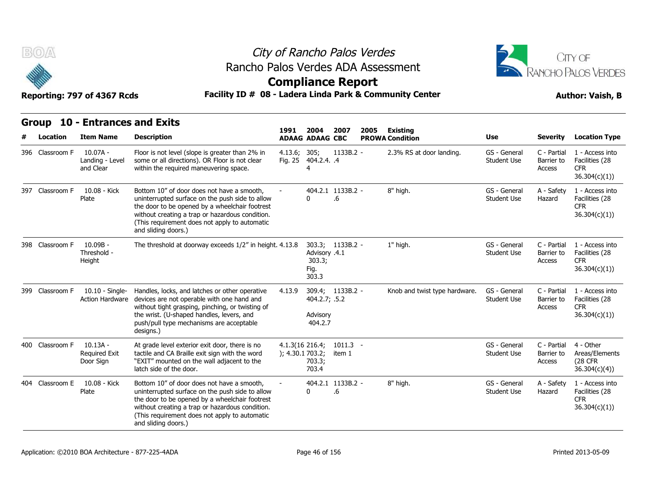



### Reporting: 797 of 4367 Rcds **Facility ID # 08 - Ladera Linda Park & Community Center Author: Vaish, B**

| BOA<br>Reporting: 797 of 4367 Rcds              |                                          | Rancho Palos Verdes ADA Assessment<br>Facility ID # 08 - Ladera Linda Park & Community Center                                                                                                     | City of Rancho Palos Verdes<br><b>Compliance Report</b> |                   |             |      |                                    |                             |                                     | CITY OF<br>RANCHO PALOS VERDES<br><b>Author: Vaish, B</b>       |
|-------------------------------------------------|------------------------------------------|---------------------------------------------------------------------------------------------------------------------------------------------------------------------------------------------------|---------------------------------------------------------|-------------------|-------------|------|------------------------------------|-----------------------------|-------------------------------------|-----------------------------------------------------------------|
| Group 10 - Entrances and Exits<br>Location<br># | <b>Item Name</b>                         | <b>Description</b>                                                                                                                                                                                | 1991<br><b>ADAAG ADAAG CBC</b>                          | 2004              | 2007        | 2005 | Existing<br><b>PROWA Condition</b> | <b>Use</b>                  | Severity                            | <b>Location Type</b>                                            |
| 396 Classroom F                                 | 10.07A -<br>Landing - Level<br>and Clear | Floor is not level (slope is greater than 2% in<br>some or all directions). OR Floor is not clear<br>within the required maneuvering space.                                                       | 4.13.6; 305;<br>Fig. 25 404.2.4. .4                     |                   | $1133B.2 -$ |      | 2.3% RS at door landing.           | GS - General<br>Student Use | C - Partial<br>Barrier to<br>Access | 1 - Access into<br>Facilities (28<br><b>CFR</b><br>36.304(c)(1) |
| 397<br>Classroom F                              | 10.08 - Kick<br>Plate                    | Bottom 10" of door does not have a smooth,<br>uninterrupted surface on the push side to allow<br>the door to be opened by a wheelchair footrest<br>without creating a trap or hazardous condition | $\overline{\phantom{a}}$<br>0                           | 404.2.1 1133B.2 - | .b          |      | 8" high.                           | GS - General<br>Student Use | A - Safety<br>Hazard                | 1 - Access into<br>Facilities (28<br><b>CFR</b><br>36.304(r)(1) |

|                 |                                                 |                                                                                                                                                                                                                                                                            |                                       | ADAAG ADAAG UDU                          |                         | <b>FRUWA CONTROLL</b>         |                                    |                                     | LUCULIUII I JPC                                                  |
|-----------------|-------------------------------------------------|----------------------------------------------------------------------------------------------------------------------------------------------------------------------------------------------------------------------------------------------------------------------------|---------------------------------------|------------------------------------------|-------------------------|-------------------------------|------------------------------------|-------------------------------------|------------------------------------------------------------------|
| 396 Classroom F | $10.07A -$<br>Landing - Level<br>and Clear      | Floor is not level (slope is greater than 2% in<br>some or all directions). OR Floor is not clear<br>within the required maneuvering space.                                                                                                                                | 4.13.6;<br>Fig. 25                    | 305;<br>404.2.4. .4                      | $1133B.2 -$             | 2.3% RS at door landing.      | GS - General<br><b>Student Use</b> | C - Partial<br>Barrier to<br>Access | 1 - Access into<br>Facilities (28<br><b>CFR</b><br>36.304(c)(1)) |
| 397 Classroom F | 10.08 - Kick<br>Plate                           | Bottom 10" of door does not have a smooth,<br>uninterrupted surface on the push side to allow<br>the door to be opened by a wheelchair footrest<br>without creating a trap or hazardous condition.<br>(This requirement does not apply to automatic<br>and sliding doors.) | $\overline{\phantom{a}}$              | $\Omega$                                 | 404.2.1 1133B.2 -<br>.6 | 8" high.                      | GS - General<br><b>Student Use</b> | A - Safety<br>Hazard                | 1 - Access into<br>Facilities (28<br><b>CFR</b><br>36.304(c)(1)) |
| 398 Classroom F | 10.09B -<br>Threshold -<br>Height               | The threshold at doorway exceeds 1/2" in height. 4.13.8                                                                                                                                                                                                                    |                                       | Advisory .4.1<br>303.3;<br>Fig.<br>303.3 | 303.3; 1133B.2 -        | 1" high.                      | GS - General<br><b>Student Use</b> | C - Partial<br>Barrier to<br>Access | 1 - Access into<br>Facilities (28<br><b>CFR</b><br>36.304(c)(1)) |
| 399 Classroom F | 10.10 - Single-<br><b>Action Hardware</b>       | Handles, locks, and latches or other operative<br>devices are not operable with one hand and<br>without tight grasping, pinching, or twisting of<br>the wrist. (U-shaped handles, levers, and<br>push/pull type mechanisms are acceptable<br>designs.)                     | 4.13.9                                | 404.2.7; .5.2<br>Advisory<br>404.2.7     | 309.4; 1133B.2 -        | Knob and twist type hardware. | GS - General<br><b>Student Use</b> | C - Partial<br>Barrier to<br>Access | 1 - Access into<br>Facilities (28<br><b>CFR</b><br>36.304(c)(1)  |
| 400 Classroom F | $10.13A -$<br><b>Required Exit</b><br>Door Sign | At grade level exterior exit door, there is no<br>tactile and CA Braille exit sign with the word<br>"EXIT" mounted on the wall adjacent to the<br>latch side of the door.                                                                                                  | $4.1.3(16\ 216.4)$<br>); 4.30.1703.2; | 703.3;<br>703.4                          | $1011.3 -$<br>item 1    |                               | GS - General<br><b>Student Use</b> | C - Partial<br>Barrier to<br>Access | 4 - Other<br>Areas/Elements<br>(28 CFR)<br>36.304(c)(4)          |
| 404 Classroom E | 10.08 - Kick<br>Plate                           | Bottom 10" of door does not have a smooth.<br>uninterrupted surface on the push side to allow<br>the door to be opened by a wheelchair footrest<br>without creating a trap or hazardous condition.<br>(This requirement does not apply to automatic<br>and sliding doors.) |                                       | $\Omega$                                 | 404.2.1 1133B.2 -<br>.6 | 8" high.                      | GS - General<br><b>Student Use</b> | A - Safety<br>Hazard                | 1 - Access into<br>Facilities (28<br><b>CFR</b><br>36.304(c)(1)  |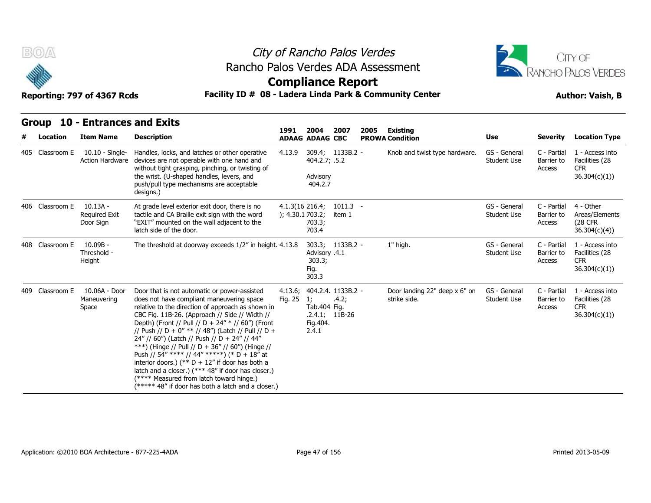



### **Compliance Report**

### Reporting: 797 of 4367 Rcds **Facility ID # 08 - Ladera Linda Park & Community Center Author: Vaish, B**

|                 | Group 10 - Entrances and Exits                  |                                                                                                                                                                                                                                                                                                                                                                                                                                                                                                                                                                                                                                                                               |                 |                                                                       |                           |      |                                               |                                    |                                     |                                                                  |
|-----------------|-------------------------------------------------|-------------------------------------------------------------------------------------------------------------------------------------------------------------------------------------------------------------------------------------------------------------------------------------------------------------------------------------------------------------------------------------------------------------------------------------------------------------------------------------------------------------------------------------------------------------------------------------------------------------------------------------------------------------------------------|-----------------|-----------------------------------------------------------------------|---------------------------|------|-----------------------------------------------|------------------------------------|-------------------------------------|------------------------------------------------------------------|
| Location        | <b>Item Name</b>                                | <b>Description</b>                                                                                                                                                                                                                                                                                                                                                                                                                                                                                                                                                                                                                                                            | 1991            | 2004<br><b>ADAAG ADAAG CBC</b>                                        | 2007                      | 2005 | Existing<br><b>PROWA Condition</b>            | <b>Use</b>                         | <b>Severity</b>                     | <b>Location Type</b>                                             |
| 405 Classroom E | 10.10 - Single-<br><b>Action Hardware</b>       | Handles, locks, and latches or other operative<br>devices are not operable with one hand and<br>without tight grasping, pinching, or twisting of<br>the wrist. (U-shaped handles, levers, and<br>push/pull type mechanisms are acceptable<br>designs.)                                                                                                                                                                                                                                                                                                                                                                                                                        | 4.13.9          | 404.2.7; .5.2<br>Advisory<br>404.2.7                                  | 309.4; 1133B.2 -          |      | Knob and twist type hardware.                 | GS - General<br><b>Student Use</b> | C - Partial<br>Barrier to<br>Access | 1 - Access into<br>Facilities (28<br><b>CFR</b><br>36.304(c)(1)  |
| 406 Classroom E | $10.13A -$<br><b>Required Exit</b><br>Door Sign | At grade level exterior exit door, there is no<br>tactile and CA Braille exit sign with the word<br>"EXIT" mounted on the wall adjacent to the<br>latch side of the door.                                                                                                                                                                                                                                                                                                                                                                                                                                                                                                     | ); 4.30.1703.2; | $4.1.3(16\ 216.4)$<br>703.3;<br>703.4                                 | $1011.3 -$<br>item 1      |      |                                               | GS - General<br><b>Student Use</b> | C - Partial<br>Barrier to<br>Access | 4 - Other<br>Areas/Elements<br><b>(28 CFR)</b><br>36.304(c)(4)   |
| 408 Classroom E | $10.09B -$<br>Threshold -<br>Height             | The threshold at doorway exceeds 1/2" in height. 4.13.8                                                                                                                                                                                                                                                                                                                                                                                                                                                                                                                                                                                                                       |                 | Advisory .4.1<br>303.3;<br>Fig.<br>303.3                              | 303.3; 1133B.2 -          |      | 1" high.                                      | GS - General<br><b>Student Use</b> | C - Partial<br>Barrier to<br>Access | 1 - Access into<br>Facilities (28<br><b>CFR</b><br>36.304(c)(1)  |
| 409 Classroom E | 10.06A - Door<br>Maneuvering<br>Space           | Door that is not automatic or power-assisted<br>does not have compliant maneuvering space<br>relative to the direction of approach as shown in<br>CBC Fig. 11B-26. (Approach // Side // Width //<br>Depth) (Front // Pull // D + 24" * // 60") (Front<br>// Push // D + 0" ** // 48") (Latch // Pull // D +<br>24" // 60") (Latch // Push // D + 24" // 44"<br>***) (Hinge // Pull // D + 36" // 60") (Hinge //<br>Push // 54" **** // 44" *****) (* D + 18" at<br>interior doors.) (** $D + 12$ " if door has both a<br>latch and a closer.) (*** 48" if door has closer.)<br>(**** Measured from latch toward hinge.)<br>(***** 48" if door has both a latch and a closer.) | Fig. 25         | 4.13.6; 404.2.4. 1133B.2 -<br>1;<br>Tab.404 Fig.<br>Fig.404.<br>2.4.1 | .4.2;<br>$.2.4.1; 11B-26$ |      | Door landing 22" deep x 6" on<br>strike side. | GS - General<br><b>Student Use</b> | C - Partial<br>Barrier to<br>Access | 1 - Access into<br>Facilities (28<br><b>CFR</b><br>36.304(c)(1)) |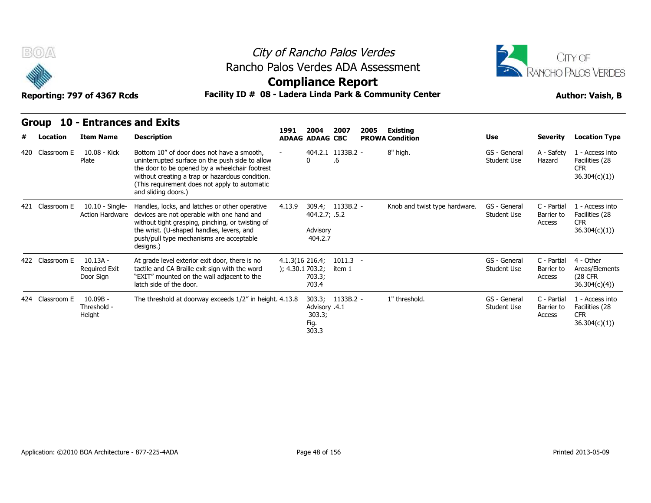



### **Compliance Report**

### Reporting: 797 of 4367 Rcds **Facility ID # 08 - Ladera Linda Park & Community Center Author: Vaish, B**

| #   | Group<br>Location | 10 - Entrances and Exits<br><b>Item Name</b>    | <b>Description</b>                                                                                                                                                                                                                                                         | 1991            | 2004<br><b>ADAAG ADAAG CBC</b>                           | 2007                    | 2005 | Existing<br><b>PROWA Condition</b> | Use                                | <b>Severity</b>                     | <b>Location Type</b>                                            |
|-----|-------------------|-------------------------------------------------|----------------------------------------------------------------------------------------------------------------------------------------------------------------------------------------------------------------------------------------------------------------------------|-----------------|----------------------------------------------------------|-------------------------|------|------------------------------------|------------------------------------|-------------------------------------|-----------------------------------------------------------------|
| 420 | Classroom E       | 10.08 - Kick<br>Plate                           | Bottom 10" of door does not have a smooth,<br>uninterrupted surface on the push side to allow<br>the door to be opened by a wheelchair footrest<br>without creating a trap or hazardous condition.<br>(This requirement does not apply to automatic<br>and sliding doors.) |                 |                                                          | 404.2.1 1133B.2 -<br>.6 |      | 8" high.                           | GS - General<br><b>Student Use</b> | A - Safety<br>Hazard                | 1 - Access into<br>Facilities (28<br><b>CFR</b><br>36.304(c)(1) |
|     | 421 Classroom E   | 10.10 - Single-<br><b>Action Hardware</b>       | Handles, locks, and latches or other operative<br>devices are not operable with one hand and<br>without tight grasping, pinching, or twisting of<br>the wrist. (U-shaped handles, levers, and<br>push/pull type mechanisms are acceptable<br>designs.)                     | 4.13.9          | 309.4; 1133B.2 -<br>404.2.7; .5.2<br>Advisory<br>404.2.7 |                         |      | Knob and twist type hardware.      | GS - General<br><b>Student Use</b> | C - Partial<br>Barrier to<br>Access | 1 - Access into<br>Facilities (28<br><b>CFR</b><br>36.304(c)(1) |
|     | 422 Classroom E   | $10.13A -$<br><b>Required Exit</b><br>Door Sign | At grade level exterior exit door, there is no<br>tactile and CA Braille exit sign with the word<br>"EXIT" mounted on the wall adjacent to the<br>latch side of the door.                                                                                                  | ); 4.30.1703.2; | $4.1.3(16\ 216.4)$<br>703.3;<br>703.4                    | $1011.3 -$<br>item 1    |      |                                    | GS - General<br><b>Student Use</b> | C - Partial<br>Barrier to<br>Access | 4 - Other<br>Areas/Elements<br>(28 CFR<br>36.304(c)(4)          |
|     | 424 Classroom E   | $10.09B -$<br>Threshold -<br>Height             | The threshold at doorway exceeds 1/2" in height. 4.13.8                                                                                                                                                                                                                    |                 | Advisory .4.1<br>303.3;<br>Fig.<br>303.3                 | 303.3; 1133B.2 -        |      | 1" threshold.                      | GS - General<br><b>Student Use</b> | C - Partial<br>Barrier to<br>Access | 1 - Access into<br>Facilities (28<br><b>CFR</b><br>36.304(c)(1) |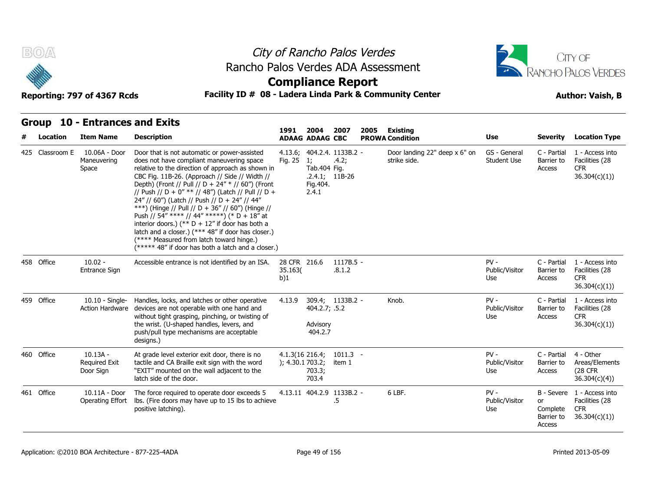



### **Compliance Report**

### Reporting: 797 of 4367 Rcds **Facility ID # 08 - Ladera Linda Park & Community Center Author: Vaish, B**

**1991** 

| # | Location        | <b>Item Name</b>                                | <b>Description</b>                                                                                                                                                                                                                                                                                                                                                                                                                                                                                                                                                                                                                                                            | 1991                               | 2004<br><b>ADAAG ADAAG CBC</b>          | 2007                                                    | 2005 | Existing<br><b>PROWA Condition</b>            | <b>Use</b>                         | <b>Severity</b>                                             | <b>Location Type</b>                                             |
|---|-----------------|-------------------------------------------------|-------------------------------------------------------------------------------------------------------------------------------------------------------------------------------------------------------------------------------------------------------------------------------------------------------------------------------------------------------------------------------------------------------------------------------------------------------------------------------------------------------------------------------------------------------------------------------------------------------------------------------------------------------------------------------|------------------------------------|-----------------------------------------|---------------------------------------------------------|------|-----------------------------------------------|------------------------------------|-------------------------------------------------------------|------------------------------------------------------------------|
|   | 425 Classroom E | 10.06A - Door<br>Maneuvering<br>Space           | Door that is not automatic or power-assisted<br>does not have compliant maneuvering space<br>relative to the direction of approach as shown in<br>CBC Fig. 11B-26. (Approach // Side // Width //<br>Depth) (Front // Pull // D + 24" * // 60") (Front<br>// Push // D + 0" ** // 48") (Latch // Pull // D +<br>24" // 60") (Latch // Push // D + 24" // 44"<br>***) (Hinge // Pull // D + 36" // 60") (Hinge //<br>Push // 54" **** // 44" *****) (* D + 18" at<br>interior doors.) (** $D + 12$ " if door has both a<br>latch and a closer.) (*** 48" if door has closer.)<br>(**** Measured from latch toward hinge.)<br>(***** 48" if door has both a latch and a closer.) | Fig. 25                            | 1:<br>Tab.404 Fig.<br>Fig.404.<br>2.4.1 | 4.13.6; 404.2.4. 1133B.2 -<br>.4.2;<br>$.2.4.1; 11B-26$ |      | Door landing 22" deep x 6" on<br>strike side. | GS - General<br><b>Student Use</b> | C - Partial<br>Barrier to<br>Access                         | 1 - Access into<br>Facilities (28<br><b>CFR</b><br>36.304(c)(1)) |
|   | 458 Office      | $10.02 -$<br><b>Entrance Sign</b>               | Accessible entrance is not identified by an ISA.                                                                                                                                                                                                                                                                                                                                                                                                                                                                                                                                                                                                                              | 28 CFR 216.6<br>35.163(<br>b)1     |                                         | $1117B.5 -$<br>.8.1.2                                   |      |                                               | $PV -$<br>Public/Visitor<br>Use    | C - Partial<br>Barrier to<br>Access                         | 1 - Access into<br>Facilities (28<br><b>CFR</b><br>36.304(c)(1)  |
|   | 459 Office      | $10.10 -$ Single-<br><b>Action Hardware</b>     | Handles, locks, and latches or other operative<br>devices are not operable with one hand and<br>without tight grasping, pinching, or twisting of<br>the wrist. (U-shaped handles, levers, and<br>push/pull type mechanisms are acceptable<br>designs.)                                                                                                                                                                                                                                                                                                                                                                                                                        | 4.13.9                             | 404.2.7; .5.2<br>Advisory<br>404.2.7    | 309.4; 1133B.2 -                                        |      | Knob.                                         | $PV -$<br>Public/Visitor<br>Use    | C - Partial<br>Barrier to<br>Access                         | 1 - Access into<br>Facilities (28<br><b>CFR</b><br>36.304(c)(1)  |
|   | 460 Office      | $10.13A -$<br><b>Required Exit</b><br>Door Sign | At grade level exterior exit door, there is no<br>tactile and CA Braille exit sign with the word<br>"EXIT" mounted on the wall adjacent to the<br>latch side of the door.                                                                                                                                                                                                                                                                                                                                                                                                                                                                                                     | 4.1.3(16 216.4;<br>); 4.30.1703.2; | 703.3;<br>703.4                         | $1011.3 -$<br>item 1                                    |      |                                               | $PV -$<br>Public/Visitor<br>Use    | C - Partial<br>Barrier to<br>Access                         | 4 - Other<br>Areas/Elements<br>(28 CFR)<br>36.304(c)(4))         |
|   | 461 Office      | 10.11A - Door<br>Operating Effort               | The force required to operate door exceeds 5<br>Ibs. (Fire doors may have up to 15 lbs to achieve<br>positive latching).                                                                                                                                                                                                                                                                                                                                                                                                                                                                                                                                                      |                                    |                                         | 4.13.11 404.2.9 1133B.2 -<br>.5                         |      | 6 LBF.                                        | $PV -$<br>Public/Visitor<br>Use    | B - Severe<br><b>or</b><br>Complete<br>Barrier to<br>Access | 1 - Access into<br>Facilities (28<br><b>CFR</b><br>36.304(c)(1)  |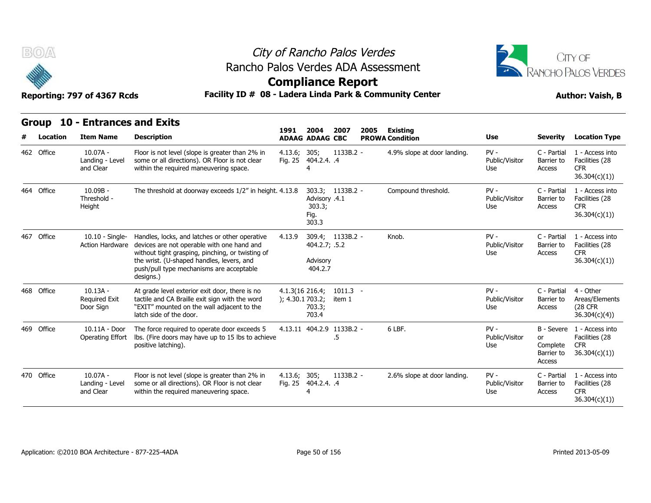

### City of Rancho Palos Verdes Rancho Palos Verdes ADA Assessment



| B(0/A)     | Reporting: 797 of 4367 Rcds                        | Rancho Palos Verdes ADA Assessment<br>Facility ID # 08 - Ladera Linda Park & Community Center                                                                                                                                                          |                                     | City of Rancho Palos Verdes<br><b>Compliance Report</b> |                      |      |                                           |                                 |                                        | CITY OF<br><b>RANCHO PALOS VERDES</b><br><b>Author: Vaish, B</b>           |
|------------|----------------------------------------------------|--------------------------------------------------------------------------------------------------------------------------------------------------------------------------------------------------------------------------------------------------------|-------------------------------------|---------------------------------------------------------|----------------------|------|-------------------------------------------|---------------------------------|----------------------------------------|----------------------------------------------------------------------------|
| Location   | Group 10 - Entrances and Exits<br><b>Item Name</b> | <b>Description</b>                                                                                                                                                                                                                                     | 1991                                | 2004<br><b>ADAAG ADAAG CBC</b>                          | 2007                 | 2005 | <b>Existing</b><br><b>PROWA Condition</b> | Use                             | <b>Severity</b>                        | <b>Location Type</b>                                                       |
| 462 Office | $10.07A -$<br>Landing - Level<br>and Clear         | Floor is not level (slope is greater than 2% in<br>some or all directions). OR Floor is not clear<br>within the required maneuvering space.                                                                                                            | 4.13.6; 305;                        | Fig. 25 404.2.4. .4                                     | 1133B.2 -            |      | 4.9% slope at door landing.               | $PV -$<br>Public/Visitor<br>Use | C - Partial<br>Barrier to<br>Access    | 1 - Access into<br>Facilities (28<br><b>CFR</b><br>36.304(c)(1)            |
| 464 Office | $10.09B -$<br>Threshold -<br>Height                | The threshold at doorway exceeds 1/2" in height. 4.13.8                                                                                                                                                                                                |                                     | Advisory .4.1<br>303.3;<br>Fig.<br>303.3                | 303.3; 1133B.2 -     |      | Compound threshold.                       | $PV -$<br>Public/Visitor<br>Use | C - Partial<br>Barrier to<br>Access    | 1 - Access into<br>Facilities (28<br><b>CFR</b><br>36.304(c)(1)            |
| 467 Office | $10.10 -$ Single-<br>Action Hardware               | Handles, locks, and latches or other operative<br>devices are not operable with one hand and<br>without tight grasping, pinching, or twisting of<br>the wrist. (U-shaped handles, levers, and<br>push/pull type mechanisms are acceptable<br>designs.) | 4.13.9                              | 404.2.7; .5.2<br>Advisory<br>404.2.7                    | 309.4; 1133B.2 -     |      | Knob.                                     | $PV -$<br>Public/Visitor<br>Use | C - Partial<br>Barrier to<br>Access    | 1 - Access into<br>Facilities (28<br><b>CFR</b><br>36.304(c)(1))           |
| 468 Office | $10.13A -$<br><b>Required Exit</b><br>Door Sign    | At grade level exterior exit door, there is no<br>tactile and CA Braille exit sign with the word<br>"EXIT" mounted on the wall adjacent to the<br>latch side of the door.                                                                              | 4.1.3(16 216.4;<br>); 4.30.1 703.2; | 703.3;<br>703.4                                         | $1011.3 -$<br>item 1 |      |                                           | $PV -$<br>Public/Visitor<br>Use | C - Partial<br>Barrier to<br>Access    | 4 - Other<br>Areas/Elements<br><b>(28 CFR)</b><br>36.304(c)(4)             |
| 469 Office | 10.11A - Door<br>Operating Effort                  | The force required to operate door exceeds 5<br>Ibs. (Fire doors may have up to 15 lbs to achieve<br>positive latching).                                                                                                                               |                                     | 4.13.11 404.2.9 1133B.2 -                               | .5                   |      | 6 LBF.                                    | $PV -$<br>Public/Visitor<br>Use | or<br>Complete<br>Barrier to<br>Access | B - Severe 1 - Access into<br>Facilities (28<br><b>CFR</b><br>36.304(c)(1) |
| 470 Office | $10.07A -$<br>Landing - Level<br>and Clear         | Floor is not level (slope is greater than 2% in<br>some or all directions). OR Floor is not clear<br>within the required maneuvering space.                                                                                                            | 4.13.6; 305;                        | Fig. 25 404.2.4. .4                                     | 1133B.2 -            |      | 2.6% slope at door landing.               | $PV -$<br>Public/Visitor<br>Use | C - Partial<br>Barrier to<br>Access    | 1 - Access into<br>Facilities (28<br><b>CFR</b><br>36.304(c)(1)            |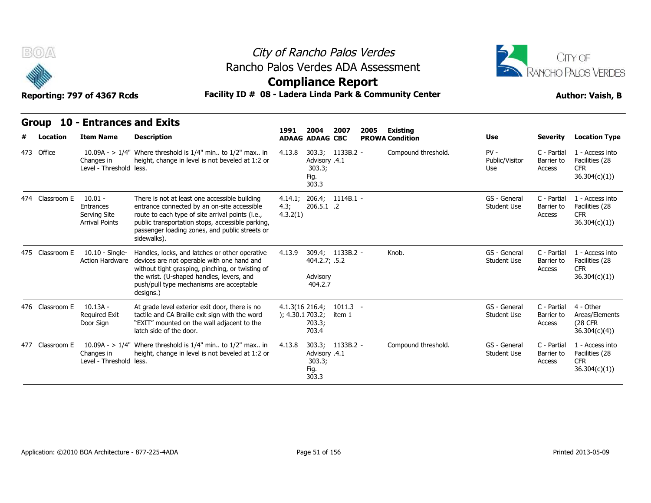



### **Compliance Report**

### Reporting: 797 of 4367 Rcds **Facility ID # 08 - Ladera Linda Park & Community Center Author: Vaish, B**

| אטא <i>נ</i> טכ <del>ר</del> וט <i>נדו</i> נוווען וט |  |  |  |
|------------------------------------------------------|--|--|--|
|                                                      |  |  |  |

| B(0)<br>Reporting: 797 of 4367 Rcds<br><b>10 - Entrances and Exits</b><br>Group |                                                                 | Rancho Palos Verdes ADA Assessment<br>Facility ID # 08 - Ladera Linda Park & Community Center                                                                                                                                                                         | City of Rancho Palos Verdes<br><b>Compliance Report</b> |                                                        |                      |      | CITY OF<br>RANCHO PALOS VERDES<br><b>Author: Vaish, B</b> |                                    |                                     |                                                                 |
|---------------------------------------------------------------------------------|-----------------------------------------------------------------|-----------------------------------------------------------------------------------------------------------------------------------------------------------------------------------------------------------------------------------------------------------------------|---------------------------------------------------------|--------------------------------------------------------|----------------------|------|-----------------------------------------------------------|------------------------------------|-------------------------------------|-----------------------------------------------------------------|
| Location                                                                        | <b>Item Name</b>                                                | <b>Description</b>                                                                                                                                                                                                                                                    | 1991                                                    | 2004<br><b>ADAAG ADAAG CBC</b>                         | 2007                 | 2005 | <b>Existing</b><br><b>PROWA Condition</b>                 | Use                                | <b>Severity</b>                     | <b>Location Type</b>                                            |
| 473 Office                                                                      | Changes in<br>Level - Threshold less.                           | 10.09A - > $1/4$ " Where threshold is $1/4$ " min to $1/2$ " max in<br>height, change in level is not beveled at 1:2 or                                                                                                                                               | 4.13.8                                                  | Advisory .4.1<br>303.3;<br>Fig.<br>303.3               | 303.3; 1133B.2 -     |      | Compound threshold.                                       | $PV -$<br>Public/Visitor<br>Use    | C - Partial<br>Barrier to<br>Access | 1 - Access into<br>Facilities (28<br><b>CFR</b><br>36.304(c)(1) |
| 474 Classroom E                                                                 | $10.01 -$<br>Entrances<br>Serving Site<br><b>Arrival Points</b> | There is not at least one accessible building<br>entrance connected by an on-site accessible<br>route to each type of site arrival points (i.e.,<br>public transportation stops, accessible parking,<br>passenger loading zones, and public streets or<br>sidewalks). | 4.3;<br>4.3.2(1)                                        | 4.14.1; 206.4; 1114B.1 -<br>206.5.1 .2                 |                      |      |                                                           | GS - General<br><b>Student Use</b> | C - Partial<br>Barrier to<br>Access | 1 - Access into<br>Facilities (28<br><b>CFR</b><br>36.304(c)(1) |
| 475 Classroom E                                                                 | $10.10 -$ Single-<br><b>Action Hardware</b>                     | Handles, locks, and latches or other operative<br>devices are not operable with one hand and<br>without tight grasping, pinching, or twisting of<br>the wrist. (U-shaped handles, levers, and<br>push/pull type mechanisms are acceptable<br>designs.)                | 4.13.9                                                  | 404.2.7; .5.2<br>Advisory<br>404.2.7                   | 309.4; 1133B.2 -     |      | Knob.                                                     | GS - General<br><b>Student Use</b> | C - Partial<br>Barrier to<br>Access | 1 - Access into<br>Facilities (28<br><b>CFR</b><br>36.304(c)(1) |
| 476 Classroom E                                                                 | $10.13A -$<br><b>Required Exit</b><br>Door Sign                 | At grade level exterior exit door, there is no<br>tactile and CA Braille exit sign with the word<br>"EXIT" mounted on the wall adjacent to the<br>latch side of the door.                                                                                             |                                                         | 4.1.3(16.216.4)<br>); 4.30.1 703.2;<br>703.3;<br>703.4 | $1011.3 -$<br>item 1 |      |                                                           | GS - General<br><b>Student Use</b> | C - Partial<br>Barrier to<br>Access | 4 - Other<br>Areas/Elements<br>(28 CFR<br>36.304(c)(4)          |
| 477 Classroom E                                                                 | Changes in<br>Level - Threshold less.                           | 10.09A - > $1/4$ " Where threshold is $1/4$ " min to $1/2$ " max in<br>height, change in level is not beveled at 1:2 or                                                                                                                                               | 4.13.8                                                  | Advisory .4.1<br>303.3;<br>Fig.<br>303.3               | 303.3; 1133B.2 -     |      | Compound threshold.                                       | GS - General<br><b>Student Use</b> | C - Partial<br>Barrier to<br>Access | 1 - Access into<br>Facilities (28<br><b>CFR</b><br>36.304(c)(1) |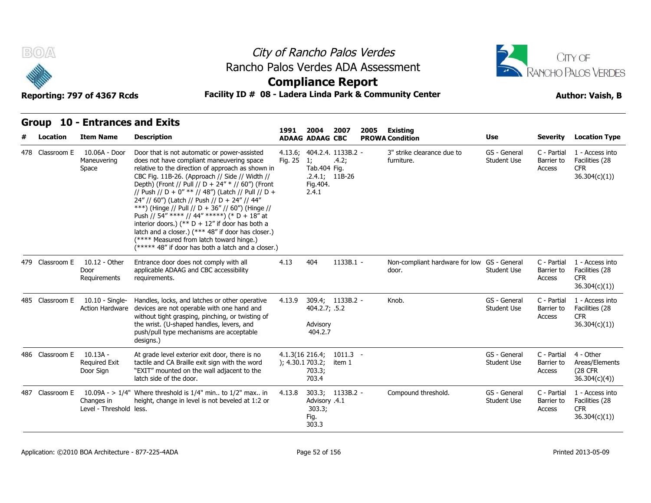



### **Compliance Report**

### Reporting: 797 of 4367 Rcds **Facility ID # 08 - Ladera Linda Park & Community Center Author: Vaish, B**

**1991** 

| Location        | <b>Item Name</b>                                | <b>Description</b>                                                                                                                                                                                                                                                                                                                                                                                                                                                                                                                                                                                                                                                            | 1991                               | 2004<br><b>ADAAG ADAAG CBC</b>           | 2007                                                    | 2005 | Existing<br><b>PROWA Condition</b>                   | <b>Use</b>                         | <b>Severity</b>                     | <b>Location Type</b>                                             |
|-----------------|-------------------------------------------------|-------------------------------------------------------------------------------------------------------------------------------------------------------------------------------------------------------------------------------------------------------------------------------------------------------------------------------------------------------------------------------------------------------------------------------------------------------------------------------------------------------------------------------------------------------------------------------------------------------------------------------------------------------------------------------|------------------------------------|------------------------------------------|---------------------------------------------------------|------|------------------------------------------------------|------------------------------------|-------------------------------------|------------------------------------------------------------------|
| 478 Classroom E | 10.06A - Door<br>Maneuvering<br>Space           | Door that is not automatic or power-assisted<br>does not have compliant maneuvering space<br>relative to the direction of approach as shown in<br>CBC Fig. 11B-26. (Approach // Side // Width //<br>Depth) (Front // Pull // D + 24" * // 60") (Front<br>// Push // D + 0" ** // 48") (Latch // Pull // D +<br>24" // 60") (Latch // Push // D + 24" // 44"<br>***) (Hinge // Pull // D + 36" // 60") (Hinge //<br>Push // 54" **** // 44" *****) (* D + 18" at<br>interior doors.) (** $D + 12$ " if door has both a<br>latch and a closer.) (*** 48" if door has closer.)<br>(**** Measured from latch toward hinge.)<br>(***** 48" if door has both a latch and a closer.) | Fig. 25                            | 1;<br>Tab.404 Fig.<br>Fig.404.<br>2.4.1  | 4.13.6; 404.2.4. 1133B.2 -<br>.4.2;<br>$.2.4.1; 11B-26$ |      | 3" strike clearance due to<br>furniture.             | GS - General<br><b>Student Use</b> | C - Partial<br>Barrier to<br>Access | 1 - Access into<br>Facilities (28<br><b>CFR</b><br>36.304(c)(1)) |
| 479 Classroom E | 10.12 - Other<br>Door<br>Requirements           | Entrance door does not comply with all<br>applicable ADAAG and CBC accessibility<br>requirements.                                                                                                                                                                                                                                                                                                                                                                                                                                                                                                                                                                             | 4.13                               | 404                                      | 1133B.1 -                                               |      | Non-compliant hardware for low GS - General<br>door. | Student Use                        | C - Partial<br>Barrier to<br>Access | 1 - Access into<br>Facilities (28<br><b>CFR</b><br>36.304(c)(1)) |
| 485 Classroom E | 10.10 - Single-<br>Action Hardware              | Handles, locks, and latches or other operative<br>devices are not operable with one hand and<br>without tight grasping, pinching, or twisting of<br>the wrist. (U-shaped handles, levers, and<br>push/pull type mechanisms are acceptable<br>designs.)                                                                                                                                                                                                                                                                                                                                                                                                                        | 4.13.9                             | 404.2.7; .5.2<br>Advisory<br>404.2.7     | 309.4; 1133B.2 -                                        |      | Knob.                                                | GS - General<br><b>Student Use</b> | C - Partial<br>Barrier to<br>Access | 1 - Access into<br>Facilities (28<br><b>CFR</b><br>36.304(c)(1)  |
| 486 Classroom E | $10.13A -$<br><b>Required Exit</b><br>Door Sign | At grade level exterior exit door, there is no<br>tactile and CA Braille exit sign with the word<br>"EXIT" mounted on the wall adjacent to the<br>latch side of the door.                                                                                                                                                                                                                                                                                                                                                                                                                                                                                                     | 4.1.3(16 216.4;<br>); 4.30.1703.2; | 703.3;<br>703.4                          | $1011.3 -$<br>item 1                                    |      |                                                      | GS - General<br><b>Student Use</b> | C - Partial<br>Barrier to<br>Access | 4 - Other<br>Areas/Elements<br>(28 CFR<br>36.304(c)(4)           |
| 487 Classroom E | Changes in<br>Level - Threshold less.           | 10.09A - > $1/4$ " Where threshold is $1/4$ " min to $1/2$ " max in<br>height, change in level is not beveled at 1:2 or                                                                                                                                                                                                                                                                                                                                                                                                                                                                                                                                                       | 4.13.8                             | Advisory .4.1<br>303.3;<br>Fig.<br>303.3 | 303.3; 1133B.2 -                                        |      | Compound threshold.                                  | GS - General<br><b>Student Use</b> | C - Partial<br>Barrier to<br>Access | 1 - Access into<br>Facilities (28<br><b>CFR</b><br>36.304(c)(1)) |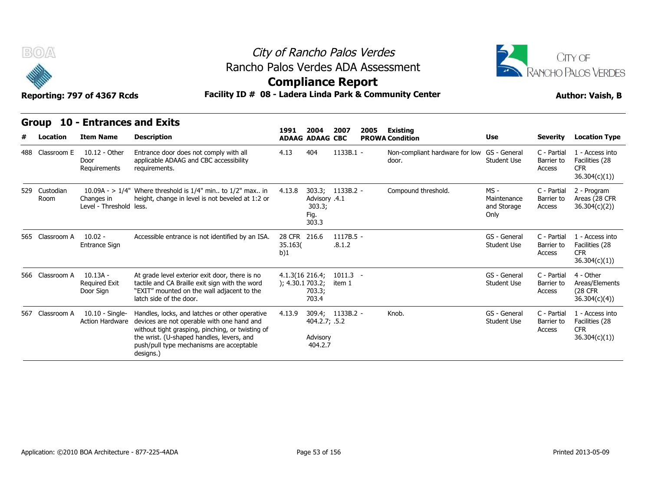



### **Compliance Report**

### Reporting: 797 of 4367 Rcds **Facility ID # 08 - Ladera Linda Park & Community Center Author: Vaish, B**

| B(0)                  | Reporting: 797 of 4367 Rcds                     | Rancho Palos Verdes ADA Assessment<br>Facility ID # 08 - Ladera Linda Park & Community Center                                                                                                                                                          | City of Rancho Palos Verdes<br><b>Compliance Report</b> |                                          |                       |      |                                                      |                                              |                                     | <b>JITY OF</b><br>RANCHO PALOS VERDES<br><b>Author: Vaish, B</b> |
|-----------------------|-------------------------------------------------|--------------------------------------------------------------------------------------------------------------------------------------------------------------------------------------------------------------------------------------------------------|---------------------------------------------------------|------------------------------------------|-----------------------|------|------------------------------------------------------|----------------------------------------------|-------------------------------------|------------------------------------------------------------------|
| <b>Group</b>          | <b>10 - Entrances and Exits</b>                 |                                                                                                                                                                                                                                                        | 1991                                                    | 2004                                     | 2007                  | 2005 | Existing                                             |                                              |                                     |                                                                  |
| Location              | <b>Item Name</b>                                | <b>Description</b>                                                                                                                                                                                                                                     |                                                         | <b>ADAAG ADAAG CBC</b>                   |                       |      | <b>PROWA Condition</b>                               | Use                                          | <b>Severity</b>                     | <b>Location Type</b>                                             |
| 488 Classroom E       | 10.12 - Other<br>Door<br>Requirements           | Entrance door does not comply with all<br>applicable ADAAG and CBC accessibility<br>requirements.                                                                                                                                                      | 4.13                                                    | 404                                      | 1133B.1 -             |      | Non-compliant hardware for low GS - General<br>door. | <b>Student Use</b>                           | C - Partial<br>Barrier to<br>Access | 1 - Access into<br>Facilities (28<br><b>CFR</b><br>36.304(c)(1)) |
| 529 Custodian<br>Room | Changes in<br>Level - Threshold less.           | 10.09A - > $1/4$ " Where threshold is $1/4$ " min to $1/2$ " max in<br>height, change in level is not beveled at 1:2 or                                                                                                                                | 4.13.8                                                  | Advisory .4.1<br>303.3;<br>Fig.<br>303.3 | 303.3; 1133B.2 -      |      | Compound threshold.                                  | $MS -$<br>Maintenance<br>and Storage<br>Only | C - Partial<br>Barrier to<br>Access | 2 - Program<br>Areas (28 CFR<br>36.304(c)(2)                     |
| 565 Classroom A       | $10.02 -$<br><b>Entrance Sign</b>               | Accessible entrance is not identified by an ISA.                                                                                                                                                                                                       | 28 CFR 216.6<br>35.163(<br>b)1                          |                                          | $1117B.5 -$<br>.8.1.2 |      |                                                      | GS - General<br><b>Student Use</b>           | C - Partial<br>Barrier to<br>Access | 1 - Access into<br>Facilities (28<br><b>CFR</b><br>36.304(c)(1)  |
| 566 Classroom A       | $10.13A -$<br><b>Required Exit</b><br>Door Sign | At grade level exterior exit door, there is no<br>tactile and CA Braille exit sign with the word<br>"EXIT" mounted on the wall adjacent to the<br>latch side of the door.                                                                              | 4.1.3(16.216.4)<br>); 4.30.1703.2;                      | 703.3:<br>703.4                          | $1011.3 -$<br>item 1  |      |                                                      | GS - General<br><b>Student Use</b>           | C - Partial<br>Barrier to<br>Access | 4 - Other<br>Areas/Elements<br><b>(28 CFR)</b><br>36.304(c)(4)   |
| 567 Classroom A       | 10.10 - Single-<br><b>Action Hardware</b>       | Handles, locks, and latches or other operative<br>devices are not operable with one hand and<br>without tight grasping, pinching, or twisting of<br>the wrist. (U-shaped handles, levers, and<br>push/pull type mechanisms are acceptable<br>designs.) | 4.13.9                                                  | 404.2.7; .5.2<br>Advisory<br>404.2.7     | 309.4; 1133B.2 -      |      | Knob.                                                | GS - General<br><b>Student Use</b>           | C - Partial<br>Barrier to<br>Access | 1 - Access into<br>Facilities (28<br><b>CFR</b><br>36.304(c)(1)  |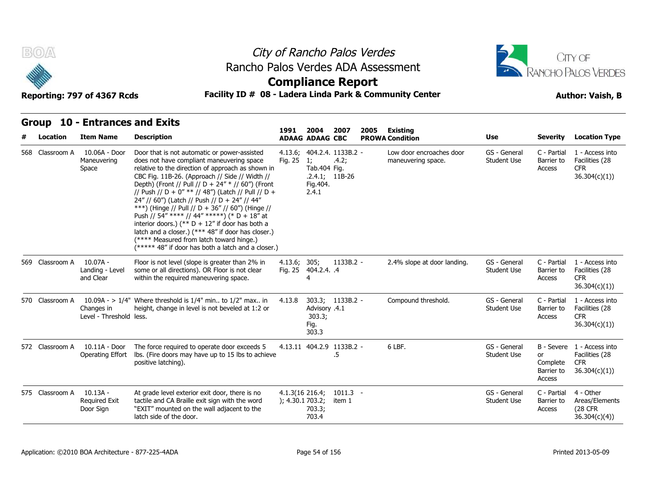



### **Compliance Report**

### Reporting: 797 of 4367 Rcds **Facility ID # 08 - Ladera Linda Park & Community Center Author: Vaish, B**

| B(0)            | Reporting: 797 of 4367 Rcds                     | Rancho Palos Verdes ADA Assessment<br>Facility ID # 08 - Ladera Linda Park & Community Center                                                                                                                                                                                                                                                                                                                                                                                                                                                                                                                                                                                 |                                       |                                          | City of Rancho Palos Verdes<br><b>Compliance Report</b> |      |                                                |                                    |                                        | CITY OF<br>RANCHO PALOS VERDES<br><b>Author: Vaish, B</b>                  |
|-----------------|-------------------------------------------------|-------------------------------------------------------------------------------------------------------------------------------------------------------------------------------------------------------------------------------------------------------------------------------------------------------------------------------------------------------------------------------------------------------------------------------------------------------------------------------------------------------------------------------------------------------------------------------------------------------------------------------------------------------------------------------|---------------------------------------|------------------------------------------|---------------------------------------------------------|------|------------------------------------------------|------------------------------------|----------------------------------------|----------------------------------------------------------------------------|
| <b>Group</b>    | <b>10 - Entrances and Exits</b>                 |                                                                                                                                                                                                                                                                                                                                                                                                                                                                                                                                                                                                                                                                               | 1991                                  | 2004                                     | 2007                                                    | 2005 | Existing                                       |                                    |                                        |                                                                            |
| Location        | <b>Item Name</b>                                | <b>Description</b>                                                                                                                                                                                                                                                                                                                                                                                                                                                                                                                                                                                                                                                            |                                       | <b>ADAAG ADAAG CBC</b>                   |                                                         |      | <b>PROWA Condition</b>                         | Use                                | <b>Severity</b>                        | <b>Location Type</b>                                                       |
| 568 Classroom A | 10.06A - Door<br>Maneuvering<br>Space           | Door that is not automatic or power-assisted<br>does not have compliant maneuvering space<br>relative to the direction of approach as shown in<br>CBC Fig. 11B-26. (Approach // Side // Width //<br>Depth) (Front // Pull // D + 24" * // 60") (Front<br>// Push // D + 0" ** // 48") (Latch // Pull // D +<br>24" // 60") (Latch // Push // D + 24" // 44"<br>***) (Hinge // Pull // D + 36" // 60") (Hinge //<br>Push // 54" **** // 44" *****) (* D + 18" at<br>interior doors.) (** $D + 12$ " if door has both a<br>latch and a closer.) (*** 48" if door has closer.)<br>(**** Measured from latch toward hinge.)<br>(***** 48" if door has both a latch and a closer.) | 4.13.6;<br>Fig. 25                    | 1;<br>Tab.404 Fig.<br>Fig. 404.<br>2.4.1 | 404.2.4. 1133B.2 -<br>.4.2;<br>$.2.4.1; 11B-26$         |      | Low door encroaches door<br>maneuvering space. | GS - General<br><b>Student Use</b> | C - Partial<br>Barrier to<br>Access    | 1 - Access into<br>Facilities (28<br><b>CFR</b><br>36.304(c)(1)            |
| 569 Classroom A | 10.07A -<br>Landing - Level<br>and Clear        | Floor is not level (slope is greater than 2% in<br>some or all directions). OR Floor is not clear<br>within the required maneuvering space.                                                                                                                                                                                                                                                                                                                                                                                                                                                                                                                                   | 4.13.6;<br>Fig. 25                    | 305;<br>404.2.4. .4<br>4                 | $1133B.2 -$                                             |      | 2.4% slope at door landing.                    | GS - General<br><b>Student Use</b> | C - Partial<br>Barrier to<br>Access    | 1 - Access into<br>Facilities (28<br><b>CFR</b><br>36.304(c)(1)            |
| 570 Classroom A | Changes in<br>Level - Threshold less.           | 10.09A - > $1/4$ " Where threshold is $1/4$ " min to $1/2$ " max in<br>height, change in level is not beveled at 1:2 or                                                                                                                                                                                                                                                                                                                                                                                                                                                                                                                                                       | 4.13.8                                | Advisory .4.1<br>303.3;<br>Fig.<br>303.3 | 303.3; 1133B.2 -                                        |      | Compound threshold.                            | GS - General<br><b>Student Use</b> | C - Partial<br>Barrier to<br>Access    | 1 - Access into<br>Facilities (28<br>CFR.<br>36.304(c)(1)                  |
| 572 Classroom A | 10.11A - Door<br>Operating Effort               | The force required to operate door exceeds 5<br>lbs. (Fire doors may have up to 15 lbs to achieve<br>positive latching).                                                                                                                                                                                                                                                                                                                                                                                                                                                                                                                                                      |                                       |                                          | 4.13.11 404.2.9 1133B.2 -<br>.5                         |      | 6 LBF.                                         | GS - General<br>Student Use        | or<br>Complete<br>Barrier to<br>Access | B - Severe 1 - Access into<br>Facilities (28<br><b>CFR</b><br>36.304(c)(1) |
| 575 Classroom A | $10.13A -$<br><b>Required Exit</b><br>Door Sign | At grade level exterior exit door, there is no<br>tactile and CA Braille exit sign with the word<br>"EXIT" mounted on the wall adjacent to the<br>latch side of the door.                                                                                                                                                                                                                                                                                                                                                                                                                                                                                                     | $4.1.3(16\ 216.4)$<br>); 4.30.1703.2; | 703.3;<br>703.4                          | $1011.3 -$<br>item 1                                    |      |                                                | GS - General<br>Student Use        | C - Partial<br>Barrier to<br>Access    | 4 - Other<br>Areas/Elements<br><b>(28 CFR</b><br>36.304(c)(4)              |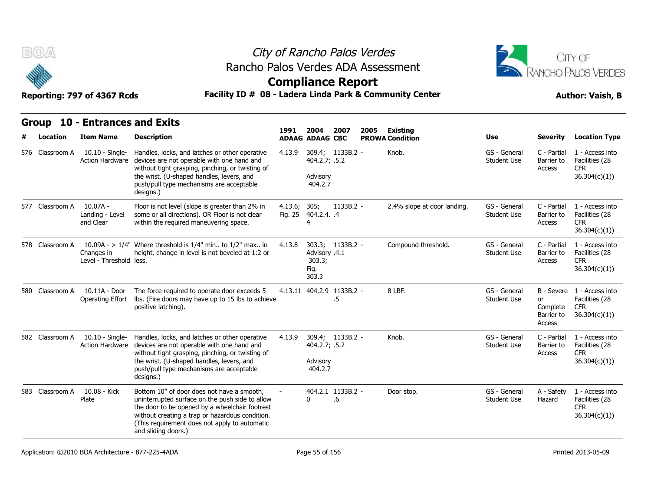



### **Compliance Report**

### Reporting: 797 of 4367 Rcds **Facility ID # 08 - Ladera Linda Park & Community Center Author: Vaish, B**

| B(0)              | Reporting: 797 of 4367 Rcds                         | Rancho Palos Verdes ADA Assessment<br>Facility ID # 08 - Ladera Linda Park & Community Center                                                                                                                                                                              |                    |                                          | City of Rancho Palos Verdes<br><b>Compliance Report</b> | <b>CITY OF</b><br>RANCHO PALOS VERDES<br><b>Author: Vaish, B</b> |                                    |                                    |                                               |                                                                            |
|-------------------|-----------------------------------------------------|----------------------------------------------------------------------------------------------------------------------------------------------------------------------------------------------------------------------------------------------------------------------------|--------------------|------------------------------------------|---------------------------------------------------------|------------------------------------------------------------------|------------------------------------|------------------------------------|-----------------------------------------------|----------------------------------------------------------------------------|
| Group<br>Location | <b>10 - Entrances and Exits</b><br><b>Item Name</b> | <b>Description</b>                                                                                                                                                                                                                                                         | 1991               | 2004<br><b>ADAAG ADAAG CBC</b>           | 2007                                                    | 2005                                                             | Existing<br><b>PROWA Condition</b> | Use                                | <b>Severity</b>                               | <b>Location Type</b>                                                       |
| 576 Classroom A   | $10.10 -$ Single-<br><b>Action Hardware</b>         | Handles, locks, and latches or other operative<br>devices are not operable with one hand and<br>without tight grasping, pinching, or twisting of<br>the wrist. (U-shaped handles, levers, and<br>push/pull type mechanisms are acceptable<br>designs.)                     | 4.13.9             | 404.2.7; .5.2<br>Advisory<br>404.2.7     | 309.4; 1133B.2 -                                        |                                                                  | Knob.                              | GS - General<br><b>Student Use</b> | C - Partial<br>Barrier to<br>Access           | 1 - Access into<br>Facilities (28<br>CFR.<br>36.304(c)(1)                  |
| 577 Classroom A   | $10.07A -$<br>Landing - Level<br>and Clear          | Floor is not level (slope is greater than 2% in<br>some or all directions). OR Floor is not clear<br>within the required maneuvering space.                                                                                                                                | 4.13.6;<br>Fig. 25 | 305;<br>404.2.4. .4<br>4                 | $1133B.2 -$                                             |                                                                  | 2.4% slope at door landing.        | GS - General<br><b>Student Use</b> | C - Partial<br>Barrier to<br>Access           | 1 - Access into<br>Facilities (28<br><b>CFR</b><br>36.304(c)(1)            |
| 578 Classroom A   | Changes in<br>Level - Threshold less.               | 10.09A - $> 1/4$ " Where threshold is 1/4" min to 1/2" max in<br>height, change in level is not beveled at 1:2 or                                                                                                                                                          | 4.13.8             | Advisory .4.1<br>303.3;<br>Fig.<br>303.3 | 303.3; 1133B.2 -                                        |                                                                  | Compound threshold.                | GS - General<br><b>Student Use</b> | C - Partial<br>Barrier to<br>Access           | 1 - Access into<br>Facilities (28<br><b>CFR</b><br>36.304(c)(1)            |
| 580 Classroom A   | 10.11A - Door<br>Operating Effort                   | The force required to operate door exceeds 5<br>Ibs. (Fire doors may have up to 15 lbs to achieve<br>positive latching).                                                                                                                                                   |                    |                                          | 4.13.11 404.2.9 1133B.2 -<br>.5                         |                                                                  | 8 LBF.                             | GS - General<br><b>Student Use</b> | <b>or</b><br>Complete<br>Barrier to<br>Access | B - Severe 1 - Access into<br>Facilities (28<br><b>CFR</b><br>36.304(c)(1) |
| 582 Classroom A   | $10.10 -$ Single-<br>Action Hardware                | Handles, locks, and latches or other operative<br>devices are not operable with one hand and<br>without tight grasping, pinching, or twisting of<br>the wrist. (U-shaped handles, levers, and<br>push/pull type mechanisms are acceptable<br>designs.)                     | 4.13.9             | 404.2.7; .5.2<br>Advisory<br>404.2.7     | 309.4; 1133B.2 -                                        |                                                                  | Knob.                              | GS - General<br><b>Student Use</b> | C - Partial<br>Barrier to<br>Access           | 1 - Access into<br>Facilities (28<br><b>CFR</b><br>36.304(c)(1)            |
| 583 Classroom A   | 10.08 - Kick<br>Plate                               | Bottom 10" of door does not have a smooth,<br>uninterrupted surface on the push side to allow<br>the door to be opened by a wheelchair footrest<br>without creating a trap or hazardous condition.<br>(This requirement does not apply to automatic<br>and sliding doors.) |                    | 0                                        | 404.2.1 1133B.2 -<br>.6                                 |                                                                  | Door stop.                         | GS - General<br><b>Student Use</b> | A - Safety<br>Hazard                          | 1 - Access into<br>Facilities (28<br><b>CFR</b><br>36.304(c)(1)            |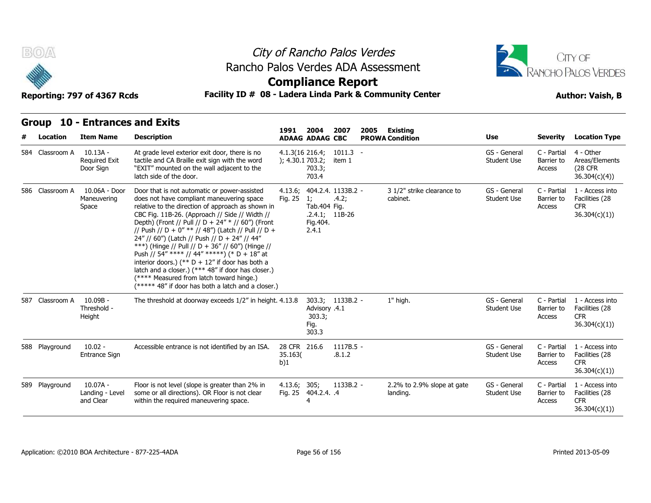



### **Compliance Report**

### Reporting: 797 of 4367 Rcds **Facility ID # 08 - Ladera Linda Park & Community Center Author: Vaish, B**

| <b>BOA</b>               | Reporting: 797 of 4367 Rcds                         |                                                                                                                                                                                                                                                                                                                                                                                                                                                                                                                                                                                                                                                                               | City of Rancho Palos Verdes<br>Rancho Palos Verdes ADA Assessment<br><b>Compliance Report</b><br>Facility ID # 08 - Ladera Linda Park & Community Center |                                                                          |                             |                                                   |                                    |                                     |                                                                 |  |  |  |
|--------------------------|-----------------------------------------------------|-------------------------------------------------------------------------------------------------------------------------------------------------------------------------------------------------------------------------------------------------------------------------------------------------------------------------------------------------------------------------------------------------------------------------------------------------------------------------------------------------------------------------------------------------------------------------------------------------------------------------------------------------------------------------------|----------------------------------------------------------------------------------------------------------------------------------------------------------|--------------------------------------------------------------------------|-----------------------------|---------------------------------------------------|------------------------------------|-------------------------------------|-----------------------------------------------------------------|--|--|--|
| <b>Group</b><br>Location | <b>10 - Entrances and Exits</b><br><b>Item Name</b> | <b>Description</b>                                                                                                                                                                                                                                                                                                                                                                                                                                                                                                                                                                                                                                                            | 1991                                                                                                                                                     | 2004<br><b>ADAAG ADAAG CBC</b>                                           | 2007                        | 2005<br><b>Existing</b><br><b>PROWA Condition</b> | Use                                | <b>Severity</b>                     | <b>Location Type</b>                                            |  |  |  |
| 584 Classroom A          | 10.13A -<br><b>Required Exit</b><br>Door Sign       | At grade level exterior exit door, there is no<br>tactile and CA Braille exit sign with the word<br>"EXIT" mounted on the wall adjacent to the<br>latch side of the door.                                                                                                                                                                                                                                                                                                                                                                                                                                                                                                     | $4.1.3(16\ 216.4)$<br>); 4.30.1 703.2;                                                                                                                   | 703.3;<br>703.4                                                          | $1011.3 -$<br>item 1        |                                                   | GS - General<br>Student Use        | C - Partial<br>Barrier to<br>Access | 4 - Other<br>Areas/Elements<br><b>(28 CFR</b><br>36.304(c)(4)   |  |  |  |
| 586 Classroom A          | 10.06A - Door<br>Maneuvering<br>Space               | Door that is not automatic or power-assisted<br>does not have compliant maneuvering space<br>relative to the direction of approach as shown in<br>CBC Fig. 11B-26. (Approach // Side // Width //<br>Depth) (Front // Pull // D + 24" * // 60") (Front<br>// Push // D + 0" ** // 48") (Latch // Pull // D +<br>24" // 60") (Latch // Push // D + 24" // 44"<br>***) (Hinge // Pull // D + 36" // 60") (Hinge //<br>Push // 54" **** // 44" *****) (* D + 18" at<br>interior doors.) (** $D + 12$ " if door has both a<br>latch and a closer.) (*** 48" if door has closer.)<br>(**** Measured from latch toward hinge.)<br>(***** 48" if door has both a latch and a closer.) | 4.13.6;<br>Fig. 25                                                                                                                                       | $\overline{1}$<br>Tab.404 Fig.<br>$.2.4.1; 11B-26$<br>Fig. 404.<br>2.4.1 | 404.2.4. 1133B.2 -<br>.4.2; | 3 1/2" strike clearance to<br>cabinet.            | GS - General<br><b>Student Use</b> | C - Partial<br>Barrier to<br>Access | 1 - Access into<br>Facilities (28<br><b>CFR</b><br>36.304(c)(1) |  |  |  |
| 587 Classroom A          | $10.09B -$<br>Threshold -<br>Height                 | The threshold at doorway exceeds 1/2" in height. 4.13.8                                                                                                                                                                                                                                                                                                                                                                                                                                                                                                                                                                                                                       |                                                                                                                                                          | Advisory .4.1<br>303.3;<br>Fig.<br>303.3                                 | 303.3; 1133B.2 -            | 1" high.                                          | GS - General<br><b>Student Use</b> | C - Partial<br>Barrier to<br>Access | 1 - Access into<br>Facilities (28<br><b>CFR</b><br>36.304(c)(1) |  |  |  |
| 588 Playground           | $10.02 -$<br>Entrance Sign                          | Accessible entrance is not identified by an ISA.                                                                                                                                                                                                                                                                                                                                                                                                                                                                                                                                                                                                                              | 28 CFR 216.6<br>35.163(<br>b)1                                                                                                                           |                                                                          | $1117B.5 -$<br>.8.1.2       |                                                   | GS - General<br><b>Student Use</b> | C - Partial<br>Barrier to<br>Access | 1 - Access into<br>Facilities (28<br><b>CFR</b><br>36.304(c)(1) |  |  |  |
| 589 Playground           | $10.07A -$<br>Landing - Level<br>and Clear          | Floor is not level (slope is greater than 2% in<br>some or all directions). OR Floor is not clear<br>within the required maneuvering space.                                                                                                                                                                                                                                                                                                                                                                                                                                                                                                                                   | 4.13.6;<br>Fig. 25                                                                                                                                       | 305;<br>404.2.4. .4<br>4                                                 | $1133B.2 -$                 | 2.2% to 2.9% slope at gate<br>landing.            | GS - General<br>Student Use        | C - Partial<br>Barrier to<br>Access | 1 - Access into<br>Facilities (28<br><b>CFR</b><br>36.304(c)(1) |  |  |  |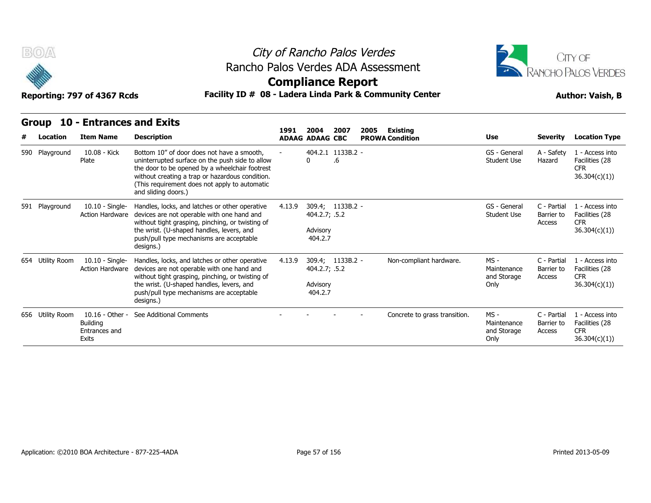



**Compliance Report**

### Reporting: 797 of 4367 Rcds **Facility ID # 08 - Ladera Linda Park & Community Center Author: Vaish, B**

| Group            | <b>10 - Entrances and Exits</b>                              |                                                                                                                                                                                                                                                                            | 1991   | 2004                                                     | 2007 |      |                                    |                                              |                                     |                                                                  |
|------------------|--------------------------------------------------------------|----------------------------------------------------------------------------------------------------------------------------------------------------------------------------------------------------------------------------------------------------------------------------|--------|----------------------------------------------------------|------|------|------------------------------------|----------------------------------------------|-------------------------------------|------------------------------------------------------------------|
| Location         | <b>Item Name</b>                                             | <b>Description</b>                                                                                                                                                                                                                                                         |        | <b>ADAAG ADAAG CBC</b>                                   |      | 2005 | Existing<br><b>PROWA Condition</b> | <b>Use</b>                                   | <b>Severity</b>                     | <b>Location Type</b>                                             |
| 590 Playground   | 10.08 - Kick<br>Plate                                        | Bottom 10" of door does not have a smooth,<br>uninterrupted surface on the push side to allow<br>the door to be opened by a wheelchair footrest<br>without creating a trap or hazardous condition.<br>(This requirement does not apply to automatic<br>and sliding doors.) |        | 404.2.1 1133B.2 -<br>0                                   | .6   |      |                                    | GS - General<br><b>Student Use</b>           | A - Safety<br>Hazard                | 1 - Access into<br>Facilities (28<br><b>CFR</b><br>36.304(c)(1)  |
| 591 Playground   | 10.10 - Single-<br><b>Action Hardware</b>                    | Handles, locks, and latches or other operative<br>devices are not operable with one hand and<br>without tight grasping, pinching, or twisting of<br>the wrist. (U-shaped handles, levers, and<br>push/pull type mechanisms are acceptable<br>designs.)                     | 4.13.9 | 309.4; 1133B.2 -<br>404.2.7; .5.2<br>Advisory<br>404.2.7 |      |      |                                    | GS - General<br><b>Student Use</b>           | C - Partial<br>Barrier to<br>Access | 1 - Access into<br>Facilities (28<br><b>CFR</b><br>36.304(c)(1)) |
| 654 Utility Room | 10.10 - Single-<br><b>Action Hardware</b>                    | Handles, locks, and latches or other operative<br>devices are not operable with one hand and<br>without tight grasping, pinching, or twisting of<br>the wrist. (U-shaped handles, levers, and<br>push/pull type mechanisms are acceptable<br>designs.)                     | 4.13.9 | 309.4; 1133B.2 -<br>404.2.7; .5.2<br>Advisory<br>404.2.7 |      |      | Non-compliant hardware.            | $MS -$<br>Maintenance<br>and Storage<br>Only | C - Partial<br>Barrier to<br>Access | 1 - Access into<br>Facilities (28<br><b>CFR</b><br>36.304(c)(1)  |
| 656 Utility Room | 10.16 - Other -<br><b>Building</b><br>Entrances and<br>Exits | See Additional Comments                                                                                                                                                                                                                                                    |        |                                                          |      |      | Concrete to grass transition.      | MS -<br>Maintenance<br>and Storage<br>Only   | C - Partial<br>Barrier to<br>Access | 1 - Access into<br>Facilities (28<br><b>CFR</b><br>36.304(c)(1)  |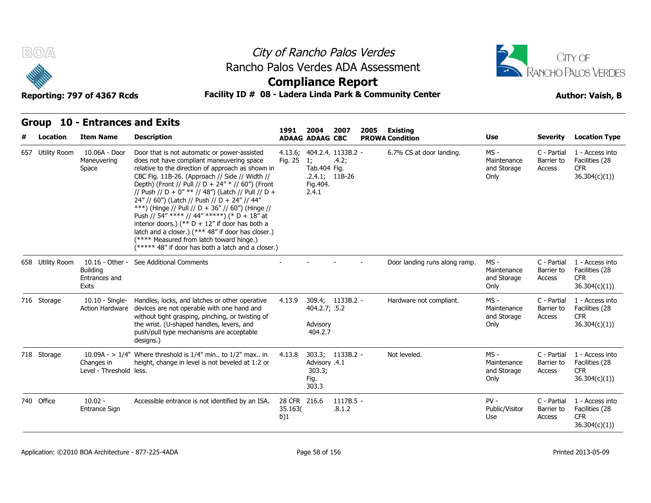



### **Compliance Report**

### Reporting: 797 of 4367 Rcds **Facility ID # 08 - Ladera Linda Park & Community Center Author: Vaish, B**

| B(0)             | Reporting: 797 of 4367 Rcds                                  |                                                                                                                                                                                                                                                                                                                                                                                                                                                                                                                                                                                                                                                                               | City of Rancho Palos Verdes<br>Rancho Palos Verdes ADA Assessment<br><b>Compliance Report</b><br>Facility ID # 08 - Ladera Linda Park & Community Center |                                                    |                                                 |      |                                    |                                            |                                     |                                                                 |  |  |
|------------------|--------------------------------------------------------------|-------------------------------------------------------------------------------------------------------------------------------------------------------------------------------------------------------------------------------------------------------------------------------------------------------------------------------------------------------------------------------------------------------------------------------------------------------------------------------------------------------------------------------------------------------------------------------------------------------------------------------------------------------------------------------|----------------------------------------------------------------------------------------------------------------------------------------------------------|----------------------------------------------------|-------------------------------------------------|------|------------------------------------|--------------------------------------------|-------------------------------------|-----------------------------------------------------------------|--|--|
| Group            | <b>10 - Entrances and Exits</b>                              |                                                                                                                                                                                                                                                                                                                                                                                                                                                                                                                                                                                                                                                                               |                                                                                                                                                          |                                                    |                                                 |      |                                    |                                            |                                     |                                                                 |  |  |
| Location         | <b>Item Name</b>                                             | <b>Description</b>                                                                                                                                                                                                                                                                                                                                                                                                                                                                                                                                                                                                                                                            | 1991                                                                                                                                                     | 2004<br><b>ADAAG ADAAG CBC</b>                     | 2007                                            | 2005 | Existing<br><b>PROWA Condition</b> | Use                                        | <b>Severity</b>                     | <b>Location Type</b>                                            |  |  |
| 657 Utility Room | 10.06A - Door<br>Maneuvering<br>Space                        | Door that is not automatic or power-assisted<br>does not have compliant maneuvering space<br>relative to the direction of approach as shown in<br>CBC Fig. 11B-26. (Approach // Side // Width //<br>Depth) (Front // Pull // D + 24" * // 60") (Front<br>// Push // D + 0" ** // 48") (Latch // Pull // D +<br>24" // 60") (Latch // Push // D + 24" // 44"<br>***) (Hinge // Pull // D + 36" // 60") (Hinge //<br>Push // 54" **** // 44" *****) (* D + 18" at<br>interior doors.) (** $D + 12$ " if door has both a<br>latch and a closer.) (*** 48" if door has closer.)<br>(**** Measured from latch toward hinge.)<br>(***** 48" if door has both a latch and a closer.) | 4.13.6;<br>Fig. 25                                                                                                                                       | $\mathbf{1}$<br>Tab.404 Fig.<br>Fig. 404.<br>2.4.1 | 404.2.4. 1133B.2 -<br>.4.2;<br>$.2.4.1; 11B-26$ |      | 6.7% CS at door landing.           | MS -<br>Maintenance<br>and Storage<br>Only | C - Partial<br>Barrier to<br>Access | 1 - Access into<br>Facilities (28<br><b>CFR</b><br>36.304(c)(1) |  |  |
| 658 Utility Room | 10.16 - Other -<br><b>Building</b><br>Entrances and<br>Exits | See Additional Comments                                                                                                                                                                                                                                                                                                                                                                                                                                                                                                                                                                                                                                                       |                                                                                                                                                          |                                                    |                                                 |      | Door landing runs along ramp.      | MS-<br>Maintenance<br>and Storage<br>Only  | C - Partial<br>Barrier to<br>Access | 1 - Access into<br>Facilities (28<br><b>CFR</b><br>36.304(c)(1) |  |  |
| 716 Storage      | $10.10 -$ Single-<br><b>Action Hardware</b>                  | Handles, locks, and latches or other operative<br>devices are not operable with one hand and<br>without tight grasping, pinching, or twisting of<br>the wrist. (U-shaped handles, levers, and<br>push/pull type mechanisms are acceptable<br>designs.)                                                                                                                                                                                                                                                                                                                                                                                                                        | 4.13.9                                                                                                                                                   | 404.2.7; .5.2<br>Advisory<br>404.2.7               | 309.4; 1133B.2 -                                |      | Hardware not compliant.            | MS -<br>Maintenance<br>and Storage<br>Only | C - Partial<br>Barrier to<br>Access | 1 - Access into<br>Facilities (28<br><b>CFR</b><br>36.304(c)(1) |  |  |
| 718 Storage      | Changes in<br>Level - Threshold less.                        | 10.09A - > $1/4$ " Where threshold is $1/4$ " min to $1/2$ " max in<br>height, change in level is not beveled at 1:2 or                                                                                                                                                                                                                                                                                                                                                                                                                                                                                                                                                       | 4.13.8                                                                                                                                                   | Advisory .4.1<br>303.3;<br>Fig.<br>303.3           | 303.3; 1133B.2 -                                |      | Not leveled.                       | MS -<br>Maintenance<br>and Storage<br>Only | C - Partial<br>Barrier to<br>Access | 1 - Access into<br>Facilities (28<br>CFR.<br>36.304(c)(1)       |  |  |
| 740 Office       | $10.02 -$<br>Entrance Sign                                   | Accessible entrance is not identified by an ISA.                                                                                                                                                                                                                                                                                                                                                                                                                                                                                                                                                                                                                              | 28 CFR 216.6<br>35.163(<br>b)1                                                                                                                           |                                                    | $1117B.5 -$<br>.8.1.2                           |      |                                    | $PV -$<br>Public/Visitor<br>Use            | C - Partial<br>Barrier to<br>Access | 1 - Access into<br>Facilities (28<br><b>CFR</b><br>36.304(c)(1) |  |  |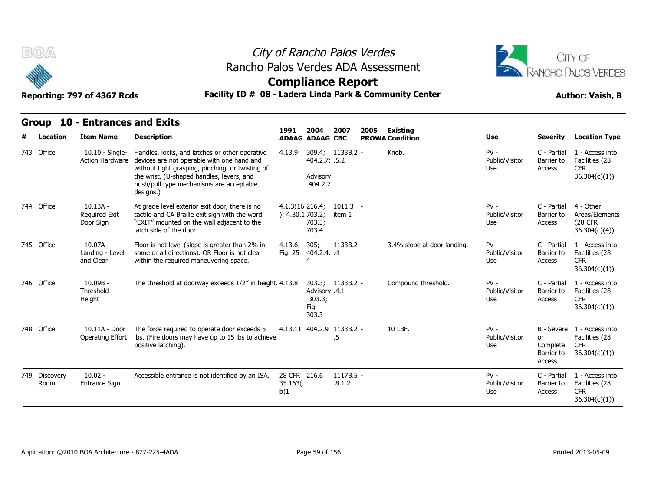



### **Compliance Report**

### Reporting: 797 of 4367 Rcds **Facility ID # 08 - Ladera Linda Park & Community Center Author: Vaish, B**

|                       | Group 10 - Entrances and Exits                  |                                                                                                                                                                                                                                                        |                                        |                                          |                      |      |                                           |                                 |                                        |                                                                            |
|-----------------------|-------------------------------------------------|--------------------------------------------------------------------------------------------------------------------------------------------------------------------------------------------------------------------------------------------------------|----------------------------------------|------------------------------------------|----------------------|------|-------------------------------------------|---------------------------------|----------------------------------------|----------------------------------------------------------------------------|
| Location              | <b>Item Name</b>                                | <b>Description</b>                                                                                                                                                                                                                                     | 1991                                   | 2004<br><b>ADAAG ADAAG CBC</b>           | 2007                 | 2005 | <b>Existing</b><br><b>PROWA Condition</b> | <b>Use</b>                      | <b>Severity</b>                        | <b>Location Type</b>                                                       |
| 743 Office            | $10.10 -$ Single-<br><b>Action Hardware</b>     | Handles, locks, and latches or other operative<br>devices are not operable with one hand and<br>without tight grasping, pinching, or twisting of<br>the wrist. (U-shaped handles, levers, and<br>push/pull type mechanisms are acceptable<br>designs.) | 4.13.9                                 | 404.2.7; .5.2<br>Advisory<br>404.2.7     | 309.4; 1133B.2 -     |      | Knob.                                     | $PV -$<br>Public/Visitor<br>Use | C - Partial<br>Barrier to<br>Access    | 1 - Access into<br>Facilities (28<br><b>CFR</b><br>36.304(c)(1)            |
| 744 Office            | $10.13A -$<br><b>Required Exit</b><br>Door Sign | At grade level exterior exit door, there is no<br>tactile and CA Braille exit sign with the word<br>"EXIT" mounted on the wall adjacent to the<br>latch side of the door.                                                                              | $4.1.3(16\ 216.4)$<br>); 4.30.1 703.2; | 703.3;<br>703.4                          | $1011.3 -$<br>item 1 |      |                                           | $PV -$<br>Public/Visitor<br>Use | C - Partial<br>Barrier to<br>Access    | 4 - Other<br>Areas/Elements<br>(28 CFR)<br>36.304(c)(4)                    |
| 745 Office            | $10.07A -$<br>Landing - Level<br>and Clear      | Floor is not level (slope is greater than 2% in<br>some or all directions). OR Floor is not clear<br>within the required maneuvering space.                                                                                                            | 4.13.6;<br>Fig. 25                     | 305;<br>404.2.4. .4<br>4                 | 1133B.2 -            |      | 3.4% slope at door landing.               | $PV -$<br>Public/Visitor<br>Use | C - Partial<br>Barrier to<br>Access    | 1 - Access into<br>Facilities (28<br><b>CFR</b><br>36.304(c)(1)            |
| 746 Office            | $10.09B -$<br>Threshold -<br>Height             | The threshold at doorway exceeds 1/2" in height. 4.13.8                                                                                                                                                                                                |                                        | Advisory .4.1<br>303.3;<br>Fig.<br>303.3 | 303.3; 1133B.2 -     |      | Compound threshold.                       | $PV -$<br>Public/Visitor<br>Use | C - Partial<br>Barrier to<br>Access    | 1 - Access into<br>Facilities (28<br><b>CFR</b><br>36.304(c)(1)            |
| 748 Office            | 10.11A - Door<br><b>Operating Effort</b>        | The force required to operate door exceeds 5<br>Ibs. (Fire doors may have up to 15 lbs to achieve<br>positive latching).                                                                                                                               |                                        | 4.13.11 404.2.9 1133B.2 -                | .5                   |      | 10 LBF.                                   | $PV -$<br>Public/Visitor<br>Use | or<br>Complete<br>Barrier to<br>Access | B - Severe 1 - Access into<br>Facilities (28<br><b>CFR</b><br>36.304(c)(1) |
| 749 Discovery<br>Room | $10.02 -$<br>Entrance Sign                      | Accessible entrance is not identified by an ISA.                                                                                                                                                                                                       | 28 CFR 216.6<br>35.163(<br>b)1         |                                          | 1117B.5 -<br>.8.1.2  |      |                                           | $PV -$<br>Public/Visitor<br>Use | C - Partial<br>Barrier to<br>Access    | 1 - Access into<br>Facilities (28<br><b>CFR</b><br>36.304(c)(1)            |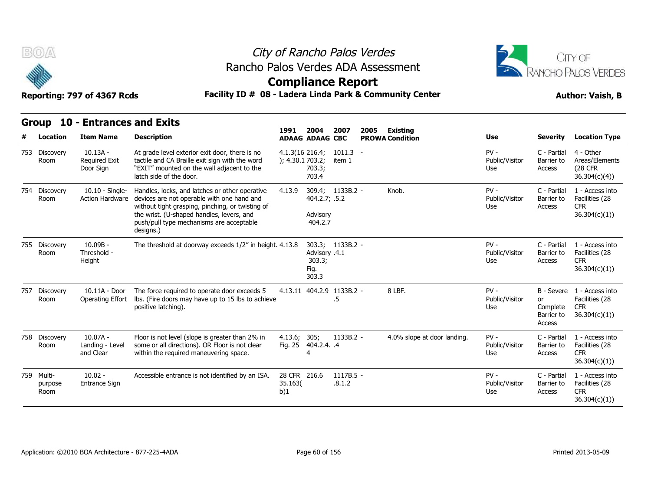



### **Compliance Report**

### Reporting: 797 of 4367 Rcds **Facility ID # 08 - Ladera Linda Park & Community Center Author: Vaish, B**

|     | v                             | Reporting: 797 of 4367 Rcds                     |                                                                                                                                                                                                                                                        | AAMbuquee Izabart<br>Facility ID # 08 - Ladera Linda Park & Community Center |                                          |                       |      |                             |                                 |                                        | <b>Author: Vaish, B</b>                                                    |  |  |  |
|-----|-------------------------------|-------------------------------------------------|--------------------------------------------------------------------------------------------------------------------------------------------------------------------------------------------------------------------------------------------------------|------------------------------------------------------------------------------|------------------------------------------|-----------------------|------|-----------------------------|---------------------------------|----------------------------------------|----------------------------------------------------------------------------|--|--|--|
|     | Group                         | <b>10 - Entrances and Exits</b>                 |                                                                                                                                                                                                                                                        | 1991                                                                         | 2004                                     | 2007                  | 2005 | <b>Existing</b>             |                                 |                                        |                                                                            |  |  |  |
| #   | <b>Location</b>               | <b>Item Name</b>                                | <b>Description</b>                                                                                                                                                                                                                                     |                                                                              | <b>ADAAG ADAAG CBC</b>                   |                       |      | <b>PROWA Condition</b>      | Use                             | <b>Severity</b>                        | <b>Location Type</b>                                                       |  |  |  |
|     | 753 Discovery<br>Room         | $10.13A -$<br><b>Required Exit</b><br>Door Sign | At grade level exterior exit door, there is no<br>tactile and CA Braille exit sign with the word<br>"EXIT" mounted on the wall adjacent to the<br>latch side of the door.                                                                              | ); 4.30.1 703.2;                                                             | 4.1.3(16 216.4;<br>703.3;<br>703.4       | $1011.3 -$<br>item 1  |      |                             | $PV -$<br>Public/Visitor<br>Use | C - Partial<br>Barrier to<br>Access    | 4 - Other<br>Areas/Elements<br><b>(28 CFR)</b><br>36.304(c)(4)             |  |  |  |
|     | 754 Discovery<br>Room         | $10.10 -$ Single-<br>Action Hardware            | Handles, locks, and latches or other operative<br>devices are not operable with one hand and<br>without tight grasping, pinching, or twisting of<br>the wrist. (U-shaped handles, levers, and<br>push/pull type mechanisms are acceptable<br>designs.) | 4.13.9                                                                       | 404.2.7; .5.2<br>Advisory<br>404.2.7     | 309.4; 1133B.2 -      |      | Knob.                       | $PV -$<br>Public/Visitor<br>Use | C - Partial<br>Barrier to<br>Access    | 1 - Access into<br>Facilities (28<br><b>CFR</b><br>36.304(c)(1))           |  |  |  |
|     | 755 Discovery<br>Room         | $10.09B -$<br>Threshold -<br>Height             | The threshold at doorway exceeds 1/2" in height. 4.13.8                                                                                                                                                                                                |                                                                              | Advisory .4.1<br>303.3;<br>Fig.<br>303.3 | 303.3; 1133B.2 -      |      |                             | $PV -$<br>Public/Visitor<br>Use | C - Partial<br>Barrier to<br>Access    | 1 - Access into<br>Facilities (28<br><b>CFR</b><br>36.304(c)(1))           |  |  |  |
| 757 | Discovery<br>Room             | 10.11A - Door<br>Operating Effort               | The force required to operate door exceeds 5<br>Ibs. (Fire doors may have up to 15 lbs to achieve<br>positive latching).                                                                                                                               |                                                                              | 4.13.11 404.2.9 1133B.2 -                | .5                    |      | 8 LBF.                      | $PV -$<br>Public/Visitor<br>Use | or<br>Complete<br>Barrier to<br>Access | B - Severe 1 - Access into<br>Facilities (28<br><b>CFR</b><br>36.304(c)(1) |  |  |  |
|     | 758 Discovery<br>Room         | $10.07A -$<br>Landing - Level<br>and Clear      | Floor is not level (slope is greater than 2% in<br>some or all directions). OR Floor is not clear<br>within the required maneuvering space.                                                                                                            | 4.13.6; 305;                                                                 | Fig. 25 404.2.4. .4                      | 1133B.2 -             |      | 4.0% slope at door landing. | $PV -$<br>Public/Visitor<br>Use | C - Partial<br>Barrier to<br>Access    | 1 - Access into<br>Facilities (28<br><b>CFR</b><br>36.304(c)(1)            |  |  |  |
|     | 759 Multi-<br>purpose<br>Room | $10.02 -$<br>Entrance Sign                      | Accessible entrance is not identified by an ISA.                                                                                                                                                                                                       | 28 CFR 216.6<br>35.163(<br>b)1                                               |                                          | $1117B.5 -$<br>.8.1.2 |      |                             | $PV -$<br>Public/Visitor<br>Use | C - Partial<br>Barrier to<br>Access    | 1 - Access into<br>Facilities (28<br><b>CFR</b><br>36.304(c)(1))           |  |  |  |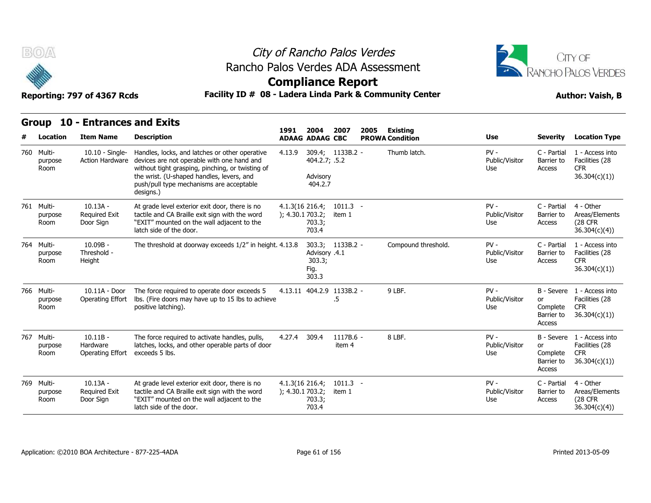



**Compliance Report**

Reporting: 797 of 4367 Rcds **Facility ID # 08 - Ladera Linda Park & Community Center Author: Vaish, B** 

|   |                               | Group 10 - Entrances and Exits                  |                                                                                                                                                                                                                                                        |                                        |                                          |                      |      |                                           |                                 |                                                      |                                                                            |
|---|-------------------------------|-------------------------------------------------|--------------------------------------------------------------------------------------------------------------------------------------------------------------------------------------------------------------------------------------------------------|----------------------------------------|------------------------------------------|----------------------|------|-------------------------------------------|---------------------------------|------------------------------------------------------|----------------------------------------------------------------------------|
| # | Location                      | <b>Item Name</b>                                | <b>Description</b>                                                                                                                                                                                                                                     | 1991                                   | 2004<br><b>ADAAG ADAAG CBC</b>           | 2007                 | 2005 | <b>Existing</b><br><b>PROWA Condition</b> | <b>Use</b>                      | <b>Severity</b>                                      | <b>Location Type</b>                                                       |
|   | 760 Multi-<br>purpose<br>Room | $10.10 -$ Single-<br><b>Action Hardware</b>     | Handles, locks, and latches or other operative<br>devices are not operable with one hand and<br>without tight grasping, pinching, or twisting of<br>the wrist. (U-shaped handles, levers, and<br>push/pull type mechanisms are acceptable<br>designs.) | 4.13.9                                 | 404.2.7; .5.2<br>Advisory<br>404.2.7     | 309.4; 1133B.2 -     |      | Thumb latch.                              | $PV -$<br>Public/Visitor<br>Use | C - Partial<br>Barrier to<br>Access                  | 1 - Access into<br>Facilities (28<br><b>CFR</b><br>36.304(c)(1)            |
|   | 761 Multi-<br>purpose<br>Room | $10.13A -$<br><b>Required Exit</b><br>Door Sign | At grade level exterior exit door, there is no<br>tactile and CA Braille exit sign with the word<br>"EXIT" mounted on the wall adjacent to the<br>latch side of the door.                                                                              | $4.1.3(16\ 216.4)$<br>); 4.30.1703.2;  | 703.3;<br>703.4                          | $1011.3 -$<br>item 1 |      |                                           | $PV -$<br>Public/Visitor<br>Use | C - Partial<br>Barrier to<br>Access                  | 4 - Other<br>Areas/Elements<br>(28 CFR<br>36.304(c)(4)                     |
|   | 764 Multi-<br>purpose<br>Room | $10.09B -$<br>Threshold -<br>Height             | The threshold at doorway exceeds 1/2" in height. 4.13.8                                                                                                                                                                                                |                                        | Advisory .4.1<br>303.3;<br>Fig.<br>303.3 | 303.3; 1133B.2 -     |      | Compound threshold.                       | $PV -$<br>Public/Visitor<br>Use | C - Partial<br>Barrier to<br>Access                  | 1 - Access into<br>Facilities (28<br><b>CFR</b><br>36.304(c)(1))           |
|   | 766 Multi-<br>purpose<br>Room | 10.11A - Door<br><b>Operating Effort</b>        | The force required to operate door exceeds 5<br>Ibs. (Fire doors may have up to 15 lbs to achieve<br>positive latching).                                                                                                                               |                                        | 4.13.11 404.2.9 1133B.2 -                | .5                   |      | 9 LBF.                                    | $PV -$<br>Public/Visitor<br>Use | or<br>Complete<br>Barrier to<br>Access               | B - Severe 1 - Access into<br>Facilities (28<br><b>CFR</b><br>36.304(c)(1) |
|   | 767 Multi-<br>purpose<br>Room | $10.11B -$<br>Hardware<br>Operating Effort      | The force required to activate handles, pulls,<br>latches, locks, and other operable parts of door<br>exceeds 5 lbs.                                                                                                                                   | 4.27.4                                 | 309.4                                    | 1117B.6 -<br>item 4  |      | 8 LBF.                                    | $PV -$<br>Public/Visitor<br>Use | B - Severe<br>or<br>Complete<br>Barrier to<br>Access | 1 - Access into<br>Facilities (28<br><b>CFR</b><br>36.304(c)(1))           |
|   | 769 Multi-<br>purpose<br>Room | $10.13A -$<br><b>Required Exit</b><br>Door Sign | At grade level exterior exit door, there is no<br>tactile and CA Braille exit sign with the word<br>"EXIT" mounted on the wall adjacent to the<br>latch side of the door.                                                                              | $4.1.3(16\ 216.4)$<br>); 4.30.1 703.2; | 703.3;<br>703.4                          | $1011.3 -$<br>item 1 |      |                                           | $PV -$<br>Public/Visitor<br>Use | C - Partial<br>Barrier to<br>Access                  | 4 - Other<br>Areas/Elements<br>(28 CFR<br>36.304(c)(4)                     |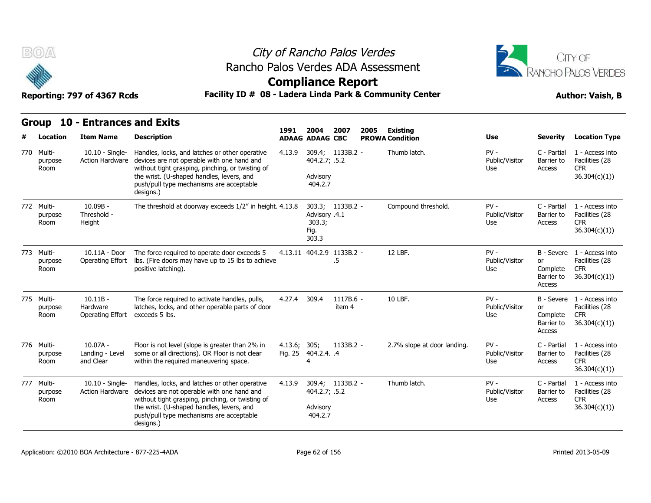



**Compliance Report**

|  | Group 10 - Entrances and Exits |  |
|--|--------------------------------|--|
|--|--------------------------------|--|

| Group                         | <b>10 - Entrances and Exits</b>             |                                                                                                                                                                                                                                                        | 1991                    | 2004                                                         | 2007                | 2005 | <b>Existing</b>             |                                 |                                        |                                                                            |
|-------------------------------|---------------------------------------------|--------------------------------------------------------------------------------------------------------------------------------------------------------------------------------------------------------------------------------------------------------|-------------------------|--------------------------------------------------------------|---------------------|------|-----------------------------|---------------------------------|----------------------------------------|----------------------------------------------------------------------------|
| Location                      | <b>Item Name</b>                            | <b>Description</b>                                                                                                                                                                                                                                     |                         | <b>ADAAG ADAAG CBC</b>                                       |                     |      | <b>PROWA Condition</b>      | Use                             | <b>Severity</b>                        | <b>Location Type</b>                                                       |
| 770 Multi-<br>purpose<br>Room | $10.10 -$ Single-<br><b>Action Hardware</b> | Handles, locks, and latches or other operative<br>devices are not operable with one hand and<br>without tight grasping, pinching, or twisting of<br>the wrist. (U-shaped handles, levers, and<br>push/pull type mechanisms are acceptable<br>designs.) | 4.13.9                  | 309.4; 1133B.2 -<br>404.2.7; .5.2<br>Advisory<br>404.2.7     |                     |      | Thumb latch.                | $PV -$<br>Public/Visitor<br>Use | C - Partial<br>Barrier to<br>Access    | 1 - Access into<br>Facilities (28<br><b>CFR</b><br>36.304(c)(1)            |
| 772 Multi-<br>purpose<br>Room | $10.09B -$<br>Threshold -<br>Height         | The threshold at doorway exceeds 1/2" in height. 4.13.8                                                                                                                                                                                                |                         | 303.3; 1133B.2 -<br>Advisory .4.1<br>303.3;<br>Fig.<br>303.3 |                     |      | Compound threshold.         | $PV -$<br>Public/Visitor<br>Use | C - Partial<br>Barrier to<br>Access    | 1 - Access into<br>Facilities (28<br><b>CFR</b><br>36.304(c)(1)            |
| 773 Multi-<br>purpose<br>Room | 10.11A - Door<br>Operating Effort           | The force required to operate door exceeds 5<br>lbs. (Fire doors may have up to 15 lbs to achieve<br>positive latching).                                                                                                                               |                         | 4.13.11 404.2.9 1133B.2 -                                    | $.5\,$              |      | 12 LBF.                     | $PV -$<br>Public/Visitor<br>Use | or<br>Complete<br>Barrier to<br>Access | B - Severe 1 - Access into<br>Facilities (28<br><b>CFR</b><br>36.304(c)(1) |
| 775 Multi-<br>purpose<br>Room | $10.11B -$<br>Hardware<br>Operating Effort  | The force required to activate handles, pulls,<br>latches, locks, and other operable parts of door<br>exceeds 5 lbs.                                                                                                                                   | 4.27.4                  | 309.4                                                        | 1117B.6 -<br>item 4 |      | 10 LBF.                     | $PV -$<br>Public/Visitor<br>Use | or<br>Complete<br>Barrier to<br>Access | B - Severe 1 - Access into<br>Facilities (28<br><b>CFR</b><br>36.304(c)(1) |
| 776 Multi-<br>purpose<br>Room | $10.07A -$<br>Landing - Level<br>and Clear  | Floor is not level (slope is greater than 2% in<br>some or all directions). OR Floor is not clear<br>within the required maneuvering space.                                                                                                            | 4.13.6; 305;<br>Fig. 25 | 404.2.4. .4<br>4                                             | $1133B.2 -$         |      | 2.7% slope at door landing. | $PV -$<br>Public/Visitor<br>Use | C - Partial<br>Barrier to<br>Access    | 1 - Access into<br>Facilities (28<br><b>CFR</b><br>36.304(c)(1)            |
| 777 Multi-<br>purpose<br>Room | 10.10 - Single-<br><b>Action Hardware</b>   | Handles, locks, and latches or other operative<br>devices are not operable with one hand and<br>without tight grasping, pinching, or twisting of<br>the wrist. (U-shaped handles, levers, and<br>push/pull type mechanisms are acceptable<br>designs.) | 4.13.9                  | 309.4; 1133B.2 -<br>404.2.7; .5.2<br>Advisory<br>404.2.7     |                     |      | Thumb latch.                | $PV -$<br>Public/Visitor<br>Use | C - Partial<br>Barrier to<br>Access    | 1 - Access into<br>Facilities (28<br><b>CFR</b><br>36.304(c)(1)            |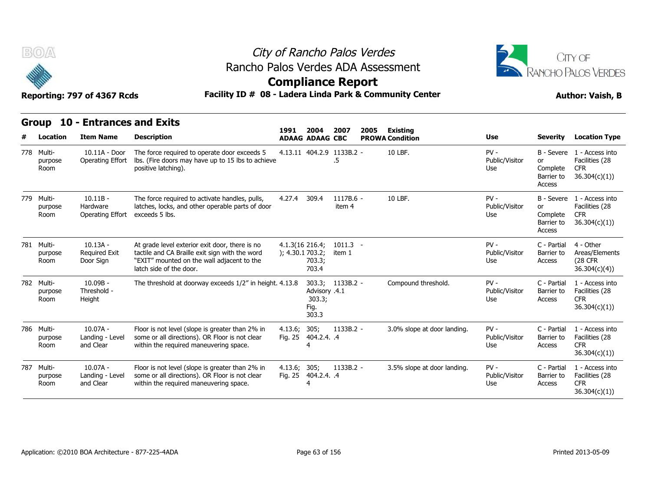



### **Compliance Report**

### Facility ID # 08 - Ladera Linda Park & Community Center **Author: Vaish, B**

| Reporting: 797 or 4367 RCGS |  |  |  |
|-----------------------------|--|--|--|
|                             |  |  |  |
|                             |  |  |  |

| BOA                           | Reporting: 797 of 4367 Rcds                        | Rancho Palos Verdes ADA Assessment<br>Facility ID # 08 - Ladera Linda Park & Community Center                                                                             | City of Rancho Palos Verdes<br><b>Compliance Report</b> |                                          |                      |      |                                    | CITY OF<br>RANCHO PALOS VERDES<br><b>Author: Vaish, B</b> |                                        |                                                                            |
|-------------------------------|----------------------------------------------------|---------------------------------------------------------------------------------------------------------------------------------------------------------------------------|---------------------------------------------------------|------------------------------------------|----------------------|------|------------------------------------|-----------------------------------------------------------|----------------------------------------|----------------------------------------------------------------------------|
| Location                      | Group 10 - Entrances and Exits<br><b>Item Name</b> | <b>Description</b>                                                                                                                                                        | 1991                                                    | 2004<br><b>ADAAG ADAAG CBC</b>           | 2007                 | 2005 | Existina<br><b>PROWA Condition</b> | Use                                                       | <b>Severity</b>                        | <b>Location Type</b>                                                       |
| 778 Multi-<br>purpose<br>Room | 10.11A - Door<br>Operating Effort                  | The force required to operate door exceeds 5<br>Ibs. (Fire doors may have up to 15 lbs to achieve<br>positive latching).                                                  |                                                         | 4.13.11 404.2.9 1133B.2 -                | .5                   |      | 10 LBF.                            | $PV -$<br>Public/Visitor<br>Use                           | or<br>Complete<br>Barrier to<br>Access | B - Severe 1 - Access into<br>Facilities (28<br><b>CFR</b><br>36.304(c)(1) |
| 779 Multi-<br>purpose<br>Room | $10.11B -$<br>Hardware<br>Operating Effort         | The force required to activate handles, pulls,<br>latches, locks, and other operable parts of door<br>exceeds 5 lbs.                                                      | 4.27.4                                                  | 309.4                                    | 1117B.6 -<br>item 4  |      | 10 LBF.                            | $PV -$<br>Public/Visitor<br>Use                           | or<br>Complete<br>Barrier to<br>Access | B - Severe 1 - Access into<br>Facilities (28<br><b>CFR</b><br>36.304(c)(1) |
| 781 Multi-<br>purpose<br>Room | $10.13A -$<br>Required Exit<br>Door Sign           | At grade level exterior exit door, there is no<br>tactile and CA Braille exit sign with the word<br>"EXIT" mounted on the wall adjacent to the<br>latch side of the door. | $4.1.3(16\ 216.4)$<br>); 4.30.1703.2;                   | 703.3;<br>703.4                          | $1011.3 -$<br>item 1 |      |                                    | $PV -$<br>Public/Visitor<br>Use                           | C - Partial<br>Barrier to<br>Access    | 4 - Other<br>Areas/Elements<br><b>(28 CFR)</b><br>36.304(c)(4)             |
| 782 Multi-<br>purpose<br>Room | $10.09B -$<br>Threshold -<br>Height                | The threshold at doorway exceeds 1/2" in height. 4.13.8                                                                                                                   |                                                         | Advisory .4.1<br>303.3;<br>Fig.<br>303.3 | 303.3; 1133B.2 -     |      | Compound threshold.                | $PV -$<br>Public/Visitor<br>Use                           | C - Partial<br>Barrier to<br>Access    | 1 - Access into<br>Facilities (28<br><b>CFR</b><br>36.304(c)(1))           |
| 786 Multi-<br>purpose<br>Room | $10.07A -$<br>Landing - Level<br>and Clear         | Floor is not level (slope is greater than 2% in<br>some or all directions). OR Floor is not clear<br>within the required maneuvering space.                               | 4.13.6; 305;<br>Fig. 25                                 | 404.2.4. .4                              | 1133B.2 -            |      | 3.0% slope at door landing.        | $PV -$<br>Public/Visitor<br>Use                           | C - Partial<br>Barrier to<br>Access    | 1 - Access into<br>Facilities (28<br><b>CFR</b><br>36.304(c)(1))           |
| 787 Multi-<br>purpose<br>Room | $10.07A -$<br>Landing - Level<br>and Clear         | Floor is not level (slope is greater than 2% in<br>some or all directions). OR Floor is not clear<br>within the required maneuvering space.                               | 4.13.6; 305;                                            | Fig. 25 404.2.4. .4<br>4                 | 1133B.2 -            |      | 3.5% slope at door landing.        | $PV -$<br>Public/Visitor<br>Use                           | C - Partial<br>Barrier to<br>Access    | 1 - Access into<br>Facilities (28<br><b>CFR</b><br>36.304(c)(1)            |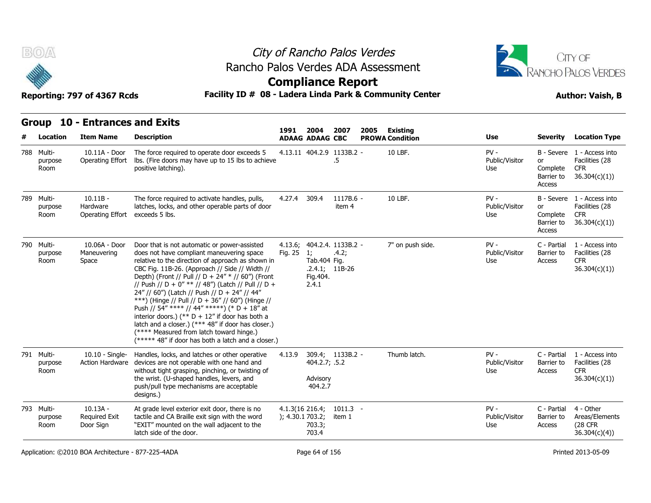



### **Compliance Report**

### Reporting: 797 of 4367 Rcds **Facility ID # 08 - Ladera Linda Park & Community Center Author: Vaish, B**

|     | BOA                           | Reporting: 797 of 4367 Rcds                        |                                                                                                                                                                                                                                                                                                                                                                                                                                                                                                                                                                                                                                                                               | City of Rancho Palos Verdes<br>Rancho Palos Verdes ADA Assessment<br><b>Compliance Report</b><br>Facility ID # 08 - Ladera Linda Park & Community Center |                                          |                                                         |      |                                    |                                 |                                        |                                                                            |  |
|-----|-------------------------------|----------------------------------------------------|-------------------------------------------------------------------------------------------------------------------------------------------------------------------------------------------------------------------------------------------------------------------------------------------------------------------------------------------------------------------------------------------------------------------------------------------------------------------------------------------------------------------------------------------------------------------------------------------------------------------------------------------------------------------------------|----------------------------------------------------------------------------------------------------------------------------------------------------------|------------------------------------------|---------------------------------------------------------|------|------------------------------------|---------------------------------|----------------------------------------|----------------------------------------------------------------------------|--|
| #   | Location                      | Group 10 - Entrances and Exits<br><b>Item Name</b> | <b>Description</b>                                                                                                                                                                                                                                                                                                                                                                                                                                                                                                                                                                                                                                                            | 1991                                                                                                                                                     | 2004<br><b>ADAAG ADAAG CBC</b>           | 2007                                                    | 2005 | Existing<br><b>PROWA Condition</b> | Use                             | <b>Severity</b>                        | <b>Location Type</b>                                                       |  |
|     | 788 Multi-<br>purpose<br>Room | 10.11A - Door<br>Operating Effort                  | The force required to operate door exceeds 5<br>Ibs. (Fire doors may have up to 15 lbs to achieve<br>positive latching).                                                                                                                                                                                                                                                                                                                                                                                                                                                                                                                                                      |                                                                                                                                                          |                                          | 4.13.11 404.2.9 1133B.2 -<br>.5                         |      | 10 LBF.                            | $PV -$<br>Public/Visitor<br>Use | or<br>Complete<br>Barrier to<br>Access | B - Severe 1 - Access into<br>Facilities (28<br><b>CFR</b><br>36.304(c)(1) |  |
|     | 789 Multi-<br>purpose<br>Room | $10.11B -$<br>Hardware<br><b>Operating Effort</b>  | The force required to activate handles, pulls,<br>latches, locks, and other operable parts of door<br>exceeds 5 lbs.                                                                                                                                                                                                                                                                                                                                                                                                                                                                                                                                                          | 4.27.4 309.4                                                                                                                                             |                                          | 1117B.6 -<br>item 4                                     |      | 10 LBF.                            | $PV -$<br>Public/Visitor<br>Use | or<br>Complete<br>Barrier to<br>Access | B - Severe 1 - Access into<br>Facilities (28<br><b>CFR</b><br>36.304(c)(1) |  |
|     | 790 Multi-<br>purpose<br>Room | 10.06A - Door<br>Maneuvering<br>Space              | Door that is not automatic or power-assisted<br>does not have compliant maneuvering space<br>relative to the direction of approach as shown in<br>CBC Fig. 11B-26. (Approach // Side // Width //<br>Depth) (Front // Pull // D + 24" * // 60") (Front<br>// Push // D + 0" ** // 48") (Latch // Pull // D +<br>24" // 60") (Latch // Push // D + 24" // 44"<br>***) (Hinge // Pull // D + 36" // 60") (Hinge //<br>Push // 54" **** // 44" *****) (* D + 18" at<br>interior doors.) (** $D + 12$ " if door has both a<br>latch and a closer.) (*** 48" if door has closer.)<br>(**** Measured from latch toward hinge.)<br>(***** 48" if door has both a latch and a closer.) | Fig. 25                                                                                                                                                  | 1;<br>Tab.404 Fig.<br>Fig. 404.<br>2.4.1 | 4.13.6; 404.2.4. 1133B.2 -<br>.4.2;<br>$.2.4.1; 11B-26$ |      | 7" on push side.                   | $PV -$<br>Public/Visitor<br>Use | C - Partial<br>Barrier to<br>Access    | 1 - Access into<br>Facilities (28<br><b>CFR</b><br>36.304(c)(1)            |  |
| 791 | Multi-<br>purpose<br>Room     | $10.10 -$ Single-<br>Action Hardware               | Handles, locks, and latches or other operative<br>devices are not operable with one hand and<br>without tight grasping, pinching, or twisting of<br>the wrist. (U-shaped handles, levers, and<br>push/pull type mechanisms are acceptable<br>designs.)                                                                                                                                                                                                                                                                                                                                                                                                                        | 4.13.9                                                                                                                                                   | 404.2.7; .5.2<br>Advisory<br>404.2.7     | 309.4; 1133B.2 -                                        |      | Thumb latch.                       | $PV -$<br>Public/Visitor<br>Use | C - Partial<br>Barrier to<br>Access    | 1 - Access into<br>Facilities (28<br><b>CFR</b><br>36.304(c)(1))           |  |
|     | 793 Multi-<br>purpose<br>Room | $10.13A -$<br><b>Required Exit</b><br>Door Sign    | At grade level exterior exit door, there is no<br>tactile and CA Braille exit sign with the word<br>"EXIT" mounted on the wall adjacent to the<br>latch side of the door.                                                                                                                                                                                                                                                                                                                                                                                                                                                                                                     | ); 4.30.1 703.2;                                                                                                                                         | 4.1.3(16 216.4;<br>703.3;<br>703.4       | $1011.3 -$<br>item 1                                    |      |                                    | $PV -$<br>Public/Visitor<br>Use | C - Partial<br>Barrier to<br>Access    | 4 - Other<br>Areas/Elements<br>(28 CFR<br>36.304(c)(4)                     |  |

Application: ©2010 BOA Architecture - 877-225-4ADA Page 64 of 156 Printed 2013-05-09 Printed 2013-05-09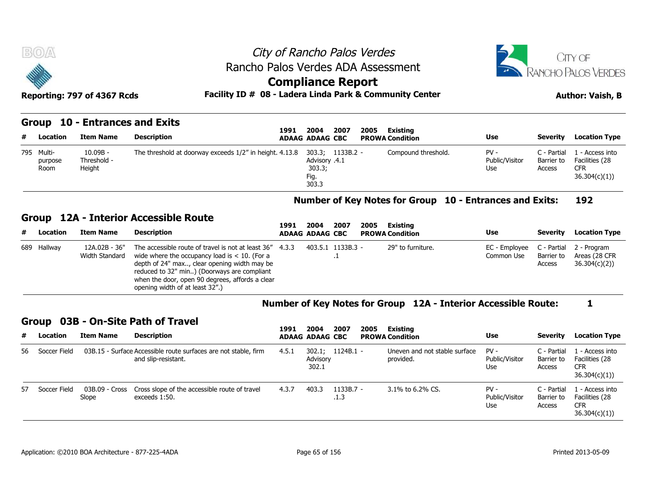



### **Compliance Report**

#### **Group 10 - Entrances and Exits**

| B(0)                          | Reporting: 797 of 4367 Rcds         |                                | City of Rancho Palos Verdes<br>Rancho Palos Verdes ADA Assessment<br><b>Compliance Report</b><br>Facility ID # 08 - Ladera Linda Park & Community Center |                                                              | CITY OF<br>RANCHO PALOS VERDES<br><b>Author: Vaish, B</b> |                        |                                 |                                     |                                                                 |
|-------------------------------|-------------------------------------|--------------------------------|----------------------------------------------------------------------------------------------------------------------------------------------------------|--------------------------------------------------------------|-----------------------------------------------------------|------------------------|---------------------------------|-------------------------------------|-----------------------------------------------------------------|
|                               |                                     | Group 10 - Entrances and Exits | 1991                                                                                                                                                     | 2007<br>2004                                                 | 2005                                                      | Existing               |                                 |                                     |                                                                 |
| # Location                    | <b>Item Name</b>                    | <b>Description</b>             |                                                                                                                                                          | <b>ADAAG ADAAG CBC</b>                                       |                                                           | <b>PROWA Condition</b> | Use                             | Severity                            | <b>Location Type</b>                                            |
| 795 Multi-<br>purpose<br>Room | $10.09B -$<br>Threshold -<br>Height |                                | The threshold at doorway exceeds 1/2" in height. 4.13.8                                                                                                  | 303.3; 1133B.2 -<br>4.1. Advisory<br>303.3;<br>Fig.<br>303.3 |                                                           | Compound threshold.    | $PV -$<br>Public/Visitor<br>Use | C - Partial<br>Barrier to<br>Access | 1 - Access into<br>Facilities (28<br><b>CFR</b><br>36.304(c)(1) |

#### **Number of Key Notes for Group 10 - Entrances and Exits: 192**

#### **Group 12A - Interior Accessible Route**

|   | 795 Multi-<br>purpose<br>Room | $10.09B -$<br>Threshold -<br>Height | The threshold at doorway exceeds 1/2" in height. 4.13.8 |      | 4.1. Advisory<br>303.3;<br>Fig.<br>303.3 | 303.3; 1133B.2 - |      | Compound threshold.    | $PV -$<br>Public/Visitor<br>Use                         | C - Partial<br>Barrier to<br>Access | . - Access into<br>Facilities (28<br><b>CFR</b><br>36.304(c)(1)) |
|---|-------------------------------|-------------------------------------|---------------------------------------------------------|------|------------------------------------------|------------------|------|------------------------|---------------------------------------------------------|-------------------------------------|------------------------------------------------------------------|
|   |                               |                                     |                                                         |      |                                          |                  |      |                        | Number of Key Notes for Group 10 - Entrances and Exits: |                                     | 192                                                              |
|   |                               |                                     | Group 12A - Interior Accessible Route                   |      |                                          |                  |      |                        |                                                         |                                     |                                                                  |
|   |                               |                                     |                                                         | 1991 | 2004                                     | 2007             | 2005 | Existing               |                                                         |                                     |                                                                  |
| # | Location                      | <b>Item Name</b>                    | <b>Description</b>                                      |      | <b>ADAAG ADAAG CBC</b>                   |                  |      | <b>PROWA Condition</b> | Use                                                     | Severity                            | <b>Location Type</b>                                             |

#### **Number of Key Notes for Group 12A - Interior Accessible Route: 1**

#### **Group 03B - On-Site Path of Travel**

| 689 Hallway     | 12A.02B - 36"<br>Width Standard | The accessible route of travel is not at least 36"<br>wide where the occupancy load is $< 10$ . (For a<br>depth of 24" max, clear opening width may be<br>reduced to 32" min) (Doorways are compliant<br>when the door, open 90 degrees, affords a clear<br>opening width of at least 32".) | 4.3.3 |                        | 403.5.1 1133B.3 - |      | 29" to furniture.                                              | EC - Employee<br>Common Use            | C - Partial<br>Barrier to<br>Access | 2 - Program<br>Areas (28 CFR)<br>36.304(c)(2)                   |
|-----------------|---------------------------------|---------------------------------------------------------------------------------------------------------------------------------------------------------------------------------------------------------------------------------------------------------------------------------------------|-------|------------------------|-------------------|------|----------------------------------------------------------------|----------------------------------------|-------------------------------------|-----------------------------------------------------------------|
|                 |                                 |                                                                                                                                                                                                                                                                                             |       |                        |                   |      | Number of Key Notes for Group 12A - Interior Accessible Route: |                                        |                                     |                                                                 |
|                 |                                 | Group 03B - On-Site Path of Travel                                                                                                                                                                                                                                                          | 1991  | 2004                   | 2007              | 2005 | Existing                                                       |                                        |                                     |                                                                 |
| # Location      | <b>Item Name</b>                | <b>Description</b>                                                                                                                                                                                                                                                                          |       | <b>ADAAG ADAAG CBC</b> |                   |      | <b>PROWA Condition</b>                                         | Use                                    | Severity                            | <b>Location Type</b>                                            |
| 56 Soccer Field |                                 | 03B.15 - Surface Accessible route surfaces are not stable, firm<br>and slip-resistant.                                                                                                                                                                                                      | 4.5.1 | Advisory<br>302.1      | 302.1; 1124B.1 -  |      | Uneven and not stable surface<br>provided.                     | $PV -$<br>Public/Visitor<br><b>Use</b> | C - Partial<br>Barrier to<br>Access | . - Access into<br>Facilities (28<br><b>CFR</b><br>36.304(c)(1) |
| 57 Soccer Field | 03B.09 - Cross<br>Slope         | Cross slope of the accessible route of travel<br>exceeds 1:50.                                                                                                                                                                                                                              | 4.3.7 | 403.3                  | 1133B.7 -<br>.1.3 |      | 3.1% to 6.2% CS.                                               | $PV -$<br>Public/Visitor               | C - Partial<br>Barrier to           | L - Access into<br>Facilities (28<br><b>CFR</b>                 |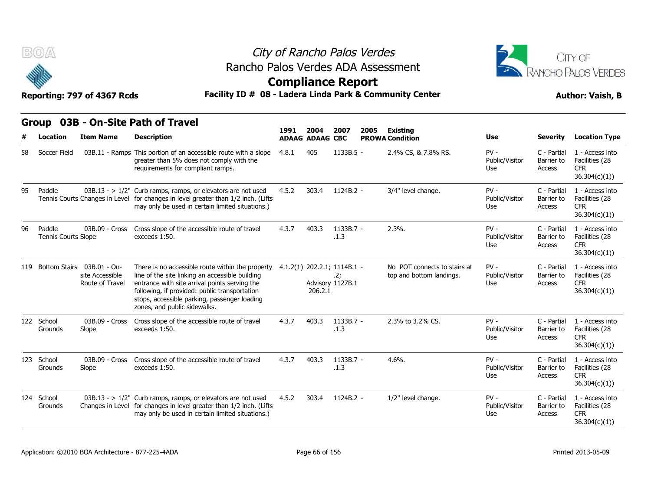

### City of Rancho Palos Verdes Rancho Palos Verdes ADA Assessment



### **Compliance Report**

|    | B(0)                          | Reporting: 797 of 4367 Rcds                                          |                                                                                                                                                                                                                                                                                       | City of Rancho Palos Verdes<br>Rancho Palos Verdes ADA Assessment<br><b>Compliance Report</b><br>Facility ID # 08 - Ladera Linda Park & Community Center |                        |                                                        |      |                                                          |                                 |                                     |                                                                  |  |  |
|----|-------------------------------|----------------------------------------------------------------------|---------------------------------------------------------------------------------------------------------------------------------------------------------------------------------------------------------------------------------------------------------------------------------------|----------------------------------------------------------------------------------------------------------------------------------------------------------|------------------------|--------------------------------------------------------|------|----------------------------------------------------------|---------------------------------|-------------------------------------|------------------------------------------------------------------|--|--|
|    | <b>Group</b>                  |                                                                      | 03B - On-Site Path of Travel                                                                                                                                                                                                                                                          | 1991                                                                                                                                                     | 2004                   | 2007                                                   | 2005 | <b>Existing</b>                                          |                                 |                                     |                                                                  |  |  |
|    | Location                      | <b>Item Name</b>                                                     | <b>Description</b>                                                                                                                                                                                                                                                                    |                                                                                                                                                          | <b>ADAAG ADAAG CBC</b> |                                                        |      | <b>PROWA Condition</b>                                   | Use                             | <b>Severity</b>                     | <b>Location Type</b>                                             |  |  |
| 58 | Soccer Field                  |                                                                      | 03B.11 - Ramps This portion of an accessible route with a slope<br>greater than 5% does not comply with the<br>requirements for compliant ramps.                                                                                                                                      | 4.8.1                                                                                                                                                    | 405                    | 1133B.5 -                                              |      | 2.4% CS, & 7.8% RS.                                      | $PV -$<br>Public/Visitor<br>Use | C - Partial<br>Barrier to<br>Access | 1 - Access into<br>Facilities (28<br><b>CFR</b><br>36.304(c)(1)) |  |  |
| 95 | Paddle                        |                                                                      | $03B.13 - 1/2$ " Curb ramps, ramps, or elevators are not used<br>Tennis Courts Changes in Level for changes in level greater than 1/2 inch. (Lifts<br>may only be used in certain limited situations.)                                                                                | 4.5.2                                                                                                                                                    | 303.4                  | 1124B.2 -                                              |      | 3/4" level change.                                       | $PV -$<br>Public/Visitor<br>Use | C - Partial<br>Barrier to<br>Access | 1 - Access into<br>Facilities (28<br><b>CFR</b><br>36.304(c)(1)) |  |  |
| 96 | Paddle<br>Tennis Courts Slope | 03B.09 - Cross                                                       | Cross slope of the accessible route of travel<br>exceeds 1:50.                                                                                                                                                                                                                        | 4.3.7                                                                                                                                                    | 403.3                  | 1133B.7 -<br>.1.3                                      |      | 2.3%                                                     | $PV -$<br>Public/Visitor<br>Use | C - Partial<br>Barrier to<br>Access | 1 - Access into<br>Facilities (28<br><b>CFR</b><br>36.304(c)(1)) |  |  |
|    |                               | 119 Bottom Stairs 03B.01 - On-<br>site Accessible<br>Route of Travel | There is no accessible route within the property<br>line of the site linking an accessible building<br>entrance with site arrival points serving the<br>following, if provided: public transportation<br>stops, accessible parking, passenger loading<br>zones, and public sidewalks. |                                                                                                                                                          | 206.2.1                | 4.1.2(1) 202.2.1; 1114B.1 -<br>.2;<br>Advisory 1127B.1 |      | No POT connects to stairs at<br>top and bottom landings. | $PV -$<br>Public/Visitor<br>Use | C - Partial<br>Barrier to<br>Access | 1 - Access into<br>Facilities (28<br><b>CFR</b><br>36.304(c)(1)  |  |  |
|    | 122 School<br>Grounds         | 03B.09 - Cross<br>Slope                                              | Cross slope of the accessible route of travel<br>exceeds 1:50.                                                                                                                                                                                                                        | 4.3.7                                                                                                                                                    | 403.3                  | $1133B.7 -$<br>.1.3                                    |      | 2.3% to 3.2% CS.                                         | $PV -$<br>Public/Visitor<br>Use | C - Partial<br>Barrier to<br>Access | 1 - Access into<br>Facilities (28<br>CFR.<br>36.304(c)(1))       |  |  |
|    | 123 School<br>Grounds         | 03B.09 - Cross<br>Slope                                              | Cross slope of the accessible route of travel<br>exceeds 1:50.                                                                                                                                                                                                                        | 4.3.7                                                                                                                                                    | 403.3                  | 1133B.7 -<br>.1.3                                      |      | $4.6%$ .                                                 | $PV -$<br>Public/Visitor<br>Use | C - Partial<br>Barrier to<br>Access | 1 - Access into<br>Facilities (28<br><b>CFR</b><br>36.304(c)(1)) |  |  |
|    | 124 School<br>Grounds         |                                                                      | $03B.13 - 1/2"$ Curb ramps, ramps, or elevators are not used<br>Changes in Level for changes in level greater than 1/2 inch. (Lifts<br>may only be used in certain limited situations.)                                                                                               | 4.5.2                                                                                                                                                    | 303.4                  | 1124B.2 -                                              |      | 1/2" level change.                                       | $PV -$<br>Public/Visitor<br>Use | C - Partial<br>Barrier to<br>Access | 1 - Access into<br>Facilities (28<br><b>CFR</b><br>36.304(c)(1)) |  |  |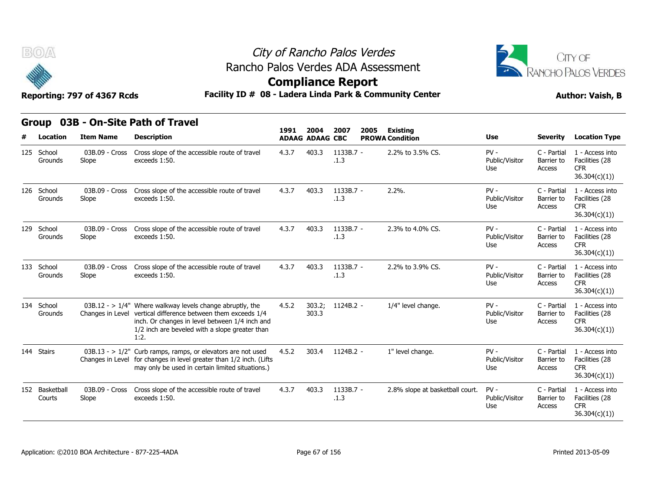



### **Compliance Report**

| B(0)<br>Facility ID # 08 - Ladera Linda Park & Community Center<br>Reporting: 797 of 4367 Rcds |                          |                         |                                                                                                                                                                                                                                           |       |                                | City of Rancho Palos Verdes<br>Rancho Palos Verdes ADA Assessment<br><b>Compliance Report</b> |                                           |                                 |                                     | CITY OF<br>RANCHO PALOS VERDES<br><b>Author: Vaish, B</b>        |  |
|------------------------------------------------------------------------------------------------|--------------------------|-------------------------|-------------------------------------------------------------------------------------------------------------------------------------------------------------------------------------------------------------------------------------------|-------|--------------------------------|-----------------------------------------------------------------------------------------------|-------------------------------------------|---------------------------------|-------------------------------------|------------------------------------------------------------------|--|
|                                                                                                | <b>Group</b><br>Location | <b>Item Name</b>        | 03B - On-Site Path of Travel<br><b>Description</b>                                                                                                                                                                                        | 1991  | 2004<br><b>ADAAG ADAAG CBC</b> | 2007<br>2005                                                                                  | <b>Existing</b><br><b>PROWA Condition</b> | Use                             | <b>Severity</b>                     | <b>Location Type</b>                                             |  |
|                                                                                                | 125 School<br>Grounds    | 03B.09 - Cross<br>Slope | Cross slope of the accessible route of travel<br>exceeds 1:50.                                                                                                                                                                            | 4.3.7 | 403.3                          | 1133B.7 -<br>.1.3                                                                             | 2.2% to 3.5% CS.                          | $PV -$<br>Public/Visitor<br>Use | C - Partial<br>Barrier to<br>Access | 1 - Access into<br>Facilities (28<br><b>CFR</b><br>36.304(c)(1)) |  |
|                                                                                                | 126 School<br>Grounds    | 03B.09 - Cross<br>Slope | Cross slope of the accessible route of travel<br>exceeds 1:50.                                                                                                                                                                            | 4.3.7 | 403.3                          | 1133B.7 -<br>.1.3                                                                             | 2.2%                                      | $PV -$<br>Public/Visitor<br>Use | C - Partial<br>Barrier to<br>Access | 1 - Access into<br>Facilities (28<br>CFR.<br>36.304(c)(1))       |  |
|                                                                                                | 129 School<br>Grounds    | 03B.09 - Cross<br>Slope | Cross slope of the accessible route of travel<br>exceeds 1:50.                                                                                                                                                                            | 4.3.7 | 403.3                          | 1133B.7 -<br>.1.3                                                                             | 2.3% to 4.0% CS.                          | $PV -$<br>Public/Visitor<br>Use | C - Partial<br>Barrier to<br>Access | 1 - Access into<br>Facilities (28<br><b>CFR</b><br>36.304(c)(1)) |  |
|                                                                                                | 133 School<br>Grounds    | 03B.09 - Cross<br>Slope | Cross slope of the accessible route of travel<br>exceeds 1:50.                                                                                                                                                                            | 4.3.7 | 403.3                          | 1133B.7 -<br>.1.3                                                                             | 2.2% to 3.9% CS.                          | $PV -$<br>Public/Visitor<br>Use | C - Partial<br>Barrier to<br>Access | 1 - Access into<br>Facilities (28<br><b>CFR</b><br>36.304(c)(1)) |  |
|                                                                                                | 134 School<br>Grounds    |                         | 03B.12 - > $1/4$ " Where walkway levels change abruptly, the<br>Changes in Level vertical difference between them exceeds 1/4<br>inch. Or changes in level between 1/4 inch and<br>1/2 inch are beveled with a slope greater than<br>1:2. | 4.5.2 | 303.2;<br>303.3                | 1124B.2 -                                                                                     | 1/4" level change.                        | PV-<br>Public/Visitor<br>Use    | C - Partial<br>Barrier to<br>Access | 1 - Access into<br>Facilities (28<br><b>CFR</b><br>36.304(c)(1)) |  |
|                                                                                                | 144 Stairs               |                         | $03B.13 - 1/2$ " Curb ramps, ramps, or elevators are not used<br>Changes in Level for changes in level greater than 1/2 inch. (Lifts<br>may only be used in certain limited situations.)                                                  | 4.5.2 | 303.4                          | 1124B.2 -                                                                                     | 1" level change.                          | $PV -$<br>Public/Visitor<br>Use | C - Partial<br>Barrier to<br>Access | 1 - Access into<br>Facilities (28<br>CFR.<br>36.304(c)(1))       |  |
|                                                                                                | 152 Basketball<br>Courts | 03B.09 - Cross<br>Slope | Cross slope of the accessible route of travel<br>exceeds 1:50.                                                                                                                                                                            | 4.3.7 | 403.3                          | 1133B.7 -<br>.1.3                                                                             | 2.8% slope at basketball court.           | $PV -$<br>Public/Visitor<br>Use | C - Partial<br>Barrier to<br>Access | 1 - Access into<br>Facilities (28<br><b>CFR</b><br>36.304(c)(1)  |  |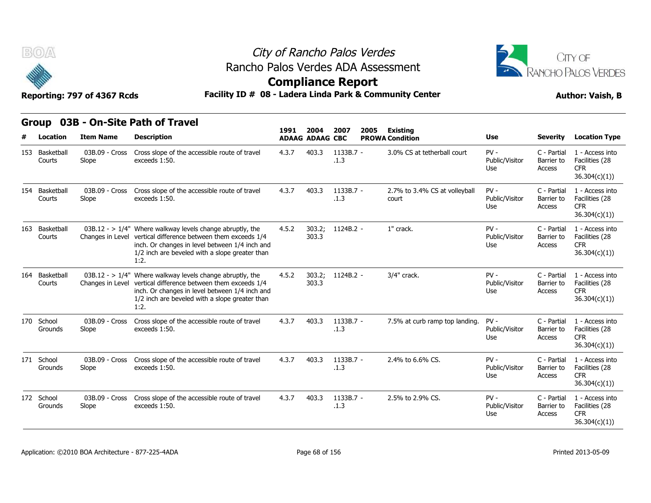

### City of Rancho Palos Verdes **Compliance Report** Rancho Palos Verdes ADA Assessment



| BOA                                          | Reporting: 797 of 4367 Rcds | Rancho Palos Verdes ADA Assessment<br>Facility ID # 08 - Ladera Linda Park & Community Center                                                                                                                                             |       |                                | City of Rancho Palos Verdes<br><b>Compliance Report</b> | CITY OF<br>RANCHO PALOS VERDES<br><b>Author: Vaish, B</b> |                                        |                                 |                                     |                                                                  |  |  |  |  |
|----------------------------------------------|-----------------------------|-------------------------------------------------------------------------------------------------------------------------------------------------------------------------------------------------------------------------------------------|-------|--------------------------------|---------------------------------------------------------|-----------------------------------------------------------|----------------------------------------|---------------------------------|-------------------------------------|------------------------------------------------------------------|--|--|--|--|
| 03B - On-Site Path of Travel<br><b>Group</b> |                             |                                                                                                                                                                                                                                           |       |                                |                                                         |                                                           |                                        |                                 |                                     |                                                                  |  |  |  |  |
| Location                                     | <b>Item Name</b>            | <b>Description</b>                                                                                                                                                                                                                        | 1991  | 2004<br><b>ADAAG ADAAG CBC</b> | 2007                                                    | 2005                                                      | Existing<br><b>PROWA Condition</b>     | Use                             | <b>Severity</b>                     | <b>Location Type</b>                                             |  |  |  |  |
| 153 Basketball<br>Courts                     | 03B.09 - Cross<br>Slope     | Cross slope of the accessible route of travel<br>exceeds 1:50.                                                                                                                                                                            | 4.3.7 | 403.3                          | 1133B.7 -<br>.1.3                                       |                                                           | 3.0% CS at tetherball court            | $PV -$<br>Public/Visitor<br>Use | C - Partial<br>Barrier to<br>Access | 1 - Access into<br>Facilities (28<br><b>CFR</b><br>36.304(c)(1)) |  |  |  |  |
| 154 Basketball<br>Courts                     | 03B.09 - Cross<br>Slope     | Cross slope of the accessible route of travel<br>exceeds 1:50.                                                                                                                                                                            | 4.3.7 | 403.3                          | 1133B.7 -<br>.1.3                                       |                                                           | 2.7% to 3.4% CS at volleyball<br>court | $PV -$<br>Public/Visitor<br>Use | C - Partial<br>Barrier to<br>Access | 1 - Access into<br>Facilities (28<br>CFR<br>36.304(c)(1))        |  |  |  |  |
| 163 Basketball<br>Courts                     |                             | $03B.12 - > 1/4$ " Where walkway levels change abruptly, the<br>Changes in Level vertical difference between them exceeds 1/4<br>inch. Or changes in level between 1/4 inch and<br>1/2 inch are beveled with a slope greater than<br>1:2. | 4.5.2 | 303.2;<br>303.3                | 1124B.2 -                                               |                                                           | 1" crack.                              | $PV -$<br>Public/Visitor<br>Use | C - Partial<br>Barrier to<br>Access | 1 - Access into<br>Facilities (28<br><b>CFR</b><br>36.304(c)(1)  |  |  |  |  |
| 164 Basketball<br>Courts                     |                             | $03B.12 - > 1/4$ " Where walkway levels change abruptly, the<br>Changes in Level vertical difference between them exceeds 1/4<br>inch. Or changes in level between 1/4 inch and<br>1/2 inch are beveled with a slope greater than<br>1:2. | 4.5.2 | 303.2;<br>303.3                | 1124B.2 -                                               |                                                           | 3/4" crack.                            | $PV -$<br>Public/Visitor<br>Use | C - Partial<br>Barrier to<br>Access | 1 - Access into<br>Facilities (28<br><b>CFR</b><br>36.304(c)(1)) |  |  |  |  |
| 170 School<br>Grounds                        | 03B.09 - Cross<br>Slope     | Cross slope of the accessible route of travel<br>exceeds 1:50.                                                                                                                                                                            | 4.3.7 | 403.3                          | 1133B.7 -<br>.1.3                                       |                                                           | 7.5% at curb ramp top landing.         | $PV -$<br>Public/Visitor<br>Use | C - Partial<br>Barrier to<br>Access | 1 - Access into<br>Facilities (28<br><b>CFR</b><br>36.304(c)(1)) |  |  |  |  |
| 171 School<br>Grounds                        | 03B.09 - Cross<br>Slope     | Cross slope of the accessible route of travel<br>exceeds 1:50.                                                                                                                                                                            | 4.3.7 | 403.3                          | 1133B.7 -<br>.1.3                                       |                                                           | 2.4% to 6.6% CS.                       | $PV -$<br>Public/Visitor<br>Use | C - Partial<br>Barrier to<br>Access | 1 - Access into<br>Facilities (28<br><b>CFR</b><br>36.304(c)(1)) |  |  |  |  |
| 172 School<br>Grounds                        | 03B.09 - Cross<br>Slope     | Cross slope of the accessible route of travel<br>exceeds 1:50.                                                                                                                                                                            | 4.3.7 | 403.3                          | 1133B.7 -<br>.1.3                                       |                                                           | 2.5% to 2.9% CS.                       | $PV -$<br>Public/Visitor<br>Use | C - Partial<br>Barrier to<br>Access | 1 - Access into<br>Facilities (28<br><b>CFR</b><br>36.304(c)(1)) |  |  |  |  |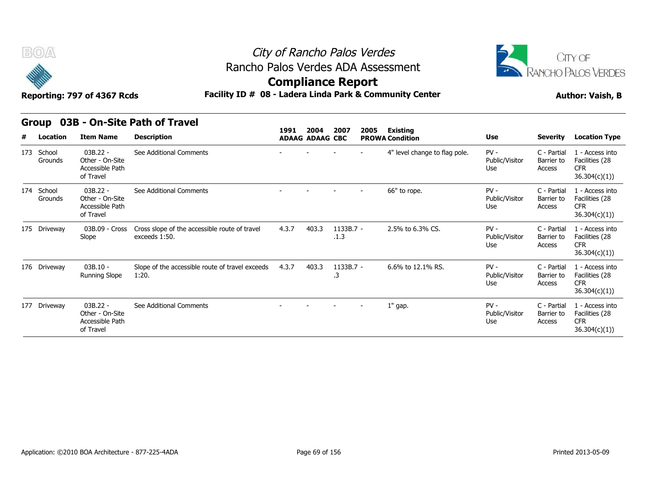



### **Compliance Report**

### Reporting: 797 of 4367 Rcds **Facility ID # 08 - Ladera Linda Park & Community Center Author: Vaish, B**

#### **Group 03B - On-Site Path of Travel**

|   | $\tilde{\phantom{a}}$<br>Reporting: 797 of 4367 Rcds |                                                               | Facility ID # 08 - Ladera Linda Park & Community Center        | somphanee nepore |                        |                     | <b>Author: Vaish, B</b> |                               |                                 |                                     |                                                                  |
|---|------------------------------------------------------|---------------------------------------------------------------|----------------------------------------------------------------|------------------|------------------------|---------------------|-------------------------|-------------------------------|---------------------------------|-------------------------------------|------------------------------------------------------------------|
|   | Group                                                |                                                               | 03B - On-Site Path of Travel                                   | 1991             | 2004                   | 2007                |                         | <b>Existing</b>               |                                 |                                     |                                                                  |
| # | Location                                             | <b>Item Name</b>                                              | <b>Description</b>                                             |                  | <b>ADAAG ADAAG CBC</b> |                     | 2005                    | <b>PROWA Condition</b>        | Use                             | Severity                            | <b>Location Type</b>                                             |
|   | 173 School<br>Grounds                                | $03B.22 -$<br>Other - On-Site<br>Accessible Path<br>of Travel | See Additional Comments                                        |                  |                        |                     |                         | 4" level change to flag pole. | $PV -$<br>Public/Visitor<br>Use | C - Partial<br>Barrier to<br>Access | 1 - Access into<br>Facilities (28<br><b>CFR</b><br>36.304(c)(1)  |
|   | 174 School<br>Grounds                                | $03B.22 -$<br>Other - On-Site<br>Accessible Path<br>of Travel | See Additional Comments                                        |                  |                        |                     |                         | 66" to rope.                  | $PV -$<br>Public/Visitor<br>Use | C - Partial<br>Barrier to<br>Access | 1 - Access into<br>Facilities (28<br><b>CFR</b><br>36.304(c)(1)) |
|   | 175 Driveway                                         | 03B.09 - Cross<br>Slope                                       | Cross slope of the accessible route of travel<br>exceeds 1:50. | 4.3.7            | 403.3                  | $1133B.7 -$<br>.1.3 |                         | 2.5% to 6.3% CS.              | $PV -$<br>Public/Visitor<br>Use | C - Partial<br>Barrier to<br>Access | 1 - Access into<br>Facilities (28<br><b>CFR</b><br>36.304(c)(1)  |
|   | 176 Driveway                                         | $03B.10 -$<br><b>Running Slope</b>                            | Slope of the accessible route of travel exceeds<br>1:20.       | 4.3.7            | 403.3                  | 1133B.7 -<br>.3     |                         | 6.6% to 12.1% RS.             | $PV -$<br>Public/Visitor<br>Use | C - Partial<br>Barrier to<br>Access | 1 - Access into<br>Facilities (28<br><b>CFR</b><br>36.304(c)(1)  |
|   | 177 Driveway                                         | $03B.22 -$<br>Other - On-Site<br>Accessible Path<br>of Travel | See Additional Comments                                        |                  |                        |                     |                         | $1"$ gap.                     | $PV -$<br>Public/Visitor<br>Use | C - Partial<br>Barrier to<br>Access | 1 - Access into<br>Facilities (28<br><b>CFR</b><br>36.304(c)(1)  |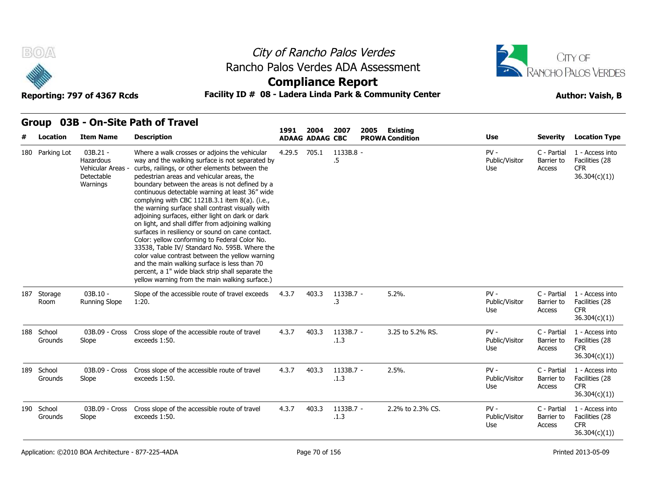



### **Compliance Report**

### Reporting: 797 of 4367 Rcds **Facility ID # 08 - Ladera Linda Park & Community Center Author: Vaish, B**

#### **Group 03B - On-Site Path of Travel**

| # | Location              | <b>Item Name</b>                                                     | <b>Description</b>                                                                                                                                                                                                                                                                                                                                                                                                                                                                                                                                                                                                                                                                                                                                                                                                                                                                  | 1991   | 2004<br><b>ADAAG ADAAG CBC</b> | 2007              | 2005 | Existing<br><b>PROWA Condition</b> | <b>Use</b>                      | <b>Severity</b>                     | <b>Location Type</b>                                             |
|---|-----------------------|----------------------------------------------------------------------|-------------------------------------------------------------------------------------------------------------------------------------------------------------------------------------------------------------------------------------------------------------------------------------------------------------------------------------------------------------------------------------------------------------------------------------------------------------------------------------------------------------------------------------------------------------------------------------------------------------------------------------------------------------------------------------------------------------------------------------------------------------------------------------------------------------------------------------------------------------------------------------|--------|--------------------------------|-------------------|------|------------------------------------|---------------------------------|-------------------------------------|------------------------------------------------------------------|
|   | 180 Parking Lot       | 03B.21 -<br>Hazardous<br>Vehicular Areas -<br>Detectable<br>Warnings | Where a walk crosses or adjoins the vehicular<br>way and the walking surface is not separated by<br>curbs, railings, or other elements between the<br>pedestrian areas and vehicular areas, the<br>boundary between the areas is not defined by a<br>continuous detectable warning at least 36" wide<br>complying with CBC 1121B.3.1 item 8(a). (i.e.,<br>the warning surface shall contrast visually with<br>adjoining surfaces, either light on dark or dark<br>on light, and shall differ from adjoining walking<br>surfaces in resiliency or sound on cane contact.<br>Color: yellow conforming to Federal Color No.<br>33538, Table IV/ Standard No. 595B. Where the<br>color value contrast between the yellow warning<br>and the main walking surface is less than 70<br>percent, a 1" wide black strip shall separate the<br>yellow warning from the main walking surface.) | 4.29.5 | 705.1                          | 1133B.8 -<br>.5   |      |                                    | $PV -$<br>Public/Visitor<br>Use | C - Partial<br>Barrier to<br>Access | 1 - Access into<br>Facilities (28<br><b>CFR</b><br>36.304(c)(1)) |
|   | 187 Storage<br>Room   | $03B.10 -$<br><b>Running Slope</b>                                   | Slope of the accessible route of travel exceeds<br>1:20.                                                                                                                                                                                                                                                                                                                                                                                                                                                                                                                                                                                                                                                                                                                                                                                                                            | 4.3.7  | 403.3                          | 1133B.7 -<br>.3   |      | 5.2%.                              | $PV -$<br>Public/Visitor<br>Use | C - Partial<br>Barrier to<br>Access | 1 - Access into<br>Facilities (28<br><b>CFR</b><br>36.304(c)(1)  |
|   | 188 School<br>Grounds | 03B.09 - Cross<br>Slope                                              | Cross slope of the accessible route of travel<br>exceeds 1:50.                                                                                                                                                                                                                                                                                                                                                                                                                                                                                                                                                                                                                                                                                                                                                                                                                      | 4.3.7  | 403.3                          | 1133B.7 -<br>.1.3 |      | 3.25 to 5.2% RS.                   | $PV -$<br>Public/Visitor<br>Use | C - Partial<br>Barrier to<br>Access | 1 - Access into<br>Facilities (28<br><b>CFR</b><br>36.304(c)(1)) |
|   | 189 School<br>Grounds | 03B.09 - Cross<br>Slope                                              | Cross slope of the accessible route of travel<br>exceeds 1:50.                                                                                                                                                                                                                                                                                                                                                                                                                                                                                                                                                                                                                                                                                                                                                                                                                      | 4.3.7  | 403.3                          | 1133B.7 -<br>.1.3 |      | $2.5%$ .                           | $PV -$<br>Public/Visitor<br>Use | C - Partial<br>Barrier to<br>Access | 1 - Access into<br>Facilities (28<br><b>CFR</b><br>36.304(c)(1)) |
|   | 190 School<br>Grounds | 03B.09 - Cross<br>Slope                                              | Cross slope of the accessible route of travel<br>exceeds 1:50.                                                                                                                                                                                                                                                                                                                                                                                                                                                                                                                                                                                                                                                                                                                                                                                                                      | 4.3.7  | 403.3                          | 1133B.7 -<br>.1.3 |      | 2.2% to 2.3% CS.                   | $PV -$<br>Public/Visitor<br>Use | C - Partial<br>Barrier to<br>Access | 1 - Access into<br>Facilities (28<br><b>CFR</b><br>36.304(c)(1)) |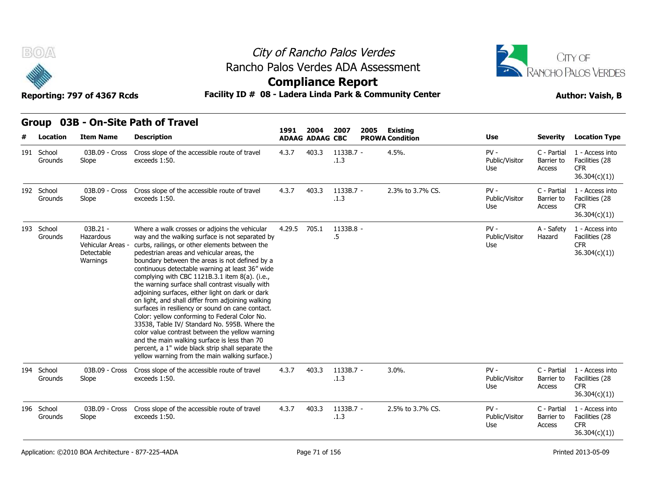

### City of Rancho Palos Verdes **Compliance Report** Rancho Palos Verdes ADA Assessment



| B(0)                  | Reporting: 797 of 4367 Rcds                                          |                                                                                                                                                                                                                                                                                                                                                                                                                                                                                                                                                                                                                                                                                                                                                                                                                                                                                     | City of Rancho Palos Verdes<br>Rancho Palos Verdes ADA Assessment<br><b>Compliance Report</b><br>Facility ID # 08 - Ladera Linda Park & Community Center |                                |                     |      |                                    |                                 |                                     |                                                                  |  |
|-----------------------|----------------------------------------------------------------------|-------------------------------------------------------------------------------------------------------------------------------------------------------------------------------------------------------------------------------------------------------------------------------------------------------------------------------------------------------------------------------------------------------------------------------------------------------------------------------------------------------------------------------------------------------------------------------------------------------------------------------------------------------------------------------------------------------------------------------------------------------------------------------------------------------------------------------------------------------------------------------------|----------------------------------------------------------------------------------------------------------------------------------------------------------|--------------------------------|---------------------|------|------------------------------------|---------------------------------|-------------------------------------|------------------------------------------------------------------|--|
| Group<br>Location     | <b>Item Name</b>                                                     | 03B - On-Site Path of Travel<br><b>Description</b>                                                                                                                                                                                                                                                                                                                                                                                                                                                                                                                                                                                                                                                                                                                                                                                                                                  | 1991                                                                                                                                                     | 2004<br><b>ADAAG ADAAG CBC</b> | 2007                | 2005 | Existing<br><b>PROWA Condition</b> | Use                             | <b>Severity</b>                     | <b>Location Type</b>                                             |  |
| 191 School<br>Grounds | 03B.09 - Cross<br>Slope                                              | Cross slope of the accessible route of travel<br>exceeds 1:50.                                                                                                                                                                                                                                                                                                                                                                                                                                                                                                                                                                                                                                                                                                                                                                                                                      | 4.3.7                                                                                                                                                    | 403.3                          | 1133B.7 -<br>.1.3   |      | 4.5%.                              | $PV -$<br>Public/Visitor<br>Use | C - Partial<br>Barrier to<br>Access | 1 - Access into<br>Facilities (28<br>CFR.<br>36.304(c)(1))       |  |
| 192 School<br>Grounds | 03B.09 - Cross<br>Slope                                              | Cross slope of the accessible route of travel<br>exceeds 1:50.                                                                                                                                                                                                                                                                                                                                                                                                                                                                                                                                                                                                                                                                                                                                                                                                                      | 4.3.7                                                                                                                                                    | 403.3                          | 1133B.7 -<br>.1.3   |      | 2.3% to 3.7% CS.                   | $PV -$<br>Public/Visitor<br>Use | C - Partial<br>Barrier to<br>Access | 1 - Access into<br>Facilities (28<br><b>CFR</b><br>36.304(c)(1)  |  |
| 193 School<br>Grounds | 03B.21 -<br>Hazardous<br>Vehicular Areas -<br>Detectable<br>Warnings | Where a walk crosses or adjoins the vehicular<br>way and the walking surface is not separated by<br>curbs, railings, or other elements between the<br>pedestrian areas and vehicular areas, the<br>boundary between the areas is not defined by a<br>continuous detectable warning at least 36" wide<br>complying with CBC 1121B.3.1 item 8(a). (i.e.,<br>the warning surface shall contrast visually with<br>adjoining surfaces, either light on dark or dark<br>on light, and shall differ from adjoining walking<br>surfaces in resiliency or sound on cane contact.<br>Color: yellow conforming to Federal Color No.<br>33538, Table IV/ Standard No. 595B. Where the<br>color value contrast between the yellow warning<br>and the main walking surface is less than 70<br>percent, a 1" wide black strip shall separate the<br>yellow warning from the main walking surface.) | 4.29.5                                                                                                                                                   | 705.1                          | 1133B.8 -<br>$.5\,$ |      |                                    | $PV -$<br>Public/Visitor<br>Use | A - Safety<br>Hazard                | 1 - Access into<br>Facilities (28<br><b>CFR</b><br>36.304(c)(1)) |  |
| 194 School<br>Grounds | 03B.09 - Cross<br>Slope                                              | Cross slope of the accessible route of travel<br>exceeds 1:50.                                                                                                                                                                                                                                                                                                                                                                                                                                                                                                                                                                                                                                                                                                                                                                                                                      | 4.3.7                                                                                                                                                    | 403.3                          | $1133B.7 -$<br>.1.3 |      | $3.0\%$ .                          | $PV -$<br>Public/Visitor<br>Use | C - Partial<br>Barrier to<br>Access | 1 - Access into<br>Facilities (28<br><b>CFR</b><br>36.304(c)(1)) |  |
| 196 School<br>Grounds | 03B.09 - Cross<br>Slope                                              | Cross slope of the accessible route of travel<br>exceeds 1:50.                                                                                                                                                                                                                                                                                                                                                                                                                                                                                                                                                                                                                                                                                                                                                                                                                      | 4.3.7                                                                                                                                                    | 403.3                          | 1133B.7 -<br>.1.3   |      | 2.5% to 3.7% CS.                   | $PV -$<br>Public/Visitor<br>Use | C - Partial<br>Barrier to<br>Access | 1 - Access into<br>Facilities (28<br><b>CFR</b><br>36.304(c)(1)  |  |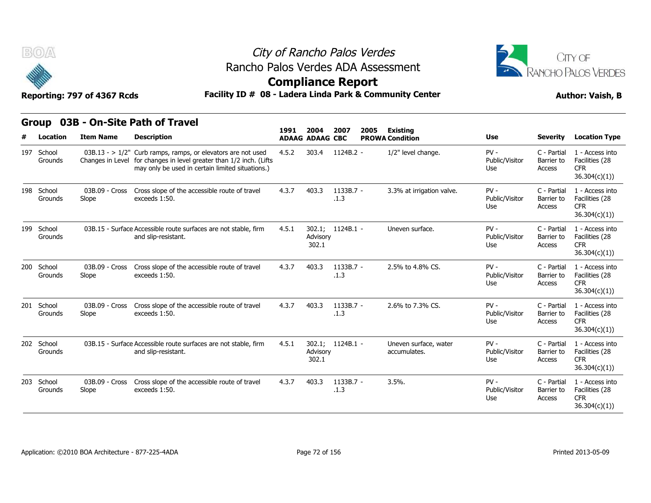



### **Compliance Report**

|     | BOA                   | Reporting: 797 of 4367 Rcds |                                                                                                                                                                                          | City of Rancho Palos Verdes<br>Rancho Palos Verdes ADA Assessment<br><b>Compliance Report</b><br>Facility ID # 08 - Ladera Linda Park & Community Center |                                |                   |      |                                           |                                 |                                     |                                                                  |  |  |
|-----|-----------------------|-----------------------------|------------------------------------------------------------------------------------------------------------------------------------------------------------------------------------------|----------------------------------------------------------------------------------------------------------------------------------------------------------|--------------------------------|-------------------|------|-------------------------------------------|---------------------------------|-------------------------------------|------------------------------------------------------------------|--|--|
| #   | Location              | <b>Item Name</b>            | Group 03B - On-Site Path of Travel<br><b>Description</b>                                                                                                                                 | 1991                                                                                                                                                     | 2004<br><b>ADAAG ADAAG CBC</b> | 2007              | 2005 | <b>Existing</b><br><b>PROWA Condition</b> | Use                             | <b>Severity</b>                     | <b>Location Type</b>                                             |  |  |
| 197 | School<br>Grounds     |                             | $03B.13 - 1/2$ " Curb ramps, ramps, or elevators are not used<br>Changes in Level for changes in level greater than 1/2 inch. (Lifts<br>may only be used in certain limited situations.) | 4.5.2                                                                                                                                                    | 303.4                          | $1124B.2 -$       |      | 1/2" level change.                        | $PV -$<br>Public/Visitor<br>Use | C - Partial<br>Barrier to<br>Access | 1 - Access into<br>Facilities (28<br><b>CFR</b><br>36.304(c)(1)  |  |  |
|     | 198 School<br>Grounds | 03B.09 - Cross<br>Slope     | Cross slope of the accessible route of travel<br>exceeds 1:50.                                                                                                                           | 4.3.7                                                                                                                                                    | 403.3                          | 1133B.7 -<br>.1.3 |      | 3.3% at irrigation valve.                 | $PV -$<br>Public/Visitor<br>Use | C - Partial<br>Barrier to<br>Access | 1 - Access into<br>Facilities (28<br><b>CFR</b><br>36.304(c)(1)  |  |  |
|     | 199 School<br>Grounds |                             | 03B.15 - Surface Accessible route surfaces are not stable, firm<br>and slip-resistant.                                                                                                   | 4.5.1                                                                                                                                                    | Advisory<br>302.1              | 302.1; 1124B.1 -  |      | Uneven surface.                           | $PV -$<br>Public/Visitor<br>Use | C - Partial<br>Barrier to<br>Access | 1 - Access into<br>Facilities (28<br><b>CFR</b><br>36.304(c)(1)  |  |  |
|     | 200 School<br>Grounds | 03B.09 - Cross<br>Slope     | Cross slope of the accessible route of travel<br>exceeds 1:50.                                                                                                                           | 4.3.7                                                                                                                                                    | 403.3                          | 1133B.7 -<br>.1.3 |      | 2.5% to 4.8% CS.                          | $PV -$<br>Public/Visitor<br>Use | C - Partial<br>Barrier to<br>Access | 1 - Access into<br>Facilities (28<br><b>CFR</b><br>36.304(c)(1)  |  |  |
| 201 | School<br>Grounds     | 03B.09 - Cross<br>Slope     | Cross slope of the accessible route of travel<br>exceeds 1:50.                                                                                                                           | 4.3.7                                                                                                                                                    | 403.3                          | 1133B.7 -<br>.1.3 |      | 2.6% to 7.3% CS.                          | $PV -$<br>Public/Visitor<br>Use | C - Partial<br>Barrier to<br>Access | 1 - Access into<br>Facilities (28<br><b>CFR</b><br>36.304(c)(1)  |  |  |
| 202 | School<br>Grounds     |                             | 03B.15 - Surface Accessible route surfaces are not stable, firm<br>and slip-resistant.                                                                                                   | 4.5.1                                                                                                                                                    | Advisory<br>302.1              | 302.1; 1124B.1 -  |      | Uneven surface, water<br>accumulates.     | $PV -$<br>Public/Visitor<br>Use | C - Partial<br>Barrier to<br>Access | 1 - Access into<br>Facilities (28<br><b>CFR</b><br>36.304(c)(1)  |  |  |
| 203 | School<br>Grounds     | 03B.09 - Cross<br>Slope     | Cross slope of the accessible route of travel<br>exceeds 1:50.                                                                                                                           | 4.3.7                                                                                                                                                    | 403.3                          | 1133B.7 -<br>.1.3 |      | 3.5%.                                     | $PV -$<br>Public/Visitor<br>Use | C - Partial<br>Barrier to<br>Access | 1 - Access into<br>Facilities (28<br><b>CFR</b><br>36.304(c)(1)) |  |  |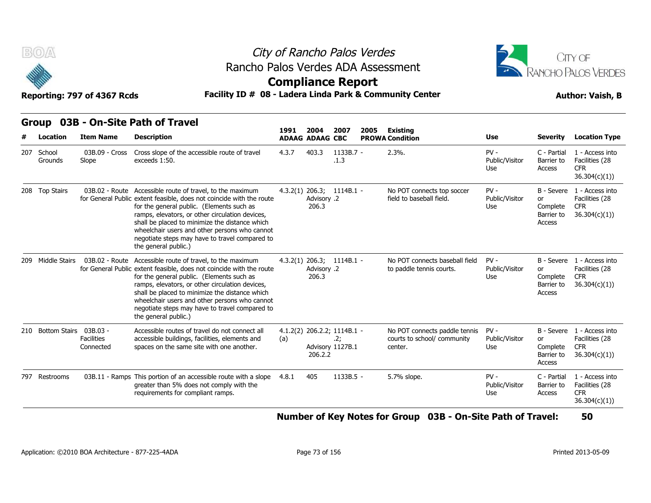



### **Compliance Report**

### Facility ID # 08 - Ladera Linda Park & Community Center<br> **Author: Vaish, B**

| Reporting: 797 of 4367 Rcds |  |  |
|-----------------------------|--|--|
|                             |  |  |

| <b>BOA</b>                 | Reporting: 797 of 4367 Rcds    | Rancho Palos Verdes ADA Assessment<br>Facility ID # 08 - Ladera Linda Park & Community Center                                                                                                                                                                                                                                                                                                                  | City of Rancho Palos Verdes<br><b>Compliance Report</b> |                                |                                                        |      |                                                                         |                                 |                                               | CITY OF<br>RANCHO PALOS VERDES<br><b>Author: Vaish, B</b>                  |
|----------------------------|--------------------------------|----------------------------------------------------------------------------------------------------------------------------------------------------------------------------------------------------------------------------------------------------------------------------------------------------------------------------------------------------------------------------------------------------------------|---------------------------------------------------------|--------------------------------|--------------------------------------------------------|------|-------------------------------------------------------------------------|---------------------------------|-----------------------------------------------|----------------------------------------------------------------------------|
| <b>Group</b><br>Location   | <b>Item Name</b>               | 03B - On-Site Path of Travel<br><b>Description</b>                                                                                                                                                                                                                                                                                                                                                             | 1991                                                    | 2004<br><b>ADAAG ADAAG CBC</b> | 2007                                                   | 2005 | Existing<br><b>PROWA Condition</b>                                      | Use                             | <b>Severity</b>                               | <b>Location Type</b>                                                       |
| 207 School<br>Grounds      | 03B.09 - Cross<br>Slope        | Cross slope of the accessible route of travel<br>exceeds 1:50.                                                                                                                                                                                                                                                                                                                                                 | 4.3.7                                                   | 403.3                          | 1133B.7 -<br>.1.3                                      |      | 2.3%                                                                    | $PV -$<br>Public/Visitor<br>Use | C - Partial<br>Barrier to<br>Access           | 1 - Access into<br>Facilities (28<br><b>CFR</b><br>36.304(c)(1))           |
| 208 Top Stairs             |                                | 03B.02 - Route Accessible route of travel, to the maximum<br>for General Public extent feasible, does not coincide with the route<br>for the general public. (Elements such as<br>ramps, elevators, or other circulation devices,<br>shall be placed to minimize the distance which<br>wheelchair users and other persons who cannot<br>negotiate steps may have to travel compared to<br>the general public.) |                                                         | Advisory .2<br>206.3           | $4.3.2(1)$ 206.3; 1114B.1 -                            |      | No POT connects top soccer<br>field to baseball field.                  | $PV -$<br>Public/Visitor<br>Use | or<br>Complete<br>Barrier to<br>Access        | B - Severe 1 - Access into<br>Facilities (28<br><b>CFR</b><br>36.304(c)(1) |
| 209 Middle Stairs          |                                | 03B.02 - Route Accessible route of travel, to the maximum<br>for General Public extent feasible, does not coincide with the route<br>for the general public. (Elements such as<br>ramps, elevators, or other circulation devices,<br>shall be placed to minimize the distance which<br>wheelchair users and other persons who cannot<br>negotiate steps may have to travel compared to<br>the general public.) |                                                         | Advisory .2<br>206.3           | 4.3.2(1) 206.3; 1114B.1 -                              |      | No POT connects baseball field<br>to paddle tennis courts.              | $PV -$<br>Public/Visitor<br>Use | <b>or</b><br>Complete<br>Barrier to<br>Access | B - Severe 1 - Access into<br>Facilities (28<br><b>CFR</b><br>36.304(c)(1) |
| 210 Bottom Stairs 03B.03 - | <b>Facilities</b><br>Connected | Accessible routes of travel do not connect all<br>accessible buildings, facilities, elements and<br>spaces on the same site with one another.                                                                                                                                                                                                                                                                  | (a)                                                     | 206.2.2                        | 4.1.2(2) 206.2.2; 1114B.1 -<br>.2;<br>Advisory 1127B.1 |      | No POT connects paddle tennis<br>courts to school/ community<br>center. | $PV -$<br>Public/Visitor<br>Use | <b>or</b><br>Complete<br>Barrier to<br>Access | B - Severe 1 - Access into<br>Facilities (28<br><b>CFR</b><br>36.304(c)(1) |
| 797 Restrooms              |                                | 03B.11 - Ramps This portion of an accessible route with a slope<br>greater than 5% does not comply with the<br>requirements for compliant ramps.                                                                                                                                                                                                                                                               | 4.8.1                                                   | 405                            | 1133B.5 -                                              |      | 5.7% slope.                                                             | $PV -$<br>Public/Visitor<br>Use | C - Partial<br>Barrier to<br>Access           | 1 - Access into<br>Facilities (28<br><b>CFR</b><br>36.304(c)(1))           |

#### **Number of Key Notes for Group 03B - On-Site Path of Travel: 50**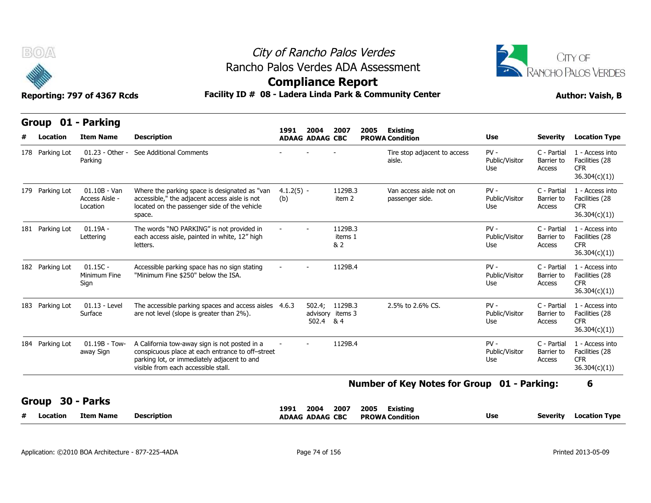



| B(0)                           | Reporting: 797 of 4367 Rcds                  |                                                                                                                                                                                         |                     |                                | <b>Compliance Report</b>           | City of Rancho Palos Verdes<br>Rancho Palos Verdes ADA Assessment<br>Facility ID # 08 - Ladera Linda Park & Community Center |                                 |                                     | CITY OF<br>RANCHO PALOS VERDES<br><b>Author: Vaish, B</b>        |
|--------------------------------|----------------------------------------------|-----------------------------------------------------------------------------------------------------------------------------------------------------------------------------------------|---------------------|--------------------------------|------------------------------------|------------------------------------------------------------------------------------------------------------------------------|---------------------------------|-------------------------------------|------------------------------------------------------------------|
| Group 01 - Parking<br>Location | <b>Item Name</b>                             | <b>Description</b>                                                                                                                                                                      | 1991                | 2004<br><b>ADAAG ADAAG CBC</b> | 2007                               | 2005<br>Existing<br><b>PROWA Condition</b>                                                                                   | Use                             | <b>Severity</b>                     | <b>Location Type</b>                                             |
| 178 Parking Lot                | $01.23 - Other -$<br>Parking                 | See Additional Comments                                                                                                                                                                 |                     |                                |                                    | Tire stop adjacent to access<br>aisle.                                                                                       | $PV -$<br>Public/Visitor<br>Use | C - Partial<br>Barrier to<br>Access | 1 - Access into<br>Facilities (28<br><b>CFR</b><br>36.304(c)(1)) |
| 179 Parking Lot                | $01.10B - Van$<br>Access Aisle -<br>Location | Where the parking space is designated as "van<br>accessible," the adjacent access aisle is not<br>located on the passenger side of the vehicle<br>space.                                | $4.1.2(5) -$<br>(b) |                                | 1129B.3<br>item 2                  | Van access aisle not on<br>passenger side.                                                                                   | $PV -$<br>Public/Visitor<br>Use | C - Partial<br>Barrier to<br>Access | 1 - Access into<br>Facilities (28<br><b>CFR</b><br>36.304(c)(1)) |
| 181 Parking Lot                | $01.19A -$<br>Lettering                      | The words "NO PARKING" is not provided in<br>each access aisle, painted in white, 12" high<br>letters.                                                                                  |                     |                                | 1129B.3<br>items 1<br>& 2          |                                                                                                                              | $PV -$<br>Public/Visitor<br>Use | C - Partial<br>Barrier to<br>Access | 1 - Access into<br>Facilities (28<br><b>CFR</b><br>36.304(c)(1)) |
| 182 Parking Lot                | $01.15C -$<br>Minimum Fine<br>Sign           | Accessible parking space has no sign stating<br>"Minimum Fine \$250" below the ISA.                                                                                                     |                     |                                | 1129B.4                            |                                                                                                                              | $PV -$<br>Public/Visitor<br>Use | C - Partial<br>Barrier to<br>Access | 1 - Access into<br>Facilities (28<br><b>CFR</b><br>36.304(c)(1)) |
| 183 Parking Lot                | 01.13 - Level<br>Surface                     | The accessible parking spaces and access aisles 4.6.3<br>are not level (slope is greater than 2%).                                                                                      |                     | 502.4 & 4                      | 502.4; 1129B.3<br>advisory items 3 | 2.5% to 2.6% CS.                                                                                                             | $PV -$<br>Public/Visitor<br>Use | C - Partial<br>Barrier to<br>Access | 1 - Access into<br>Facilities (28<br><b>CFR</b><br>36.304(c)(1)) |
| 184 Parking Lot                | $01.19B - Tow-$<br>away Sign                 | A California tow-away sign is not posted in a<br>conspicuous place at each entrance to off-street<br>parking lot, or immediately adjacent to and<br>visible from each accessible stall. |                     |                                | 1129B.4                            |                                                                                                                              | $PV -$<br>Public/Visitor<br>Use | C - Partial<br>Barrier to<br>Access | 1 - Access into<br>Facilities (28<br><b>CFR</b><br>36.304(c)(1)) |

|   |          |           |                    | 1991<br>$  -$ | 2004             | 2007 | 2005 | Existing               |     |          |                      |
|---|----------|-----------|--------------------|---------------|------------------|------|------|------------------------|-----|----------|----------------------|
| - | Location | Item Name | <b>Description</b> | <b>ADAAG</b>  | <b>ADAAG CBC</b> |      |      | <b>PROWA Condition</b> | Use | Severity | <b>Location Type</b> |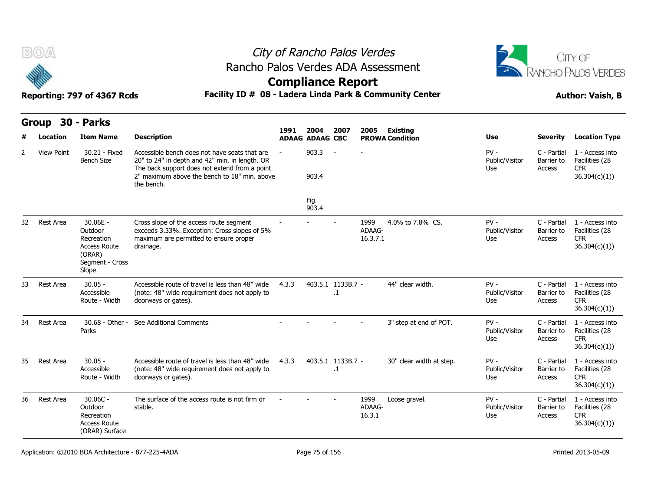



### **Compliance Report**

### Reporting: 797 of 4367 Rcds **Facility ID # 08 - Ladera Linda Park & Community Center Author: Vaish, B**

|    | Group             | <b>30 - Parks</b>                                                                              |                                                                                                                                                                                                                |       |                                |                                |                            |                                           |                                        |                                     |                                                                  |
|----|-------------------|------------------------------------------------------------------------------------------------|----------------------------------------------------------------------------------------------------------------------------------------------------------------------------------------------------------------|-------|--------------------------------|--------------------------------|----------------------------|-------------------------------------------|----------------------------------------|-------------------------------------|------------------------------------------------------------------|
|    | Location          | <b>Item Name</b>                                                                               | <b>Description</b>                                                                                                                                                                                             | 1991  | 2004<br><b>ADAAG ADAAG CBC</b> | 2007                           | 2005                       | <b>Existing</b><br><b>PROWA Condition</b> | <b>Use</b>                             | <b>Severity</b>                     | <b>Location Type</b>                                             |
| 2  | <b>View Point</b> | 30.21 - Fixed<br><b>Bench Size</b>                                                             | Accessible bench does not have seats that are<br>20" to 24" in depth and 42" min. in length. OR<br>The back support does not extend from a point<br>2" maximum above the bench to 18" min, above<br>the bench. |       | 903.3<br>903.4                 | $\sim$                         |                            |                                           | $PV -$<br>Public/Visitor<br>Use        | C - Partial<br>Barrier to<br>Access | 1 - Access into<br>Facilities (28<br><b>CFR</b><br>36.304(c)(1)  |
|    |                   |                                                                                                |                                                                                                                                                                                                                |       | Fig.<br>903.4                  |                                |                            |                                           |                                        |                                     |                                                                  |
| 32 | Rest Area         | 30.06E -<br>Outdoor<br>Recreation<br><b>Access Route</b><br>(ORAR)<br>Segment - Cross<br>Slope | Cross slope of the access route segment<br>exceeds 3.33%. Exception: Cross slopes of 5%<br>maximum are permitted to ensure proper<br>drainage.                                                                 |       |                                |                                | 1999<br>ADAAG-<br>16.3.7.1 | 4.0% to 7.8% CS.                          | $PV -$<br>Public/Visitor<br>Use        | C - Partial<br>Barrier to<br>Access | 1 - Access into<br>Facilities (28<br><b>CFR</b><br>36.304(c)(1)  |
| 33 | Rest Area         | $30.05 -$<br>Accessible<br>Route - Width                                                       | Accessible route of travel is less than 48" wide<br>(note: 48" wide requirement does not apply to<br>doorways or gates).                                                                                       | 4.3.3 |                                | 403.5.1 1133B.7 -<br>$\cdot$ 1 |                            | 44" clear width.                          | $PV -$<br>Public/Visitor<br><b>Use</b> | C - Partial<br>Barrier to<br>Access | 1 - Access into<br>Facilities (28<br><b>CFR</b><br>36.304(c)(1)) |
| 34 | Rest Area         | 30.68 - Other -<br>Parks                                                                       | See Additional Comments                                                                                                                                                                                        |       |                                |                                |                            | 3" step at end of POT.                    | $PV -$<br>Public/Visitor<br>Use        | C - Partial<br>Barrier to<br>Access | 1 - Access into<br>Facilities (28<br><b>CFR</b><br>36.304(c)(1)) |
| 35 | Rest Area         | $30.05 -$<br>Accessible<br>Route - Width                                                       | Accessible route of travel is less than 48" wide<br>(note: 48" wide requirement does not apply to<br>doorways or gates).                                                                                       | 4.3.3 |                                | 403.5.1 1133B.7 -<br>$\cdot$   |                            | 30" clear width at step.                  | $PV -$<br>Public/Visitor<br>Use        | C - Partial<br>Barrier to<br>Access | 1 - Access into<br>Facilities (28<br><b>CFR</b><br>36.304(c)(1)  |
| 36 | Rest Area         | $30.06C -$<br>Outdoor<br>Recreation<br><b>Access Route</b><br>(ORAR) Surface                   | The surface of the access route is not firm or<br>stable.                                                                                                                                                      |       |                                |                                | 1999<br>ADAAG-<br>16.3.1   | Loose gravel.                             | $PV -$<br>Public/Visitor<br>Use        | C - Partial<br>Barrier to<br>Access | 1 - Access into<br>Facilities (28<br><b>CFR</b><br>36.304(c)(1)  |

Application: ©2010 BOA Architecture - 877-225-4ADA Page 75 of 156 Printed 2013-05-09 Printed 2013-05-09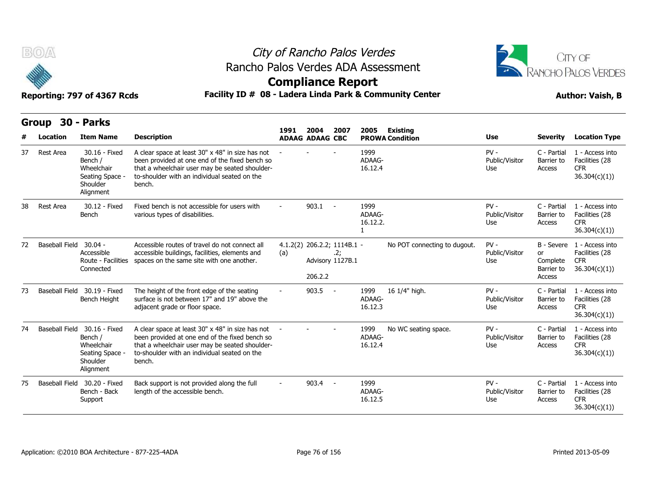



### **Compliance Report**

|    | Group                 | 30 - Parks                                                                         |                                                                                                                                                                                                                |      |                                                            |            |                            |                                           |                                 |                                                      |                                                                  |
|----|-----------------------|------------------------------------------------------------------------------------|----------------------------------------------------------------------------------------------------------------------------------------------------------------------------------------------------------------|------|------------------------------------------------------------|------------|----------------------------|-------------------------------------------|---------------------------------|------------------------------------------------------|------------------------------------------------------------------|
|    | Location              | <b>Item Name</b>                                                                   | <b>Description</b>                                                                                                                                                                                             | 1991 | 2004<br><b>ADAAG ADAAG CBC</b>                             | 2007       | 2005                       | <b>Existing</b><br><b>PROWA Condition</b> | <b>Use</b>                      | <b>Severity</b>                                      | <b>Location Type</b>                                             |
| 37 | Rest Area             | 30.16 - Fixed<br>Bench /<br>Wheelchair<br>Seating Space -<br>Shoulder<br>Alignment | A clear space at least 30" x 48" in size has not<br>been provided at one end of the fixed bench so<br>that a wheelchair user may be seated shoulder-<br>to-shoulder with an individual seated on the<br>bench. |      |                                                            |            | 1999<br>ADAAG-<br>16.12.4  |                                           | $PV -$<br>Public/Visitor<br>Use | C - Partial<br>Barrier to<br>Access                  | 1 - Access into<br>Facilities (28<br><b>CFR</b><br>36.304(c)(1)  |
| 38 | Rest Area             | 30.12 - Fixed<br>Bench                                                             | Fixed bench is not accessible for users with<br>various types of disabilities.                                                                                                                                 |      | $903.1 -$                                                  |            | 1999<br>ADAAG-<br>16.12.2. |                                           | $PV -$<br>Public/Visitor<br>Use | C - Partial<br>Barrier to<br>Access                  | 1 - Access into<br>Facilities (28<br><b>CFR</b><br>36.304(c)(1)) |
| 72 | Baseball Field        | $30.04 -$<br>Accessible<br>Route - Facilities<br>Connected                         | Accessible routes of travel do not connect all<br>accessible buildings, facilities, elements and<br>spaces on the same site with one another.                                                                  | (a)  | 4.1.2(2) 206.2.2; 1114B.1 -<br>Advisory 1127B.1<br>206.2.2 | .2;        |                            | No POT connecting to dugout.              | $PV -$<br>Public/Visitor<br>Use | B - Severe<br>or<br>Complete<br>Barrier to<br>Access | 1 - Access into<br>Facilities (28<br><b>CFR</b><br>36.304(c)(1)  |
| 73 | <b>Baseball Field</b> | 30.19 - Fixed<br>Bench Height                                                      | The height of the front edge of the seating<br>surface is not between 17" and 19" above the<br>adjacent grade or floor space.                                                                                  |      | 903.5                                                      | $\sim$ $-$ | 1999<br>ADAAG-<br>16.12.3  | 16 1/4" high.                             | $PV -$<br>Public/Visitor<br>Use | C - Partial<br>Barrier to<br>Access                  | 1 - Access into<br>Facilities (28<br><b>CFR</b><br>36.304(c)(1)) |
| 74 | Baseball Field        | 30.16 - Fixed<br>Bench /<br>Wheelchair<br>Seating Space -<br>Shoulder<br>Alignment | A clear space at least 30" x 48" in size has not<br>been provided at one end of the fixed bench so<br>that a wheelchair user may be seated shoulder-<br>to-shoulder with an individual seated on the<br>bench. |      |                                                            |            | 1999<br>ADAAG-<br>16.12.4  | No WC seating space.                      | $PV -$<br>Public/Visitor<br>Use | C - Partial<br>Barrier to<br>Access                  | 1 - Access into<br>Facilities (28<br><b>CFR</b><br>36.304(c)(1)  |
| 75 |                       | Baseball Field 30.20 - Fixed<br>Bench - Back<br>Support                            | Back support is not provided along the full<br>length of the accessible bench.                                                                                                                                 |      | 903.4                                                      | $\sim$ $-$ | 1999<br>ADAAG-<br>16.12.5  |                                           | $PV -$<br>Public/Visitor<br>Use | C - Partial<br>Barrier to<br>Access                  | 1 - Access into<br>Facilities (28<br><b>CFR</b><br>36.304(c)(1)  |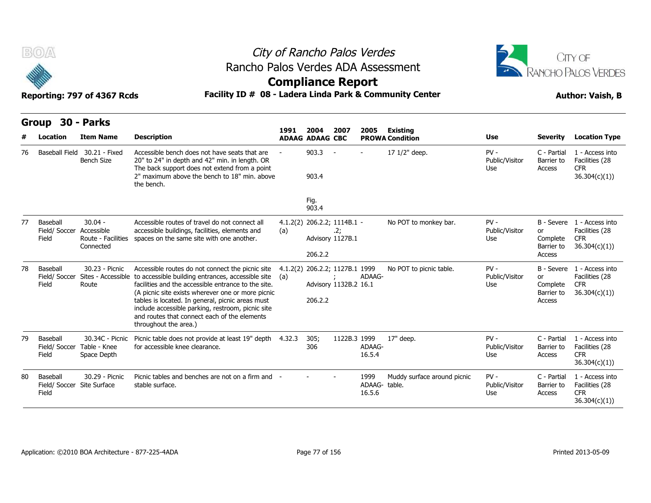



### **Compliance Report**

|    | Group                                           | <b>30 - Parks</b>                                          |                                                                                                                                                                                                                                                                                                                                                                                                     |                 |                                        |                         |                                |                                           |                                 |                                                      |                                                                            |
|----|-------------------------------------------------|------------------------------------------------------------|-----------------------------------------------------------------------------------------------------------------------------------------------------------------------------------------------------------------------------------------------------------------------------------------------------------------------------------------------------------------------------------------------------|-----------------|----------------------------------------|-------------------------|--------------------------------|-------------------------------------------|---------------------------------|------------------------------------------------------|----------------------------------------------------------------------------|
|    | Location                                        | <b>Item Name</b>                                           | <b>Description</b>                                                                                                                                                                                                                                                                                                                                                                                  | 1991            | 2004<br><b>ADAAG ADAAG CBC</b>         | 2007                    | 2005                           | <b>Existing</b><br><b>PROWA Condition</b> | <b>Use</b>                      | <b>Severity</b>                                      | <b>Location Type</b>                                                       |
| 76 | <b>Baseball Field</b>                           | 30.21 - Fixed<br><b>Bench Size</b>                         | Accessible bench does not have seats that are<br>20" to 24" in depth and 42" min. in length. OR<br>The back support does not extend from a point<br>2" maximum above the bench to 18" min. above<br>the bench.                                                                                                                                                                                      |                 | 903.3<br>903.4                         |                         |                                | 17 1/2" deep.                             | $PV -$<br>Public/Visitor<br>Use | C - Partial<br>Barrier to<br>Access                  | 1 - Access into<br>Facilities (28<br><b>CFR</b><br>36.304(c)(1)            |
|    |                                                 |                                                            |                                                                                                                                                                                                                                                                                                                                                                                                     |                 | Fig.<br>903.4                          |                         |                                |                                           |                                 |                                                      |                                                                            |
| 77 | Baseball<br>Field/ Soccer<br>Field              | $30.04 -$<br>Accessible<br>Route - Facilities<br>Connected | Accessible routes of travel do not connect all<br>accessible buildings, facilities, elements and<br>spaces on the same site with one another.                                                                                                                                                                                                                                                       | (a)             | 4.1.2(2) 206.2.2; 1114B.1 -<br>206.2.2 | .2;<br>Advisory 1127B.1 |                                | No POT to monkey bar.                     | $PV -$<br>Public/Visitor<br>Use | B - Severe<br>or<br>Complete<br>Barrier to<br>Access | 1 - Access into<br>Facilities (28<br><b>CFR</b><br>36.304(c)(1)            |
| 78 | Baseball<br>Field/ Soccer<br>Field              | 30.23 - Picnic<br>Sites - Accessible<br>Route              | Accessible routes do not connect the picnic site<br>to accessible building entrances, accessible site<br>facilities and the accessible entrance to the site.<br>(A picnic site exists wherever one or more picnic<br>tables is located. In general, picnic areas must<br>include accessible parking, restroom, picnic site<br>and routes that connect each of the elements<br>throughout the area.) | 4.1.2(2)<br>(a) | 206.2.2; 1127B.1 1999<br>206.2.2       | Advisory 1132B.2 16.1   | ADAAG-                         | No POT to picnic table.                   | $PV -$<br>Public/Visitor<br>Use | or<br>Complete<br>Barrier to<br>Access               | B - Severe 1 - Access into<br>Facilities (28<br><b>CFR</b><br>36.304(c)(1) |
| 79 | Baseball<br>Field/ Soccer<br>Field              | 30.34C - Picnic<br>Table - Knee<br>Space Depth             | Picnic table does not provide at least 19" depth 4.32.3<br>for accessible knee clearance.                                                                                                                                                                                                                                                                                                           |                 | 305;<br>306                            | 1122B.3 1999            | ADAAG-<br>16.5.4               | 17" deep.                                 | $PV -$<br>Public/Visitor<br>Use | C - Partial<br>Barrier to<br>Access                  | 1 - Access into<br>Facilities (28<br><b>CFR</b><br>36.304(c)(1)            |
| 80 | Baseball<br>Field/ Soccer Site Surface<br>Field | 30.29 - Picnic                                             | Picnic tables and benches are not on a firm and -<br>stable surface.                                                                                                                                                                                                                                                                                                                                |                 |                                        |                         | 1999<br>ADAAG-table.<br>16.5.6 | Muddy surface around picnic               | $PV -$<br>Public/Visitor<br>Use | C - Partial<br>Barrier to<br>Access                  | 1 - Access into<br>Facilities (28<br><b>CFR</b><br>36.304(c)(1))           |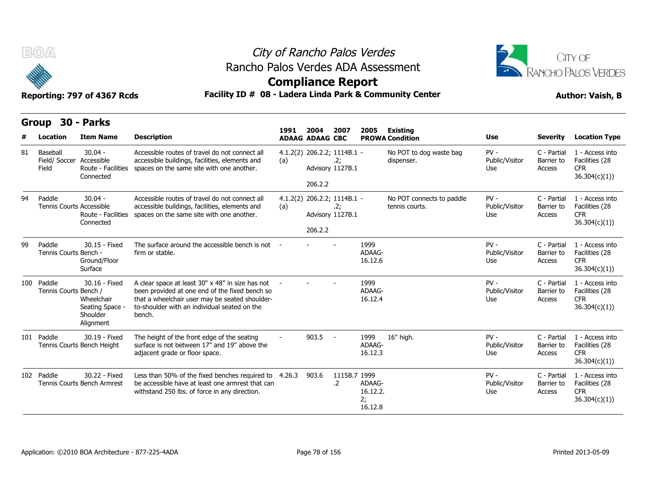



### **Compliance Report**

|    | Group                                     | <b>30 - Parks</b>                                                       |                                                                                                                                                                                                                |        |                                        |                            |                                     |                                             |                                 |                                     |                                                                  |
|----|-------------------------------------------|-------------------------------------------------------------------------|----------------------------------------------------------------------------------------------------------------------------------------------------------------------------------------------------------------|--------|----------------------------------------|----------------------------|-------------------------------------|---------------------------------------------|---------------------------------|-------------------------------------|------------------------------------------------------------------|
|    | Location                                  | <b>Item Name</b>                                                        | <b>Description</b>                                                                                                                                                                                             | 1991   | 2004<br><b>ADAAG ADAAG CBC</b>         | 2007                       | 2005                                | <b>Existing</b><br><b>PROWA Condition</b>   | <b>Use</b>                      | <b>Severity</b>                     | <b>Location Type</b>                                             |
| 81 | Baseball<br>Field/ Soccer<br>Field        | $30.04 -$<br>Accessible<br>Route - Facilities<br>Connected              | Accessible routes of travel do not connect all<br>accessible buildings, facilities, elements and<br>spaces on the same site with one another.                                                                  | (a)    | 4.1.2(2) 206.2.2; 1114B.1 -<br>206.2.2 | .2;<br>Advisory 1127B.1    |                                     | No POT to dog waste bag<br>dispenser.       | $PV -$<br>Public/Visitor<br>Use | C - Partial<br>Barrier to<br>Access | 1 - Access into<br>Facilities (28<br><b>CFR</b><br>36.304(c)(1)  |
| 94 | Paddle<br><b>Tennis Courts Accessible</b> | $30.04 -$<br>Route - Facilities<br>Connected                            | Accessible routes of travel do not connect all<br>accessible buildings, facilities, elements and<br>spaces on the same site with one another.                                                                  | (a)    | 4.1.2(2) 206.2.2; 1114B.1 -<br>206.2.2 | .2;<br>Advisory 1127B.1    |                                     | No POT connects to paddle<br>tennis courts. | $PV -$<br>Public/Visitor<br>Use | C - Partial<br>Barrier to<br>Access | 1 - Access into<br>Facilities (28<br><b>CFR</b><br>36.304(c)(1)) |
| 99 | Paddle<br>Tennis Courts Bench -           | 30.15 - Fixed<br>Ground/Floor<br>Surface                                | The surface around the accessible bench is not -<br>firm or stable.                                                                                                                                            |        |                                        |                            | 1999<br>ADAAG-<br>16.12.6           |                                             | $PV -$<br>Public/Visitor<br>Use | C - Partial<br>Barrier to<br>Access | 1 - Access into<br>Facilities (28<br><b>CFR</b><br>36.304(c)(1)) |
|    | 100 Paddle<br>Tennis Courts Bench /       | 30.16 - Fixed<br>Wheelchair<br>Seating Space -<br>Shoulder<br>Alignment | A clear space at least 30" x 48" in size has not<br>been provided at one end of the fixed bench so<br>that a wheelchair user may be seated shoulder-<br>to-shoulder with an individual seated on the<br>bench. |        |                                        |                            | 1999<br>ADAAG-<br>16.12.4           |                                             | $PV -$<br>Public/Visitor<br>Use | C - Partial<br>Barrier to<br>Access | 1 - Access into<br>Facilities (28<br><b>CFR</b><br>36.304(c)(1)) |
|    | 101 Paddle                                | 30.19 - Fixed<br>Tennis Courts Bench Height                             | The height of the front edge of the seating<br>surface is not between 17" and 19" above the<br>adjacent grade or floor space.                                                                                  |        | 903.5                                  | $\sim$ $-$                 | 1999<br>ADAAG-<br>16.12.3           | 16" high.                                   | $PV -$<br>Public/Visitor<br>Use | C - Partial<br>Barrier to<br>Access | 1 - Access into<br>Facilities (28<br><b>CFR</b><br>36.304(c)(1)) |
|    | 102 Paddle                                | 30.22 - Fixed<br>Tennis Courts Bench Armrest                            | Less than 50% of the fixed benches required to<br>be accessible have at least one armrest that can<br>withstand 250 lbs. of force in any direction.                                                            | 4.26.3 | 903.6                                  | 1115B.7 1999<br>$\cdot$ .2 | ADAAG-<br>16.12.2.<br>2;<br>16.12.8 |                                             | $PV -$<br>Public/Visitor<br>Use | C - Partial<br>Barrier to<br>Access | 1 - Access into<br>Facilities (28<br><b>CFR</b><br>36.304(c)(1)) |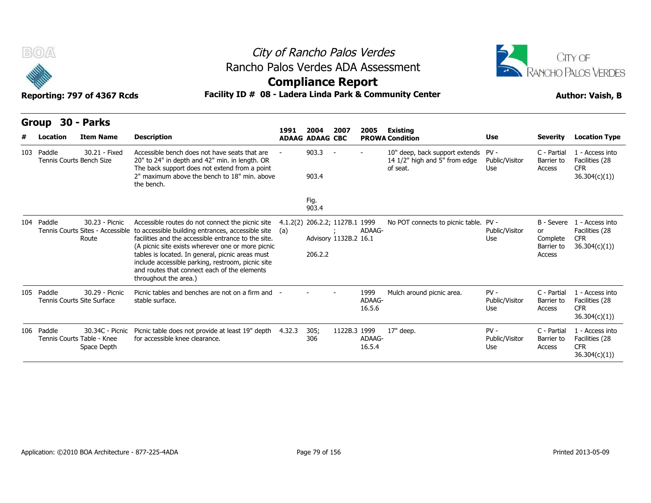



### **Compliance Report**

| B(0)                                   | Reporting: 797 of 4367 Rcds                                  | Rancho Palos Verdes ADA Assessment<br>Facility ID # 08 - Ladera Linda Park & Community Center                                                                                                                                                                                                                                                                                                       | <b>Compliance Report</b> |                                |                                                         | City of Rancho Palos Verdes |                                                                                  |                                 |                                                      | <b>JITY OF</b><br>RANCHO PALOS VERDES<br><b>Author: Vaish, B</b> |
|----------------------------------------|--------------------------------------------------------------|-----------------------------------------------------------------------------------------------------------------------------------------------------------------------------------------------------------------------------------------------------------------------------------------------------------------------------------------------------------------------------------------------------|--------------------------|--------------------------------|---------------------------------------------------------|-----------------------------|----------------------------------------------------------------------------------|---------------------------------|------------------------------------------------------|------------------------------------------------------------------|
| Group                                  | <b>30 - Parks</b>                                            |                                                                                                                                                                                                                                                                                                                                                                                                     |                          |                                |                                                         |                             |                                                                                  |                                 |                                                      |                                                                  |
| Location                               | <b>Item Name</b>                                             | <b>Description</b>                                                                                                                                                                                                                                                                                                                                                                                  | 1991                     | 2004<br><b>ADAAG ADAAG CBC</b> | 2007                                                    | 2005                        | Existing<br><b>PROWA Condition</b>                                               | <b>Use</b>                      | <b>Severity</b>                                      | <b>Location Type</b>                                             |
| 103 Paddle<br>Tennis Courts Bench Size | 30.21 - Fixed                                                | Accessible bench does not have seats that are<br>20" to 24" in depth and 42" min. in length. OR<br>The back support does not extend from a point<br>2" maximum above the bench to 18" min, above<br>the bench.                                                                                                                                                                                      |                          | 903.3<br>903.4                 | $\sim$                                                  |                             | 10" deep, back support extends PV -<br>14 1/2" high and 5" from edge<br>of seat. | Public/Visitor<br><b>Use</b>    | C - Partial<br>Barrier to<br>Access                  | 1 - Access into<br>Facilities (28<br><b>CFR</b><br>36.304(c)(1)  |
|                                        |                                                              |                                                                                                                                                                                                                                                                                                                                                                                                     |                          | Fig.<br>903.4                  |                                                         |                             |                                                                                  |                                 |                                                      |                                                                  |
| 104 Paddle                             | 30.23 - Picnic<br>Tennis Courts Sites - Accessible<br>Route  | Accessible routes do not connect the picnic site<br>to accessible building entrances, accessible site<br>facilities and the accessible entrance to the site.<br>(A picnic site exists wherever one or more picnic<br>tables is located. In general, picnic areas must<br>include accessible parking, restroom, picnic site<br>and routes that connect each of the elements<br>throughout the area.) | (a)                      | 206.2.2                        | 4.1.2(2) 206.2.2; 1127B.1 1999<br>Advisory 1132B.2 16.1 | ADAAG-                      | No POT connects to picnic table. PV -                                            | Public/Visitor<br>Use           | B - Severe<br>or<br>Complete<br>Barrier to<br>Access | 1 - Access into<br>Facilities (28<br><b>CFR</b><br>36.304(c)(1)  |
| 105 Paddle                             | 30.29 - Picnic<br>Tennis Courts Site Surface                 | Picnic tables and benches are not on a firm and -<br>stable surface.                                                                                                                                                                                                                                                                                                                                |                          |                                |                                                         | 1999<br>ADAAG-<br>16.5.6    | Mulch around picnic area.                                                        | $PV -$<br>Public/Visitor<br>Use | C - Partial<br>Barrier to<br>Access                  | 1 - Access into<br>Facilities (28<br><b>CFR</b><br>36.304(c)(1)  |
| 106 Paddle                             | 30.34C - Picnic<br>Tennis Courts Table - Knee<br>Space Depth | Picnic table does not provide at least 19" depth<br>for accessible knee clearance.                                                                                                                                                                                                                                                                                                                  | 4.32.3                   | 305;<br>306                    | 1122B.3 1999                                            | ADAAG-<br>16.5.4            | 17" deep.                                                                        | $PV -$<br>Public/Visitor<br>Use | C - Partial<br>Barrier to<br>Access                  | 1 - Access into<br>Facilities (28<br><b>CFR</b><br>36.304(c)(1)  |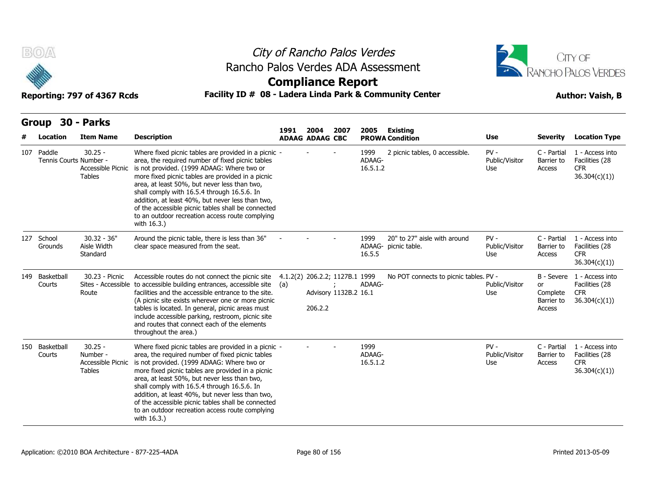



### **Compliance Report**

| B(0)                                 | Reporting: 797 of 4367 Rcds                                 | Rancho Palos Verdes ADA Assessment<br>Facility ID # 08 - Ladera Linda Park & Community Center                                                                                                                                                                                                                                                                                                                                                                                          | <b>Compliance Report</b> |                                |                                                         | City of Rancho Palos Verdes |                                                      |                                 |                                        | CITY OF<br><b>RANCHO PALOS VERDES</b><br><b>Author: Vaish, B</b>           |
|--------------------------------------|-------------------------------------------------------------|----------------------------------------------------------------------------------------------------------------------------------------------------------------------------------------------------------------------------------------------------------------------------------------------------------------------------------------------------------------------------------------------------------------------------------------------------------------------------------------|--------------------------|--------------------------------|---------------------------------------------------------|-----------------------------|------------------------------------------------------|---------------------------------|----------------------------------------|----------------------------------------------------------------------------|
| <b>Group</b><br>Location             | 30 - Parks<br><b>Item Name</b>                              | <b>Description</b>                                                                                                                                                                                                                                                                                                                                                                                                                                                                     | 1991                     | 2004<br><b>ADAAG ADAAG CBC</b> | 2007                                                    | 2005                        | <b>Existing</b><br><b>PROWA Condition</b>            | Use                             | <b>Severity</b>                        | <b>Location Type</b>                                                       |
| 107 Paddle<br>Tennis Courts Number - | $30.25 -$<br>Accessible Picnic<br><b>Tables</b>             | Where fixed picnic tables are provided in a picnic -<br>area, the required number of fixed picnic tables<br>is not provided. (1999 ADAAG: Where two or<br>more fixed picnic tables are provided in a picnic<br>area, at least 50%, but never less than two,<br>shall comply with 16.5.4 through 16.5.6. In<br>addition, at least 40%, but never less than two,<br>of the accessible picnic tables shall be connected<br>to an outdoor recreation access route complying<br>with 16.3.) |                          |                                |                                                         | 1999<br>ADAAG-<br>16.5.1.2  | 2 picnic tables, 0 accessible.                       | $PV -$<br>Public/Visitor<br>Use | C - Partial<br>Barrier to<br>Access    | 1 - Access into<br>Facilities (28<br><b>CFR</b><br>36.304(c)(1)            |
| 127 School<br>Grounds                | $30.32 - 36"$<br>Aisle Width<br>Standard                    | Around the picnic table, there is less than 36"<br>clear space measured from the seat.                                                                                                                                                                                                                                                                                                                                                                                                 |                          |                                |                                                         | 1999<br>16.5.5              | 20" to 27" aisle with around<br>ADAAG- picnic table. | $PV -$<br>Public/Visitor<br>Use | C - Partial<br>Barrier to<br>Access    | 1 - Access into<br>Facilities (28<br><b>CFR</b><br>36.304(c)(1))           |
| 149 Basketball<br>Courts             | 30.23 - Picnic<br>Route                                     | Accessible routes do not connect the picnic site<br>Sites - Accessible to accessible building entrances, accessible site<br>facilities and the accessible entrance to the site.<br>(A picnic site exists wherever one or more picnic<br>tables is located. In general, picnic areas must<br>include accessible parking, restroom, picnic site<br>and routes that connect each of the elements<br>throughout the area.)                                                                 | (a)                      | 206.2.2                        | 4.1.2(2) 206.2.2; 1127B.1 1999<br>Advisory 1132B.2 16.1 | ADAAG-                      | No POT connects to picnic tables. PV -               | Public/Visitor<br>Use           | or<br>Complete<br>Barrier to<br>Access | B - Severe 1 - Access into<br>Facilities (28<br><b>CFR</b><br>36.304(c)(1) |
| 150 Basketball<br>Courts             | $30.25 -$<br>Number -<br>Accessible Picnic<br><b>Tables</b> | Where fixed picnic tables are provided in a picnic -<br>area, the required number of fixed picnic tables<br>is not provided. (1999 ADAAG: Where two or<br>more fixed picnic tables are provided in a picnic<br>area, at least 50%, but never less than two,<br>shall comply with 16.5.4 through 16.5.6. In<br>addition, at least 40%, but never less than two,<br>of the accessible picnic tables shall be connected<br>to an outdoor recreation access route complying<br>with 16.3.) |                          |                                |                                                         | 1999<br>ADAAG-<br>16.5.1.2  |                                                      | $PV -$<br>Public/Visitor<br>Use | C - Partial<br>Barrier to<br>Access    | 1 - Access into<br>Facilities (28<br><b>CFR</b><br>36.304(c)(1)            |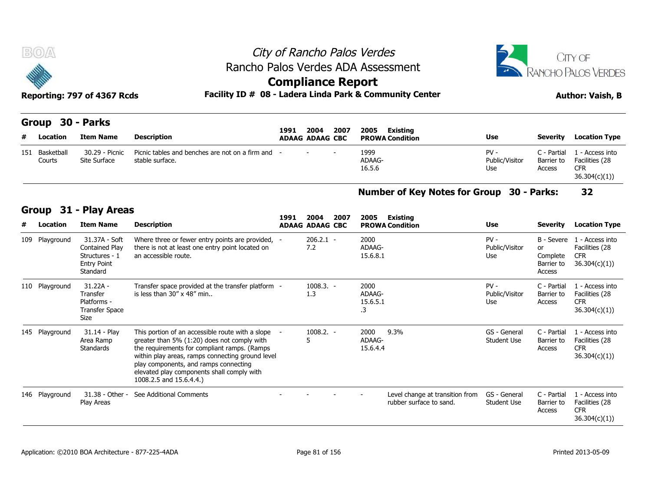



### **Compliance Report**

| B(0)                        |                                                                         |                                                                                                                               |                          |                        |      | City of Rancho Palos Verdes                             |                                 |                                     | CITY OF                                                                        |
|-----------------------------|-------------------------------------------------------------------------|-------------------------------------------------------------------------------------------------------------------------------|--------------------------|------------------------|------|---------------------------------------------------------|---------------------------------|-------------------------------------|--------------------------------------------------------------------------------|
|                             |                                                                         |                                                                                                                               |                          |                        |      | Rancho Palos Verdes ADA Assessment                      |                                 |                                     | RANCHO PALOS VERDES                                                            |
|                             |                                                                         |                                                                                                                               | <b>Compliance Report</b> |                        |      |                                                         |                                 |                                     |                                                                                |
|                             | Reporting: 797 of 4367 Rcds                                             |                                                                                                                               |                          |                        |      | Facility ID # 08 - Ladera Linda Park & Community Center |                                 |                                     | <b>Author: Vaish, B</b>                                                        |
| Group                       | 30 - Parks                                                              |                                                                                                                               | 1991                     | 2004                   | 2007 | 2005<br><b>Existing</b>                                 |                                 |                                     |                                                                                |
| Location<br>#               | <b>Item Name</b>                                                        | <b>Description</b>                                                                                                            |                          | <b>ADAAG ADAAG CBC</b> |      | <b>PROWA Condition</b>                                  | Use                             | Severity                            | <b>Location Type</b>                                                           |
| 151<br>Basketball<br>Courts | 30.29 - Picnic<br>Site Surface                                          | Picnic tables and benches are not on a firm and -<br>stable surface.                                                          |                          |                        |      | 1999<br>ADAAG-<br>16.5.6                                | $PV -$<br>Public/Visitor<br>Use | C - Partial<br>Barrier to<br>Access | 1 - Access into<br>Facilities (28<br><b>CFR</b><br>36.304(c)(1)                |
|                             |                                                                         |                                                                                                                               |                          |                        |      | <b>Number of Key Notes for Group</b>                    |                                 | <b>30 - Parks:</b>                  | 32                                                                             |
| Group                       | 31 - Play Areas                                                         |                                                                                                                               |                          | 2004                   | 2007 |                                                         |                                 |                                     |                                                                                |
| #<br>Location               | <b>Item Name</b>                                                        | <b>Description</b>                                                                                                            | 1991                     | <b>ADAAG ADAAG CBC</b> |      | 2005<br><b>Existing</b><br><b>PROWA Condition</b>       | Use                             | Severity                            | <b>Location Type</b>                                                           |
| 109 Playground              | 31.37A - Soft<br>Contained Play<br>Structures - 1<br><b>Entry Doint</b> | Where three or fewer entry points are provided, -<br>there is not at least one entry point located on<br>an accessible route. |                          | $206.2.1 -$<br>7.2     |      | 2000<br>ADAAG-<br>15.6.8.1                              | $PV -$<br>Public/Visitor<br>Use | B - Severe<br>or<br>Complete        | 1 - Access into<br>Facilities (28<br><b>CFR</b><br>Rarrier to $(36, 304/c)(1)$ |

#### **Number of Key Notes for Group 30 - Parks: 32**

#### **Group 31 - Play Areas**

|   |                   |                                                                                     |                                                                                                                                                                                                                                                                                                                         |      |                                |      |                                  | Number of Key Notes for Group 30 - Parks:                  |                                    |                                                      | 32                                                              |
|---|-------------------|-------------------------------------------------------------------------------------|-------------------------------------------------------------------------------------------------------------------------------------------------------------------------------------------------------------------------------------------------------------------------------------------------------------------------|------|--------------------------------|------|----------------------------------|------------------------------------------------------------|------------------------------------|------------------------------------------------------|-----------------------------------------------------------------|
| # | Group<br>Location | 31 - Play Areas<br><b>Item Name</b>                                                 | <b>Description</b>                                                                                                                                                                                                                                                                                                      | 1991 | 2004<br><b>ADAAG ADAAG CBC</b> | 2007 | 2005                             | Existing<br><b>PROWA Condition</b>                         | <b>Use</b>                         | <b>Severity</b>                                      | <b>Location Type</b>                                            |
|   | 109 Playground    | 31.37A - Soft<br>Contained Play<br>Structures - 1<br><b>Entry Point</b><br>Standard | Where three or fewer entry points are provided, -<br>there is not at least one entry point located on<br>an accessible route.                                                                                                                                                                                           |      | $206.2.1 -$<br>7.2             |      | 2000<br>ADAAG-<br>15.6.8.1       |                                                            | $PV -$<br>Public/Visitor<br>Use    | B - Severe<br>or<br>Complete<br>Barrier to<br>Access | 1 - Access into<br>Facilities (28<br><b>CFR</b><br>36.304(c)(1) |
|   | 110 Playground    | $31.22A -$<br>Transfer<br>Platforms -<br><b>Transfer Space</b><br>Size              | Transfer space provided at the transfer platform -<br>is less than $30'' \times 48''$ min.                                                                                                                                                                                                                              |      | $1008.3. -$<br>1.3             |      | 2000<br>ADAAG-<br>15.6.5.1<br>.3 |                                                            | $PV -$<br>Public/Visitor<br>Use    | C - Partial<br>Barrier to<br>Access                  | 1 - Access into<br>Facilities (28<br><b>CFR</b><br>36.304(c)(1) |
|   | 145 Playground    | 31.14 - Play<br>Area Ramp<br>Standards                                              | This portion of an accessible route with a slope -<br>greater than 5% (1:20) does not comply with<br>the requirements for compliant ramps. (Ramps<br>within play areas, ramps connecting ground level<br>play components, and ramps connecting<br>elevated play components shall comply with<br>1008.2.5 and 15.6.4.4.) |      | $1008.2. -$<br>5               |      | 2000<br>ADAAG-<br>15.6.4.4       | 9.3%                                                       | GS - General<br><b>Student Use</b> | C - Partial<br>Barrier to<br>Access                  | 1 - Access into<br>Facilities (28<br><b>CFR</b><br>36.304(c)(1) |
|   | 146 Playground    | 31.38 - Other -<br>Play Areas                                                       | See Additional Comments                                                                                                                                                                                                                                                                                                 |      |                                |      |                                  | Level change at transition from<br>rubber surface to sand. | GS - General<br><b>Student Use</b> | C - Partial<br>Barrier to<br>Access                  | 1 - Access into<br>Facilities (28<br><b>CFR</b><br>36.304(c)(1) |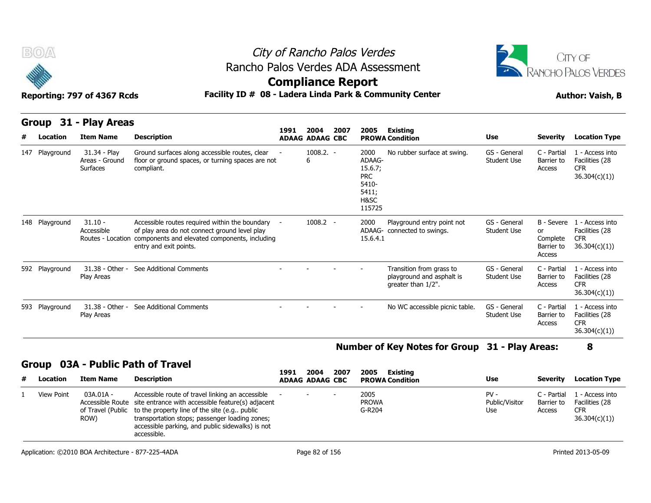

# City of Rancho Palos Verdes Rancho Palos Verdes ADA Assessment



### **Compliance Report**

### Reporting: 797 of 4367 Rcds **Facility ID # 08 - Ladera Linda Park & Community Center Author: Vaish, B**

|  |  | Reporting. 737 OF 4507 Reas |  |
|--|--|-----------------------------|--|
|  |  |                             |  |
|  |  |                             |  |

| B(0)              | Reporting: 797 of 4367 Rcds                       |                                                                                                                                                                              | City of Rancho Palos Verdes<br>Rancho Palos Verdes ADA Assessment<br><b>Compliance Report</b><br>Facility ID # 08 - Ladera Linda Park & Community Center |                                |      |                                                                             |                                                                             |                                    |                                                      |                                                                  |  |
|-------------------|---------------------------------------------------|------------------------------------------------------------------------------------------------------------------------------------------------------------------------------|----------------------------------------------------------------------------------------------------------------------------------------------------------|--------------------------------|------|-----------------------------------------------------------------------------|-----------------------------------------------------------------------------|------------------------------------|------------------------------------------------------|------------------------------------------------------------------|--|
| Group<br>Location | 31 - Play Areas<br><b>Item Name</b>               | <b>Description</b>                                                                                                                                                           | 1991                                                                                                                                                     | 2004<br><b>ADAAG ADAAG CBC</b> | 2007 | 2005<br><b>PROWA Condition</b>                                              | <b>Existing</b>                                                             | <b>Use</b>                         | <b>Severity</b>                                      | <b>Location Type</b>                                             |  |
| 147 Playground    | 31.34 - Play<br>Areas - Ground<br><b>Surfaces</b> | Ground surfaces along accessible routes, clear<br>floor or ground spaces, or turning spaces are not<br>compliant.                                                            |                                                                                                                                                          | $1008.2. -$<br>6               |      | 2000<br>ADAAG-<br>15.6.7;<br><b>PRC</b><br>5410-<br>5411;<br>H&SC<br>115725 | No rubber surface at swing.                                                 | GS - General<br><b>Student Use</b> | C - Partial<br>Barrier to<br>Access                  | 1 - Access into<br>Facilities (28<br><b>CFR</b><br>36.304(c)(1)) |  |
| 148 Playground    | $31.10 -$<br>Accessible<br>Routes - Location      | Accessible routes required within the boundary -<br>of play area do not connect ground level play<br>components and elevated components, including<br>entry and exit points. |                                                                                                                                                          | $1008.2 -$                     |      | 2000<br>15.6.4.1                                                            | Playground entry point not<br>ADAAG- connected to swings.                   | GS - General<br><b>Student Use</b> | B - Severe<br>or<br>Complete<br>Barrier to<br>Access | 1 - Access into<br>Facilities (28<br><b>CFR</b><br>36.304(c)(1)  |  |
| 592 Playground    | 31.38 - Other -<br>Play Areas                     | See Additional Comments                                                                                                                                                      |                                                                                                                                                          |                                |      |                                                                             | Transition from grass to<br>playground and asphalt is<br>greater than 1/2". | GS - General<br><b>Student Use</b> | C - Partial<br>Barrier to<br>Access                  | 1 - Access into<br>Facilities (28<br><b>CFR</b><br>36.304(c)(1)  |  |
| 593 Playground    | 31.38 - Other -<br>Play Areas                     | See Additional Comments                                                                                                                                                      |                                                                                                                                                          |                                |      |                                                                             | No WC accessible picnic table.                                              | GS - General<br><b>Student Use</b> | C - Partial<br>Barrier to<br>Access                  | 1 - Access into<br>Facilities (28<br><b>CFR</b><br>36.304(c)(1)  |  |

#### **Number of Key Notes for Group 31 - Play Areas: 8**

|   | STOUD OUR FUDILIST ON HUVEL |                   |                                                                                                                                                                                                                                                                                                                 |      |                                |      |                                            |                                 |                                     |                                                                 |
|---|-----------------------------|-------------------|-----------------------------------------------------------------------------------------------------------------------------------------------------------------------------------------------------------------------------------------------------------------------------------------------------------------|------|--------------------------------|------|--------------------------------------------|---------------------------------|-------------------------------------|-----------------------------------------------------------------|
| # | Location                    | Item Name         | Description                                                                                                                                                                                                                                                                                                     | 1991 | 2004<br><b>ADAAG ADAAG CBC</b> | 2007 | 2005<br>Existing<br><b>PROWA Condition</b> | Use                             | Severity                            | <b>Location Type</b>                                            |
|   | View Point                  | 03A.01A -<br>ROW) | Accessible route of travel linking an accessible<br>Accessible Route site entrance with accessible feature(s) adjacent<br>of Travel (Public to the property line of the site (e.g., public<br>transportation stops; passenger loading zones;<br>accessible parking, and public sidewalks) is not<br>accessible. |      | $\sim$                         |      | 2005<br><b>PROWA</b><br>G-R204             | $PV -$<br>Public/Visitor<br>Use | C - Partial<br>Barrier to<br>Access | 1 - Access into<br>Facilities (28<br><b>CFR</b><br>36.304(c)(1) |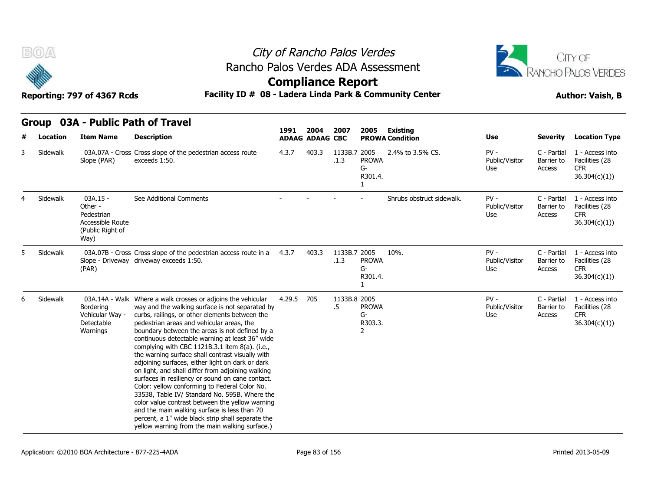



### **Compliance Report**

|   |          |                                                                                     | Group 03A - Public Path of Travel                                                                                                                                                                                                                                                                                                                                                                                                                                                                                                                                                                                                                                                                                                                                                                                                                                                                  |        |                                |                      |                                                 |                                    |                                 |                                     |                                                                 |
|---|----------|-------------------------------------------------------------------------------------|----------------------------------------------------------------------------------------------------------------------------------------------------------------------------------------------------------------------------------------------------------------------------------------------------------------------------------------------------------------------------------------------------------------------------------------------------------------------------------------------------------------------------------------------------------------------------------------------------------------------------------------------------------------------------------------------------------------------------------------------------------------------------------------------------------------------------------------------------------------------------------------------------|--------|--------------------------------|----------------------|-------------------------------------------------|------------------------------------|---------------------------------|-------------------------------------|-----------------------------------------------------------------|
| # | Location | <b>Item Name</b>                                                                    | <b>Description</b>                                                                                                                                                                                                                                                                                                                                                                                                                                                                                                                                                                                                                                                                                                                                                                                                                                                                                 | 1991   | 2004<br><b>ADAAG ADAAG CBC</b> | 2007                 | 2005                                            | Existing<br><b>PROWA Condition</b> | <b>Use</b>                      | <b>Severity</b>                     | <b>Location Type</b>                                            |
|   | Sidewalk | Slope (PAR)                                                                         | 03A.07A - Cross Cross slope of the pedestrian access route<br>exceeds 1:50.                                                                                                                                                                                                                                                                                                                                                                                                                                                                                                                                                                                                                                                                                                                                                                                                                        | 4.3.7  | 403.3                          | 1133B.7 2005<br>.1.3 | <b>PROWA</b><br>$G-$<br>R301.4.<br>$\mathbf{1}$ | 2.4% to 3.5% CS.                   | $PV -$<br>Public/Visitor<br>Use | C - Partial<br>Barrier to<br>Access | 1 - Access into<br>Facilities (28<br><b>CFR</b><br>36.304(c)(1) |
|   | Sidewalk | $03A.15 -$<br>Other -<br>Pedestrian<br>Accessible Route<br>(Public Right of<br>Way) | See Additional Comments                                                                                                                                                                                                                                                                                                                                                                                                                                                                                                                                                                                                                                                                                                                                                                                                                                                                            |        |                                |                      |                                                 | Shrubs obstruct sidewalk.          | $PV -$<br>Public/Visitor<br>Use | C - Partial<br>Barrier to<br>Access | 1 - Access into<br>Facilities (28<br><b>CFR</b><br>36.304(c)(1) |
|   | Sidewalk | (PAR)                                                                               | 03A.07B - Cross Cross slope of the pedestrian access route in a<br>Slope - Driveway driveway exceeds 1:50.                                                                                                                                                                                                                                                                                                                                                                                                                                                                                                                                                                                                                                                                                                                                                                                         | 4.3.7  | 403.3                          | 1133B.7 2005<br>.1.3 | <b>PROWA</b><br>$G-$<br>R301.4.                 | 10%.                               | $PV -$<br>Public/Visitor<br>Use | C - Partial<br>Barrier to<br>Access | 1 - Access into<br>Facilities (28<br><b>CFR</b><br>36.304(c)(1) |
|   | Sidewalk | Bordering<br>Vehicular Way -<br>Detectable<br>Warnings                              | 03A.14A - Walk Where a walk crosses or adjoins the vehicular<br>way and the walking surface is not separated by<br>curbs, railings, or other elements between the<br>pedestrian areas and vehicular areas, the<br>boundary between the areas is not defined by a<br>continuous detectable warning at least 36" wide<br>complying with CBC 1121B.3.1 item 8(a). (i.e.,<br>the warning surface shall contrast visually with<br>adjoining surfaces, either light on dark or dark<br>on light, and shall differ from adjoining walking<br>surfaces in resiliency or sound on cane contact.<br>Color: yellow conforming to Federal Color No.<br>33538, Table IV/ Standard No. 595B. Where the<br>color value contrast between the yellow warning<br>and the main walking surface is less than 70<br>percent, a 1" wide black strip shall separate the<br>yellow warning from the main walking surface.) | 4.29.5 | 705                            | 1133B.8 2005<br>.5   | <b>PROWA</b><br>$G-$<br>R303.3.<br>2            |                                    | $PV -$<br>Public/Visitor<br>Use | C - Partial<br>Barrier to<br>Access | 1 - Access into<br>Facilities (28<br><b>CFR</b><br>36.304(c)(1) |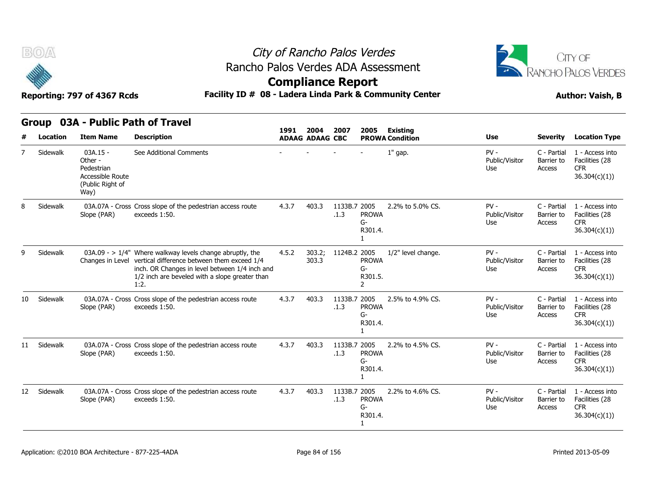



**Compliance Report**

Reporting: 797 of 4367 Rcds **Facility ID # 08 - Ladera Linda Park & Community Center Author: Vaish, B** 

|                 | <b>Location</b> | <b>Item Name</b>                                                                    | <b>Description</b>                                                                                                                                                                                                                       | 1991  | 2004<br><b>ADAAG ADAAG CBC</b> | 2007                 | 2005                                              | <b>Existing</b><br><b>PROWA Condition</b> | <b>Use</b>                      | <b>Severity</b>                     | <b>Location Type</b>                                             |
|-----------------|-----------------|-------------------------------------------------------------------------------------|------------------------------------------------------------------------------------------------------------------------------------------------------------------------------------------------------------------------------------------|-------|--------------------------------|----------------------|---------------------------------------------------|-------------------------------------------|---------------------------------|-------------------------------------|------------------------------------------------------------------|
|                 | Sidewalk        | $03A.15 -$<br>Other -<br>Pedestrian<br>Accessible Route<br>(Public Right of<br>Way) | See Additional Comments                                                                                                                                                                                                                  |       |                                |                      |                                                   | $1"$ gap.                                 | $PV -$<br>Public/Visitor<br>Use | C - Partial<br>Barrier to<br>Access | 1 - Access into<br>Facilities (28<br><b>CFR</b><br>36.304(c)(1)  |
| 8               | Sidewalk        | Slope (PAR)                                                                         | 03A.07A - Cross Cross slope of the pedestrian access route<br>exceeds 1:50.                                                                                                                                                              | 4.3.7 | 403.3                          | 1133B.7 2005<br>.1.3 | <b>PROWA</b><br>G-<br>R301.4.                     | 2.2% to 5.0% CS.                          | $PV -$<br>Public/Visitor<br>Use | C - Partial<br>Barrier to<br>Access | 1 - Access into<br>Facilities (28<br><b>CFR</b><br>36.304(c)(1)) |
| 9               | Sidewalk        |                                                                                     | $03A.09 - > 1/4$ " Where walkway levels change abruptly, the<br>Changes in Level vertical difference between them exceed 1/4<br>inch. OR Changes in level between 1/4 inch and<br>1/2 inch are beveled with a slope greater than<br>1:2. | 4.5.2 | 303.2;<br>303.3                | 1124B.2 2005         | <b>PROWA</b><br>$G-$<br>R301.5.<br>$\overline{2}$ | 1/2" level change.                        | $PV -$<br>Public/Visitor<br>Use | C - Partial<br>Barrier to<br>Access | 1 - Access into<br>Facilities (28<br><b>CFR</b><br>36.304(c)(1)  |
| 10              | Sidewalk        | Slope (PAR)                                                                         | 03A.07A - Cross Cross slope of the pedestrian access route<br>exceeds 1:50.                                                                                                                                                              | 4.3.7 | 403.3                          | 1133B.7 2005<br>.1.3 | <b>PROWA</b><br>$G-$<br>R301.4.<br>1              | 2.5% to 4.9% CS.                          | $PV -$<br>Public/Visitor<br>Use | C - Partial<br>Barrier to<br>Access | 1 - Access into<br>Facilities (28<br><b>CFR</b><br>36.304(c)(1)  |
|                 | 11 Sidewalk     | Slope (PAR)                                                                         | 03A.07A - Cross Cross slope of the pedestrian access route<br>exceeds 1:50.                                                                                                                                                              | 4.3.7 | 403.3                          | 1133B.7 2005<br>.1.3 | <b>PROWA</b><br>$G-$<br>R301.4.<br>$\mathbf{1}$   | 2.2% to 4.5% CS.                          | $PV -$<br>Public/Visitor<br>Use | C - Partial<br>Barrier to<br>Access | 1 - Access into<br>Facilities (28<br><b>CFR</b><br>36.304(c)(1)  |
| 12 <sup>7</sup> | Sidewalk        | Slope (PAR)                                                                         | 03A.07A - Cross Cross slope of the pedestrian access route<br>exceeds 1:50.                                                                                                                                                              | 4.3.7 | 403.3                          | 1133B.7 2005<br>.1.3 | <b>PROWA</b><br>$G-$<br>R301.4.                   | 2.2% to 4.6% CS.                          | $PV -$<br>Public/Visitor<br>Use | C - Partial<br>Barrier to<br>Access | 1 - Access into<br>Facilities (28<br><b>CFR</b><br>36.304(c)(1)  |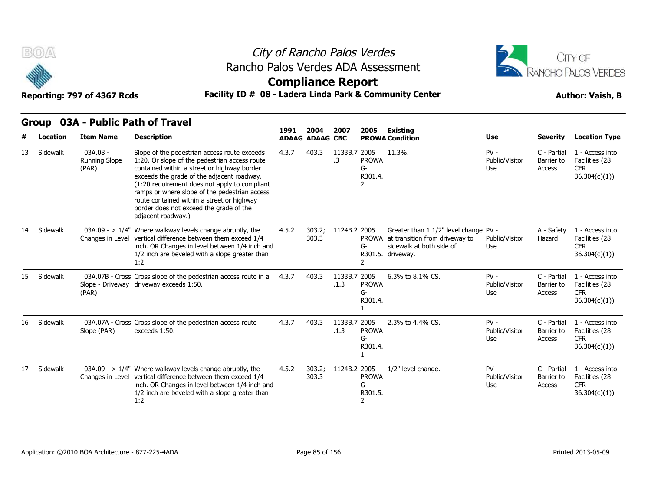



### **Compliance Report**

### Reporting: 797 of 4367 Rcds **Facility ID # 08 - Ladera Linda Park & Community Center Author: Vaish, B**

|    | ui vup<br><b>VJM</b><br>Location |                                           | <b>FUDIL FULLI VI TIUVU</b>                                                                                                                                                                                                                                                                                                                                                                                 | 1991  | 2004                   |                      | 2007<br>2005                       | Existing                                                                                                                 |                                 |                                     |                                                                  |
|----|----------------------------------|-------------------------------------------|-------------------------------------------------------------------------------------------------------------------------------------------------------------------------------------------------------------------------------------------------------------------------------------------------------------------------------------------------------------------------------------------------------------|-------|------------------------|----------------------|------------------------------------|--------------------------------------------------------------------------------------------------------------------------|---------------------------------|-------------------------------------|------------------------------------------------------------------|
|    |                                  | <b>Item Name</b>                          | <b>Description</b>                                                                                                                                                                                                                                                                                                                                                                                          |       | <b>ADAAG ADAAG CBC</b> |                      |                                    | <b>PROWA Condition</b>                                                                                                   | <b>Use</b>                      | <b>Severity</b>                     | <b>Location Type</b>                                             |
| 13 | Sidewalk                         | 03A.08 -<br><b>Running Slope</b><br>(PAR) | Slope of the pedestrian access route exceeds<br>1:20. Or slope of the pedestrian access route<br>contained within a street or highway border<br>exceeds the grade of the adjacent roadway.<br>(1:20 requirement does not apply to compliant<br>ramps or where slope of the pedestrian access<br>route contained within a street or highway<br>border does not exceed the grade of the<br>adjacent roadway.) | 4.3.7 | 403.3                  | 1133B.7 2005<br>.3   | <b>PROWA</b><br>G-<br>R301.4.<br>2 | 11.3%.                                                                                                                   | $PV -$<br>Public/Visitor<br>Use | C - Partial<br>Barrier to<br>Access | 1 - Access into<br>Facilities (28<br><b>CFR</b><br>36.304(c)(1)) |
| 14 | Sidewalk                         | Changes in Level                          | 03A.09 - > $1/4$ " Where walkway levels change abruptly, the<br>vertical difference between them exceed 1/4<br>inch. OR Changes in level between 1/4 inch and<br>1/2 inch are beveled with a slope greater than<br>1:2.                                                                                                                                                                                     | 4.5.2 | 303.2:<br>303.3        | 1124B.2 2005         | <b>PROWA</b><br>G-                 | Greater than 1 1/2" level change PV -<br>at transition from driveway to<br>sidewalk at both side of<br>R301.5. driveway. | Public/Visitor<br>Use           | A - Safety<br>Hazard                | 1 - Access into<br>Facilities (28<br><b>CFR</b><br>36.304(c)(1)  |
| 15 | Sidewalk                         | (PAR)                                     | 03A.07B - Cross Cross slope of the pedestrian access route in a<br>Slope - Driveway driveway exceeds 1:50.                                                                                                                                                                                                                                                                                                  | 4.3.7 | 403.3                  | 1133B.7 2005<br>.1.3 | <b>PROWA</b><br>G-<br>R301.4.      | 6.3% to 8.1% CS.                                                                                                         | $PV -$<br>Public/Visitor<br>Use | C - Partial<br>Barrier to<br>Access | 1 - Access into<br>Facilities (28<br><b>CFR</b><br>36.304(c)(1)) |
| 16 | Sidewalk                         | Slope (PAR)                               | 03A.07A - Cross Cross slope of the pedestrian access route<br>exceeds 1:50.                                                                                                                                                                                                                                                                                                                                 | 4.3.7 | 403.3                  | 1133B.7 2005<br>.1.3 | <b>PROWA</b><br>G-<br>R301.4.      | 2.3% to 4.4% CS.                                                                                                         | $PV -$<br>Public/Visitor<br>Use | C - Partial<br>Barrier to<br>Access | 1 - Access into<br>Facilities (28<br><b>CFR</b><br>36.304(c)(1)  |
| 17 | Sidewalk                         |                                           | 03A.09 - $> 1/4$ " Where walkway levels change abruptly, the<br>Changes in Level vertical difference between them exceed 1/4<br>inch. OR Changes in level between 1/4 inch and<br>1/2 inch are beveled with a slope greater than<br>1:2.                                                                                                                                                                    | 4.5.2 | 303.2;<br>303.3        | 1124B.2 2005         | <b>PROWA</b><br>G-<br>R301.5.<br>2 | 1/2" level change.                                                                                                       | $PV -$<br>Public/Visitor<br>Use | C - Partial<br>Barrier to<br>Access | 1 - Access into<br>Facilities (28<br><b>CFR</b><br>36.304(c)(1)  |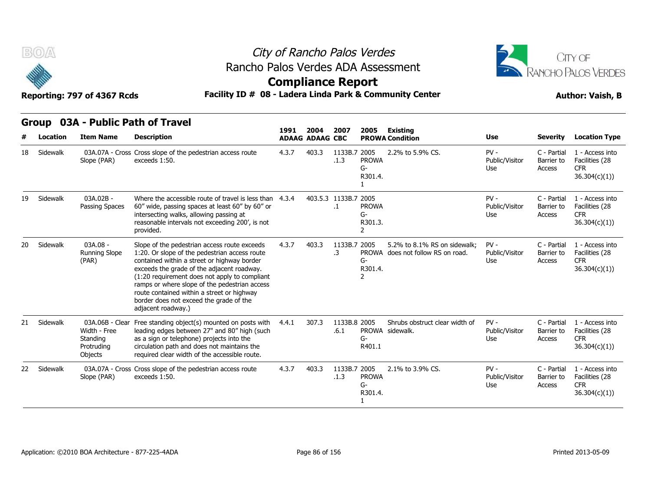



**Compliance Report**

|    | Facility ID # 08 - Ladera Linda Park & Community Center<br>Reporting: 797 of 4367 Rcds<br><b>Author: Vaish, B</b> |                                                                      |                                                                                                                                                                                                                                                                                                                                                                                                             |       |       |                            |                                                          |                                                                   |                                 |                                     |                                                                  |  |  |  |
|----|-------------------------------------------------------------------------------------------------------------------|----------------------------------------------------------------------|-------------------------------------------------------------------------------------------------------------------------------------------------------------------------------------------------------------------------------------------------------------------------------------------------------------------------------------------------------------------------------------------------------------|-------|-------|----------------------------|----------------------------------------------------------|-------------------------------------------------------------------|---------------------------------|-------------------------------------|------------------------------------------------------------------|--|--|--|
|    | Group 03A - Public Path of Travel<br>1991<br>2005<br><b>Existing</b><br>2004<br>2007<br><b>ADAAG ADAAG CBC</b>    |                                                                      |                                                                                                                                                                                                                                                                                                                                                                                                             |       |       |                            |                                                          |                                                                   |                                 |                                     |                                                                  |  |  |  |
| #  | Location                                                                                                          | <b>Item Name</b>                                                     | <b>Description</b>                                                                                                                                                                                                                                                                                                                                                                                          |       |       |                            |                                                          | <b>PROWA Condition</b>                                            | Use                             | <b>Severity</b>                     | <b>Location Type</b>                                             |  |  |  |
| 18 | Sidewalk                                                                                                          | Slope (PAR)                                                          | 03A.07A - Cross Cross slope of the pedestrian access route<br>exceeds 1:50.                                                                                                                                                                                                                                                                                                                                 | 4.3.7 | 403.3 | 1133B.7 2005<br>.1.3       | <b>PROWA</b><br>G-<br>R301.4.                            | 2.2% to 5.9% CS.                                                  | $PV -$<br>Public/Visitor<br>Use | C - Partial<br>Barrier to<br>Access | 1 - Access into<br>Facilities (28<br><b>CFR</b><br>36.304(c)(1)) |  |  |  |
| 19 | Sidewalk                                                                                                          | 03A.02B -<br>Passing Spaces                                          | Where the accessible route of travel is less than 4.3.4<br>60" wide, passing spaces at least 60" by 60" or<br>intersecting walks, allowing passing at<br>reasonable intervals not exceeding 200', is not<br>provided.                                                                                                                                                                                       |       |       | 403.5.3 1133B.7 2005<br>.1 | <b>PROWA</b><br>$G-$<br>R301.3.<br>$\mathbf{2}^{\prime}$ |                                                                   | $PV -$<br>Public/Visitor<br>Use | C - Partial<br>Barrier to<br>Access | 1 - Access into<br>Facilities (28<br><b>CFR</b><br>36.304(c)(1)) |  |  |  |
| 20 | Sidewalk                                                                                                          | $03A.08 -$<br><b>Running Slope</b><br>(PAR)                          | Slope of the pedestrian access route exceeds<br>1:20. Or slope of the pedestrian access route<br>contained within a street or highway border<br>exceeds the grade of the adjacent roadway.<br>(1:20 requirement does not apply to compliant<br>ramps or where slope of the pedestrian access<br>route contained within a street or highway<br>border does not exceed the grade of the<br>adjacent roadway.) | 4.3.7 | 403.3 | 1133B.7 2005<br>.3         | $G-$<br>R301.4.                                          | 5.2% to 8.1% RS on sidewalk:<br>PROWA does not follow RS on road. | $PV -$<br>Public/Visitor<br>Use | C - Partial<br>Barrier to<br>Access | 1 - Access into<br>Facilities (28<br><b>CFR</b><br>36.304(c)(1)  |  |  |  |
| 21 | Sidewalk                                                                                                          | 03A.06B - Clear<br>Width - Free<br>Standing<br>Protruding<br>Objects | Free standing object(s) mounted on posts with<br>leading edges between 27" and 80" high (such<br>as a sign or telephone) projects into the<br>circulation path and does not maintains the<br>required clear width of the accessible route.                                                                                                                                                                  | 4.4.1 | 307.3 | 1133B.8 2005<br>.6.1       | G-<br>R401.1                                             | Shrubs obstruct clear width of<br>PROWA sidewalk.                 | $PV -$<br>Public/Visitor<br>Use | C - Partial<br>Barrier to<br>Access | 1 - Access into<br>Facilities (28<br><b>CFR</b><br>36.304(c)(1)  |  |  |  |
| 22 | Sidewalk                                                                                                          | Slope (PAR)                                                          | 03A.07A - Cross Cross slope of the pedestrian access route<br>exceeds 1:50.                                                                                                                                                                                                                                                                                                                                 | 4.3.7 | 403.3 | 1133B.7 2005<br>.1.3       | <b>PROWA</b><br>$G-$<br>R301.4.                          | 2.1% to 3.9% CS.                                                  | $PV -$<br>Public/Visitor<br>Use | C - Partial<br>Barrier to<br>Access | 1 - Access into<br>Facilities (28<br><b>CFR</b><br>36.304(c)(1)  |  |  |  |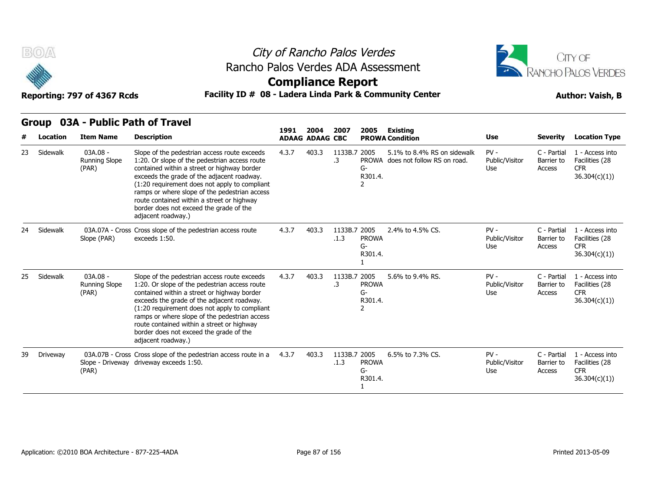



### **Compliance Report**

### Reporting: 797 of 4367 Rcds **Facility ID # 08 - Ladera Linda Park & Community Center Author: Vaish, B**

| #  | Location | <b>Item Name</b>                          | <b>Description</b>                                                                                                                                                                                                                                                                                                                                                                                          | 1991  | 2004<br><b>ADAAG ADAAG CBC</b> | 2007                 | 2005                               | <b>Existing</b><br><b>PROWA Condition</b>                        | <b>Use</b>                      | <b>Severity</b>                     | <b>Location Type</b>                                             |
|----|----------|-------------------------------------------|-------------------------------------------------------------------------------------------------------------------------------------------------------------------------------------------------------------------------------------------------------------------------------------------------------------------------------------------------------------------------------------------------------------|-------|--------------------------------|----------------------|------------------------------------|------------------------------------------------------------------|---------------------------------|-------------------------------------|------------------------------------------------------------------|
| 23 | Sidewalk | 03A.08 -<br><b>Running Slope</b><br>(PAR) | Slope of the pedestrian access route exceeds<br>1:20. Or slope of the pedestrian access route<br>contained within a street or highway border<br>exceeds the grade of the adjacent roadway.<br>(1:20 requirement does not apply to compliant<br>ramps or where slope of the pedestrian access<br>route contained within a street or highway<br>border does not exceed the grade of the<br>adjacent roadway.) | 4.3.7 | 403.3                          | 1133B.7 2005<br>.3   | G-<br>R301.4.<br>2                 | 5.1% to 8.4% RS on sidewalk<br>PROWA does not follow RS on road. | $PV -$<br>Public/Visitor<br>Use | C - Partial<br>Barrier to<br>Access | 1 - Access into<br>Facilities (28<br><b>CFR</b><br>36.304(c)(1)) |
| 24 | Sidewalk | Slope (PAR)                               | 03A.07A - Cross Cross slope of the pedestrian access route<br>exceeds 1:50.                                                                                                                                                                                                                                                                                                                                 | 4.3.7 | 403.3                          | 1133B.7 2005<br>.1.3 | <b>PROWA</b><br>G-<br>R301.4.      | 2.4% to 4.5% CS.                                                 | $PV -$<br>Public/Visitor<br>Use | C - Partial<br>Barrier to<br>Access | 1 - Access into<br>Facilities (28<br><b>CFR</b><br>36.304(c)(1)) |
| 25 | Sidewalk | 03A.08 -<br><b>Running Slope</b><br>(PAR) | Slope of the pedestrian access route exceeds<br>1:20. Or slope of the pedestrian access route<br>contained within a street or highway border<br>exceeds the grade of the adjacent roadway.<br>(1:20 requirement does not apply to compliant<br>ramps or where slope of the pedestrian access<br>route contained within a street or highway<br>border does not exceed the grade of the<br>adjacent roadway.) | 4.3.7 | 403.3                          | 1133B.7 2005<br>.3   | <b>PROWA</b><br>G-<br>R301.4.<br>2 | 5.6% to 9.4% RS.                                                 | $PV -$<br>Public/Visitor<br>Use | C - Partial<br>Barrier to<br>Access | 1 - Access into<br>Facilities (28<br><b>CFR</b><br>36.304(c)(1)  |
| 39 | Driveway | (PAR)                                     | 03A.07B - Cross Cross slope of the pedestrian access route in a<br>Slope - Driveway driveway exceeds 1:50.                                                                                                                                                                                                                                                                                                  | 4.3.7 | 403.3                          | 1133B.7 2005<br>.1.3 | <b>PROWA</b><br>G-<br>R301.4.      | 6.5% to 7.3% CS.                                                 | $PV -$<br>Public/Visitor<br>Use | C - Partial<br>Barrier to<br>Access | 1 - Access into<br>Facilities (28<br><b>CFR</b><br>36.304(c)(1)  |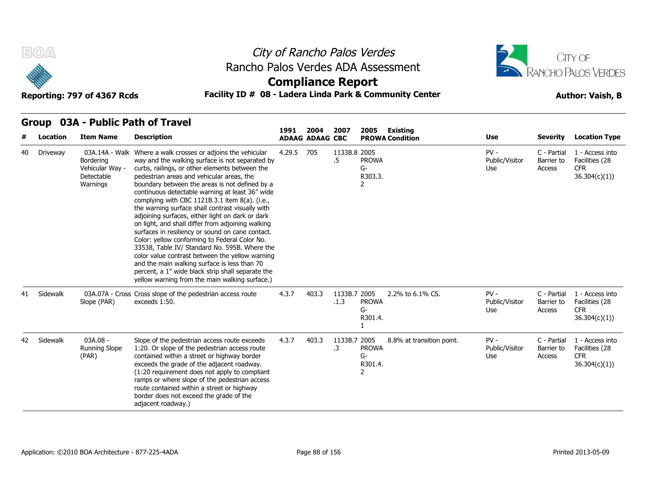



### **Compliance Report**

### Reporting: 797 of 4367 Rcds **Facility ID # 08 - Ladera Linda Park & Community Center Author: Vaish, B**

|    | urvup<br>Location | <b>Item Name</b>                                       | <b>UJA - FUDIIL FALII UI TIAVEI</b><br><b>Description</b>                                                                                                                                                                                                                                                                                                                                                                                                                                                                                                                                                                                                                                                                                                                                                                                                                                          | 1991   | 2004<br><b>ADAAG ADAAG CBC</b> | 2007                 | 2005                                            | Existing<br><b>PROWA Condition</b> | Use                             | <b>Severity</b>                     | <b>Location Type</b>                                             |
|----|-------------------|--------------------------------------------------------|----------------------------------------------------------------------------------------------------------------------------------------------------------------------------------------------------------------------------------------------------------------------------------------------------------------------------------------------------------------------------------------------------------------------------------------------------------------------------------------------------------------------------------------------------------------------------------------------------------------------------------------------------------------------------------------------------------------------------------------------------------------------------------------------------------------------------------------------------------------------------------------------------|--------|--------------------------------|----------------------|-------------------------------------------------|------------------------------------|---------------------------------|-------------------------------------|------------------------------------------------------------------|
| 40 | Driveway          | Bordering<br>Vehicular Way -<br>Detectable<br>Warnings | 03A.14A - Walk Where a walk crosses or adjoins the vehicular<br>way and the walking surface is not separated by<br>curbs, railings, or other elements between the<br>pedestrian areas and vehicular areas, the<br>boundary between the areas is not defined by a<br>continuous detectable warning at least 36" wide<br>complying with CBC 1121B.3.1 item 8(a). (i.e.,<br>the warning surface shall contrast visually with<br>adjoining surfaces, either light on dark or dark<br>on light, and shall differ from adjoining walking<br>surfaces in resiliency or sound on cane contact.<br>Color: yellow conforming to Federal Color No.<br>33538, Table IV/ Standard No. 595B. Where the<br>color value contrast between the yellow warning<br>and the main walking surface is less than 70<br>percent, a 1" wide black strip shall separate the<br>yellow warning from the main walking surface.) | 4.29.5 | 705                            | 1133B.8 2005<br>.5   | <b>PROWA</b><br>$G-$<br>R303.3.                 |                                    | $PV -$<br>Public/Visitor<br>Use | C - Partial<br>Barrier to<br>Access | 1 - Access into<br>Facilities (28<br><b>CFR</b><br>36.304(c)(1)  |
|    | 41 Sidewalk       | Slope (PAR)                                            | 03A.07A - Cross Cross slope of the pedestrian access route<br>exceeds 1:50.                                                                                                                                                                                                                                                                                                                                                                                                                                                                                                                                                                                                                                                                                                                                                                                                                        | 4.3.7  | 403.3                          | 1133B.7 2005<br>.1.3 | <b>PROWA</b><br>$G-$<br>R301.4.                 | 2.2% to 6.1% CS.                   | $PV -$<br>Public/Visitor<br>Use | C - Partial<br>Barrier to<br>Access | 1 - Access into<br>Facilities (28<br><b>CFR</b><br>36.304(c)(1)) |
| 42 | Sidewalk          | 03A.08 -<br><b>Running Slope</b><br>(PAR)              | Slope of the pedestrian access route exceeds<br>1:20. Or slope of the pedestrian access route<br>contained within a street or highway border<br>exceeds the grade of the adjacent roadway.<br>(1:20 requirement does not apply to compliant<br>ramps or where slope of the pedestrian access<br>route contained within a street or highway<br>border does not exceed the grade of the<br>adjacent roadway.)                                                                                                                                                                                                                                                                                                                                                                                                                                                                                        | 4.3.7  | 403.3                          | 1133B.7 2005<br>.3   | <b>PROWA</b><br>G-<br>R301.4.<br>$\overline{2}$ | 8.8% at transition point.          | $PV -$<br>Public/Visitor<br>Use | C - Partial<br>Barrier to<br>Access | 1 - Access into<br>Facilities (28<br><b>CFR</b><br>36.304(c)(1)  |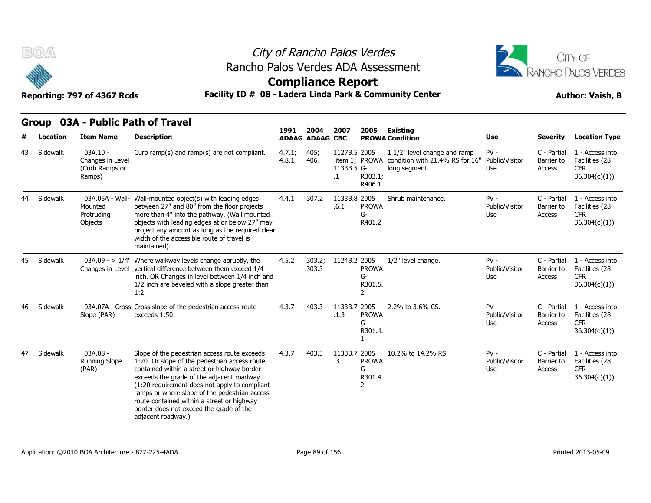



**Compliance Report**

Reporting: 797 of 4367 Rcds **Facility ID # 08 - Ladera Linda Park & Community Center Author: Vaish, B** 

**1991** 

|    | Location | <b>Item Name</b>                                           | <b>Description</b>                                                                                                                                                                                                                                                                                                                                                                                          | 1991            | 2004<br><b>ADAAG ADAAG CBC</b> | 2007                             | 2005                               | <b>Existing</b><br><b>PROWA Condition</b>                                                      | <b>Use</b>                             | <b>Severity</b>                     | <b>Location Type</b>                                             |
|----|----------|------------------------------------------------------------|-------------------------------------------------------------------------------------------------------------------------------------------------------------------------------------------------------------------------------------------------------------------------------------------------------------------------------------------------------------------------------------------------------------|-----------------|--------------------------------|----------------------------------|------------------------------------|------------------------------------------------------------------------------------------------|----------------------------------------|-------------------------------------|------------------------------------------------------------------|
| 43 | Sidewalk | $03A.10 -$<br>Changes in Level<br>(Curb Ramps or<br>Ramps) | Curb ramp(s) and ramp(s) are not compliant.                                                                                                                                                                                                                                                                                                                                                                 | 4.7.1;<br>4.8.1 | 405;<br>406                    | 1127B.5 2005<br>1133B.5 G-<br>.1 | R303.1;<br>R406.1                  | 1 1/2" level change and ramp<br>item 1: PROWA condition with 21.4% RS for 16"<br>long segment. | $PV -$<br>Public/Visitor<br><b>Use</b> | C - Partial<br>Barrier to<br>Access | 1 - Access into<br>Facilities (28<br><b>CFR</b><br>36.304(c)(1)) |
| 44 | Sidewalk | 03A.05A - Wall-<br>Mounted<br>Protruding<br>Objects        | Wall-mounted object(s) with leading edges<br>between 27" and 80" from the floor projects<br>more than 4" into the pathway. (Wall mounted<br>objects with leading edges at or below 27" may<br>project any amount as long as the required clear<br>width of the accessible route of travel is<br>maintained).                                                                                                | 4.4.1           | 307.2                          | 1133B.8 2005<br>.6.1             | <b>PROWA</b><br>G-<br>R401.2       | Shrub maintenance.                                                                             | $PV -$<br>Public/Visitor<br>Use        | C - Partial<br>Barrier to<br>Access | 1 - Access into<br>Facilities (28<br><b>CFR</b><br>36.304(c)(1)) |
| 45 | Sidewalk |                                                            | $03A.09 - > 1/4$ " Where walkway levels change abruptly, the<br>Changes in Level vertical difference between them exceed 1/4<br>inch. OR Changes in level between 1/4 inch and<br>1/2 inch are beveled with a slope greater than<br>1:2.                                                                                                                                                                    | 4.5.2           | 303.2;<br>303.3                | 1124B.2 2005                     | <b>PROWA</b><br>G-<br>R301.5.<br>2 | 1/2" level change.                                                                             | $PV -$<br>Public/Visitor<br>Use        | C - Partial<br>Barrier to<br>Access | 1 - Access into<br>Facilities (28<br><b>CFR</b><br>36.304(c)(1)) |
| 46 | Sidewalk | Slope (PAR)                                                | 03A.07A - Cross Cross slope of the pedestrian access route<br>exceeds 1:50.                                                                                                                                                                                                                                                                                                                                 | 4.3.7           | 403.3                          | 1133B.7 2005<br>.1.3             | <b>PROWA</b><br>G-<br>R301.4.      | 2.2% to 3.6% CS.                                                                               | $PV -$<br>Public/Visitor<br>Use        | C - Partial<br>Barrier to<br>Access | 1 - Access into<br>Facilities (28<br><b>CFR</b><br>36.304(c)(1)) |
| 47 | Sidewalk | 03A.08 -<br><b>Running Slope</b><br>(PAR)                  | Slope of the pedestrian access route exceeds<br>1:20. Or slope of the pedestrian access route<br>contained within a street or highway border<br>exceeds the grade of the adjacent roadway.<br>(1:20 requirement does not apply to compliant<br>ramps or where slope of the pedestrian access<br>route contained within a street or highway<br>border does not exceed the grade of the<br>adjacent roadway.) | 4.3.7           | 403.3                          | 1133B.7 2005<br>.3               | <b>PROWA</b><br>G-<br>R301.4.<br>2 | 10.2% to 14.2% RS.                                                                             | $PV -$<br>Public/Visitor<br>Use        | C - Partial<br>Barrier to<br>Access | 1 - Access into<br>Facilities (28<br><b>CFR</b><br>36.304(c)(1)) |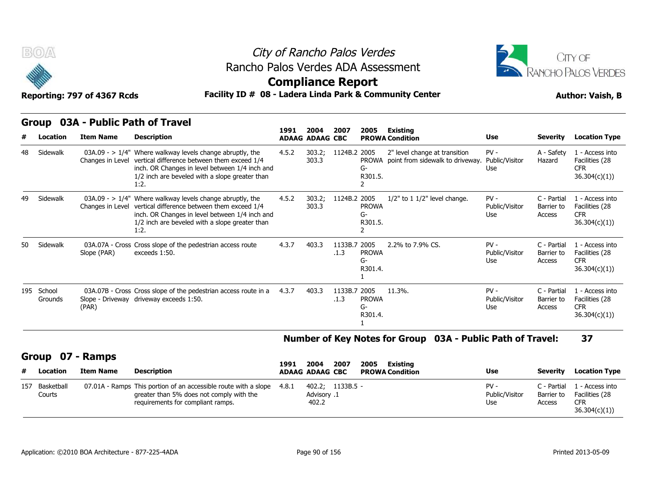



### **Compliance Report**

### Reporting: 797 of 4367 Rcds **Facility ID # 08 - Ladera Linda Park & Community Center Author: Vaish, B**

|  | Group 03A - Public Path of Travel |  |
|--|-----------------------------------|--|
|--|-----------------------------------|--|

|    | B(0)                  | Reporting: 797 of 4367 Rcds | Rancho Palos Verdes ADA Assessment<br>Facility ID # 08 - Ladera Linda Park & Community Center                                                                                                                                            | City of Rancho Palos Verdes<br><b>Compliance Report</b> |                                |                      | <b>JTY OF</b><br><b>RANCHO PALOS VERDES</b><br><b>Author: Vaish, B</b> |                                                                         |                                 |                                     |                                                                 |
|----|-----------------------|-----------------------------|------------------------------------------------------------------------------------------------------------------------------------------------------------------------------------------------------------------------------------------|---------------------------------------------------------|--------------------------------|----------------------|------------------------------------------------------------------------|-------------------------------------------------------------------------|---------------------------------|-------------------------------------|-----------------------------------------------------------------|
|    | Location              | <b>Item Name</b>            | Group 03A - Public Path of Travel<br><b>Description</b>                                                                                                                                                                                  | 1991                                                    | 2004<br><b>ADAAG ADAAG CBC</b> | 2007                 | 2005                                                                   | <b>Existing</b><br><b>PROWA Condition</b>                               | <b>Use</b>                      | <b>Severity</b>                     | <b>Location Type</b>                                            |
| 48 | Sidewalk              |                             | $03A.09 - > 1/4$ " Where walkway levels change abruptly, the<br>Changes in Level vertical difference between them exceed 1/4<br>inch. OR Changes in level between 1/4 inch and<br>1/2 inch are beveled with a slope greater than<br>1:2. | 4.5.2                                                   | 303.2;<br>303.3                | 1124B.2 2005         | G-<br>R301.5.<br>2                                                     | 2" level change at transition<br>PROWA point from sidewalk to driveway. | $PV -$<br>Public/Visitor<br>Use | A - Safety<br>Hazard                | 1 - Access into<br>Facilities (28<br><b>CFR</b><br>36.304(c)(1) |
| 49 | Sidewalk              |                             | 03A.09 - $> 1/4$ " Where walkway levels change abruptly, the<br>Changes in Level vertical difference between them exceed 1/4<br>inch. OR Changes in level between 1/4 inch and<br>1/2 inch are beveled with a slope greater than<br>1:2. | 4.5.2                                                   | 303.2;<br>303.3                | 1124B.2 2005         | <b>PROWA</b><br>G-<br>R301.5.<br>$\overline{2}$                        | $1/2$ " to $1\ 1/2$ " level change.                                     | $PV -$<br>Public/Visitor<br>Use | C - Partial<br>Barrier to<br>Access | 1 - Access into<br>Facilities (28<br><b>CFR</b><br>36.304(c)(1) |
| 50 | Sidewalk              | Slope (PAR)                 | 03A.07A - Cross Cross slope of the pedestrian access route<br>exceeds 1:50.                                                                                                                                                              | 4.3.7                                                   | 403.3                          | 1133B.7 2005<br>.1.3 | <b>PROWA</b><br>G-<br>R301.4.                                          | 2.2% to 7.9% CS.                                                        | $PV -$<br>Public/Visitor<br>Use | C - Partial<br>Barrier to<br>Access | 1 - Access into<br>Facilities (28<br><b>CFR</b><br>36.304(c)(1) |
|    | 195 School<br>Grounds | (PAR)                       | 03A.07B - Cross Cross slope of the pedestrian access route in a<br>Slope - Driveway driveway exceeds 1:50.                                                                                                                               | 4.3.7                                                   | 403.3                          | 1133B.7 2005<br>.1.3 | <b>PROWA</b><br>G-<br>R301.4.                                          | 11.3%.                                                                  | $PV -$<br>Public/Visitor<br>Use | C - Partial<br>Barrier to<br>Access | 1 - Access into<br>Facilities (28<br><b>CFR</b><br>36.304(c)(1) |

#### **Number of Key Notes for Group 03A - Public Path of Travel: 37**

#### **Group 07 - Ramps**

|   | 195 School<br>Grounds | (PAR)            | 03A.07B - Cross Cross slope of the pedestrian access route in a<br>Slope - Driveway driveway exceeds 1:50. | 4.3.7 | 403.3                  | 1133B.7 2005<br>.1.3 | <b>PROWA</b><br>G-<br>R301.4. | 11.3%.   |                                                            | $PV -$<br>Public/Visitor<br>Use | C - Partial<br>Barrier to<br>Access | 1 - Access into<br>Facilities (28<br><b>CFR</b><br>36.304(c)(1) |
|---|-----------------------|------------------|------------------------------------------------------------------------------------------------------------|-------|------------------------|----------------------|-------------------------------|----------|------------------------------------------------------------|---------------------------------|-------------------------------------|-----------------------------------------------------------------|
|   |                       |                  |                                                                                                            |       |                        |                      |                               |          | Number of Key Notes for Group 03A - Public Path of Travel: |                                 |                                     | 37                                                              |
|   | <b>Group</b>          | 07 - Ramps       |                                                                                                            |       |                        |                      |                               |          |                                                            |                                 |                                     |                                                                 |
|   |                       |                  |                                                                                                            | 1991  | 2004                   | 2007                 | 2005                          | Existing |                                                            |                                 |                                     |                                                                 |
| # | Location              | <b>Item Name</b> | <b>Description</b>                                                                                         |       | <b>ADAAG ADAAG CBC</b> |                      | <b>PROWA Condition</b>        |          |                                                            | Use                             | Severity                            | <b>Location Type</b>                                            |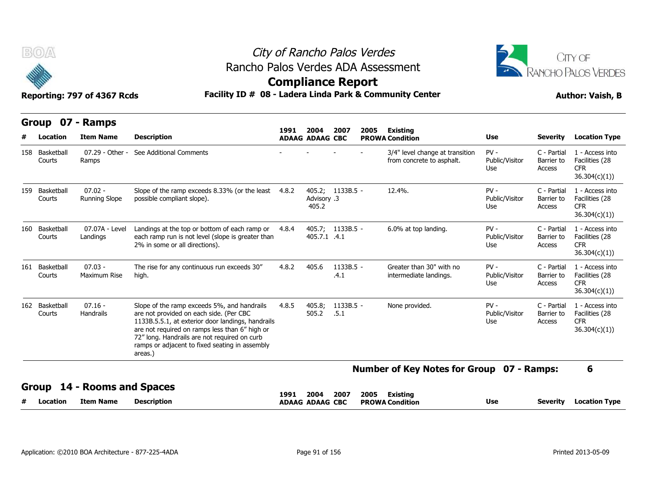



|     | B(0)                     |                                   | Rancho Palos Verdes ADA Assessment                                                                                                                                                                                                                                                                         |                          |                                |                     | City of Rancho Palos Verdes |                                                              |                                 |                                     | CITY OF<br>RANCHO PALOS VERDES                                   |
|-----|--------------------------|-----------------------------------|------------------------------------------------------------------------------------------------------------------------------------------------------------------------------------------------------------------------------------------------------------------------------------------------------------|--------------------------|--------------------------------|---------------------|-----------------------------|--------------------------------------------------------------|---------------------------------|-------------------------------------|------------------------------------------------------------------|
|     |                          | Reporting: 797 of 4367 Rcds       | Facility ID # 08 - Ladera Linda Park & Community Center                                                                                                                                                                                                                                                    | <b>Compliance Report</b> |                                |                     |                             |                                                              |                                 |                                     | <b>Author: Vaish, B</b>                                          |
|     | Group<br>Location        | 07 - Ramps<br><b>Item Name</b>    | <b>Description</b>                                                                                                                                                                                                                                                                                         | 1991                     | 2004<br><b>ADAAG ADAAG CBC</b> | 2007                | 2005                        | <b>Existing</b><br><b>PROWA Condition</b>                    | Use                             | <b>Severity</b>                     | <b>Location Type</b>                                             |
|     | 158 Basketball<br>Courts | 07.29 - Other -<br>Ramps          | See Additional Comments                                                                                                                                                                                                                                                                                    |                          |                                |                     |                             | 3/4" level change at transition<br>from concrete to asphalt. | $PV -$<br>Public/Visitor<br>Use | C - Partial<br>Barrier to<br>Access | 1 - Access into<br>Facilities (28<br><b>CFR</b><br>36.304(c)(1)  |
|     | 159 Basketball<br>Courts | $07.02 -$<br><b>Running Slope</b> | Slope of the ramp exceeds 8.33% (or the least<br>possible compliant slope).                                                                                                                                                                                                                                | 4.8.2                    | Advisory .3<br>405.2           | 405.2; 1133B.5 -    |                             | 12.4%.                                                       | $PV -$<br>Public/Visitor<br>Use | C - Partial<br>Barrier to<br>Access | 1 - Access into<br>Facilities (28<br><b>CFR</b><br>36.304(c)(1)  |
| 160 | Basketball<br>Courts     | 07.07A - Level<br>Landings        | Landings at the top or bottom of each ramp or 4.8.4<br>each ramp run is not level (slope is greater than<br>2% in some or all directions).                                                                                                                                                                 |                          | 405.7.1 .4.1                   | 405.7; 1133B.5 -    |                             | 6.0% at top landing.                                         | $PV -$<br>Public/Visitor<br>Use | C - Partial<br>Barrier to<br>Access | 1 - Access into<br>Facilities (28<br><b>CFR</b><br>36.304(c)(1)) |
|     | 161 Basketball<br>Courts | $07.03 -$<br>Maximum Rise         | The rise for any continuous run exceeds 30"<br>high.                                                                                                                                                                                                                                                       | 4.8.2                    | 405.6                          | $1133B.5 -$<br>.4.1 |                             | Greater than 30" with no<br>intermediate landings.           | $PV -$<br>Public/Visitor<br>Use | C - Partial<br>Barrier to<br>Access | 1 - Access into<br>Facilities (28<br><b>CFR</b><br>36.304(c)(1)) |
|     | 162 Basketball<br>Courts | $07.16 -$<br>Handrails            | Slope of the ramp exceeds 5%, and handrails<br>are not provided on each side. (Per CBC<br>1133B.5.5.1, at exterior door landings, handrails<br>are not required on ramps less than 6" high or<br>72" long. Handrails are not required on curb<br>ramps or adjacent to fixed seating in assembly<br>areas.) | 4.8.5                    | 405.8;<br>505.2                | $1133B.5 -$<br>.5.1 |                             | None provided.                                               | $PV -$<br>Public/Visitor<br>Use | C - Partial<br>Barrier to<br>Access | 1 - Access into<br>Facilities (28<br><b>CFR</b><br>36.304(c)(1)  |
|     |                          |                                   |                                                                                                                                                                                                                                                                                                            |                          |                                |                     |                             | Number of Key Notes for Group 07 - Ramps:                    |                                 |                                     | 6                                                                |
|     | Group                    | - Rooms and Spaces                |                                                                                                                                                                                                                                                                                                            | 1991                     | 2004                           | 2007                | 2005                        | <b>Existing</b>                                              |                                 |                                     |                                                                  |
|     | Location                 | <b>Item Name</b>                  | <b>Description</b>                                                                                                                                                                                                                                                                                         |                          | <b>ADAAG ADAAG CBC</b>         |                     |                             | <b>PROWA Condition</b>                                       | Use                             | <b>Severity</b>                     | <b>Location Type</b>                                             |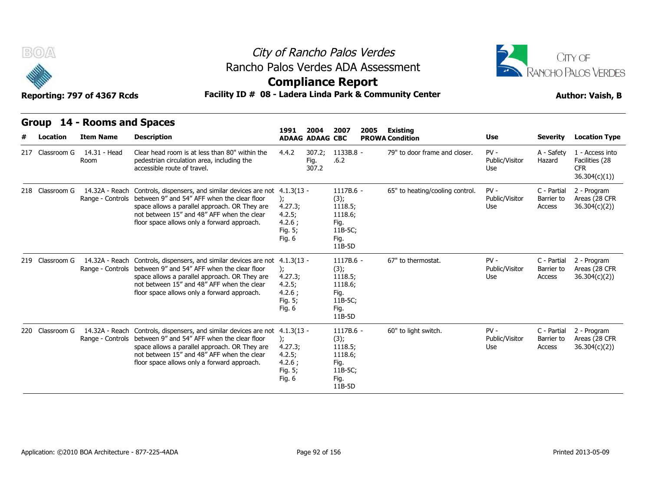

### City of Rancho Palos Verdes Rancho Palos Verdes ADA Assessment



### **Compliance Report**

| B(0)            | Reporting: 797 of 4367 Rcds                     | Rancho Palos Verdes ADA Assessment<br>Facility ID # 08 - Ladera Linda Park & Community Center                                                                                                                                                                              | <b>Compliance Report</b>                                               |                                |                                                                                | City of Rancho Palos Verdes |                                           |                                 |                                     | CITY OF<br>RANCHO PALOS VERDES<br><b>Author: Vaish, B</b>       |
|-----------------|-------------------------------------------------|----------------------------------------------------------------------------------------------------------------------------------------------------------------------------------------------------------------------------------------------------------------------------|------------------------------------------------------------------------|--------------------------------|--------------------------------------------------------------------------------|-----------------------------|-------------------------------------------|---------------------------------|-------------------------------------|-----------------------------------------------------------------|
| Location        | Group 14 - Rooms and Spaces<br><b>Item Name</b> | <b>Description</b>                                                                                                                                                                                                                                                         | 1991                                                                   | 2004<br><b>ADAAG ADAAG CBC</b> | 2007                                                                           | 2005                        | <b>Existing</b><br><b>PROWA Condition</b> | <b>Use</b>                      | <b>Severity</b>                     | <b>Location Type</b>                                            |
| 217 Classroom G | 14.31 - Head<br>Room                            | Clear head room is at less than 80" within the<br>pedestrian circulation area, including the<br>accessible route of travel.                                                                                                                                                | 4.4.2                                                                  | 307.2;<br>Fig.<br>307.2        | 1133B.8 -<br>.6.2                                                              |                             | 79" to door frame and closer.             | $PV -$<br>Public/Visitor<br>Use | A - Safety<br>Hazard                | 1 - Access into<br>Facilities (28<br><b>CFR</b><br>36.304(c)(1) |
| 218 Classroom G | 14.32A - Reach                                  | Controls, dispensers, and similar devices are not 4.1.3(13 -<br>Range - Controls between 9" and 54" AFF when the clear floor<br>space allows a parallel approach. OR They are<br>not between 15" and 48" AFF when the clear<br>floor space allows only a forward approach. | 4.27.3;<br>4.2.5;<br>4.2.6;<br>Fig. 5;<br>Fig. 6                       |                                | 1117B.6 -<br>(3);<br>1118.5;<br>1118.6;<br>Fig.<br>11B-5C;<br>Fig.<br>11B-5D   |                             | 65" to heating/cooling control.           | $PV -$<br>Public/Visitor<br>Use | C - Partial<br>Barrier to<br>Access | 2 - Program<br>Areas (28 CFR<br>36.304(c)(2)                    |
| 219 Classroom G | 14.32A - Reach                                  | Controls, dispensers, and similar devices are not<br>Range - Controls between 9" and 54" AFF when the clear floor<br>space allows a parallel approach. OR They are<br>not between 15" and 48" AFF when the clear<br>floor space allows only a forward approach.            | $4.1.3(13 -$<br>):<br>4.27.3;<br>4.2.5;<br>4.2.6;<br>Fig. 5;<br>Fig. 6 |                                | 1117B.6 -<br>(3);<br>1118.5;<br>1118.6;<br>Fig.<br>11B-5C;<br>Fig.<br>$11B-5D$ |                             | 67" to thermostat.                        | $PV -$<br>Public/Visitor<br>Use | C - Partial<br>Barrier to<br>Access | 2 - Program<br>Areas (28 CFR<br>36.304(c)(2)                    |
| 220 Classroom G | Range - Controls                                | 14.32A - Reach Controls, dispensers, and similar devices are not 4.1.3(13 -<br>between 9" and 54" AFF when the clear floor<br>space allows a parallel approach. OR They are<br>not between 15" and 48" AFF when the clear<br>floor space allows only a forward approach.   | $\mathcal{E}$<br>4.27.3;<br>4.2.5;<br>4.2.6;<br>Fig. 5;<br>Fig. 6      |                                | 1117B.6 -<br>(3);<br>1118.5;<br>1118.6;<br>Fig.<br>11B-5C;<br>Fig.<br>11B-5D   |                             | 60" to light switch.                      | $PV -$<br>Public/Visitor<br>Use | C - Partial<br>Barrier to<br>Access | 2 - Program<br>Areas (28 CFR<br>36.304(c)(2)                    |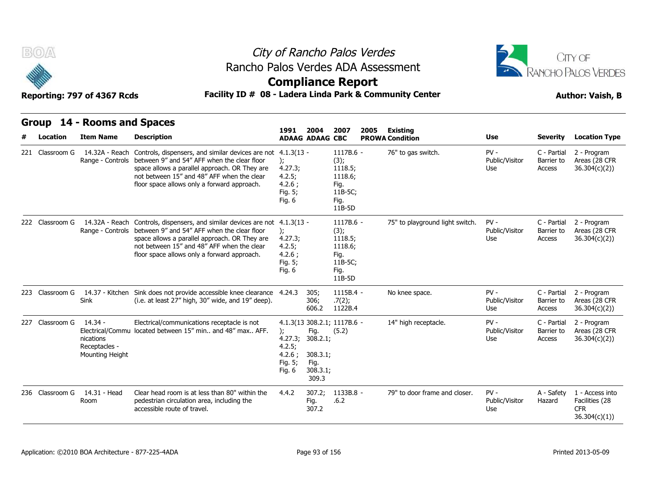



### **Compliance Report**

### Reporting: 797 of 4367 Rcds **Facility ID # 08 - Ladera Linda Park & Community Center Author: Vaish, B**

| B(0)                        | Reporting: 797 of 4367 Rcds                                | Rancho Palos Verdes ADA Assessment<br>Facility ID # 08 - Ladera Linda Park & Community Center                                                                                                                                                                                                                   |                                                                     |                                                           | City of Rancho Palos Verdes<br><b>Compliance Report</b>                      |                                              |                                        |                                                        | CITY OF<br><b>RANCHO PALOS VERDES</b><br><b>Author: Vaish, B</b>     |
|-----------------------------|------------------------------------------------------------|-----------------------------------------------------------------------------------------------------------------------------------------------------------------------------------------------------------------------------------------------------------------------------------------------------------------|---------------------------------------------------------------------|-----------------------------------------------------------|------------------------------------------------------------------------------|----------------------------------------------|----------------------------------------|--------------------------------------------------------|----------------------------------------------------------------------|
| <b>Group</b>                | 14 - Rooms and Spaces                                      |                                                                                                                                                                                                                                                                                                                 | 1991                                                                | 2004                                                      | 2007<br>2005                                                                 | <b>Existing</b>                              |                                        |                                                        |                                                                      |
| Location<br>221 Classroom G | <b>Item Name</b>                                           | <b>Description</b><br>14.32A - Reach Controls, dispensers, and similar devices are not 4.1.3(13 -<br>Range - Controls between 9" and 54" AFF when the clear floor<br>space allows a parallel approach. OR They are<br>not between 15" and 48" AFF when the clear<br>floor space allows only a forward approach. | $\mathcal{L}$<br>4.27.3;<br>4.2.5;<br>4.2.6;<br>Fig. 5;<br>Fig. 6   | <b>ADAAG ADAAG CBC</b>                                    | 1117B.6 -<br>(3);<br>1118.5;<br>1118.6;<br>Fig.<br>11B-5C;<br>Fig.<br>11B-5D | <b>PROWA Condition</b><br>76" to gas switch. | Use<br>$PV -$<br>Public/Visitor<br>Use | <b>Severity</b><br>C - Partial<br>Barrier to<br>Access | <b>Location Type</b><br>2 - Program<br>Areas (28 CFR<br>36.304(c)(2) |
| 222 Classroom G             |                                                            | 14.32A - Reach Controls, dispensers, and similar devices are not 4.1.3(13 -<br>Range - Controls between 9" and 54" AFF when the clear floor<br>space allows a parallel approach. OR They are<br>not between 15" and 48" AFF when the clear<br>floor space allows only a forward approach.                       | $\mathcal{E}$<br>4.27.3;<br>4.2.5;<br>4.2.6:<br>Fig. 5;<br>Fig. $6$ |                                                           | 1117B.6 -<br>(3);<br>1118.5;<br>1118.6;<br>Fig.<br>11B-5C;<br>Fig.<br>11B-5D | 75" to playground light switch.              | $PV -$<br>Public/Visitor<br>Use        | C - Partial<br>Barrier to<br>Access                    | 2 - Program<br>Areas (28 CFR<br>36.304(c)(2)                         |
| 223 Classroom G             | <b>Sink</b>                                                | 14.37 - Kitchen Sink does not provide accessible knee clearance 4.24.3<br>(i.e. at least 27" high, 30" wide, and 19" deep).                                                                                                                                                                                     |                                                                     | 305;<br>306;<br>606.2                                     | $1115B.4 -$<br>.7(2);<br>1122B.4                                             | No knee space.                               | $PV -$<br>Public/Visitor<br>Use        | C - Partial<br>Barrier to<br>Access                    | 2 - Program<br>Areas (28 CFR<br>36.304(c)(2))                        |
| 227 Classroom G             | - 14.34 -<br>nications<br>Receptacles -<br>Mounting Height | Electrical/communications receptacle is not<br>Electrical/Commu located between 15" min and 48" max AFF.                                                                                                                                                                                                        | $\mathcal{E}$<br>4.27.3;<br>4.2.5;<br>4.2.6:<br>Fig. 5;<br>Fig. 6   | Fig.<br>308.2.1;<br>308.3.1;<br>Fig.<br>308.3.1;<br>309.3 | 4.1.3(13 308.2.1; 1117B.6 -<br>(5.2)                                         | 14" high receptacle.                         | $PV -$<br>Public/Visitor<br>Use        | C - Partial<br>Barrier to<br>Access                    | 2 - Program<br>Areas (28 CFR<br>36.304(c)(2)                         |
| 236 Classroom G             | 14.31 - Head<br>Room                                       | Clear head room is at less than 80" within the<br>pedestrian circulation area, including the<br>accessible route of travel.                                                                                                                                                                                     | 4.4.2                                                               | 307.2;<br>Fig.<br>307.2                                   | 1133B.8 -<br>.6.2                                                            | 79" to door frame and closer.                | $PV -$<br>Public/Visitor<br>Use        | A - Safety<br>Hazard                                   | 1 - Access into<br>Facilities (28<br><b>CFR</b><br>36.304(c)(1)      |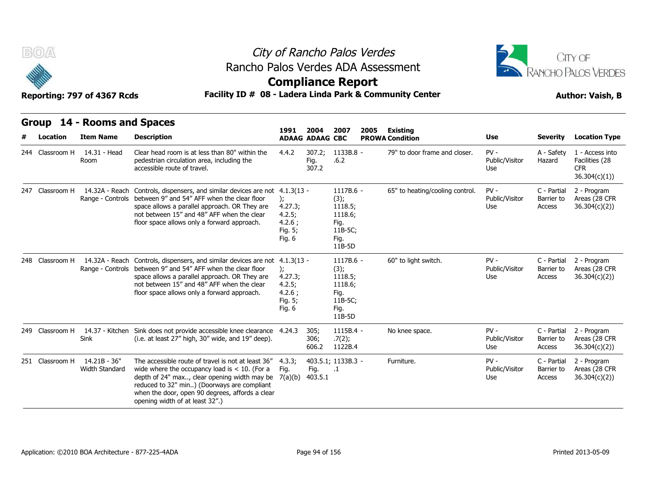

### City of Rancho Palos Verdes Rancho Palos Verdes ADA Assessment



### **Compliance Report**

| B(0)            | Reporting: 797 of 4367 Rcds                     | Rancho Palos Verdes ADA Assessment<br>Facility ID # 08 - Ladera Linda Park & Community Center                                                                                                                                                                                              | City of Rancho Palos Verdes<br><b>Compliance Report</b>              |                                |                                                                              |      |                                           |                                 |                                     | CITY OF<br><b>RANCHO PALOS VERDES</b><br><b>Author: Vaish, B</b> |
|-----------------|-------------------------------------------------|--------------------------------------------------------------------------------------------------------------------------------------------------------------------------------------------------------------------------------------------------------------------------------------------|----------------------------------------------------------------------|--------------------------------|------------------------------------------------------------------------------|------|-------------------------------------------|---------------------------------|-------------------------------------|------------------------------------------------------------------|
| Location        | Group 14 - Rooms and Spaces<br><b>Item Name</b> | <b>Description</b>                                                                                                                                                                                                                                                                         | 1991                                                                 | 2004<br><b>ADAAG ADAAG CBC</b> | 2007                                                                         | 2005 | <b>Existing</b><br><b>PROWA Condition</b> | Use                             | Severity                            | <b>Location Type</b>                                             |
| 244 Classroom H | 14.31 - Head<br>Room                            | Clear head room is at less than 80" within the<br>pedestrian circulation area, including the<br>accessible route of travel.                                                                                                                                                                | 4.4.2                                                                | 307.2;<br>Fig.<br>307.2        | 1133B.8 -<br>.6.2                                                            |      | 79" to door frame and closer.             | $PV -$<br>Public/Visitor<br>Use | A - Safety<br>Hazard                | 1 - Access into<br>Facilities (28<br><b>CFR</b><br>36.304(c)(1)) |
| 247 Classroom H |                                                 | 14.32A - Reach Controls, dispensers, and similar devices are not 4.1.3(13 -<br>Range - Controls between 9" and 54" AFF when the clear floor<br>space allows a parallel approach. OR They are<br>not between 15" and 48" AFF when the clear<br>floor space allows only a forward approach.  | $\mathcal{E}$<br>4.27.3;<br>4.2.5;<br>4.2.6;<br>Fig. 5;<br>Fig. 6    |                                | 1117B.6 -<br>(3);<br>1118.5;<br>1118.6;<br>Fig.<br>11B-5C;<br>Fig.<br>11B-5D |      | 65" to heating/cooling control.           | $PV -$<br>Public/Visitor<br>Use | C - Partial<br>Barrier to<br>Access | 2 - Program<br>Areas (28 CFR<br>36.304(c)(2))                    |
| 248 Classroom H | 14.32A - Reach<br>Range - Controls              | Controls, dispensers, and similar devices are not 4.1.3(13 -<br>between 9" and 54" AFF when the clear floor<br>space allows a parallel approach. OR They are<br>not between 15" and 48" AFF when the clear<br>floor space allows only a forward approach.                                  | $\mathcal{E}$<br>4.27.3;<br>4.2.5;<br>$4.2.6$ ;<br>Fig. 5;<br>Fig. 6 |                                | 1117B.6 -<br>(3);<br>1118.5;<br>1118.6;<br>Fig.<br>11B-5C;<br>Fig.<br>11B-5D |      | 60" to light switch.                      | $PV -$<br>Public/Visitor<br>Use | C - Partial<br>Barrier to<br>Access | 2 - Program<br>Areas (28 CFR<br>36.304(c)(2)                     |
| 249 Classroom H | Sink                                            | 14.37 - Kitchen Sink does not provide accessible knee clearance 4.24.3<br>(i.e. at least 27" high, 30" wide, and 19" deep).                                                                                                                                                                |                                                                      | 305;<br>306;<br>606.2          | 1115B.4 -<br>.7(2);<br>1122B.4                                               |      | No knee space.                            | $PV -$<br>Public/Visitor<br>Use | C - Partial<br>Barrier to<br>Access | 2 - Program<br>Areas (28 CFR<br>36.304(c)(2)                     |
| 251 Classroom H | 14.21B - 36"<br>Width Standard                  | The accessible route of travel is not at least 36"<br>wide where the occupancy load is $<$ 10. (For a<br>depth of 24" max, clear opening width may be<br>reduced to 32" min) (Doorways are compliant<br>when the door, open 90 degrees, affords a clear<br>opening width of at least 32".) | 4.3.3;<br>Fig.<br>7(a)(b)                                            | Fig.<br>403.5.1                | 403.5.1; 1133B.3 -<br>$\cdot$ 1                                              |      | Furniture.                                | $PV -$<br>Public/Visitor<br>Use | C - Partial<br>Barrier to<br>Access | 2 - Program<br>Areas (28 CFR<br>36.304(c)(2))                    |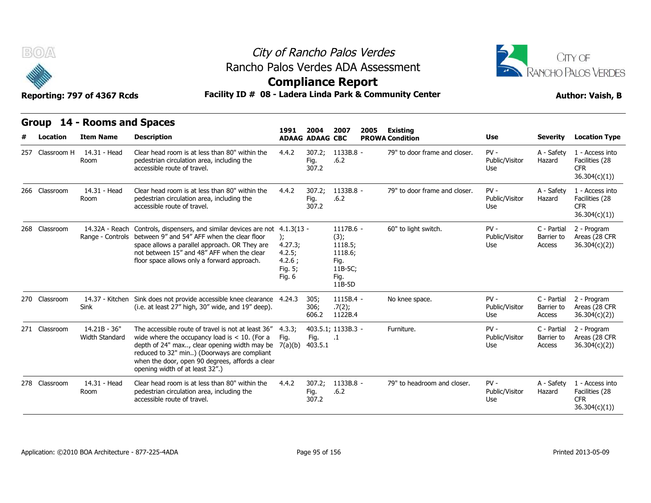



### **Compliance Report**

| B(0)            |                                                 | Rancho Palos Verdes ADA Assessment                                                                                                                                                                                                                                                                   | City of Rancho Palos Verdes<br><b>Compliance Report</b> |                                |                                                                              |      |                                           |                                 |                                     | CITY OF<br>RANCHO PALOS VERDES                                   |
|-----------------|-------------------------------------------------|------------------------------------------------------------------------------------------------------------------------------------------------------------------------------------------------------------------------------------------------------------------------------------------------------|---------------------------------------------------------|--------------------------------|------------------------------------------------------------------------------|------|-------------------------------------------|---------------------------------|-------------------------------------|------------------------------------------------------------------|
|                 | Reporting: 797 of 4367 Rcds                     | Facility ID # 08 - Ladera Linda Park & Community Center                                                                                                                                                                                                                                              |                                                         |                                |                                                                              |      |                                           |                                 |                                     | <b>Author: Vaish, B</b>                                          |
| Location        | Group 14 - Rooms and Spaces<br><b>Item Name</b> | <b>Description</b>                                                                                                                                                                                                                                                                                   | 1991                                                    | 2004<br><b>ADAAG ADAAG CBC</b> | 2007                                                                         | 2005 | <b>Existing</b><br><b>PROWA Condition</b> | Use                             | <b>Severity</b>                     | <b>Location Type</b>                                             |
| 257 Classroom H | 14.31 - Head<br>Room                            | Clear head room is at less than 80" within the<br>pedestrian circulation area, including the<br>accessible route of travel.                                                                                                                                                                          | 4.4.2                                                   | 307.2;<br>Fig.<br>307.2        | 1133B.8 -<br>.6.2                                                            |      | 79" to door frame and closer.             | $PV -$<br>Public/Visitor<br>Use | A - Safety<br>Hazard                | 1 - Access into<br>Facilities (28<br><b>CFR</b><br>36.304(c)(1)  |
| 266 Classroom   | 14.31 - Head<br>Room                            | Clear head room is at less than 80" within the<br>pedestrian circulation area, including the<br>accessible route of travel.                                                                                                                                                                          | 4.4.2                                                   | 307.2;<br>Fig.<br>307.2        | 1133B.8 -<br>.6.2                                                            |      | 79" to door frame and closer.             | $PV -$<br>Public/Visitor<br>Use | A - Safety<br>Hazard                | 1 - Access into<br>Facilities (28<br><b>CFR</b><br>36.304(c)(1)  |
| 268 Classroom   |                                                 | 14.32A - Reach Controls, dispensers, and similar devices are not 4.1.3(13 -<br>Range - Controls between 9" and 54" AFF when the clear floor<br>space allows a parallel approach. OR They are<br>not between 15" and 48" AFF when the clear<br>floor space allows only a forward approach.            | 4.27.3;<br>4.2.5;<br>4.2.6;<br>Fig. 5;<br>Fig. 6        |                                | 1117B.6 -<br>(3);<br>1118.5;<br>1118.6;<br>Fig.<br>11B-5C;<br>Fig.<br>11B-5D |      | 60" to light switch.                      | $PV -$<br>Public/Visitor<br>Use | C - Partial<br>Barrier to<br>Access | 2 - Program<br>Areas (28 CFR<br>36.304(c)(2)                     |
| 270 Classroom   | 14.37 - Kitchen<br>Sink                         | Sink does not provide accessible knee clearance 4.24.3<br>(i.e. at least 27" high, 30" wide, and 19" deep).                                                                                                                                                                                          |                                                         | 305;<br>306;<br>606.2          | 1115B.4 -<br>.7(2);<br>1122B.4                                               |      | No knee space.                            | $PV -$<br>Public/Visitor<br>Use | C - Partial<br>Barrier to<br>Access | 2 - Program<br>Areas (28 CFR<br>36.304(c)(2)                     |
| 271 Classroom   | $14.21B - 36"$<br>Width Standard                | The accessible route of travel is not at least 36"<br>wide where the occupancy load is $<$ 10. (For a<br>depth of 24" max, clear opening width may be $7(a)(b)$<br>reduced to 32" min) (Doorways are compliant<br>when the door, open 90 degrees, affords a clear<br>opening width of at least 32".) | 4.3.3;<br>Fig.                                          | Fig.<br>403.5.1                | 403.5.1; 1133B.3 -<br>$\cdot$ 1                                              |      | Furniture.                                | $PV -$<br>Public/Visitor<br>Use | C - Partial<br>Barrier to<br>Access | 2 - Program<br>Areas (28 CFR<br>36.304(c)(2)                     |
| 278 Classroom   | 14.31 - Head<br>Room                            | Clear head room is at less than 80" within the<br>pedestrian circulation area, including the<br>accessible route of travel.                                                                                                                                                                          | 4.4.2                                                   | 307.2;<br>Fig.<br>307.2        | 1133B.8 -<br>.6.2                                                            |      | 79" to headroom and closer.               | $PV -$<br>Public/Visitor<br>Use | A - Safety<br>Hazard                | 1 - Access into<br>Facilities (28<br><b>CFR</b><br>36.304(c)(1)) |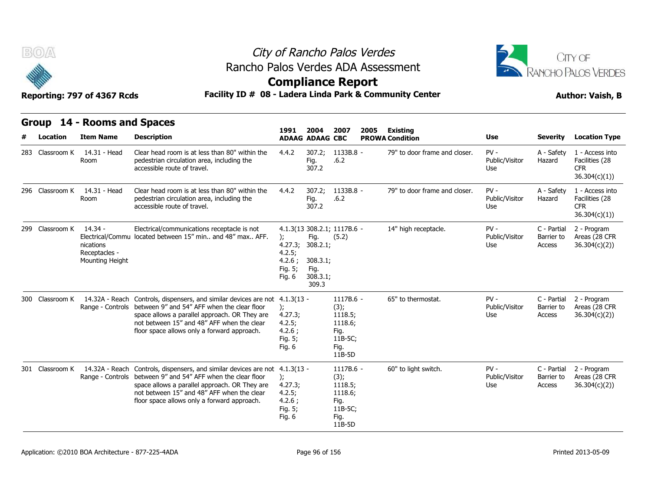

# City of Rancho Palos Verdes Rancho Palos Verdes ADA Assessment



### **Compliance Report**

| BOA             | Reporting: 797 of 4367 Rcds                              | Rancho Palos Verdes ADA Assessment<br>Facility ID # 08 - Ladera Linda Park & Community Center                                                                                                                                                                                             |                                                                   |                                                           | City of Rancho Palos Verdes<br><b>Compliance Report</b>                      |      |                                           |                                 |                                     | CITY OF<br><b>RANCHO PALOS VERDES</b><br><b>Author: Vaish, B</b> |
|-----------------|----------------------------------------------------------|-------------------------------------------------------------------------------------------------------------------------------------------------------------------------------------------------------------------------------------------------------------------------------------------|-------------------------------------------------------------------|-----------------------------------------------------------|------------------------------------------------------------------------------|------|-------------------------------------------|---------------------------------|-------------------------------------|------------------------------------------------------------------|
| Location        | Group 14 - Rooms and Spaces<br><b>Item Name</b>          | <b>Description</b>                                                                                                                                                                                                                                                                        | 1991                                                              | 2004<br><b>ADAAG ADAAG CBC</b>                            | 2007                                                                         | 2005 | <b>Existing</b><br><b>PROWA Condition</b> | <b>Use</b>                      | <b>Severity</b>                     | <b>Location Type</b>                                             |
| 283 Classroom K | 14.31 - Head<br>Room                                     | Clear head room is at less than 80" within the<br>pedestrian circulation area, including the<br>accessible route of travel.                                                                                                                                                               | 4.4.2                                                             | 307.2;<br>Fig.<br>307.2                                   | 1133B.8 -<br>.6.2                                                            |      | 79" to door frame and closer.             | $PV -$<br>Public/Visitor<br>Use | A - Safety<br>Hazard                | 1 - Access into<br>Facilities (28<br><b>CFR</b><br>36.304(c)(1)) |
| 296 Classroom K | 14.31 - Head<br>Room                                     | Clear head room is at less than 80" within the<br>pedestrian circulation area, including the<br>accessible route of travel.                                                                                                                                                               | 4.4.2                                                             | 307.2;<br>Fig.<br>307.2                                   | 1133B.8 -<br>.6.2                                                            |      | 79" to door frame and closer.             | $PV -$<br>Public/Visitor<br>Use | A - Safety<br>Hazard                | 1 - Access into<br>Facilities (28<br>CFR.<br>36.304(c)(1))       |
| 299 Classroom K | - 14.34<br>nications<br>Receptacles -<br>Mounting Height | Electrical/communications receptacle is not<br>Electrical/Commu located between 15" min and 48" max AFF.                                                                                                                                                                                  | $\mathcal{E}$<br>4.27.3;<br>4.2.5;<br>4.2.6;<br>Fig. 5;<br>Fig. 6 | Fig.<br>308.2.1;<br>308.3.1;<br>Fig.<br>308.3.1;<br>309.3 | 4.1.3(13 308.2.1; 1117B.6 -<br>(5.2)                                         |      | 14" high receptacle.                      | $PV -$<br>Public/Visitor<br>Use | C - Partial<br>Barrier to<br>Access | 2 - Program<br>Areas (28 CFR<br>36.304(c)(2)                     |
| 300 Classroom K |                                                          | 14.32A - Reach Controls, dispensers, and similar devices are not 4.1.3(13 -<br>Range - Controls between 9" and 54" AFF when the clear floor<br>space allows a parallel approach. OR They are<br>not between 15" and 48" AFF when the clear<br>floor space allows only a forward approach. | $\mathcal{E}$<br>4.27.3;<br>4.2.5;<br>4.2.6;<br>Fig. 5;<br>Fig. 6 |                                                           | 1117B.6 -<br>(3);<br>1118.5;<br>1118.6;<br>Fig.<br>11B-5C;<br>Fig.<br>11B-5D |      | 65" to thermostat.                        | $PV -$<br>Public/Visitor<br>Use | C - Partial<br>Barrier to<br>Access | 2 - Program<br>Areas (28 CFR<br>36.304(c)(2)                     |
| 301 Classroom K |                                                          | 14.32A - Reach Controls, dispensers, and similar devices are not 4.1.3(13 -<br>Range - Controls between 9" and 54" AFF when the clear floor<br>space allows a parallel approach. OR They are<br>not between 15" and 48" AFF when the clear<br>floor space allows only a forward approach. | $\mathbf{r}$<br>4.27.3;<br>4.2.5;<br>4.2.6;<br>Fig. 5;<br>Fig. 6  |                                                           | 1117B.6 -<br>(3);<br>1118.5;<br>1118.6;<br>Fig.<br>11B-5C;<br>Fig.<br>11B-5D |      | 60" to light switch.                      | $PV -$<br>Public/Visitor<br>Use | C - Partial<br>Barrier to<br>Access | 2 - Program<br>Areas (28 CFR<br>36.304(c)(2)                     |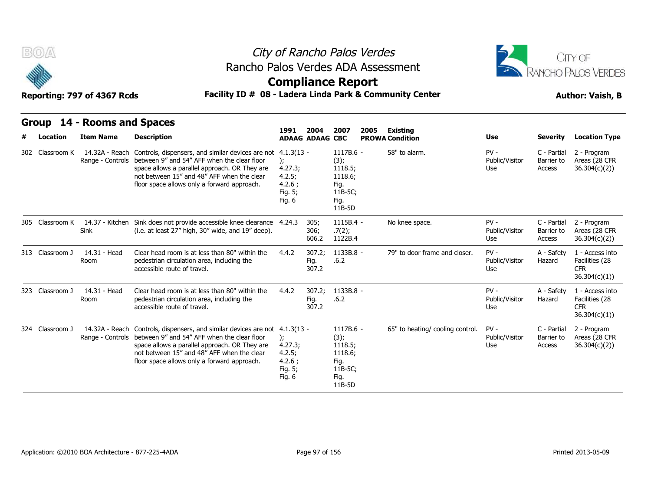



### **Compliance Report**

### Reporting: 797 of 4367 Rcds **Facility ID # 08 - Ladera Linda Park & Community Center Author: Vaish, B**

|   | Group           | 14 - Rooms and Spaces              |                                                                                                                                                                                                                                                           |                                                                        |                                |                                                                              |      |                                    |                                 |                                     |                                                                  |
|---|-----------------|------------------------------------|-----------------------------------------------------------------------------------------------------------------------------------------------------------------------------------------------------------------------------------------------------------|------------------------------------------------------------------------|--------------------------------|------------------------------------------------------------------------------|------|------------------------------------|---------------------------------|-------------------------------------|------------------------------------------------------------------|
| # | <b>Location</b> | <b>Item Name</b>                   | <b>Description</b>                                                                                                                                                                                                                                        | 1991                                                                   | 2004<br><b>ADAAG ADAAG CBC</b> | 2007                                                                         | 2005 | Existing<br><b>PROWA Condition</b> | <b>Use</b>                      | <b>Severity</b>                     | <b>Location Type</b>                                             |
|   | 302 Classroom K | 14.32A - Reach<br>Range - Controls | Controls, dispensers, and similar devices are not<br>between 9" and 54" AFF when the clear floor<br>space allows a parallel approach. OR They are<br>not between 15" and 48" AFF when the clear<br>floor space allows only a forward approach.            | $4.1.3(13 -$<br>):<br>4.27.3;<br>4.2.5;<br>4.2.6:<br>Fig. 5;<br>Fig. 6 |                                | 1117B.6 -<br>(3);<br>1118.5;<br>1118.6;<br>Fig.<br>11B-5C;<br>Fig.<br>11B-5D |      | 58" to alarm.                      | $PV -$<br>Public/Visitor<br>Use | C - Partial<br>Barrier to<br>Access | 2 - Program<br>Areas (28 CFR<br>36.304(c)(2)                     |
|   | 305 Classroom K | 14.37 - Kitchen<br>Sink            | Sink does not provide accessible knee clearance 4.24.3<br>(i.e. at least 27" high, 30" wide, and 19" deep).                                                                                                                                               |                                                                        | 305;<br>306;<br>606.2          | $1115B.4 -$<br>.7(2);<br>1122B.4                                             |      | No knee space.                     | $PV -$<br>Public/Visitor<br>Use | C - Partial<br>Barrier to<br>Access | 2 - Program<br>Areas (28 CFR<br>36.304(c)(2)                     |
|   | 313 Classroom J | 14.31 - Head<br>Room               | Clear head room is at less than 80" within the<br>pedestrian circulation area, including the<br>accessible route of travel.                                                                                                                               | 4.4.2                                                                  | 307.2:<br>Fig.<br>307.2        | 1133B.8 -<br>.6.2                                                            |      | 79" to door frame and closer.      | $PV -$<br>Public/Visitor<br>Use | A - Safety<br>Hazard                | 1 - Access into<br>Facilities (28<br><b>CFR</b><br>36.304(c)(1)) |
|   | 323 Classroom J | 14.31 - Head<br>Room               | Clear head room is at less than 80" within the<br>pedestrian circulation area, including the<br>accessible route of travel.                                                                                                                               | 4.4.2                                                                  | 307.2;<br>Fig.<br>307.2        | 1133B.8 -<br>.6.2                                                            |      |                                    | $PV -$<br>Public/Visitor<br>Use | A - Safety<br>Hazard                | 1 - Access into<br>Facilities (28<br><b>CFR</b><br>36.304(c)(1)  |
|   | 324 Classroom J | 14.32A - Reach<br>Range - Controls | Controls, dispensers, and similar devices are not 4.1.3(13 -<br>between 9" and 54" AFF when the clear floor<br>space allows a parallel approach. OR They are<br>not between 15" and 48" AFF when the clear<br>floor space allows only a forward approach. | $\mathcal{E}$<br>4.27.3;<br>4.2.5;<br>4.2.6;<br>Fig. 5;<br>Fig. 6      |                                | 1117B.6 -<br>(3);<br>1118.5;<br>1118.6;<br>Fig.<br>11B-5C;<br>Fig.<br>11B-5D |      | 65" to heating/ cooling control.   | $PV -$<br>Public/Visitor<br>Use | C - Partial<br>Barrier to<br>Access | 2 - Program<br>Areas (28 CFR<br>36.304(c)(2)                     |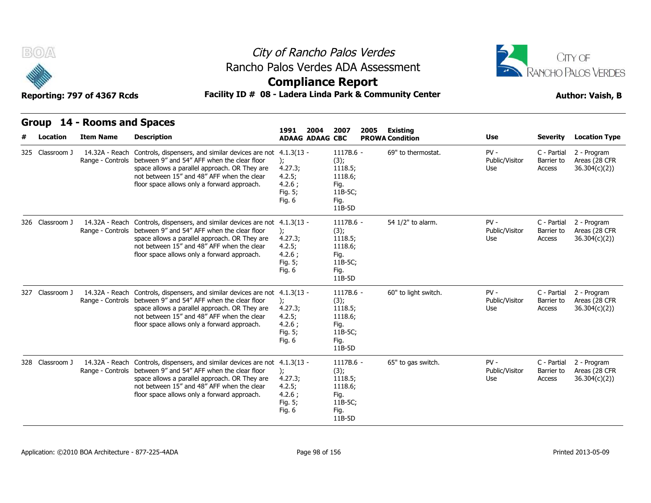



### **Compliance Report**

### Reporting: 797 of 4367 Rcds **Facility ID # 08 - Ladera Linda Park & Community Center Author: Vaish, B**

| Group           | 14 - Rooms and Spaces              |                                                                                                                                                                                                                                                                                           |                                                                                  |                                                                              |                                    |                                 |                                     |                                               |
|-----------------|------------------------------------|-------------------------------------------------------------------------------------------------------------------------------------------------------------------------------------------------------------------------------------------------------------------------------------------|----------------------------------------------------------------------------------|------------------------------------------------------------------------------|------------------------------------|---------------------------------|-------------------------------------|-----------------------------------------------|
| Location        | <b>Item Name</b>                   | <b>Description</b>                                                                                                                                                                                                                                                                        | 1991<br>2004<br><b>ADAAG ADAAG CBC</b>                                           | 2007<br>2005                                                                 | Existing<br><b>PROWA Condition</b> | <b>Use</b>                      | <b>Severity</b>                     | <b>Location Type</b>                          |
| 325 Classroom J | 14.32A - Reach<br>Range - Controls | Controls, dispensers, and similar devices are not 4.1.3(13 -<br>between 9" and 54" AFF when the clear floor<br>space allows a parallel approach. OR They are<br>not between 15" and 48" AFF when the clear<br>floor space allows only a forward approach.                                 | 4.27.3;<br>4.2.5;<br>4.2.6:<br>Fig. 5;<br>Fig. $6$                               | 1117B.6 -<br>(3);<br>1118.5;<br>1118.6;<br>Fig.<br>11B-5C;<br>Fig.<br>11B-5D | 69" to thermostat.                 | $PV -$<br>Public/Visitor<br>Use | C - Partial<br>Barrier to<br>Access | 2 - Program<br>Areas (28 CFR<br>36.304(c)(2)  |
| 326 Classroom J |                                    | 14.32A - Reach Controls, dispensers, and similar devices are not 4.1.3(13 -<br>Range - Controls between 9" and 54" AFF when the clear floor<br>space allows a parallel approach. OR They are<br>not between 15" and 48" AFF when the clear<br>floor space allows only a forward approach. | $\mathcal{E}$<br>4.27.3;<br>4.2.5;<br>4.2.6;<br>Fig. 5;<br>Fig. 6                | 1117B.6 -<br>(3);<br>1118.5;<br>1118.6;<br>Fig.<br>11B-5C;<br>Fig.<br>11B-5D | 54 1/2" to alarm.                  | $PV -$<br>Public/Visitor<br>Use | C - Partial<br>Barrier to<br>Access | 2 - Program<br>Areas (28 CFR<br>36.304(c)(2)  |
| 327 Classroom J | 14.32A - Reach<br>Range - Controls | Controls, dispensers, and similar devices are not 4.1.3(13 -<br>between 9" and 54" AFF when the clear floor<br>space allows a parallel approach. OR They are<br>not between 15" and 48" AFF when the clear<br>floor space allows only a forward approach.                                 | ):<br>4.27.3;<br>4.2.5;<br>4.2.6;<br>Fig. 5;<br>Fig. 6                           | 1117B.6 -<br>(3);<br>1118.5;<br>1118.6;<br>Fig.<br>11B-5C;<br>Fig.<br>11B-5D | 60" to light switch.               | $PV -$<br>Public/Visitor<br>Use | C - Partial<br>Barrier to<br>Access | 2 - Program<br>Areas (28 CFR<br>36.304(c)(2)) |
| 328 Classroom J | 14.32A - Reach                     | Controls, dispensers, and similar devices are not<br>Range - Controls between 9" and 54" AFF when the clear floor<br>space allows a parallel approach. OR They are<br>not between 15" and 48" AFF when the clear<br>floor space allows only a forward approach.                           | $4.1.3(13 -$<br>$\mathbf{r}$<br>4.27.3;<br>4.2.5;<br>4.2.6;<br>Fig. 5;<br>Fig. 6 | 1117B.6 -<br>(3);<br>1118.5;<br>1118.6;<br>Fig.<br>11B-5C;<br>Fig.<br>11B-5D | 65" to gas switch.                 | $PV -$<br>Public/Visitor<br>Use | C - Partial<br>Barrier to<br>Access | 2 - Program<br>Areas (28 CFR<br>36.304(c)(2)  |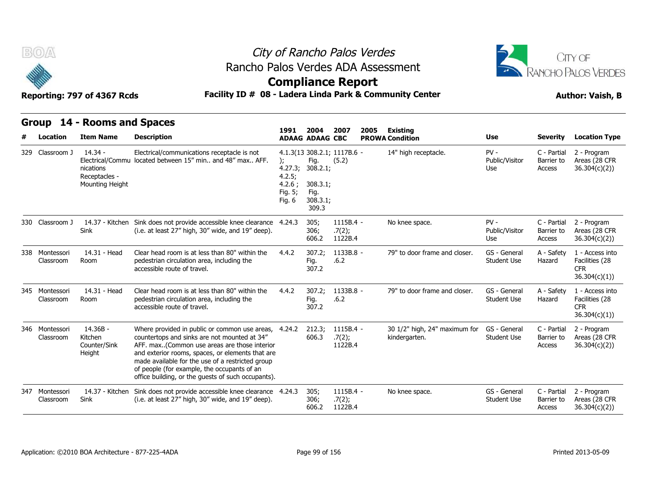



### **Compliance Report**

### Reporting: 797 of 4367 Rcds **Facility ID # 08 - Ladera Linda Park & Community Center Author: Vaish, B**

|   | Group                       | 14 - Rooms and Spaces                                      |                                                                                                                                                                                                                                                                                                                                                            |                                                           |                                                           |                                      |      |                                                |                                    |                                     |                                                                  |
|---|-----------------------------|------------------------------------------------------------|------------------------------------------------------------------------------------------------------------------------------------------------------------------------------------------------------------------------------------------------------------------------------------------------------------------------------------------------------------|-----------------------------------------------------------|-----------------------------------------------------------|--------------------------------------|------|------------------------------------------------|------------------------------------|-------------------------------------|------------------------------------------------------------------|
| # | Location                    | <b>Item Name</b>                                           | <b>Description</b>                                                                                                                                                                                                                                                                                                                                         | 1991                                                      | 2004<br><b>ADAAG ADAAG CBC</b>                            | 2007                                 | 2005 | <b>Existing</b><br><b>PROWA Condition</b>      | <b>Use</b>                         | <b>Severity</b>                     | <b>Location Type</b>                                             |
|   | 329 Classroom J             | $14.34 -$<br>nications<br>Receptacles -<br>Mounting Height | Electrical/communications receptacle is not<br>Electrical/Commu located between 15" min., and 48" max., AFF.                                                                                                                                                                                                                                               | $)$ ;<br>4.27.3;<br>4.2.5;<br>4.2.6;<br>Fig. 5;<br>Fig. 6 | Fig.<br>308.2.1;<br>308.3.1;<br>Fig.<br>308.3.1;<br>309.3 | 4.1.3(13 308.2.1; 1117B.6 -<br>(5.2) |      | 14" high receptacle.                           | $PV -$<br>Public/Visitor<br>Use    | C - Partial<br>Barrier to<br>Access | 2 - Program<br>Areas (28 CFR<br>36.304(c)(2)                     |
|   | 330 Classroom J             | 14.37 - Kitchen<br>Sink                                    | Sink does not provide accessible knee clearance 4.24.3<br>(i.e. at least 27" high, 30" wide, and 19" deep).                                                                                                                                                                                                                                                |                                                           | 305;<br>306;<br>606.2                                     | 1115B.4 -<br>.7(2);<br>1122B.4       |      | No knee space.                                 | $PV -$<br>Public/Visitor<br>Use    | C - Partial<br>Barrier to<br>Access | 2 - Program<br>Areas (28 CFR<br>36.304(c)(2)                     |
|   | 338 Montessori<br>Classroom | 14.31 - Head<br>Room                                       | Clear head room is at less than 80" within the<br>pedestrian circulation area, including the<br>accessible route of travel.                                                                                                                                                                                                                                | 4.4.2                                                     | 307.2;<br>Fig.<br>307.2                                   | 1133B.8 -<br>.6.2                    |      | 79" to door frame and closer.                  | GS - General<br>Student Use        | A - Safety<br>Hazard                | 1 - Access into<br>Facilities (28<br><b>CFR</b><br>36.304(c)(1)) |
|   | 345 Montessori<br>Classroom | 14.31 - Head<br>Room                                       | Clear head room is at less than 80" within the<br>pedestrian circulation area, including the<br>accessible route of travel.                                                                                                                                                                                                                                | 4.4.2                                                     | 307.2;<br>Fig.<br>307.2                                   | $1133B.8 -$<br>.6.2                  |      | 79" to door frame and closer.                  | GS - General<br><b>Student Use</b> | A - Safety<br>Hazard                | 1 - Access into<br>Facilities (28<br><b>CFR</b><br>36.304(c)(1)) |
|   | 346 Montessori<br>Classroom | 14.36B -<br>Kitchen<br>Counter/Sink<br>Height              | Where provided in public or common use areas,<br>countertops and sinks are not mounted at 34"<br>AFF. max(Common use areas are those interior<br>and exterior rooms, spaces, or elements that are<br>made available for the use of a restricted group<br>of people (for example, the occupants of an<br>office building, or the guests of such occupants). | 4.24.2                                                    | 212.3;<br>606.3                                           | 1115B.4 -<br>.7(2);<br>1122B.4       |      | 30 1/2" high, 24" maximum for<br>kindergarten. | GS - General<br><b>Student Use</b> | C - Partial<br>Barrier to<br>Access | 2 - Program<br>Areas (28 CFR<br>36.304(c)(2)                     |
|   | 347 Montessori<br>Classroom | 14.37 - Kitchen<br>Sink                                    | Sink does not provide accessible knee clearance 4.24.3<br>(i.e. at least 27" high, 30" wide, and 19" deep).                                                                                                                                                                                                                                                |                                                           | 305;<br>306;<br>606.2                                     | $1115B.4 -$<br>.7(2);<br>1122B.4     |      | No knee space.                                 | GS - General<br><b>Student Use</b> | C - Partial<br>Barrier to<br>Access | 2 - Program<br>Areas (28 CFR<br>36.304(c)(2)                     |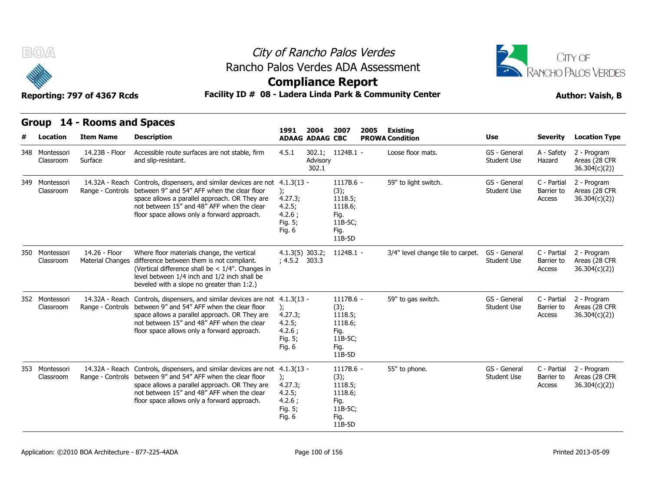



### **Compliance Report**

### Facility ID # 08 - Ladera Linda Park & Community Center<br> **Author: Vaish, B**

| Reporting: 797 of 4367 Rcds |  |  |  |
|-----------------------------|--|--|--|
|-----------------------------|--|--|--|

| B(0)                                           | Reporting: 797 of 4367 Rcds                   | Rancho Palos Verdes ADA Assessment<br>Facility ID # 08 - Ladera Linda Park & Community Center                                                                                                                                                                              |                                                                      |                                                       | City of Rancho Palos Verdes<br><b>Compliance Report</b>                      |      |                                             |                                           |                                         | CITY OF<br><b>RANCHO PALOS VERDES</b><br><b>Author: Vaish, B</b>      |
|------------------------------------------------|-----------------------------------------------|----------------------------------------------------------------------------------------------------------------------------------------------------------------------------------------------------------------------------------------------------------------------------|----------------------------------------------------------------------|-------------------------------------------------------|------------------------------------------------------------------------------|------|---------------------------------------------|-------------------------------------------|-----------------------------------------|-----------------------------------------------------------------------|
|                                                | Group 14 - Rooms and Spaces                   |                                                                                                                                                                                                                                                                            | 1991                                                                 | 2004                                                  | 2007                                                                         | 2005 | <b>Existing</b>                             |                                           |                                         |                                                                       |
| <b>Location</b><br>348 Montessori<br>Classroom | <b>Item Name</b><br>14.23B - Floor<br>Surface | <b>Description</b><br>Accessible route surfaces are not stable, firm<br>and slip-resistant.                                                                                                                                                                                | 4.5.1                                                                | <b>ADAAG ADAAG CBC</b><br>302.1;<br>Advisory<br>302.1 | 1124B.1 -                                                                    |      | <b>PROWA Condition</b><br>Loose floor mats. | <b>Use</b><br>GS - General<br>Student Use | <b>Severity</b><br>A - Safety<br>Hazard | <b>Location Type</b><br>2 - Program<br>Areas (28 CFR<br>36.304(c)(2)) |
| 349 Montessori<br>Classroom                    | 14.32A - Reach<br>Range - Controls            | Controls, dispensers, and similar devices are not 4.1.3(13 -<br>between 9" and 54" AFF when the clear floor<br>space allows a parallel approach. OR They are<br>not between 15" and 48" AFF when the clear<br>floor space allows only a forward approach.                  | $\mathbf{r}$<br>4.27.3;<br>4.2.5;<br>$4.2.6$ ;<br>Fig. 5;<br>Fig. 6  |                                                       | 1117B.6 -<br>(3);<br>1118.5;<br>1118.6;<br>Fig.<br>11B-5C;<br>Fig.<br>11B-5D |      | 59" to light switch.                        | GS - General<br>Student Use               | C - Partial<br>Barrier to<br>Access     | 2 - Program<br>Areas (28 CFR<br>36.304(c)(2)                          |
| 350 Montessori<br>Classroom                    | 14.26 - Floor                                 | Where floor materials change, the vertical<br>Material Changes difference between them is not compliant.<br>(Vertical difference shall be $< 1/4"$ . Changes in<br>level between 1/4 inch and 1/2 inch shall be<br>beveled with a slope no greater than 1:2.)              | $4.1.3(5)$ 303.2;<br>; 4.5.2 303.3                                   |                                                       | 1124B.1 -                                                                    |      | 3/4" level change tile to carpet.           | GS - General<br>Student Use               | C - Partial<br>Barrier to<br>Access     | 2 - Program<br>Areas (28 CFR<br>36.304(c)(2))                         |
| 352 Montessori<br>Classroom                    | 14.32A - Reach                                | Controls, dispensers, and similar devices are not 4.1.3(13 -<br>Range - Controls between 9" and 54" AFF when the clear floor<br>space allows a parallel approach. OR They are<br>not between 15" and 48" AFF when the clear<br>floor space allows only a forward approach. | $\mathcal{E}$<br>4.27.3;<br>4.2.5;<br>$4.2.6$ ;<br>Fig. 5;<br>Fig. 6 |                                                       | 1117B.6 -<br>(3);<br>1118.5;<br>1118.6;<br>Fig.<br>11B-5C;<br>Fig.<br>11B-5D |      | 59" to gas switch.                          | GS - General<br><b>Student Use</b>        | C - Partial<br>Barrier to<br>Access     | 2 - Program<br>Areas (28 CFR<br>36.304(c)(2)                          |
| 353 Montessori<br>Classroom                    | 14.32A - Reach<br>Range - Controls            | Controls, dispensers, and similar devices are not 4.1.3(13 -<br>between 9" and 54" AFF when the clear floor<br>space allows a parallel approach. OR They are<br>not between 15" and 48" AFF when the clear<br>floor space allows only a forward approach.                  | );<br>4.27.3;<br>4.2.5;<br>4.2.6;<br>Fig. 5;<br>Fig. 6               |                                                       | 1117B.6 -<br>(3);<br>1118.5;<br>1118.6;<br>Fig.<br>11B-5C;<br>Fig.<br>11B-5D |      | 55" to phone.                               | GS - General<br>Student Use               | C - Partial<br>Barrier to<br>Access     | 2 - Program<br>Areas (28 CFR<br>36.304(c)(2)                          |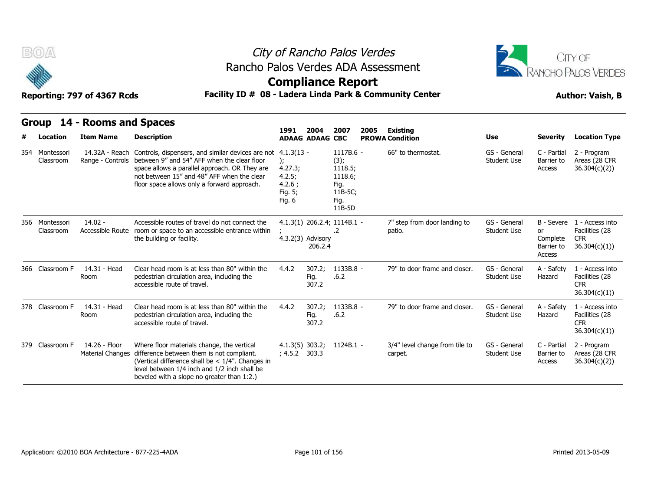



### **Compliance Report**

### Reporting: 797 of 4367 Rcds **Facility ID # 08 - Ladera Linda Park & Community Center Author: Vaish, B**

|   | Group                       | 14 - Rooms and Spaces                    |                                                                                                                                                                                                                                                |                                                                        |                                |                                                                              | 2005 | Existing<br><b>PROWA Condition</b>        |                                    | <b>Severity</b>                                      | <b>Location Type</b>                                             |
|---|-----------------------------|------------------------------------------|------------------------------------------------------------------------------------------------------------------------------------------------------------------------------------------------------------------------------------------------|------------------------------------------------------------------------|--------------------------------|------------------------------------------------------------------------------|------|-------------------------------------------|------------------------------------|------------------------------------------------------|------------------------------------------------------------------|
| # | Location                    | <b>Item Name</b>                         | <b>Description</b>                                                                                                                                                                                                                             | 1991                                                                   | 2004<br><b>ADAAG ADAAG CBC</b> | 2007                                                                         |      |                                           | <b>Use</b>                         |                                                      |                                                                  |
|   | 354 Montessori<br>Classroom | 14.32A - Reach<br>Range - Controls       | Controls, dispensers, and similar devices are not<br>between 9" and 54" AFF when the clear floor<br>space allows a parallel approach. OR They are<br>not between 15" and 48" AFF when the clear<br>floor space allows only a forward approach. | $4.1.3(13 -$<br>);<br>4.27.3;<br>4.2.5;<br>4.2.6;<br>Fig. 5;<br>Fig. 6 |                                | 1117B.6 -<br>(3);<br>1118.5;<br>1118.6;<br>Fig.<br>11B-5C;<br>Fig.<br>11B-5D |      | 66" to thermostat.                        | GS - General<br>Student Use        | C - Partial<br>Barrier to<br>Access                  | 2 - Program<br>Areas (28 CFR<br>36.304(c)(2)                     |
|   | 356 Montessori<br>Classroom | $14.02 -$<br>Accessible Route            | Accessible routes of travel do not connect the<br>room or space to an accessible entrance within<br>the building or facility.                                                                                                                  |                                                                        | $4.3.2(3)$ Advisory<br>206.2.4 | $4.1.3(1)$ 206.2.4; 1114B.1 -<br>.2                                          |      | 7" step from door landing to<br>patio.    | GS - General<br><b>Student Use</b> | B - Severe<br>or<br>Complete<br>Barrier to<br>Access | 1 - Access into<br>Facilities (28<br><b>CFR</b><br>36.304(c)(1)  |
|   | 366 Classroom F             | 14.31 - Head<br>Room                     | Clear head room is at less than 80" within the<br>pedestrian circulation area, including the<br>accessible route of travel.                                                                                                                    | 4.4.2                                                                  | 307.2;<br>Fig.<br>307.2        | 1133B.8 -<br>.6.2                                                            |      | 79" to door frame and closer.             | GS - General<br>Student Use        | A - Safety<br>Hazard                                 | 1 - Access into<br>Facilities (28<br><b>CFR</b><br>36.304(c)(1)) |
|   | 378 Classroom F             | 14.31 - Head<br>Room                     | Clear head room is at less than 80" within the<br>pedestrian circulation area, including the<br>accessible route of travel.                                                                                                                    | 4.4.2                                                                  | 307.2;<br>Fig.<br>307.2        | 1133B.8 -<br>.6.2                                                            |      | 79" to door frame and closer.             | GS - General<br><b>Student Use</b> | A - Safety<br>Hazard                                 | 1 - Access into<br>Facilities (28<br><b>CFR</b><br>36.304(c)(1)  |
|   | 379 Classroom F             | 14.26 - Floor<br><b>Material Changes</b> | Where floor materials change, the vertical<br>difference between them is not compliant.<br>(Vertical difference shall be $< 1/4$ ". Changes in<br>level between 1/4 inch and 1/2 inch shall be<br>beveled with a slope no greater than 1:2.)   | $4.1.3(5)$ 303.2;<br>; 4.5.2 303.3                                     |                                | 1124B.1 -                                                                    |      | 3/4" level change from tile to<br>carpet. | GS - General<br><b>Student Use</b> | C - Partial<br>Barrier to<br>Access                  | 2 - Program<br>Areas (28 CFR<br>36.304(c)(2)                     |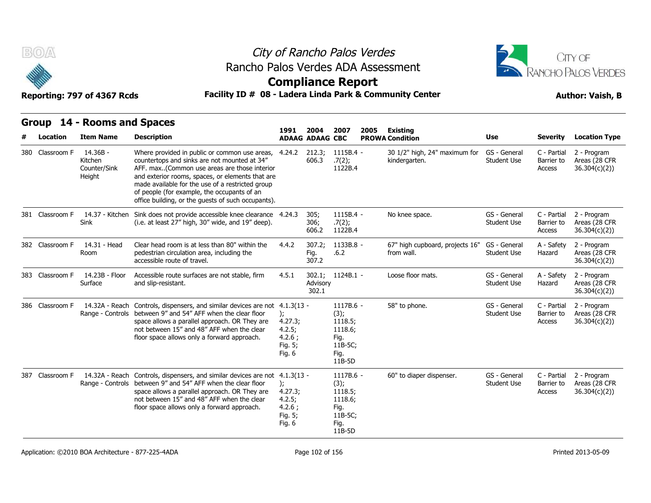



**Compliance Report**

### Reporting: 797 of 4367 Rcds **Facility ID # 08 - Ladera Linda Park & Community Center Author: Vaish, B**

| Location        | Group 14 - Rooms and Spaces<br><b>Item Name</b> | <b>Description</b>                                                                                                                                                                                                                                                                                                                                         | 1991                                                              | 2004                                      | 2007                                                                         | 2005 | <b>Existing</b>                                                          | Use                                | <b>Severity</b>                     | <b>Location Type</b>                         |
|-----------------|-------------------------------------------------|------------------------------------------------------------------------------------------------------------------------------------------------------------------------------------------------------------------------------------------------------------------------------------------------------------------------------------------------------------|-------------------------------------------------------------------|-------------------------------------------|------------------------------------------------------------------------------|------|--------------------------------------------------------------------------|------------------------------------|-------------------------------------|----------------------------------------------|
| 380 Classroom F | 14.36B -<br>Kitchen<br>Counter/Sink<br>Height   | Where provided in public or common use areas,<br>countertops and sinks are not mounted at 34"<br>AFF. max(Common use areas are those interior<br>and exterior rooms, spaces, or elements that are<br>made available for the use of a restricted group<br>of people (for example, the occupants of an<br>office building, or the guests of such occupants). | 4.24.2                                                            | <b>ADAAG ADAAG CBC</b><br>212.3;<br>606.3 | $1115B.4 -$<br>.7(2);<br>1122B.4                                             |      | <b>PROWA Condition</b><br>30 1/2" high, 24" maximum for<br>kindergarten. | GS - General<br>Student Use        | C - Partial<br>Barrier to<br>Access | 2 - Program<br>Areas (28 CFR<br>36.304(c)(2) |
| 381 Classroom F | 14.37 - Kitchen<br>Sink                         | Sink does not provide accessible knee clearance 4.24.3<br>(i.e. at least 27" high, 30" wide, and 19" deep).                                                                                                                                                                                                                                                |                                                                   | 305;<br>306;<br>606.2                     | $1115B.4 -$<br>.7(2);<br>1122B.4                                             |      | No knee space.                                                           | GS - General<br><b>Student Use</b> | C - Partial<br>Barrier to<br>Access | 2 - Program<br>Areas (28 CFR<br>36.304(c)(2) |
| 382 Classroom F | 14.31 - Head<br>Room                            | Clear head room is at less than 80" within the<br>pedestrian circulation area, including the<br>accessible route of travel.                                                                                                                                                                                                                                | 4.4.2                                                             | 307.2;<br>Fig.<br>307.2                   | 1133B.8 -<br>.6.2                                                            |      | 67" high cupboard, projects 16"<br>from wall.                            | GS - General<br><b>Student Use</b> | A - Safety<br>Hazard                | 2 - Program<br>Areas (28 CFR<br>36.304(c)(2) |
| 383 Classroom F | 14.23B - Floor<br>Surface                       | Accessible route surfaces are not stable, firm<br>and slip-resistant.                                                                                                                                                                                                                                                                                      | 4.5.1                                                             | Advisory<br>302.1                         | 302.1; 1124B.1 -                                                             |      | Loose floor mats.                                                        | GS - General<br><b>Student Use</b> | A - Safety<br>Hazard                | 2 - Program<br>Areas (28 CFR<br>36.304(c)(2) |
| 386 Classroom F | 14.32A - Reach<br>Range - Controls              | Controls, dispensers, and similar devices are not 4.1.3(13 -<br>between 9" and 54" AFF when the clear floor<br>space allows a parallel approach. OR They are<br>not between 15" and 48" AFF when the clear<br>floor space allows only a forward approach.                                                                                                  | ):<br>4.27.3;<br>4.2.5;<br>$4.2.6$ ;<br>Fig. 5;<br>Fig. 6         |                                           | 1117B.6 -<br>(3);<br>1118.5;<br>1118.6;<br>Fig.<br>11B-5C:<br>Fig.<br>11B-5D |      | 58" to phone.                                                            | GS - General<br><b>Student Use</b> | C - Partial<br>Barrier to<br>Access | 2 - Program<br>Areas (28 CFR<br>36.304(c)(2) |
| 387 Classroom F | 14.32A - Reach<br>Range - Controls              | Controls, dispensers, and similar devices are not 4.1.3(13 -<br>between 9" and 54" AFF when the clear floor<br>space allows a parallel approach. OR They are<br>not between 15" and 48" AFF when the clear<br>floor space allows only a forward approach.                                                                                                  | $\mathcal{E}$<br>4.27.3;<br>4.2.5;<br>4.2.6;<br>Fig. 5;<br>Fig. 6 |                                           | 1117B.6 -<br>(3);<br>1118.5;<br>1118.6;<br>Fig.<br>11B-5C;<br>Fig.<br>11B-5D |      | 60" to diaper dispenser.                                                 | GS - General<br><b>Student Use</b> | C - Partial<br>Barrier to<br>Access | 2 - Program<br>Areas (28 CFR<br>36.304(c)(2) |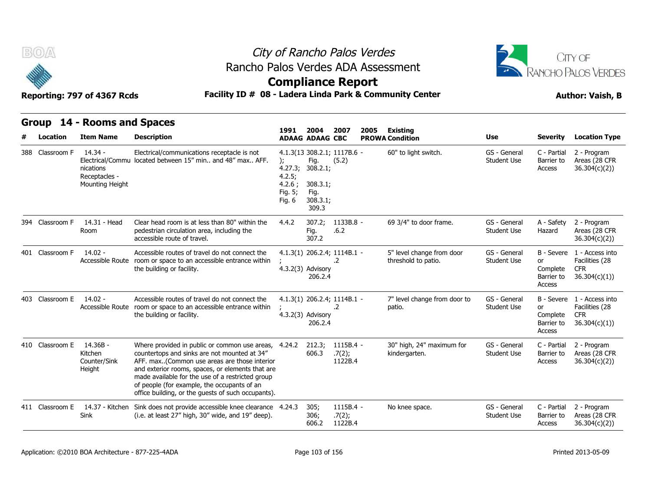



### **Compliance Report**

### Reporting: 797 of 4367 Rcds **Facility ID # 08 - Ladera Linda Park & Community Center Author: Vaish, B**

| Group           | 14 - Rooms and Spaces                                      |                                                                                                                                                                                                                                                                                                                                                            |                                                                   |                                                           |                                      |      |                                                  |                                    |                                                             |                                                                            |
|-----------------|------------------------------------------------------------|------------------------------------------------------------------------------------------------------------------------------------------------------------------------------------------------------------------------------------------------------------------------------------------------------------------------------------------------------------|-------------------------------------------------------------------|-----------------------------------------------------------|--------------------------------------|------|--------------------------------------------------|------------------------------------|-------------------------------------------------------------|----------------------------------------------------------------------------|
| Location        | <b>Item Name</b>                                           | <b>Description</b>                                                                                                                                                                                                                                                                                                                                         | 1991                                                              | 2004<br><b>ADAAG ADAAG CBC</b>                            | 2007                                 | 2005 | <b>Existing</b><br><b>PROWA Condition</b>        | <b>Use</b>                         | <b>Severity</b>                                             | <b>Location Type</b>                                                       |
| 388 Classroom F | $14.34 -$<br>nications<br>Receptacles -<br>Mounting Height | Electrical/communications receptacle is not<br>Electrical/Commu located between 15" min and 48" max AFF.                                                                                                                                                                                                                                                   | $\mathcal{E}$<br>4.27.3;<br>4.2.5;<br>4.2.6;<br>Fig. 5;<br>Fig. 6 | Fig.<br>308.2.1;<br>308.3.1;<br>Fig.<br>308.3.1;<br>309.3 | 4.1.3(13 308.2.1; 1117B.6 -<br>(5.2) |      | 60" to light switch.                             | GS - General<br><b>Student Use</b> | C - Partial<br>Barrier to<br>Access                         | 2 - Program<br>Areas (28 CFR<br>36.304(c)(2)                               |
| 394 Classroom F | 14.31 - Head<br>Room                                       | Clear head room is at less than 80" within the<br>pedestrian circulation area, including the<br>accessible route of travel.                                                                                                                                                                                                                                | 4.4.2                                                             | 307.2;<br>Fig.<br>307.2                                   | 1133B.8 -<br>.6.2                    |      | 69 3/4" to door frame.                           | GS - General<br><b>Student Use</b> | A - Safety<br>Hazard                                        | 2 - Program<br>Areas (28 CFR<br>36.304(c)(2)                               |
| 401 Classroom F | $14.02 -$<br>Accessible Route                              | Accessible routes of travel do not connect the<br>room or space to an accessible entrance within<br>the building or facility.                                                                                                                                                                                                                              |                                                                   | 4.3.2(3) Advisory<br>206.2.4                              | 4.1.3(1) 206.2.4; 1114B.1 -<br>.2    |      | 5" level change from door<br>threshold to patio. | GS - General<br><b>Student Use</b> | B - Severe<br><b>or</b><br>Complete<br>Barrier to<br>Access | 1 - Access into<br>Facilities (28<br><b>CFR</b><br>36.304(c)(1)            |
| 403 Classroom E | $14.02 -$<br>Accessible Route                              | Accessible routes of travel do not connect the<br>room or space to an accessible entrance within<br>the building or facility.                                                                                                                                                                                                                              |                                                                   | $4.3.2(3)$ Advisory<br>206.2.4                            | 4.1.3(1) 206.2.4; 1114B.1 -<br>.2    |      | 7" level change from door to<br>patio.           | GS - General<br><b>Student Use</b> | or<br>Complete<br>Barrier to<br>Access                      | B - Severe 1 - Access into<br>Facilities (28<br><b>CFR</b><br>36.304(c)(1) |
| 410 Classroom E | 14.36B -<br>Kitchen<br>Counter/Sink<br>Height              | Where provided in public or common use areas,<br>countertops and sinks are not mounted at 34"<br>AFF. max(Common use areas are those interior<br>and exterior rooms, spaces, or elements that are<br>made available for the use of a restricted group<br>of people (for example, the occupants of an<br>office building, or the quests of such occupants). | 4.24.2                                                            | 212.3;<br>606.3                                           | 1115B.4 -<br>.7(2);<br>1122B.4       |      | 30" high, 24" maximum for<br>kindergarten.       | GS - General<br><b>Student Use</b> | C - Partial<br>Barrier to<br>Access                         | 2 - Program<br>Areas (28 CFR<br>36.304(c)(2)                               |
| 411 Classroom E | 14.37 - Kitchen<br>Sink                                    | Sink does not provide accessible knee clearance 4.24.3<br>(i.e. at least 27" high, 30" wide, and 19" deep).                                                                                                                                                                                                                                                |                                                                   | 305;<br>306;<br>606.2                                     | $1115B.4 -$<br>.7(2);<br>1122B.4     |      | No knee space.                                   | GS - General<br><b>Student Use</b> | C - Partial<br>Barrier to<br>Access                         | 2 - Program<br>Areas (28 CFR<br>36.304(c)(2)                               |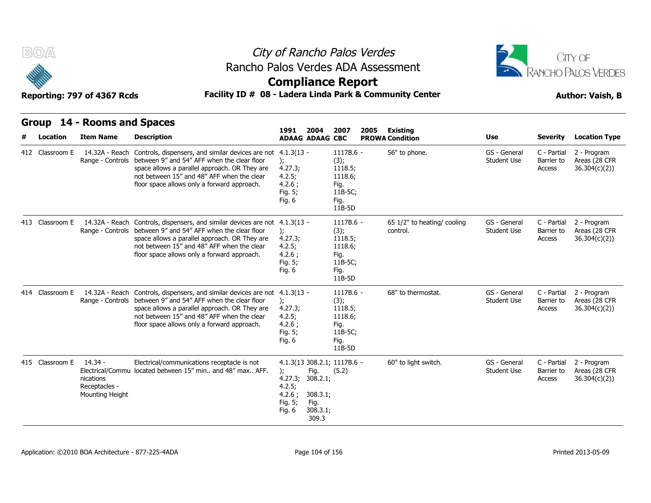



### **Compliance Report**

### Reporting: 797 of 4367 Rcds **Facility ID # 08 - Ladera Linda Park & Community Center Author: Vaish, B**

| Group           | 14 - Rooms and Spaces                                      |                                                                                                                                                                                                                                                                          |                                                                                  |                                                           |                                                                                |      |                                         |                                    |                                     |                                              |
|-----------------|------------------------------------------------------------|--------------------------------------------------------------------------------------------------------------------------------------------------------------------------------------------------------------------------------------------------------------------------|----------------------------------------------------------------------------------|-----------------------------------------------------------|--------------------------------------------------------------------------------|------|-----------------------------------------|------------------------------------|-------------------------------------|----------------------------------------------|
| <b>Location</b> | <b>Item Name</b>                                           | <b>Description</b>                                                                                                                                                                                                                                                       | 1991<br><b>ADAAG ADAAG CBC</b>                                                   | 2004                                                      | 2007                                                                           | 2005 | Existing<br><b>PROWA Condition</b>      | <b>Use</b>                         | <b>Severity</b>                     | <b>Location Type</b>                         |
| 412 Classroom E | 14.32A - Reach<br>Range - Controls                         | Controls, dispensers, and similar devices are not<br>between 9" and 54" AFF when the clear floor<br>space allows a parallel approach. OR They are<br>not between 15" and 48" AFF when the clear<br>floor space allows only a forward approach.                           | $4.1.3(13 -$<br>$\mathbf{r}$<br>4.27.3;<br>4.2.5;<br>4.2.6;<br>Fig. 5;<br>Fig. 6 |                                                           | 1117B.6 -<br>(3);<br>1118.5;<br>1118.6:<br>Fig.<br>11B-5C;<br>Fig.<br>$11B-5D$ |      | 56" to phone.                           | GS - General<br><b>Student Use</b> | C - Partial<br>Barrier to<br>Access | 2 - Program<br>Areas (28 CFR<br>36.304(c)(2) |
| 413 Classroom E | Range - Controls                                           | 14.32A - Reach Controls, dispensers, and similar devices are not 4.1.3(13 -<br>between 9" and 54" AFF when the clear floor<br>space allows a parallel approach. OR They are<br>not between 15" and 48" AFF when the clear<br>floor space allows only a forward approach. | $)$ ;<br>4.27.3;<br>4.2.5;<br>4.2.6;<br>Fig. 5;<br>Fig. $6$                      |                                                           | 1117B.6 -<br>(3);<br>1118.5;<br>1118.6;<br>Fig.<br>11B-5C;<br>Fig.<br>11B-5D   |      | 65 1/2" to heating/ cooling<br>control. | GS - General<br><b>Student Use</b> | C - Partial<br>Barrier to<br>Access | 2 - Program<br>Areas (28 CFR<br>36.304(c)(2) |
| 414 Classroom E | 14.32A - Reach<br>Range - Controls                         | Controls, dispensers, and similar devices are not 4.1.3(13 -<br>between 9" and 54" AFF when the clear floor<br>space allows a parallel approach. OR They are<br>not between 15" and 48" AFF when the clear<br>floor space allows only a forward approach.                | ):<br>4.27.3;<br>4.2.5;<br>4.2.6;<br>Fig. 5;<br>Fig. 6                           |                                                           | 1117B.6 -<br>(3);<br>1118.5;<br>1118.6;<br>Fig.<br>11B-5C;<br>Fig.<br>11B-5D   |      | 68" to thermostat.                      | GS - General<br><b>Student Use</b> | C - Partial<br>Barrier to<br>Access | 2 - Program<br>Areas (28 CFR<br>36.304(c)(2) |
| 415 Classroom E | $14.34 -$<br>nications<br>Receptacles -<br>Mounting Height | Electrical/communications receptacle is not<br>Electrical/Commu located between 15" min and 48" max AFF.                                                                                                                                                                 | $\mathcal{E}$<br>4.27.3;<br>4.2.5;<br>4.2.6;<br>Fig. 5;<br>Fig. 6                | Fig.<br>308.2.1;<br>308.3.1;<br>Fig.<br>308.3.1;<br>309.3 | 4.1.3(13 308.2.1; 1117B.6 -<br>(5.2)                                           |      | 60" to light switch.                    | GS - General<br><b>Student Use</b> | C - Partial<br>Barrier to<br>Access | 2 - Program<br>Areas (28 CFR<br>36.304(c)(2) |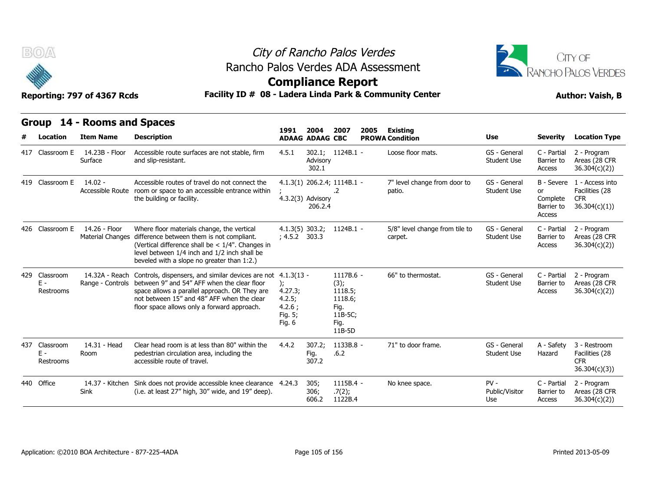



### **Compliance Report**

|     | B(0)                            | Reporting: 797 of 4367 Rcds                     |                                                                                                                                                                                                                                                           | City of Rancho Palos Verdes<br>Rancho Palos Verdes ADA Assessment<br><b>Compliance Report</b><br>Facility ID # 08 - Ladera Linda Park & Community Center |                                |                                                                              |      |                                           |                                    |                                                      |                                                                 |  |  |
|-----|---------------------------------|-------------------------------------------------|-----------------------------------------------------------------------------------------------------------------------------------------------------------------------------------------------------------------------------------------------------------|----------------------------------------------------------------------------------------------------------------------------------------------------------|--------------------------------|------------------------------------------------------------------------------|------|-------------------------------------------|------------------------------------|------------------------------------------------------|-----------------------------------------------------------------|--|--|
|     | Location                        | Group 14 - Rooms and Spaces<br><b>Item Name</b> | <b>Description</b>                                                                                                                                                                                                                                        | 1991                                                                                                                                                     | 2004<br><b>ADAAG ADAAG CBC</b> | 2007                                                                         | 2005 | <b>Existing</b><br><b>PROWA Condition</b> | Use                                | <b>Severity</b>                                      | <b>Location Type</b>                                            |  |  |
|     | 417 Classroom E                 | 14.23B - Floor<br>Surface                       | Accessible route surfaces are not stable, firm<br>and slip-resistant.                                                                                                                                                                                     | 4.5.1                                                                                                                                                    | Advisory<br>302.1              | 302.1; 1124B.1 -                                                             |      | Loose floor mats.                         | GS - General<br><b>Student Use</b> | C - Partial<br>Barrier to<br>Access                  | 2 - Program<br>Areas (28 CFR<br>36.304(c)(2)                    |  |  |
|     | 419 Classroom E                 | $14.02 -$                                       | Accessible routes of travel do not connect the<br>Accessible Route room or space to an accessible entrance within<br>the building or facility.                                                                                                            |                                                                                                                                                          | 4.3.2(3) Advisory<br>206.2.4   | 4.1.3(1) 206.2.4; 1114B.1 -<br>.2                                            |      | 7" level change from door to<br>patio.    | GS - General<br><b>Student Use</b> | B - Severe<br>or<br>Complete<br>Barrier to<br>Access | 1 - Access into<br>Facilities (28<br><b>CFR</b><br>36.304(c)(1) |  |  |
|     | 426 Classroom E                 | 14.26 - Floor<br><b>Material Changes</b>        | Where floor materials change, the vertical<br>difference between them is not compliant.<br>(Vertical difference shall be $< 1/4$ ". Changes in<br>level between 1/4 inch and 1/2 inch shall be<br>beveled with a slope no greater than 1:2.)              | $4.1.3(5)$ 303.2;<br>; 4.5.2 303.3                                                                                                                       |                                | $1124B.1 -$                                                                  |      | 5/8" level change from tile to<br>carpet. | GS - General<br><b>Student Use</b> | C - Partial<br>Barrier to<br>Access                  | 2 - Program<br>Areas (28 CFR<br>36.304(c)(2)                    |  |  |
| 429 | Classroom<br>Ε -<br>Restrooms   | 14.32A - Reach<br>Range - Controls              | Controls, dispensers, and similar devices are not 4.1.3(13 -<br>between 9" and 54" AFF when the clear floor<br>space allows a parallel approach. OR They are<br>not between 15" and 48" AFF when the clear<br>floor space allows only a forward approach. | 4.27.3;<br>4.2.5;<br>4.2.6;<br>Fig. 5;<br>Fig. 6                                                                                                         |                                | 1117B.6 -<br>(3);<br>1118.5;<br>1118.6;<br>Fig.<br>11B-5C;<br>Fig.<br>11B-5D |      | 66" to thermostat.                        | GS - General<br><b>Student Use</b> | C - Partial<br>Barrier to<br>Access                  | 2 - Program<br>Areas (28 CFR<br>36.304(c)(2)                    |  |  |
| 437 | Classroom<br>$E -$<br>Restrooms | 14.31 - Head<br>Room                            | Clear head room is at less than 80" within the<br>pedestrian circulation area, including the<br>accessible route of travel.                                                                                                                               | 4.4.2                                                                                                                                                    | 307.2;<br>Fig.<br>307.2        | 1133B.8 -<br>.6.2                                                            |      | 71" to door frame.                        | GS - General<br><b>Student Use</b> | A - Safety<br>Hazard                                 | 3 - Restroom<br>Facilities (28<br><b>CFR</b><br>36.304(c)(3)    |  |  |
|     | 440 Office                      | 14.37 - Kitchen<br>Sink                         | Sink does not provide accessible knee clearance 4.24.3<br>(i.e. at least 27" high, 30" wide, and 19" deep).                                                                                                                                               |                                                                                                                                                          | 305;<br>306;<br>606.2          | $1115B.4 -$<br>.7(2);<br>1122B.4                                             |      | No knee space.                            | $PV -$<br>Public/Visitor<br>Use    | C - Partial<br>Barrier to<br>Access                  | 2 - Program<br>Areas (28 CFR<br>36.304(c)(2))                   |  |  |
|     |                                 |                                                 |                                                                                                                                                                                                                                                           |                                                                                                                                                          |                                |                                                                              |      |                                           |                                    |                                                      |                                                                 |  |  |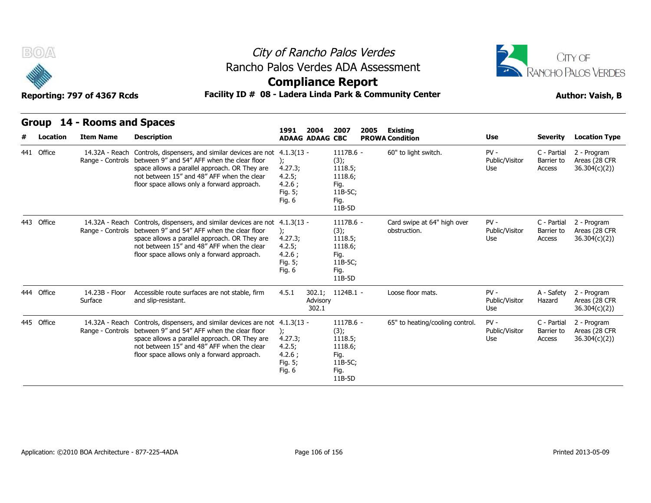



### **Compliance Report**

### Reporting: 797 of 4367 Rcds **Facility ID # 08 - Ladera Linda Park & Community Center Author: Vaish, B**

|   | <b>Group</b> | 14 - Rooms and Spaces              |                                                                                                                                                                                                                                                           |                                                                                   |                                                                              |                                             |                                 |                                     |                                              |
|---|--------------|------------------------------------|-----------------------------------------------------------------------------------------------------------------------------------------------------------------------------------------------------------------------------------------------------------|-----------------------------------------------------------------------------------|------------------------------------------------------------------------------|---------------------------------------------|---------------------------------|-------------------------------------|----------------------------------------------|
| # | Location     | <b>Item Name</b>                   | <b>Description</b>                                                                                                                                                                                                                                        | 1991<br>2004<br><b>ADAAG ADAAG CBC</b>                                            | 2007<br>2005                                                                 | Existing<br><b>PROWA Condition</b>          | Use                             | <b>Severity</b>                     | <b>Location Type</b>                         |
|   | 441 Office   | 14.32A - Reach<br>Range - Controls | Controls, dispensers, and similar devices are not<br>between 9" and 54" AFF when the clear floor<br>space allows a parallel approach. OR They are<br>not between 15" and 48" AFF when the clear<br>floor space allows only a forward approach.            | $4.1.3(13 -$<br>$\mathcal{E}$<br>4.27.3;<br>4.2.5;<br>4.2.6;<br>Fig. 5;<br>Fig. 6 | 1117B.6 -<br>(3);<br>1118.5;<br>1118.6;<br>Fig.<br>11B-5C;<br>Fig.<br>11B-5D | 60" to light switch.                        | $PV -$<br>Public/Visitor<br>Use | C - Partial<br>Barrier to<br>Access | 2 - Program<br>Areas (28 CFR<br>36.304(c)(2) |
|   | 443 Office   | 14.32A - Reach<br>Range - Controls | Controls, dispensers, and similar devices are not 4.1.3(13 -<br>between 9" and 54" AFF when the clear floor<br>space allows a parallel approach. OR They are<br>not between 15" and 48" AFF when the clear<br>floor space allows only a forward approach. | $\mathcal{E}$<br>4.27.3;<br>4.2.5;<br>4.2.6;<br>Fig. 5;<br>Fig. 6                 | 1117B.6 -<br>(3);<br>1118.5;<br>1118.6;<br>Fig.<br>11B-5C;<br>Fig.<br>11B-5D | Card swipe at 64" high over<br>obstruction. | $PV -$<br>Public/Visitor<br>Use | C - Partial<br>Barrier to<br>Access | 2 - Program<br>Areas (28 CFR<br>36.304(c)(2) |
|   | 444 Office   | 14.23B - Floor<br>Surface          | Accessible route surfaces are not stable, firm<br>and slip-resistant.                                                                                                                                                                                     | 4.5.1<br>302.1;<br>Advisory<br>302.1                                              | 1124B.1 -                                                                    | Loose floor mats.                           | $PV -$<br>Public/Visitor<br>Use | A - Safety<br>Hazard                | 2 - Program<br>Areas (28 CFR<br>36.304(c)(2) |
|   | 445 Office   | 14.32A - Reach<br>Range - Controls | Controls, dispensers, and similar devices are not 4.1.3(13 -<br>between 9" and 54" AFF when the clear floor<br>space allows a parallel approach. OR They are<br>not between 15" and 48" AFF when the clear<br>floor space allows only a forward approach. | $\mathcal{E}$<br>4.27.3;<br>4.2.5;<br>4.2.6;<br>Fig. 5;<br>Fig. 6                 | 1117B.6 -<br>(3);<br>1118.5;<br>1118.6;<br>Fig.<br>11B-5C;<br>Fig.<br>11B-5D | 65" to heating/cooling control.             | $PV -$<br>Public/Visitor<br>Use | C - Partial<br>Barrier to<br>Access | 2 - Program<br>Areas (28 CFR<br>36.304(c)(2) |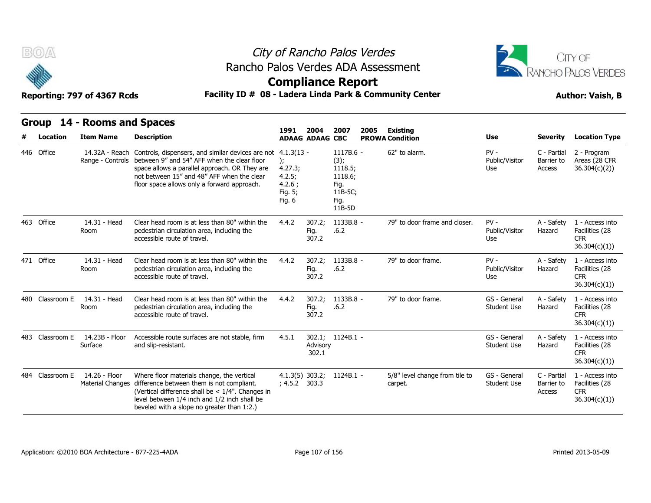



### **Compliance Report**

### Reporting: 797 of 4367 Rcds **Facility ID # 08 - Ladera Linda Park & Community Center Author: Vaish, B**

|   | <b>Group</b>    | 14 - Rooms and Spaces                    |                                                                                                                                                                                                                                                |                                                                          |                                |                                                                                |      |                                           |                                    |                                     |                                                                 |
|---|-----------------|------------------------------------------|------------------------------------------------------------------------------------------------------------------------------------------------------------------------------------------------------------------------------------------------|--------------------------------------------------------------------------|--------------------------------|--------------------------------------------------------------------------------|------|-------------------------------------------|------------------------------------|-------------------------------------|-----------------------------------------------------------------|
| # | Location        | <b>Item Name</b>                         | <b>Description</b>                                                                                                                                                                                                                             | 1991                                                                     | 2004<br><b>ADAAG ADAAG CBC</b> | 2007                                                                           | 2005 | <b>Existing</b><br><b>PROWA Condition</b> | <b>Use</b>                         | <b>Severity</b>                     | <b>Location Type</b>                                            |
|   | 446 Office      | 14.32A - Reach<br>Range - Controls       | Controls, dispensers, and similar devices are not<br>between 9" and 54" AFF when the clear floor<br>space allows a parallel approach. OR They are<br>not between 15" and 48" AFF when the clear<br>floor space allows only a forward approach. | $4.1.3(13 -$<br>);<br>4.27.3;<br>4.2.5;<br>4.2.6:<br>Fig. 5;<br>Fig. $6$ |                                | $1117B.6 -$<br>(3);<br>1118.5;<br>1118.6;<br>Fig.<br>11B-5C;<br>Fig.<br>11B-5D |      | 62" to alarm.                             | $PV -$<br>Public/Visitor<br>Use    | C - Partial<br>Barrier to<br>Access | 2 - Program<br>Areas (28 CFR<br>36.304(c)(2)                    |
|   | 463 Office      | 14.31 - Head<br>Room                     | Clear head room is at less than 80" within the<br>pedestrian circulation area, including the<br>accessible route of travel.                                                                                                                    | 4.4.2                                                                    | 307.2;<br>Fig.<br>307.2        | 1133B.8 -<br>.6.2                                                              |      | 79" to door frame and closer.             | $PV -$<br>Public/Visitor<br>Use    | A - Safety<br>Hazard                | 1 - Access into<br>Facilities (28<br><b>CFR</b><br>36.304(c)(1) |
|   | 471 Office      | 14.31 - Head<br>Room                     | Clear head room is at less than 80" within the<br>pedestrian circulation area, including the<br>accessible route of travel.                                                                                                                    | 4.4.2                                                                    | 307.2;<br>Fig.<br>307.2        | 1133B.8 -<br>.6.2                                                              |      | 79" to door frame.                        | $PV -$<br>Public/Visitor<br>Use    | A - Safety<br>Hazard                | 1 - Access into<br>Facilities (28<br><b>CFR</b><br>36.304(c)(1) |
|   | 480 Classroom E | 14.31 - Head<br>Room                     | Clear head room is at less than 80" within the<br>pedestrian circulation area, including the<br>accessible route of travel.                                                                                                                    | 4.4.2                                                                    | 307.2;<br>Fig.<br>307.2        | 1133B.8 -<br>.6.2                                                              |      | 79" to door frame.                        | GS - General<br><b>Student Use</b> | A - Safety<br>Hazard                | 1 - Access into<br>Facilities (28<br><b>CFR</b><br>36.304(c)(1) |
|   | 483 Classroom E | 14.23B - Floor<br>Surface                | Accessible route surfaces are not stable, firm<br>and slip-resistant.                                                                                                                                                                          | 4.5.1                                                                    | Advisory<br>302.1              | 302.1; 1124B.1 -                                                               |      |                                           | GS - General<br><b>Student Use</b> | A - Safety<br>Hazard                | 1 - Access into<br>Facilities (28<br><b>CFR</b><br>36.304(c)(1) |
|   | 484 Classroom E | 14.26 - Floor<br><b>Material Changes</b> | Where floor materials change, the vertical<br>difference between them is not compliant.<br>(Vertical difference shall be $< 1/4"$ . Changes in<br>level between 1/4 inch and 1/2 inch shall be<br>beveled with a slope no greater than 1:2.)   | $4.1.3(5)$ 303.2;<br>; 4.5.2 303.3                                       |                                | 1124B.1 -                                                                      |      | 5/8" level change from tile to<br>carpet. | GS - General<br><b>Student Use</b> | C - Partial<br>Barrier to<br>Access | 1 - Access into<br>Facilities (28<br><b>CFR</b><br>36.304(c)(1) |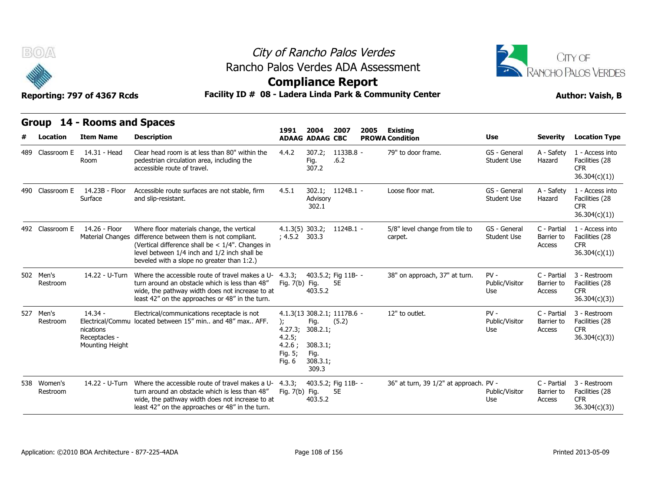

# City of Rancho Palos Verdes Rancho Palos Verdes ADA Assessment



### **Compliance Report**

| <b>BOA</b>               |                                                            |                                                                                                                                                                                                                                              | City of Rancho Palos Verdes<br>Rancho Palos Verdes ADA Assessment<br><b>Compliance Report</b><br>Facility ID # 08 - Ladera Linda Park & Community Center |                                                           |                                      |      |                                           |                                    |                                     |                                                                  |  |  |
|--------------------------|------------------------------------------------------------|----------------------------------------------------------------------------------------------------------------------------------------------------------------------------------------------------------------------------------------------|----------------------------------------------------------------------------------------------------------------------------------------------------------|-----------------------------------------------------------|--------------------------------------|------|-------------------------------------------|------------------------------------|-------------------------------------|------------------------------------------------------------------|--|--|
|                          | Reporting: 797 of 4367 Rcds                                |                                                                                                                                                                                                                                              |                                                                                                                                                          |                                                           |                                      |      |                                           | <b>Author: Vaish, B</b>            |                                     |                                                                  |  |  |
| <b>Group</b><br>Location | 14 - Rooms and Spaces<br><b>Item Name</b>                  | <b>Description</b>                                                                                                                                                                                                                           | 1991                                                                                                                                                     | 2004<br><b>ADAAG ADAAG CBC</b>                            | 2007                                 | 2005 | <b>Existing</b><br><b>PROWA Condition</b> | Use                                | <b>Severity</b>                     | <b>Location Type</b>                                             |  |  |
| 489 Classroom E          | 14.31 - Head<br>Room                                       | Clear head room is at less than 80" within the<br>pedestrian circulation area, including the<br>accessible route of travel.                                                                                                                  | 4.4.2                                                                                                                                                    | 307.2;<br>Fig.<br>307.2                                   | 1133B.8 -<br>.6.2                    |      | 79" to door frame.                        | GS - General<br><b>Student Use</b> | A - Safety<br>Hazard                | 1 - Access into<br>Facilities (28<br><b>CFR</b><br>36.304(c)(1)) |  |  |
| 490 Classroom E          | 14.23B - Floor<br>Surface                                  | Accessible route surfaces are not stable, firm<br>and slip-resistant.                                                                                                                                                                        | 4.5.1                                                                                                                                                    | Advisory<br>302.1                                         | $302.1: 1124B.1 -$                   |      | Loose floor mat.                          | GS - General<br><b>Student Use</b> | A - Safety<br>Hazard                | 1 - Access into<br>Facilities (28<br><b>CFR</b><br>36.304(c)(1)) |  |  |
| 492 Classroom E          | 14.26 - Floor<br><b>Material Changes</b>                   | Where floor materials change, the vertical<br>difference between them is not compliant.<br>(Vertical difference shall be $< 1/4$ ". Changes in<br>level between 1/4 inch and 1/2 inch shall be<br>beveled with a slope no greater than 1:2.) | $4.1.3(5)$ 303.2;<br>$: 4.5.2$ 303.3                                                                                                                     |                                                           | 1124B.1 -                            |      | 5/8" level change from tile to<br>carpet. | GS - General<br><b>Student Use</b> | C - Partial<br>Barrier to<br>Access | 1 - Access into<br>Facilities (28<br><b>CFR</b><br>36.304(c)(1)) |  |  |
| 502 Men's<br>Restroom    | 14.22 - U-Turn                                             | Where the accessible route of travel makes a U-<br>turn around an obstacle which is less than 48"<br>wide, the pathway width does not increase to at<br>least 42" on the approaches or 48" in the turn.                                      | 4.3.3;<br>Fig. 7(b) Fig.                                                                                                                                 | 403.5.2                                                   | 403.5.2; Fig 11B- -<br><b>5E</b>     |      | 38" on approach, 37" at turn.             | $PV -$<br>Public/Visitor<br>Use    | C - Partial<br>Barrier to<br>Access | 3 - Restroom<br>Facilities (28<br>CFR.<br>36.304(c)(3)           |  |  |
| 527 Men's<br>Restroom    | $14.34 -$<br>nications<br>Receptacles -<br>Mounting Height | Electrical/communications receptacle is not<br>Electrical/Commu located between 15" min and 48" max AFF.                                                                                                                                     | $\mathcal{E}$<br>4.27.3;<br>4.2.5;<br>4.2.6;<br>Fig. 5;<br>Fig. 6                                                                                        | Fig.<br>308.2.1;<br>308.3.1;<br>Fig.<br>308.3.1;<br>309.3 | 4.1.3(13 308.2.1; 1117B.6 -<br>(5.2) |      | 12" to outlet.                            | $PV -$<br>Public/Visitor<br>Use    | C - Partial<br>Barrier to<br>Access | 3 - Restroom<br>Facilities (28<br><b>CFR</b><br>36.304(c)(3)     |  |  |
| 538 Women's<br>Restroom  | 14.22 - U-Turn                                             | Where the accessible route of travel makes a U- 4.3.3;<br>turn around an obstacle which is less than 48"<br>wide, the pathway width does not increase to at<br>least 42" on the approaches or 48" in the turn.                               | Fig. 7(b) Fig.                                                                                                                                           | 403.5.2                                                   | 403.5.2; Fig 11B- -<br><b>5E</b>     |      | 36" at turn, 39 1/2" at approach. PV -    | Public/Visitor<br>Use              | C - Partial<br>Barrier to<br>Access | 3 - Restroom<br>Facilities (28<br><b>CFR</b><br>36.304(c)(3)     |  |  |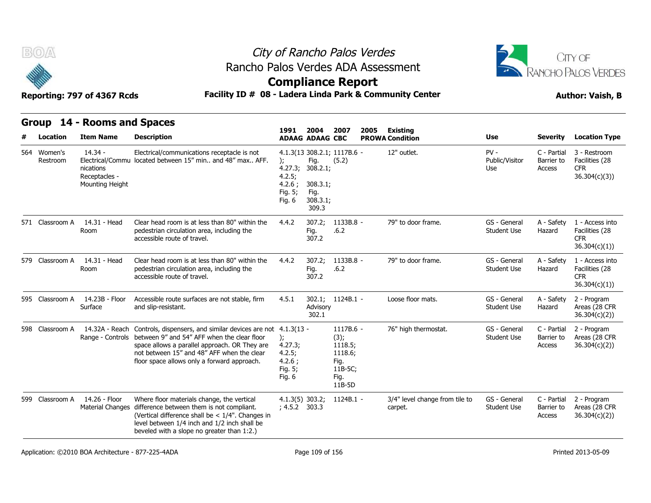



### **Compliance Report**

### Reporting: 797 of 4367 Rcds **Facility ID # 08 - Ladera Linda Park & Community Center Author: Vaish, B**

|   | Group                   | 14 - Rooms and Spaces                                      |                                                                                                                                                                                                                                                           |                                                                   |                                                           |                                                                              |      |                                           |                                    |                                     |                                                                 |
|---|-------------------------|------------------------------------------------------------|-----------------------------------------------------------------------------------------------------------------------------------------------------------------------------------------------------------------------------------------------------------|-------------------------------------------------------------------|-----------------------------------------------------------|------------------------------------------------------------------------------|------|-------------------------------------------|------------------------------------|-------------------------------------|-----------------------------------------------------------------|
| # | Location                | <b>Item Name</b>                                           | <b>Description</b>                                                                                                                                                                                                                                        | 1991                                                              | 2004<br><b>ADAAG ADAAG CBC</b>                            | 2007                                                                         | 2005 | <b>Existing</b><br><b>PROWA Condition</b> | <b>Use</b>                         | <b>Severity</b>                     | <b>Location Type</b>                                            |
|   | 564 Women's<br>Restroom | $14.34 -$<br>nications<br>Receptacles -<br>Mounting Height | Electrical/communications receptacle is not<br>Electrical/Commu located between 15" min and 48" max AFF.                                                                                                                                                  | ):<br>4.27.3;<br>4.2.5;<br>4.2.6:<br>Fig. 5;<br>Fig. 6            | Fig.<br>308.2.1;<br>308.3.1;<br>Fig.<br>308.3.1;<br>309.3 | 4.1.3(13 308.2.1; 1117B.6 -<br>(5.2)                                         |      | 12" outlet.                               | $PV -$<br>Public/Visitor<br>Use    | C - Partial<br>Barrier to<br>Access | 3 - Restroom<br>Facilities (28<br><b>CFR</b><br>36.304(c)(3)    |
|   | 571 Classroom A         | 14.31 - Head<br>Room                                       | Clear head room is at less than 80" within the<br>pedestrian circulation area, including the<br>accessible route of travel.                                                                                                                               | 4.4.2                                                             | 307.2;<br>Fig.<br>307.2                                   | 1133B.8 -<br>.6.2                                                            |      | 79" to door frame.                        | GS - General<br><b>Student Use</b> | A - Safety<br>Hazard                | 1 - Access into<br>Facilities (28<br><b>CFR</b><br>36.304(c)(1) |
|   | 579 Classroom A         | 14.31 - Head<br>Room                                       | Clear head room is at less than 80" within the<br>pedestrian circulation area, including the<br>accessible route of travel.                                                                                                                               | 4.4.2                                                             | 307.2;<br>Fig.<br>307.2                                   | 1133B.8 -<br>.6.2                                                            |      | 79" to door frame.                        | GS - General<br><b>Student Use</b> | A - Safety<br>Hazard                | 1 - Access into<br>Facilities (28<br><b>CFR</b><br>36.304(c)(1) |
|   | 595 Classroom A         | 14.23B - Floor<br>Surface                                  | Accessible route surfaces are not stable, firm<br>and slip-resistant.                                                                                                                                                                                     | 4.5.1                                                             | 302.1;<br>Advisory<br>302.1                               | $1124B.1 -$                                                                  |      | Loose floor mats.                         | GS - General<br>Student Use        | A - Safety<br>Hazard                | 2 - Program<br>Areas (28 CFR<br>36.304(c)(2)                    |
|   | 598 Classroom A         | 14.32A - Reach<br>Range - Controls                         | Controls, dispensers, and similar devices are not 4.1.3(13 -<br>between 9" and 54" AFF when the clear floor<br>space allows a parallel approach. OR They are<br>not between 15" and 48" AFF when the clear<br>floor space allows only a forward approach. | $\mathcal{E}$<br>4.27.3;<br>4.2.5;<br>4.2.6:<br>Fig. 5;<br>Fig. 6 |                                                           | 1117B.6 -<br>(3);<br>1118.5;<br>1118.6;<br>Fig.<br>11B-5C;<br>Fig.<br>11B-5D |      | 76" high thermostat.                      | GS - General<br><b>Student Use</b> | C - Partial<br>Barrier to<br>Access | 2 - Program<br>Areas (28 CFR<br>36.304(c)(2)                    |
|   | 599 Classroom A         | 14.26 - Floor<br><b>Material Changes</b>                   | Where floor materials change, the vertical<br>difference between them is not compliant.<br>(Vertical difference shall be $< 1/4$ ". Changes in<br>level between 1/4 inch and 1/2 inch shall be<br>beveled with a slope no greater than 1:2.)              | $4.1.3(5)$ 303.2;<br>; 4.5.2 303.3                                |                                                           | 1124B.1 -                                                                    |      | 3/4" level change from tile to<br>carpet. | GS - General<br><b>Student Use</b> | C - Partial<br>Barrier to<br>Access | 2 - Program<br>Areas (28 CFR<br>36.304(c)(2)                    |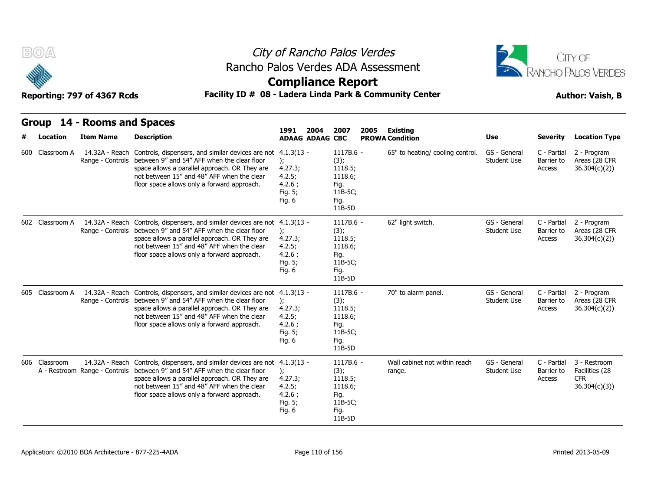



### **Compliance Report**

### Reporting: 797 of 4367 Rcds **Facility ID # 08 - Ladera Linda Park & Community Center Author: Vaish, B**

| Group |                 | 14 - Rooms and Spaces                           |                                                                                                                                                                                                                                                                          |                                                                        | 2007<br>2005                                                                 | <b>Existing</b>                         |                                    |                                     |                                                              |
|-------|-----------------|-------------------------------------------------|--------------------------------------------------------------------------------------------------------------------------------------------------------------------------------------------------------------------------------------------------------------------------|------------------------------------------------------------------------|------------------------------------------------------------------------------|-----------------------------------------|------------------------------------|-------------------------------------|--------------------------------------------------------------|
|       | Location        | <b>Item Name</b>                                | <b>Description</b>                                                                                                                                                                                                                                                       | 1991<br>2004<br><b>ADAAG ADAAG CBC</b>                                 |                                                                              | <b>PROWA Condition</b>                  | <b>Use</b>                         | <b>Severity</b>                     | <b>Location Type</b>                                         |
| 600   | Classroom A     | 14.32A - Reach<br>Range - Controls              | Controls, dispensers, and similar devices are not<br>between 9" and 54" AFF when the clear floor<br>space allows a parallel approach. OR They are<br>not between 15" and 48" AFF when the clear<br>floor space allows only a forward approach.                           | $4.1.3(13 -$<br>);<br>4.27.3;<br>4.2.5;<br>4.2.6:<br>Fig. 5;<br>Fig. 6 | 1117B.6 -<br>(3);<br>1118.5;<br>1118.6;<br>Fig.<br>11B-5C;<br>Fig.<br>11B-5D | 65" to heating/ cooling control.        | GS - General<br>Student Use        | C - Partial<br>Barrier to<br>Access | 2 - Program<br>Areas (28 CFR<br>36.304(c)(2)                 |
|       | 602 Classroom A | Range - Controls                                | 14.32A - Reach Controls, dispensers, and similar devices are not 4.1.3(13 -<br>between 9" and 54" AFF when the clear floor<br>space allows a parallel approach. OR They are<br>not between 15" and 48" AFF when the clear<br>floor space allows only a forward approach. | );<br>4.27.3;<br>4.2.5;<br>4.2.6;<br>Fig. 5;<br>Fig. 6                 | 1117B.6 -<br>(3);<br>1118.5;<br>1118.6;<br>Fig.<br>11B-5C;<br>Fig.<br>11B-5D | 62" light switch.                       | GS - General<br><b>Student Use</b> | C - Partial<br>Barrier to<br>Access | 2 - Program<br>Areas (28 CFR<br>36.304(c)(2)                 |
|       | 605 Classroom A | 14.32A - Reach<br>Range - Controls              | Controls, dispensers, and similar devices are not 4.1.3(13 -<br>between 9" and 54" AFF when the clear floor<br>space allows a parallel approach. OR They are<br>not between 15" and 48" AFF when the clear<br>floor space allows only a forward approach.                | $\mathcal{E}$<br>4.27.3;<br>4.2.5;<br>4.2.6;<br>Fig. 5;<br>Fig. 6      | 1117B.6 -<br>(3);<br>1118.5;<br>1118.6;<br>Fig.<br>11B-5C;<br>Fig.<br>11B-5D | 70" to alarm panel.                     | GS - General<br><b>Student Use</b> | C - Partial<br>Barrier to<br>Access | 2 - Program<br>Areas (28 CFR<br>36.304(c)(2)                 |
|       | 606 Classroom   | 14.32A - Reach<br>A - Restroom Range - Controls | Controls, dispensers, and similar devices are not<br>between 9" and 54" AFF when the clear floor<br>space allows a parallel approach. OR They are<br>not between 15" and 48" AFF when the clear<br>floor space allows only a forward approach.                           | $4.1.3(13 -$<br>);<br>4.27.3;<br>4.2.5;<br>4.2.6;<br>Fig. 5;<br>Fig. 6 | 1117B.6 -<br>(3);<br>1118.5;<br>1118.6;<br>Fig.<br>11B-5C;<br>Fig.<br>11B-5D | Wall cabinet not within reach<br>range. | GS - General<br>Student Use        | C - Partial<br>Barrier to<br>Access | 3 - Restroom<br>Facilities (28<br><b>CFR</b><br>36.304(c)(3) |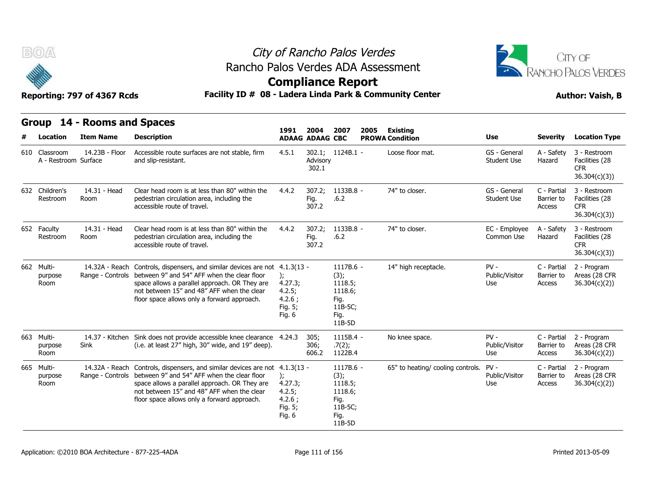



### **Compliance Report**

### Reporting: 797 of 4367 Rcds **Facility ID # 08 - Ladera Linda Park & Community Center Author: Vaish, B**

| Reporting: 777 OF 4507 RCUS |  |  |  |
|-----------------------------|--|--|--|
|                             |  |  |  |

| B(0)                                  | Reporting: 797 of 4367 Rcds |                                                                                                                                                                                                                                                                            | City of Rancho Palos Verdes<br>Rancho Palos Verdes ADA Assessment<br><b>Compliance Report</b><br>Facility ID # 08 - Ladera Linda Park & Community Center |                         |                                                                              |      |                                   |                                    |                                     |                                                              |  |  |
|---------------------------------------|-----------------------------|----------------------------------------------------------------------------------------------------------------------------------------------------------------------------------------------------------------------------------------------------------------------------|----------------------------------------------------------------------------------------------------------------------------------------------------------|-------------------------|------------------------------------------------------------------------------|------|-----------------------------------|------------------------------------|-------------------------------------|--------------------------------------------------------------|--|--|
|                                       | Group 14 - Rooms and Spaces |                                                                                                                                                                                                                                                                            |                                                                                                                                                          | 2004                    | 2007                                                                         | 2005 | <b>Existing</b>                   |                                    |                                     |                                                              |  |  |
| Location                              | <b>Item Name</b>            | <b>Description</b>                                                                                                                                                                                                                                                         | 1991                                                                                                                                                     | <b>ADAAG ADAAG CBC</b>  |                                                                              |      | <b>PROWA Condition</b>            | <b>Use</b>                         | <b>Severity</b>                     | <b>Location Type</b>                                         |  |  |
| 610 Classroom<br>A - Restroom Surface | 14.23B - Floor              | Accessible route surfaces are not stable, firm<br>and slip-resistant.                                                                                                                                                                                                      | 4.5.1                                                                                                                                                    | Advisory<br>302.1       | 302.1; 1124B.1 -                                                             |      | Loose floor mat.                  | GS - General<br><b>Student Use</b> | A - Safety<br>Hazard                | 3 - Restroom<br>Facilities (28<br><b>CFR</b><br>36.304(c)(3) |  |  |
| 632 Children's<br>Restroom            | 14.31 - Head<br>Room        | Clear head room is at less than 80" within the<br>pedestrian circulation area, including the<br>accessible route of travel.                                                                                                                                                | 4.4.2                                                                                                                                                    | 307.2;<br>Fig.<br>307.2 | 1133B.8 -<br>.6.2                                                            |      | 74" to closer.                    | GS - General<br><b>Student Use</b> | C - Partial<br>Barrier to<br>Access | 3 - Restroom<br>Facilities (28<br><b>CFR</b><br>36.304(c)(3) |  |  |
| 652 Faculty<br>Restroom               | 14.31 - Head<br>Room        | Clear head room is at less than 80" within the<br>pedestrian circulation area, including the<br>accessible route of travel.                                                                                                                                                | 4.4.2                                                                                                                                                    | 307.2;<br>Fig.<br>307.2 | 1133B.8 -<br>.6.2                                                            |      | 74" to closer.                    | EC - Employee<br>Common Use        | A - Safety<br>Hazard                | 3 - Restroom<br>Facilities (28<br><b>CFR</b><br>36.304(c)(3) |  |  |
| 662 Multi-<br>purpose<br>Room         | 14.32A - Reach              | Controls, dispensers, and similar devices are not 4.1.3(13 -<br>Range - Controls between 9" and 54" AFF when the clear floor<br>space allows a parallel approach. OR They are<br>not between 15" and 48" AFF when the clear<br>floor space allows only a forward approach. | $\mathcal{E}$<br>4.27.3;<br>4.2.5;<br>4.2.6:<br>Fig. 5;<br>Fig. 6                                                                                        |                         | 1117B.6 -<br>(3);<br>1118.5;<br>1118.6;<br>Fig.<br>11B-5C;<br>Fig.<br>11B-5D |      | 14" high receptacle.              | $PV -$<br>Public/Visitor<br>Use    | C - Partial<br>Barrier to<br>Access | 2 - Program<br>Areas (28 CFR<br>36.304(c)(2)                 |  |  |
| 663 Multi-<br>purpose<br>Room         | 14.37 - Kitchen<br>Sink     | Sink does not provide accessible knee clearance 4.24.3<br>(i.e. at least 27" high, 30" wide, and 19" deep).                                                                                                                                                                |                                                                                                                                                          | 305;<br>306;<br>606.2   | 1115B.4 -<br>.7(2);<br>1122B.4                                               |      | No knee space.                    | $PV -$<br>Public/Visitor<br>Use    | C - Partial<br>Barrier to<br>Access | 2 - Program<br>Areas (28 CFR<br>36.304(c)(2))                |  |  |
| 665 Multi-<br>purpose<br>Room         | 14.32A - Reach              | Controls, dispensers, and similar devices are not 4.1.3(13 -<br>Range - Controls between 9" and 54" AFF when the clear floor<br>space allows a parallel approach. OR They are<br>not between 15" and 48" AFF when the clear<br>floor space allows only a forward approach. | $\mathcal{E}$<br>4.27.3;<br>4.2.5;<br>4.2.6;<br>Fig. 5;<br>Fig. 6                                                                                        |                         | 1117B.6 -<br>(3);<br>1118.5;<br>1118.6;<br>Fig.<br>11B-5C;<br>Fig.<br>11B-5D |      | 65" to heating/ cooling controls. | $PV -$<br>Public/Visitor<br>Use    | C - Partial<br>Barrier to<br>Access | 2 - Program<br>Areas (28 CFR<br>36.304(c)(2)                 |  |  |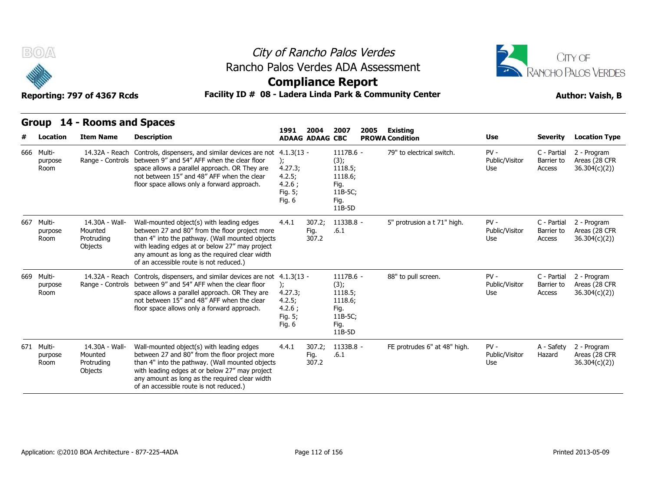



### **Compliance Report**

|     | Group                         | 14 - Rooms and Spaces                                     |                                                                                                                                                                                                                                                                                               |                                                                                   |                                |                                                                                  |      |                                    |                                 |                                     |                                              |
|-----|-------------------------------|-----------------------------------------------------------|-----------------------------------------------------------------------------------------------------------------------------------------------------------------------------------------------------------------------------------------------------------------------------------------------|-----------------------------------------------------------------------------------|--------------------------------|----------------------------------------------------------------------------------|------|------------------------------------|---------------------------------|-------------------------------------|----------------------------------------------|
| #   | <b>Location</b>               | <b>Item Name</b>                                          | <b>Description</b>                                                                                                                                                                                                                                                                            | 1991                                                                              | 2004<br><b>ADAAG ADAAG CBC</b> | 2007                                                                             | 2005 | Existing<br><b>PROWA Condition</b> | Use                             | <b>Severity</b>                     | <b>Location Type</b>                         |
|     | 666 Multi-<br>purpose<br>Room | 14.32A - Reach<br>Range - Controls                        | Controls, dispensers, and similar devices are not<br>between 9" and 54" AFF when the clear floor<br>space allows a parallel approach. OR They are<br>not between 15" and 48" AFF when the clear<br>floor space allows only a forward approach.                                                | $4.1.3(13 -$<br>$\mathcal{E}$<br>4.27.3;<br>4.2.5;<br>4.2.6:<br>Fig. 5;<br>Fig. 6 |                                | 1117B.6 -<br>(3);<br>1118.5;<br>1118.6;<br>Fig.<br>11B-5C;<br>Fig.<br>11B-5D     |      | 79" to electrical switch.          | $PV -$<br>Public/Visitor<br>Use | C - Partial<br>Barrier to<br>Access | 2 - Program<br>Areas (28 CFR<br>36.304(c)(2) |
| 667 | Multi-<br>purpose<br>Room     | 14.30A - Wall-<br>Mounted<br>Protruding<br><b>Objects</b> | Wall-mounted object(s) with leading edges<br>between 27 and 80" from the floor project more<br>than 4" into the pathway. (Wall mounted objects<br>with leading edges at or below 27" may project<br>any amount as long as the required clear width<br>of an accessible route is not reduced.) | 4.4.1                                                                             | 307.2;<br>Fig.<br>307.2        | 1133B.8 -<br>.6.1                                                                |      | 5" protrusion a t 71" high.        | $PV -$<br>Public/Visitor<br>Use | C - Partial<br>Barrier to<br>Access | 2 - Program<br>Areas (28 CFR<br>36.304(c)(2) |
|     | 669 Multi-<br>purpose<br>Room | 14.32A - Reach<br>Range - Controls                        | Controls, dispensers, and similar devices are not 4.1.3(13 -<br>between 9" and 54" AFF when the clear floor<br>space allows a parallel approach. OR They are<br>not between 15" and 48" AFF when the clear<br>floor space allows only a forward approach.                                     | $)$ ;<br>4.27.3;<br>4.2.5;<br>4.2.6;<br>Fig. 5;<br>Fig. 6                         |                                | $1117B.6 -$<br>(3);<br>1118.5;<br>1118.6;<br>Fig.<br>11B-5C;<br>Fig.<br>$11B-5D$ |      | 88" to pull screen.                | $PV -$<br>Public/Visitor<br>Use | C - Partial<br>Barrier to<br>Access | 2 - Program<br>Areas (28 CFR<br>36.304(c)(2) |
|     | 671 Multi-<br>purpose<br>Room | 14.30A - Wall-<br>Mounted<br>Protruding<br>Objects        | Wall-mounted object(s) with leading edges<br>between 27 and 80" from the floor project more<br>than 4" into the pathway. (Wall mounted objects<br>with leading edges at or below 27" may project<br>any amount as long as the required clear width<br>of an accessible route is not reduced.) | 4.4.1                                                                             | 307.2;<br>Fig.<br>307.2        | 1133B.8 -<br>.6.1                                                                |      | FE protrudes 6" at 48" high.       | $PV -$<br>Public/Visitor<br>Use | A - Safety<br>Hazard                | 2 - Program<br>Areas (28 CFR<br>36.304(c)(2) |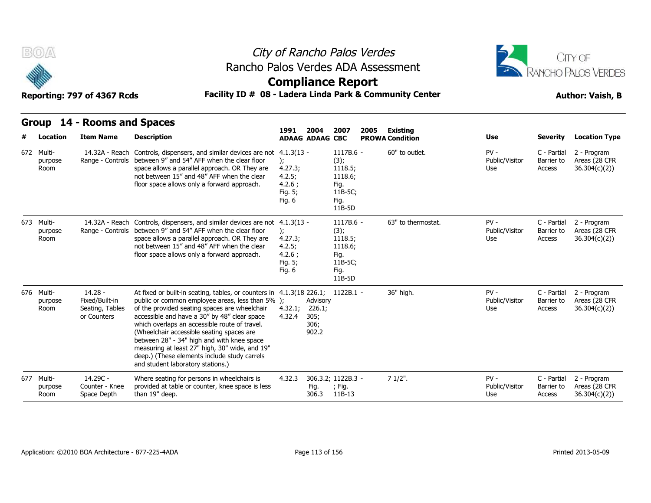



### **Compliance Report**

| Group 14 - Rooms and Spaces |  |  |  |  |  |
|-----------------------------|--|--|--|--|--|
|-----------------------------|--|--|--|--|--|

|   | Group                         | 14 - Rooms and Spaces                                         |                                                                                                                                                                                                                                                                                                                                                                                                                                                                                                                        |                                                                   | 2004<br>2007<br>2005                        |                                                                                  |  |                                    |                                 |                                     |                                              |
|---|-------------------------------|---------------------------------------------------------------|------------------------------------------------------------------------------------------------------------------------------------------------------------------------------------------------------------------------------------------------------------------------------------------------------------------------------------------------------------------------------------------------------------------------------------------------------------------------------------------------------------------------|-------------------------------------------------------------------|---------------------------------------------|----------------------------------------------------------------------------------|--|------------------------------------|---------------------------------|-------------------------------------|----------------------------------------------|
| # | Location                      | <b>Item Name</b>                                              | <b>Description</b>                                                                                                                                                                                                                                                                                                                                                                                                                                                                                                     | 1991                                                              | <b>ADAAG ADAAG CBC</b>                      |                                                                                  |  | Existing<br><b>PROWA Condition</b> | <b>Use</b>                      | <b>Severity</b>                     | <b>Location Type</b>                         |
|   | 672 Multi-<br>purpose<br>Room | 14.32A - Reach<br>Range - Controls                            | Controls, dispensers, and similar devices are not 4.1.3(13 -<br>between 9" and 54" AFF when the clear floor<br>space allows a parallel approach. OR They are<br>not between 15" and 48" AFF when the clear<br>floor space allows only a forward approach.                                                                                                                                                                                                                                                              | $\mathcal{E}$<br>4.27.3;<br>4.2.5;<br>4.2.6:<br>Fig. 5;<br>Fig. 6 |                                             | 1117B.6 -<br>(3);<br>1118.5;<br>1118.6;<br>Fig.<br>11B-5C;<br>Fig.<br>11B-5D     |  | 60" to outlet.                     | $PV -$<br>Public/Visitor<br>Use | C - Partial<br>Barrier to<br>Access | 2 - Program<br>Areas (28 CFR<br>36.304(c)(2) |
|   | 673 Multi-<br>purpose<br>Room | 14.32A - Reach<br>Range - Controls                            | Controls, dispensers, and similar devices are not 4.1.3(13 -<br>between 9" and 54" AFF when the clear floor<br>space allows a parallel approach. OR They are<br>not between 15" and 48" AFF when the clear<br>floor space allows only a forward approach.                                                                                                                                                                                                                                                              | 4.27.3;<br>4.2.5;<br>4.2.6:<br>Fig. 5;<br>Fig. 6                  |                                             | $1117B.6 -$<br>(3);<br>1118.5;<br>1118.6;<br>Fig.<br>11B-5C;<br>Fig.<br>$11B-5D$ |  | 63" to thermostat.                 | $PV -$<br>Public/Visitor<br>Use | C - Partial<br>Barrier to<br>Access | 2 - Program<br>Areas (28 CFR<br>36.304(c)(2) |
|   | 676 Multi-<br>purpose<br>Room | $14.28 -$<br>Fixed/Built-in<br>Seating, Tables<br>or Counters | At fixed or built-in seating, tables, or counters in 4.1.3(18 226.1; 1122B.1 -<br>public or common employee areas, less than 5% );<br>of the provided seating spaces are wheelchair<br>accessible and have a 30" by 48" clear space<br>which overlaps an accessible route of travel.<br>(Wheelchair accessible seating spaces are<br>between 28" - 34" high and with knee space<br>measuring at least 27" high, 30" wide, and 19"<br>deep.) (These elements include study carrels<br>and student laboratory stations.) | 4.32.1;<br>4.32.4                                                 | Advisory<br>226.1;<br>305;<br>306;<br>902.2 |                                                                                  |  | 36" high.                          | $PV -$<br>Public/Visitor<br>Use | C - Partial<br>Barrier to<br>Access | 2 - Program<br>Areas (28 CFR<br>36.304(c)(2) |
|   | 677 Multi-<br>purpose<br>Room | $14.29C -$<br>Counter - Knee<br>Space Depth                   | Where seating for persons in wheelchairs is<br>provided at table or counter, knee space is less<br>than 19" deep.                                                                                                                                                                                                                                                                                                                                                                                                      | 4.32.3                                                            | Fig.<br>306.3                               | 306.3.2; 1122B.3 -<br>; Fig.<br>11B-13                                           |  | $71/2$ ".                          | $PV -$<br>Public/Visitor<br>Use | C - Partial<br>Barrier to<br>Access | 2 - Program<br>Areas (28 CFR<br>36.304(c)(2) |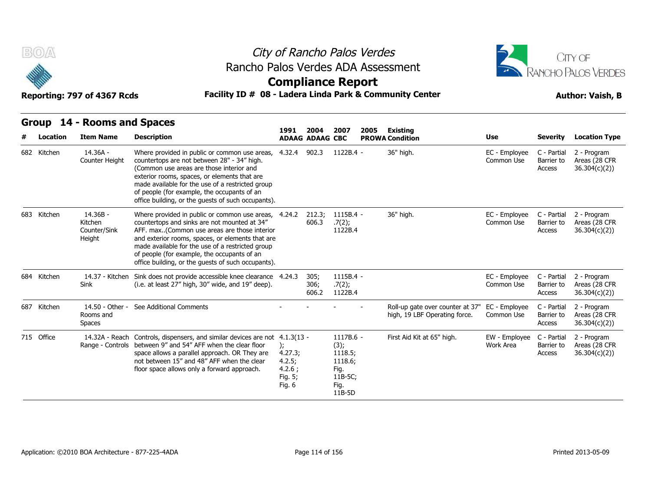



### Reporting: 797 of 4367 Rcds **Facility ID # 08 - Ladera Linda Park & Community Center Author: Vaish, B**

| B(0)        |                                                 |                                                                                                                                                                                                                                                                                                                                                                   | City of Rancho Palos Verdes<br>Rancho Palos Verdes ADA Assessment<br><b>Compliance Report</b><br>Facility ID # 08 - Ladera Linda Park & Community Center |                        |                                                                              |      |                                                                   |                             |                                     |                                               |  |  |  |
|-------------|-------------------------------------------------|-------------------------------------------------------------------------------------------------------------------------------------------------------------------------------------------------------------------------------------------------------------------------------------------------------------------------------------------------------------------|----------------------------------------------------------------------------------------------------------------------------------------------------------|------------------------|------------------------------------------------------------------------------|------|-------------------------------------------------------------------|-----------------------------|-------------------------------------|-----------------------------------------------|--|--|--|
|             | Reporting: 797 of 4367 Rcds                     |                                                                                                                                                                                                                                                                                                                                                                   |                                                                                                                                                          |                        |                                                                              |      |                                                                   |                             | <b>Author: Vaish, B</b>             |                                               |  |  |  |
|             | Group 14 - Rooms and Spaces                     |                                                                                                                                                                                                                                                                                                                                                                   | 1991                                                                                                                                                     | 2004                   | 2007                                                                         | 2005 | Existing                                                          |                             |                                     |                                               |  |  |  |
| Location    | <b>Item Name</b>                                | <b>Description</b>                                                                                                                                                                                                                                                                                                                                                |                                                                                                                                                          | <b>ADAAG ADAAG CBC</b> |                                                                              |      | <b>PROWA Condition</b>                                            | Use                         | <b>Severity</b>                     | <b>Location Type</b>                          |  |  |  |
| 682 Kitchen | 14.36A -<br>Counter Height                      | Where provided in public or common use areas,<br>countertops are not between 28" - 34" high.<br>(Common use areas are those interior and<br>exterior rooms, spaces, or elements that are<br>made available for the use of a restricted group<br>of people (for example, the occupants of an<br>office building, or the quests of such occupants).                 | 4.32.4                                                                                                                                                   | 902.3                  | 1122B.4 -                                                                    |      | 36" high.                                                         | EC - Employee<br>Common Use | C - Partial<br>Barrier to<br>Access | 2 - Program<br>Areas (28 CFR<br>36.304(c)(2)  |  |  |  |
| 683 Kitchen | $14.36B -$<br>Kitchen<br>Counter/Sink<br>Height | Where provided in public or common use areas, 4.24.2<br>countertops and sinks are not mounted at 34"<br>AFF. max(Common use areas are those interior<br>and exterior rooms, spaces, or elements that are<br>made available for the use of a restricted group<br>of people (for example, the occupants of an<br>office building, or the guests of such occupants). |                                                                                                                                                          | 212.3;<br>606.3        | 1115B.4 -<br>.7(2);<br>1122B.4                                               |      | 36" high.                                                         | EC - Employee<br>Common Use | C - Partial<br>Barrier to<br>Access | 2 - Program<br>Areas (28 CFR<br>36.304(c)(2)  |  |  |  |
| 684 Kitchen | 14.37 - Kitchen<br>Sink                         | Sink does not provide accessible knee clearance 4.24.3<br>(i.e. at least 27" high, 30" wide, and 19" deep).                                                                                                                                                                                                                                                       |                                                                                                                                                          | 305;<br>306;<br>606.2  | 1115B.4 -<br>.7(2);<br>1122B.4                                               |      |                                                                   | EC - Employee<br>Common Use | C - Partial<br>Barrier to<br>Access | 2 - Program<br>Areas (28 CFR<br>36.304(c)(2)) |  |  |  |
| 687 Kitchen | 14.50 - Other -<br>Rooms and<br><b>Spaces</b>   | See Additional Comments                                                                                                                                                                                                                                                                                                                                           |                                                                                                                                                          |                        |                                                                              |      | Roll-up gate over counter at 37"<br>high, 19 LBF Operating force. | EC - Employee<br>Common Use | C - Partial<br>Barrier to<br>Access | 2 - Program<br>Areas (28 CFR<br>36.304(c)(2)  |  |  |  |
| 715 Office  | 14.32A - Reach<br>Range - Controls              | Controls, dispensers, and similar devices are not 4.1.3(13 -<br>between 9" and 54" AFF when the clear floor<br>space allows a parallel approach. OR They are<br>not between 15" and 48" AFF when the clear<br>floor space allows only a forward approach.                                                                                                         | $\mathbf{r}$<br>4.27.3;<br>4.2.5;<br>4.2.6;<br>Fig. 5;<br>Fig. 6                                                                                         |                        | 1117B.6 -<br>(3);<br>1118.5;<br>1118.6;<br>Fig.<br>11B-5C;<br>Fig.<br>11B-5D |      | First Aid Kit at 65" high.                                        | EW - Employee<br>Work Area  | C - Partial<br>Barrier to<br>Access | 2 - Program<br>Areas (28 CFR<br>36.304(c)(2)  |  |  |  |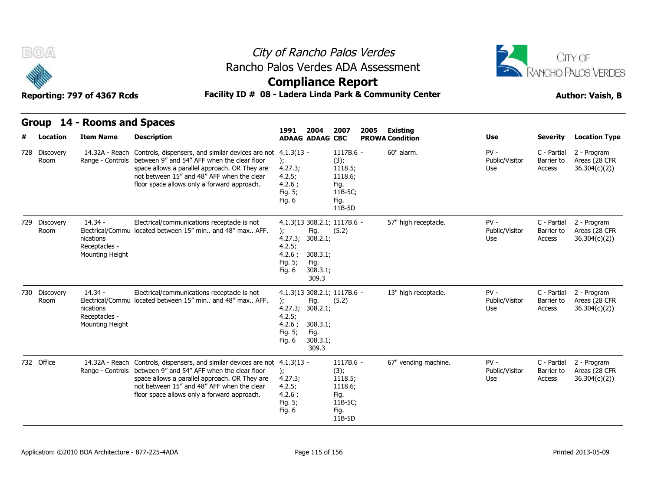



### **Compliance Report**

### Reporting: 797 of 4367 Rcds **Facility ID # 08 - Ladera Linda Park & Community Center Author: Vaish, B**

|   | Group                 | 14 - Rooms and Spaces                                      |                                                                                                                                                                                                                                                                            |                                                                                   | 2004                                                      | 2007<br>2005<br><b>ADAAG ADAAG CBC</b>                                       |                        | Existing             |                                 |                                     |                                              |
|---|-----------------------|------------------------------------------------------------|----------------------------------------------------------------------------------------------------------------------------------------------------------------------------------------------------------------------------------------------------------------------------|-----------------------------------------------------------------------------------|-----------------------------------------------------------|------------------------------------------------------------------------------|------------------------|----------------------|---------------------------------|-------------------------------------|----------------------------------------------|
| # | Location              | <b>Item Name</b>                                           | <b>Description</b>                                                                                                                                                                                                                                                         | 1991                                                                              |                                                           |                                                                              | <b>PROWA Condition</b> | <b>Use</b>           | <b>Severity</b>                 | <b>Location Type</b>                |                                              |
|   | 728 Discovery<br>Room | 14.32A - Reach                                             | Controls, dispensers, and similar devices are not 4.1.3(13 -<br>Range - Controls between 9" and 54" AFF when the clear floor<br>space allows a parallel approach. OR They are<br>not between 15" and 48" AFF when the clear<br>floor space allows only a forward approach. | ):<br>4.27.3;<br>4.2.5;<br>4.2.6:<br>Fig. 5;<br>Fig. $6$                          |                                                           | 1117B.6 -<br>(3);<br>1118.5;<br>1118.6;<br>Fig.<br>11B-5C;<br>Fig.<br>11B-5D |                        | 60" alarm.           | $PV -$<br>Public/Visitor<br>Use | C - Partial<br>Barrier to<br>Access | 2 - Program<br>Areas (28 CFR<br>36.304(c)(2) |
|   | 729 Discovery<br>Room | $14.34 -$<br>nications<br>Receptacles -<br>Mounting Height | Electrical/communications receptacle is not<br>Electrical/Commu located between 15" min and 48" max AFF.                                                                                                                                                                   | $\mathcal{E}$<br>4.27.3;<br>4.2.5;<br>4.2.6;<br>Fig. 5;<br>Fig. 6                 | Fig.<br>308.2.1;<br>308.3.1;<br>Fig.<br>308.3.1;<br>309.3 | 4.1.3(13 308.2.1; 1117B.6 -<br>(5.2)                                         |                        | 57" high receptacle. | $PV -$<br>Public/Visitor<br>Use | C - Partial<br>Barrier to<br>Access | 2 - Program<br>Areas (28 CFR<br>36.304(c)(2) |
|   | 730 Discovery<br>Room | $14.34 -$<br>nications<br>Receptacles -<br>Mounting Height | Electrical/communications receptacle is not<br>Electrical/Commu located between 15" min and 48" max AFF.                                                                                                                                                                   | $\mathcal{E}$<br>4.27.3;<br>4.2.5;<br>4.2.6;<br>Fig. 5;<br>Fig. 6                 | Fig.<br>308.2.1;<br>308.3.1;<br>Fig.<br>308.3.1;<br>309.3 | 4.1.3(13 308.2.1; 1117B.6 -<br>(5.2)                                         |                        | 13" high receptacle. | $PV -$<br>Public/Visitor<br>Use | C - Partial<br>Barrier to<br>Access | 2 - Program<br>Areas (28 CFR<br>36.304(c)(2) |
|   | 732 Office            | 14.32A - Reach                                             | Controls, dispensers, and similar devices are not<br>Range - Controls between 9" and 54" AFF when the clear floor<br>space allows a parallel approach. OR They are<br>not between 15" and 48" AFF when the clear<br>floor space allows only a forward approach.            | $4.1.3(13 -$<br>$\mathcal{E}$<br>4.27.3;<br>4.2.5;<br>4.2.6;<br>Fig. 5;<br>Fig. 6 |                                                           | 1117B.6 -<br>(3);<br>1118.5;<br>1118.6;<br>Fig.<br>11B-5C;<br>Fig.<br>11B-5D |                        | 67" vending machine. | $PV -$<br>Public/Visitor<br>Use | C - Partial<br>Barrier to<br>Access | 2 - Program<br>Areas (28 CFR<br>36.304(c)(2) |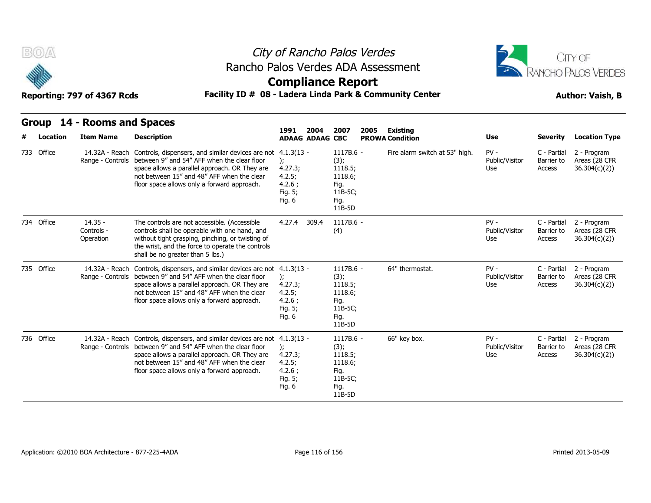



### **Compliance Report**

### Reporting: 797 of 4367 Rcds **Facility ID # 08 - Ladera Linda Park & Community Center Author: Vaish, B**

|   | Group      | 14 - Rooms and Spaces                |                                                                                                                                                                                                                                                           | 2004<br>2007<br>2005<br>Existing<br>1991                               |                      |                                                        |  |                                |                                 |                                     |                                              |  |
|---|------------|--------------------------------------|-----------------------------------------------------------------------------------------------------------------------------------------------------------------------------------------------------------------------------------------------------------|------------------------------------------------------------------------|----------------------|--------------------------------------------------------|--|--------------------------------|---------------------------------|-------------------------------------|----------------------------------------------|--|
| # | Location   | <b>Item Name</b>                     | <b>Description</b>                                                                                                                                                                                                                                        | <b>ADAAG ADAAG CBC</b>                                                 |                      |                                                        |  | <b>PROWA Condition</b>         | Use                             | <b>Severity</b>                     | <b>Location Type</b>                         |  |
|   | 733 Office | 14.32A - Reach<br>Range - Controls   | Controls, dispensers, and similar devices are not<br>between 9" and 54" AFF when the clear floor<br>space allows a parallel approach. OR They are<br>not between 15" and 48" AFF when the clear<br>floor space allows only a forward approach.            | $4.1.3(13 -$<br>);<br>4.27.3;<br>4.2.5;<br>4.2.6:<br>Fig. 5;<br>Fig. 6 | (3);<br>Fig.<br>Fig. | 1117B.6 -<br>1118.5;<br>1118.6;<br>11B-5C;<br>11B-5D   |  | Fire alarm switch at 53" high. | $PV -$<br>Public/Visitor<br>Use | C - Partial<br>Barrier to<br>Access | 2 - Program<br>Areas (28 CFR<br>36.304(c)(2) |  |
|   | 734 Office | $14.35 -$<br>Controls -<br>Operation | The controls are not accessible. (Accessible<br>controls shall be operable with one hand, and<br>without tight grasping, pinching, or twisting of<br>the wrist, and the force to operate the controls<br>shall be no greater than 5 lbs.)                 | 4.27.4<br>309.4                                                        | (4)                  | 1117B.6 -                                              |  |                                | $PV -$<br>Public/Visitor<br>Use | C - Partial<br>Barrier to<br>Access | 2 - Program<br>Areas (28 CFR<br>36.304(c)(2) |  |
|   | 735 Office | 14.32A - Reach<br>Range - Controls   | Controls, dispensers, and similar devices are not 4.1.3(13 -<br>between 9" and 54" AFF when the clear floor<br>space allows a parallel approach. OR They are<br>not between 15" and 48" AFF when the clear<br>floor space allows only a forward approach. | $\mathcal{E}$<br>4.27.3;<br>4.2.5;<br>4.2.6;<br>Fig. 5;<br>Fig. 6      | (3);<br>Fig.<br>Fig. | $1117B.6 -$<br>1118.5;<br>1118.6;<br>11B-5C;<br>11B-5D |  | 64" thermostat.                | $PV -$<br>Public/Visitor<br>Use | C - Partial<br>Barrier to<br>Access | 2 - Program<br>Areas (28 CFR<br>36.304(c)(2) |  |
|   | 736 Office | 14.32A - Reach<br>Range - Controls   | Controls, dispensers, and similar devices are not 4.1.3(13 -<br>between 9" and 54" AFF when the clear floor<br>space allows a parallel approach. OR They are<br>not between 15" and 48" AFF when the clear<br>floor space allows only a forward approach. | $\mathcal{E}$<br>4.27.3;<br>4.2.5;<br>4.2.6;<br>Fig. 5;<br>Fig. 6      | (3);<br>Fig.<br>Fig. | 1117B.6 -<br>1118.5;<br>1118.6;<br>11B-5C;<br>11B-5D   |  | 66" key box.                   | $PV -$<br>Public/Visitor<br>Use | C - Partial<br>Barrier to<br>Access | 2 - Program<br>Areas (28 CFR<br>36.304(c)(2) |  |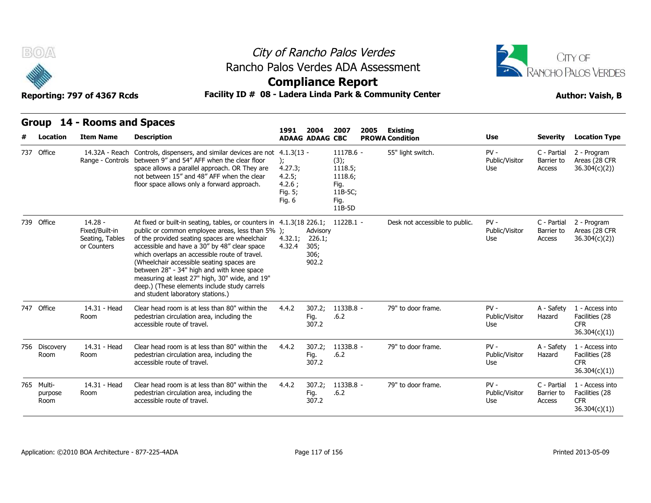



### **Compliance Report**

### Facility ID # 08 - Ladera Linda Park & Community Center **Author: Vaish, B**

| B(0)<br>Facility ID # 08 - Ladera Linda Park & Community Center<br>Reporting: 797 of 4367 Rcds |                                                               |                                                                                                                                                                                                                                                                                                                                                                                                                                                                                                              |                                                        |                                             | City of Rancho Palos Verdes<br>Rancho Palos Verdes ADA Assessment<br><b>Compliance Report</b> |                                |                                 | CITY OF<br><b>RANCHO PALOS VERDES</b><br><b>Author: Vaish, B</b> |                                                                  |
|------------------------------------------------------------------------------------------------|---------------------------------------------------------------|--------------------------------------------------------------------------------------------------------------------------------------------------------------------------------------------------------------------------------------------------------------------------------------------------------------------------------------------------------------------------------------------------------------------------------------------------------------------------------------------------------------|--------------------------------------------------------|---------------------------------------------|-----------------------------------------------------------------------------------------------|--------------------------------|---------------------------------|------------------------------------------------------------------|------------------------------------------------------------------|
| Group                                                                                          | 14 - Rooms and Spaces                                         |                                                                                                                                                                                                                                                                                                                                                                                                                                                                                                              | 1991                                                   | 2004                                        | 2007<br>2005                                                                                  | Existing                       |                                 |                                                                  |                                                                  |
| Location                                                                                       | <b>Item Name</b>                                              | <b>Description</b>                                                                                                                                                                                                                                                                                                                                                                                                                                                                                           |                                                        | <b>ADAAG ADAAG CBC</b>                      |                                                                                               | <b>PROWA Condition</b>         | Use                             | <b>Severity</b>                                                  | <b>Location Type</b>                                             |
| 737 Office                                                                                     | 14.32A - Reach                                                | Controls, dispensers, and similar devices are not 4.1.3(13 -<br>Range - Controls between 9" and 54" AFF when the clear floor<br>space allows a parallel approach. OR They are<br>not between 15" and 48" AFF when the clear<br>floor space allows only a forward approach.                                                                                                                                                                                                                                   | ):<br>4.27.3;<br>4.2.5;<br>4.2.6:<br>Fig. 5;<br>Fig. 6 |                                             | 1117B.6 -<br>(3);<br>1118.5;<br>1118.6;<br>Fig.<br>11B-5C;<br>Fig.<br>11B-5D                  | 55" light switch.              | PV -<br>Public/Visitor<br>Use   | C - Partial<br>Barrier to<br>Access                              | 2 - Program<br>Areas (28 CFR<br>36.304(c)(2)                     |
| 739 Office                                                                                     | $14.28 -$<br>Fixed/Built-in<br>Seating, Tables<br>or Counters | At fixed or built-in seating, tables, or counters in 4.1.3(18 226.1;<br>public or common employee areas, less than 5% );<br>of the provided seating spaces are wheelchair<br>accessible and have a 30" by 48" clear space<br>which overlaps an accessible route of travel.<br>(Wheelchair accessible seating spaces are<br>between 28" - 34" high and with knee space<br>measuring at least 27" high, 30" wide, and 19"<br>deep.) (These elements include study carrels<br>and student laboratory stations.) | 4.32.1;<br>4.32.4                                      | Advisory<br>226.1;<br>305;<br>306;<br>902.2 | 1122B.1 -                                                                                     | Desk not accessible to public. | $PV -$<br>Public/Visitor<br>Use | C - Partial<br>Barrier to<br>Access                              | 2 - Program<br>Areas (28 CFR<br>36.304(c)(2)                     |
| 747 Office                                                                                     | 14.31 - Head<br>Room                                          | Clear head room is at less than 80" within the<br>pedestrian circulation area, including the<br>accessible route of travel.                                                                                                                                                                                                                                                                                                                                                                                  | 4.4.2                                                  | 307.2;<br>Fig.<br>307.2                     | 1133B.8 -<br>.6.2                                                                             | 79" to door frame.             | $PV -$<br>Public/Visitor<br>Use | A - Safety<br>Hazard                                             | 1 - Access into<br>Facilities (28<br><b>CFR</b><br>36.304(c)(1)) |
| 756 Discovery<br>Room                                                                          | 14.31 - Head<br>Room                                          | Clear head room is at less than 80" within the<br>pedestrian circulation area, including the<br>accessible route of travel.                                                                                                                                                                                                                                                                                                                                                                                  | 4.4.2                                                  | 307.2;<br>Fig.<br>307.2                     | 1133B.8 -<br>.6.2                                                                             | 79" to door frame.             | $PV -$<br>Public/Visitor<br>Use | A - Safety<br>Hazard                                             | 1 - Access into<br>Facilities (28<br><b>CFR</b><br>36.304(c)(1)  |
| 765 Multi-<br>purpose<br>Room                                                                  | 14.31 - Head<br>Room                                          | Clear head room is at less than 80" within the<br>pedestrian circulation area, including the<br>accessible route of travel.                                                                                                                                                                                                                                                                                                                                                                                  | 4.4.2                                                  | 307.2;<br>Fig.<br>307.2                     | 1133B.8 -<br>.6.2                                                                             | 79" to door frame.             | $PV -$<br>Public/Visitor<br>Use | C - Partial<br>Barrier to<br>Access                              | 1 - Access into<br>Facilities (28<br><b>CFR</b><br>36.304(c)(1)  |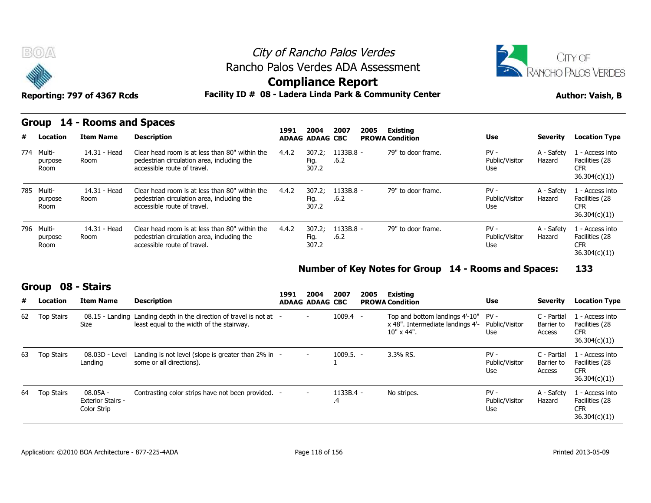



**Compliance Report**

### Reporting: 797 of 4367 Rcds **Facility ID # 08 - Ladera Linda Park & Community Center Author: Vaish, B**

#### **Group 14 - Rooms and Spaces**

|   | $\tilde{\phantom{a}}$<br>Reporting: 797 of 4367 Rcds |                       |                                                                                                                             |       |                         | <u>estribuation report</u> | Facility ID # 08 - Ladera Linda Park & Community Center | <b>Author: Vaish, B</b>         |                      |                                                                 |  |
|---|------------------------------------------------------|-----------------------|-----------------------------------------------------------------------------------------------------------------------------|-------|-------------------------|----------------------------|---------------------------------------------------------|---------------------------------|----------------------|-----------------------------------------------------------------|--|
|   | Group                                                | 14 - Rooms and Spaces |                                                                                                                             | 1991  | 2004                    | 2007<br>2005               | Existing                                                |                                 |                      |                                                                 |  |
| # | Location                                             | <b>Item Name</b>      | <b>Description</b>                                                                                                          |       | <b>ADAAG ADAAG CBC</b>  |                            | <b>PROWA Condition</b>                                  | Use                             | <b>Severity</b>      | <b>Location Type</b>                                            |  |
|   | 774 Multi-<br>purpose<br>Room                        | 14.31 - Head<br>Room  | Clear head room is at less than 80" within the<br>pedestrian circulation area, including the<br>accessible route of travel. | 4.4.2 | 307.2;<br>Fig.<br>307.2 | 1133B.8 -<br>.6.2          | 79" to door frame.                                      | $PV -$<br>Public/Visitor<br>Use | A - Safety<br>Hazard | 1 - Access into<br>Facilities (28<br><b>CFR</b><br>36.304(c)(1) |  |
|   | 785 Multi-<br>purpose<br><b>Room</b>                 | 14.31 - Head<br>Room  | Clear head room is at less than 80" within the<br>pedestrian circulation area, including the<br>accessible route of travel. | 4.4.2 | 307.2;<br>Fig.<br>307.2 | 1133B.8 -<br>.6.2          | 79" to door frame.                                      | $PV -$<br>Public/Visitor<br>Use | A - Safety<br>Hazard | 1 - Access into<br>Facilities (28<br><b>CFR</b><br>36.304(c)(1) |  |
|   | 796 Multi-<br>purpose<br>Room                        | 14.31 - Head<br>Room  | Clear head room is at less than 80" within the<br>pedestrian circulation area, including the<br>accessible route of travel. | 4.4.2 | 307.2;<br>Fig.<br>307.2 | 1133B.8 -<br>.6.2          | 79" to door frame.                                      | $PV -$<br>Public/Visitor<br>Use | A - Safety<br>Hazard | 1 - Access into<br>Facilities (28<br><b>CFR</b><br>36.304(c)(1) |  |

#### **Number of Key Notes for Group 14 - Rooms and Spaces: 133**

#### **Group 08 - Stairs**

|    | <b>GIUUP</b>      | UO - JUII S                                         |                                                                                                                   | 1991 | 2004                     | 2007              | 2005 | Existing                                                                                 |                                 |                                     |                                                                 |
|----|-------------------|-----------------------------------------------------|-------------------------------------------------------------------------------------------------------------------|------|--------------------------|-------------------|------|------------------------------------------------------------------------------------------|---------------------------------|-------------------------------------|-----------------------------------------------------------------|
| #  | Location          | <b>Item Name</b>                                    | <b>Description</b>                                                                                                |      | <b>ADAAG ADAAG CBC</b>   |                   |      | <b>PROWA Condition</b>                                                                   | <b>Use</b>                      | <b>Severity</b>                     | <b>Location Type</b>                                            |
|    | 62 Top Stairs     | <b>Size</b>                                         | 08.15 - Landing Landing depth in the direction of travel is not at -<br>least equal to the width of the stairway. |      | $\overline{\phantom{0}}$ | $1009.4 -$        |      | Top and bottom landings 4'-10"<br>x 48". Intermediate landings 4'-<br>$10" \times 44"$ . | PV -<br>Public/Visitor<br>Use   | C - Partial<br>Barrier to<br>Access | 1 - Access into<br>Facilities (28<br><b>CFR</b><br>36.304(c)(1) |
| 63 | <b>Top Stairs</b> | 08.03D - Level<br>Landing                           | Landing is not level (slope is greater than $2\%$ in -<br>some or all directions).                                |      | $\sim$                   | $1009.5. -$       |      | 3.3% RS.                                                                                 | $PV -$<br>Public/Visitor<br>Use | C - Partial<br>Barrier to<br>Access | 1 - Access into<br>Facilities (28<br><b>CFR</b><br>36.304(c)(1) |
| 64 | <b>Top Stairs</b> | 08.05A -<br><b>Exterior Stairs -</b><br>Color Strip | Contrasting color strips have not been provided. -                                                                |      | $\sim$                   | $1133B.4 -$<br>.4 |      | No stripes.                                                                              | $PV -$<br>Public/Visitor<br>Use | A - Safety<br>Hazard                | 1 - Access into<br>Facilities (28<br><b>CFR</b><br>36.304(c)(1) |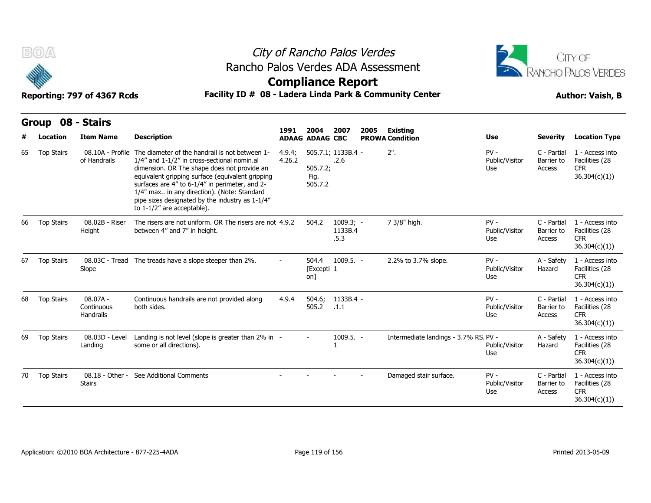



### **Compliance Report**

|    | 08 - Stairs<br><b>Group</b><br>2004<br>2007<br>2005<br><b>Existing</b><br>1991<br><b>ADAAG ADAAG CBC</b><br><b>PROWA Condition</b> |                                       |                                                                                                                                                                                                                                                                                                                                                                                       |                  |                             |                                |  |                                       |                                 |                                     |                                                                  |
|----|------------------------------------------------------------------------------------------------------------------------------------|---------------------------------------|---------------------------------------------------------------------------------------------------------------------------------------------------------------------------------------------------------------------------------------------------------------------------------------------------------------------------------------------------------------------------------------|------------------|-----------------------------|--------------------------------|--|---------------------------------------|---------------------------------|-------------------------------------|------------------------------------------------------------------|
|    | Location                                                                                                                           | <b>Item Name</b>                      | <b>Description</b>                                                                                                                                                                                                                                                                                                                                                                    |                  |                             |                                |  |                                       | <b>Use</b>                      | <b>Severity</b>                     | <b>Location Type</b>                                             |
| 65 | <b>Top Stairs</b>                                                                                                                  | 08.10A - Profile<br>of Handrails      | The diameter of the handrail is not between 1-<br>1/4" and 1-1/2" in cross-sectional nomin.al<br>dimension. OR The shape does not provide an<br>equivalent gripping surface (equivalent gripping<br>surfaces are 4" to 6-1/4" in perimeter, and 2-<br>1/4" max in any direction). (Note: Standard<br>pipe sizes designated by the industry as 1-1/4"<br>to $1-1/2$ " are acceptable). | 4.9.4;<br>4.26.2 | 505.7.2;<br>Fig.<br>505.7.2 | 505.7.1; 1133B.4 -<br>.2.6     |  | $2"$ .                                | $PV -$<br>Public/Visitor<br>Use | C - Partial<br>Barrier to<br>Access | 1 - Access into<br>Facilities (28<br><b>CFR</b><br>36.304(c)(1)  |
| 66 | <b>Top Stairs</b>                                                                                                                  | 08.02B - Riser<br>Height              | The risers are not uniform. OR The risers are not 4.9.2<br>between 4" and 7" in height.                                                                                                                                                                                                                                                                                               |                  | 504.2                       | $1009.3; -$<br>1133B.4<br>.5.3 |  | 7 3/8" high.                          | $PV -$<br>Public/Visitor<br>Use | C - Partial<br>Barrier to<br>Access | 1 - Access into<br>Facilities (28<br><b>CFR</b><br>36.304(c)(1)) |
| 67 | <b>Top Stairs</b>                                                                                                                  | Slope                                 | 08.03C - Tread The treads have a slope steeper than 2%.                                                                                                                                                                                                                                                                                                                               | Ξ.               | 504.4<br>[Excepti 1<br>on]  | $1009.5. -$                    |  | 2.2% to 3.7% slope.                   | $PV -$<br>Public/Visitor<br>Use | A - Safety<br>Hazard                | 1 - Access into<br>Facilities (28<br><b>CFR</b><br>36.304(c)(1)) |
| 68 | <b>Top Stairs</b>                                                                                                                  | $08.07A -$<br>Continuous<br>Handrails | Continuous handrails are not provided along<br>both sides.                                                                                                                                                                                                                                                                                                                            | 4.9.4            | 504.6;<br>505.2             | 1133B.4 -<br>.1.1              |  |                                       | $PV -$<br>Public/Visitor<br>Use | C - Partial<br>Barrier to<br>Access | 1 - Access into<br>Facilities (28<br><b>CFR</b><br>36.304(c)(1)  |
| 69 | <b>Top Stairs</b>                                                                                                                  | 08.03D - Level<br>Landing             | Landing is not level (slope is greater than 2% in -<br>some or all directions).                                                                                                                                                                                                                                                                                                       |                  |                             | $1009.5. -$                    |  | Intermediate landings - 3.7% RS. PV - | Public/Visitor<br>Use           | A - Safety<br>Hazard                | 1 - Access into<br>Facilities (28<br><b>CFR</b><br>36.304(c)(1)) |
| 70 | <b>Top Stairs</b>                                                                                                                  | 08.18 - Other -<br><b>Stairs</b>      | See Additional Comments                                                                                                                                                                                                                                                                                                                                                               |                  |                             |                                |  | Damaged stair surface.                | $PV -$<br>Public/Visitor<br>Use | C - Partial<br>Barrier to<br>Access | 1 - Access into<br>Facilities (28<br><b>CFR</b><br>36.304(c)(1)  |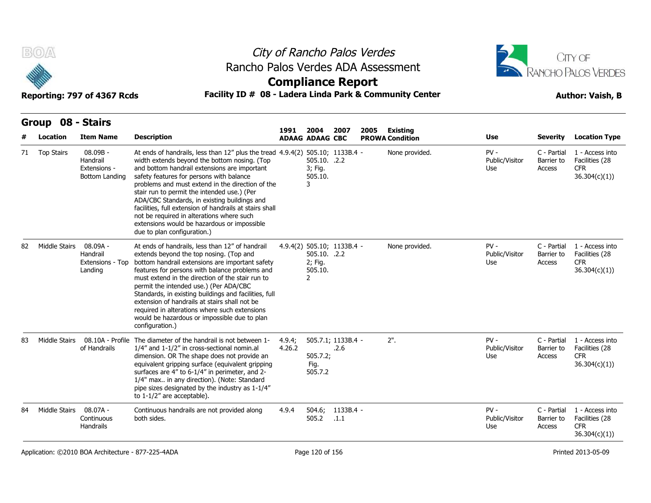

### City of Rancho Palos Verdes Rancho Palos Verdes ADA Assessment



### **Compliance Report**

### Reporting: 797 of 4367 Rcds **Facility ID # 08 - Ladera Linda Park & Community Center Author: Vaish, B**

|    | B(0)              | Reporting: 797 of 4367 Rcds                            | Rancho Palos Verdes ADA Assessment<br>Facility ID # 08 - Ladera Linda Park & Community Center                                                                                                                                                                                                                                                                                                                                                                                                                                                                      |                  |                                         | City of Rancho Palos Verdes<br><b>Compliance Report</b> |      |                                    | CITY OF<br>RANCHO PALOS VERDES<br><b>Author: Vaish, B</b> |                                     |                                                                 |
|----|-------------------|--------------------------------------------------------|--------------------------------------------------------------------------------------------------------------------------------------------------------------------------------------------------------------------------------------------------------------------------------------------------------------------------------------------------------------------------------------------------------------------------------------------------------------------------------------------------------------------------------------------------------------------|------------------|-----------------------------------------|---------------------------------------------------------|------|------------------------------------|-----------------------------------------------------------|-------------------------------------|-----------------------------------------------------------------|
|    | Group 08 - Stairs |                                                        |                                                                                                                                                                                                                                                                                                                                                                                                                                                                                                                                                                    |                  |                                         |                                                         |      |                                    |                                                           |                                     |                                                                 |
|    | Location          | <b>Item Name</b>                                       | <b>Description</b>                                                                                                                                                                                                                                                                                                                                                                                                                                                                                                                                                 | 1991             | 2004<br><b>ADAAG ADAAG CBC</b>          | 2007                                                    | 2005 | Existing<br><b>PROWA Condition</b> | Use                                                       | <b>Severity</b>                     | <b>Location Type</b>                                            |
| 71 | <b>Top Stairs</b> | 08.09B -<br>Handrail<br>Extensions -<br>Bottom Landing | At ends of handrails, less than 12" plus the tread 4.9.4(2) 505.10; 1133B.4 -<br>width extends beyond the bottom nosing. (Top<br>and bottom handrail extensions are important<br>safety features for persons with balance<br>problems and must extend in the direction of the<br>stair run to permit the intended use.) (Per<br>ADA/CBC Standards, in existing buildings and<br>facilities, full extension of handrails at stairs shall<br>not be required in alterations where such<br>extensions would be hazardous or impossible<br>due to plan configuration.) |                  | 505.10. .2.2<br>3; Fig.<br>505.10.<br>3 |                                                         |      | None provided.                     | $PV -$<br>Public/Visitor<br>Use                           | C - Partial<br>Barrier to<br>Access | 1 - Access into<br>Facilities (28<br><b>CFR</b><br>36.304(c)(1) |
| 82 | Middle Stairs     | $08.09A -$<br>Handrail<br>Extensions - Top<br>Landing  | At ends of handrails, less than 12" of handrail<br>extends beyond the top nosing. (Top and<br>bottom handrail extensions are important safety<br>features for persons with balance problems and<br>must extend in the direction of the stair run to<br>permit the intended use.) (Per ADA/CBC<br>Standards, in existing buildings and facilities, full<br>extension of handrails at stairs shall not be<br>required in alterations where such extensions<br>would be hazardous or impossible due to plan<br>configuration.)                                        |                  | 505.10. .2.2<br>2; Fig.<br>505.10.<br>2 | 4.9.4(2) 505.10; 1133B.4 -                              |      | None provided.                     | $PV -$<br>Public/Visitor<br>Use                           | C - Partial<br>Barrier to<br>Access | 1 - Access into<br>Facilities (28<br><b>CFR</b><br>36.304(c)(1) |
| 83 | Middle Stairs     | 08.10A - Profile<br>of Handrails                       | The diameter of the handrail is not between 1-<br>1/4" and 1-1/2" in cross-sectional nomin.al<br>dimension. OR The shape does not provide an<br>equivalent gripping surface (equivalent gripping<br>surfaces are 4" to 6-1/4" in perimeter, and 2-<br>1/4" max in any direction). (Note: Standard<br>pipe sizes designated by the industry as 1-1/4"<br>to $1-1/2$ " are acceptable).                                                                                                                                                                              | 4.9.4;<br>4.26.2 | 505.7.2;<br>Fig.<br>505.7.2             | 505.7.1; 1133B.4 -<br>.2.6                              |      | $2"$ .                             | $PV -$<br>Public/Visitor<br>Use                           | C - Partial<br>Barrier to<br>Access | 1 - Access into<br>Facilities (28<br><b>CFR</b><br>36.304(c)(1) |
| 84 | Middle Stairs     | 08.07A -<br>Continuous<br><b>Handrails</b>             | Continuous handrails are not provided along<br>both sides.                                                                                                                                                                                                                                                                                                                                                                                                                                                                                                         | 4.9.4            | 504.6;<br>505.2                         | 1133B.4 -<br>.1.1                                       |      |                                    | $PV -$<br>Public/Visitor<br>Use                           | C - Partial<br>Barrier to<br>Access | 1 - Access into<br>Facilities (28<br><b>CFR</b><br>36.304(c)(1) |

Application: ©2010 BOA Architecture - 877-225-4ADA Page 120 of 156 Printed 2013-05-09 Printed 2013-05-09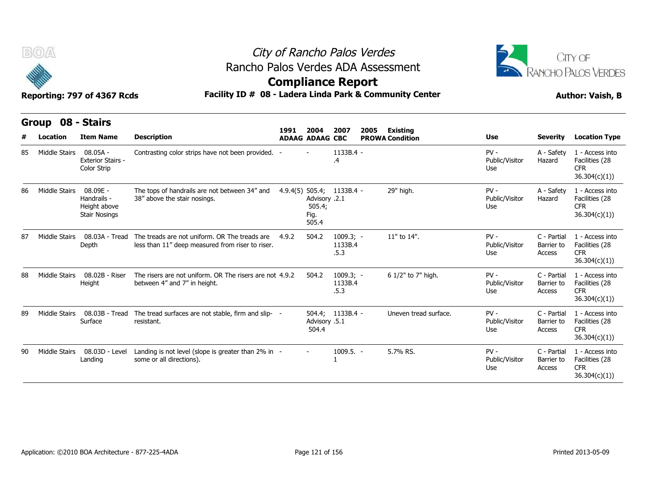



|    | B(0)<br>Reporting: 797 of 4367 Rcds |                                                                 | Rancho Palos Verdes ADA Assessment<br>Facility ID # 08 - Ladera Linda Park & Community Center     | City of Rancho Palos Verdes<br><b>Compliance Report</b> |                                                                       | CITY OF<br><b>RANCHO PALOS VERDES</b><br><b>Author: Vaish, B</b> |      |                                           |                                 |                                     |                                                                  |
|----|-------------------------------------|-----------------------------------------------------------------|---------------------------------------------------------------------------------------------------|---------------------------------------------------------|-----------------------------------------------------------------------|------------------------------------------------------------------|------|-------------------------------------------|---------------------------------|-------------------------------------|------------------------------------------------------------------|
| #  | Group<br>Location                   | 08 - Stairs<br><b>Item Name</b>                                 | <b>Description</b>                                                                                | 1991                                                    | 2004<br><b>ADAAG ADAAG CBC</b>                                        | 2007                                                             | 2005 | <b>Existing</b><br><b>PROWA Condition</b> | Use                             | <b>Severity</b>                     | <b>Location Type</b>                                             |
| 85 | Middle Stairs                       | $08.05A -$<br><b>Exterior Stairs -</b><br>Color Strip           | Contrasting color strips have not been provided. -                                                |                                                         |                                                                       | 1133B.4 -<br>.4                                                  |      |                                           | $PV -$<br>Public/Visitor<br>Use | A - Safety<br>Hazard                | 1 - Access into<br>Facilities (28<br><b>CFR</b><br>36.304(c)(1)) |
| 86 | Middle Stairs                       | 08.09E -<br>Handrails -<br>Height above<br><b>Stair Nosings</b> | The tops of handrails are not between 34" and<br>38" above the stair nosings.                     |                                                         | 4.9.4(5) 505.4; 1133B.4 -<br>2.1. Advisory<br>505.4;<br>Fig.<br>505.4 |                                                                  |      | 29" high.                                 | $PV -$<br>Public/Visitor<br>Use | A - Safety<br>Hazard                | 1 - Access into<br>Facilities (28<br><b>CFR</b><br>36.304(c)(1)  |
| 87 | Middle Stairs                       | 08.03A - Tread<br>Depth                                         | The treads are not uniform. OR The treads are<br>less than 11" deep measured from riser to riser. | 4.9.2                                                   | 504.2                                                                 | $1009.3; -$<br>1133B.4<br>.5.3                                   |      | 11" to 14".                               | $PV -$<br>Public/Visitor<br>Use | C - Partial<br>Barrier to<br>Access | 1 - Access into<br>Facilities (28<br><b>CFR</b><br>36.304(c)(1)) |
| 88 | Middle Stairs                       | 08.02B - Riser<br>Height                                        | The risers are not uniform. OR The risers are not 4.9.2<br>between 4" and 7" in height.           |                                                         | 504.2                                                                 | $1009.3; -$<br>1133B.4<br>.5.3                                   |      | 6 1/2" to 7" high.                        | $PV -$<br>Public/Visitor<br>Use | C - Partial<br>Barrier to<br>Access | 1 - Access into<br>Facilities (28<br><b>CFR</b><br>36.304(c)(1)  |
| 89 | Middle Stairs                       | 08.03B - Tread<br>Surface                                       | The tread surfaces are not stable, firm and slip- -<br>resistant.                                 |                                                         | Advisory .5.1<br>504.4                                                | 504.4; 1133B.4 -                                                 |      | Uneven tread surface.                     | $PV -$<br>Public/Visitor<br>Use | C - Partial<br>Barrier to<br>Access | 1 - Access into<br>Facilities (28<br><b>CFR</b><br>36.304(c)(1)  |
| 90 | <b>Middle Stairs</b>                | 08.03D - Level<br>Landing                                       | Landing is not level (slope is greater than 2% in -<br>some or all directions).                   |                                                         |                                                                       | $1009.5. -$                                                      |      | 5.7% RS.                                  | $PV -$<br>Public/Visitor<br>Use | C - Partial<br>Barrier to<br>Access | 1 - Access into<br>Facilities (28<br><b>CFR</b><br>36.304(c)(1)  |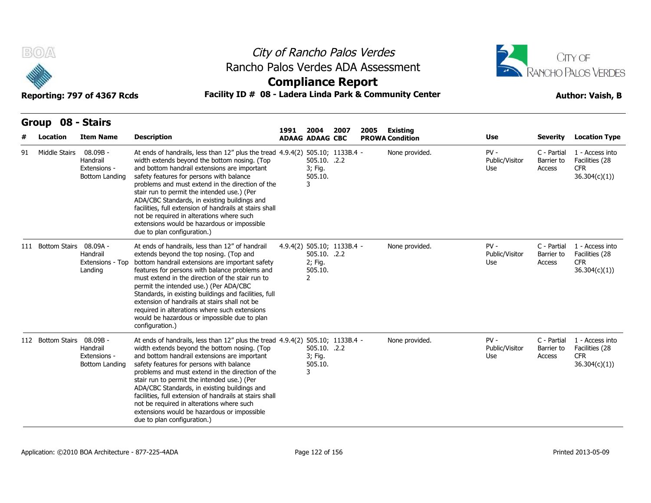

# City of Rancho Palos Verdes Rancho Palos Verdes ADA Assessment



### **Compliance Report**

| B(0)  |                   | Reporting: 797 of 4367 Rcds                              | Rancho Palos Verdes ADA Assessment<br>Facility ID # 08 - Ladera Linda Park & Community Center                                                                                                                                                                                                                                                                                                                                                                                                                                                                      | City of Rancho Palos Verdes<br><b>Compliance Report</b> |                                         | CITY OF<br><b>RANCHO PALOS VERDES</b><br><b>Author: Vaish, B</b> |      |                        |                                        |                                     |                                                                  |
|-------|-------------------|----------------------------------------------------------|--------------------------------------------------------------------------------------------------------------------------------------------------------------------------------------------------------------------------------------------------------------------------------------------------------------------------------------------------------------------------------------------------------------------------------------------------------------------------------------------------------------------------------------------------------------------|---------------------------------------------------------|-----------------------------------------|------------------------------------------------------------------|------|------------------------|----------------------------------------|-------------------------------------|------------------------------------------------------------------|
| Group |                   | 08 - Stairs                                              |                                                                                                                                                                                                                                                                                                                                                                                                                                                                                                                                                                    | 1991                                                    | 2004                                    | 2007                                                             | 2005 | Existing               |                                        |                                     |                                                                  |
|       | Location          | <b>Item Name</b>                                         | <b>Description</b>                                                                                                                                                                                                                                                                                                                                                                                                                                                                                                                                                 |                                                         | <b>ADAAG ADAAG CBC</b>                  |                                                                  |      | <b>PROWA Condition</b> | Use                                    | <b>Severity</b>                     | <b>Location Type</b>                                             |
| 91    | Middle Stairs     | $08.09B -$<br>Handrail<br>Extensions -<br>Bottom Landing | At ends of handrails, less than 12" plus the tread 4.9.4(2) 505.10; 1133B.4 -<br>width extends beyond the bottom nosing. (Top<br>and bottom handrail extensions are important<br>safety features for persons with balance<br>problems and must extend in the direction of the<br>stair run to permit the intended use.) (Per<br>ADA/CBC Standards, in existing buildings and<br>facilities, full extension of handrails at stairs shall<br>not be required in alterations where such<br>extensions would be hazardous or impossible<br>due to plan configuration.) |                                                         | 505.10. .2.2<br>3; Fig.<br>505.10.<br>3 |                                                                  |      | None provided.         | $PV -$<br>Public/Visitor<br>Use        | C - Partial<br>Barrier to<br>Access | 1 - Access into<br>Facilities (28<br><b>CFR</b><br>36.304(c)(1)) |
|       | 111 Bottom Stairs | 08.09A -<br>Handrail<br>Extensions - Top<br>Landing      | At ends of handrails, less than 12" of handrail<br>extends beyond the top nosing. (Top and<br>bottom handrail extensions are important safety<br>features for persons with balance problems and<br>must extend in the direction of the stair run to<br>permit the intended use.) (Per ADA/CBC<br>Standards, in existing buildings and facilities, full<br>extension of handrails at stairs shall not be<br>required in alterations where such extensions<br>would be hazardous or impossible due to plan<br>configuration.)                                        |                                                         | 505.10. .2.2<br>2; Fig.<br>505.10.<br>2 | 4.9.4(2) 505.10; 1133B.4 -                                       |      | None provided.         | $PV -$<br>Public/Visitor<br>Use        | C - Partial<br>Barrier to<br>Access | 1 - Access into<br>Facilities (28<br><b>CFR</b><br>36.304(c)(1)  |
|       | 112 Bottom Stairs | 08.09B -<br>Handrail<br>Extensions -<br>Bottom Landing   | At ends of handrails, less than 12" plus the tread 4.9.4(2) 505.10; 1133B.4 -<br>width extends beyond the bottom nosing. (Top<br>and bottom handrail extensions are important<br>safety features for persons with balance<br>problems and must extend in the direction of the<br>stair run to permit the intended use.) (Per<br>ADA/CBC Standards, in existing buildings and<br>facilities, full extension of handrails at stairs shall<br>not be required in alterations where such<br>extensions would be hazardous or impossible<br>due to plan configuration.) |                                                         | 505.10. .2.2<br>3; Fig.<br>505.10.<br>3 |                                                                  |      | None provided.         | $PV -$<br>Public/Visitor<br><b>Use</b> | C - Partial<br>Barrier to<br>Access | 1 - Access into<br>Facilities (28<br><b>CFR</b><br>36.304(c)(1)) |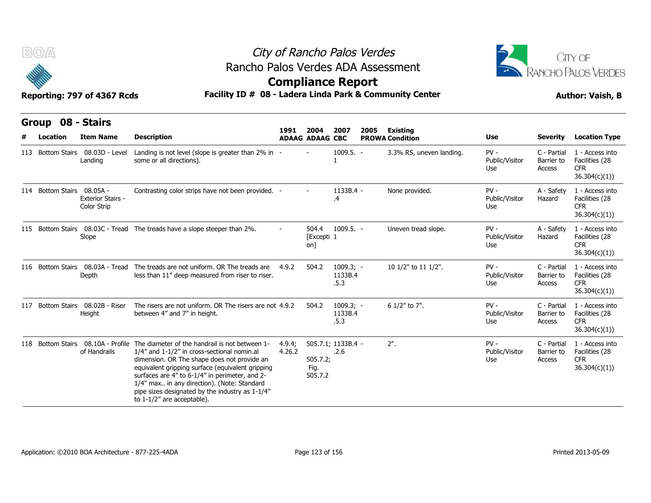



### **Compliance Report**

| B(0)<br>Reporting: 797 of 4367 Rcds<br>08 - Stairs<br><b>Group</b> |                                             |                                                                                                                                                                                                                                                                                                                                                                                                                          | City of Rancho Palos Verdes<br>Rancho Palos Verdes ADA Assessment<br><b>Compliance Report</b><br>Facility ID # 08 - Ladera Linda Park & Community Center |                                |                                |                                           |                                 |                                     |                                                                  |  |  |  |  |
|--------------------------------------------------------------------|---------------------------------------------|--------------------------------------------------------------------------------------------------------------------------------------------------------------------------------------------------------------------------------------------------------------------------------------------------------------------------------------------------------------------------------------------------------------------------|----------------------------------------------------------------------------------------------------------------------------------------------------------|--------------------------------|--------------------------------|-------------------------------------------|---------------------------------|-------------------------------------|------------------------------------------------------------------|--|--|--|--|
| Location                                                           | <b>Item Name</b>                            | <b>Description</b>                                                                                                                                                                                                                                                                                                                                                                                                       | 1991                                                                                                                                                     | 2004<br><b>ADAAG ADAAG CBC</b> | 2007<br>2005                   | <b>Existing</b><br><b>PROWA Condition</b> | Use                             | Severity                            | <b>Location Type</b>                                             |  |  |  |  |
|                                                                    | 113 Bottom Stairs 08.03D - Level<br>Landing | Landing is not level (slope is greater than 2% in -<br>some or all directions).                                                                                                                                                                                                                                                                                                                                          |                                                                                                                                                          |                                | $1009.5. -$                    | 3.3% RS, uneven landing.                  | $PV -$<br>Public/Visitor<br>Use | C - Partial<br>Barrier to<br>Access | 1 - Access into<br>Facilities (28<br><b>CFR</b><br>36.304(c)(1)) |  |  |  |  |
| 114 Bottom Stairs 08.05A -                                         | <b>Exterior Stairs -</b><br>Color Strip     | Contrasting color strips have not been provided. -                                                                                                                                                                                                                                                                                                                                                                       |                                                                                                                                                          |                                | $1133B.4 -$<br>.4              | None provided.                            | $PV -$<br>Public/Visitor<br>Use | A - Safety<br>Hazard                | 1 - Access into<br>Facilities (28<br><b>CFR</b><br>36.304(c)(1)  |  |  |  |  |
|                                                                    | Slope                                       | 115 Bottom Stairs 08.03C - Tread The treads have a slope steeper than 2%.                                                                                                                                                                                                                                                                                                                                                |                                                                                                                                                          | 504.4<br>[Excepti 1<br>on]     | $1009.5. -$                    | Uneven tread slope.                       | $PV -$<br>Public/Visitor<br>Use | A - Safety<br>Hazard                | 1 - Access into<br>Facilities (28<br><b>CFR</b><br>36.304(c)(1)) |  |  |  |  |
|                                                                    | Depth                                       | 116 Bottom Stairs 08.03A - Tread The treads are not uniform. OR The treads are<br>less than 11" deep measured from riser to riser.                                                                                                                                                                                                                                                                                       | 4.9.2                                                                                                                                                    | 504.2                          | $1009.3; -$<br>1133B.4<br>.5.3 | 10 1/2" to 11 1/2".                       | $PV -$<br>Public/Visitor<br>Use | C - Partial<br>Barrier to<br>Access | 1 - Access into<br>Facilities (28<br>CFR.<br>36.304(c)(1))       |  |  |  |  |
|                                                                    | 117 Bottom Stairs 08.02B - Riser<br>Height  | The risers are not uniform. OR The risers are not 4.9.2<br>between 4" and 7" in height.                                                                                                                                                                                                                                                                                                                                  |                                                                                                                                                          | 504.2                          | $1009.3; -$<br>1133B.4<br>.5.3 | 6 1/2" to 7".                             | $PV -$<br>Public/Visitor<br>Use | C - Partial<br>Barrier to<br>Access | 1 - Access into<br>Facilities (28<br><b>CFR</b><br>36.304(c)(1)) |  |  |  |  |
|                                                                    | of Handrails                                | 118 Bottom Stairs 08.10A - Profile The diameter of the handrail is not between 1-<br>1/4" and 1-1/2" in cross-sectional nomin.al<br>dimension. OR The shape does not provide an<br>equivalent gripping surface (equivalent gripping<br>surfaces are 4" to 6-1/4" in perimeter, and 2-<br>1/4" max in any direction). (Note: Standard<br>pipe sizes designated by the industry as 1-1/4"<br>to $1-1/2$ " are acceptable). | 4.9.4;<br>4.26.2                                                                                                                                         | 505.7.2;<br>Fig.<br>505.7.2    | 505.7.1; 1133B.4 -<br>.2.6     | $2"$ .                                    | $PV -$<br>Public/Visitor<br>Use | C - Partial<br>Barrier to<br>Access | 1 - Access into<br>Facilities (28<br>CFR.<br>36.304(c)(1)        |  |  |  |  |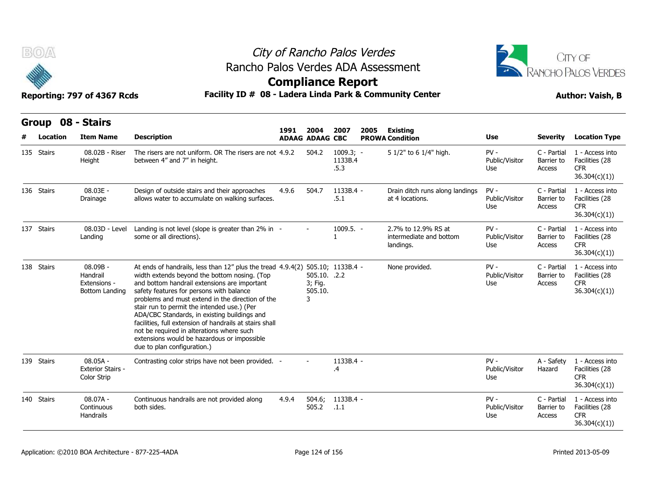



| B(0)       | Reporting: 797 of 4367 Rcds                              |                                                                         | City of Rancho Palos Verdes<br>Rancho Palos Verdes ADA Assessment<br><b>Compliance Report</b><br>Facility ID # 08 - Ladera Linda Park & Community Center                                                                                                                                                                                                                                                                                                                                | CITY OF<br><b>ANCHO PALOS VERDES</b><br><b>Author: Vaish, B</b> |                                         |                                |      |                                                             |                                 |                                     |                                                                  |
|------------|----------------------------------------------------------|-------------------------------------------------------------------------|-----------------------------------------------------------------------------------------------------------------------------------------------------------------------------------------------------------------------------------------------------------------------------------------------------------------------------------------------------------------------------------------------------------------------------------------------------------------------------------------|-----------------------------------------------------------------|-----------------------------------------|--------------------------------|------|-------------------------------------------------------------|---------------------------------|-------------------------------------|------------------------------------------------------------------|
| Location   | Group 08 - Stairs<br><b>Item Name</b>                    | <b>Description</b>                                                      |                                                                                                                                                                                                                                                                                                                                                                                                                                                                                         | 1991                                                            | 2004<br><b>ADAAG ADAAG CBC</b>          | 2007                           | 2005 | Existing<br><b>PROWA Condition</b>                          | Use                             | <b>Severity</b>                     | <b>Location Type</b>                                             |
| 135 Stairs | 08.02B - Riser<br>Height                                 | between 4" and 7" in height.                                            | The risers are not uniform. OR The risers are not 4.9.2                                                                                                                                                                                                                                                                                                                                                                                                                                 |                                                                 | 504.2                                   | $1009.3; -$<br>1133B.4<br>.5.3 |      | 5 1/2" to 6 1/4" high.                                      | $PV -$<br>Public/Visitor<br>Use | C - Partial<br>Barrier to<br>Access | 1 - Access into<br>Facilities (28<br><b>CFR</b><br>36.304(c)(1)) |
| 136 Stairs | $08.03E -$<br>Drainage                                   |                                                                         | Design of outside stairs and their approaches<br>allows water to accumulate on walking surfaces.                                                                                                                                                                                                                                                                                                                                                                                        | 4.9.6                                                           | 504.7                                   | 1133B.4 -<br>.5.1              |      | Drain ditch runs along landings<br>at 4 locations.          | $PV -$<br>Public/Visitor<br>Use | C - Partial<br>Barrier to<br>Access | 1 - Access into<br>Facilities (28<br>CFR.<br>36.304(c)(1))       |
| 137 Stairs | 08.03D - Level<br>Landing                                | some or all directions).                                                | Landing is not level (slope is greater than 2% in -                                                                                                                                                                                                                                                                                                                                                                                                                                     |                                                                 |                                         | 1009.5. -                      |      | 2.7% to 12.9% RS at<br>intermediate and bottom<br>landings. | $PV -$<br>Public/Visitor<br>Use | C - Partial<br>Barrier to<br>Access | 1 - Access into<br>Facilities (28<br><b>CFR</b><br>36.304(c)(1)) |
| 138 Stairs | $08.09B -$<br>Handrail<br>Extensions -<br>Bottom Landing | safety features for persons with balance<br>due to plan configuration.) | At ends of handrails, less than 12" plus the tread 4.9.4(2) 505.10; 1133B.4 -<br>width extends beyond the bottom nosing. (Top<br>and bottom handrail extensions are important<br>problems and must extend in the direction of the<br>stair run to permit the intended use.) (Per<br>ADA/CBC Standards, in existing buildings and<br>facilities, full extension of handrails at stairs shall<br>not be required in alterations where such<br>extensions would be hazardous or impossible |                                                                 | 505.10. .2.2<br>3; Fig.<br>505.10.<br>3 |                                |      | None provided.                                              | $PV -$<br>Public/Visitor<br>Use | C - Partial<br>Barrier to<br>Access | 1 - Access into<br>Facilities (28<br><b>CFR</b><br>36.304(c)(1)) |
| 139 Stairs | $08.05A -$<br><b>Exterior Stairs -</b><br>Color Strip    |                                                                         | Contrasting color strips have not been provided. -                                                                                                                                                                                                                                                                                                                                                                                                                                      |                                                                 |                                         | 1133B.4 -<br>.4                |      |                                                             | $PV -$<br>Public/Visitor<br>Use | A - Safety<br>Hazard                | 1 - Access into<br>Facilities (28<br><b>CFR</b><br>36.304(c)(1)  |
| 140 Stairs | $08.07A -$<br>Continuous<br><b>Handrails</b>             | both sides.                                                             | Continuous handrails are not provided along                                                                                                                                                                                                                                                                                                                                                                                                                                             | 4.9.4                                                           | 504.6;<br>505.2                         | 1133B.4 -<br>.1.1              |      |                                                             | $PV -$<br>Public/Visitor<br>Use | C - Partial<br>Barrier to<br>Access | 1 - Access into<br>Facilities (28<br><b>CFR</b><br>36.304(c)(1)  |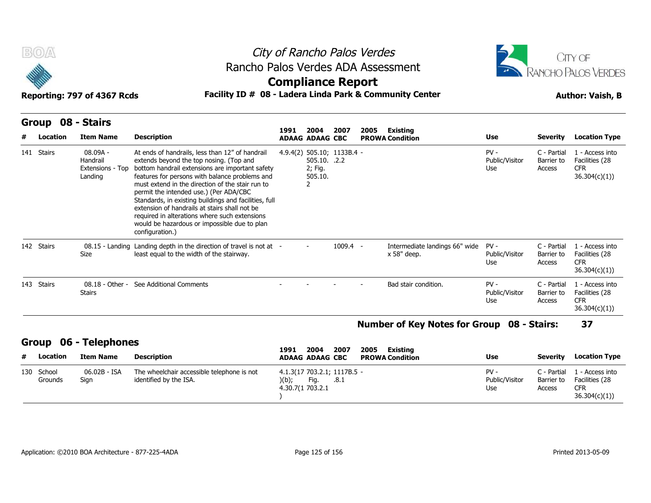



### **Compliance Report**

### Reporting: 797 of 4367 Rcds **Facility ID # 08 - Ladera Linda Park & Community Center Author: Vaish, B**

|   | Group 08 - Stairs |                    |                    |  |
|---|-------------------|--------------------|--------------------|--|
| # |                   | Location Item Name | <b>Description</b> |  |

| BOA                   |                                                       |                                                                                                                                                                                                                                                                                                                                                                                                                                                                                                                             |          | City of Rancho Palos Verdes                                           |            |      |                                                   |                                 |                                     | CITY OF                                                          |
|-----------------------|-------------------------------------------------------|-----------------------------------------------------------------------------------------------------------------------------------------------------------------------------------------------------------------------------------------------------------------------------------------------------------------------------------------------------------------------------------------------------------------------------------------------------------------------------------------------------------------------------|----------|-----------------------------------------------------------------------|------------|------|---------------------------------------------------|---------------------------------|-------------------------------------|------------------------------------------------------------------|
|                       |                                                       | Rancho Palos Verdes ADA Assessment                                                                                                                                                                                                                                                                                                                                                                                                                                                                                          |          | <b>Compliance Report</b>                                              |            |      |                                                   |                                 |                                     | RANCHO PALOS VERDES                                              |
|                       | Reporting: 797 of 4367 Rcds                           | Facility ID # 08 - Ladera Linda Park & Community Center                                                                                                                                                                                                                                                                                                                                                                                                                                                                     |          |                                                                       |            |      |                                                   |                                 |                                     | <b>Author: Vaish, B</b>                                          |
| Group<br>Location     | 08 - Stairs<br><b>Item Name</b>                       | <b>Description</b>                                                                                                                                                                                                                                                                                                                                                                                                                                                                                                          | 1991     | 2004<br><b>ADAAG ADAAG CBC</b>                                        | 2007       | 2005 | <b>Existing</b><br><b>PROWA Condition</b>         | <b>Use</b>                      | <b>Severity</b>                     | <b>Location Type</b>                                             |
| 141 Stairs            | $08.09A -$<br>Handrail<br>Extensions - Top<br>Landing | At ends of handrails, less than 12" of handrail<br>extends beyond the top nosing. (Top and<br>bottom handrail extensions are important safety<br>features for persons with balance problems and<br>must extend in the direction of the stair run to<br>permit the intended use.) (Per ADA/CBC<br>Standards, in existing buildings and facilities, full<br>extension of handrails at stairs shall not be<br>required in alterations where such extensions<br>would be hazardous or impossible due to plan<br>configuration.) |          | 4.9.4(2) 505.10; 1133B.4 -<br>505.10. .2.2<br>2; Fig.<br>505.10.<br>2 |            |      |                                                   | $PV -$<br>Public/Visitor<br>Use | C - Partial<br>Barrier to<br>Access | 1 - Access into<br>Facilities (28<br><b>CFR</b><br>36.304(c)(1)) |
| 142 Stairs            | $08.15 -$ Landing<br>Size                             | Landing depth in the direction of travel is not at -<br>least equal to the width of the stairway.                                                                                                                                                                                                                                                                                                                                                                                                                           |          |                                                                       | $1009.4 -$ |      | Intermediate landings 66" wide<br>x 58" deep.     | $PV -$<br>Public/Visitor<br>Use | C - Partial<br>Barrier to<br>Access | 1 - Access into<br>Facilities (28<br><b>CFR</b><br>36.304(c)(1)) |
| 143 Stairs            | <b>Stairs</b>                                         | 08.18 - Other - See Additional Comments                                                                                                                                                                                                                                                                                                                                                                                                                                                                                     |          |                                                                       |            |      | Bad stair condition.                              | $PV -$<br>Public/Visitor<br>Use | C - Partial<br>Barrier to<br>Access | 1 - Access into<br>Facilities (28<br><b>CFR</b><br>36.304(c)(1)) |
|                       |                                                       |                                                                                                                                                                                                                                                                                                                                                                                                                                                                                                                             |          |                                                                       |            |      | <b>Number of Key Notes for Group 08 - Stairs:</b> |                                 |                                     | 37                                                               |
| <b>Group</b>          | 06 - Telephones                                       |                                                                                                                                                                                                                                                                                                                                                                                                                                                                                                                             | 1991     | 2004                                                                  | 2007       | 2005 | <b>Existing</b>                                   |                                 |                                     |                                                                  |
| Location              | <b>Item Name</b>                                      | <b>Description</b>                                                                                                                                                                                                                                                                                                                                                                                                                                                                                                          |          | <b>ADAAG ADAAG CBC</b>                                                |            |      | <b>PROWA Condition</b>                            | <b>Use</b>                      | <b>Severity</b>                     | <b>Location Type</b>                                             |
| 130 School<br>Grounds | 06.02B - ISA<br>Sign                                  | The wheelchair accessible telephone is not<br>identified by the ISA.                                                                                                                                                                                                                                                                                                                                                                                                                                                        | $)(b)$ ; | 4.1.3(17 703.2.1; 1117B.5 -<br>Fig.<br>4.30.7(1 703.2.1               | .8.1       |      |                                                   | $PV -$<br>Public/Visitor<br>Use | C - Partial<br>Barrier to<br>Access | 1 - Access into<br>Facilities (28<br><b>CFR</b><br>36.304(c)(1)  |

#### **Number of Key Notes for Group 08 - Stairs: 37**

#### **Group 06 - Telephones**

| Location<br>#         | <b>Item Name</b>     | Description                                                          | 2007<br>2004<br>2005<br>1991<br>Existing<br><b>ADAAG ADAAG CBC</b><br><b>PROWA Condition</b> | Use                           | Severity              | <b>Location Type</b>                                                       |
|-----------------------|----------------------|----------------------------------------------------------------------|----------------------------------------------------------------------------------------------|-------------------------------|-----------------------|----------------------------------------------------------------------------|
| 130 School<br>Grounds | 06.02B - ISA<br>Sian | The wheelchair accessible telephone is not<br>identified by the ISA. | 4.1.3(17 703.2.1; 1117B.5 -<br>)(b);<br>Fig.<br>.8.1<br>4.30.7(1 703.2.1                     | PV -<br>Public/Visitor<br>Use | C - Partial<br>Access | 1 - Access into<br>Barrier to Facilities (28<br><b>CFR</b><br>36.304(c)(1) |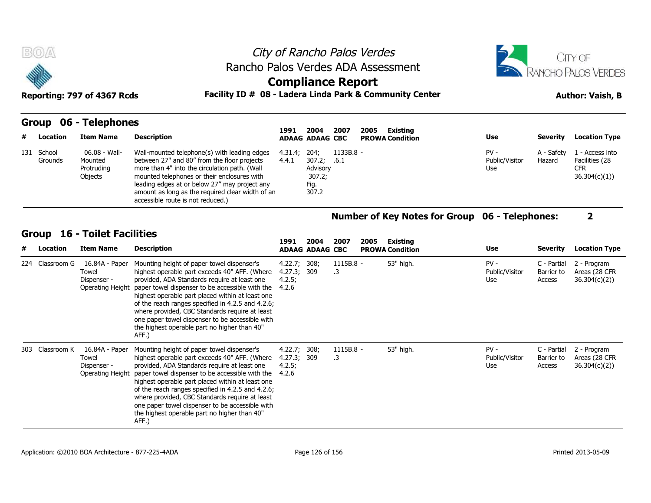



### **Compliance Report**

Reporting: 797 of 4367 Rcds **Facility ID # 08 - Ladera Linda Park & Community Center Author: Vaish, B** 

#### **Group 06 - Telephones**

| #          | Location        | <b>Item Name</b>                                  | <b>Description</b>                                                                                                                                                                                                                                                                                                                    | 1991                                           | 2004<br><b>ADAAG ADAAG CBC</b>                        | 2007                | 2005 | <b>Existing</b><br><b>PROWA Condition</b>             | Use                             | Severity                            | <b>Location Type</b>                                            |
|------------|-----------------|---------------------------------------------------|---------------------------------------------------------------------------------------------------------------------------------------------------------------------------------------------------------------------------------------------------------------------------------------------------------------------------------------|------------------------------------------------|-------------------------------------------------------|---------------------|------|-------------------------------------------------------|---------------------------------|-------------------------------------|-----------------------------------------------------------------|
| 131 School | Grounds         | 06.08 - Wall-<br>Mounted<br>Protruding<br>Objects | Wall-mounted telephone(s) with leading edges<br>between 27" and 80" from the floor projects<br>more than 4" into the circulation path. (Wall<br>mounted telephones or their enclosures with<br>leading edges at or below 27" may project any<br>amount as long as the required clear width of an<br>accessible route is not reduced.) | 4.31.4;<br>4.4.1                               | 204;<br>307.2;<br>Advisory<br>307.2;<br>Fig.<br>307.2 | $1133B.8 -$<br>.6.1 |      |                                                       | $PV -$<br>Public/Visitor<br>Use | A - Safety<br>Hazard                | 1 - Access into<br>Facilities (28<br><b>CFR</b><br>36.304(c)(1) |
|            |                 |                                                   |                                                                                                                                                                                                                                                                                                                                       |                                                |                                                       |                     |      | <b>Number of Key Notes for Group 06 - Telephones:</b> |                                 |                                     |                                                                 |
|            |                 | <b>Group 16 - Toilet Facilities</b>               |                                                                                                                                                                                                                                                                                                                                       | 1991                                           | 2004                                                  | 2007                | 2005 | Existing                                              |                                 |                                     |                                                                 |
| #          | Location        | <b>Item Name</b>                                  | <b>Description</b>                                                                                                                                                                                                                                                                                                                    |                                                | <b>ADAAG ADAAG CBC</b>                                |                     |      | <b>PROWA Condition</b>                                | Use                             | Severity                            | <b>Location Type</b>                                            |
|            | 224 Classroom G | 16.84A - Paper<br>Towel<br>Dispenser -            | Mounting height of paper towel dispenser's<br>highest operable part exceeds 40" AFF. (Where<br>provided, ADA Standards require at least one<br>Operating Height, paper towel dispenser to be accessible with the                                                                                                                      | 4.22.7; 308;<br>4.27.3; 309<br>4.2.5;<br>4 7 6 |                                                       | $1115B.8 -$<br>.3   |      | 53" high.                                             | $PV -$<br>Public/Visitor<br>Use | C - Partial<br>Barrier to<br>Access | 2 - Program<br>Areas (28 CFR<br>36.304(c)(2)                    |

### **Number of Key Notes for Group 06 - Telephones: 2**

| #   | Location        | <b>Item Name</b>                                           | <b>Description</b>                                                                                                                                                                                                                                                                                                                                                                                                                                                    | 1991                                           | 2004<br><b>ADAAG ADAAG CBC</b> | 2007                     | 2005 | Existing<br><b>PROWA Condition</b> | Use                             | <b>Severity</b>                     | <b>Location Type</b>                          |
|-----|-----------------|------------------------------------------------------------|-----------------------------------------------------------------------------------------------------------------------------------------------------------------------------------------------------------------------------------------------------------------------------------------------------------------------------------------------------------------------------------------------------------------------------------------------------------------------|------------------------------------------------|--------------------------------|--------------------------|------|------------------------------------|---------------------------------|-------------------------------------|-----------------------------------------------|
| 224 | Classroom G     | 16.84A - Paper<br>Towel<br>Dispenser -<br>Operating Height | Mounting height of paper towel dispenser's<br>highest operable part exceeds 40" AFF. (Where<br>provided, ADA Standards require at least one<br>paper towel dispenser to be accessible with the<br>highest operable part placed within at least one<br>of the reach ranges specified in 4.2.5 and 4.2.6;<br>where provided, CBC Standards require at least<br>one paper towel dispenser to be accessible with<br>the highest operable part no higher than 40"<br>AFF.) | 4.22.7; 308;<br>4.27.3; 309<br>4.2.5;<br>4.2.6 |                                | $1115B.8 -$<br>.3        |      | 53" high.                          | $PV -$<br>Public/Visitor<br>Use | C - Partial<br>Barrier to<br>Access | 2 - Program<br>Areas (28 CFR)<br>36.304(c)(2) |
|     | 303 Classroom K | 16.84A - Paper<br>Towel<br>Dispenser -<br>Operating Height | Mounting height of paper towel dispenser's<br>highest operable part exceeds 40" AFF. (Where<br>provided, ADA Standards require at least one<br>paper towel dispenser to be accessible with the<br>highest operable part placed within at least one<br>of the reach ranges specified in 4.2.5 and 4.2.6;<br>where provided, CBC Standards require at least<br>one paper towel dispenser to be accessible with<br>the highest operable part no higher than 40"<br>AFF.) | 4.22.7; 308;<br>4.27.3; 309<br>4.2.5;<br>4.2.6 |                                | $1115B.8 -$<br>$\cdot$ 3 |      | 53" high.                          | $PV -$<br>Public/Visitor<br>Use | C - Partial<br>Barrier to<br>Access | 2 - Program<br>Areas (28 CFR)<br>36.304(c)(2) |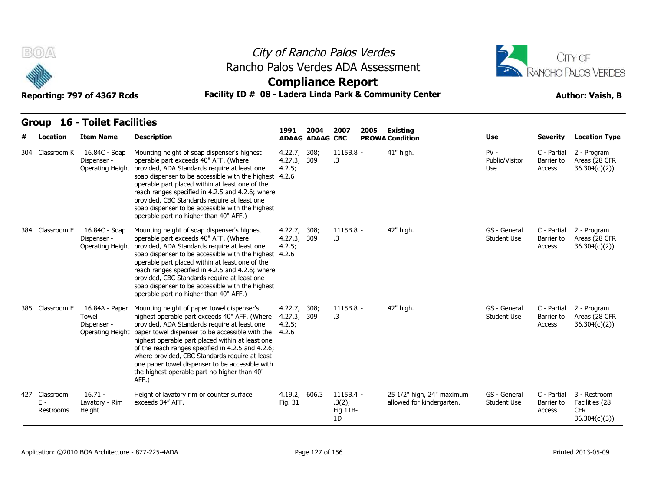



|     | B(0)                          | Reporting: 797 of 4367 Rcds                                | Facility ID # 08 - Ladera Linda Park & Community Center                                                                                                                                                                                                                                                                                                                                                                                                               |                                           |                        | City of Rancho Palos Verdes<br>Rancho Palos Verdes ADA Assessment<br><b>Compliance Report</b> | CITY OF<br>RANCHO PALOS VERDES<br><b>Author: Vaish, B</b> |                                    |                                     |                                                               |
|-----|-------------------------------|------------------------------------------------------------|-----------------------------------------------------------------------------------------------------------------------------------------------------------------------------------------------------------------------------------------------------------------------------------------------------------------------------------------------------------------------------------------------------------------------------------------------------------------------|-------------------------------------------|------------------------|-----------------------------------------------------------------------------------------------|-----------------------------------------------------------|------------------------------------|-------------------------------------|---------------------------------------------------------------|
|     | <b>Group</b>                  | <b>16 - Toilet Facilities</b>                              |                                                                                                                                                                                                                                                                                                                                                                                                                                                                       | 1991                                      | 2004                   | 2007<br>2005                                                                                  | <b>Existing</b>                                           |                                    |                                     |                                                               |
|     | Location                      | <b>Item Name</b>                                           | <b>Description</b>                                                                                                                                                                                                                                                                                                                                                                                                                                                    |                                           | <b>ADAAG ADAAG CBC</b> |                                                                                               | <b>PROWA Condition</b>                                    | Use                                | <b>Severity</b>                     | <b>Location Type</b>                                          |
|     | 304 Classroom K               | 16.84C - Soap<br>Dispenser -<br>Operating Height           | Mounting height of soap dispenser's highest<br>operable part exceeds 40" AFF. (Where<br>provided, ADA Standards require at least one<br>soap dispenser to be accessible with the highest 4.2.6<br>operable part placed within at least one of the<br>reach ranges specified in 4.2.5 and 4.2.6; where<br>provided, CBC Standards require at least one<br>soap dispenser to be accessible with the highest<br>operable part no higher than 40" AFF.)                   | 4.22.7;<br>4.27.3; 309<br>4.2.5;          | 308;                   | 1115B.8 -<br>.3                                                                               | 41" high.                                                 | $PV -$<br>Public/Visitor<br>Use    | C - Partial<br>Barrier to<br>Access | 2 - Program<br>Areas (28 CFR<br>36.304(c)(2))                 |
|     | 384 Classroom F               | 16.84C - Soap<br>Dispenser -<br><b>Operating Height</b>    | Mounting height of soap dispenser's highest<br>operable part exceeds 40" AFF. (Where<br>provided, ADA Standards require at least one<br>soap dispenser to be accessible with the highest 4.2.6<br>operable part placed within at least one of the<br>reach ranges specified in 4.2.5 and 4.2.6; where<br>provided, CBC Standards require at least one<br>soap dispenser to be accessible with the highest<br>operable part no higher than 40" AFF.)                   | 4.22.7; 308;<br>4.27.3; 309<br>4.2.5;     |                        | 1115B.8 -<br>.3                                                                               | 42" high.                                                 | GS - General<br><b>Student Use</b> | C - Partial<br>Barrier to<br>Access | 2 - Program<br>Areas (28 CFR<br>36.304(c)(2))                 |
|     | 385 Classroom F               | 16.84A - Paper<br>Towel<br>Dispenser -<br>Operating Height | Mounting height of paper towel dispenser's<br>highest operable part exceeds 40" AFF. (Where<br>provided, ADA Standards require at least one<br>paper towel dispenser to be accessible with the<br>highest operable part placed within at least one<br>of the reach ranges specified in 4.2.5 and 4.2.6;<br>where provided, CBC Standards require at least<br>one paper towel dispenser to be accessible with<br>the highest operable part no higher than 40"<br>AFF.) | 4.22.7;<br>4.27.3; 309<br>4.2.5;<br>4.2.6 | 308;                   | 1115B.8 -<br>.3                                                                               | 42" high.                                                 | GS - General<br><b>Student Use</b> | C - Partial<br>Barrier to<br>Access | 2 - Program<br>Areas (28 CFR<br>36.304(c)(2)                  |
| 427 | Classroom<br>E -<br>Restrooms | $16.71 -$<br>Lavatory - Rim<br>Height                      | Height of lavatory rim or counter surface<br>exceeds 34" AFF.                                                                                                                                                                                                                                                                                                                                                                                                         | 4.19.2; 606.3<br>Fig. 31                  |                        | 1115B.4 -<br>.3(2);<br>Fig 11B-<br>1D                                                         | 25 1/2" high, 24" maximum<br>allowed for kindergarten.    | GS - General<br><b>Student Use</b> | C - Partial<br>Barrier to<br>Access | 3 - Restroom<br>Facilities (28<br><b>CFR</b><br>36.304(c)(3)) |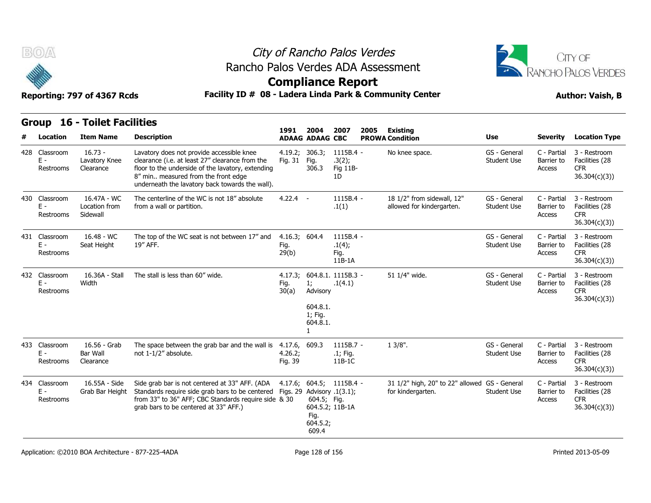



**Compliance Report**

Reporting: 797 of 4367 Rcds **Facility ID # 08 - Ladera Linda Park & Community Center Author: Vaish, B** 

| <b>Group 16 - Toilet Facilities</b> |  |
|-------------------------------------|--|
|                                     |  |

|   | Facility ID # 08 - Ladera Linda Park & Community Center<br>Reporting: 797 of 4367 Rcds<br><b>Author: Vaish, B</b> |                                                         |                                                                                                                                                                                                                                             |                                |                                                                                                 |                                         |      |                                                                    |                                    |                                     |                                                              |
|---|-------------------------------------------------------------------------------------------------------------------|---------------------------------------------------------|---------------------------------------------------------------------------------------------------------------------------------------------------------------------------------------------------------------------------------------------|--------------------------------|-------------------------------------------------------------------------------------------------|-----------------------------------------|------|--------------------------------------------------------------------|------------------------------------|-------------------------------------|--------------------------------------------------------------|
| # | Location                                                                                                          | <b>Group 16 - Toilet Facilities</b><br><b>Item Name</b> | <b>Description</b>                                                                                                                                                                                                                          | 1991                           | 2004<br><b>ADAAG ADAAG CBC</b>                                                                  | 2007                                    | 2005 | <b>Existing</b><br><b>PROWA Condition</b>                          | <b>Use</b>                         | <b>Severity</b>                     | <b>Location Type</b>                                         |
|   | 428 Classroom<br>$E -$<br>Restrooms                                                                               | $16.73 -$<br>Lavatory Knee<br>Clearance                 | Lavatory does not provide accessible knee<br>clearance (i.e. at least 27" clearance from the<br>floor to the underside of the lavatory, extending<br>8" min measured from the front edge<br>underneath the lavatory back towards the wall). | 4.19.2; 306.3;<br>Fig. 31      | Fig.<br>306.3                                                                                   | $1115B.4 -$<br>.3(2);<br>Fig 11B-<br>1D |      | No knee space.                                                     | GS - General<br><b>Student Use</b> | C - Partial<br>Barrier to<br>Access | 3 - Restroom<br>Facilities (28<br><b>CFR</b><br>36.304(c)(3) |
|   | 430 Classroom<br>$E -$<br>Restrooms                                                                               | 16.47A - WC<br>Location from<br>Sidewall                | The centerline of the WC is not 18" absolute<br>from a wall or partition.                                                                                                                                                                   | $4.22.4 -$                     |                                                                                                 | $1115B.4 -$<br>.1(1)                    |      | 18 1/2" from sidewall, 12"<br>allowed for kindergarten.            | GS - General<br><b>Student Use</b> | C - Partial<br>Barrier to<br>Access | 3 - Restroom<br>Facilities (28<br><b>CFR</b><br>36.304(c)(3) |
|   | 431 Classroom<br>$E -$<br>Restrooms                                                                               | 16.48 - WC<br>Seat Height                               | The top of the WC seat is not between 17" and<br>19" AFF.                                                                                                                                                                                   | 4.16.3; 604.4<br>Fig.<br>29(b) |                                                                                                 | 1115B.4 -<br>.1(4);<br>Fig.<br>$11B-1A$ |      |                                                                    | GS - General<br><b>Student Use</b> | C - Partial<br>Barrier to<br>Access | 3 - Restroom<br>Facilities (28<br><b>CFR</b><br>36.304(c)(3) |
|   | 432 Classroom<br>$E -$<br>Restrooms                                                                               | 16.36A - Stall<br>Width                                 | The stall is less than 60" wide.                                                                                                                                                                                                            | Fig.<br>30(a)                  | 4.17.3; 604.8.1. 1115B.3 -<br>1:<br>Advisory<br>604.8.1.<br>1; Fig.<br>604.8.1.<br>$\mathbf{1}$ | .1(4.1)                                 |      | 51 1/4" wide.                                                      | GS - General<br><b>Student Use</b> | C - Partial<br>Barrier to<br>Access | 3 - Restroom<br>Facilities (28<br><b>CFR</b><br>36.304(c)(3) |
|   | 433 Classroom<br>$E -$<br>Restrooms                                                                               | 16.56 - Grab<br><b>Bar Wall</b><br>Clearance            | The space between the grab bar and the wall is 4.17.6, 609.3<br>not 1-1/2" absolute.                                                                                                                                                        | 4.26.2;<br>Fig. 39             |                                                                                                 | $1115B.7 -$<br>.1; Fig.<br>11B-1C       |      | $13/8$ ".                                                          | GS - General<br><b>Student Use</b> | C - Partial<br>Barrier to<br>Access | 3 - Restroom<br>Facilities (28<br><b>CFR</b><br>36.304(c)(3) |
|   | 434 Classroom<br>$E -$<br>Restrooms                                                                               | 16.55A - Side<br>Grab Bar Height                        | Side grab bar is not centered at 33" AFF. (ADA<br>Standards require side grab bars to be centered Figs. 29 Advisory .1(3.1);<br>from 33" to 36" AFF; CBC Standards require side & 30<br>grab bars to be centered at 33" AFF.)               |                                | $4.17.6; 604.5; 1115B.4 -$<br>604.5; Fig.<br>Fig.<br>604.5.2;<br>609.4                          | 604.5.2; 11B-1A                         |      | 31 1/2" high, 20" to 22" allowed GS - General<br>for kindergarten. | <b>Student Use</b>                 | C - Partial<br>Barrier to<br>Access | 3 - Restroom<br>Facilities (28<br><b>CFR</b><br>36.304(c)(3) |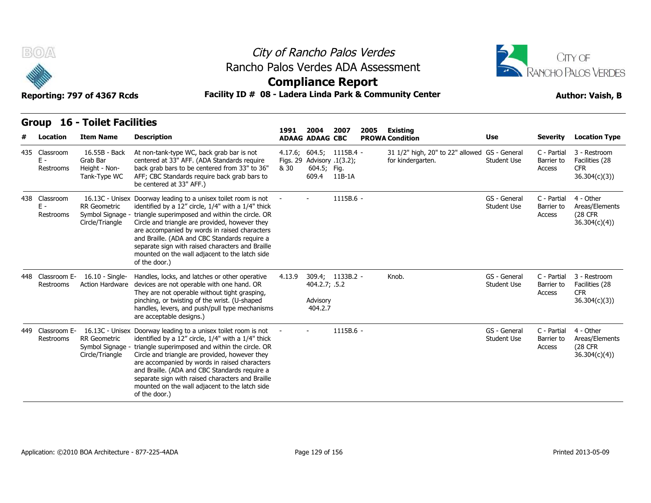



### **Compliance Report**

|  | <b>Group 16 - Toilet Facilities</b> |
|--|-------------------------------------|
|  |                                     |

|   | Facility ID # 08 - Ladera Linda Park & Community Center<br>Reporting: 797 of 4367 Rcds<br><b>Author: Vaish, B</b> |                                                            |                                                                                                                                                                                                                                                                                                                                                                                                                                                                     |                                    |                                                    |                  |      |                                                                    |                                    |                                     |                                                              |
|---|-------------------------------------------------------------------------------------------------------------------|------------------------------------------------------------|---------------------------------------------------------------------------------------------------------------------------------------------------------------------------------------------------------------------------------------------------------------------------------------------------------------------------------------------------------------------------------------------------------------------------------------------------------------------|------------------------------------|----------------------------------------------------|------------------|------|--------------------------------------------------------------------|------------------------------------|-------------------------------------|--------------------------------------------------------------|
|   |                                                                                                                   | <b>Group 16 - Toilet Facilities</b>                        |                                                                                                                                                                                                                                                                                                                                                                                                                                                                     | 1991                               | 2004                                               | 2007             | 2005 | <b>Existing</b>                                                    |                                    |                                     |                                                              |
| # | Location                                                                                                          | <b>Item Name</b>                                           | <b>Description</b>                                                                                                                                                                                                                                                                                                                                                                                                                                                  |                                    | <b>ADAAG ADAAG CBC</b>                             |                  |      | <b>PROWA Condition</b>                                             | <b>Use</b>                         | Severity                            | <b>Location Type</b>                                         |
|   | 435 Classroom<br>$E -$<br>Restrooms                                                                               | 16.55B - Back<br>Grab Bar<br>Height - Non-<br>Tank-Type WC | At non-tank-type WC, back grab bar is not<br>centered at 33" AFF. (ADA Standards require<br>back grab bars to be centered from 33" to 36"<br>AFF; CBC Standards require back grab bars to<br>be centered at 33" AFF.)                                                                                                                                                                                                                                               | Figs. 29 Advisory .1(3.2);<br>& 30 | $4.17.6; 604.5; 1115B.4 -$<br>604.5; Fig.<br>609.4 | 11B-1A           |      | 31 1/2" high, 20" to 22" allowed GS - General<br>for kindergarten. | <b>Student Use</b>                 | C - Partial<br>Barrier to<br>Access | 3 - Restroom<br>Facilities (28<br><b>CFR</b><br>36.304(c)(3) |
|   | 438 Classroom<br>$E -$<br>Restrooms                                                                               | <b>RR</b> Geometric<br>Circle/Triangle                     | 16.13C - Unisex Doorway leading to a unisex toilet room is not<br>identified by a 12" circle, 1/4" with a 1/4" thick<br>Symbol Signage - triangle superimposed and within the circle. OR<br>Circle and triangle are provided, however they<br>are accompanied by words in raised characters<br>and Braille. (ADA and CBC Standards require a<br>separate sign with raised characters and Braille<br>mounted on the wall adjacent to the latch side<br>of the door.) |                                    |                                                    | 1115B.6 -        |      |                                                                    | GS - General<br><b>Student Use</b> | C - Partial<br>Barrier to<br>Access | 4 - Other<br>Areas/Elements<br>(28 CFR<br>36.304(c)(4)       |
|   | 448 Classroom E-<br>Restrooms                                                                                     | 16.10 - Single-<br><b>Action Hardware</b>                  | Handles, locks, and latches or other operative<br>devices are not operable with one hand. OR<br>They are not operable without tight grasping,<br>pinching, or twisting of the wrist. (U-shaped<br>handles, levers, and push/pull type mechanisms<br>are acceptable designs.)                                                                                                                                                                                        | 4.13.9                             | 404.2.7; .5.2<br>Advisory<br>404.2.7               | 309.4; 1133B.2 - |      | Knob.                                                              | GS - General<br><b>Student Use</b> | C - Partial<br>Barrier to<br>Access | 3 - Restroom<br>Facilities (28<br><b>CFR</b><br>36.304(c)(3) |
|   | 449 Classroom E-<br>Restrooms                                                                                     | RR Geometric<br>Symbol Signage -<br>Circle/Triangle        | 16.13C - Unisex Doorway leading to a unisex toilet room is not<br>identified by a 12" circle, 1/4" with a 1/4" thick<br>triangle superimposed and within the circle. OR<br>Circle and triangle are provided, however they<br>are accompanied by words in raised characters<br>and Braille. (ADA and CBC Standards require a<br>separate sign with raised characters and Braille<br>mounted on the wall adjacent to the latch side<br>of the door.)                  |                                    |                                                    | 1115B.6 -        |      |                                                                    | GS - General<br><b>Student Use</b> | C - Partial<br>Barrier to<br>Access | 4 - Other<br>Areas/Elements<br>(28 CFR<br>36.304(c)(4)       |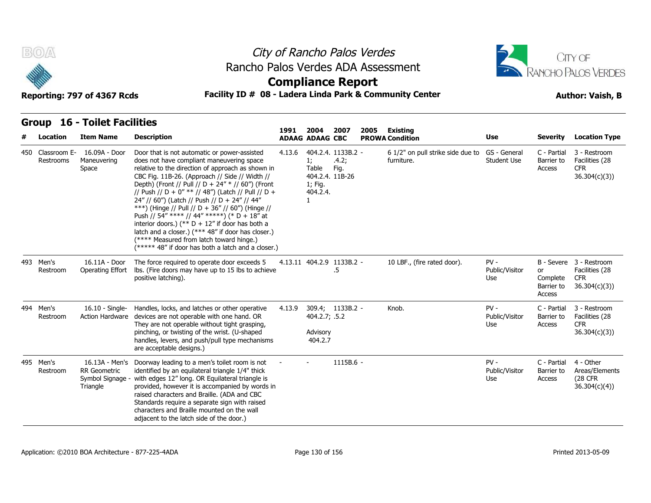



### **Compliance Report**

### Facility ID # 08 - Ladera Linda Park & Community Center **Author: Vaish, B**

**1991** 

| Location                      | <b>Item Name</b>                                                    | <b>Description</b>                                                                                                                                                                                                                                                                                                                                                                                                                                                                                                                                                                                                                                                            | 1991   | 2004<br><b>ADAAG ADAAG CBC</b>                             | 2007                                | 2005 | Existing<br><b>PROWA Condition</b>              | <b>Use</b>                      | <b>Severity</b>                        | <b>Location Type</b>                                                    |
|-------------------------------|---------------------------------------------------------------------|-------------------------------------------------------------------------------------------------------------------------------------------------------------------------------------------------------------------------------------------------------------------------------------------------------------------------------------------------------------------------------------------------------------------------------------------------------------------------------------------------------------------------------------------------------------------------------------------------------------------------------------------------------------------------------|--------|------------------------------------------------------------|-------------------------------------|------|-------------------------------------------------|---------------------------------|----------------------------------------|-------------------------------------------------------------------------|
| 450 Classroom E-<br>Restrooms | 16.09A - Door<br>Maneuvering<br>Space                               | Door that is not automatic or power-assisted<br>does not have compliant maneuvering space<br>relative to the direction of approach as shown in<br>CBC Fig. 11B-26. (Approach // Side // Width //<br>Depth) (Front // Pull // D + 24" * // 60") (Front<br>// Push // D + 0" ** // 48") (Latch // Pull // D +<br>24" // 60") (Latch // Push // D + 24" // 44"<br>***) (Hinge // Pull // D + 36" // 60") (Hinge //<br>Push // 54" **** // 44" *****) (* D + 18" at<br>interior doors.) (** $D + 12$ " if door has both a<br>latch and a closer.) (*** 48" if door has closer.)<br>(**** Measured from latch toward hinge.)<br>(***** 48" if door has both a latch and a closer.) | 4.13.6 | 1;<br>Table<br>404.2.4. 11B-26<br>1; Fig.<br>404.2.4.<br>1 | 404.2.4. 1133B.2 -<br>.4.2;<br>Fig. |      | 6 1/2" on pull strike side due to<br>furniture. | GS - General<br>Student Use     | C - Partial<br>Barrier to<br>Access    | 3 - Restroom<br>Facilities (28<br><b>CFR</b><br>36.304(c)(3)            |
| 493 Men's<br>Restroom         | 16.11A - Door<br>Operating Effort                                   | The force required to operate door exceeds 5<br>lbs. (Fire doors may have up to 15 lbs to achieve<br>positive latching).                                                                                                                                                                                                                                                                                                                                                                                                                                                                                                                                                      |        |                                                            | 4.13.11 404.2.9 1133B.2 -<br>.5     |      | 10 LBF., (fire rated door).                     | $PV -$<br>Public/Visitor<br>Use | or<br>Complete<br>Barrier to<br>Access | B - Severe 3 - Restroom<br>Facilities (28<br><b>CFR</b><br>36.304(c)(3) |
| 494 Men's<br>Restroom         | 16.10 - Single-<br><b>Action Hardware</b>                           | Handles, locks, and latches or other operative<br>devices are not operable with one hand. OR<br>They are not operable without tight grasping,<br>pinching, or twisting of the wrist. (U-shaped<br>handles, levers, and push/pull type mechanisms<br>are acceptable designs.)                                                                                                                                                                                                                                                                                                                                                                                                  | 4.13.9 | 404.2.7; .5.2<br>Advisory<br>404.2.7                       | 309.4; 1133B.2 -                    |      | Knob.                                           | $PV -$<br>Public/Visitor<br>Use | C - Partial<br>Barrier to<br>Access    | 3 - Restroom<br>Facilities (28<br><b>CFR</b><br>36.304(c)(3)            |
| 495 Men's<br>Restroom         | 16.13A - Men's<br><b>RR</b> Geometric<br>Symbol Signage<br>Triangle | Doorway leading to a men's toilet room is not<br>identified by an equilateral triangle 1/4" thick<br>with edges 12" long. OR Equilateral triangle is<br>provided, however it is accompanied by words in<br>raised characters and Braille. (ADA and CBC<br>Standards require a separate sign with raised<br>characters and Braille mounted on the wall<br>adjacent to the latch side of the door.)                                                                                                                                                                                                                                                                             |        |                                                            | 1115B.6 -                           |      |                                                 | $PV -$<br>Public/Visitor<br>Use | C - Partial<br>Barrier to<br>Access    | 4 - Other<br>Areas/Elements<br>(28 CFR<br>36.304(c)(4)                  |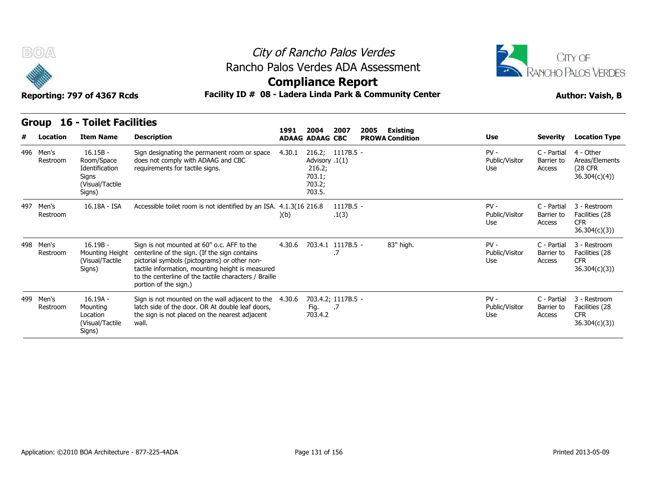



**Compliance Report**

|  | <b>Group 16 - Toilet Facilities</b> |  |
|--|-------------------------------------|--|
|--|-------------------------------------|--|

| Group     |          | <b>16 - Toilet Facilities</b>                                                    |                                                                                                                                                                                                                                                                                   |        |                                                                            |                      |      |                                           |                                 |                                     |                                                              |
|-----------|----------|----------------------------------------------------------------------------------|-----------------------------------------------------------------------------------------------------------------------------------------------------------------------------------------------------------------------------------------------------------------------------------|--------|----------------------------------------------------------------------------|----------------------|------|-------------------------------------------|---------------------------------|-------------------------------------|--------------------------------------------------------------|
| #         | Location | <b>Item Name</b>                                                                 | <b>Description</b>                                                                                                                                                                                                                                                                | 1991   | 2004<br><b>ADAAG ADAAG CBC</b>                                             | 2007                 | 2005 | <b>Existing</b><br><b>PROWA Condition</b> | Use                             | <b>Severity</b>                     | <b>Location Type</b>                                         |
| 496 Men's | Restroom | $16.15B -$<br>Room/Space<br>Identification<br>Signs<br>(Visual/Tactile<br>Signs) | Sign designating the permanent room or space<br>does not comply with ADAAG and CBC<br>requirements for tactile signs.                                                                                                                                                             | 4.30.1 | 216.2; 1117B.5 -<br>Advisory .1(1)<br>216.2;<br>703.1;<br>703.2;<br>703.5. |                      |      |                                           | $PV -$<br>Public/Visitor<br>Use | C - Partial<br>Barrier to<br>Access | 4 - Other<br>Areas/Elements<br>(28 CFR)<br>36.304(c)(4)      |
| 497 Men's | Restroom | 16.18A - ISA                                                                     | Accessible toilet room is not identified by an ISA. 4.1.3(16 216.8)                                                                                                                                                                                                               | )(b)   |                                                                            | $1117B.5 -$<br>.1(3) |      |                                           | $PV -$<br>Public/Visitor<br>Use | C - Partial<br>Barrier to<br>Access | 3 - Restroom<br>Facilities (28<br><b>CFR</b><br>36.304(c)(3) |
| 498 Men's | Restroom | $16.19B -$<br>Mounting Height<br>(Visual/Tactile<br>Signs)                       | Sign is not mounted at 60" o.c. AFF to the<br>centerline of the sign. (If the sign contains<br>pictorial symbols (pictograms) or other non-<br>tactile information, mounting height is measured<br>to the centerline of the tactile characters / Braille<br>portion of the sign.) | 4.30.6 | 703.4.1 1117B.5 -                                                          |                      |      | 83" high.                                 | $PV -$<br>Public/Visitor<br>Use | C - Partial<br>Barrier to<br>Access | 3 - Restroom<br>Facilities (28<br><b>CFR</b><br>36.304(c)(3) |
| 499 Men's | Restroom | $16.19A -$<br>Mounting<br>Location<br>(Visual/Tactile<br>Signs)                  | Sign is not mounted on the wall adjacent to the<br>latch side of the door. OR At double leaf doors,<br>the sign is not placed on the nearest adjacent<br>wall.                                                                                                                    | 4.30.6 | 703.4.2; 1117B.5 -<br>Fig. .7<br>703.4.2                                   |                      |      |                                           | $PV -$<br>Public/Visitor<br>Use | C - Partial<br>Barrier to<br>Access | 3 - Restroom<br>Facilities (28<br><b>CFR</b><br>36.304(c)(3) |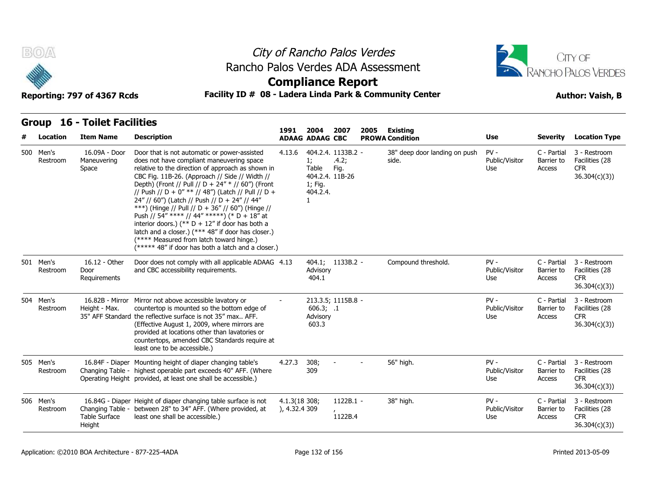



### **Compliance Report**

### Reporting: 797 of 4367 Rcds **Facility ID # 08 - Ladera Linda Park & Community Center Author: Vaish, B**

| #         | Location | <b>Item Name</b>                                   | <b>Description</b>                                                                                                                                                                                                                                                                                                                                                                                                                                                                                                                                                                                                                                                            | 1991                           | 2004<br><b>ADAAG ADAAG CBC</b>                        | 2007                                 | 2005 | Existing<br><b>PROWA Condition</b>     | <b>Use</b>                      | <b>Severity</b>                     | <b>Location Type</b>                                         |
|-----------|----------|----------------------------------------------------|-------------------------------------------------------------------------------------------------------------------------------------------------------------------------------------------------------------------------------------------------------------------------------------------------------------------------------------------------------------------------------------------------------------------------------------------------------------------------------------------------------------------------------------------------------------------------------------------------------------------------------------------------------------------------------|--------------------------------|-------------------------------------------------------|--------------------------------------|------|----------------------------------------|---------------------------------|-------------------------------------|--------------------------------------------------------------|
| 500 Men's | Restroom | 16.09A - Door<br>Maneuvering<br>Space              | Door that is not automatic or power-assisted<br>does not have compliant maneuvering space<br>relative to the direction of approach as shown in<br>CBC Fig. 11B-26. (Approach // Side // Width //<br>Depth) (Front // Pull // D + 24" * // 60") (Front<br>// Push // D + 0" ** // 48") (Latch // Pull // D +<br>24" // 60") (Latch // Push // D + 24" // 44"<br>***) (Hinge // Pull // D + 36" // 60") (Hinge //<br>Push // 54" **** // 44" *****) (* D + 18" at<br>interior doors.) (** $D + 12$ " if door has both a<br>latch and a closer.) (*** 48" if door has closer.)<br>(**** Measured from latch toward hinge.)<br>(***** 48" if door has both a latch and a closer.) | 4.13.6                         | 1;<br>Table<br>404.2.4. 11B-26<br>1; Fig.<br>404.2.4. | 404.2.4. 1133B.2 -<br>.4.2;<br>Fig.  |      | 38" deep door landing on push<br>side. | $PV -$<br>Public/Visitor<br>Use | C - Partial<br>Barrier to<br>Access | 3 - Restroom<br>Facilities (28<br><b>CFR</b><br>36.304(c)(3) |
| 501 Men's | Restroom | 16.12 - Other<br>Door<br>Requirements              | Door does not comply with all applicable ADAAG 4.13<br>and CBC accessibility requirements.                                                                                                                                                                                                                                                                                                                                                                                                                                                                                                                                                                                    |                                | Advisory<br>404.1                                     | 404.1; 1133B.2 -                     |      | Compound threshold.                    | $PV -$<br>Public/Visitor<br>Use | C - Partial<br>Barrier to<br>Access | 3 - Restroom<br>Facilities (28<br><b>CFR</b><br>36.304(c)(3) |
| 504 Men's | Restroom | Height - Max.                                      | 16.82B - Mirror Mirror not above accessible lavatory or<br>countertop is mounted so the bottom edge of<br>35" AFF Standard the reflective surface is not 35" max AFF.<br>(Effective August 1, 2009, where mirrors are<br>provided at locations other than lavatories or<br>countertops, amended CBC Standards require at<br>least one to be accessible.)                                                                                                                                                                                                                                                                                                                      |                                | 606.3; .1<br>Advisory<br>603.3                        | 213.3.5; 1115B.8 -                   |      |                                        | $PV -$<br>Public/Visitor<br>Use | C - Partial<br>Barrier to<br>Access | 3 - Restroom<br>Facilities (28<br><b>CFR</b><br>36.304(c)(3) |
| 505 Men's | Restroom |                                                    | 16.84F - Diaper Mounting height of diaper changing table's<br>Changing Table - highest operable part exceeds 40" AFF. (Where<br>Operating Height provided, at least one shall be accessible.)                                                                                                                                                                                                                                                                                                                                                                                                                                                                                 | 4.27.3                         | 308;<br>309                                           |                                      |      | 56" high.                              | $PV -$<br>Public/Visitor<br>Use | C - Partial<br>Barrier to<br>Access | 3 - Restroom<br>Facilities (28<br><b>CFR</b><br>36.304(c)(3) |
| 506 Men's | Restroom | Changing Table -<br><b>Table Surface</b><br>Height | 16.84G - Diaper Height of diaper changing table surface is not<br>between 28" to 34" AFF. (Where provided, at<br>least one shall be accessible.)                                                                                                                                                                                                                                                                                                                                                                                                                                                                                                                              | 4.1.3(18 308;<br>), 4.32.4 309 |                                                       | 1122B.1 -<br>$\mathbf{r}$<br>1122B.4 |      | 38" high.                              | $PV -$<br>Public/Visitor<br>Use | C - Partial<br>Barrier to<br>Access | 3 - Restroom<br>Facilities (28<br><b>CFR</b><br>36.304(c)(3) |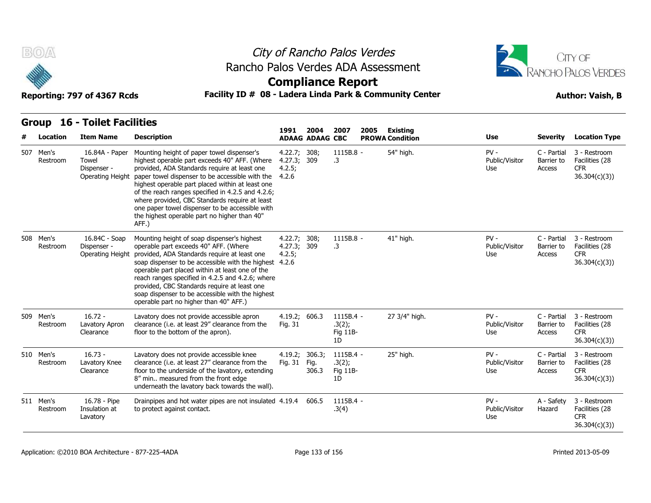



### **Compliance Report**

### Reporting: 797 of 4367 Rcds **Facility ID # 08 - Ladera Linda Park & Community Center Author: Vaish, B**

| # | <b>Location</b>       | <b>Item Name</b>                                                  | <b>Description</b>                                                                                                                                                                                                                                                                                                                                                                                                                                                    | 1991                                           | 2004<br><b>ADAAG ADAAG CBC</b> | 2007                                    | 2005 | Existing<br><b>PROWA Condition</b> | <b>Use</b>                      | <b>Severity</b>                     | <b>Location Type</b>                                          |
|---|-----------------------|-------------------------------------------------------------------|-----------------------------------------------------------------------------------------------------------------------------------------------------------------------------------------------------------------------------------------------------------------------------------------------------------------------------------------------------------------------------------------------------------------------------------------------------------------------|------------------------------------------------|--------------------------------|-----------------------------------------|------|------------------------------------|---------------------------------|-------------------------------------|---------------------------------------------------------------|
|   | 507 Men's<br>Restroom | 16.84A - Paper<br>Towel<br>Dispenser -<br><b>Operating Height</b> | Mounting height of paper towel dispenser's<br>highest operable part exceeds 40" AFF. (Where<br>provided, ADA Standards require at least one<br>paper towel dispenser to be accessible with the<br>highest operable part placed within at least one<br>of the reach ranges specified in 4.2.5 and 4.2.6;<br>where provided, CBC Standards require at least<br>one paper towel dispenser to be accessible with<br>the highest operable part no higher than 40"<br>AFF.) | 4.22.7; 308;<br>4.27.3; 309<br>4.2.5;<br>4.2.6 |                                | 1115B.8 -<br>$\cdot$ 3                  |      | 54" high.                          | $PV -$<br>Public/Visitor<br>Use | C - Partial<br>Barrier to<br>Access | 3 - Restroom<br>Facilities (28<br><b>CFR</b><br>36.304(c)(3)) |
|   | 508 Men's<br>Restroom | 16.84C - Soap<br>Dispenser -<br><b>Operating Height</b>           | Mounting height of soap dispenser's highest<br>operable part exceeds 40" AFF. (Where<br>provided, ADA Standards require at least one<br>soap dispenser to be accessible with the highest 4.2.6<br>operable part placed within at least one of the<br>reach ranges specified in 4.2.5 and 4.2.6; where<br>provided, CBC Standards require at least one<br>soap dispenser to be accessible with the highest<br>operable part no higher than 40" AFF.)                   | 4.22.7; 308;<br>4.27.3; 309<br>4.2.5;          |                                | 1115B.8 -<br>.3                         |      | 41" high.                          | $PV -$<br>Public/Visitor<br>Use | C - Partial<br>Barrier to<br>Access | 3 - Restroom<br>Facilities (28<br><b>CFR</b><br>36.304(c)(3)  |
|   | 509 Men's<br>Restroom | $16.72 -$<br>Lavatory Apron<br>Clearance                          | Lavatory does not provide accessible apron<br>clearance (i.e. at least 29" clearance from the<br>floor to the bottom of the apron).                                                                                                                                                                                                                                                                                                                                   | 4.19.2; 606.3<br>Fig. 31                       |                                | $1115B.4 -$<br>.3(2);<br>Fig 11B-<br>1D |      | 27 3/4" high.                      | $PV -$<br>Public/Visitor<br>Use | C - Partial<br>Barrier to<br>Access | 3 - Restroom<br>Facilities (28<br><b>CFR</b><br>36.304(c)(3)  |
|   | 510 Men's<br>Restroom | $16.73 -$<br>Lavatory Knee<br>Clearance                           | Lavatory does not provide accessible knee<br>clearance (i.e. at least 27" clearance from the<br>floor to the underside of the lavatory, extending<br>8" min measured from the front edge<br>underneath the lavatory back towards the wall).                                                                                                                                                                                                                           | 4.19.2; 306.3;<br>Fig. 31                      | Fig.<br>306.3                  | 1115B.4 -<br>.3(2);<br>Fig 11B-<br>1D   |      | 25" high.                          | $PV -$<br>Public/Visitor<br>Use | C - Partial<br>Barrier to<br>Access | 3 - Restroom<br>Facilities (28<br><b>CFR</b><br>36.304(c)(3)  |
|   | 511 Men's<br>Restroom | 16.78 - Pipe<br>Insulation at<br>Lavatory                         | Drainpipes and hot water pipes are not insulated 4.19.4<br>to protect against contact.                                                                                                                                                                                                                                                                                                                                                                                |                                                | 606.5                          | 1115B.4 -<br>.3(4)                      |      |                                    | $PV -$<br>Public/Visitor<br>Use | A - Safety<br>Hazard                | 3 - Restroom<br>Facilities (28<br><b>CFR</b><br>36.304(c)(3)) |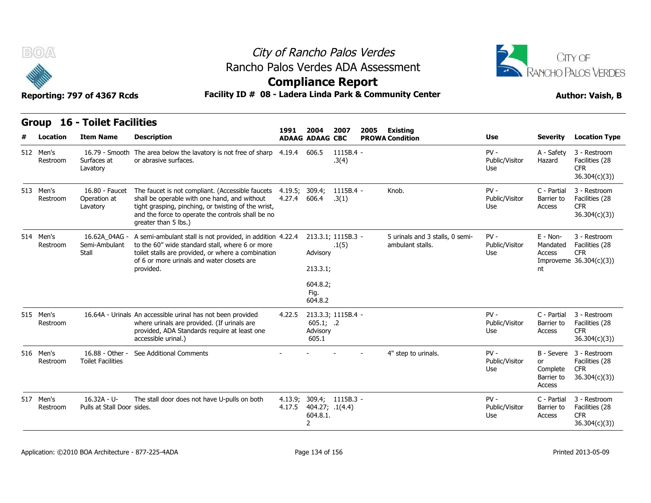



### **Compliance Report**

### Reporting: 797 of 4367 Rcds **Facility ID # 08 - Ladera Linda Park & Community Center Author: Vaish, B**

| <b>Reporting: 797 of 4367 Rcds</b> |  |  |  |
|------------------------------------|--|--|--|
|------------------------------------|--|--|--|

| B(0)                  | City of Rancho Palos Verdes<br>Rancho Palos Verdes ADA Assessment<br><b>Compliance Report</b> |                                                                                                                                                                                                                                      |                          |                                                     |                             |      |                                                     |                                 |                                             | CITY OF<br><b>RANCHO PALOS VERDES</b>                                   |
|-----------------------|-----------------------------------------------------------------------------------------------|--------------------------------------------------------------------------------------------------------------------------------------------------------------------------------------------------------------------------------------|--------------------------|-----------------------------------------------------|-----------------------------|------|-----------------------------------------------------|---------------------------------|---------------------------------------------|-------------------------------------------------------------------------|
|                       | Reporting: 797 of 4367 Rcds                                                                   | Facility ID # 08 - Ladera Linda Park & Community Center                                                                                                                                                                              |                          |                                                     |                             |      |                                                     |                                 |                                             | <b>Author: Vaish, B</b>                                                 |
|                       | <b>Group 16 - Toilet Facilities</b>                                                           |                                                                                                                                                                                                                                      |                          |                                                     |                             |      |                                                     |                                 |                                             |                                                                         |
| Location              | <b>Item Name</b>                                                                              | <b>Description</b>                                                                                                                                                                                                                   | 1991                     | 2004<br><b>ADAAG ADAAG CBC</b>                      | 2007                        | 2005 | <b>Existing</b><br><b>PROWA Condition</b>           | Use                             | <b>Severity</b>                             | <b>Location Type</b>                                                    |
| 512 Men's<br>Restroom | Surfaces at<br>Lavatory                                                                       | 16.79 - Smooth The area below the lavatory is not free of sharp 4.19.4<br>or abrasive surfaces.                                                                                                                                      |                          | 606.5                                               | 1115B.4 -<br>.3(4)          |      |                                                     | $PV -$<br>Public/Visitor<br>Use | A - Safety<br>Hazard                        | 3 - Restroom<br>Facilities (28<br><b>CFR</b><br>36.304(c)(3)            |
| 513 Men's<br>Restroom | 16.80 - Faucet<br>Operation at<br>Lavatory                                                    | The faucet is not compliant. (Accessible faucets<br>shall be operable with one hand, and without<br>tight grasping, pinching, or twisting of the wrist,<br>and the force to operate the controls shall be no<br>greater than 5 lbs.) | 4.19.5; 309.4;<br>4.27.4 | 606.4                                               | $1115B.4 -$<br>.3(1)        |      | Knob.                                               | $PV -$<br>Public/Visitor<br>Use | C - Partial<br>Barrier to<br>Access         | 3 - Restroom<br>Facilities (28<br><b>CFR</b><br>36.304(c)(3)            |
| 514 Men's<br>Restroom | 16.62A_04AG<br>Semi-Ambulant<br>Stall                                                         | A semi-ambulant stall is not provided, in addition 4.22.4<br>to the 60" wide standard stall, where 6 or more<br>toilet stalls are provided, or where a combination<br>of 6 or more urinals and water closets are<br>provided.        |                          | Advisory<br>213.3.1;<br>604.8.2;<br>Fig.<br>604.8.2 | 213.3.1; 1115B.3 -<br>.1(5) |      | 5 urinals and 3 stalls, 0 semi-<br>ambulant stalls. | $PV -$<br>Public/Visitor<br>Use | E - Non-<br>Mandated<br><b>Access</b><br>nt | 3 - Restroom<br>Facilities (28<br><b>CFR</b><br>Improveme 36.304(c)(3)) |
| 515 Men's<br>Restroom |                                                                                               | 16.64A - Urinals An accessible urinal has not been provided<br>where urinals are provided. (If urinals are<br>provided, ADA Standards require at least one<br>accessible urinal.)                                                    | 4.22.5                   | 605.1; .2<br>Advisory<br>605.1                      | 213.3.3; 1115B.4 -          |      |                                                     | $PV -$<br>Public/Visitor<br>Use | C - Partial<br>Barrier to<br>Access         | 3 - Restroom<br>Facilities (28<br><b>CFR</b><br>36.304(c)(3))           |
| 516 Men's<br>Restroom | 16.88 - Other -<br><b>Toilet Facilities</b>                                                   | See Additional Comments                                                                                                                                                                                                              |                          |                                                     |                             |      | 4" step to urinals.                                 | $PV -$<br>Public/Visitor<br>Use | or<br>Complete<br>Barrier to<br>Access      | B - Severe 3 - Restroom<br>Facilities (28<br><b>CFR</b><br>36.304(c)(3) |
| 517 Men's<br>Restroom | $16.32A - U -$<br>Pulls at Stall Door sides.                                                  | The stall door does not have U-pulls on both                                                                                                                                                                                         | 4.13.9;<br>4.17.5        | 404.27; .1(4.4)<br>604.8.1.<br>2                    | 309.4; 1115B.3 -            |      |                                                     | $PV -$<br>Public/Visitor<br>Use | C - Partial<br>Barrier to<br>Access         | 3 - Restroom<br>Facilities (28<br><b>CFR</b><br>36.304(c)(3)            |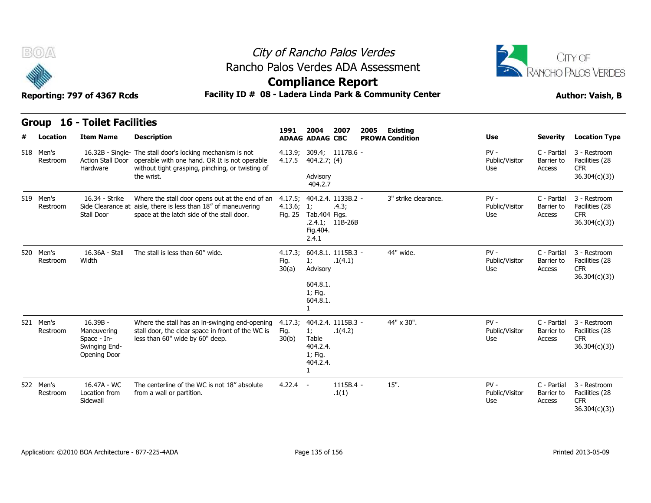



**Compliance Report**

|   |                       | Reporting: 797 of 4367 Rcds                                                      | Facility ID # 08 - Ladera Linda Park & Community Center                                                                                                                                         |                          |                                                                                      |                            |      |                        | <b>Author: Vaish, B</b>         |                                     |                                                               |  |
|---|-----------------------|----------------------------------------------------------------------------------|-------------------------------------------------------------------------------------------------------------------------------------------------------------------------------------------------|--------------------------|--------------------------------------------------------------------------------------|----------------------------|------|------------------------|---------------------------------|-------------------------------------|---------------------------------------------------------------|--|
|   |                       | Group 16 - Toilet Facilities                                                     |                                                                                                                                                                                                 | 1991                     | 2004                                                                                 | 2007                       | 2005 | <b>Existing</b>        |                                 |                                     |                                                               |  |
| # | Location              | <b>Item Name</b>                                                                 | <b>Description</b>                                                                                                                                                                              |                          | <b>ADAAG ADAAG CBC</b>                                                               |                            |      | <b>PROWA Condition</b> | <b>Use</b>                      | <b>Severity</b>                     | <b>Location Type</b>                                          |  |
|   | 518 Men's<br>Restroom | Hardware                                                                         | 16.32B - Single- The stall door's locking mechanism is not<br>Action Stall Door operable with one hand. OR It is not operable<br>without tight grasping, pinching, or twisting of<br>the wrist. | 4.17.5                   | 4.13.9; 309.4; 1117B.6 -<br>404.2.7; (4)<br>Advisory<br>404.2.7                      |                            |      |                        | $PV -$<br>Public/Visitor<br>Use | C - Partial<br>Barrier to<br>Access | 3 - Restroom<br>Facilities (28<br><b>CFR</b><br>36.304(c)(3)) |  |
|   | 519 Men's<br>Restroom | 16.34 - Strike<br><b>Stall Door</b>                                              | Where the stall door opens out at the end of an<br>Side Clearance at aisle, there is less than 18" of maneuvering<br>space at the latch side of the stall door.                                 | 4.13.6; 1;<br>Fig. 25    | 4.17.5; 404.2.4. 1133B.2 -<br>Tab.404 Figs.<br>Fig. 404.<br>2.4.1                    | .4.3;<br>$.2.4.1; 11B-26B$ |      | 3" strike clearance.   | $PV -$<br>Public/Visitor<br>Use | C - Partial<br>Barrier to<br>Access | 3 - Restroom<br>Facilities (28<br><b>CFR</b><br>36.304(c)(3)  |  |
|   | 520 Men's<br>Restroom | 16.36A - Stall<br>Width                                                          | The stall is less than 60" wide.                                                                                                                                                                | 4.17.3:<br>Fig.<br>30(a) | 604.8.1. 1115B.3 -<br>1;<br>Advisory<br>604.8.1.<br>1; Fig.<br>604.8.1.              | .1(4.1)                    |      | 44" wide.              | $PV -$<br>Public/Visitor<br>Use | C - Partial<br>Barrier to<br>Access | 3 - Restroom<br>Facilities (28<br><b>CFR</b><br>36.304(c)(3)  |  |
|   | 521 Men's<br>Restroom | $16.39B -$<br>Maneuvering<br>Space - In-<br>Swinging End-<br><b>Opening Door</b> | Where the stall has an in-swinging end-opening<br>stall door, the clear space in front of the WC is<br>less than 60" wide by 60" deep.                                                          | 4.17.3;<br>Fig.<br>30(b) | 404.2.4. 1115B.3 -<br>1;<br>Table<br>404.2.4.<br>1; Fig.<br>404.2.4.<br>$\mathbf{1}$ | .1(4.2)                    |      | 44" x 30".             | $PV -$<br>Public/Visitor<br>Use | C - Partial<br>Barrier to<br>Access | 3 - Restroom<br>Facilities (28<br><b>CFR</b><br>36.304(c)(3)  |  |
|   | 522 Men's<br>Restroom | 16.47A - WC<br>Location from<br>Sidewall                                         | The centerline of the WC is not 18" absolute<br>from a wall or partition.                                                                                                                       | $4.22.4 -$               |                                                                                      | $1115B.4 -$<br>.1(1)       |      | $15"$ .                | $PV -$<br>Public/Visitor<br>Use | C - Partial<br>Barrier to<br>Access | 3 - Restroom<br>Facilities (28<br><b>CFR</b><br>36.304(c)(3)  |  |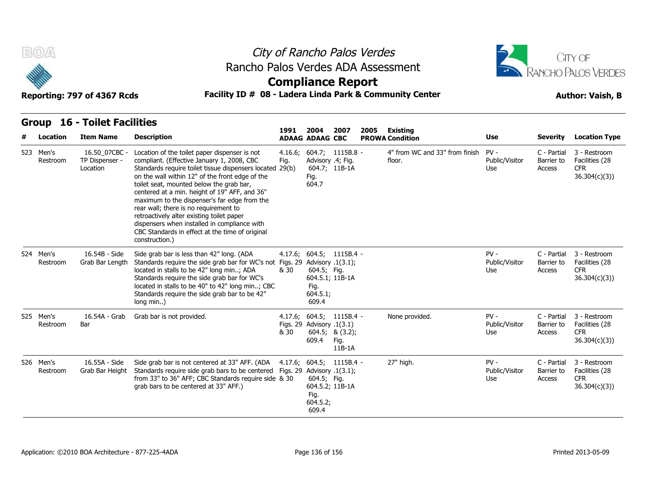



### **Compliance Report**

### Reporting: 797 of 4367 Rcds **Facility ID # 08 - Ladera Linda Park & Community Center Author: Vaish, B**

**1991** 

| # | <b>Location</b>       | <b>Item Name</b>                            | <b>Description</b>                                                                                                                                                                                                                                                                                                                                                                                                                                                                                                                                                 | 1991            | 2004<br><b>ADAAG ADAAG CBC</b>                                            | 2007                                                                   | 2005 | Existing<br><b>PROWA Condition</b>       | Use                             | <b>Severity</b>                     | <b>Location Type</b>                                         |
|---|-----------------------|---------------------------------------------|--------------------------------------------------------------------------------------------------------------------------------------------------------------------------------------------------------------------------------------------------------------------------------------------------------------------------------------------------------------------------------------------------------------------------------------------------------------------------------------------------------------------------------------------------------------------|-----------------|---------------------------------------------------------------------------|------------------------------------------------------------------------|------|------------------------------------------|---------------------------------|-------------------------------------|--------------------------------------------------------------|
|   | 523 Men's<br>Restroom | 16.50 07CBC -<br>TP Dispenser -<br>Location | Location of the toilet paper dispenser is not<br>compliant. (Effective January 1, 2008, CBC<br>Standards require toilet tissue dispensers located 29(b)<br>on the wall within 12" of the front edge of the<br>toilet seat, mounted below the grab bar,<br>centered at a min. height of 19" AFF, and 36"<br>maximum to the dispenser's far edge from the<br>rear wall; there is no requirement to<br>retroactively alter existing toilet paper<br>dispensers when installed in compliance with<br>CBC Standards in effect at the time of original<br>construction.) | 4.16.6;<br>Fig. | Advisory .4; Fig.<br>Fig.<br>604.7                                        | $604.7; 1115B.8 -$<br>604.7; 11B-1A                                    |      | 4" from WC and 33" from finish<br>floor. | $PV -$<br>Public/Visitor<br>Use | C - Partial<br>Barrier to<br>Access | 3 - Restroom<br>Facilities (28<br><b>CFR</b><br>36.304(c)(3) |
|   | 524 Men's<br>Restroom | 16.54B - Side<br>Grab Bar Length            | Side grab bar is less than 42" long. (ADA<br>Standards require the side grab bar for WC's not Figs. 29 Advisory .1(3.1);<br>located in stalls to be 42" long min; ADA<br>Standards require the side grab bar for WC's<br>located in stalls to be 40" to 42" long min; CBC<br>Standards require the side grab bar to be 42"<br>long min)                                                                                                                                                                                                                            | & 30            | 604.5; Fig.<br>Fig.<br>604.5.1;<br>609.4                                  | $4.17.6$ ; $604.5$ ; $1115B.4$ -<br>604.5.1; 11B-1A                    |      |                                          | $PV -$<br>Public/Visitor<br>Use | C - Partial<br>Barrier to<br>Access | 3 - Restroom<br>Facilities (28<br><b>CFR</b><br>36.304(c)(3) |
|   | 525 Men's<br>Restroom | 16.54A - Grab<br>Bar                        | Grab bar is not provided.                                                                                                                                                                                                                                                                                                                                                                                                                                                                                                                                          | & 30            | Figs. 29 Advisory .1(3.1)<br>609.4                                        | $4.17.6$ ; $604.5$ ; $1115B.4$ -<br>604.5; 8(3.2);<br>Fig.<br>$11B-1A$ |      | None provided.                           | $PV -$<br>Public/Visitor<br>Use | C - Partial<br>Barrier to<br>Access | 3 - Restroom<br>Facilities (28<br><b>CFR</b><br>36.304(c)(3) |
|   | 526 Men's<br>Restroom | 16.55A - Side<br>Grab Bar Height            | Side grab bar is not centered at 33" AFF. (ADA<br>Standards require side grab bars to be centered<br>from 33" to 36" AFF; CBC Standards require side & 30<br>grab bars to be centered at 33" AFF.)                                                                                                                                                                                                                                                                                                                                                                 |                 | Figs. 29 Advisory $.1(3.1)$ ;<br>604.5; Fig.<br>Fig.<br>604.5.2;<br>609.4 | $4.17.6; 604.5; 1115B.4 -$<br>604.5.2; 11B-1A                          |      | 27" high.                                | $PV -$<br>Public/Visitor<br>Use | C - Partial<br>Barrier to<br>Access | 3 - Restroom<br>Facilities (28<br><b>CFR</b><br>36.304(c)(3) |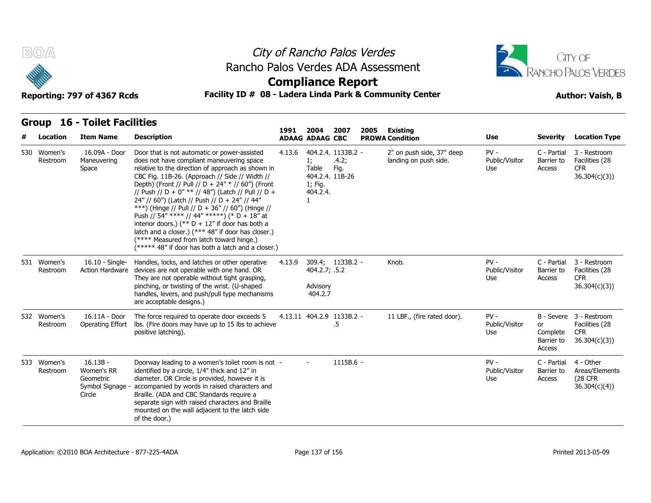



### **Compliance Report**

### Reporting: 797 of 4367 Rcds **Facility ID # 08 - Ladera Linda Park & Community Center Author: Vaish, B**

| # | Location                | <b>Item Name</b>                                                  | <b>Description</b>                                                                                                                                                                                                                                                                                                                                                                                                                                                                                                                                                                                                                                                            | 1991   | 2004<br><b>ADAAG ADAAG CBC</b>                                        | 2007                                | 2005 | <b>Existing</b><br><b>PROWA Condition</b>          | Use                             | <b>Severity</b>                               | <b>Location Type</b>                                                    |
|---|-------------------------|-------------------------------------------------------------------|-------------------------------------------------------------------------------------------------------------------------------------------------------------------------------------------------------------------------------------------------------------------------------------------------------------------------------------------------------------------------------------------------------------------------------------------------------------------------------------------------------------------------------------------------------------------------------------------------------------------------------------------------------------------------------|--------|-----------------------------------------------------------------------|-------------------------------------|------|----------------------------------------------------|---------------------------------|-----------------------------------------------|-------------------------------------------------------------------------|
|   | 530 Women's<br>Restroom | 16.09A - Door<br>Maneuvering<br>Space                             | Door that is not automatic or power-assisted<br>does not have compliant maneuvering space<br>relative to the direction of approach as shown in<br>CBC Fig. 11B-26. (Approach // Side // Width //<br>Depth) (Front // Pull // D + 24" * // 60") (Front<br>// Push // D + 0" ** // 48") (Latch // Pull // D +<br>24" // 60") (Latch // Push // D + 24" // 44"<br>***) (Hinge // Pull // D + 36" // 60") (Hinge //<br>Push // 54" **** // 44" *****) (* D + 18" at<br>interior doors.) (** $D + 12$ " if door has both a<br>latch and a closer.) (*** 48" if door has closer.)<br>(**** Measured from latch toward hinge.)<br>(***** 48" if door has both a latch and a closer.) | 4.13.6 | 1;<br>Table<br>404.2.4. 11B-26<br>1; Fig.<br>404.2.4.<br>$\mathbf{1}$ | 404.2.4. 1133B.2 -<br>.4.2;<br>Fig. |      | 2" on push side, 37" deep<br>landing on push side. | $PV -$<br>Public/Visitor<br>Use | C - Partial<br>Barrier to<br>Access           | 3 - Restroom<br>Facilities (28<br><b>CFR</b><br>36.304(c)(3)            |
|   | 531 Women's<br>Restroom | $16.10 -$ Single-<br>Action Hardware                              | Handles, locks, and latches or other operative<br>devices are not operable with one hand. OR<br>They are not operable without tight grasping,<br>pinching, or twisting of the wrist. (U-shaped<br>handles, levers, and push/pull type mechanisms<br>are acceptable designs.)                                                                                                                                                                                                                                                                                                                                                                                                  | 4.13.9 | 404.2.7; .5.2<br>Advisory<br>404.2.7                                  | 309.4; 1133B.2 -                    |      | Knob.                                              | $PV -$<br>Public/Visitor<br>Use | C - Partial<br>Barrier to<br>Access           | 3 - Restroom<br>Facilities (28<br><b>CFR</b><br>36.304(c)(3)            |
|   | 532 Women's<br>Restroom | 16.11A - Door<br>Operating Effort                                 | The force required to operate door exceeds 5<br>lbs. (Fire doors may have up to 15 lbs to achieve<br>positive latching).                                                                                                                                                                                                                                                                                                                                                                                                                                                                                                                                                      |        |                                                                       | 4.13.11 404.2.9 1133B.2 -<br>.5     |      | 11 LBF., (fire rated door).                        | $PV -$<br>Public/Visitor<br>Use | <b>or</b><br>Complete<br>Barrier to<br>Access | B - Severe 3 - Restroom<br>Facilities (28<br><b>CFR</b><br>36.304(c)(3) |
|   | 533 Women's<br>Restroom | $16.13B -$<br>Women's RR<br>Geometric<br>Symbol Signage<br>Circle | Doorway leading to a women's toilet room is not -<br>identified by a circle, 1/4" thick and 12" in<br>diameter. OR Circle is provided, however it is<br>accompanied by words in raised characters and<br>Braille. (ADA and CBC Standards require a<br>separate sign with raised characters and Braille<br>mounted on the wall adjacent to the latch side<br>of the door.)                                                                                                                                                                                                                                                                                                     |        |                                                                       | $1115B.6 -$                         |      |                                                    | $PV -$<br>Public/Visitor<br>Use | C - Partial<br>Barrier to<br>Access           | 4 - Other<br>Areas/Elements<br>(28 CFR)<br>36.304(c)(4)                 |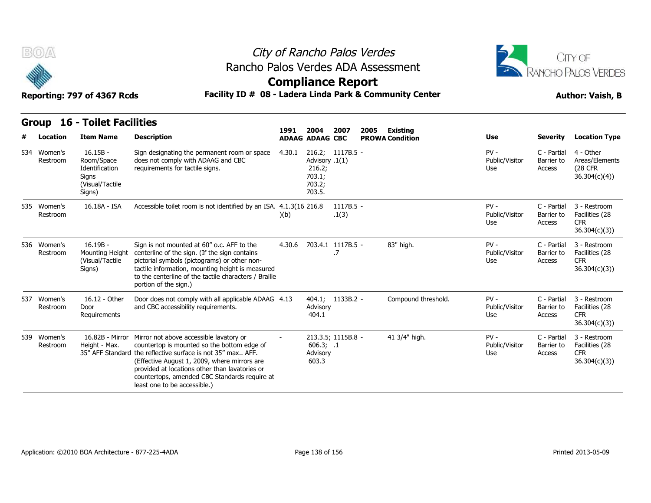



**Compliance Report**

| Group 16 - Toilet Facilities |  |
|------------------------------|--|
|                              |  |

|                         | <b>Group 16 - Toilet Facilities</b>                                              |                                                                                                                                                                                                                                                                                                                                          |        |                                                        |                      |                                            |                                 |                                     |                                                              |
|-------------------------|----------------------------------------------------------------------------------|------------------------------------------------------------------------------------------------------------------------------------------------------------------------------------------------------------------------------------------------------------------------------------------------------------------------------------------|--------|--------------------------------------------------------|----------------------|--------------------------------------------|---------------------------------|-------------------------------------|--------------------------------------------------------------|
| Location                | <b>Item Name</b>                                                                 | <b>Description</b>                                                                                                                                                                                                                                                                                                                       | 1991   | 2004<br><b>ADAAG ADAAG CBC</b>                         | 2007                 | 2005<br>Existing<br><b>PROWA Condition</b> | Use                             | <b>Severity</b>                     | <b>Location Type</b>                                         |
| 534 Women's<br>Restroom | $16.15B -$<br>Room/Space<br>Identification<br>Signs<br>(Visual/Tactile<br>Signs) | Sign designating the permanent room or space<br>does not comply with ADAAG and CBC<br>requirements for tactile signs.                                                                                                                                                                                                                    | 4.30.1 | Advisory .1(1)<br>216.2;<br>703.1;<br>703.2;<br>703.5. | 216.2; 1117B.5 -     |                                            | $PV -$<br>Public/Visitor<br>Use | C - Partial<br>Barrier to<br>Access | 4 - Other<br>Areas/Elements<br>(28 CFR<br>36.304(c)(4)       |
| 535 Women's<br>Restroom | 16.18A - ISA                                                                     | Accessible toilet room is not identified by an ISA. 4.1.3(16 216.8)                                                                                                                                                                                                                                                                      | )(b)   |                                                        | $1117B.5 -$<br>.1(3) |                                            | $PV -$<br>Public/Visitor<br>Use | C - Partial<br>Barrier to<br>Access | 3 - Restroom<br>Facilities (28<br><b>CFR</b><br>36.304(c)(3) |
| 536 Women's<br>Restroom | $16.19B -$<br>Mounting Height<br>(Visual/Tactile<br>Signs)                       | Sign is not mounted at 60" o.c. AFF to the<br>centerline of the sign. (If the sign contains<br>pictorial symbols (pictograms) or other non-<br>tactile information, mounting height is measured<br>to the centerline of the tactile characters / Braille<br>portion of the sign.)                                                        | 4.30.6 | 703.4.1 1117B.5 -                                      | .7                   | 83" high.                                  | $PV -$<br>Public/Visitor<br>Use | C - Partial<br>Barrier to<br>Access | 3 - Restroom<br>Facilities (28<br><b>CFR</b><br>36.304(c)(3) |
| 537 Women's<br>Restroom | 16.12 - Other<br>Door<br>Requirements                                            | Door does not comply with all applicable ADAAG 4.13<br>and CBC accessibility requirements.                                                                                                                                                                                                                                               |        | Advisory<br>404.1                                      | 404.1; 1133B.2 -     | Compound threshold.                        | $PV -$<br>Public/Visitor<br>Use | C - Partial<br>Barrier to<br>Access | 3 - Restroom<br>Facilities (28<br><b>CFR</b><br>36.304(c)(3) |
| 539 Women's<br>Restroom | 16.82B - Mirror<br>Height - Max.                                                 | Mirror not above accessible lavatory or<br>countertop is mounted so the bottom edge of<br>35" AFF Standard the reflective surface is not 35" max AFF.<br>(Effective August 1, 2009, where mirrors are<br>provided at locations other than lavatories or<br>countertops, amended CBC Standards require at<br>least one to be accessible.) |        | 606.3; .1<br>Advisory<br>603.3                         | 213.3.5; 1115B.8 -   | 41 3/4" high.                              | $PV -$<br>Public/Visitor<br>Use | C - Partial<br>Barrier to<br>Access | 3 - Restroom<br>Facilities (28<br><b>CFR</b><br>36.304(c)(3) |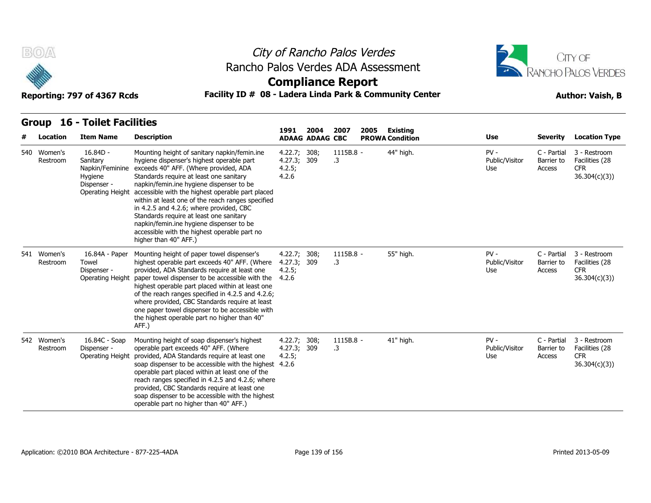



### **Compliance Report**

### Reporting: 797 of 4367 Rcds **Facility ID # 08 - Ladera Linda Park & Community Center Author: Vaish, B**

**1991** 

| # | <b>Location</b>         | <b>Item Name</b>                                                                        | <b>Description</b>                                                                                                                                                                                                                                                                                                                                                                                                                                                                                                                            | 1991                                           | 2004<br><b>ADAAG ADAAG CBC</b> | 2007            | 2005 | Existing<br><b>PROWA Condition</b> | <b>Use</b>                      | <b>Severity</b>                     | <b>Location Type</b>                                         |
|---|-------------------------|-----------------------------------------------------------------------------------------|-----------------------------------------------------------------------------------------------------------------------------------------------------------------------------------------------------------------------------------------------------------------------------------------------------------------------------------------------------------------------------------------------------------------------------------------------------------------------------------------------------------------------------------------------|------------------------------------------------|--------------------------------|-----------------|------|------------------------------------|---------------------------------|-------------------------------------|--------------------------------------------------------------|
|   | 540 Women's<br>Restroom | $16.84D -$<br>Sanitary<br>Napkin/Feminine<br>Hygiene<br>Dispenser -<br>Operating Height | Mounting height of sanitary napkin/femin.ine<br>hygiene dispenser's highest operable part<br>exceeds 40" AFF. (Where provided, ADA<br>Standards require at least one sanitary<br>napkin/femin.ine hygiene dispenser to be<br>accessible with the highest operable part placed<br>within at least one of the reach ranges specified<br>in 4.2.5 and 4.2.6; where provided, CBC<br>Standards require at least one sanitary<br>napkin/femin.ine hygiene dispenser to be<br>accessible with the highest operable part no<br>higher than 40" AFF.) | 4.22.7; 308;<br>4.27.3; 309<br>4.2.5;<br>4.2.6 |                                | 1115B.8 -<br>.3 |      | 44" high.                          | $PV -$<br>Public/Visitor<br>Use | C - Partial<br>Barrier to<br>Access | 3 - Restroom<br>Facilities (28<br><b>CFR</b><br>36.304(c)(3) |
|   | 541 Women's<br>Restroom | 16.84A - Paper<br>Towel<br>Dispenser -<br>Operating Height                              | Mounting height of paper towel dispenser's<br>highest operable part exceeds 40" AFF. (Where<br>provided, ADA Standards require at least one<br>paper towel dispenser to be accessible with the<br>highest operable part placed within at least one<br>of the reach ranges specified in 4.2.5 and 4.2.6;<br>where provided, CBC Standards require at least<br>one paper towel dispenser to be accessible with<br>the highest operable part no higher than 40"<br>AFF.)                                                                         | 4.22.7; 308;<br>4.27.3; 309<br>4.2.5;<br>4.2.6 |                                | 1115B.8 -<br>.3 |      | 55" high.                          | $PV -$<br>Public/Visitor<br>Use | C - Partial<br>Barrier to<br>Access | 3 - Restroom<br>Facilities (28<br><b>CFR</b><br>36.304(c)(3) |
|   | 542 Women's<br>Restroom | 16.84C - Soap<br>Dispenser -<br>Operating Height                                        | Mounting height of soap dispenser's highest<br>operable part exceeds 40" AFF. (Where<br>provided, ADA Standards require at least one<br>soap dispenser to be accessible with the highest 4.2.6<br>operable part placed within at least one of the<br>reach ranges specified in 4.2.5 and 4.2.6; where<br>provided, CBC Standards require at least one<br>soap dispenser to be accessible with the highest<br>operable part no higher than 40" AFF.)                                                                                           | 4.22.7; 308;<br>4.27.3; 309<br>4.2.5;          |                                | 1115B.8 -<br>.3 |      | 41" high.                          | $PV -$<br>Public/Visitor<br>Use | C - Partial<br>Barrier to<br>Access | 3 - Restroom<br>Facilities (28<br><b>CFR</b><br>36.304(c)(3) |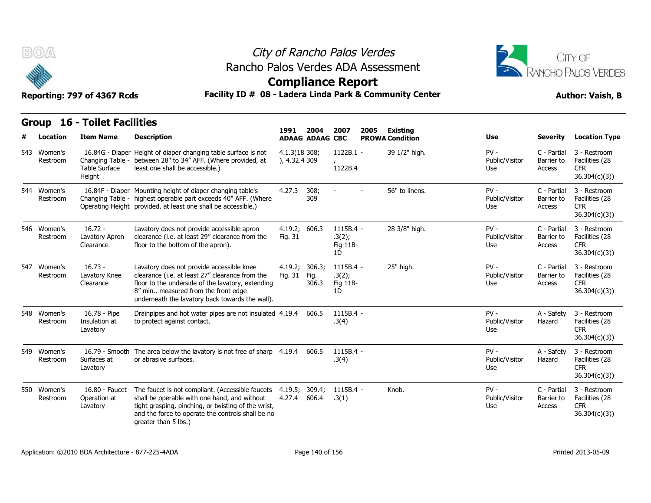

## City of Rancho Palos Verdes Rancho Palos Verdes ADA Assessment



### **Compliance Report**

| B(0)                    | City of Rancho Palos Verdes<br>Rancho Palos Verdes ADA Assessment<br><b>Compliance Report</b><br>Reporting: 797 of 4367 Rcds |                                                                                                                                                                                                                                                     |                                |                                |                                       |      | CITY OF<br><b>RANCHO PALOS VERDES</b><br>Facility ID # 08 - Ladera Linda Park & Community Center<br><b>Author: Vaish, B</b> |                                 |                                     |                                                               |  |
|-------------------------|------------------------------------------------------------------------------------------------------------------------------|-----------------------------------------------------------------------------------------------------------------------------------------------------------------------------------------------------------------------------------------------------|--------------------------------|--------------------------------|---------------------------------------|------|-----------------------------------------------------------------------------------------------------------------------------|---------------------------------|-------------------------------------|---------------------------------------------------------------|--|
| <b>Group</b>            | <b>16 - Toilet Facilities</b>                                                                                                |                                                                                                                                                                                                                                                     |                                |                                |                                       |      |                                                                                                                             |                                 |                                     |                                                               |  |
| Location                | <b>Item Name</b>                                                                                                             | <b>Description</b>                                                                                                                                                                                                                                  | 1991                           | 2004<br><b>ADAAG ADAAG CBC</b> | 2007                                  | 2005 | <b>Existing</b><br><b>PROWA Condition</b>                                                                                   | Use                             | <b>Severity</b>                     | <b>Location Type</b>                                          |  |
| 543 Women's<br>Restroom | <b>Table Surface</b><br>Height                                                                                               | 16.84G - Diaper Height of diaper changing table surface is not<br>Changing Table - between 28" to 34" AFF. (Where provided, at<br>least one shall be accessible.)                                                                                   | 4.1.3(18 308;<br>), 4.32.4 309 |                                | $1122B.1 -$<br>1122B.4                |      | 39 1/2" high.                                                                                                               | PV-<br>Public/Visitor<br>Use    | C - Partial<br>Barrier to<br>Access | 3 - Restroom<br>Facilities (28<br><b>CFR</b><br>36.304(c)(3)  |  |
| 544 Women's<br>Restroom |                                                                                                                              | 16.84F - Diaper Mounting height of diaper changing table's<br>Changing Table - highest operable part exceeds 40" AFF. (Where<br>Operating Height provided, at least one shall be accessible.)                                                       | 4.27.3                         | 308;<br>309                    |                                       |      | 56" to linens.                                                                                                              | $PV -$<br>Public/Visitor<br>Use | C - Partial<br>Barrier to<br>Access | 3 - Restroom<br>Facilities (28<br><b>CFR</b><br>36.304(c)(3)) |  |
| 546 Women's<br>Restroom | $16.72 -$<br>Lavatory Apron<br>Clearance                                                                                     | Lavatory does not provide accessible apron<br>clearance (i.e. at least 29" clearance from the<br>floor to the bottom of the apron).                                                                                                                 | 4.19.2; 606.3<br>Fig. 31       |                                | 1115B.4 -<br>.3(2);<br>Fig 11B-<br>1D |      | 28 3/8" high.                                                                                                               | PV-<br>Public/Visitor<br>Use    | C - Partial<br>Barrier to<br>Access | 3 - Restroom<br>Facilities (28<br><b>CFR</b><br>36.304(c)(3)  |  |
| 547 Women's<br>Restroom | $16.73 -$<br>Lavatory Knee<br>Clearance                                                                                      | Lavatory does not provide accessible knee<br>clearance (i.e. at least 27" clearance from the<br>floor to the underside of the lavatory, extending<br>8" min measured from the front edge<br>underneath the lavatory back towards the wall).         | 4.19.2;<br>Fig. 31             | 306.3;<br>Fig.<br>306.3        | 1115B.4 -<br>.3(2);<br>Fig 11B-<br>1D |      | 25" high.                                                                                                                   | $PV -$<br>Public/Visitor<br>Use | C - Partial<br>Barrier to<br>Access | 3 - Restroom<br>Facilities (28<br><b>CFR</b><br>36.304(c)(3)  |  |
| 548 Women's<br>Restroom | 16.78 - Pipe<br>Insulation at<br>Lavatory                                                                                    | Drainpipes and hot water pipes are not insulated 4.19.4<br>to protect against contact.                                                                                                                                                              |                                | 606.5                          | 1115B.4 -<br>.3(4)                    |      |                                                                                                                             | $PV -$<br>Public/Visitor<br>Use | A - Safety<br>Hazard                | 3 - Restroom<br>Facilities (28<br>CFR.<br>36.304(c)(3)        |  |
| 549 Women's<br>Restroom | Surfaces at<br>Lavatory                                                                                                      | 16.79 - Smooth The area below the lavatory is not free of sharp 4.19.4 606.5<br>or abrasive surfaces.                                                                                                                                               |                                |                                | 1115B.4 -<br>.3(4)                    |      |                                                                                                                             | $PV -$<br>Public/Visitor<br>Use | A - Safety<br>Hazard                | 3 - Restroom<br>Facilities (28<br><b>CFR</b><br>36.304(c)(3)  |  |
| 550 Women's<br>Restroom | 16.80 - Faucet<br>Operation at<br>Lavatory                                                                                   | The faucet is not compliant. (Accessible faucets 4.19.5; 309.4;<br>shall be operable with one hand, and without<br>tight grasping, pinching, or twisting of the wrist,<br>and the force to operate the controls shall be no<br>greater than 5 lbs.) | 4.27.4                         | 606.4                          | $1115B.4 -$<br>.3(1)                  |      | Knob.                                                                                                                       | $PV -$<br>Public/Visitor<br>Use | C - Partial<br>Barrier to<br>Access | 3 - Restroom<br>Facilities (28<br><b>CFR</b><br>36.304(c)(3)  |  |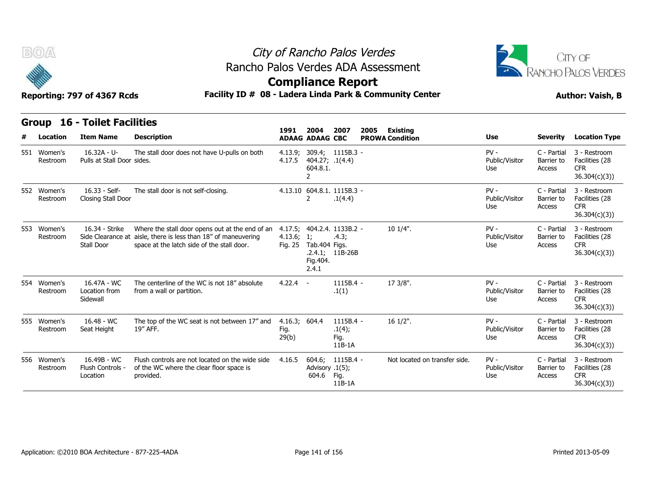



### **Facility ID # 08 - Ladera Linda Park & Community Center Author: Vaish, B**

| Reporting: 797 of 4367 Rcds |  |  |  |
|-----------------------------|--|--|--|
|-----------------------------|--|--|--|

| B(0)<br>Reporting: 797 of 4367 Rcds |                         |                                              |                                                                                                                                                                 | City of Rancho Palos Verdes<br>Rancho Palos Verdes ADA Assessment<br><b>Compliance Report</b><br>Facility ID # 08 - Ladera Linda Park & Community Center |                                               |                                                  |      |                               |                                 |                                     |                                                              |
|-------------------------------------|-------------------------|----------------------------------------------|-----------------------------------------------------------------------------------------------------------------------------------------------------------------|----------------------------------------------------------------------------------------------------------------------------------------------------------|-----------------------------------------------|--------------------------------------------------|------|-------------------------------|---------------------------------|-------------------------------------|--------------------------------------------------------------|
|                                     |                         | <b>Group 16 - Toilet Facilities</b>          |                                                                                                                                                                 | 1991                                                                                                                                                     | 2004                                          | 2007                                             | 2005 | Existing                      |                                 |                                     |                                                              |
|                                     | Location                | <b>Item Name</b>                             | <b>Description</b>                                                                                                                                              |                                                                                                                                                          | <b>ADAAG ADAAG CBC</b>                        |                                                  |      | <b>PROWA Condition</b>        | Use                             | <b>Severity</b>                     | <b>Location Type</b>                                         |
|                                     | 551 Women's<br>Restroom | $16.32A - U -$<br>Pulls at Stall Door sides. | The stall door does not have U-pulls on both                                                                                                                    | 4.13.9;<br>4.17.5                                                                                                                                        | 404.27; .1(4.4)<br>604.8.1.<br>$\overline{2}$ | 309.4; 1115B.3 -                                 |      |                               | $PV -$<br>Public/Visitor<br>Use | C - Partial<br>Barrier to<br>Access | 3 - Restroom<br>Facilities (28<br>CFR.<br>36.304(c)(3)       |
|                                     | 552 Women's<br>Restroom | 16.33 - Self-<br>Closing Stall Door          | The stall door is not self-closing.                                                                                                                             |                                                                                                                                                          | $\mathcal{P}$                                 | 4.13.10 604.8.1. 1115B.3 -<br>.1(4.4)            |      |                               | $PV -$<br>Public/Visitor<br>Use | C - Partial<br>Barrier to<br>Access | 3 - Restroom<br>Facilities (28<br><b>CFR</b><br>36.304(c)(3) |
|                                     | 553 Women's<br>Restroom | 16.34 - Strike<br>Stall Door                 | Where the stall door opens out at the end of an<br>Side Clearance at aisle, there is less than 18" of maneuvering<br>space at the latch side of the stall door. | 4.17.5;<br>4.13.6; 1;<br>Fig. 25                                                                                                                         | Tab.404 Figs.<br>Fig.404.<br>2.4.1            | 404.2.4. 1133B.2 -<br>.4.3;<br>$.2.4.1; 11B-26B$ |      | 10 1/4".                      | $PV -$<br>Public/Visitor<br>Use | C - Partial<br>Barrier to<br>Access | 3 - Restroom<br>Facilities (28<br>CFR.<br>36.304(c)(3)       |
|                                     | 554 Women's<br>Restroom | 16.47A - WC<br>Location from<br>Sidewall     | The centerline of the WC is not 18" absolute<br>from a wall or partition.                                                                                       | 4.22.4                                                                                                                                                   | $\sim$                                        | 1115B.4 -<br>.1(1)                               |      | 17 3/8".                      | $PV -$<br>Public/Visitor<br>Use | C - Partial<br>Barrier to<br>Access | 3 - Restroom<br>Facilities (28<br><b>CFR</b><br>36.304(c)(3) |
|                                     | 555 Women's<br>Restroom | $16.48 - WC$<br>Seat Height                  | The top of the WC seat is not between 17" and<br>19" AFF.                                                                                                       | 4.16.3; 604.4<br>Fig.<br>29(b)                                                                                                                           |                                               | 1115B.4 -<br>.1(4);<br>Fig.<br>$11B-1A$          |      | $16 \frac{1}{2}$ ".           | $PV -$<br>Public/Visitor<br>Use | C - Partial<br>Barrier to<br>Access | 3 - Restroom<br>Facilities (28<br><b>CFR</b><br>36.304(c)(3) |
|                                     | 556 Women's<br>Restroom | 16.49B - WC<br>Flush Controls -<br>Location  | Flush controls are not located on the wide side<br>of the WC where the clear floor space is<br>provided.                                                        | 4.16.5                                                                                                                                                   | 604.6;<br>Advisory .1(5);<br>604.6            | 1115B.4 -<br>Fig.<br>$11B-1A$                    |      | Not located on transfer side. | $PV -$<br>Public/Visitor<br>Use | C - Partial<br>Barrier to<br>Access | 3 - Restroom<br>Facilities (28<br><b>CFR</b><br>36.304(c)(3) |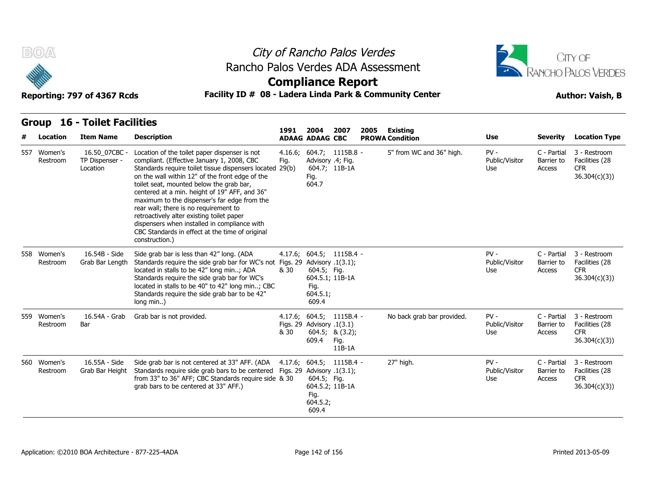



### **Compliance Report**

### **Reporting: 797 of 4367 Rcds Facility ID # 08 - Ladera Linda Park & Community Center Author: Vaish, B**

| Reporting: 797 of 4367 RCGS |  |  |
|-----------------------------|--|--|
|                             |  |  |

| #   | <b>Location</b>         | <b>Item Name</b>                            | <b>Description</b>                                                                                                                                                                                                                                                                                                                                                                                                                                                                                                                                                 | 1991                          | 2004<br><b>ADAAG ADAAG CBC</b>                              | 2007                                                             | 2005 | Existing<br><b>PROWA Condition</b> | Use                             | <b>Severity</b>                     | <b>Location Type</b>                                         |
|-----|-------------------------|---------------------------------------------|--------------------------------------------------------------------------------------------------------------------------------------------------------------------------------------------------------------------------------------------------------------------------------------------------------------------------------------------------------------------------------------------------------------------------------------------------------------------------------------------------------------------------------------------------------------------|-------------------------------|-------------------------------------------------------------|------------------------------------------------------------------|------|------------------------------------|---------------------------------|-------------------------------------|--------------------------------------------------------------|
| 557 | Women's<br>Restroom     | 16.50 07CBC -<br>TP Dispenser -<br>Location | Location of the toilet paper dispenser is not<br>compliant. (Effective January 1, 2008, CBC<br>Standards require toilet tissue dispensers located 29(b)<br>on the wall within 12" of the front edge of the<br>toilet seat, mounted below the grab bar,<br>centered at a min. height of 19" AFF, and 36"<br>maximum to the dispenser's far edge from the<br>rear wall; there is no requirement to<br>retroactively alter existing toilet paper<br>dispensers when installed in compliance with<br>CBC Standards in effect at the time of original<br>construction.) | 4.16.6;<br>Fig.               | Advisory .4; Fig.<br>Fig.<br>604.7                          | $604.7; 1115B.8 -$<br>604.7; 11B-1A                              |      | 5" from WC and 36" high.           | $PV -$<br>Public/Visitor<br>Use | C - Partial<br>Barrier to<br>Access | 3 - Restroom<br>Facilities (28<br><b>CFR</b><br>36.304(c)(3) |
|     | 558 Women's<br>Restroom | 16.54B - Side<br>Grab Bar Length            | Side grab bar is less than 42" long. (ADA<br>Standards require the side grab bar for WC's not Figs. 29 Advisory .1(3.1);<br>located in stalls to be 42" long min; ADA<br>Standards require the side grab bar for WC's<br>located in stalls to be 40" to 42" long min; CBC<br>Standards require the side grab bar to be 42"<br>long min)                                                                                                                                                                                                                            | & 30                          | 604.5; Fig.<br>604.5.1; 11B-1A<br>Fig.<br>604.5.1;<br>609.4 | $4.17.6$ ; $604.5$ ; $1115B.4$ -                                 |      |                                    | $PV -$<br>Public/Visitor<br>Use | C - Partial<br>Barrier to<br>Access | 3 - Restroom<br>Facilities (28<br><b>CFR</b><br>36.304(c)(3) |
|     | 559 Women's<br>Restroom | 16.54A - Grab<br>Bar                        | Grab bar is not provided.                                                                                                                                                                                                                                                                                                                                                                                                                                                                                                                                          | & 30                          | Figs. 29 Advisory .1(3.1)<br>609.4                          | $4.17.6; 604.5; 1115B.4 -$<br>604.5; 8(3.2);<br>Fig.<br>$11B-1A$ |      | No back grab bar provided.         | $PV -$<br>Public/Visitor<br>Use | C - Partial<br>Barrier to<br>Access | 3 - Restroom<br>Facilities (28<br><b>CFR</b><br>36.304(c)(3) |
|     | 560 Women's<br>Restroom | 16.55A - Side<br>Grab Bar Height            | Side grab bar is not centered at 33" AFF. (ADA<br>Standards require side grab bars to be centered<br>from 33" to 36" AFF; CBC Standards require side & 30<br>grab bars to be centered at 33" AFF.)                                                                                                                                                                                                                                                                                                                                                                 | Figs. 29 Advisory $.1(3.1)$ ; | 604.5; Fig.<br>604.5.2; 11B-1A<br>Fig.<br>604.5.2;<br>609.4 | $4.17.6; 604.5; 1115B.4 -$                                       |      | 27" high.                          | $PV -$<br>Public/Visitor<br>Use | C - Partial<br>Barrier to<br>Access | 3 - Restroom<br>Facilities (28<br><b>CFR</b><br>36.304(c)(3) |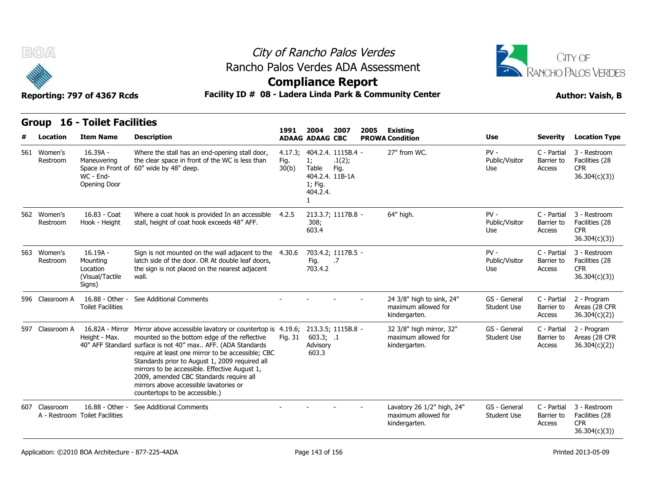



### **Compliance Report**

### Facility ID # 08 - Ladera Linda Park & Community Center<br> **Author: Vaish, B**

| Reporting: 797 of 4367 Rcds |  |  |  |
|-----------------------------|--|--|--|
|-----------------------------|--|--|--|

| B(0)                     |                                                                 |                                                                                                                                                                                                                                                                                                                                                                                                                                                                         |                          | City of Rancho Palos Verdes<br><b>Compliance Report</b>                                            | Rancho Palos Verdes ADA Assessment                                 | <b>CITY OF</b><br>RANCHO PALOS VERDES |                                     |                                                              |
|--------------------------|-----------------------------------------------------------------|-------------------------------------------------------------------------------------------------------------------------------------------------------------------------------------------------------------------------------------------------------------------------------------------------------------------------------------------------------------------------------------------------------------------------------------------------------------------------|--------------------------|----------------------------------------------------------------------------------------------------|--------------------------------------------------------------------|---------------------------------------|-------------------------------------|--------------------------------------------------------------|
|                          | Reporting: 797 of 4367 Rcds                                     |                                                                                                                                                                                                                                                                                                                                                                                                                                                                         |                          |                                                                                                    | Facility ID # 08 - Ladera Linda Park & Community Center            |                                       | <b>Author: Vaish, B</b>             |                                                              |
| Group<br><b>Location</b> | <b>16 - Toilet Facilities</b><br><b>Item Name</b>               | <b>Description</b>                                                                                                                                                                                                                                                                                                                                                                                                                                                      | 1991                     | 2004<br>2007<br><b>ADAAG ADAAG CBC</b>                                                             | 2005<br>Existing<br><b>PROWA Condition</b>                         | <b>Use</b>                            | <b>Severity</b>                     | <b>Location Type</b>                                         |
| 561 Women's<br>Restroom  | $16.39A -$<br>Maneuvering<br>WC - End-<br>Opening Door          | Where the stall has an end-opening stall door,<br>the clear space in front of the WC is less than<br>Space in Front of 60" wide by 48" deep.                                                                                                                                                                                                                                                                                                                            | 4.17.3;<br>Fig.<br>30(b) | 404.2.4. 1115B.4 -<br>1;<br>.1(2);<br>Table<br>Fig.<br>404.2.4. 11B-1A<br>1; Fig.<br>404.2.4.<br>1 | 27" from WC.                                                       | $PV -$<br>Public/Visitor<br>Use       | C - Partial<br>Barrier to<br>Access | 3 - Restroom<br>Facilities (28<br><b>CFR</b><br>36.304(c)(3) |
| 562 Women's<br>Restroom  | 16.83 - Coat<br>Hook - Height                                   | Where a coat hook is provided In an accessible<br>stall, height of coat hook exceeds 48" AFF.                                                                                                                                                                                                                                                                                                                                                                           | 4.2.5                    | 213.3.7; 1117B.8 -<br>308;<br>603.4                                                                | 64" high.                                                          | $PV -$<br>Public/Visitor<br>Use       | C - Partial<br>Barrier to<br>Access | 3 - Restroom<br>Facilities (28<br><b>CFR</b><br>36.304(c)(3) |
| 563 Women's<br>Restroom  | $16.19A -$<br>Mounting<br>Location<br>(Visual/Tactile<br>Signs) | Sign is not mounted on the wall adjacent to the 4.30.6<br>latch side of the door. OR At double leaf doors,<br>the sign is not placed on the nearest adjacent<br>wall.                                                                                                                                                                                                                                                                                                   |                          | 703.4.2; 1117B.5 -<br>Fig.<br>.7<br>703.4.2                                                        |                                                                    | $PV -$<br>Public/Visitor<br>Use       | C - Partial<br>Barrier to<br>Access | 3 - Restroom<br>Facilities (28<br><b>CFR</b><br>36.304(c)(3) |
| 596 Classroom A          | 16.88 - Other -<br><b>Toilet Facilities</b>                     | See Additional Comments                                                                                                                                                                                                                                                                                                                                                                                                                                                 |                          |                                                                                                    | 24 3/8" high to sink, 24"<br>maximum allowed for<br>kindergarten.  | GS - General<br><b>Student Use</b>    | C - Partial<br>Barrier to<br>Access | 2 - Program<br>Areas (28 CFR<br>36.304(c)(2)                 |
| 597 Classroom A          | Height - Max.                                                   | 16.82A - Mirror Mirror above accessible lavatory or countertop is 4.19.6;<br>mounted so the bottom edge of the reflective<br>40" AFF Standard surface is not 40" max AFF. (ADA Standards<br>require at least one mirror to be accessible; CBC<br>Standards prior to August 1, 2009 required all<br>mirrors to be accessible. Effective August 1,<br>2009, amended CBC Standards require all<br>mirrors above accessible lavatories or<br>countertops to be accessible.) | Fig. 31                  | 213.3.5; 1115B.8 -<br>603.3; .1<br>Advisory<br>603.3                                               | 32 3/8" high mirror, 32"<br>maximum allowed for<br>kindergarten.   | GS - General<br>Student Use           | C - Partial<br>Barrier to<br>Access | 2 - Program<br>Areas (28 CFR<br>36.304(c)(2)                 |
| 607 Classroom            | 16.88 - Other -<br>A - Restroom Toilet Facilities               | See Additional Comments                                                                                                                                                                                                                                                                                                                                                                                                                                                 |                          |                                                                                                    | Lavatory 26 1/2" high, 24"<br>maximum allowed for<br>kindergarten. | GS - General<br>Student Use           | C - Partial<br>Barrier to<br>Access | 3 - Restroom<br>Facilities (28<br><b>CFR</b><br>36.304(c)(3) |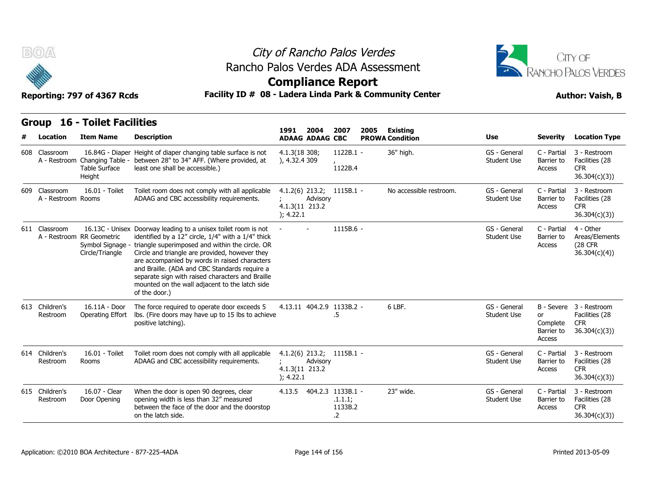



### **Compliance Report**

### Facility ID # 08 - Ladera Linda Park & Community Center<br> **Author: Vaish, B**

| Reporting: 797 of 4367 Rcds |  |  |  |
|-----------------------------|--|--|--|
|-----------------------------|--|--|--|

| v                                   | Reporting: 797 of 4367 Rcds                                      |                                                                                                                                                                                                                                                                                                                                                                                                                                                    | AANININAN IZAHAI E<br>Facility ID # 08 - Ladera Linda Park & Community Center |          |                                                       |      |                                    |                                    |                                               | <b>Author: Vaish, B</b>                                                 |  |  |
|-------------------------------------|------------------------------------------------------------------|----------------------------------------------------------------------------------------------------------------------------------------------------------------------------------------------------------------------------------------------------------------------------------------------------------------------------------------------------------------------------------------------------------------------------------------------------|-------------------------------------------------------------------------------|----------|-------------------------------------------------------|------|------------------------------------|------------------------------------|-----------------------------------------------|-------------------------------------------------------------------------|--|--|
|                                     | <b>Group 16 - Toilet Facilities</b>                              |                                                                                                                                                                                                                                                                                                                                                                                                                                                    | 1991                                                                          | 2004     | 2007                                                  |      |                                    |                                    |                                               |                                                                         |  |  |
| Location                            | <b>Item Name</b>                                                 | <b>Description</b>                                                                                                                                                                                                                                                                                                                                                                                                                                 | <b>ADAAG ADAAG CBC</b>                                                        |          |                                                       | 2005 | Existing<br><b>PROWA Condition</b> | <b>Use</b>                         | <b>Severity</b>                               | <b>Location Type</b>                                                    |  |  |
| 608 Classroom                       | <b>Table Surface</b><br>Height                                   | 16.84G - Diaper Height of diaper changing table surface is not<br>A - Restroom Changing Table - between 28" to 34" AFF. (Where provided, at<br>least one shall be accessible.)                                                                                                                                                                                                                                                                     | 4.1.3(18308)<br>), 4.32.4 309                                                 |          | 1122B.1 -<br>1122B.4                                  |      | 36" high.                          | GS - General<br><b>Student Use</b> | C - Partial<br>Barrier to<br>Access           | 3 - Restroom<br>Facilities (28<br><b>CFR</b><br>36.304(c)(3)            |  |  |
| 609 Classroom<br>A - Restroom Rooms | 16.01 - Toilet                                                   | Toilet room does not comply with all applicable<br>ADAAG and CBC accessibility requirements.                                                                                                                                                                                                                                                                                                                                                       | 4.1.2(6) 213.2; 1115B.1 -<br>4.1.3(11 213.2<br>); 4.22.1                      | Advisory |                                                       |      | No accessible restroom.            | GS - General<br><b>Student Use</b> | C - Partial<br>Barrier to<br>Access           | 3 - Restroom<br>Facilities (28<br><b>CFR</b><br>36.304(c)(3)            |  |  |
| 611 Classroom                       | A - Restroom RR Geometric<br>Symbol Signage -<br>Circle/Triangle | 16.13C - Unisex Doorway leading to a unisex toilet room is not<br>identified by a 12" circle, 1/4" with a 1/4" thick<br>triangle superimposed and within the circle. OR<br>Circle and triangle are provided, however they<br>are accompanied by words in raised characters<br>and Braille. (ADA and CBC Standards require a<br>separate sign with raised characters and Braille<br>mounted on the wall adjacent to the latch side<br>of the door.) | $\overline{\phantom{a}}$                                                      |          | $1115B.6 -$                                           |      |                                    | GS - General<br><b>Student Use</b> | C - Partial<br>Barrier to<br>Access           | 4 - Other<br>Areas/Elements<br>(28 CFR<br>36.304(c)(4)                  |  |  |
| 613 Children's<br>Restroom          | 16.11A - Door<br>Operating Effort                                | The force required to operate door exceeds 5<br>Ibs. (Fire doors may have up to 15 lbs to achieve<br>positive latching).                                                                                                                                                                                                                                                                                                                           | 4.13.11 404.2.9 1133B.2 -                                                     |          | .5                                                    |      | 6 LBF.                             | GS - General<br><b>Student Use</b> | <b>or</b><br>Complete<br>Barrier to<br>Access | B - Severe 3 - Restroom<br>Facilities (28<br><b>CFR</b><br>36.304(c)(3) |  |  |
| 614 Children's<br>Restroom          | 16.01 - Toilet<br>Rooms                                          | Toilet room does not comply with all applicable<br>ADAAG and CBC accessibility requirements.                                                                                                                                                                                                                                                                                                                                                       | $4.1.2(6)$ 213.2; 1115B.1 -<br>4.1.3(11 213.2<br>); 4.22.1                    | Advisory |                                                       |      |                                    | GS - General<br><b>Student Use</b> | C - Partial<br>Barrier to<br>Access           | 3 - Restroom<br>Facilities (28<br><b>CFR</b><br>36.304(c)(3)            |  |  |
| 615 Children's<br>Restroom          | 16.07 - Clear<br>Door Opening                                    | When the door is open 90 degrees, clear<br>opening width is less than 32" measured<br>between the face of the door and the doorstop<br>on the latch side.                                                                                                                                                                                                                                                                                          | 4.13.5                                                                        |          | 404.2.3 1133B.1 -<br>.1.1.1;<br>1133B.2<br>$\cdot$ .2 |      | 23" wide.                          | GS - General<br><b>Student Use</b> | C - Partial<br>Barrier to<br>Access           | 3 - Restroom<br>Facilities (28<br><b>CFR</b><br>36.304(c)(3)            |  |  |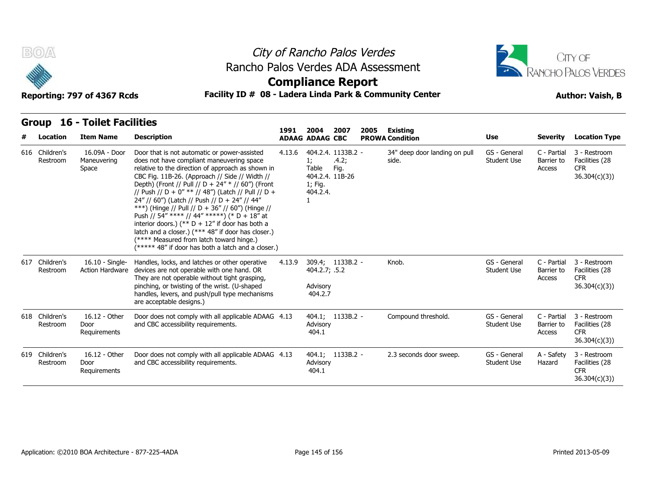



### **Compliance Report**

#### Reporting: 797 of 4367 Rcds **Facility ID # 08 - Ladera Linda Park & Community Center Author: Vaish, B**

| # | Location                   | <b>Item Name</b>                          | <b>Description</b>                                                                                                                                                                                                                                                                                                                                                                                                                                                                                                                                                                                                                                                            | 1991   | 2004<br><b>ADAAG ADAAG CBC</b>                        | 2007                                | 2005 | <b>Existing</b><br><b>PROWA Condition</b> | <b>Use</b>                         | <b>Severity</b>                     | <b>Location Type</b>                                         |
|---|----------------------------|-------------------------------------------|-------------------------------------------------------------------------------------------------------------------------------------------------------------------------------------------------------------------------------------------------------------------------------------------------------------------------------------------------------------------------------------------------------------------------------------------------------------------------------------------------------------------------------------------------------------------------------------------------------------------------------------------------------------------------------|--------|-------------------------------------------------------|-------------------------------------|------|-------------------------------------------|------------------------------------|-------------------------------------|--------------------------------------------------------------|
|   | 616 Children's<br>Restroom | 16.09A - Door<br>Maneuvering<br>Space     | Door that is not automatic or power-assisted<br>does not have compliant maneuvering space<br>relative to the direction of approach as shown in<br>CBC Fig. 11B-26. (Approach // Side // Width //<br>Depth) (Front // Pull // D + 24" * // 60") (Front<br>// Push // D + 0" ** // 48") (Latch // Pull // D +<br>24" // 60") (Latch // Push // D + 24" // 44"<br>***) (Hinge // Pull // D + 36" // 60") (Hinge //<br>Push // 54" **** // 44" *****) (* D + 18" at<br>interior doors.) (** $D + 12$ " if door has both a<br>latch and a closer.) (*** 48" if door has closer.)<br>(**** Measured from latch toward hinge.)<br>(***** 48" if door has both a latch and a closer.) | 4.13.6 | 1;<br>Table<br>404.2.4. 11B-26<br>1; Fig.<br>404.2.4. | 404.2.4. 1133B.2 -<br>.4.2;<br>Fig. |      | 34" deep door landing on pull<br>side.    | GS - General<br><b>Student Use</b> | C - Partial<br>Barrier to<br>Access | 3 - Restroom<br>Facilities (28<br><b>CFR</b><br>36.304(c)(3) |
|   | 617 Children's<br>Restroom | 16.10 - Single-<br><b>Action Hardware</b> | Handles, locks, and latches or other operative<br>devices are not operable with one hand. OR<br>They are not operable without tight grasping,<br>pinching, or twisting of the wrist. (U-shaped<br>handles, levers, and push/pull type mechanisms<br>are acceptable designs.)                                                                                                                                                                                                                                                                                                                                                                                                  | 4.13.9 | 404.2.7; .5.2<br>Advisory<br>404.2.7                  | 309.4; 1133B.2 -                    |      | Knob.                                     | GS - General<br>Student Use        | C - Partial<br>Barrier to<br>Access | 3 - Restroom<br>Facilities (28<br><b>CFR</b><br>36.304(c)(3) |
|   | 618 Children's<br>Restroom | 16.12 - Other<br>Door<br>Requirements     | Door does not comply with all applicable ADAAG 4.13<br>and CBC accessibility requirements.                                                                                                                                                                                                                                                                                                                                                                                                                                                                                                                                                                                    |        | Advisory<br>404.1                                     | 404.1; 1133B.2 -                    |      | Compound threshold.                       | GS - General<br><b>Student Use</b> | C - Partial<br>Barrier to<br>Access | 3 - Restroom<br>Facilities (28<br><b>CFR</b><br>36.304(c)(3) |
|   | 619 Children's<br>Restroom | 16.12 - Other<br>Door<br>Requirements     | Door does not comply with all applicable ADAAG 4.13<br>and CBC accessibility requirements.                                                                                                                                                                                                                                                                                                                                                                                                                                                                                                                                                                                    |        | Advisory<br>404.1                                     | 404.1; 1133B.2 -                    |      | 2.3 seconds door sweep.                   | GS - General<br><b>Student Use</b> | A - Safety<br>Hazard                | 3 - Restroom<br>Facilities (28<br><b>CFR</b><br>36.304(c)(3) |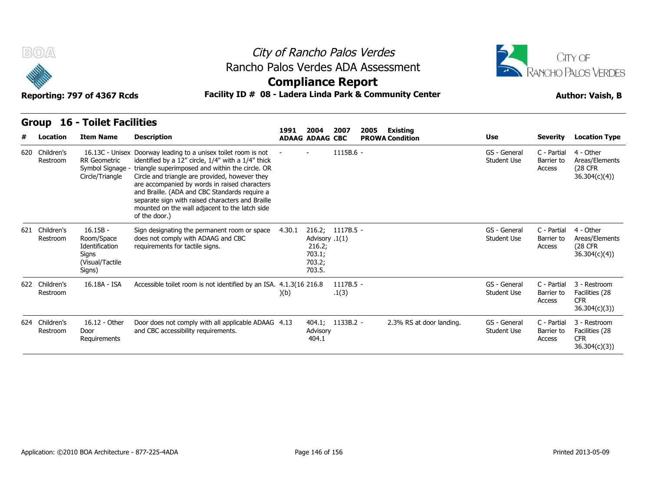



#### Reporting: 797 of 4367 Rcds **Facility ID # 08 - Ladera Linda Park & Community Center Author: Vaish, B**

|   | B(0)<br>Reporting: 797 of 4367 Rcds |                                                                                  | Rancho Palos Verdes ADA Assessment<br>Facility ID # 08 - Ladera Linda Park & Community Center                                                                                                                                                                                                                                                                                                                                                      |        | City of Rancho Palos Verdes<br><b>Compliance Report</b>                    |                      |      |                                           | <b>JITY OF</b><br>RANCHO PALOS VERDES<br><b>Author: Vaish, B</b> |                                     |                                                              |  |
|---|-------------------------------------|----------------------------------------------------------------------------------|----------------------------------------------------------------------------------------------------------------------------------------------------------------------------------------------------------------------------------------------------------------------------------------------------------------------------------------------------------------------------------------------------------------------------------------------------|--------|----------------------------------------------------------------------------|----------------------|------|-------------------------------------------|------------------------------------------------------------------|-------------------------------------|--------------------------------------------------------------|--|
|   | <b>Group</b>                        | <b>16 - Toilet Facilities</b>                                                    |                                                                                                                                                                                                                                                                                                                                                                                                                                                    |        |                                                                            |                      |      |                                           |                                                                  |                                     |                                                              |  |
| # | Location                            | <b>Item Name</b>                                                                 | <b>Description</b>                                                                                                                                                                                                                                                                                                                                                                                                                                 | 1991   | 2004<br><b>ADAAG ADAAG CBC</b>                                             | 2007                 | 2005 | <b>Existing</b><br><b>PROWA Condition</b> | Use                                                              | <b>Severity</b>                     | <b>Location Type</b>                                         |  |
|   | 620 Children's<br>Restroom          | <b>RR</b> Geometric<br>Symbol Signage -<br>Circle/Triangle                       | 16.13C - Unisex Doorway leading to a unisex toilet room is not<br>identified by a 12" circle, 1/4" with a 1/4" thick<br>triangle superimposed and within the circle. OR<br>Circle and triangle are provided, however they<br>are accompanied by words in raised characters<br>and Braille. (ADA and CBC Standards require a<br>separate sign with raised characters and Braille<br>mounted on the wall adjacent to the latch side<br>of the door.) |        |                                                                            | 1115B.6 -            |      |                                           | GS - General<br><b>Student Use</b>                               | C - Partial<br>Barrier to<br>Access | 4 - Other<br>Areas/Elements<br>(28 CFR<br>36.304(c)(4)       |  |
|   | 621 Children's<br>Restroom          | $16.15B -$<br>Room/Space<br>Identification<br>Signs<br>(Visual/Tactile<br>Signs) | Sign designating the permanent room or space<br>does not comply with ADAAG and CBC<br>requirements for tactile signs.                                                                                                                                                                                                                                                                                                                              | 4.30.1 | 216.2; 1117B.5 -<br>Advisory .1(1)<br>216.2;<br>703.1;<br>703.2;<br>703.5. |                      |      |                                           | GS - General<br><b>Student Use</b>                               | C - Partial<br>Barrier to<br>Access | 4 - Other<br>Areas/Elements<br>(28 CFR<br>36.304(c)(4)       |  |
|   | 622 Children's<br>Restroom          | 16.18A - ISA                                                                     | Accessible toilet room is not identified by an ISA. 4.1.3(16 216.8)                                                                                                                                                                                                                                                                                                                                                                                | )(b)   |                                                                            | $1117B.5 -$<br>.1(3) |      |                                           | GS - General<br><b>Student Use</b>                               | C - Partial<br>Barrier to<br>Access | 3 - Restroom<br>Facilities (28<br><b>CFR</b><br>36.304(c)(3) |  |
|   | 624 Children's<br>Restroom          | 16.12 - Other<br>Door<br>Requirements                                            | Door does not comply with all applicable ADAAG 4.13<br>and CBC accessibility requirements.                                                                                                                                                                                                                                                                                                                                                         |        | 404.1; 1133B.2 -<br>Advisory<br>404.1                                      |                      |      | 2.3% RS at door landing.                  | GS - General<br><b>Student Use</b>                               | C - Partial<br>Barrier to<br>Access | 3 - Restroom<br>Facilities (28<br><b>CFR</b><br>36.304(c)(3) |  |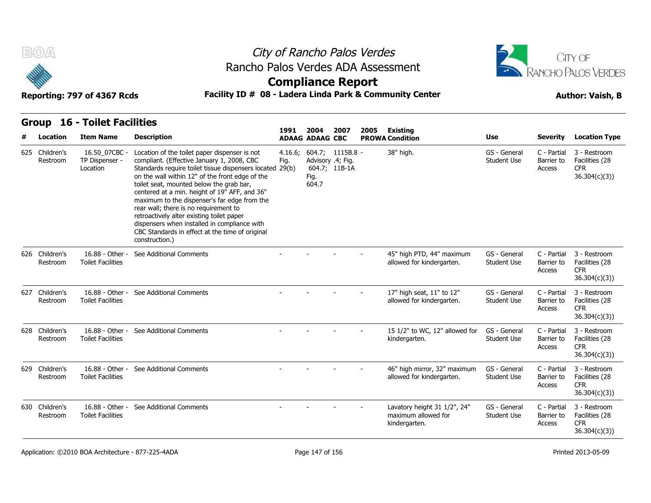



# **Compliance Report**

#### Reporting: 797 of 4367 Rcds **Facility ID # 08 - Ladera Linda Park & Community Center Author: Vaish, B**

**1991** 

| # | Location                   | <b>Item Name</b>                            | <b>Description</b>                                                                                                                                                                                                                                                                                                                                                                                                                                                                                                                                                 | 1991            | 2004<br><b>ADAAG ADAAG CBC</b> | 2007                                                   | 2005 | <b>Existing</b><br><b>PROWA Condition</b>                            | <b>Use</b>                         | <b>Severity</b>                     | <b>Location Type</b>                                         |
|---|----------------------------|---------------------------------------------|--------------------------------------------------------------------------------------------------------------------------------------------------------------------------------------------------------------------------------------------------------------------------------------------------------------------------------------------------------------------------------------------------------------------------------------------------------------------------------------------------------------------------------------------------------------------|-----------------|--------------------------------|--------------------------------------------------------|------|----------------------------------------------------------------------|------------------------------------|-------------------------------------|--------------------------------------------------------------|
|   | 625 Children's<br>Restroom | 16.50 07CBC -<br>TP Dispenser -<br>Location | Location of the toilet paper dispenser is not<br>compliant. (Effective January 1, 2008, CBC<br>Standards require toilet tissue dispensers located 29(b)<br>on the wall within 12" of the front edge of the<br>toilet seat, mounted below the grab bar,<br>centered at a min. height of 19" AFF, and 36"<br>maximum to the dispenser's far edge from the<br>rear wall; there is no requirement to<br>retroactively alter existing toilet paper<br>dispensers when installed in compliance with<br>CBC Standards in effect at the time of original<br>construction.) | 4.16.6;<br>Fig. | Fig.<br>604.7                  | 604.7; 1115B.8 -<br>Advisory .4; Fig.<br>604.7; 11B-1A |      | 38" high.                                                            | GS - General<br><b>Student Use</b> | C - Partial<br>Barrier to<br>Access | 3 - Restroom<br>Facilities (28<br><b>CFR</b><br>36.304(c)(3) |
|   | 626 Children's<br>Restroom | 16.88 - Other<br><b>Toilet Facilities</b>   | See Additional Comments                                                                                                                                                                                                                                                                                                                                                                                                                                                                                                                                            |                 |                                |                                                        |      | 45" high PTD, 44" maximum<br>allowed for kindergarten.               | GS - General<br>Student Use        | C - Partial<br>Barrier to<br>Access | 3 - Restroom<br>Facilities (28<br><b>CFR</b><br>36.304(c)(3) |
|   | 627 Children's<br>Restroom | 16.88 - Other -<br><b>Toilet Facilities</b> | See Additional Comments                                                                                                                                                                                                                                                                                                                                                                                                                                                                                                                                            |                 |                                |                                                        |      | 17" high seat, 11" to 12"<br>allowed for kindergarten.               | GS - General<br><b>Student Use</b> | C - Partial<br>Barrier to<br>Access | 3 - Restroom<br>Facilities (28<br><b>CFR</b><br>36.304(c)(3) |
|   | 628 Children's<br>Restroom | 16.88 - Other -<br><b>Toilet Facilities</b> | See Additional Comments                                                                                                                                                                                                                                                                                                                                                                                                                                                                                                                                            |                 |                                |                                                        |      | 15 1/2" to WC, 12" allowed for<br>kindergarten.                      | GS - General<br><b>Student Use</b> | C - Partial<br>Barrier to<br>Access | 3 - Restroom<br>Facilities (28<br><b>CFR</b><br>36.304(c)(3) |
|   | 629 Children's<br>Restroom | 16.88 - Other -<br><b>Toilet Facilities</b> | See Additional Comments                                                                                                                                                                                                                                                                                                                                                                                                                                                                                                                                            |                 |                                |                                                        |      | 46" high mirror, 32" maximum<br>allowed for kindergarten.            | GS - General<br>Student Use        | C - Partial<br>Barrier to<br>Access | 3 - Restroom<br>Facilities (28<br><b>CFR</b><br>36.304(c)(3) |
|   | 630 Children's<br>Restroom | 16.88 - Other -<br><b>Toilet Facilities</b> | See Additional Comments                                                                                                                                                                                                                                                                                                                                                                                                                                                                                                                                            |                 |                                |                                                        |      | Lavatory height 31 1/2", 24"<br>maximum allowed for<br>kindergarten. | GS - General<br><b>Student Use</b> | C - Partial<br>Barrier to<br>Access | 3 - Restroom<br>Facilities (28<br><b>CFR</b><br>36.304(c)(3) |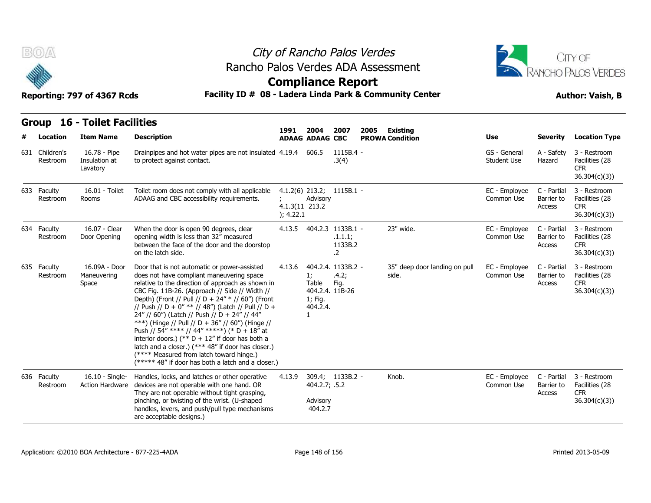



### **Compliance Report**

| BOA<br>Reporting: 797 of 4367 Rcds | City of Rancho Palos Verdes<br>Rancho Palos Verdes ADA Assessment<br><b>Compliance Report</b><br>Facility ID # 08 - Ladera Linda Park & Community Center |                                                                                                                                                                                                                                                                                                                                                                                                                                                                                                                                                                                                                                                                               |                             |                                                            | CITY OF<br>RANCHO PALOS VERDES<br><b>Author: Vaish, B</b> |      |                                        |                                    |                                     |                                                              |
|------------------------------------|----------------------------------------------------------------------------------------------------------------------------------------------------------|-------------------------------------------------------------------------------------------------------------------------------------------------------------------------------------------------------------------------------------------------------------------------------------------------------------------------------------------------------------------------------------------------------------------------------------------------------------------------------------------------------------------------------------------------------------------------------------------------------------------------------------------------------------------------------|-----------------------------|------------------------------------------------------------|-----------------------------------------------------------|------|----------------------------------------|------------------------------------|-------------------------------------|--------------------------------------------------------------|
|                                    | <b>Group 16 - Toilet Facilities</b>                                                                                                                      |                                                                                                                                                                                                                                                                                                                                                                                                                                                                                                                                                                                                                                                                               | 1991                        | 2004                                                       | 2007                                                      | 2005 | <b>Existing</b>                        |                                    |                                     |                                                              |
| Location                           | <b>Item Name</b>                                                                                                                                         | <b>Description</b>                                                                                                                                                                                                                                                                                                                                                                                                                                                                                                                                                                                                                                                            |                             | <b>ADAAG ADAAG CBC</b>                                     |                                                           |      | <b>PROWA Condition</b>                 | Use                                | <b>Severity</b>                     | <b>Location Type</b>                                         |
| 631 Children's<br>Restroom         | 16.78 - Pipe<br>Insulation at<br>Lavatory                                                                                                                | Drainpipes and hot water pipes are not insulated 4.19.4<br>to protect against contact.                                                                                                                                                                                                                                                                                                                                                                                                                                                                                                                                                                                        |                             | 606.5                                                      | 1115B.4 -<br>.3(4)                                        |      |                                        | GS - General<br><b>Student Use</b> | A - Safety<br>Hazard                | 3 - Restroom<br>Facilities (28<br><b>CFR</b><br>36.304(c)(3) |
| 633 Faculty<br>Restroom            | 16.01 - Toilet<br>Rooms                                                                                                                                  | Toilet room does not comply with all applicable<br>ADAAG and CBC accessibility requirements.                                                                                                                                                                                                                                                                                                                                                                                                                                                                                                                                                                                  | 4.1.3(11 213.2<br>); 4.22.1 | Advisory                                                   | $4.1.2(6)$ 213.2; 1115B.1 -                               |      |                                        | EC - Employee<br>Common Use        | C - Partial<br>Barrier to<br>Access | 3 - Restroom<br>Facilities (28<br><b>CFR</b><br>36.304(c)(3) |
| 634 Faculty<br>Restroom            | 16.07 - Clear<br>Door Opening                                                                                                                            | When the door is open 90 degrees, clear<br>opening width is less than 32" measured<br>between the face of the door and the doorstop<br>on the latch side.                                                                                                                                                                                                                                                                                                                                                                                                                                                                                                                     |                             |                                                            | 4.13.5 404.2.3 1133B.1 -<br>.1.1.1;<br>1133B.2<br>.2      |      | 23" wide.                              | EC - Employee<br>Common Use        | C - Partial<br>Barrier to<br>Access | 3 - Restroom<br>Facilities (28<br><b>CFR</b><br>36.304(c)(3) |
| 635 Faculty<br>Restroom            | 16.09A - Door<br>Maneuvering<br>Space                                                                                                                    | Door that is not automatic or power-assisted<br>does not have compliant maneuvering space<br>relative to the direction of approach as shown in<br>CBC Fig. 11B-26. (Approach // Side // Width //<br>Depth) (Front // Pull // D + 24" * // 60") (Front<br>// Push // D + 0" ** // 48") (Latch // Pull // D +<br>24" // 60") (Latch // Push // D + 24" // 44"<br>***) (Hinge // Pull // D + 36" // 60") (Hinge //<br>Push // 54" **** // 44" *****) (* D + 18" at<br>interior doors.) (** $D + 12$ " if door has both a<br>latch and a closer.) (*** 48" if door has closer.)<br>(**** Measured from latch toward hinge.)<br>(***** 48" if door has both a latch and a closer.) | 4.13.6                      | 1;<br>Table<br>404.2.4. 11B-26<br>1; Fig.<br>404.2.4.<br>1 | 404.2.4. 1133B.2 -<br>.4.2;<br>Fig.                       |      | 35" deep door landing on pull<br>side. | EC - Employee<br>Common Use        | C - Partial<br>Barrier to<br>Access | 3 - Restroom<br>Facilities (28<br><b>CFR</b><br>36.304(c)(3) |
| 636 Faculty<br>Restroom            | 16.10 - Single-<br>Action Hardware                                                                                                                       | Handles, locks, and latches or other operative<br>devices are not operable with one hand. OR<br>They are not operable without tight grasping,<br>pinching, or twisting of the wrist. (U-shaped<br>handles, levers, and push/pull type mechanisms<br>are acceptable designs.)                                                                                                                                                                                                                                                                                                                                                                                                  | 4.13.9                      | 404.2.7; .5.2<br>Advisory<br>404.2.7                       | 309.4; 1133B.2 -                                          |      | Knob.                                  | EC - Employee<br>Common Use        | C - Partial<br>Barrier to<br>Access | 3 - Restroom<br>Facilities (28<br><b>CFR</b><br>36.304(c)(3) |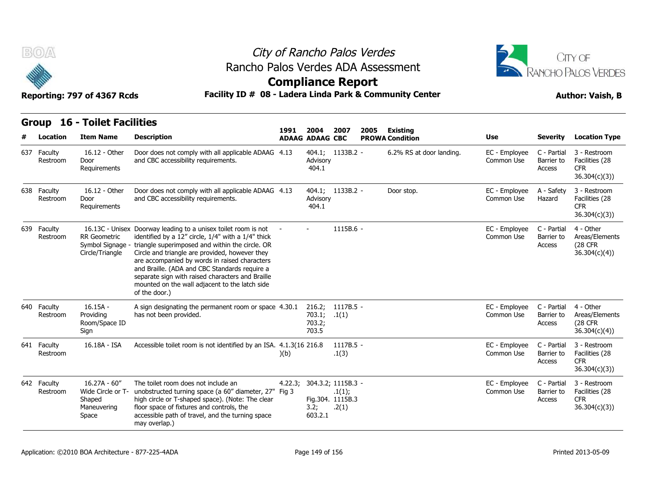

# City of Rancho Palos Verdes Rancho Palos Verdes ADA Assessment



#### **Compliance Report**

#### Reporting: 797 of 4367 Rcds **Facility ID # 08 - Ladera Linda Park & Community Center Author: Vaish, B**

#### **Item Name Description 1991 ADAAG 2004 ADAAG CBC PROWA # Location Condition Use Severity Location Type** 16.12 - Other Door Requirements Door does not comply with all applicable ADAAG 4.13 Restroom Door and CBC accessibility requirements. 404.1; 1133B.2 -Advisory 404.1 16.12 - Other Door Requirements Door does not comply with all applicable ADAAG  $4.13$   $404.1$ ; and CBC accessibility requirements. Restroom 404.1; 1133B.2 -Reporting: 797 of 4<br>
Group 16 - Toil<br>
# Location Item I<br>
637 Faculty 16.12<br>
Restroom Door<br>
Require<br>
638 Faculty 16.12<br>
Restroom Door<br>
Require 16.13C - Unisex Doorway lead Doorway leading to a unisex toilet room is not **STOUP 10 - TOII**<br>
# Location Item I<br>
# Location Item I<br>
Restroom Door Require<br>
638 Faculty 16.12<br>
Restroom Door Require<br>
639 Faculty 16.13<br>
Restroom RR Gerend Symbo<br>
59 Faculty RR Gerend Symbo

| w                       | Reporting: 797 of 4367 Rcds                                            | Facility ID # 08 - Ladera Linda Park & Community Center                                                                                                                                                                                                                                                                                                                                                                                                             | AANININAN IZAHAI E |                                           |                                                           |      |                          |                             |                                     | <b>Author: Vaish, B</b>                                        |
|-------------------------|------------------------------------------------------------------------|---------------------------------------------------------------------------------------------------------------------------------------------------------------------------------------------------------------------------------------------------------------------------------------------------------------------------------------------------------------------------------------------------------------------------------------------------------------------|--------------------|-------------------------------------------|-----------------------------------------------------------|------|--------------------------|-----------------------------|-------------------------------------|----------------------------------------------------------------|
|                         | <b>Group 16 - Toilet Facilities</b>                                    |                                                                                                                                                                                                                                                                                                                                                                                                                                                                     | 1991               | 2004                                      | 2007                                                      | 2005 | Existing                 |                             |                                     |                                                                |
| <b>Location</b>         | <b>Item Name</b>                                                       | <b>Description</b>                                                                                                                                                                                                                                                                                                                                                                                                                                                  |                    | <b>ADAAG ADAAG CBC</b>                    |                                                           |      | <b>PROWA Condition</b>   | <b>Use</b>                  | <b>Severity</b>                     | <b>Location Type</b>                                           |
| 637 Faculty<br>Restroom | 16.12 - Other<br>Door<br>Requirements                                  | Door does not comply with all applicable ADAAG 4.13<br>and CBC accessibility requirements.                                                                                                                                                                                                                                                                                                                                                                          |                    | Advisory<br>404.1                         | 404.1; 1133B.2 -                                          |      | 6.2% RS at door landing. | EC - Employee<br>Common Use | C - Partial<br>Barrier to<br>Access | 3 - Restroom<br>Facilities (28<br><b>CFR</b><br>36.304(c)(3)   |
| 638 Faculty<br>Restroom | 16.12 - Other<br>Door<br>Requirements                                  | Door does not comply with all applicable ADAAG 4.13<br>and CBC accessibility requirements.                                                                                                                                                                                                                                                                                                                                                                          |                    | Advisory<br>404.1                         | 404.1; 1133B.2 -                                          |      | Door stop.               | EC - Employee<br>Common Use | A - Safety<br>Hazard                | 3 - Restroom<br>Facilities (28<br><b>CFR</b><br>36.304(c)(3)   |
| 639 Faculty<br>Restroom | <b>RR</b> Geometric<br>Circle/Triangle                                 | 16.13C - Unisex Doorway leading to a unisex toilet room is not<br>identified by a 12" circle, 1/4" with a 1/4" thick<br>Symbol Signage - triangle superimposed and within the circle. OR<br>Circle and triangle are provided, however they<br>are accompanied by words in raised characters<br>and Braille. (ADA and CBC Standards require a<br>separate sign with raised characters and Braille<br>mounted on the wall adjacent to the latch side<br>of the door.) |                    |                                           | 1115B.6 -                                                 |      |                          | EC - Employee<br>Common Use | C - Partial<br>Barrier to<br>Access | 4 - Other<br>Areas/Elements<br>(28 CFR<br>36.304(c)(4)         |
| 640 Faculty<br>Restroom | $16.15A -$<br>Providing<br>Room/Space ID<br>Sign                       | A sign designating the permanent room or space 4.30.1<br>has not been provided.                                                                                                                                                                                                                                                                                                                                                                                     |                    | 216.2;<br>703.1; .1(1)<br>703.2;<br>703.5 | $1117B.5 -$                                               |      |                          | EC - Employee<br>Common Use | C - Partial<br>Barrier to<br>Access | 4 - Other<br>Areas/Elements<br><b>(28 CFR)</b><br>36.304(c)(4) |
| 641 Faculty<br>Restroom | 16.18A - ISA                                                           | Accessible toilet room is not identified by an ISA. 4.1.3(16 216.8)                                                                                                                                                                                                                                                                                                                                                                                                 | )(b)               |                                           | 1117B.5 -<br>.1(3)                                        |      |                          | EC - Employee<br>Common Use | C - Partial<br>Barrier to<br>Access | 3 - Restroom<br>Facilities (28<br><b>CFR</b><br>36.304(c)(3)   |
| 642 Faculty<br>Restroom | $16.27A - 60''$<br>Wide Circle or T-<br>Shaped<br>Maneuvering<br>Space | The toilet room does not include an<br>unobstructed turning space (a 60" diameter, 27" Fig 3<br>high circle or T-shaped space). (Note: The clear<br>floor space of fixtures and controls, the<br>accessible path of travel, and the turning space<br>may overlap.)                                                                                                                                                                                                  | 4.22.3;            | 3.2;<br>603.2.1                           | 304.3.2; 1115B.3 -<br>.1(1);<br>Fig.304. 1115B.3<br>.2(1) |      |                          | EC - Employee<br>Common Use | C - Partial<br>Barrier to<br>Access | 3 - Restroom<br>Facilities (28<br><b>CFR</b><br>36.304(c)(3)   |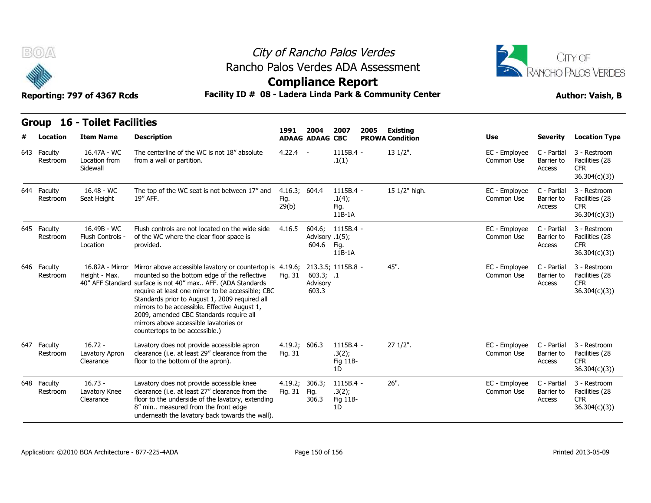

# City of Rancho Palos Verdes Rancho Palos Verdes ADA Assessment



| BOA                     | Reporting: 797 of 4367 Rcds                 |                                                                                                                                                                                                                                                                                                                                                                                                                                                         |                                |                                         | City of Rancho Palos Verdes<br><b>Compliance Report</b> | Rancho Palos Verdes ADA Assessment<br>Facility ID # 08 - Ladera Linda Park & Community Center |                             | CITY OF<br>RANCHO PALOS VERDES<br><b>Author: Vaish, B</b> |                                                               |  |
|-------------------------|---------------------------------------------|---------------------------------------------------------------------------------------------------------------------------------------------------------------------------------------------------------------------------------------------------------------------------------------------------------------------------------------------------------------------------------------------------------------------------------------------------------|--------------------------------|-----------------------------------------|---------------------------------------------------------|-----------------------------------------------------------------------------------------------|-----------------------------|-----------------------------------------------------------|---------------------------------------------------------------|--|
| Group                   | <b>16 - Toilet Facilities</b>               |                                                                                                                                                                                                                                                                                                                                                                                                                                                         | 1991                           | 2004                                    | 2007                                                    | 2005<br><b>Existing</b>                                                                       |                             |                                                           |                                                               |  |
| Location                | <b>Item Name</b>                            | <b>Description</b>                                                                                                                                                                                                                                                                                                                                                                                                                                      |                                | <b>ADAAG ADAAG CBC</b>                  |                                                         | <b>PROWA Condition</b>                                                                        | Use                         | <b>Severity</b>                                           | <b>Location Type</b>                                          |  |
| 643 Faculty<br>Restroom | 16.47A - WC<br>Location from<br>Sidewall    | The centerline of the WC is not 18" absolute<br>from a wall or partition.                                                                                                                                                                                                                                                                                                                                                                               | $4.22.4 -$                     |                                         | 1115B.4 -<br>.1(1)                                      | $131/2$ ".                                                                                    | EC - Employee<br>Common Use | C - Partial<br>Barrier to<br>Access                       | 3 - Restroom<br>Facilities (28<br><b>CFR</b><br>36.304(c)(3)  |  |
| 644 Faculty<br>Restroom | 16.48 - WC<br>Seat Height                   | The top of the WC seat is not between 17" and<br>19" AFF.                                                                                                                                                                                                                                                                                                                                                                                               | 4.16.3; 604.4<br>Fig.<br>29(b) |                                         | 1115B.4 -<br>.1(4);<br>Fig.<br>11B-1A                   | 15 1/2" high.                                                                                 | EC - Employee<br>Common Use | C - Partial<br>Barrier to<br><b>Access</b>                | 3 - Restroom<br>Facilities (28<br><b>CFR</b><br>36.304(c)(3)) |  |
| 645 Faculty<br>Restroom | 16.49B - WC<br>Flush Controls -<br>Location | Flush controls are not located on the wide side<br>of the WC where the clear floor space is<br>provided.                                                                                                                                                                                                                                                                                                                                                | 4.16.5                         | 604.6:<br>Advisory .1(5);<br>604.6 Fig. | $1115B.4 -$<br>$11B-1A$                                 |                                                                                               | EC - Employee<br>Common Use | C - Partial<br>Barrier to<br>Access                       | 3 - Restroom<br>Facilities (28<br><b>CFR</b><br>36.304(c)(3)) |  |
| 646 Faculty<br>Restroom | 16.82A - Mirror<br>Height - Max.            | Mirror above accessible lavatory or countertop is 4.19.6;<br>mounted so the bottom edge of the reflective<br>40" AFF Standard surface is not 40" max AFF. (ADA Standards<br>require at least one mirror to be accessible; CBC<br>Standards prior to August 1, 2009 required all<br>mirrors to be accessible. Effective August 1,<br>2009, amended CBC Standards require all<br>mirrors above accessible lavatories or<br>countertops to be accessible.) | Fig. 31                        | 603.3; .1<br>Advisory<br>603.3          | 213.3.5; 1115B.8 -                                      | 45".                                                                                          | EC - Employee<br>Common Use | C - Partial<br>Barrier to<br>Access                       | 3 - Restroom<br>Facilities (28<br><b>CFR</b><br>36.304(c)(3)  |  |
| 647 Faculty<br>Restroom | $16.72 -$<br>Lavatory Apron<br>Clearance    | Lavatory does not provide accessible apron<br>clearance (i.e. at least 29" clearance from the<br>floor to the bottom of the apron).                                                                                                                                                                                                                                                                                                                     | 4.19.2; 606.3<br>Fig. 31       |                                         | $1115B.4 -$<br>.3(2);<br>Fig 11B-<br>1D                 | $271/2$ ".                                                                                    | EC - Employee<br>Common Use | C - Partial<br>Barrier to<br>Access                       | 3 - Restroom<br>Facilities (28<br><b>CFR</b><br>36.304(c)(3)  |  |
| 648 Faculty<br>Restroom | $16.73 -$<br>Lavatory Knee<br>Clearance     | Lavatory does not provide accessible knee<br>clearance (i.e. at least 27" clearance from the<br>floor to the underside of the lavatory, extending<br>8" min measured from the front edge<br>underneath the lavatory back towards the wall).                                                                                                                                                                                                             | 4.19.2;<br>Fig. 31             | 306.3;<br>Fig.<br>306.3                 | 1115B.4 -<br>.3(2);<br>Fig 11B-<br>1D                   | $26"$ .                                                                                       | EC - Employee<br>Common Use | C - Partial<br>Barrier to<br>Access                       | 3 - Restroom<br>Facilities (28<br><b>CFR</b><br>36.304(c)(3)  |  |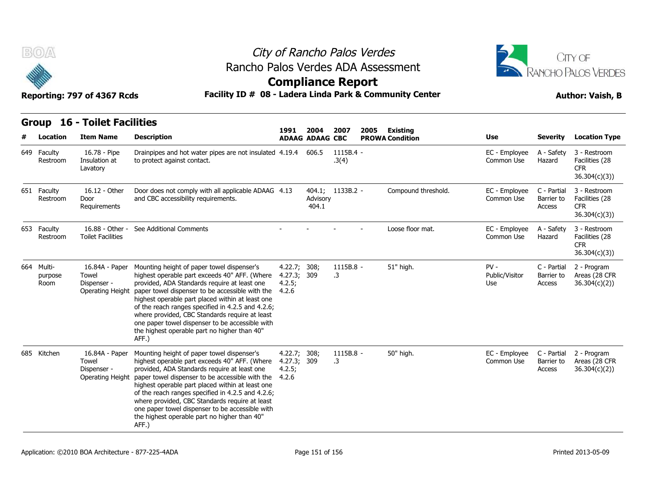



|     | B(0/A)                        | Reporting: 797 of 4367 Rcds                                |                                                                                                                                                                                                                                                                                                                                                                                                                                                                                   | City of Rancho Palos Verdes<br>Rancho Palos Verdes ADA Assessment<br><b>Compliance Report</b><br>Facility ID # 08 - Ladera Linda Park & Community Center |                        |                        |      |                        |                                 |                                     |                                                               |  |  |
|-----|-------------------------------|------------------------------------------------------------|-----------------------------------------------------------------------------------------------------------------------------------------------------------------------------------------------------------------------------------------------------------------------------------------------------------------------------------------------------------------------------------------------------------------------------------------------------------------------------------|----------------------------------------------------------------------------------------------------------------------------------------------------------|------------------------|------------------------|------|------------------------|---------------------------------|-------------------------------------|---------------------------------------------------------------|--|--|
|     |                               | <b>Group 16 - Toilet Facilities</b>                        |                                                                                                                                                                                                                                                                                                                                                                                                                                                                                   | 1991                                                                                                                                                     | 2004                   | 2007                   | 2005 | <b>Existing</b>        |                                 |                                     |                                                               |  |  |
|     | Location                      | <b>Item Name</b>                                           | <b>Description</b>                                                                                                                                                                                                                                                                                                                                                                                                                                                                |                                                                                                                                                          | <b>ADAAG ADAAG CBC</b> |                        |      | <b>PROWA Condition</b> | Use                             | <b>Severity</b>                     | <b>Location Type</b>                                          |  |  |
| 649 | Faculty<br>Restroom           | 16.78 - Pipe<br>Insulation at<br>Lavatory                  | Drainpipes and hot water pipes are not insulated 4.19.4 606.5<br>to protect against contact.                                                                                                                                                                                                                                                                                                                                                                                      |                                                                                                                                                          |                        | 1115B.4 -<br>.3(4)     |      |                        | EC - Employee<br>Common Use     | A - Safety<br>Hazard                | 3 - Restroom<br>Facilities (28<br><b>CFR</b><br>36.304(c)(3)) |  |  |
|     | 651 Faculty<br>Restroom       | 16.12 - Other<br>Door<br>Requirements                      | Door does not comply with all applicable ADAAG 4.13<br>and CBC accessibility requirements.                                                                                                                                                                                                                                                                                                                                                                                        |                                                                                                                                                          | Advisory<br>404.1      | 404.1; 1133B.2 -       |      | Compound threshold.    | EC - Employee<br>Common Use     | C - Partial<br>Barrier to<br>Access | 3 - Restroom<br>Facilities (28<br><b>CFR</b><br>36.304(c)(3)  |  |  |
|     | 653 Faculty<br>Restroom       | 16.88 - Other -<br><b>Toilet Facilities</b>                | See Additional Comments                                                                                                                                                                                                                                                                                                                                                                                                                                                           |                                                                                                                                                          |                        |                        |      | Loose floor mat.       | EC - Employee<br>Common Use     | A - Safety<br>Hazard                | 3 - Restroom<br>Facilities (28<br><b>CFR</b><br>36.304(c)(3)) |  |  |
|     | 664 Multi-<br>purpose<br>Room | 16.84A - Paper<br>Towel<br>Dispenser -<br>Operating Height | Mounting height of paper towel dispenser's<br>highest operable part exceeds 40" AFF. (Where 4.27.3; 309<br>provided, ADA Standards require at least one<br>paper towel dispenser to be accessible with the<br>highest operable part placed within at least one<br>of the reach ranges specified in 4.2.5 and 4.2.6;<br>where provided, CBC Standards require at least<br>one paper towel dispenser to be accessible with<br>the highest operable part no higher than 40"<br>AFF.) | 4.22.7; 308;<br>4.2.5;<br>4.2.6                                                                                                                          |                        | 1115B.8 -<br>.3        |      | 51" high.              | $PV -$<br>Public/Visitor<br>Use | C - Partial<br>Barrier to<br>Access | 2 - Program<br>Areas (28 CFR<br>36.304(c)(2)                  |  |  |
|     | 685 Kitchen                   | 16.84A - Paper<br>Towel<br>Dispenser -<br>Operating Height | Mounting height of paper towel dispenser's<br>highest operable part exceeds 40" AFF. (Where<br>provided, ADA Standards require at least one<br>paper towel dispenser to be accessible with the<br>highest operable part placed within at least one<br>of the reach ranges specified in 4.2.5 and 4.2.6;<br>where provided, CBC Standards require at least<br>one paper towel dispenser to be accessible with<br>the highest operable part no higher than 40"<br>AFF.)             | 4.22.7;<br>4.27.3; 309<br>4.2.5;<br>4.2.6                                                                                                                | 308;                   | 1115B.8 -<br>$\cdot$ 3 |      | 50" high.              | EC - Employee<br>Common Use     | C - Partial<br>Barrier to<br>Access | 2 - Program<br>Areas (28 CFR<br>36.304(c)(2)                  |  |  |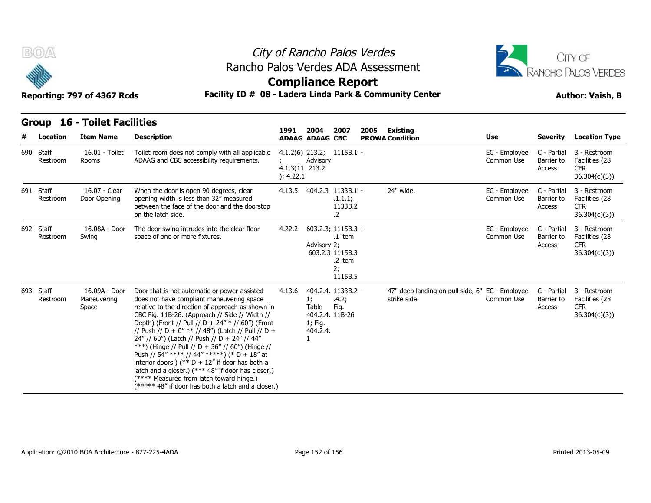



### **Compliance Report**

#### **Reporting: 797 of 4367 Rcds Facility ID # 08 - Ladera Linda Park & Community Center Author: Vaish, B**

|  |  | REPOLUTICI: 197 OF 4507 RCUS |  |
|--|--|------------------------------|--|
|  |  |                              |  |

|   | B(0)                  | Reporting: 797 of 4367 Rcds           | Rancho Palos Verdes ADA Assessment<br>Facility ID # 08 - Ladera Linda Park & Community Center                                                                                                                                                                                                                                                                                                                                                                                                                                                                                                                                                                                 | City of Rancho Palos Verdes<br><b>Compliance Report</b> |                                                            |                                                                              |      |                                                                 |                             |                                     | <b>CITY OF</b><br><b>RANCHO PALOS VERDES</b><br><b>Author: Vaish, B</b> |
|---|-----------------------|---------------------------------------|-------------------------------------------------------------------------------------------------------------------------------------------------------------------------------------------------------------------------------------------------------------------------------------------------------------------------------------------------------------------------------------------------------------------------------------------------------------------------------------------------------------------------------------------------------------------------------------------------------------------------------------------------------------------------------|---------------------------------------------------------|------------------------------------------------------------|------------------------------------------------------------------------------|------|-----------------------------------------------------------------|-----------------------------|-------------------------------------|-------------------------------------------------------------------------|
|   |                       | <b>Group 16 - Toilet Facilities</b>   |                                                                                                                                                                                                                                                                                                                                                                                                                                                                                                                                                                                                                                                                               |                                                         |                                                            |                                                                              |      |                                                                 |                             |                                     |                                                                         |
| # | Location              | <b>Item Name</b>                      | <b>Description</b>                                                                                                                                                                                                                                                                                                                                                                                                                                                                                                                                                                                                                                                            | 1991                                                    | 2004<br><b>ADAAG ADAAG CBC</b>                             | 2007                                                                         | 2005 | Existing<br><b>PROWA Condition</b>                              | <b>Use</b>                  | <b>Severity</b>                     | <b>Location Type</b>                                                    |
|   | 690 Staff<br>Restroom | 16.01 - Toilet<br>Rooms               | Toilet room does not comply with all applicable<br>ADAAG and CBC accessibility requirements.                                                                                                                                                                                                                                                                                                                                                                                                                                                                                                                                                                                  | 4.1.3(11 213.2<br>); 4.22.1                             | Advisory                                                   | $4.1.2(6)$ 213.2; 1115B.1 -                                                  |      |                                                                 | EC - Employee<br>Common Use | C - Partial<br>Barrier to<br>Access | 3 - Restroom<br>Facilities (28<br><b>CFR</b><br>36.304(c)(3)            |
|   | 691 Staff<br>Restroom | 16.07 - Clear<br>Door Opening         | When the door is open 90 degrees, clear<br>opening width is less than 32" measured<br>between the face of the door and the doorstop<br>on the latch side.                                                                                                                                                                                                                                                                                                                                                                                                                                                                                                                     | 4.13.5                                                  |                                                            | 404.2.3 1133B.1 -<br>.1.1.1;<br>1133B.2<br>.2                                |      | 24" wide.                                                       | EC - Employee<br>Common Use | C - Partial<br>Barrier to<br>Access | 3 - Restroom<br>Facilities (28<br><b>CFR</b><br>36.304(c)(3)            |
|   | 692 Staff<br>Restroom | 16.08A - Door<br>Swing                | The door swing intrudes into the clear floor<br>space of one or more fixtures.                                                                                                                                                                                                                                                                                                                                                                                                                                                                                                                                                                                                | 4.22.2                                                  | Advisory 2;                                                | 603.2.3; 1115B.3 -<br>.1 item<br>603.2.3 1115B.3<br>.2 item<br>2;<br>1115B.5 |      |                                                                 | EC - Employee<br>Common Use | C - Partial<br>Barrier to<br>Access | 3 - Restroom<br>Facilities (28<br><b>CFR</b><br>36.304(c)(3)            |
|   | 693 Staff<br>Restroom | 16.09A - Door<br>Maneuvering<br>Space | Door that is not automatic or power-assisted<br>does not have compliant maneuvering space<br>relative to the direction of approach as shown in<br>CBC Fig. 11B-26. (Approach // Side // Width //<br>Depth) (Front // Pull // D + 24" * // 60") (Front<br>// Push // D + 0" ** // 48") (Latch // Pull // D +<br>24" // 60") (Latch // Push // D + 24" // 44"<br>***) (Hinge // Pull // D + 36" // 60") (Hinge //<br>Push // 54" **** // 44" *****) (* D + 18" at<br>interior doors.) (** $D + 12$ " if door has both a<br>latch and a closer.) (*** 48" if door has closer.)<br>(**** Measured from latch toward hinge.)<br>(***** 48" if door has both a latch and a closer.) | 4.13.6                                                  | 1:<br>Table<br>404.2.4. 11B-26<br>1; Fig.<br>404.2.4.<br>1 | 404.2.4. 1133B.2 -<br>.4.2;<br>Fig.                                          |      | 47" deep landing on pull side, 6" EC - Employee<br>strike side. | Common Use                  | C - Partial<br>Barrier to<br>Access | 3 - Restroom<br>Facilities (28<br><b>CFR</b><br>36.304(c)(3)            |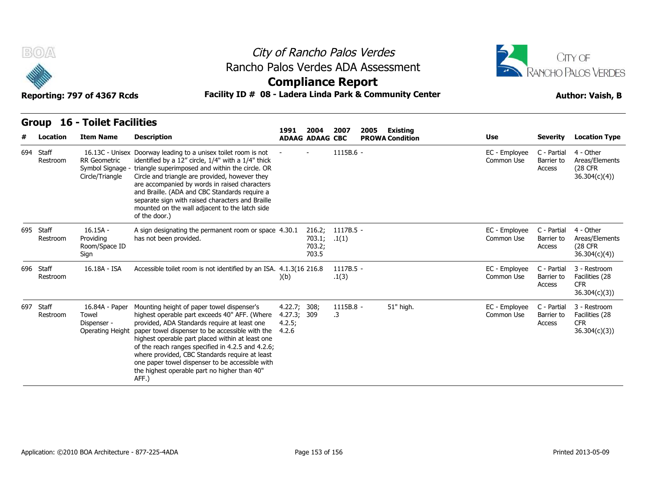



### **Compliance Report**

| <b>Group 16 - Toilet Facilities</b> |  |
|-------------------------------------|--|

| B(0)       |          | Reporting: 797 of 4367 Rcds                                |                                                                                                                                                                                                                                                                                                                                                                                                                                                                       |                                                |                                | <b>Compliance Report</b>  | City of Rancho Palos Verdes<br>Rancho Palos Verdes ADA Assessment<br>Facility ID # 08 - Ladera Linda Park & Community Center |                             |                                     | CITY OF<br><b>RANCHO PALOS VERDES</b><br><b>Author: Vaish, B</b> |
|------------|----------|------------------------------------------------------------|-----------------------------------------------------------------------------------------------------------------------------------------------------------------------------------------------------------------------------------------------------------------------------------------------------------------------------------------------------------------------------------------------------------------------------------------------------------------------|------------------------------------------------|--------------------------------|---------------------------|------------------------------------------------------------------------------------------------------------------------------|-----------------------------|-------------------------------------|------------------------------------------------------------------|
| Group<br># | Location | <b>16 - Toilet Facilities</b><br><b>Item Name</b>          | <b>Description</b>                                                                                                                                                                                                                                                                                                                                                                                                                                                    | 1991                                           | 2004<br><b>ADAAG ADAAG CBC</b> | 2007                      | 2005<br><b>Existing</b><br><b>PROWA Condition</b>                                                                            | <b>Use</b>                  | <b>Severity</b>                     | <b>Location Type</b>                                             |
| 694 Staff  | Restroom | <b>RR</b> Geometric<br>Symbol Signage -<br>Circle/Triangle | 16.13C - Unisex Doorway leading to a unisex toilet room is not<br>identified by a 12" circle, 1/4" with a 1/4" thick<br>triangle superimposed and within the circle. OR<br>Circle and triangle are provided, however they<br>are accompanied by words in raised characters<br>and Braille. (ADA and CBC Standards require a<br>separate sign with raised characters and Braille<br>mounted on the wall adjacent to the latch side<br>of the door.)                    |                                                |                                | 1115B.6 -                 |                                                                                                                              | EC - Employee<br>Common Use | C - Partial<br>Barrier to<br>Access | 4 - Other<br>Areas/Elements<br>(28 CFR<br>36.304(c)(4)           |
| 695 Staff  | Restroom | $16.15A -$<br>Providing<br>Room/Space ID<br>Sign           | A sign designating the permanent room or space 4.30.1<br>has not been provided.                                                                                                                                                                                                                                                                                                                                                                                       |                                                | 703.1;<br>703.2;<br>703.5      | 216.2; 1117B.5 -<br>.1(1) |                                                                                                                              | EC - Employee<br>Common Use | C - Partial<br>Barrier to<br>Access | 4 - Other<br>Areas/Elements<br><b>(28 CFR)</b><br>36.304(c)(4)   |
| 696 Staff  | Restroom | 16.18A - ISA                                               | Accessible toilet room is not identified by an ISA. 4.1.3(16 216.8)                                                                                                                                                                                                                                                                                                                                                                                                   | )(b)                                           |                                | $1117B.5 -$<br>.1(3)      |                                                                                                                              | EC - Employee<br>Common Use | C - Partial<br>Barrier to<br>Access | 3 - Restroom<br>Facilities (28<br><b>CFR</b><br>36.304(c)(3)     |
| 697 Staff  | Restroom | 16.84A - Paper<br>Towel<br>Dispenser -<br>Operating Height | Mounting height of paper towel dispenser's<br>highest operable part exceeds 40" AFF. (Where<br>provided, ADA Standards require at least one<br>paper towel dispenser to be accessible with the<br>highest operable part placed within at least one<br>of the reach ranges specified in 4.2.5 and 4.2.6;<br>where provided, CBC Standards require at least<br>one paper towel dispenser to be accessible with<br>the highest operable part no higher than 40"<br>AFF.) | 4.22.7; 308;<br>4.27.3; 309<br>4.2.5;<br>4.2.6 |                                | 1115B.8 -<br>.3           | 51" high.                                                                                                                    | EC - Employee<br>Common Use | C - Partial<br>Barrier to<br>Access | 3 - Restroom<br>Facilities (28<br><b>CFR</b><br>36.304(c)(3)     |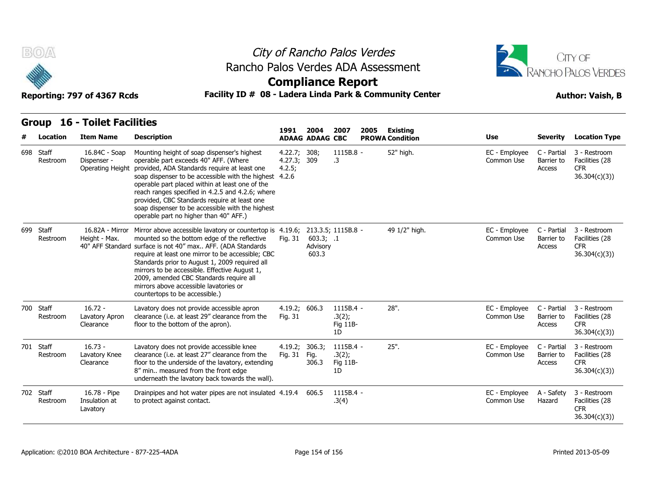



### **Compliance Report**

#### Reporting: 797 of 4367 Rcds **Facility ID # 08 - Ladera Linda Park & Community Center Author: Vaish, B**

|  |  | אטא <i>נ</i> טכ <del>נ</del> וט <i>נצו. ו</i> ווווווען |  |
|--|--|--------------------------------------------------------|--|
|  |  |                                                        |  |

| B(0)<br>Reporting: 797 of 4367 Rcds |                                               |                                                  | City of Rancho Palos Verdes<br>Rancho Palos Verdes ADA Assessment<br><b>Compliance Report</b><br>Facility ID # 08 - Ladera Linda Park & Community Center                                                                                                                                                                                                                                                                                                                |                                   |                                | CITY OF<br>RANCHO PALOS VERDES<br><b>Author: Vaish, B</b> |      |                                    |                             |                                     |                                                               |
|-------------------------------------|-----------------------------------------------|--------------------------------------------------|-------------------------------------------------------------------------------------------------------------------------------------------------------------------------------------------------------------------------------------------------------------------------------------------------------------------------------------------------------------------------------------------------------------------------------------------------------------------------|-----------------------------------|--------------------------------|-----------------------------------------------------------|------|------------------------------------|-----------------------------|-------------------------------------|---------------------------------------------------------------|
|                                     | <b>16 - Toilet Facilities</b><br><b>Group</b> |                                                  |                                                                                                                                                                                                                                                                                                                                                                                                                                                                         |                                   |                                |                                                           |      |                                    |                             |                                     |                                                               |
|                                     | Location                                      | <b>Item Name</b>                                 | <b>Description</b>                                                                                                                                                                                                                                                                                                                                                                                                                                                      | 1991                              | 2004<br><b>ADAAG ADAAG CBC</b> | 2007                                                      | 2005 | Existing<br><b>PROWA Condition</b> | Use                         | <b>Severity</b>                     | <b>Location Type</b>                                          |
|                                     | 698 Staff<br>Restroom                         | 16.84C - Soap<br>Dispenser -<br>Operating Height | Mounting height of soap dispenser's highest<br>operable part exceeds 40" AFF. (Where<br>provided, ADA Standards require at least one<br>soap dispenser to be accessible with the highest 4.2.6<br>operable part placed within at least one of the<br>reach ranges specified in 4.2.5 and 4.2.6; where<br>provided, CBC Standards require at least one<br>soap dispenser to be accessible with the highest<br>operable part no higher than 40" AFF.)                     | 4.22.7; 308;<br>4.27.3;<br>4.2.5; | 309                            | 1115B.8 -<br>.3                                           |      | 52" high.                          | EC - Employee<br>Common Use | C - Partial<br>Barrier to<br>Access | 3 - Restroom<br>Facilities (28<br><b>CFR</b><br>36.304(c)(3)  |
|                                     | 699 Staff<br>Restroom                         | Height - Max.                                    | 16.82A - Mirror Mirror above accessible lavatory or countertop is 4.19.6;<br>mounted so the bottom edge of the reflective<br>40" AFF Standard surface is not 40" max AFF. (ADA Standards<br>require at least one mirror to be accessible; CBC<br>Standards prior to August 1, 2009 required all<br>mirrors to be accessible. Effective August 1,<br>2009, amended CBC Standards require all<br>mirrors above accessible lavatories or<br>countertops to be accessible.) | Fig. 31                           | 603.3; .1<br>Advisory<br>603.3 | 213.3.5; 1115B.8 -                                        |      | 49 1/2" high.                      | EC - Employee<br>Common Use | C - Partial<br>Barrier to<br>Access | 3 - Restroom<br>Facilities (28<br><b>CFR</b><br>36.304(c)(3)  |
|                                     | 700 Staff<br>Restroom                         | $16.72 -$<br>Lavatory Apron<br>Clearance         | Lavatory does not provide accessible apron<br>clearance (i.e. at least 29" clearance from the<br>floor to the bottom of the apron).                                                                                                                                                                                                                                                                                                                                     | 4.19.2; 606.3<br>Fig. 31          |                                | $1115B.4 -$<br>.3(2);<br>Fig 11B-<br>1D                   |      | 28".                               | EC - Employee<br>Common Use | C - Partial<br>Barrier to<br>Access | 3 - Restroom<br>Facilities (28<br>CFR.<br>36.304(c)(3)        |
|                                     | 701 Staff<br>Restroom                         | $16.73 -$<br>Lavatory Knee<br>Clearance          | Lavatory does not provide accessible knee<br>clearance (i.e. at least 27" clearance from the<br>floor to the underside of the lavatory, extending<br>8" min measured from the front edge<br>underneath the lavatory back towards the wall).                                                                                                                                                                                                                             | 4.19.2;<br>Fig. 31                | 306.3;<br>Fig.<br>306.3        | $1115B.4 -$<br>.3(2);<br>Fig 11B-<br>1D                   |      | $25"$ .                            | EC - Employee<br>Common Use | C - Partial<br>Barrier to<br>Access | 3 - Restroom<br>Facilities (28<br><b>CFR</b><br>36.304(c)(3)  |
|                                     | 702 Staff<br>Restroom                         | 16.78 - Pipe<br>Insulation at<br>Lavatory        | Drainpipes and hot water pipes are not insulated 4.19.4<br>to protect against contact.                                                                                                                                                                                                                                                                                                                                                                                  |                                   | 606.5                          | 1115B.4 -<br>.3(4)                                        |      |                                    | EC - Employee<br>Common Use | A - Safety<br>Hazard                | 3 - Restroom<br>Facilities (28<br><b>CFR</b><br>36.304(c)(3)) |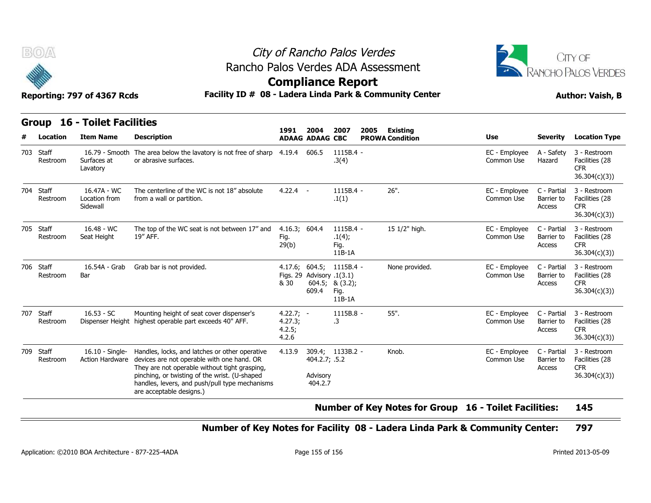



#### Reporting: 797 of 4367 Rcds **Facility ID # 08 - Ladera Linda Park & Community Center Author: Vaish, B**

|     | BOA                   | Reporting: 797 of 4367 Rcds                             | City of Rancho Palos Verdes<br>Rancho Palos Verdes ADA Assessment<br><b>Compliance Report</b><br>Facility ID # 08 - Ladera Linda Park & Community Center                                                                                                                     | CITY OF<br><b>RANCHO PALOS VERDES</b><br><b>Author: Vaish, B</b> |                                      |                                                     |      |                                           |                             |                                     |                                                              |
|-----|-----------------------|---------------------------------------------------------|------------------------------------------------------------------------------------------------------------------------------------------------------------------------------------------------------------------------------------------------------------------------------|------------------------------------------------------------------|--------------------------------------|-----------------------------------------------------|------|-------------------------------------------|-----------------------------|-------------------------------------|--------------------------------------------------------------|
|     | Location              | <b>Group 16 - Toilet Facilities</b><br><b>Item Name</b> | <b>Description</b>                                                                                                                                                                                                                                                           | 1991                                                             | 2004<br><b>ADAAG ADAAG CBC</b>       | 2007                                                | 2005 | <b>Existing</b><br><b>PROWA Condition</b> | Use                         | <b>Severity</b>                     | <b>Location Type</b>                                         |
| 703 | Staff<br>Restroom     | Surfaces at<br>Lavatory                                 | 16.79 - Smooth The area below the lavatory is not free of sharp 4.19.4<br>or abrasive surfaces.                                                                                                                                                                              |                                                                  | 606.5                                | 1115B.4 -<br>.3(4)                                  |      |                                           | EC - Employee<br>Common Use | A - Safety<br>Hazard                | 3 - Restroom<br>Facilities (28<br><b>CFR</b><br>36.304(c)(3) |
| 704 | Staff<br>Restroom     | 16.47A - WC<br>Location from<br>Sidewall                | The centerline of the WC is not 18" absolute<br>from a wall or partition.                                                                                                                                                                                                    | $4.22.4 -$                                                       |                                      | $1115B.4 -$<br>.1(1)                                |      | $26"$ .                                   | EC - Employee<br>Common Use | C - Partial<br>Barrier to<br>Access | 3 - Restroom<br>Facilities (28<br><b>CFR</b><br>36.304(c)(3) |
|     | 705 Staff<br>Restroom | $16.48 - WC$<br>Seat Height                             | The top of the WC seat is not between 17" and<br>19" AFF.                                                                                                                                                                                                                    | 4.16.3; 604.4<br>Fig.<br>29(b)                                   |                                      | $1115B.4 -$<br>.1(4);<br>Fig.<br>$11B-1A$           |      | 15 1/2" high.                             | EC - Employee<br>Common Use | C - Partial<br>Barrier to<br>Access | 3 - Restroom<br>Facilities (28<br><b>CFR</b><br>36.304(c)(3) |
| 706 | Staff<br>Restroom     | 16.54A - Grab<br>Bar                                    | Grab bar is not provided.                                                                                                                                                                                                                                                    | 4.17.6; 604.5;<br>& 30                                           | Figs. 29 Advisory .1(3.1)<br>609.4   | 1115B.4 -<br>604.5; & $(3.2)$ ;<br>Fig.<br>$11B-1A$ |      | None provided.                            | EC - Employee<br>Common Use | C - Partial<br>Barrier to<br>Access | 3 - Restroom<br>Facilities (28<br><b>CFR</b><br>36.304(c)(3) |
| 707 | Staff<br>Restroom     | $16.53 - SC$                                            | Mounting height of seat cover dispenser's<br>Dispenser Height highest operable part exceeds 40" AFF.                                                                                                                                                                         | $4.22.7; -$<br>4.27.3;<br>4.2.5;<br>4.2.6                        |                                      | 1115B.8 -<br>.3                                     |      | 55".                                      | EC - Employee<br>Common Use | C - Partial<br>Barrier to<br>Access | 3 - Restroom<br>Facilities (28<br><b>CFR</b><br>36.304(c)(3) |
|     | 709 Staff<br>Restroom | $16.10 -$ Single-<br>Action Hardware                    | Handles, locks, and latches or other operative<br>devices are not operable with one hand. OR<br>They are not operable without tight grasping,<br>pinching, or twisting of the wrist. (U-shaped<br>handles, levers, and push/pull type mechanisms<br>are acceptable designs.) | 4.13.9                                                           | 404.2.7; .5.2<br>Advisory<br>404.2.7 | 309.4; 1133B.2 -                                    |      | Knob.                                     | EC - Employee<br>Common Use | C - Partial<br>Barrier to<br>Access | 3 - Restroom<br>Facilities (28<br><b>CFR</b><br>36.304(c)(3) |

#### **Number of Key Notes for Group 16 - Toilet Facilities: 145**

#### **Number of Key Notes for Facility 08 - Ladera Linda Park & Community Center: 797**